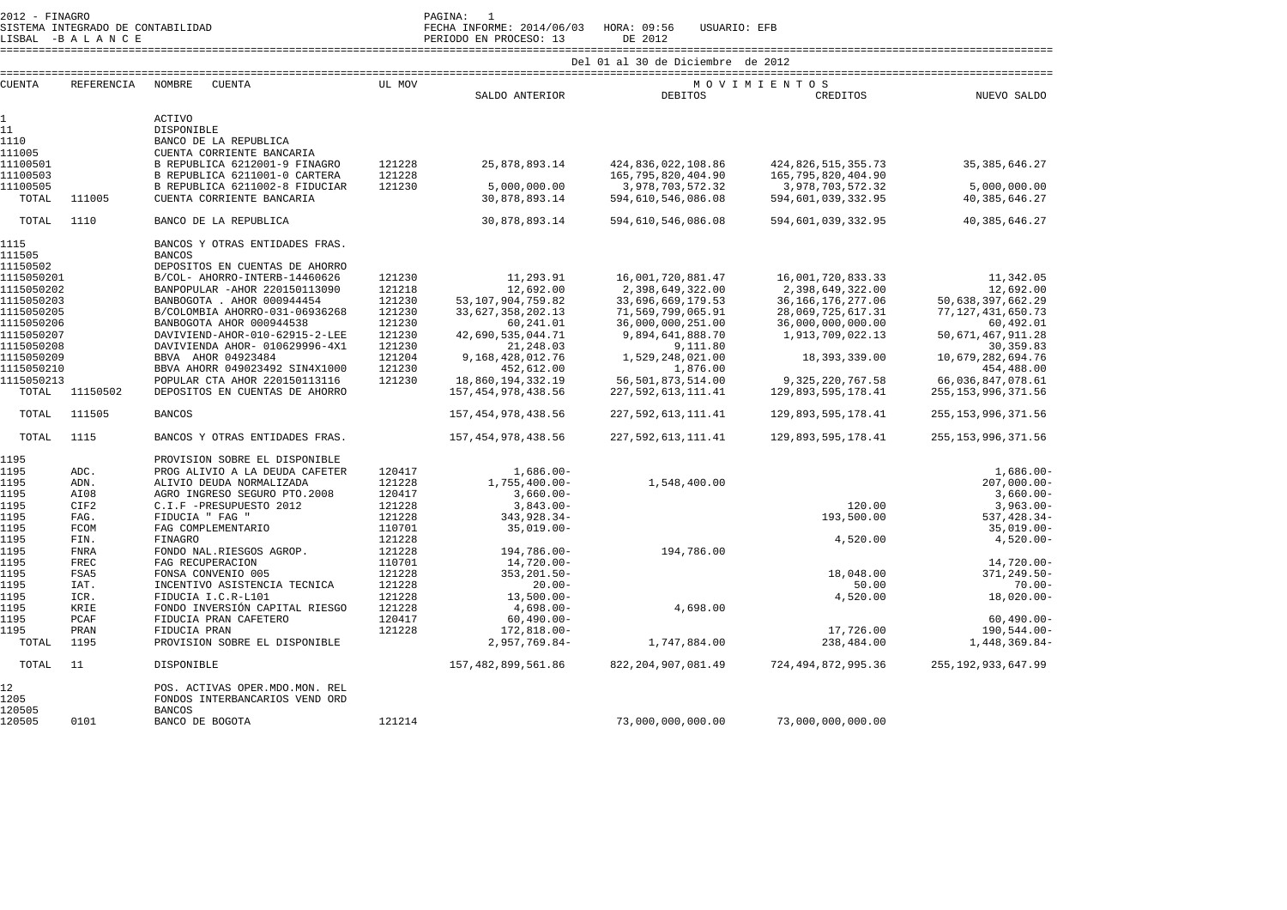| $2012 -$   | FINAGRO |                             | PAGINA:      |        |  |
|------------|---------|-----------------------------|--------------|--------|--|
| O T OTHERS |         | CONTROLLATION CONTRATT TRAD | <b>EECHA</b> | TNEODM |  |

SISTEMA INTEGRADO DE CONTABILIDAD FECHA INFORME: 2014/06/03 HORA: 09:56 USUARIO: EFB

LISBAL -B A L A N C E PERIODO EN PROCESO: 13 DE 2012

====================================================================================================================================================================

| <b>CUENTA</b>        | <b>REFERENCIA</b> | NOMBRE<br><b>CUENTA</b>                                        | UL MOV           |                                |                                              | MOVIMIENTOS                                 |                                 |
|----------------------|-------------------|----------------------------------------------------------------|------------------|--------------------------------|----------------------------------------------|---------------------------------------------|---------------------------------|
|                      |                   |                                                                |                  | SALDO ANTERIOR                 | <b>DEBITOS</b>                               | CREDITOS                                    | NUEVO SALDO                     |
|                      |                   |                                                                |                  |                                |                                              |                                             |                                 |
| $\mathbf{1}$         |                   | <b>ACTIVO</b>                                                  |                  |                                |                                              |                                             |                                 |
| 11<br>1110           |                   | DISPONIBLE                                                     |                  |                                |                                              |                                             |                                 |
|                      |                   | BANCO DE LA REPUBLICA                                          |                  |                                |                                              |                                             |                                 |
| 111005               |                   | CUENTA CORRIENTE BANCARIA                                      |                  |                                |                                              |                                             |                                 |
| 11100501<br>11100503 |                   | B REPUBLICA 6212001-9 FINAGRO<br>B REPUBLICA 6211001-0 CARTERA | 121228<br>121228 | 25,878,893.14                  | 424,836,022,108.86<br>165, 795, 820, 404. 90 | 424,826,515,355.73<br>165, 795, 820, 404.90 | 35, 385, 646.27                 |
| 11100505             |                   | B REPUBLICA 6211002-8 FIDUCIAR                                 | 121230           | 5,000,000.00                   | 3,978,703,572.32                             | 3,978,703,572.32                            | 5,000,000.00                    |
| TOTAL                | 111005            | CUENTA CORRIENTE BANCARIA                                      |                  | 30,878,893.14                  | 594,610,546,086.08                           | 594,601,039,332.95                          | 40, 385, 646.27                 |
|                      |                   |                                                                |                  |                                |                                              |                                             |                                 |
| TOTAL                | 1110              | BANCO DE LA REPUBLICA                                          |                  | 30,878,893.14                  | 594,610,546,086.08                           | 594,601,039,332.95                          | 40, 385, 646.27                 |
| 1115<br>111505       |                   | BANCOS Y OTRAS ENTIDADES FRAS.<br><b>BANCOS</b>                |                  |                                |                                              |                                             |                                 |
| 11150502             |                   | DEPOSITOS EN CUENTAS DE AHORRO                                 |                  |                                |                                              |                                             |                                 |
| 1115050201           |                   | B/COL- AHORRO-INTERB-14460626                                  | 121230           | 11,293.91                      | 16,001,720,881.47                            | 16,001,720,833.33                           | 11,342.05                       |
| 1115050202           |                   | BANPOPULAR -AHOR 220150113090                                  | 121218           | 12,692.00                      | 2,398,649,322.00                             | 2,398,649,322.00                            | 12,692.00                       |
| 1115050203           |                   | BANBOGOTA . AHOR 000944454                                     | 121230           | 53, 107, 904, 759.82           | 33,696,669,179.53                            | 36, 166, 176, 277.06                        | 50,638,397,662.29               |
| 1115050205           |                   | B/COLOMBIA AHORRO-031-06936268                                 | 121230           | 33,627,358,202.13              | 71,569,799,065.91                            | 28,069,725,617.31                           | 77, 127, 431, 650. 73           |
| 1115050206           |                   | BANBOGOTA AHOR 000944538                                       | 121230           | 60,241.01                      | 36,000,000,251.00                            | 36,000,000,000.00                           | 60,492.01                       |
| 1115050207           |                   | DAVIVIEND-AHOR-010-62915-2-LEE                                 | 121230           | 42,690,535,044.71              | 9,894,641,888.70                             | 1,913,709,022.13                            | 50,671,467,911.28               |
| 1115050208           |                   | DAVIVIENDA AHOR- 010629996-4X1                                 | 121230           | 21,248.03                      | 9,111.80                                     |                                             | 30, 359.83                      |
| 1115050209           |                   | BBVA AHOR 04923484                                             | 121204           | 9,168,428,012.76               | 1,529,248,021.00                             | 18,393,339.00                               | 10,679,282,694.76               |
| 1115050210           |                   | BBVA AHORR 049023492 SIN4X1000                                 | 121230           | 452,612.00                     | 1,876.00                                     |                                             | 454,488.00                      |
| 1115050213           |                   | POPULAR CTA AHOR 220150113116                                  | 121230           | 18,860,194,332.19              | 56, 501, 873, 514.00                         | 9, 325, 220, 767.58                         | 66,036,847,078.61               |
| TOTAL                | 11150502          | DEPOSITOS EN CUENTAS DE AHORRO                                 |                  | 157, 454, 978, 438.56          | 227, 592, 613, 111.41                        | 129,893,595,178.41                          | 255, 153, 996, 371.56           |
| TOTAL                | 111505            | <b>BANCOS</b>                                                  |                  | 157, 454, 978, 438.56          | 227, 592, 613, 111, 41                       | 129,893,595,178.41                          | 255, 153, 996, 371.56           |
| TOTAL                | 1115              | BANCOS Y OTRAS ENTIDADES FRAS.                                 |                  | 157, 454, 978, 438.56          | 227, 592, 613, 111, 41                       | 129,893,595,178.41                          | 255, 153, 996, 371.56           |
| 1195                 |                   | PROVISION SOBRE EL DISPONIBLE                                  |                  |                                |                                              |                                             |                                 |
| 1195                 | ADC.              | PROG ALIVIO A LA DEUDA CAFETER                                 | 120417           | $1,686.00 -$                   |                                              |                                             | $1,686.00 -$                    |
| 1195                 | ADN.              | ALIVIO DEUDA NORMALIZADA                                       | 121228           | $1,755,400.00 -$               | 1,548,400.00                                 |                                             | $207,000.00 -$                  |
| 1195                 | AI08              | AGRO INGRESO SEGURO PTO.2008                                   | 120417           | $3,660.00 -$                   |                                              |                                             | $3,660.00 -$                    |
| 1195                 | CIF2              | C.I.F -PRESUPUESTO 2012                                        | 121228           | $3,843.00 -$                   |                                              | 120.00                                      | $3,963.00 -$                    |
| 1195                 | FAG.              | FIDUCIA " FAG "                                                | 121228           | 343,928.34-                    |                                              | 193,500.00                                  | 537, 428.34-                    |
| 1195                 | <b>FCOM</b>       | FAG COMPLEMENTARIO                                             | 110701           | $35,019.00 -$                  |                                              |                                             | $35,019.00 -$                   |
| 1195                 | FIN.              | FINAGRO                                                        | 121228           |                                |                                              | 4,520.00                                    | $4,520.00 -$                    |
| 1195                 | <b>FNRA</b>       | FONDO NAL.RIESGOS AGROP.                                       | 121228           | 194,786.00-                    | 194,786.00                                   |                                             |                                 |
| 1195                 | FREC              | FAG RECUPERACION                                               | 110701           | 14,720.00-                     |                                              |                                             | $14,720.00 -$                   |
| 1195                 | FSA5              | FONSA CONVENIO 005                                             | 121228           | $353, 201.50 -$                |                                              | 18,048.00                                   | $371, 249.50 -$                 |
| 1195                 | IAT.              | INCENTIVO ASISTENCIA TECNICA                                   | 121228           | $20.00 -$                      |                                              | 50.00                                       | $70.00 -$                       |
| 1195                 | ICR.              | FIDUCIA I.C.R-L101                                             | 121228           | $13,500.00 -$                  |                                              | 4,520.00                                    | $18,020.00 -$                   |
| 1195<br>1195         | KRIE              | FONDO INVERSIÓN CAPITAL RIESGO                                 | 121228           | $4,698.00-$                    | 4,698.00                                     |                                             |                                 |
|                      | PCAF              | FIDUCIA PRAN CAFETERO                                          | 120417           | $60, 490.00 -$                 |                                              |                                             | $60, 490.00 -$                  |
| 1195<br>TOTAL        | PRAN<br>1195      | FIDUCIA PRAN<br>PROVISION SOBRE EL DISPONIBLE                  | 121228           | 172,818.00-<br>$2,957,769.84-$ | 1,747,884.00                                 | 17,726.00<br>238,484.00                     | $190,544.00 -$<br>1,448,369.84- |
| TOTAL                | 11                | DISPONIBLE                                                     |                  | 157, 482, 899, 561.86          | 822, 204, 907, 081.49                        | 724, 494, 872, 995.36                       | 255, 192, 933, 647.99           |
| 12                   |                   | POS. ACTIVAS OPER.MDO.MON. REL                                 |                  |                                |                                              |                                             |                                 |
| 1205<br>120505       |                   | FONDOS INTERBANCARIOS VEND ORD<br><b>BANCOS</b>                |                  |                                |                                              |                                             |                                 |
| 120505               | 0101              | BANCO DE BOGOTA                                                | 121214           |                                | 73,000,000,000.00                            | 73,000,000,000.00                           |                                 |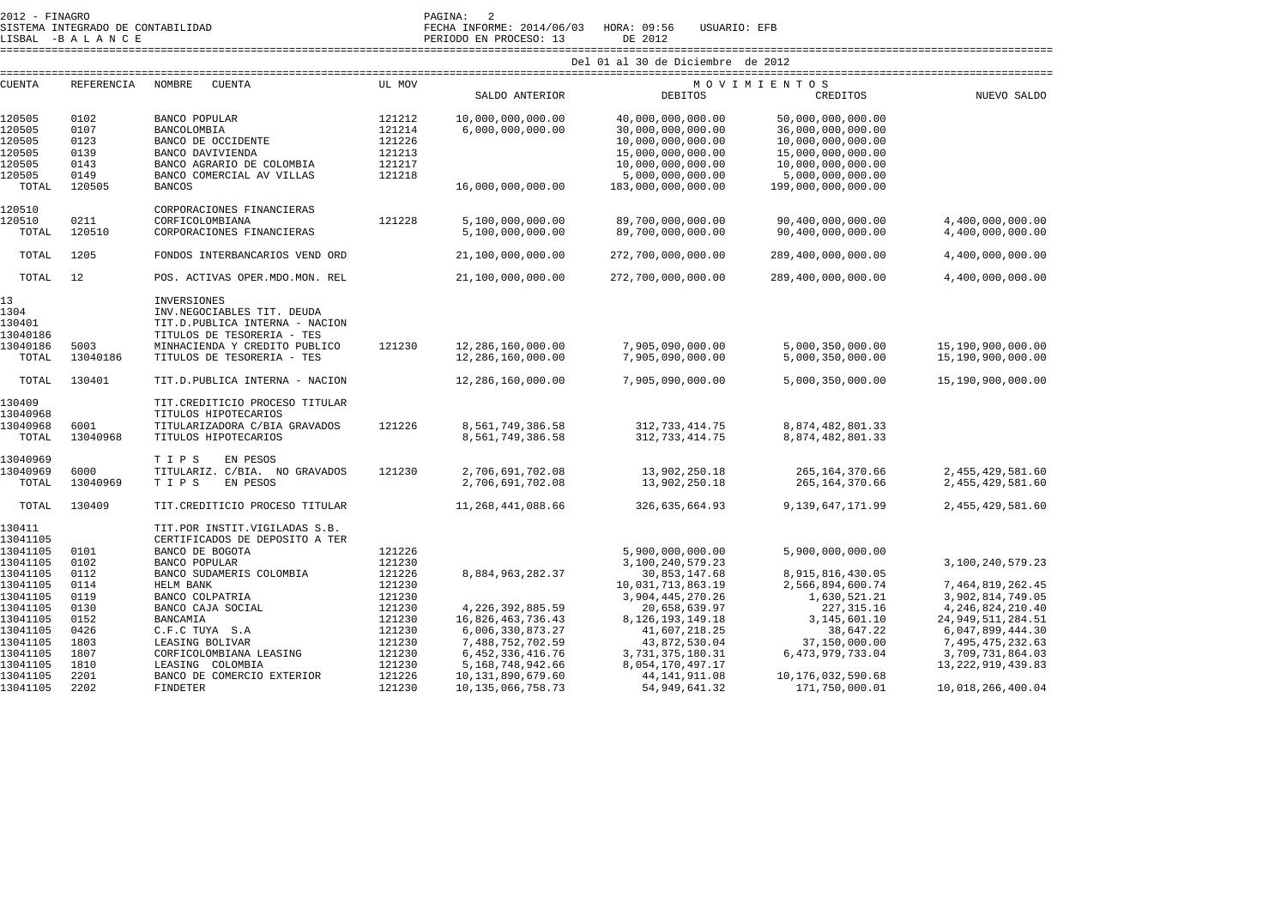LISBAL -B A L A N C E PERIODO EN PROCESO: 13 DE 2012

SISTEMA INTEGRADO DE CONTABILIDAD FECHA INFORME: 2014/06/03 HORA: 09:56 USUARIO: EFB

====================================================================================================================================================================

| <b>CUENTA</b> | REFERENCIA | NOMBRE<br><b>CUENTA</b>         | UL MOV |                       |                      | MOVIMIENTOS          |                       |
|---------------|------------|---------------------------------|--------|-----------------------|----------------------|----------------------|-----------------------|
|               |            |                                 |        | SALDO ANTERIOR        | <b>DEBITOS</b>       | CREDITOS             | NUEVO SALDO           |
|               |            |                                 |        |                       |                      |                      |                       |
| 120505        | 0102       | BANCO POPULAR                   | 121212 | 10,000,000,000.00     | 40,000,000,000.00    | 50,000,000,000.00    |                       |
| 120505        | 0107       | BANCOLOMBIA                     | 121214 | 6,000,000,000.00      | 30,000,000,000.00    | 36,000,000,000.00    |                       |
| 120505        | 0123       | BANCO DE OCCIDENTE              | 121226 |                       | 10,000,000,000.00    | 10,000,000,000.00    |                       |
| 120505        | 0139       | BANCO DAVIVIENDA                | 121213 |                       | 15,000,000,000.00    | 15,000,000,000.00    |                       |
| 120505        | 0143       | BANCO AGRARIO DE COLOMBIA       | 121217 |                       | 10,000,000,000.00    | 10,000,000,000.00    |                       |
| 120505        | 0149       | BANCO COMERCIAL AV VILLAS       | 121218 |                       | 5,000,000,000.00     | 5,000,000,000.00     |                       |
| TOTAL         | 120505     | <b>BANCOS</b>                   |        | 16,000,000,000.00     | 183,000,000,000.00   | 199,000,000,000.00   |                       |
|               |            |                                 |        |                       |                      |                      |                       |
| 120510        |            | CORPORACIONES FINANCIERAS       |        |                       |                      |                      |                       |
| 120510        | 0211       | CORFICOLOMBIANA                 | 121228 | 5,100,000,000.00      | 89,700,000,000.00    | 90,400,000,000.00    | 4,400,000,000.00      |
| TOTAL         | 120510     | CORPORACIONES FINANCIERAS       |        | 5,100,000,000.00      | 89,700,000,000.00    | 90,400,000,000.00    | 4,400,000,000.00      |
|               |            |                                 |        |                       |                      |                      |                       |
| TOTAL         | 1205       | FONDOS INTERBANCARIOS VEND ORD  |        | 21,100,000,000.00     | 272,700,000,000.00   | 289,400,000,000.00   | 4,400,000,000.00      |
|               |            |                                 |        |                       |                      |                      |                       |
| TOTAL         | 12         | POS. ACTIVAS OPER.MDO.MON. REL  |        | 21,100,000,000.00     | 272,700,000,000.00   | 289,400,000,000.00   | 4,400,000,000.00      |
| 13            |            | INVERSIONES                     |        |                       |                      |                      |                       |
| 1304          |            | INV.NEGOCIABLES TIT. DEUDA      |        |                       |                      |                      |                       |
| 130401        |            | TIT.D. PUBLICA INTERNA - NACION |        |                       |                      |                      |                       |
| 13040186      |            | TITULOS DE TESORERIA - TES      |        |                       |                      |                      |                       |
| 13040186      | 5003       |                                 |        |                       |                      |                      |                       |
|               |            | MINHACIENDA Y CREDITO PUBLICO   | 121230 | 12,286,160,000.00     | 7,905,090,000.00     | 5,000,350,000.00     | 15,190,900,000.00     |
| TOTAL         | 13040186   | TITULOS DE TESORERIA - TES      |        | 12,286,160,000.00     | 7,905,090,000.00     | 5,000,350,000.00     | 15,190,900,000.00     |
| TOTAL         | 130401     | TIT.D. PUBLICA INTERNA - NACION |        | 12,286,160,000.00     | 7,905,090,000.00     | 5,000,350,000.00     | 15,190,900,000.00     |
|               |            |                                 |        |                       |                      |                      |                       |
| 130409        |            | TIT. CREDITICIO PROCESO TITULAR |        |                       |                      |                      |                       |
| 13040968      |            | TITULOS HIPOTECARIOS            |        |                       |                      |                      |                       |
| 13040968      | 6001       | TITULARIZADORA C/BIA GRAVADOS   | 121226 | 8,561,749,386.58      | 312, 733, 414. 75    | 8,874,482,801.33     |                       |
| TOTAL         | 13040968   | TITULOS HIPOTECARIOS            |        | 8,561,749,386.58      | 312, 733, 414. 75    | 8,874,482,801.33     |                       |
|               |            |                                 |        |                       |                      |                      |                       |
| 13040969      |            | T I P S<br>EN PESOS             |        |                       |                      |                      |                       |
| 13040969      | 6000       | TITULARIZ. C/BIA. NO GRAVADOS   | 121230 | 2,706,691,702.08      | 13,902,250.18        | 265, 164, 370.66     | 2,455,429,581.60      |
| TOTAL         | 13040969   | TIPS<br>EN PESOS                |        | 2,706,691,702.08      | 13,902,250.18        | 265, 164, 370.66     | 2, 455, 429, 581.60   |
|               |            |                                 |        |                       |                      |                      |                       |
| TOTAL         | 130409     | TIT. CREDITICIO PROCESO TITULAR |        | 11,268,441,088.66     | 326,635,664.93       | 9, 139, 647, 171.99  | 2, 455, 429, 581.60   |
| 130411        |            | TIT.POR INSTIT.VIGILADAS S.B.   |        |                       |                      |                      |                       |
| 13041105      |            | CERTIFICADOS DE DEPOSITO A TER  |        |                       |                      |                      |                       |
| 13041105      | 0101       | BANCO DE BOGOTA                 | 121226 |                       | 5,900,000,000.00     | 5,900,000,000.00     |                       |
| 13041105      | 0102       | <b>BANCO POPULAR</b>            | 121230 |                       | 3,100,240,579.23     |                      | 3,100,240,579.23      |
| 13041105      | 0112       | BANCO SUDAMERIS COLOMBIA        | 121226 | 8,884,963,282.37      | 30,853,147.68        | 8, 915, 816, 430.05  |                       |
|               |            |                                 |        |                       |                      |                      |                       |
| 13041105      | 0114       | HELM BANK                       | 121230 |                       | 10,031,713,863.19    | 2,566,894,600.74     | 7,464,819,262.45      |
| 13041105      | 0119       | BANCO COLPATRIA                 | 121230 |                       | 3,904,445,270.26     | 1,630,521.21         | 3,902,814,749.05      |
| 13041105      | 0130       | BANCO CAJA SOCIAL               | 121230 | 4, 226, 392, 885.59   | 20,658,639.97        | 227, 315.16          | 4, 246, 824, 210.40   |
| 13041105      | 0152       | <b>BANCAMIA</b>                 | 121230 | 16,826,463,736.43     | 8, 126, 193, 149. 18 | 3,145,601.10         | 24, 949, 511, 284. 51 |
| 13041105      | 0426       | C.F.C TUYA S.A                  | 121230 | 6,006,330,873.27      | 41,607,218.25        | 38,647.22            | 6,047,899,444.30      |
| 13041105      | 1803       | LEASING BOLIVAR                 | 121230 | 7,488,752,702.59      | 43,872,530.04        | 37,150,000.00        | 7,495,475,232.63      |
| 13041105      | 1807       | CORFICOLOMBIANA LEASING         | 121230 | 6, 452, 336, 416.76   | 3,731,375,180.31     | 6, 473, 979, 733.04  | 3,709,731,864.03      |
| 13041105      | 1810       | LEASING COLOMBIA                | 121230 | 5, 168, 748, 942. 66  | 8,054,170,497.17     |                      | 13, 222, 919, 439.83  |
| 13041105      | 2201       | BANCO DE COMERCIO EXTERIOR      | 121226 | 10, 131, 890, 679. 60 | 44, 141, 911.08      | 10, 176, 032, 590.68 |                       |
| 13041105      | 2202       | <b>FINDETER</b>                 | 121230 | 10, 135, 066, 758. 73 | 54, 949, 641.32      | 171,750,000.01       | 10,018,266,400.04     |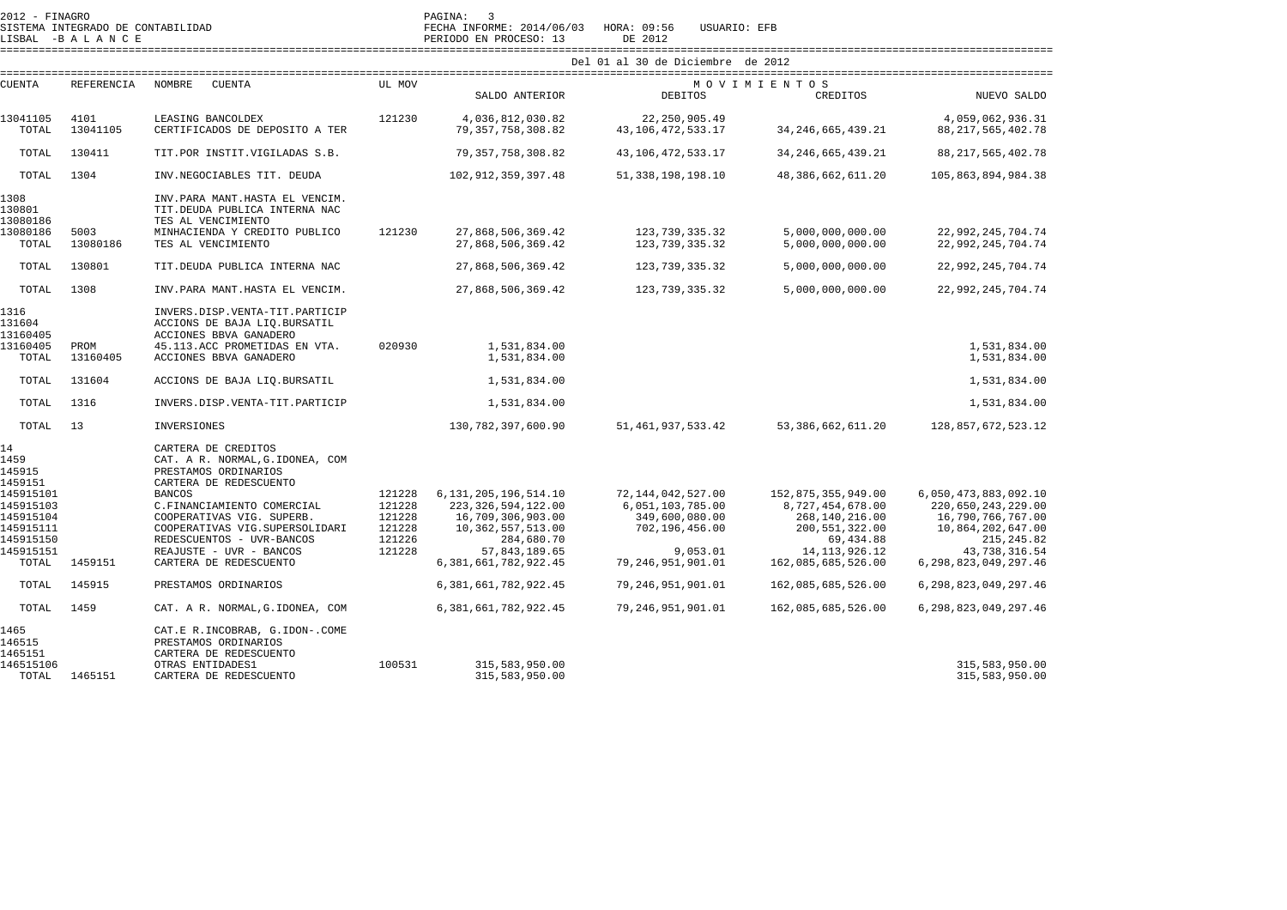| 2012 - FINAGRO<br>SISTEMA INTEGRADO DE CONTABILIDAD<br>LISBAL -BALANCE              |                   |                                                                                                                                                                                              |                                                          | PAGINA:<br>$\overline{\mathbf{3}}$<br>FECHA INFORME: 2014/06/03<br>PERIODO EN PROCESO: 13                                                                   | HORA: 09:56<br>USUARIO: EFB<br>DE 2012                                                                           |                                                                                                                                     |                                                                                                                                                  |  |  |  |
|-------------------------------------------------------------------------------------|-------------------|----------------------------------------------------------------------------------------------------------------------------------------------------------------------------------------------|----------------------------------------------------------|-------------------------------------------------------------------------------------------------------------------------------------------------------------|------------------------------------------------------------------------------------------------------------------|-------------------------------------------------------------------------------------------------------------------------------------|--------------------------------------------------------------------------------------------------------------------------------------------------|--|--|--|
|                                                                                     |                   |                                                                                                                                                                                              | Del 01 al 30 de Diciembre de 2012                        |                                                                                                                                                             |                                                                                                                  |                                                                                                                                     |                                                                                                                                                  |  |  |  |
| <b>CUENTA</b>                                                                       | <b>REFERENCIA</b> | <b>NOMBRE</b><br><b>CUENTA</b>                                                                                                                                                               | UL MOV                                                   | SALDO ANTERIOR                                                                                                                                              | <b>DEBITOS</b>                                                                                                   | MOVIMIENTOS<br>CREDITOS                                                                                                             | NUEVO SALDO                                                                                                                                      |  |  |  |
| 13041105<br>TOTAL                                                                   | 4101<br>13041105  | LEASING BANCOLDEX<br>CERTIFICADOS DE DEPOSITO A TER                                                                                                                                          | 121230                                                   | 4,036,812,030.82<br>79, 357, 758, 308.82                                                                                                                    | 22, 250, 905.49<br>43, 106, 472, 533. 17                                                                         | 34, 246, 665, 439. 21                                                                                                               | 4,059,062,936.31<br>88, 217, 565, 402. 78                                                                                                        |  |  |  |
| TOTAL                                                                               | 130411            | TIT.POR INSTIT.VIGILADAS S.B.                                                                                                                                                                |                                                          | 79, 357, 758, 308.82                                                                                                                                        | 43, 106, 472, 533. 17                                                                                            | 34, 246, 665, 439. 21                                                                                                               | 88, 217, 565, 402. 78                                                                                                                            |  |  |  |
| TOTAL                                                                               | 1304              | INV.NEGOCIABLES TIT. DEUDA                                                                                                                                                                   |                                                          | 102, 912, 359, 397.48                                                                                                                                       | 51, 338, 198, 198. 10                                                                                            | 48, 386, 662, 611.20                                                                                                                | 105,863,894,984.38                                                                                                                               |  |  |  |
| 1308<br>130801<br>13080186<br>13080186                                              | 5003              | INV.PARA MANT.HASTA EL VENCIM.<br>TIT.DEUDA PUBLICA INTERNA NAC<br>TES AL VENCIMIENTO<br>MINHACIENDA Y CREDITO PUBLICO                                                                       | 121230                                                   | 27,868,506,369.42                                                                                                                                           | 123, 739, 335. 32                                                                                                | 5,000,000,000.00                                                                                                                    | 22,992,245,704.74                                                                                                                                |  |  |  |
| TOTAL                                                                               | 13080186          | TES AL VENCIMIENTO                                                                                                                                                                           |                                                          | 27,868,506,369.42                                                                                                                                           | 123, 739, 335.32                                                                                                 | 5,000,000,000.00                                                                                                                    | 22,992,245,704.74                                                                                                                                |  |  |  |
| TOTAL                                                                               | 130801            | TIT.DEUDA PUBLICA INTERNA NAC                                                                                                                                                                |                                                          | 27,868,506,369.42                                                                                                                                           | 123, 739, 335.32                                                                                                 | 5,000,000,000.00                                                                                                                    | 22,992,245,704.74                                                                                                                                |  |  |  |
| TOTAL                                                                               | 1308              | INV.PARA MANT.HASTA EL VENCIM.                                                                                                                                                               |                                                          | 27,868,506,369.42                                                                                                                                           | 123,739,335.32                                                                                                   | 5,000,000,000.00                                                                                                                    | 22,992,245,704.74                                                                                                                                |  |  |  |
| 1316<br>131604<br>13160405<br>13160405<br>TOTAL                                     | PROM<br>13160405  | INVERS.DISP.VENTA-TIT.PARTICIP<br>ACCIONS DE BAJA LIQ. BURSATIL<br>ACCIONES BBVA GANADERO<br>45.113.ACC PROMETIDAS EN VTA.<br>ACCIONES BBVA GANADERO                                         | 020930                                                   | 1,531,834.00<br>1,531,834.00                                                                                                                                |                                                                                                                  |                                                                                                                                     | 1,531,834.00<br>1,531,834.00                                                                                                                     |  |  |  |
|                                                                                     |                   |                                                                                                                                                                                              |                                                          |                                                                                                                                                             |                                                                                                                  |                                                                                                                                     |                                                                                                                                                  |  |  |  |
| TOTAL                                                                               | 131604            | ACCIONS DE BAJA LIQ. BURSATIL                                                                                                                                                                |                                                          | 1,531,834.00                                                                                                                                                |                                                                                                                  |                                                                                                                                     | 1,531,834.00                                                                                                                                     |  |  |  |
| TOTAL                                                                               | 1316              | INVERS.DISP.VENTA-TIT.PARTICIP                                                                                                                                                               |                                                          | 1,531,834.00                                                                                                                                                |                                                                                                                  |                                                                                                                                     | 1,531,834.00                                                                                                                                     |  |  |  |
| TOTAL                                                                               | 13                | INVERSIONES                                                                                                                                                                                  |                                                          | 130, 782, 397, 600. 90                                                                                                                                      | 51, 461, 937, 533. 42                                                                                            | 53, 386, 662, 611.20                                                                                                                | 128,857,672,523.12                                                                                                                               |  |  |  |
| 14<br>1459<br>145915<br>1459151                                                     |                   | CARTERA DE CREDITOS<br>CAT. A R. NORMAL, G. IDONEA, COM<br>PRESTAMOS ORDINARIOS<br>CARTERA DE REDESCUENTO                                                                                    |                                                          |                                                                                                                                                             |                                                                                                                  |                                                                                                                                     |                                                                                                                                                  |  |  |  |
| 145915101<br>145915103<br>145915104<br>145915111<br>145915150<br>145915151<br>TOTAL | 1459151           | <b>BANCOS</b><br>C.FINANCIAMIENTO COMERCIAL<br>COOPERATIVAS VIG. SUPERB.<br>COOPERATIVAS VIG.SUPERSOLIDARI<br>REDESCUENTOS - UVR-BANCOS<br>REAJUSTE - UVR - BANCOS<br>CARTERA DE REDESCUENTO | 121228<br>121228<br>121228<br>121228<br>121226<br>121228 | 6, 131, 205, 196, 514. 10<br>223, 326, 594, 122.00<br>16,709,306,903.00<br>10, 362, 557, 513.00<br>284,680.70<br>57,843,189.65<br>6, 381, 661, 782, 922. 45 | 72, 144, 042, 527.00<br>6,051,103,785.00<br>349,600,080.00<br>702,196,456.00<br>9,053.01<br>79, 246, 951, 901.01 | 152,875,355,949.00<br>8,727,454,678.00<br>268,140,216.00<br>200, 551, 322.00<br>69,434.88<br>14, 113, 926. 12<br>162,085,685,526.00 | 6,050,473,883,092.10<br>220,650,243,229.00<br>16,790,766,767.00<br>10,864,202,647.00<br>215, 245.82<br>43,738,316.54<br>6, 298, 823, 049, 297.46 |  |  |  |
| TOTAL                                                                               | 145915            | PRESTAMOS ORDINARIOS                                                                                                                                                                         |                                                          | 6, 381, 661, 782, 922. 45                                                                                                                                   | 79,246,951,901.01                                                                                                | 162,085,685,526.00                                                                                                                  | 6, 298, 823, 049, 297.46                                                                                                                         |  |  |  |
| TOTAL                                                                               | 1459              | CAT. A R. NORMAL, G. IDONEA, COM                                                                                                                                                             |                                                          | 6, 381, 661, 782, 922. 45                                                                                                                                   | 79, 246, 951, 901.01                                                                                             | 162,085,685,526.00                                                                                                                  | 6, 298, 823, 049, 297. 46                                                                                                                        |  |  |  |
| 1465<br>146515<br>1465151<br>146515106                                              |                   | CAT.E R.INCOBRAB, G.IDON-.COME<br>PRESTAMOS ORDINARIOS<br>CARTERA DE REDESCUENTO<br>OTRAS ENTIDADES1                                                                                         | 100531                                                   | 315,583,950.00                                                                                                                                              |                                                                                                                  |                                                                                                                                     | 315,583,950.00                                                                                                                                   |  |  |  |
| TOTAL                                                                               | 1465151           | CARTERA DE REDESCUENTO                                                                                                                                                                       |                                                          | 315,583,950.00                                                                                                                                              |                                                                                                                  |                                                                                                                                     | 315,583,950.00                                                                                                                                   |  |  |  |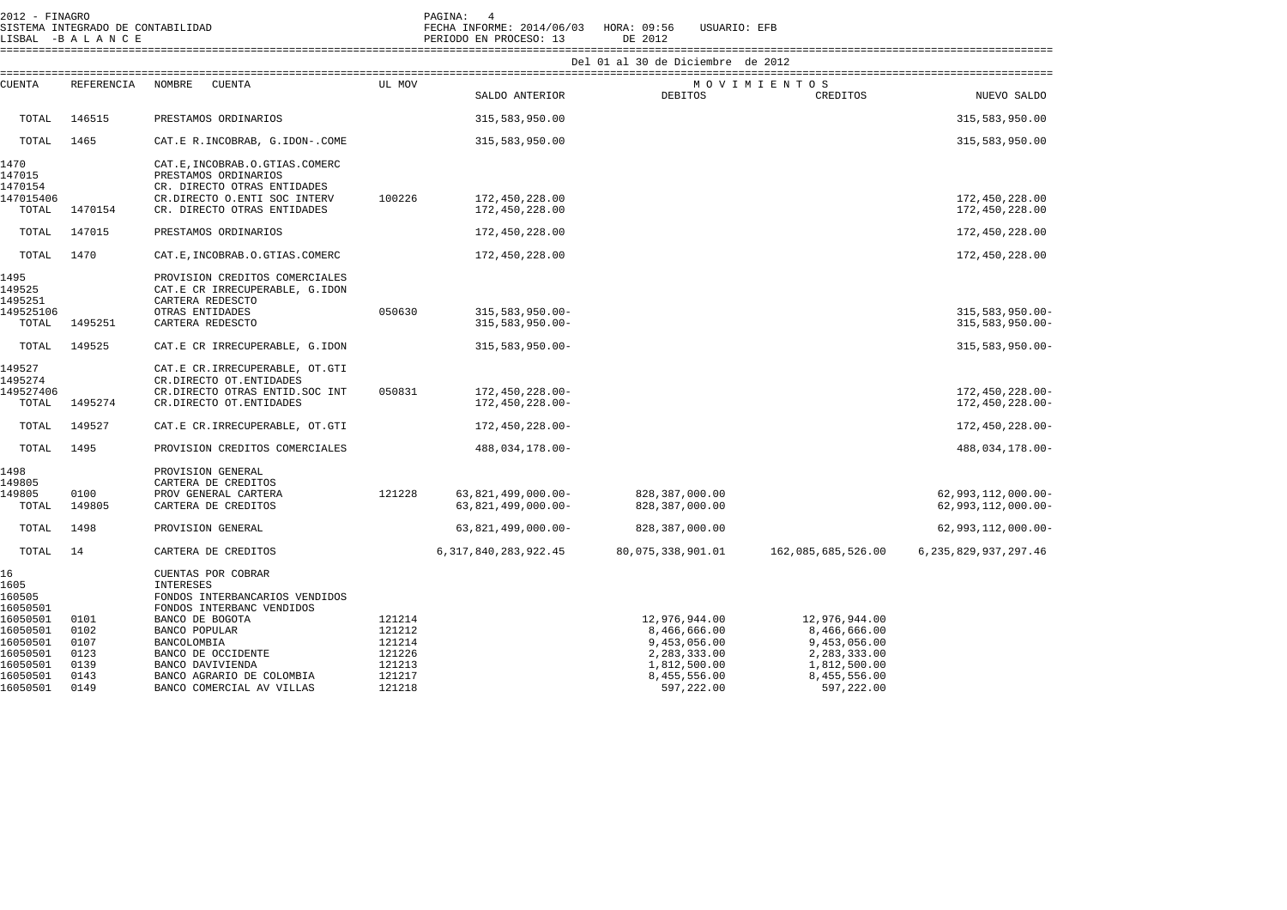| 2012 - FINAGRO                                                                   | SISTEMA INTEGRADO DE CONTABILIDAD<br>LISBAL -BALANCE |                                                                                                                                                     |                                                                    | PAGINA: 4<br>FECHA INFORME: 2014/06/03 HORA: 09:56<br>PERIODO EN PROCESO: 13 | USUARIO: EFB<br>DE 2012                                                                                     |                                                                                                             |                                                |  |  |  |  |
|----------------------------------------------------------------------------------|------------------------------------------------------|-----------------------------------------------------------------------------------------------------------------------------------------------------|--------------------------------------------------------------------|------------------------------------------------------------------------------|-------------------------------------------------------------------------------------------------------------|-------------------------------------------------------------------------------------------------------------|------------------------------------------------|--|--|--|--|
|                                                                                  |                                                      | Del 01 al 30 de Diciembre de 2012                                                                                                                   |                                                                    |                                                                              |                                                                                                             |                                                                                                             |                                                |  |  |  |  |
| <b>CUENTA</b>                                                                    | REFERENCIA                                           | NOMBRE<br>CUENTA                                                                                                                                    | UL MOV                                                             |                                                                              |                                                                                                             | MOVIMIENTOS                                                                                                 |                                                |  |  |  |  |
|                                                                                  |                                                      |                                                                                                                                                     |                                                                    | SALDO ANTERIOR                                                               | DEBITOS                                                                                                     | CREDITOS                                                                                                    | NUEVO SALDO                                    |  |  |  |  |
| TOTAL                                                                            | 146515                                               | PRESTAMOS ORDINARIOS                                                                                                                                |                                                                    | 315,583,950.00                                                               |                                                                                                             |                                                                                                             | 315,583,950.00                                 |  |  |  |  |
| TOTAL                                                                            | 1465                                                 | CAT.E R.INCOBRAB, G.IDON-.COME                                                                                                                      |                                                                    | 315,583,950.00                                                               |                                                                                                             |                                                                                                             | 315,583,950.00                                 |  |  |  |  |
| 1470<br>147015<br>1470154<br>147015406                                           |                                                      | CAT.E, INCOBRAB.O.GTIAS.COMERC<br>PRESTAMOS ORDINARIOS<br>CR. DIRECTO OTRAS ENTIDADES<br>CR.DIRECTO O.ENTI SOC INTERV                               | 100226                                                             | 172,450,228.00                                                               |                                                                                                             |                                                                                                             | 172,450,228.00                                 |  |  |  |  |
| TOTAL                                                                            | 1470154                                              | CR. DIRECTO OTRAS ENTIDADES                                                                                                                         |                                                                    | 172,450,228.00                                                               |                                                                                                             |                                                                                                             | 172,450,228.00                                 |  |  |  |  |
| TOTAL                                                                            | 147015                                               | PRESTAMOS ORDINARIOS                                                                                                                                |                                                                    | 172,450,228.00                                                               |                                                                                                             |                                                                                                             | 172,450,228.00                                 |  |  |  |  |
| TOTAL                                                                            | 1470                                                 | CAT.E, INCOBRAB.O.GTIAS.COMERC                                                                                                                      |                                                                    | 172,450,228.00                                                               |                                                                                                             |                                                                                                             | 172,450,228.00                                 |  |  |  |  |
| 1495<br>149525<br>1495251                                                        |                                                      | PROVISION CREDITOS COMERCIALES<br>CAT.E CR IRRECUPERABLE, G.IDON<br>CARTERA REDESCTO                                                                |                                                                    |                                                                              |                                                                                                             |                                                                                                             |                                                |  |  |  |  |
| 149525106<br>TOTAL                                                               | 1495251                                              | OTRAS ENTIDADES<br>CARTERA REDESCTO                                                                                                                 | 050630                                                             | $315,583,950.00 -$<br>$315,583,950.00 -$                                     |                                                                                                             |                                                                                                             | $315,583,950.00 -$<br>$315,583,950.00 -$       |  |  |  |  |
| TOTAL                                                                            | 149525                                               | CAT.E CR IRRECUPERABLE, G.IDON                                                                                                                      |                                                                    | $315,583,950.00 -$                                                           |                                                                                                             |                                                                                                             | $315, 583, 950.00 -$                           |  |  |  |  |
| 149527<br>1495274<br>149527406<br>TOTAL                                          | 1495274                                              | CAT.E CR.IRRECUPERABLE, OT.GTI<br>CR.DIRECTO OT.ENTIDADES<br>CR.DIRECTO OTRAS ENTID. SOC INT<br>CR.DIRECTO OT.ENTIDADES                             | 050831                                                             | 172,450,228.00-<br>172,450,228.00-                                           |                                                                                                             |                                                                                                             | 172,450,228.00-<br>172,450,228.00-             |  |  |  |  |
| TOTAL                                                                            | 149527                                               | CAT.E CR.IRRECUPERABLE, OT.GTI                                                                                                                      |                                                                    | 172,450,228.00-                                                              |                                                                                                             |                                                                                                             | 172,450,228.00-                                |  |  |  |  |
| TOTAL                                                                            | 1495                                                 | PROVISION CREDITOS COMERCIALES                                                                                                                      |                                                                    | 488,034,178.00-                                                              |                                                                                                             |                                                                                                             | 488,034,178.00-                                |  |  |  |  |
| 1498<br>149805<br>149805<br>TOTAL                                                | 0100<br>149805                                       | PROVISION GENERAL<br>CARTERA DE CREDITOS<br>PROV GENERAL CARTERA<br>CARTERA DE CREDITOS                                                             | 121228                                                             | $63,821,499,000.00 -$<br>$63,821,499,000.00 -$                               | 828, 387, 000.00<br>828, 387, 000.00                                                                        |                                                                                                             | $62,993,112,000.00 -$<br>$62,993,112,000.00 -$ |  |  |  |  |
| TOTAL                                                                            | 1498                                                 | PROVISION GENERAL                                                                                                                                   |                                                                    | 63,821,499,000.00-                                                           | 828, 387, 000.00                                                                                            |                                                                                                             | $62,993,112,000.00 -$                          |  |  |  |  |
| TOTAL                                                                            | 14                                                   | CARTERA DE CREDITOS                                                                                                                                 |                                                                    | 6, 317, 840, 283, 922. 45                                                    | 80,075,338,901.01                                                                                           | 162,085,685,526.00                                                                                          | 6, 235, 829, 937, 297.46                       |  |  |  |  |
| 16<br>1605<br>160505<br>16050501                                                 |                                                      | CUENTAS POR COBRAR<br>INTERESES<br>FONDOS INTERBANCARIOS VENDIDOS<br>FONDOS INTERBANC VENDIDOS                                                      |                                                                    |                                                                              |                                                                                                             |                                                                                                             |                                                |  |  |  |  |
| 16050501<br>16050501<br>16050501<br>16050501<br>16050501<br>16050501<br>16050501 | 0101<br>0102<br>0107<br>0123<br>0139<br>0143<br>0149 | BANCO DE BOGOTA<br>BANCO POPULAR<br>BANCOLOMBIA<br>BANCO DE OCCIDENTE<br>BANCO DAVIVIENDA<br>BANCO AGRARIO DE COLOMBIA<br>BANCO COMERCIAL AV VILLAS | 121214<br>121212<br>121214<br>121226<br>121213<br>121217<br>121218 |                                                                              | 12,976,944.00<br>8,466,666.00<br>9,453,056.00<br>2,283,333.00<br>1,812,500.00<br>8,455,556.00<br>597,222.00 | 12,976,944.00<br>8,466,666.00<br>9,453,056.00<br>2,283,333.00<br>1,812,500.00<br>8,455,556.00<br>597,222.00 |                                                |  |  |  |  |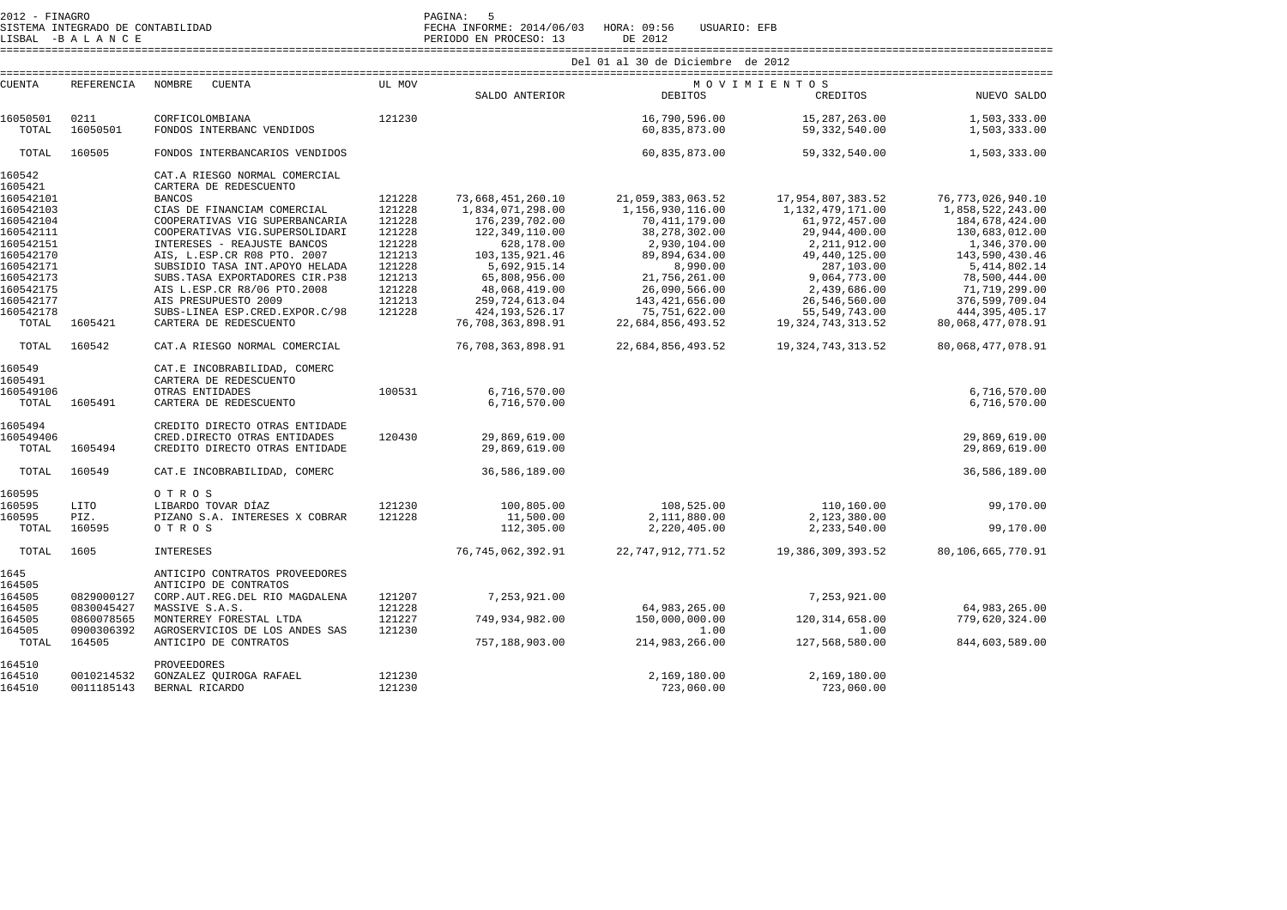SISTEMA INTEGRADO DE CONTABILIDAD FECHA INFORME: 2014/06/03 HORA: 09:56 USUARIO: EFB SISTEMA INTEGRADO DE CONTABILIDAD<br>LISBAL -B A L A N C E PERIODO EN PROCESO: 13 DE 2012

 ==================================================================================================================================================================== Del 01 al 30 de Diciembre de 2012

 ==================================================================================================================================================================== CUENTA REFERENCIA NOMBRE CUENTA UL MOV M O V I M I E N T O S CREDITOS SALDO ANTERIOR DEBITOS CREDITOS NUEVO SALDO 16050501 0211 CORFICOLOMBIANA 121230 16,790,596.00 15,287,263.00 1,503,333.00 1,503,333.00 TOTAL 16050501 FONDOS INTERBANC VENDIDOS TOTAL 160505 FONDOS INTERBANCARIOS VENDIDOS 60,835,873.00 59,332,540.00 1,503,333.00 160542 CAT.A RIESGO NORMAL COMERCIAL

| 1605421   |            | CARTERA DE REDESCUENTO           |        |                   |                      |                       |                      |
|-----------|------------|----------------------------------|--------|-------------------|----------------------|-----------------------|----------------------|
| 160542101 |            | <b>BANCOS</b>                    | 121228 | 73,668,451,260.10 | 21,059,383,063.52    | 17,954,807,383.52     | 76, 773, 026, 940.10 |
| 160542103 |            | CIAS DE FINANCIAM COMERCIAL      | 121228 | 1,834,071,298.00  | 1,156,930,116.00     | 1,132,479,171.00      | 1,858,522,243.00     |
| 160542104 |            | COOPERATIVAS VIG SUPERBANCARIA   | 121228 | 176, 239, 702.00  | 70, 411, 179.00      | 61,972,457.00         | 184,678,424.00       |
| 160542111 |            | COOPERATIVAS VIG.SUPERSOLIDARI   | 121228 | 122,349,110.00    | 38,278,302.00        | 29,944,400.00         | 130,683,012.00       |
| 160542151 |            | INTERESES - REAJUSTE BANCOS      | 121228 | 628,178.00        | 2,930,104.00         | 2,211,912.00          | 1,346,370.00         |
| 160542170 |            | AIS, L.ESP.CR R08 PTO. 2007      | 121213 | 103, 135, 921.46  | 89,894,634.00        | 49, 440, 125.00       | 143,590,430.46       |
| 160542171 |            | SUBSIDIO TASA INT. APOYO HELADA  | 121228 | 5,692,915.14      | 8,990.00             | 287,103.00            | 5, 414, 802.14       |
| 160542173 |            | SUBS. TASA EXPORTADORES CIR. P38 | 121213 | 65,808,956.00     | 21,756,261.00        | 9,064,773.00          | 78,500,444.00        |
| 160542175 |            | AIS L.ESP.CR R8/06 PTO.2008      | 121228 | 48,068,419.00     | 26,090,566.00        | 2,439,686.00          | 71,719,299.00        |
| 160542177 |            | AIS PRESUPUESTO 2009             | 121213 | 259, 724, 613.04  | 143,421,656.00       | 26,546,560.00         | 376,599,709.04       |
| 160542178 |            | SUBS-LINEA ESP.CRED.EXPOR.C/98   | 121228 | 424, 193, 526. 17 | 75,751,622.00        | 55,549,743.00         | 444, 395, 405. 17    |
| TOTAL     | 1605421    | CARTERA DE REDESCUENTO           |        | 76,708,363,898.91 | 22,684,856,493.52    | 19, 324, 743, 313.52  | 80,068,477,078.91    |
| TOTAL     | 160542     | CAT.A RIESGO NORMAL COMERCIAL    |        | 76,708,363,898.91 | 22,684,856,493.52    | 19, 324, 743, 313. 52 | 80,068,477,078.91    |
| 160549    |            | CAT.E INCOBRABILIDAD, COMERC     |        |                   |                      |                       |                      |
| 1605491   |            | CARTERA DE REDESCUENTO           |        |                   |                      |                       |                      |
| 160549106 |            | OTRAS ENTIDADES                  | 100531 | 6,716,570.00      |                      |                       | 6,716,570.00         |
| TOTAL     | 1605491    | CARTERA DE REDESCUENTO           |        | 6,716,570.00      |                      |                       | 6,716,570.00         |
| 1605494   |            | CREDITO DIRECTO OTRAS ENTIDADE   |        |                   |                      |                       |                      |
| 160549406 |            | CRED.DIRECTO OTRAS ENTIDADES     | 120430 | 29,869,619.00     |                      |                       | 29,869,619.00        |
| TOTAL     | 1605494    | CREDITO DIRECTO OTRAS ENTIDADE   |        | 29,869,619.00     |                      |                       | 29,869,619.00        |
| TOTAL     | 160549     | CAT.E INCOBRABILIDAD, COMERC     |        | 36,586,189.00     |                      |                       | 36,586,189.00        |
| 160595    |            | OTROS                            |        |                   |                      |                       |                      |
| 160595    | LITO       | LIBARDO TOVAR DÍAZ               | 121230 | 100,805.00        | 108,525.00           | 110,160.00            | 99,170.00            |
| 160595    | PIZ.       | PIZANO S.A. INTERESES X COBRAR   | 121228 | 11,500.00         | 2,111,880.00         | 2,123,380.00          |                      |
| TOTAL     | 160595     | OTROS                            |        | 112,305.00        | 2,220,405.00         | 2,233,540.00          | 99,170.00            |
| TOTAL     | 1605       | <b>INTERESES</b>                 |        | 76.745.062.392.91 | 22, 747, 912, 771.52 | 19, 386, 309, 393.52  | 80,106,665,770.91    |
| 1645      |            | ANTICIPO CONTRATOS PROVEEDORES   |        |                   |                      |                       |                      |
| 164505    |            | ANTICIPO DE CONTRATOS            |        |                   |                      |                       |                      |
| 164505    | 0829000127 | CORP.AUT.REG.DEL RIO MAGDALENA   | 121207 | 7,253,921.00      |                      | 7,253,921.00          |                      |
| 164505    | 0830045427 | MASSIVE S.A.S.                   | 121228 |                   | 64,983,265.00        |                       | 64,983,265.00        |
| 164505    | 0860078565 | MONTERREY FORESTAL LTDA          | 121227 | 749,934,982.00    | 150,000,000.00       | 120, 314, 658.00      | 779,620,324.00       |
| 164505    | 0900306392 | AGROSERVICIOS DE LOS ANDES SAS   | 121230 |                   | 1.00                 | 1.00                  |                      |
| TOTAL     | 164505     | ANTICIPO DE CONTRATOS            |        | 757,188,903.00    | 214,983,266.00       | 127,568,580.00        | 844,603,589.00       |
| 164510    |            | PROVEEDORES                      |        |                   |                      |                       |                      |
| 164510    | 0010214532 | GONZALEZ QUIROGA RAFAEL          | 121230 |                   | 2,169,180.00         | 2,169,180.00          |                      |
| 164510    | 0011185143 | BERNAL RICARDO                   | 121230 |                   | 723,060.00           | 723,060.00            |                      |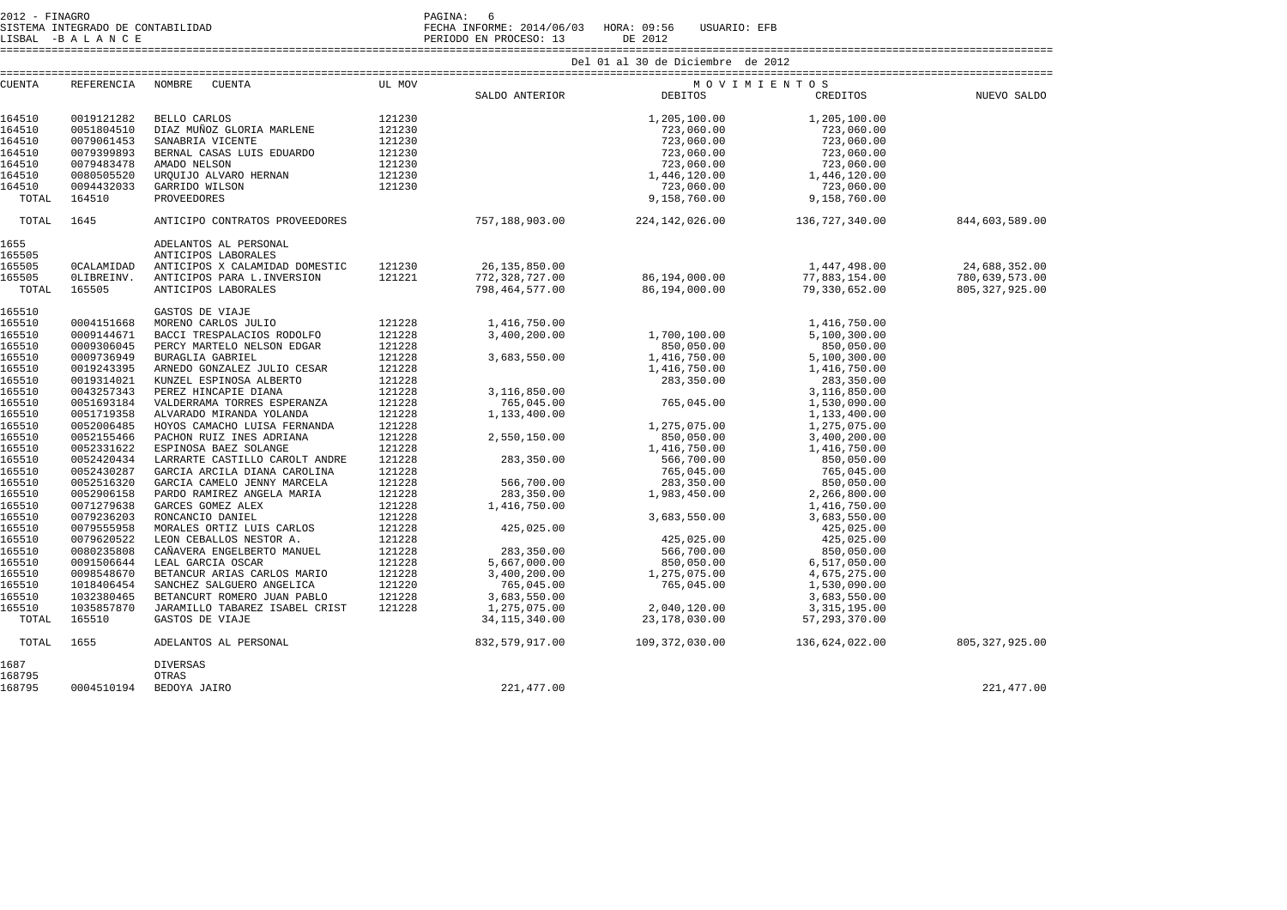2012 - FINAGRO DE CONTABILIDAD<br>SISTEMA INTEGRADO DE CONTABILIDAD

LISBAL -B A L A N C E PERIODO EN PROCESO: 13 DE 2012

SISTEMA INTEGRADO DE CONTABILIDAD FECHA INFORME: 2014/06/03 HORA: 09:56 USUARIO: EFB

====================================================================================================================================================================

| CUENTA |            | REFERENCIA NOMBRE CUENTA<br>UL MOV                                                                                                                                            |        |                                                                                             |                                                                                                                                                                                                                                                                                | MOVIMIENTOS    |                      |
|--------|------------|-------------------------------------------------------------------------------------------------------------------------------------------------------------------------------|--------|---------------------------------------------------------------------------------------------|--------------------------------------------------------------------------------------------------------------------------------------------------------------------------------------------------------------------------------------------------------------------------------|----------------|----------------------|
|        |            |                                                                                                                                                                               |        | SALDO ANTERIOR DEBITOS                                                                      |                                                                                                                                                                                                                                                                                |                | CREDITOS NUEVO SALDO |
|        |            |                                                                                                                                                                               |        |                                                                                             |                                                                                                                                                                                                                                                                                |                |                      |
| 164510 | 0019121282 | BELLO CARLOS                                                                                                                                                                  |        |                                                                                             |                                                                                                                                                                                                                                                                                |                |                      |
| 164510 | 0051804510 | DIAZ MUÑOZ GLORIA MARLENE                                                                                                                                                     |        |                                                                                             |                                                                                                                                                                                                                                                                                |                |                      |
| 164510 | 0079061453 | SANABRIA VICENTE                                                                                                                                                              |        |                                                                                             |                                                                                                                                                                                                                                                                                |                |                      |
| 164510 | 0079399893 | BERNAL CASAS LUIS EDUARDO                                                                                                                                                     |        |                                                                                             |                                                                                                                                                                                                                                                                                |                |                      |
| 164510 | 0079483478 | AMADO NELSON                                                                                                                                                                  |        |                                                                                             |                                                                                                                                                                                                                                                                                |                |                      |
| 164510 | 0080505520 | UROUIJO ALVARO HERNAN                                                                                                                                                         |        |                                                                                             |                                                                                                                                                                                                                                                                                |                |                      |
| 164510 | 0094432033 | GARRIDO WILSON                                                                                                                                                                |        |                                                                                             |                                                                                                                                                                                                                                                                                |                |                      |
| TOTAL  | 164510     | PROVEEDORES                                                                                                                                                                   |        |                                                                                             |                                                                                                                                                                                                                                                                                |                |                      |
| TOTAL  | 1645       | ANTICIPO CONTRATOS PROVEEDORES 6 757,188,903.00 224,142,026.00 136,727,340.00                                                                                                 |        |                                                                                             | 3ALLENE 121230<br>A MARLENE 121230<br>121230<br>S EDUARDO 121230<br>121230<br>121230<br>121230<br>121230<br>121230<br>121230<br>121230<br>121230<br>121230<br>121230<br>121230<br>121230<br>121230<br>121230<br>121230<br>121230<br>121230<br>121230<br>121230<br>121230<br>12 |                | 844,603,589.00       |
| 1655   |            | ADELANTOS AL PERSONAL                                                                                                                                                         |        |                                                                                             |                                                                                                                                                                                                                                                                                |                |                      |
| 165505 |            | ANTICIPOS LABORALES                                                                                                                                                           |        |                                                                                             |                                                                                                                                                                                                                                                                                |                |                      |
| 165505 | OCALAMIDAD | ANTICIPOS X CALAMIDAD DOMESTIC 121230 26,135,850.00                                                                                                                           |        |                                                                                             |                                                                                                                                                                                                                                                                                | 1,447,498.00   | 24,688,352.00        |
| 165505 | OLIBREINV. | ANTICIPOS PARA L.INVERSION                                                                                                                                                    | 121221 | 772,328,727.00                                                                              |                                                                                                                                                                                                                                                                                | 77,883,154.00  | 780,639,573.00       |
| TOTAL  | 165505     | ANTICIPOS LABORALES                                                                                                                                                           |        |                                                                                             | $86,194,000.00$<br>$86,194,000.00$                                                                                                                                                                                                                                             | 79,330,652.00  | 805, 327, 925.00     |
|        |            |                                                                                                                                                                               |        |                                                                                             |                                                                                                                                                                                                                                                                                |                |                      |
| 165510 |            | GASTOS DE VIAJE                                                                                                                                                               |        |                                                                                             |                                                                                                                                                                                                                                                                                |                |                      |
| 165510 | 0004151668 | MORENO CARLOS JULIO                                                                                                                                                           |        |                                                                                             |                                                                                                                                                                                                                                                                                | 1,416,750.00   |                      |
| 165510 | 0009144671 | BACCI TRESPALACIOS RODOLFO                                                                                                                                                    |        |                                                                                             |                                                                                                                                                                                                                                                                                | 5,100,300.00   |                      |
| 165510 | 0009306045 | PERCY MARTELO NELSON EDGAR                                                                                                                                                    |        | 850,000 650,000 650,000<br>1,416,750.00<br>3,116,850.00 765,045.00<br>765,045.00 765,045.00 |                                                                                                                                                                                                                                                                                | 850,050.00     |                      |
| 165510 | 0009736949 | BURAGLIA GABRIEL                                                                                                                                                              |        |                                                                                             |                                                                                                                                                                                                                                                                                | 5,100,300.00   |                      |
| 165510 | 0019243395 | ARNEDO GONZALEZ JULIO CESAR                                                                                                                                                   |        |                                                                                             | 1,416,750.00<br>283,350.00                                                                                                                                                                                                                                                     | 1,416,750.00   |                      |
| 165510 | 0019314021 | KUNZEL ESPINOSA ALBERTO                                                                                                                                                       | 121228 |                                                                                             |                                                                                                                                                                                                                                                                                | 283,350.00     |                      |
| 165510 | 0043257343 | PEREZ HINCAPIE DIANA                                                                                                                                                          | 121228 |                                                                                             |                                                                                                                                                                                                                                                                                | 3,116,850.00   |                      |
| 165510 | 0051693184 | VALDERRAMA TORRES ESPERANZA                                                                                                                                                   | 121228 |                                                                                             | 765,045.00                                                                                                                                                                                                                                                                     | 1,530,090.00   |                      |
| 165510 | 0051719358 | ALVARADO MIRANDA YOLANDA                                                                                                                                                      | 121228 | 1,133,400.00                                                                                |                                                                                                                                                                                                                                                                                | 1,133,400.00   |                      |
| 165510 | 0052006485 | HOYOS CAMACHO LUISA FERNANDA                                                                                                                                                  | 121228 |                                                                                             | 1,275,075.00                                                                                                                                                                                                                                                                   | 1,275,075.00   |                      |
| 165510 | 0052155466 | PACHON RUIZ INES ADRIANA                                                                                                                                                      | 121228 | 2,550,150.00                                                                                | 850,050.00                                                                                                                                                                                                                                                                     | 3,400,200.00   |                      |
| 165510 | 0052331622 | ESPINOSA BAEZ SOLANGE                                                                                                                                                         | 121228 |                                                                                             | 1,416,750.00                                                                                                                                                                                                                                                                   | 1,416,750.00   |                      |
| 165510 | 0052420434 | LARRARTE CASTILLO CAROLT ANDRE                                                                                                                                                | 121228 | 283, 350.00                                                                                 | 566,700.00                                                                                                                                                                                                                                                                     | 850,050.00     |                      |
| 165510 | 0052430287 | GARCIA ARCILA DIANA CAROLINA                                                                                                                                                  | 121228 |                                                                                             | 765,045.00                                                                                                                                                                                                                                                                     | 765,045.00     |                      |
| 165510 | 0052516320 | GARCIA CAMELO JENNY MARCELA                                                                                                                                                   | 121228 |                                                                                             | $283,350.00$<br>$283,350.00$<br>$1,983,450.00$<br>$1,416,750.00$<br>$2,60,550.00$                                                                                                                                                                                              | 850,050.00     |                      |
| 165510 | 0052906158 | PARDO RAMIREZ ANGELA MARIA                                                                                                                                                    | 121228 |                                                                                             |                                                                                                                                                                                                                                                                                | 2,266,800.00   |                      |
| 165510 | 0071279638 | GARCES GOMEZ ALEX                                                                                                                                                             | 121228 | 1,416,750.00                                                                                |                                                                                                                                                                                                                                                                                | 1,416,750.00   |                      |
| 165510 | 0079236203 | RONCANCIO DANIEL                                                                                                                                                              | 121228 |                                                                                             | 3,683,550.00                                                                                                                                                                                                                                                                   | 3,683,550.00   |                      |
| 165510 | 0079555958 | MORALES ORTIZ LUIS CARLOS                                                                                                                                                     | 121228 | 425,025.00                                                                                  |                                                                                                                                                                                                                                                                                | 425,025.00     |                      |
| 165510 | 0079620522 | LEON CEBALLOS NESTOR A.                                                                                                                                                       | 121228 |                                                                                             | 425,025.00                                                                                                                                                                                                                                                                     | 425,025.00     |                      |
|        | 0080235808 |                                                                                                                                                                               |        | 283,350.00                                                                                  |                                                                                                                                                                                                                                                                                | 850,050.00     |                      |
| 165510 |            | CAÑAVERA ENGELBERTO MANUEL 121228<br>LEAL GARCIA OSCAR 121228<br>BETANCUR ARIAS CARLOS MARIO 121228<br>SANCHEZ SALGUERO ANGELICA 121220<br>BETANCURT ROMERO JUAN PABLO 121228 |        |                                                                                             | $850,050.00$<br>$850,050.00$<br>$1,275,075.00$<br>$765,045.00$                                                                                                                                                                                                                 |                |                      |
| 165510 | 0091506644 |                                                                                                                                                                               | 121228 | 5,667,000.00                                                                                |                                                                                                                                                                                                                                                                                | 6,517,050.00   |                      |
| 165510 | 0098548670 |                                                                                                                                                                               |        | 3,400,200.00                                                                                |                                                                                                                                                                                                                                                                                | 4,675,275.00   |                      |
| 165510 | 1018406454 |                                                                                                                                                                               |        | 765,045.00                                                                                  |                                                                                                                                                                                                                                                                                | 1,530,090.00   |                      |
| 165510 | 1032380465 |                                                                                                                                                                               |        | 3,683,550.00                                                                                |                                                                                                                                                                                                                                                                                | 3,683,550.00   |                      |
| 165510 | 1035857870 | JARAMILLO TABAREZ ISABEL CRIST 121228                                                                                                                                         |        | 1,275,075.00                                                                                | 2,040,120.00                                                                                                                                                                                                                                                                   | 3, 315, 195.00 |                      |
| TOTAL  | 165510     |                                                                                                                                                                               |        | 34,115,340.00                                                                               | $23,178,030.00$ 57,293,370.00                                                                                                                                                                                                                                                  |                |                      |
| TOTAL  | 1655       | GASTOS DE VIAJE<br>ADELANTOS AL PERSONAL                                                                                                                                      |        |                                                                                             |                                                                                                                                                                                                                                                                                |                |                      |
| 1687   |            | <b>DIVERSAS</b>                                                                                                                                                               |        |                                                                                             |                                                                                                                                                                                                                                                                                |                |                      |
| 168795 |            | OTRAS                                                                                                                                                                         |        |                                                                                             |                                                                                                                                                                                                                                                                                |                |                      |
| 168795 |            | 0004510194 BEDOYA JAIRO                                                                                                                                                       |        | 221,477.00                                                                                  |                                                                                                                                                                                                                                                                                |                | 221, 477.00          |
|        |            |                                                                                                                                                                               |        |                                                                                             |                                                                                                                                                                                                                                                                                |                |                      |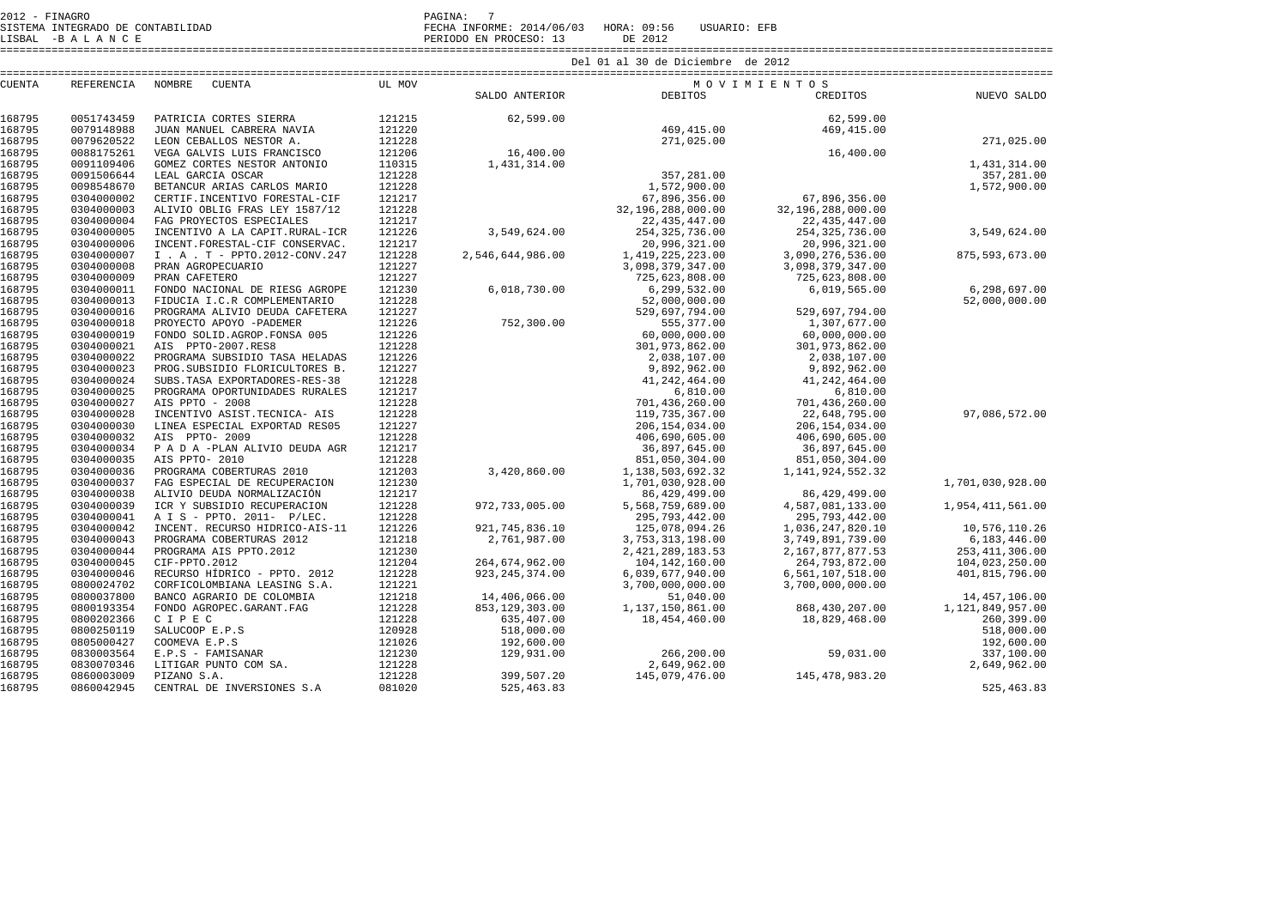| SISTEMA INTEGRADO DE CONTABILIDAD<br>LISBAL -BALANCE |            |                                 | FECHA INFORME: 2014/06/03 HORA: 09:56<br>PERIODO EN PROCESO: 13 | USUARIO: EFB<br>DE 2012 |                   |                      |                  |  |  |
|------------------------------------------------------|------------|---------------------------------|-----------------------------------------------------------------|-------------------------|-------------------|----------------------|------------------|--|--|
|                                                      |            |                                 | Del 01 al 30 de Diciembre de 2012                               |                         |                   |                      |                  |  |  |
| <b>CUENTA</b>                                        | REFERENCIA | NOMBRE<br><b>CUENTA</b>         | UL MOV                                                          | MOVIMIENTOS             |                   |                      |                  |  |  |
|                                                      |            |                                 |                                                                 | SALDO ANTERIOR          | DEBITOS           | CREDITOS             | NUEVO SALDO      |  |  |
| 168795                                               | 0051743459 | PATRICIA CORTES SIERRA          | 121215                                                          | 62,599.00               |                   | 62,599.00            |                  |  |  |
| 168795                                               | 0079148988 | JUAN MANUEL CABRERA NAVIA       | 121220                                                          |                         | 469, 415.00       | 469, 415.00          |                  |  |  |
| 168795                                               | 0079620522 | LEON CEBALLOS NESTOR A.         | 121228                                                          |                         | 271,025.00        |                      | 271,025.00       |  |  |
| 168795                                               | 0088175261 | VEGA GALVIS LUIS FRANCISCO      | 121206                                                          | 16,400.00               |                   | 16,400.00            |                  |  |  |
| 168795                                               | 0091109406 | GOMEZ CORTES NESTOR ANTONIO     | 110315                                                          | 1,431,314.00            |                   |                      | 1,431,314.00     |  |  |
| 168795                                               | 0091506644 | LEAL GARCIA OSCAR               | 121228                                                          |                         | 357,281.00        |                      | 357,281.00       |  |  |
| 168795                                               | 0098548670 | BETANCUR ARIAS CARLOS MARIO     | 121228                                                          |                         | 1,572,900.00      |                      | 1,572,900.00     |  |  |
| 168795                                               | 0304000002 | CERTIF. INCENTIVO FORESTAL-CIF  | 121217                                                          |                         | 67,896,356.00     | 67,896,356.00        |                  |  |  |
| 168795                                               | 0304000003 | ALIVIO OBLIG FRAS LEY 1587/12   | 121228                                                          |                         | 32,196,288,000.00 | 32,196,288,000.00    |                  |  |  |
| 168795                                               | 0304000004 | FAG PROYECTOS ESPECIALES        | 121217                                                          |                         | 22, 435, 447.00   | 22, 435, 447.00      |                  |  |  |
| 168795                                               | 0304000005 | INCENTIVO A LA CAPIT.RURAL-ICR  | 121226                                                          | 3,549,624.00            | 254, 325, 736.00  | 254, 325, 736.00     | 3,549,624.00     |  |  |
| 168795                                               | 0304000006 | INCENT.FORESTAL-CIF CONSERVAC.  | 121217                                                          |                         | 20,996,321.00     | 20,996,321.00        |                  |  |  |
| 168795                                               | 0304000007 | I . A . T - PPTO.2012-CONV.247  | 121228                                                          | 2,546,644,986.00        | 1,419,225,223.00  | 3,090,276,536.00     | 875, 593, 673.00 |  |  |
| 168795                                               | 0304000008 | PRAN AGROPECUARIO               | 121227                                                          |                         | 3,098,379,347.00  | 3,098,379,347.00     |                  |  |  |
| 168795                                               | 0304000009 | PRAN CAFETERO                   | 121227                                                          |                         | 725,623,808.00    | 725,623,808.00       |                  |  |  |
| 168795                                               | 0304000011 | FONDO NACIONAL DE RIESG AGROPE  | 121230                                                          | 6,018,730.00            | 6,299,532.00      | 6,019,565.00         | 6,298,697.00     |  |  |
| 168795                                               | 0304000013 | FIDUCIA I.C.R COMPLEMENTARIO    | 121228                                                          |                         | 52,000,000.00     |                      | 52,000,000.00    |  |  |
| 168795                                               | 0304000016 | PROGRAMA ALIVIO DEUDA CAFETERA  | 121227                                                          |                         | 529,697,794.00    | 529,697,794.00       |                  |  |  |
| 168795                                               | 0304000018 | PROYECTO APOYO -PADEMER         | 121226                                                          | 752,300.00              | 555,377.00        | 1,307,677.00         |                  |  |  |
| 168795                                               | 0304000019 | FONDO SOLID.AGROP.FONSA 005     | 121226                                                          |                         | 60,000,000.00     | 60,000,000.00        |                  |  |  |
| 168795                                               | 0304000021 | AIS PPTO-2007.RES8              | 121228                                                          |                         | 301,973,862.00    | 301,973,862.00       |                  |  |  |
| 168795                                               | 0304000022 | PROGRAMA SUBSIDIO TASA HELADAS  | 121226                                                          |                         | 2,038,107.00      | 2,038,107.00         |                  |  |  |
| 168795                                               | 0304000023 | PROG. SUBSIDIO FLORICULTORES B. | 121227                                                          |                         | 9,892,962.00      | 9,892,962.00         |                  |  |  |
| 168795                                               | 0304000024 | SUBS. TASA EXPORTADORES-RES-38  | 121228                                                          |                         | 41,242,464.00     | 41,242,464.00        |                  |  |  |
| 168795                                               | 0304000025 | PROGRAMA OPORTUNIDADES RURALES  | 121217                                                          |                         | 6,810.00          | 6,810.00             |                  |  |  |
| 168795                                               | 0304000027 | AIS PPTO - 2008                 | 121228                                                          |                         | 701,436,260.00    | 701,436,260.00       |                  |  |  |
| 168795                                               | 0304000028 | INCENTIVO ASIST. TECNICA- AIS   | 121228                                                          |                         | 119,735,367.00    | 22,648,795.00        | 97,086,572.00    |  |  |
| 168795                                               | 0304000030 | LINEA ESPECIAL EXPORTAD RES05   | 121227                                                          |                         | 206, 154, 034.00  | 206, 154, 034.00     |                  |  |  |
| 168795                                               | 0304000032 | AIS PPTO- 2009                  | 121228                                                          |                         | 406,690,605.00    | 406,690,605.00       |                  |  |  |
| 168795                                               | 0304000034 | P A D A -PLAN ALIVIO DEUDA AGR  | 121217                                                          |                         | 36,897,645.00     | 36,897,645.00        |                  |  |  |
| 168795                                               | 0304000035 | AIS PPTO- 2010                  | 121228                                                          |                         | 851,050,304.00    | 851,050,304.00       |                  |  |  |
| 168795                                               | 0304000036 | PROGRAMA COBERTURAS 2010        | 121203                                                          | 3,420,860.00            | 1,138,503,692.32  | 1, 141, 924, 552. 32 |                  |  |  |
| 168795                                               | 0304000037 | FAG ESPECIAL DE RECUPERACION    | 121230                                                          |                         | 1,701,030,928.00  |                      | 1,701,030,928.00 |  |  |
| 168795                                               | 0304000038 | ALIVIO DEUDA NORMALIZACIÓN      | 121217                                                          |                         | 86,429,499.00     | 86,429,499.00        |                  |  |  |
| 168795                                               | 0304000039 | ICR Y SUBSIDIO RECUPERACION     | 121228                                                          | 972,733,005.00          | 5,568,759,689.00  | 4,587,081,133.00     | 1,954,411,561.00 |  |  |

168795 0304000039 ICR Y SUBSIDIO RECUPERACION 121228 972,733,005.00 5,568,759,689.00 4,587,081,133.00 1,954,411,561.00

168795 0304000045 CIF-PPTO.2012 121204 264,674,962.00 104,142,160.00 264,793,872.00 104,023,250.00

168795 0800037800 BANCO AGRARIO DE COLOMBIA 121218 14,406,066.00 51,040.00 14,457,106.00

168795 0800202366 C I P E C 121228 635,407.00 18,454,460.00 18,829,468.00 260,399.00

168795 0800250119 SALUCOOP E.P.S 120928 518,000.00 518,000.00

168795 0805000427 COOMEVA E.P.S 121026 192,600.00 192,600.00

168795 0830003564 E.P.S - FAMISANAR 121230 129,931.00 266,200.00 59,031.00 337,100.00

168795 0860042945 CENTRAL DE INVERSIONES S.A 081020 525,463.83 525,463.83

168795 0304000042 INCENT. RECURSO HIDRICO-AIS-11 121226 921,745,836.10 125,078,094.26 1,036,247,820.10 10,576,110.26

168795 0304000041 A I S - PPTO. 2011- P/LEC. 121228 295,793,442.00 295,793,442.00

168795 0830070346 LITIGAR PUNTO COM SA. 121228 2,649,962.00 2,649,962.00

168795 0304000043 PROGRAMA COBERTURAS 2012 121218 2,761,987.00 3,753,313,198.00 3,749,891,739.00 6,183,446.00

168795 0304000044 PROGRAMA AIS PPTO.2012 121230 2,421,289,183.53 2,167,877,877.53

168795 0304000046 RECURSO HÍDRICO - PPTO. 2012 121228 923,245,374.00 6,039,677,940.00 6,561,107,518.00 401,815,796.00 168795 0800024702 CORFICOLOMBIANA LEASING S.A. 121221 3,700,000,000.00 3,700,000,000.00

168795 0800193354 FONDO AGROPEC.GARANT.FAG 121228 853,129,303.00 1,137,150,861.00 868,430,207.00<br>168795 0800202366 C T P R C 121228 635.407.00 18.454.460.00 18.829.46

168795 0860003009 PIZANO S.A. 121228 399,507.20 145,079,476.00 145,478,983.20

1,036,247,820.10

6,183,446.00

253, 411, 306.00

104,023,250.00

401,815,796.00

260.399.00

518,000.00

192,600.00

337,100.00

2,649,962.00

1,121,849,957.00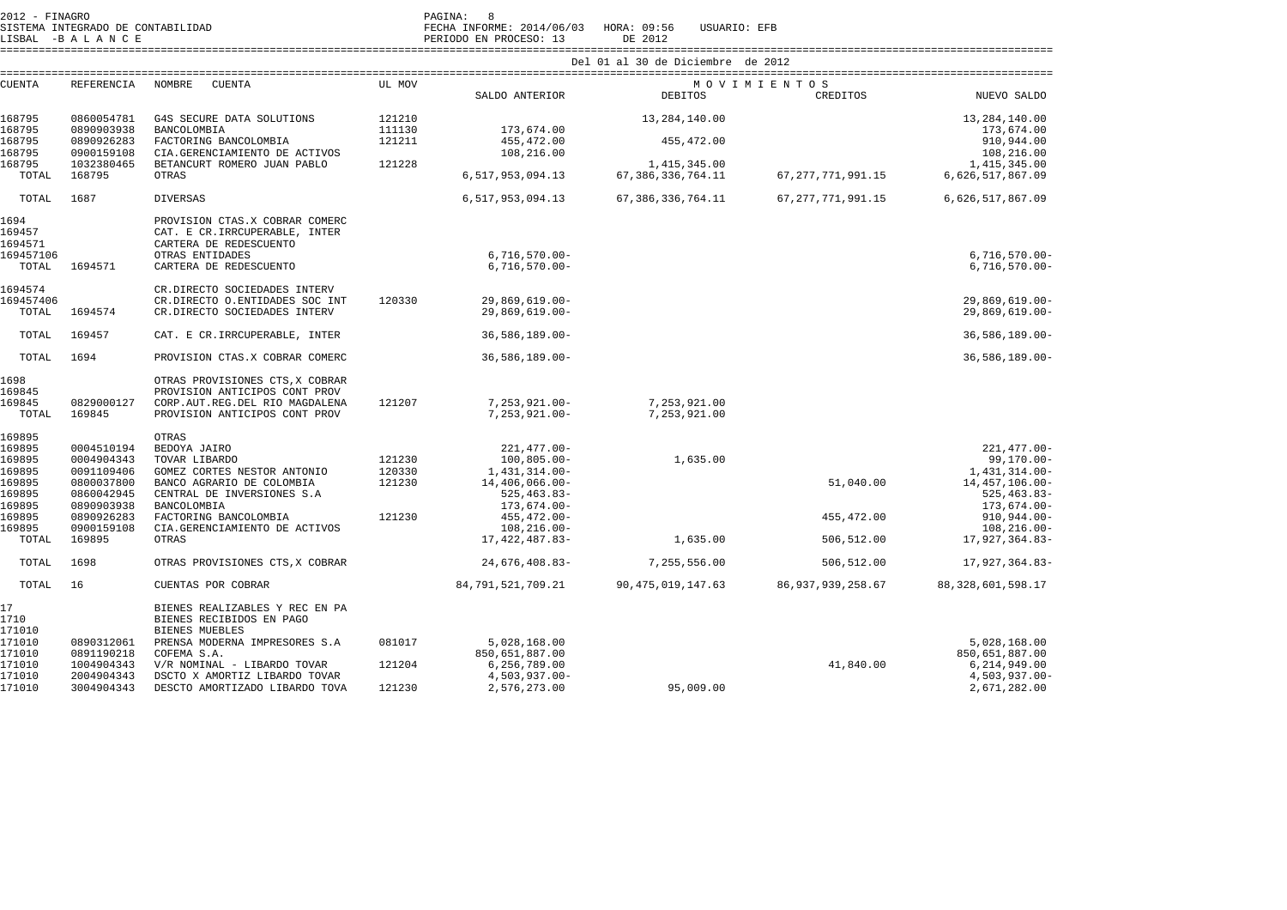|                                                                                                 | 2012 - FINAGRO<br>SISTEMA INTEGRADO DE CONTABILIDAD<br>LISBAL -BALANCE                                                 |                                                                                                                                                                                                                                       |                                      | PAGINA:<br>$_{\rm 8}$<br>FECHA INFORME: 2014/06/03<br>PERIODO EN PROCESO: 13                                                                                         | HORA: 09:56<br>USUARIO: EFB<br>DE 2012                               |                                        |                                                                                                                                                                  |  |  |  |
|-------------------------------------------------------------------------------------------------|------------------------------------------------------------------------------------------------------------------------|---------------------------------------------------------------------------------------------------------------------------------------------------------------------------------------------------------------------------------------|--------------------------------------|----------------------------------------------------------------------------------------------------------------------------------------------------------------------|----------------------------------------------------------------------|----------------------------------------|------------------------------------------------------------------------------------------------------------------------------------------------------------------|--|--|--|
|                                                                                                 |                                                                                                                        |                                                                                                                                                                                                                                       | Del 01 al 30 de Diciembre de 2012    |                                                                                                                                                                      |                                                                      |                                        |                                                                                                                                                                  |  |  |  |
| <b>CUENTA</b>                                                                                   | REFERENCIA                                                                                                             | <b>CUENTA</b><br>NOMBRE                                                                                                                                                                                                               | UL MOV                               | SALDO ANTERIOR                                                                                                                                                       | DEBITOS                                                              | MOVIMIENTOS<br>CREDITOS                | NUEVO SALDO                                                                                                                                                      |  |  |  |
| 168795<br>168795<br>168795<br>168795<br>168795<br>TOTAL                                         | 0860054781<br>0890903938<br>0890926283<br>0900159108<br>1032380465<br>168795                                           | G4S SECURE DATA SOLUTIONS<br>BANCOLOMBIA<br>FACTORING BANCOLOMBIA<br>CIA.GERENCIAMIENTO DE ACTIVOS<br>BETANCURT ROMERO JUAN PABLO<br>OTRAS                                                                                            | 121210<br>111130<br>121211<br>121228 | 173,674.00<br>455, 472.00<br>108,216.00<br>6,517,953,094.13                                                                                                          | 13,284,140.00<br>455, 472.00<br>1,415,345.00<br>67, 386, 336, 764.11 | 67, 277, 771, 991.15                   | 13,284,140.00<br>173,674.00<br>910,944.00<br>108,216.00<br>1,415,345.00<br>6,626,517,867.09                                                                      |  |  |  |
| TOTAL                                                                                           | 1687                                                                                                                   | <b>DIVERSAS</b>                                                                                                                                                                                                                       |                                      | 6,517,953,094.13                                                                                                                                                     | 67, 386, 336, 764.11                                                 | 67, 277, 771, 991.15                   | 6,626,517,867.09                                                                                                                                                 |  |  |  |
| 1694<br>169457<br>1694571<br>169457106<br>TOTAL                                                 | 1694571                                                                                                                | PROVISION CTAS.X COBRAR COMERC<br>CAT. E CR. IRRCUPERABLE, INTER<br>CARTERA DE REDESCUENTO<br>OTRAS ENTIDADES<br>CARTERA DE REDESCUENTO                                                                                               |                                      | $6,716,570.00 -$<br>$6,716,570.00 -$                                                                                                                                 |                                                                      |                                        | $6,716,570.00 -$<br>$6,716,570.00 -$                                                                                                                             |  |  |  |
| 1694574<br>169457406<br>TOTAL                                                                   | 1694574                                                                                                                | CR.DIRECTO SOCIEDADES INTERV<br>CR.DIRECTO O.ENTIDADES SOC INT<br>CR.DIRECTO SOCIEDADES INTERV                                                                                                                                        | 120330                               | $29,869,619.00 -$<br>$29,869,619.00 -$                                                                                                                               |                                                                      |                                        | $29,869,619.00 -$<br>29,869,619.00-                                                                                                                              |  |  |  |
| TOTAL                                                                                           | 169457                                                                                                                 | CAT. E CR. IRRCUPERABLE, INTER                                                                                                                                                                                                        |                                      | $36,586,189.00 -$                                                                                                                                                    |                                                                      |                                        | $36,586,189.00 -$                                                                                                                                                |  |  |  |
| TOTAL                                                                                           | 1694                                                                                                                   | PROVISION CTAS.X COBRAR COMERC                                                                                                                                                                                                        |                                      | $36,586,189.00 -$                                                                                                                                                    |                                                                      |                                        | 36,586,189.00-                                                                                                                                                   |  |  |  |
| 1698<br>169845<br>169845<br>TOTAL                                                               | 0829000127<br>169845                                                                                                   | OTRAS PROVISIONES CTS, X COBRAR<br>PROVISION ANTICIPOS CONT PROV<br>CORP.AUT.REG.DEL RIO MAGDALENA<br>PROVISION ANTICIPOS CONT PROV                                                                                                   | 121207                               | $7, 253, 921.00 -$<br>$7, 253, 921.00 -$                                                                                                                             | 7,253,921.00<br>7,253,921.00                                         |                                        |                                                                                                                                                                  |  |  |  |
| 169895<br>169895<br>169895<br>169895<br>169895<br>169895<br>169895<br>169895<br>169895<br>TOTAL | 0004510194<br>0004904343<br>0091109406<br>0800037800<br>0860042945<br>0890903938<br>0890926283<br>0900159108<br>169895 | OTRAS<br>BEDOYA JAIRO<br>TOVAR LIBARDO<br>GOMEZ CORTES NESTOR ANTONIO<br>BANCO AGRARIO DE COLOMBIA<br>CENTRAL DE INVERSIONES S.A<br>BANCOLOMBIA<br>FACTORING BANCOLOMBIA<br>CIA.GERENCIAMIENTO DE ACTIVOS<br>OTRAS                    | 121230<br>120330<br>121230<br>121230 | $221, 477.00 -$<br>$100, 805.00 -$<br>1,431,314.00-<br>$14,406,066.00 -$<br>$525, 463.83 -$<br>173,674.00-<br>$455, 472.00 -$<br>$108, 216.00 -$<br>17, 422, 487.83- | 1,635.00<br>1,635.00                                                 | 51,040.00<br>455, 472.00<br>506,512.00 | $221,477.00 -$<br>$99, 170.00 -$<br>1,431,314.00-<br>14,457,106.00-<br>$525, 463.83 -$<br>$173,674.00 -$<br>$910, 944.00 -$<br>$108, 216.00 -$<br>17,927,364.83- |  |  |  |
| TOTAL                                                                                           | 1698                                                                                                                   | OTRAS PROVISIONES CTS, X COBRAR                                                                                                                                                                                                       |                                      | 24,676,408.83-                                                                                                                                                       | 7,255,556.00                                                         | 506,512.00                             | 17,927,364.83-                                                                                                                                                   |  |  |  |
| TOTAL                                                                                           | 16                                                                                                                     | CUENTAS POR COBRAR                                                                                                                                                                                                                    |                                      | 84,791,521,709.21                                                                                                                                                    | 90, 475, 019, 147.63                                                 | 86, 937, 939, 258.67                   | 88, 328, 601, 598.17                                                                                                                                             |  |  |  |
| 17<br>1710<br>171010<br>171010<br>171010<br>171010<br>171010<br>171010                          | 0890312061<br>0891190218<br>1004904343<br>2004904343<br>3004904343                                                     | BIENES REALIZABLES Y REC EN PA<br>BIENES RECIBIDOS EN PAGO<br><b>BIENES MUEBLES</b><br>PRENSA MODERNA IMPRESORES S.A<br>COFEMA S.A.<br>V/R NOMINAL - LIBARDO TOVAR<br>DSCTO X AMORTIZ LIBARDO TOVAR<br>DESCTO AMORTIZADO LIBARDO TOVA | 081017<br>121204<br>121230           | 5,028,168.00<br>850,651,887.00<br>6,256,789.00<br>$4,503,937.00 -$<br>2,576,273.00                                                                                   | 95,009.00                                                            | 41,840.00                              | 5,028,168.00<br>850,651,887.00<br>6, 214, 949.00<br>$4,503,937.00 -$<br>2,671,282.00                                                                             |  |  |  |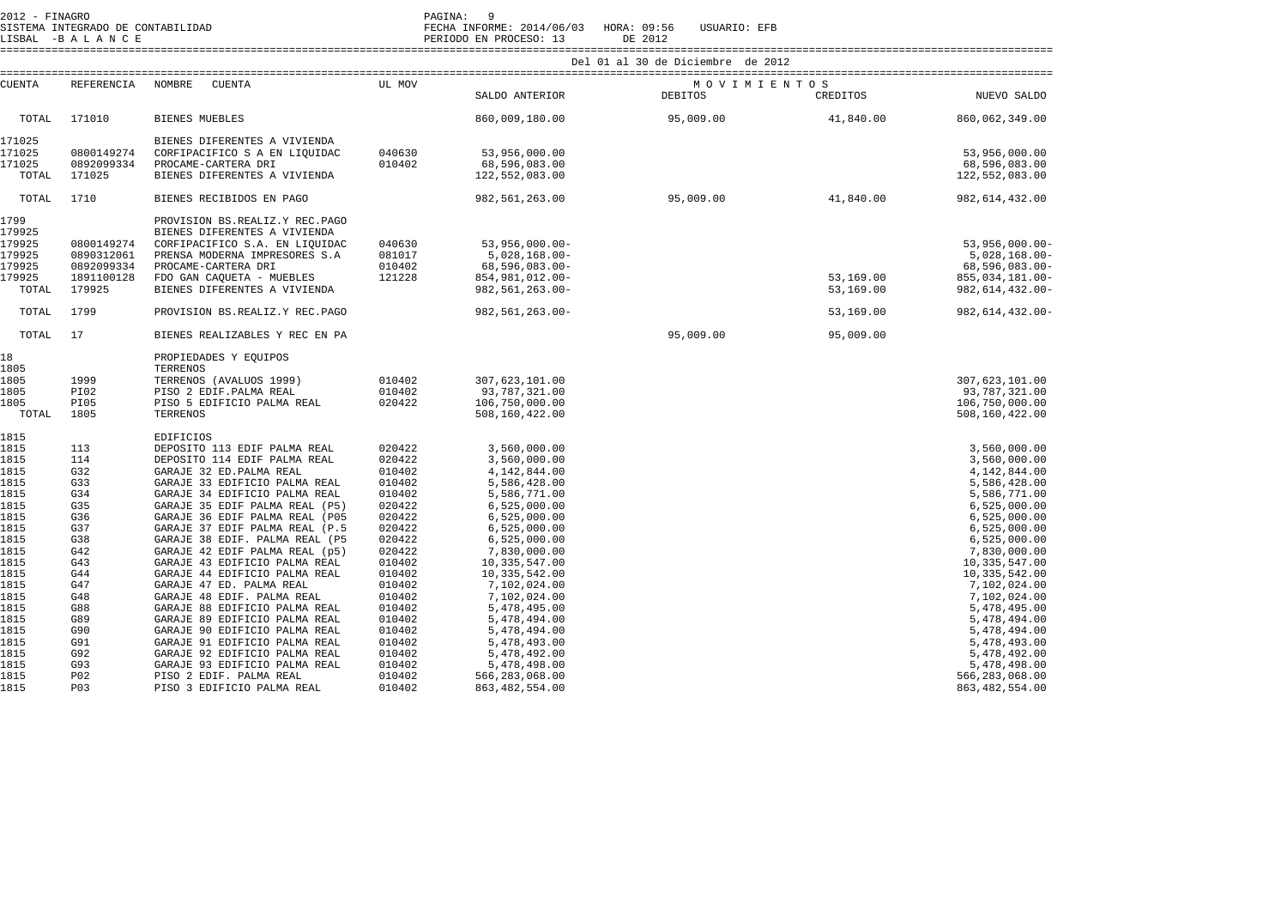| 2012 - FINAGRO                                                                                                                                                                       |                                                                                                                                                        |                                                                                                                                                                                                                                                                                                                                                                                                                                                                                                                                                                                                                                                                                                                                                     |                                                                                                                                                                                                                          | PAGINA: 9                                                                                                                                                                                                                                                                                                                                                                |                                   |                        |                                                                                                                                                                                                                                                                                                                                                                        |
|--------------------------------------------------------------------------------------------------------------------------------------------------------------------------------------|--------------------------------------------------------------------------------------------------------------------------------------------------------|-----------------------------------------------------------------------------------------------------------------------------------------------------------------------------------------------------------------------------------------------------------------------------------------------------------------------------------------------------------------------------------------------------------------------------------------------------------------------------------------------------------------------------------------------------------------------------------------------------------------------------------------------------------------------------------------------------------------------------------------------------|--------------------------------------------------------------------------------------------------------------------------------------------------------------------------------------------------------------------------|--------------------------------------------------------------------------------------------------------------------------------------------------------------------------------------------------------------------------------------------------------------------------------------------------------------------------------------------------------------------------|-----------------------------------|------------------------|------------------------------------------------------------------------------------------------------------------------------------------------------------------------------------------------------------------------------------------------------------------------------------------------------------------------------------------------------------------------|
|                                                                                                                                                                                      |                                                                                                                                                        |                                                                                                                                                                                                                                                                                                                                                                                                                                                                                                                                                                                                                                                                                                                                                     |                                                                                                                                                                                                                          |                                                                                                                                                                                                                                                                                                                                                                          | Del 01 al 30 de Diciembre de 2012 |                        |                                                                                                                                                                                                                                                                                                                                                                        |
| <b>CUENTA</b>                                                                                                                                                                        |                                                                                                                                                        | REFERENCIA NOMBRE CUENTA                                                                                                                                                                                                                                                                                                                                                                                                                                                                                                                                                                                                                                                                                                                            | UL MOV                                                                                                                                                                                                                   | SALDO ANTERIOR                                                                                                                                                                                                                                                                                                                                                           | MOVIMIENTOS<br>DEBITOS            | <b>CREDITOS</b>        | NUEVO SALDO                                                                                                                                                                                                                                                                                                                                                            |
| TOTAL                                                                                                                                                                                | 171010                                                                                                                                                 | <b>BIENES MUEBLES</b>                                                                                                                                                                                                                                                                                                                                                                                                                                                                                                                                                                                                                                                                                                                               |                                                                                                                                                                                                                          | 860,009,180.00                                                                                                                                                                                                                                                                                                                                                           | 95,009.00                         | 41,840.00              | 860,062,349.00                                                                                                                                                                                                                                                                                                                                                         |
| 171025<br>171025<br>171025<br>TOTAL                                                                                                                                                  | 0800149274<br>0892099334<br>171025                                                                                                                     | BIENES DIFERENTES A VIVIENDA<br>CORFIPACIFICO S A EN LIQUIDAC<br>PROCAME-CARTERA DRI<br>BIENES DIFERENTES A VIVIENDA                                                                                                                                                                                                                                                                                                                                                                                                                                                                                                                                                                                                                                | 040630<br>010402                                                                                                                                                                                                         | 53,956,000.00<br>68,596,083.00<br>122,552,083.00                                                                                                                                                                                                                                                                                                                         |                                   |                        | 53,956,000.00<br>68,596,083.00<br>122,552,083.00                                                                                                                                                                                                                                                                                                                       |
| TOTAL                                                                                                                                                                                | 1710                                                                                                                                                   | BIENES RECIBIDOS EN PAGO                                                                                                                                                                                                                                                                                                                                                                                                                                                                                                                                                                                                                                                                                                                            |                                                                                                                                                                                                                          | 982,561,263.00                                                                                                                                                                                                                                                                                                                                                           | 95,009.00                         | 41,840.00              | 982, 614, 432.00                                                                                                                                                                                                                                                                                                                                                       |
| 1799<br>179925<br>179925<br>179925<br>179925<br>179925<br>TOTAL                                                                                                                      | 0800149274<br>0890312061<br>0892099334<br>1891100128<br>179925                                                                                         | PROVISION BS.REALIZ.Y REC.PAGO<br>BIENES DIFERENTES A VIVIENDA<br>CORFIPACIFICO S.A. EN LIQUIDAC<br>PRENSA MODERNA IMPRESORES S.A<br>PROCAME-CARTERA DRI<br>FDO GAN CAQUETA - MUEBLES<br>BIENES DIFERENTES A VIVIENDA                                                                                                                                                                                                                                                                                                                                                                                                                                                                                                                               | 040630<br>081017<br>010402<br>121228                                                                                                                                                                                     | $53,956,000.00 -$<br>5,028,168.00-<br>68,596,083.00-<br>854,981,012.00-<br>982,561,263.00-                                                                                                                                                                                                                                                                               |                                   | 53,169.00<br>53,169.00 | $53,956,000.00 -$<br>$5,028,168.00 -$<br>68,596,083.00-<br>855,034,181.00-<br>982, 614, 432.00-                                                                                                                                                                                                                                                                        |
| TOTAL                                                                                                                                                                                | 1799                                                                                                                                                   | PROVISION BS.REALIZ.Y REC.PAGO                                                                                                                                                                                                                                                                                                                                                                                                                                                                                                                                                                                                                                                                                                                      |                                                                                                                                                                                                                          | 982,561,263.00-                                                                                                                                                                                                                                                                                                                                                          |                                   | 53,169.00              | 982, 614, 432.00-                                                                                                                                                                                                                                                                                                                                                      |
| TOTAL                                                                                                                                                                                | 17                                                                                                                                                     | BIENES REALIZABLES Y REC EN PA                                                                                                                                                                                                                                                                                                                                                                                                                                                                                                                                                                                                                                                                                                                      |                                                                                                                                                                                                                          |                                                                                                                                                                                                                                                                                                                                                                          | 95,009.00                         | 95,009.00              |                                                                                                                                                                                                                                                                                                                                                                        |
| 18<br>1805<br>1805<br>1805<br>1805<br>TOTAL                                                                                                                                          | 1999<br>PI02<br>PI05<br>1805                                                                                                                           | PROPIEDADES Y EQUIPOS<br>TERRENOS<br>TERRENOS (AVALUOS 1999)<br>PISO 2 EDIF. PALMA REAL<br>PISO 5 EDIFICIO PALMA REAL<br>TERRENOS                                                                                                                                                                                                                                                                                                                                                                                                                                                                                                                                                                                                                   | 010402<br>010402<br>020422                                                                                                                                                                                               | 307,623,101.00<br>93,787,321.00<br>106,750,000.00<br>508,160,422.00                                                                                                                                                                                                                                                                                                      |                                   |                        | 307,623,101.00<br>93,787,321.00<br>106,750,000.00<br>508,160,422.00                                                                                                                                                                                                                                                                                                    |
| 1815<br>1815<br>1815<br>1815<br>1815<br>1815<br>1815<br>1815<br>1815<br>1815<br>1815<br>1815<br>1815<br>1815<br>1815<br>1815<br>1815<br>1815<br>1815<br>1815<br>1815<br>1815<br>1815 | 113<br>114<br>G32<br>G33<br>G34<br>G35<br>G36<br>G37<br>G38<br>G42<br>G43<br>G44<br>G47<br>G48<br>G88<br>G89<br>G90<br>G91<br>G92<br>G93<br>P02<br>P03 | <b>EDIFICIOS</b><br>DEPOSITO 113 EDIF PALMA REAL<br>DEPOSITO 114 EDIF PALMA REAL<br>GARAJE 32 ED. PALMA REAL<br>GARAJE 33 EDIFICIO PALMA REAL<br>GARAJE 34 EDIFICIO PALMA REAL<br>GARAJE 35 EDIF PALMA REAL (P5)<br>GARAJE 36 EDIF PALMA REAL (P05<br>GARAJE 37 EDIF PALMA REAL (P.5<br>GARAJE 38 EDIF. PALMA REAL (P5<br>GARAJE 42 EDIF PALMA REAL (p5)<br>GARAJE 43 EDIFICIO PALMA REAL<br>GARAJE 44 EDIFICIO PALMA REAL<br>GARAJE 47 ED. PALMA REAL<br>GARAJE 48 EDIF. PALMA REAL<br>GARAJE 88 EDIFICIO PALMA REAL<br>GARAJE 89 EDIFICIO PALMA REAL<br>GARAJE 90 EDIFICIO PALMA REAL<br>GARAJE 91 EDIFICIO PALMA REAL<br>GARAJE 92 EDIFICIO PALMA REAL<br>GARAJE 93 EDIFICIO PALMA REAL<br>PISO 2 EDIF. PALMA REAL<br>PISO 3 EDIFICIO PALMA REAL | 020422<br>020422<br>010402<br>010402<br>010402<br>020422<br>020422<br>020422<br>020422<br>020422<br>010402<br>010402<br>010402<br>010402<br>010402<br>010402<br>010402<br>010402<br>010402<br>010402<br>010402<br>010402 | 3,560,000.00<br>3,560,000.00<br>4,142,844.00<br>5,586,428.00<br>5,586,771.00<br>6,525,000.00<br>6,525,000.00<br>6,525,000.00<br>6,525,000.00<br>7,830,000.00<br>10, 335, 547.00<br>10, 335, 542.00<br>7,102,024.00<br>7,102,024.00<br>5,478,495.00<br>5,478,494.00<br>5,478,494.00<br>5,478,493.00<br>5,478,492.00<br>5,478,498.00<br>566,283,068.00<br>863, 482, 554.00 |                                   |                        | 3,560,000.00<br>3,560,000.00<br>4,142,844.00<br>5,586,428.00<br>5,586,771.00<br>6,525,000.00<br>6,525,000.00<br>6,525,000.00<br>6,525,000.00<br>7,830,000.00<br>10,335,547.00<br>10, 335, 542.00<br>7,102,024.00<br>7,102,024.00<br>5,478,495.00<br>5,478,494.00<br>5,478,494.00<br>5,478,493.00<br>5,478,492.00<br>5,478,498.00<br>566,283,068.00<br>863, 482, 554.00 |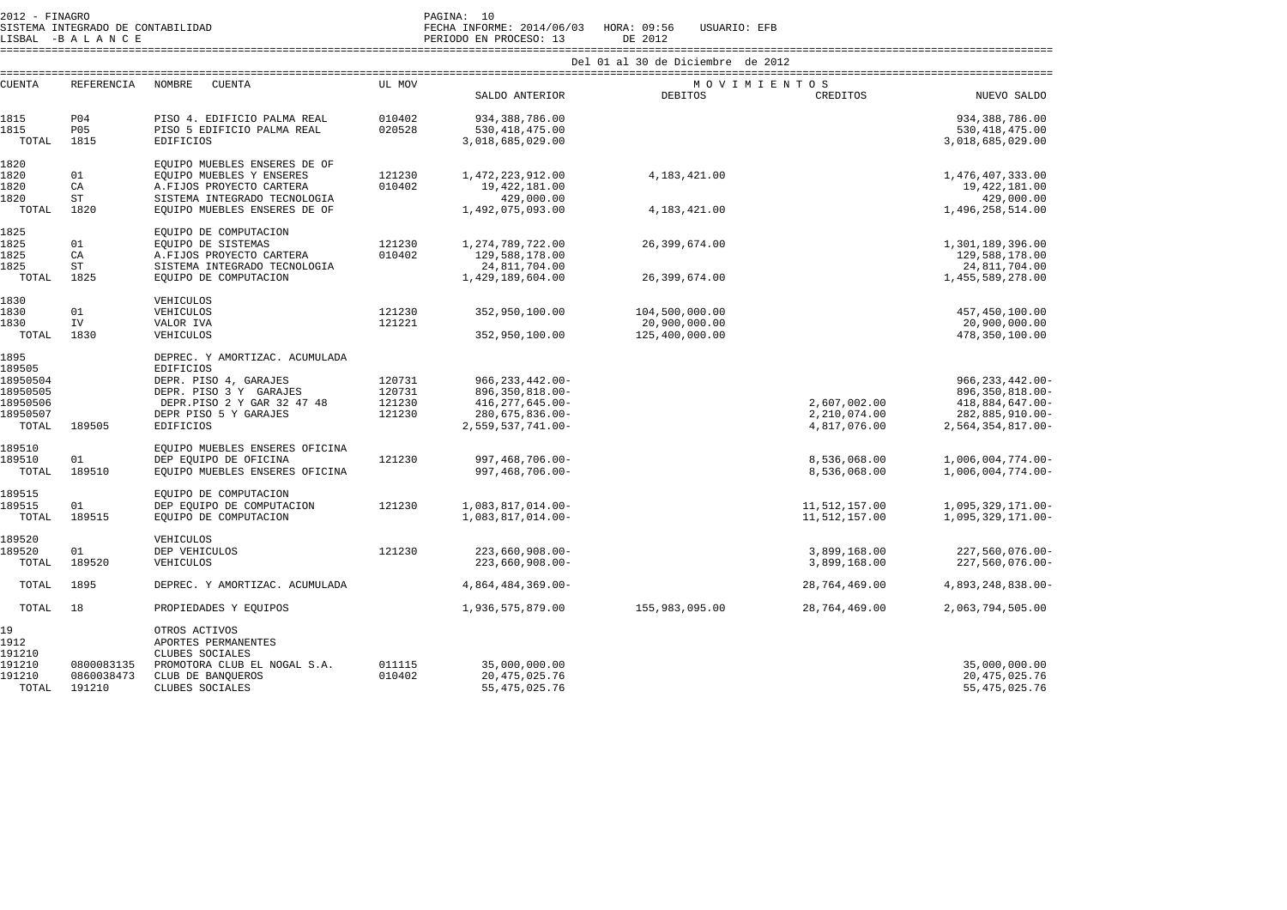| 2012 - FINAGRO<br>SISTEMA INTEGRADO DE CONTABILIDAD<br>LISBAL -BALANCE |                      |                                                                                         |                                   | PAGINA: 10<br>FECHA INFORME: 2014/06/03 HORA: 09:56<br>PERIODO EN PROCESO: 13 | USUARIO: EFB<br>DE 2012         |                                |                                        |  |  |  |
|------------------------------------------------------------------------|----------------------|-----------------------------------------------------------------------------------------|-----------------------------------|-------------------------------------------------------------------------------|---------------------------------|--------------------------------|----------------------------------------|--|--|--|
|                                                                        |                      |                                                                                         | Del 01 al 30 de Diciembre de 2012 |                                                                               |                                 |                                |                                        |  |  |  |
| <b>CUENTA</b>                                                          | REFERENCIA           | NOMBRE<br>CUENTA                                                                        | UL MOV                            | SALDO ANTERIOR                                                                | MOVIMIENTOS<br><b>DEBITOS</b>   | CREDITOS                       | NUEVO SALDO                            |  |  |  |
| 1815                                                                   | P04                  | PISO 4. EDIFICIO PALMA REAL                                                             | 010402                            | 934, 388, 786.00                                                              |                                 |                                | 934,388,786.00                         |  |  |  |
| 1815<br>TOTAL                                                          | <b>P05</b><br>1815   | PISO 5 EDIFICIO PALMA REAL<br><b>EDIFICIOS</b>                                          | 020528                            | 530, 418, 475.00<br>3,018,685,029.00                                          |                                 |                                | 530, 418, 475.00<br>3,018,685,029.00   |  |  |  |
| 1820                                                                   |                      | EQUIPO MUEBLES ENSERES DE OF                                                            |                                   |                                                                               |                                 |                                |                                        |  |  |  |
| 1820<br>1820                                                           | 01<br>CA             | EQUIPO MUEBLES Y ENSERES<br>A.FIJOS PROYECTO CARTERA                                    | 121230<br>010402                  | 1,472,223,912.00<br>19, 422, 181.00                                           | 4, 183, 421.00                  |                                | 1,476,407,333.00<br>19,422,181.00      |  |  |  |
| 1820                                                                   | ST                   | SISTEMA INTEGRADO TECNOLOGIA                                                            |                                   | 429,000.00                                                                    |                                 |                                | 429,000.00                             |  |  |  |
| TOTAL                                                                  | 1820                 | EQUIPO MUEBLES ENSERES DE OF                                                            |                                   | 1,492,075,093.00                                                              | 4,183,421.00                    |                                | 1,496,258,514.00                       |  |  |  |
| 1825                                                                   |                      | EQUIPO DE COMPUTACION                                                                   |                                   |                                                                               |                                 |                                |                                        |  |  |  |
| 1825<br>1825                                                           | 01<br>CA             | EQUIPO DE SISTEMAS<br>A.FIJOS PROYECTO CARTERA                                          | 121230<br>010402                  | 1, 274, 789, 722.00<br>129,588,178.00                                         | 26,399,674.00                   |                                | 1,301,189,396.00<br>129,588,178.00     |  |  |  |
| 1825                                                                   | <b>ST</b>            | SISTEMA INTEGRADO TECNOLOGIA                                                            |                                   | 24,811,704.00                                                                 |                                 |                                | 24,811,704.00                          |  |  |  |
| TOTAL                                                                  | 1825                 | EQUIPO DE COMPUTACION                                                                   |                                   | 1,429,189,604.00                                                              | 26,399,674.00                   |                                | 1,455,589,278.00                       |  |  |  |
| 1830                                                                   |                      | VEHICULOS                                                                               |                                   |                                                                               |                                 |                                |                                        |  |  |  |
| 1830<br>1830                                                           | 01<br>IV             | VEHICULOS<br>VALOR IVA                                                                  | 121230<br>121221                  | 352,950,100.00                                                                | 104,500,000.00                  |                                | 457, 450, 100.00<br>20,900,000.00      |  |  |  |
| TOTAL                                                                  | 1830                 | VEHICULOS                                                                               |                                   | 352,950,100.00                                                                | 20,900,000.00<br>125,400,000.00 |                                | 478, 350, 100.00                       |  |  |  |
| 1895<br>189505<br>18950504                                             |                      | DEPREC. Y AMORTIZAC. ACUMULADA<br><b>EDIFICIOS</b><br>DEPR. PISO 4, GARAJES             | 120731                            | $966, 233, 442.00 -$                                                          |                                 |                                | $966, 233, 442.00 -$                   |  |  |  |
| 18950505                                                               |                      | DEPR. PISO 3 Y GARAJES                                                                  | 120731                            | 896, 350, 818.00-                                                             |                                 |                                | 896, 350, 818.00-                      |  |  |  |
| 18950506<br>18950507                                                   |                      | DEPR.PISO 2 Y GAR 32 47 48<br>DEPR PISO 5 Y GARAJES                                     | 121230<br>121230                  | 416, 277, 645.00-<br>$280, 675, 836.00 -$                                     |                                 | 2,607,002.00<br>2,210,074.00   | 418,884,647.00-<br>282,885,910.00-     |  |  |  |
| TOTAL                                                                  | 189505               | <b>EDIFICIOS</b>                                                                        |                                   | 2,559,537,741.00-                                                             |                                 | 4,817,076.00                   | 2,564,354,817.00-                      |  |  |  |
| 189510<br>189510                                                       | 01                   | EQUIPO MUEBLES ENSERES OFICINA                                                          | 121230                            | 997, 468, 706.00-                                                             |                                 | 8,536,068.00                   |                                        |  |  |  |
| TOTAL                                                                  | 189510               | DEP EQUIPO DE OFICINA<br>EQUIPO MUEBLES ENSERES OFICINA                                 |                                   | 997, 468, 706.00-                                                             |                                 | 8,536,068.00                   | 1,006,004,774.00-<br>1,006,004,774.00- |  |  |  |
| 189515                                                                 |                      | EQUIPO DE COMPUTACION                                                                   |                                   |                                                                               |                                 |                                |                                        |  |  |  |
| 189515<br>TOTAL                                                        | 01<br>189515         | DEP EOUIPO DE COMPUTACION<br>EOUIPO DE COMPUTACION                                      | 121230                            | 1,083,817,014.00-<br>1,083,817,014.00-                                        |                                 | 11,512,157.00<br>11,512,157.00 | 1,095,329,171.00-<br>1,095,329,171.00- |  |  |  |
| 189520                                                                 |                      | VEHICULOS                                                                               |                                   |                                                                               |                                 |                                |                                        |  |  |  |
| 189520<br>TOTAL                                                        | 01<br>189520         | DEP VEHICULOS<br>VEHICULOS                                                              | 121230                            | $223,660,908.00 -$<br>$223,660,908.00 -$                                      |                                 | 3,899,168.00<br>3,899,168.00   | 227,560,076.00-<br>$227,560,076.00 -$  |  |  |  |
| TOTAL                                                                  | 1895                 | DEPREC. Y AMORTIZAC. ACUMULADA                                                          |                                   | 4,864,484,369.00-                                                             |                                 | 28,764,469.00                  | 4,893,248,838.00-                      |  |  |  |
| TOTAL                                                                  | 18                   | PROPIEDADES Y EQUIPOS                                                                   |                                   | 1,936,575,879.00                                                              | 155,983,095.00                  | 28,764,469.00                  | 2,063,794,505.00                       |  |  |  |
| 19<br>1912<br>191210<br>191210                                         | 0800083135           | OTROS ACTIVOS<br>APORTES PERMANENTES<br>CLUBES SOCIALES<br>PROMOTORA CLUB EL NOGAL S.A. | 011115                            | 35,000,000.00                                                                 |                                 |                                | 35,000,000.00                          |  |  |  |
| 191210<br>TOTAL                                                        | 0860038473<br>191210 | CLUB DE BANQUEROS<br>CLUBES SOCIALES                                                    | 010402                            | 20, 475, 025.76<br>55, 475, 025.76                                            |                                 |                                | 20, 475, 025.76<br>55, 475, 025.76     |  |  |  |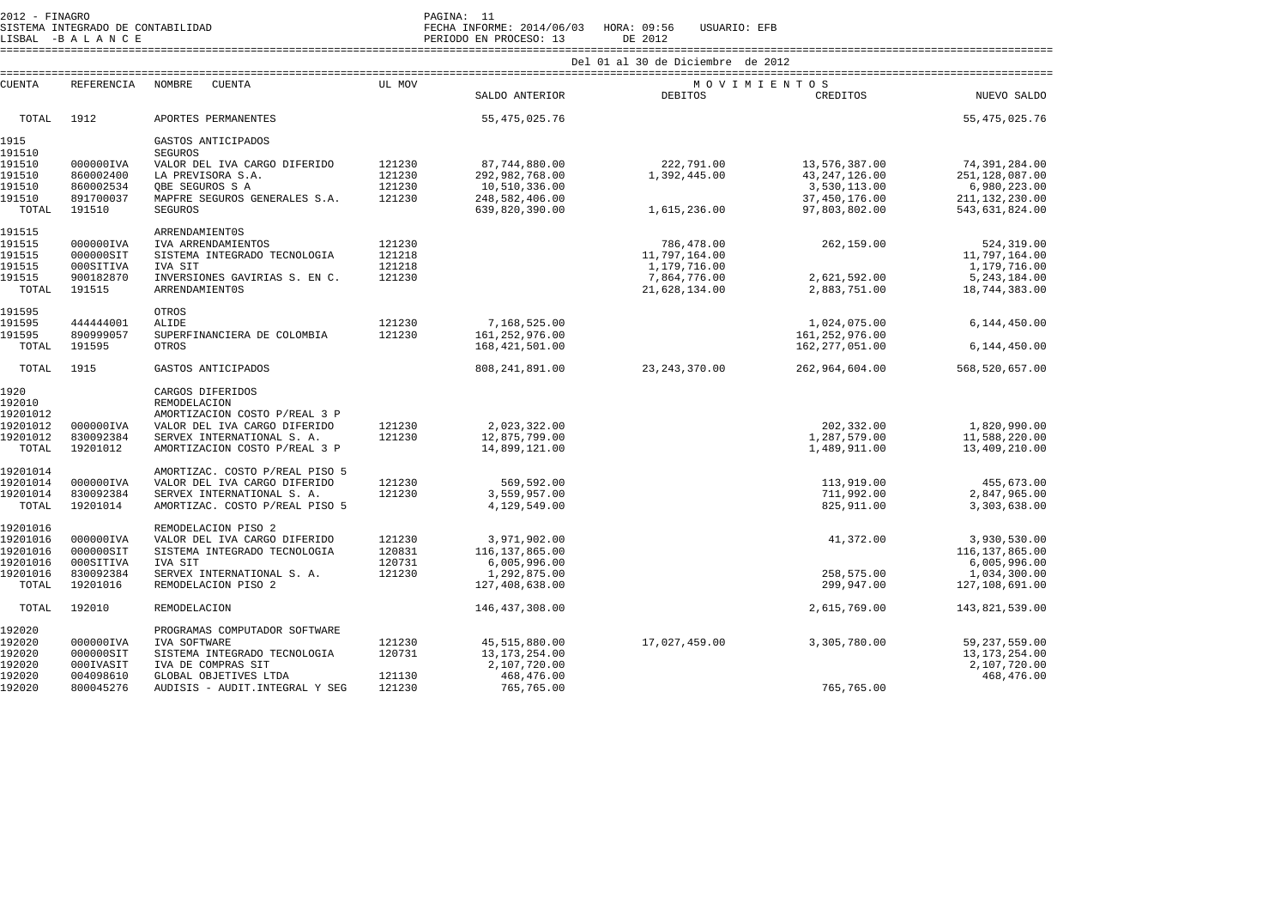| 2012 - FINAGRO    |                        |                                                                                                                                                                  |                  | PAGINA: 11                       |                                   |                                |                                    |
|-------------------|------------------------|------------------------------------------------------------------------------------------------------------------------------------------------------------------|------------------|----------------------------------|-----------------------------------|--------------------------------|------------------------------------|
|                   |                        | 2012 - FINAGRO<br>SISTEMA INFORME: 2014/06/03 HORA: 09:56 USUARIO: EFB<br>LISBAL -B A N C E<br>INSERI OD EN PROCESO: 13 DE 2012<br>INSERIE DE ROCESO: 13 DE 2012 |                  |                                  |                                   |                                |                                    |
|                   |                        |                                                                                                                                                                  |                  |                                  | Del 01 al 30 de Diciembre de 2012 |                                |                                    |
| <b>CUENTA</b>     | REFERENCIA             | NOMBRE<br>CUENTA                                                                                                                                                 | UL MOV           |                                  |                                   | MOVIMIENTOS                    |                                    |
|                   |                        |                                                                                                                                                                  |                  | SALDO ANTERIOR                   | DEBITOS                           | CREDITOS                       | NUEVO SALDO                        |
| TOTAL             | 1912                   | APORTES PERMANENTES                                                                                                                                              |                  | 55, 475, 025.76                  |                                   |                                | 55, 475, 025.76                    |
| 1915              |                        | GASTOS ANTICIPADOS                                                                                                                                               |                  |                                  |                                   |                                |                                    |
| 191510            |                        | <b>SEGUROS</b>                                                                                                                                                   |                  |                                  |                                   |                                |                                    |
| 191510            | 000000IVA              | VALOR DEL IVA CARGO DIFERIDO                                                                                                                                     | 121230           | 87,744,880.00                    | 222,791.00                        | 13,576,387.00                  | 74,391,284.00                      |
| 191510            | 860002400              | LA PREVISORA S.A.                                                                                                                                                | 121230           | 292,982,768.00                   | 1,392,445.00                      | 43, 247, 126.00                | 251, 128, 087.00                   |
| 191510            | 860002534              | OBE SEGUROS S A                                                                                                                                                  | 121230           | 10,510,336.00                    |                                   | 3,530,113.00                   | 6,980,223.00                       |
| 191510<br>TOTAL   | 891700037<br>191510    | MAPFRE SEGUROS GENERALES S.A.<br><b>SEGUROS</b>                                                                                                                  | 121230           | 248,582,406.00<br>639,820,390.00 | 1,615,236.00                      | 37,450,176.00<br>97,803,802.00 | 211, 132, 230.00<br>543,631,824.00 |
|                   |                        |                                                                                                                                                                  |                  |                                  |                                   |                                |                                    |
| 191515<br>191515  | 000000IVA              | <b>ARRENDAMIENT0S</b><br>IVA ARRENDAMIENTOS                                                                                                                      | 121230           |                                  | 786,478.00                        | 262,159.00                     | 524, 319.00                        |
| 191515            | 000000SIT              | SISTEMA INTEGRADO TECNOLOGIA                                                                                                                                     | 121218           |                                  | 11,797,164.00                     |                                | 11,797,164.00                      |
| 191515            | 000SITIVA              | IVA SIT                                                                                                                                                          | 121218           |                                  | 1,179,716.00                      |                                | 1,179,716.00                       |
| 191515            | 900182870              | INVERSIONES GAVIRIAS S. EN C.                                                                                                                                    | 121230           |                                  | 7,864,776.00                      | 2,621,592.00                   | 5, 243, 184.00                     |
| TOTAL             | 191515                 | <b>ARRENDAMIENT0S</b>                                                                                                                                            |                  |                                  | 21,628,134.00                     | 2,883,751.00                   | 18,744,383.00                      |
| 191595            |                        | OTROS                                                                                                                                                            |                  |                                  |                                   |                                |                                    |
| 191595            | 444444001              | ALIDE                                                                                                                                                            | 121230           | 7,168,525.00                     |                                   | 1,024,075.00                   | 6,144,450.00                       |
| 191595            | 890999057              | SUPERFINANCIERA DE COLOMBIA                                                                                                                                      | 121230           | 161, 252, 976.00                 |                                   | 161, 252, 976.00               |                                    |
| TOTAL             | 191595                 | OTROS                                                                                                                                                            |                  | 168, 421, 501.00                 |                                   | 162,277,051.00                 | 6,144,450.00                       |
| TOTAL             | 1915                   | GASTOS ANTICIPADOS                                                                                                                                               |                  | 808, 241, 891.00                 | 23, 243, 370.00                   | 262,964,604.00                 | 568,520,657.00                     |
| 1920              |                        | CARGOS DIFERIDOS                                                                                                                                                 |                  |                                  |                                   |                                |                                    |
| 192010            |                        | REMODELACION                                                                                                                                                     |                  |                                  |                                   |                                |                                    |
| 19201012          |                        | AMORTIZACION COSTO P/REAL 3 P                                                                                                                                    |                  |                                  |                                   |                                |                                    |
| 19201012          | 000000IVA              | VALOR DEL IVA CARGO DIFERIDO                                                                                                                                     | 121230           | 2,023,322.00                     |                                   | 202,332.00                     | 1,820,990.00                       |
| 19201012<br>TOTAL | 830092384<br>19201012  | SERVEX INTERNATIONAL S. A.<br>AMORTIZACION COSTO P/REAL 3 P                                                                                                      | 121230           | 12,875,799.00<br>14,899,121.00   |                                   | 1,287,579.00<br>1,489,911.00   | 11,588,220.00<br>13,409,210.00     |
|                   |                        |                                                                                                                                                                  |                  |                                  |                                   |                                |                                    |
| 19201014          |                        | AMORTIZAC. COSTO P/REAL PISO 5                                                                                                                                   |                  |                                  |                                   |                                |                                    |
| 19201014          | 000000IVA              | VALOR DEL IVA CARGO DIFERIDO                                                                                                                                     | 121230           | 569,592.00                       |                                   | 113,919.00                     | 455,673.00                         |
| 19201014          | 830092384              | SERVEX INTERNATIONAL S. A.                                                                                                                                       | 121230           | 3,559,957.00                     |                                   | 711,992.00                     | 2,847,965.00                       |
| TOTAL             | 19201014               | AMORTIZAC. COSTO P/REAL PISO 5                                                                                                                                   |                  | 4,129,549.00                     |                                   | 825, 911.00                    | 3,303,638.00                       |
| 19201016          |                        | REMODELACION PISO 2                                                                                                                                              |                  |                                  |                                   |                                |                                    |
| 19201016          | 000000IVA              | VALOR DEL IVA CARGO DIFERIDO                                                                                                                                     | 121230           | 3,971,902.00                     |                                   | 41,372.00                      | 3,930,530.00                       |
| 19201016          | 000000SIT              | SISTEMA INTEGRADO TECNOLOGIA                                                                                                                                     | 120831           | 116, 137, 865.00                 |                                   |                                | 116, 137, 865.00                   |
| 19201016          | 000SITIVA              | IVA SIT                                                                                                                                                          | 120731           | 6,005,996.00                     |                                   |                                | 6,005,996.00                       |
| 19201016<br>TOTAL | 830092384<br>19201016  | SERVEX INTERNATIONAL S. A.<br>REMODELACION PISO 2                                                                                                                | 121230           | 1,292,875.00<br>127,408,638.00   |                                   | 258,575.00<br>299,947.00       | 1,034,300.00                       |
|                   |                        |                                                                                                                                                                  |                  |                                  |                                   |                                | 127,108,691.00                     |
| TOTAL             | 192010                 | <b>REMODELACION</b>                                                                                                                                              |                  | 146, 437, 308.00                 |                                   | 2,615,769.00                   | 143,821,539.00                     |
| 192020            |                        | PROGRAMAS COMPUTADOR SOFTWARE                                                                                                                                    |                  |                                  |                                   |                                |                                    |
| 192020            | 000000IVA              | IVA SOFTWARE                                                                                                                                                     | 121230           | 45, 515, 880.00                  | 17,027,459.00                     | 3,305,780.00                   | 59, 237, 559.00                    |
| 192020            | 000000SIT              | SISTEMA INTEGRADO TECNOLOGIA                                                                                                                                     | 120731           | 13, 173, 254.00                  |                                   |                                | 13, 173, 254.00                    |
| 192020            | 000IVASIT              | IVA DE COMPRAS SIT                                                                                                                                               |                  | 2,107,720.00                     |                                   |                                | 2,107,720.00                       |
| 192020<br>192020  | 004098610<br>800045276 | GLOBAL OBJETIVES LTDA<br>AUDISIS - AUDIT. INTEGRAL Y SEG                                                                                                         | 121130<br>121230 | 468,476.00<br>765,765.00         |                                   | 765,765.00                     | 468,476.00                         |
|                   |                        |                                                                                                                                                                  |                  |                                  |                                   |                                |                                    |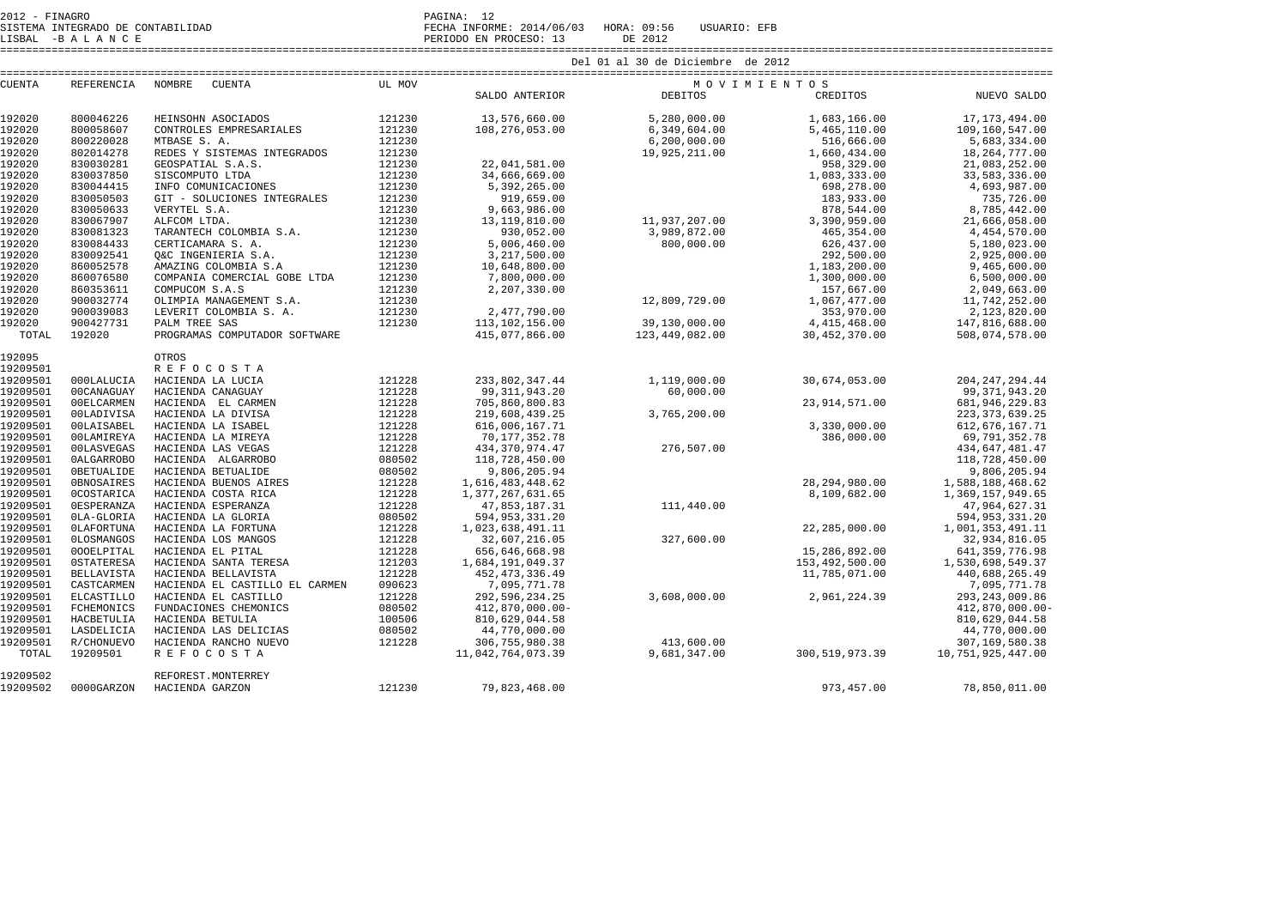| 2012 - FINAGRO |  |                                   | PAGINA:      |  |
|----------------|--|-----------------------------------|--------------|--|
|                |  | SISTEMA INTEGRADO DE CONTABILIDAD | FECHA INFORM |  |

19209502 REFOREST.MONTERREY

SISTEMA INTEGRADO DE CONTABILIDAD FECHA INFORME: 2014/06/03 HORA: 09:56 USUARIO: EFB

19209502 0000GARZON HACIENDA GARZON 121230 79,823,468.00 973,457.00 78,850,011.00

|               | LISBAL -BALANCE   |                                |        |                   |                                   |                  |                   |
|---------------|-------------------|--------------------------------|--------|-------------------|-----------------------------------|------------------|-------------------|
|               |                   |                                |        |                   | Del 01 al 30 de Diciembre de 2012 |                  |                   |
| <b>CUENTA</b> | REFERENCIA        | NOMBRE<br>CUENTA               | UL MOV |                   | MOVIMIENTOS                       |                  |                   |
|               |                   |                                |        | SALDO ANTERIOR    | <b>DEBITOS</b>                    | CREDITOS         | NUEVO SALDO       |
| 192020        | 800046226         | HEINSOHN ASOCIADOS             | 121230 | 13,576,660.00     | 5,280,000.00                      | 1,683,166.00     | 17, 173, 494.00   |
| 192020        | 800058607         | CONTROLES EMPRESARIALES        | 121230 | 108,276,053.00    | 6,349,604.00                      | 5,465,110.00     | 109,160,547.00    |
| 192020        | 800220028         | MTBASE S. A.                   | 121230 |                   | 6, 200, 000.00                    | 516,666.00       | 5,683,334.00      |
| 192020        | 802014278         | REDES Y SISTEMAS INTEGRADOS    | 121230 |                   | 19,925,211.00                     | 1,660,434.00     | 18, 264, 777.00   |
| 192020        | 830030281         | GEOSPATIAL S.A.S.              | 121230 | 22,041,581.00     |                                   | 958,329.00       | 21,083,252.00     |
| 192020        | 830037850         | SISCOMPUTO LTDA                | 121230 | 34,666,669.00     |                                   | 1,083,333.00     | 33,583,336.00     |
| 192020        | 830044415         | INFO COMUNICACIONES            | 121230 | 5,392,265.00      |                                   | 698,278.00       | 4,693,987.00      |
| 192020        | 830050503         | GIT - SOLUCIONES INTEGRALES    | 121230 | 919,659.00        |                                   | 183,933.00       | 735,726.00        |
| 192020        | 830050633         | VERYTEL S.A.                   | 121230 | 9,663,986.00      |                                   | 878,544.00       | 8,785,442.00      |
| 192020        | 830067907         | ALFCOM LTDA.                   | 121230 | 13, 119, 810.00   | 11,937,207.00                     | 3,390,959.00     | 21,666,058.00     |
| 192020        | 830081323         | TARANTECH COLOMBIA S.A.        | 121230 | 930,052.00        | 3,989,872.00                      | 465, 354.00      | 4,454,570.00      |
| 192020        | 830084433         | CERTICAMARA S. A.              | 121230 | 5,006,460.00      | 800,000.00                        | 626,437.00       | 5,180,023.00      |
| 192020        | 830092541         | O&C INGENIERIA S.A.            | 121230 | 3,217,500.00      |                                   | 292,500.00       | 2,925,000.00      |
| 192020        | 860052578         | AMAZING COLOMBIA S.A           | 121230 | 10,648,800.00     |                                   | 1,183,200.00     | 9,465,600.00      |
| 192020        | 860076580         | COMPAÑIA COMERCIAL GOBE LTDA   | 121230 | 7,800,000.00      |                                   | 1,300,000.00     | 6,500,000.00      |
| 192020        | 860353611         | COMPUCOM S.A.S                 | 121230 | 2,207,330.00      |                                   | 157,667.00       | 2,049,663.00      |
| 192020        | 900032774         | OLIMPIA MANAGEMENT S.A.        | 121230 |                   | 12,809,729.00                     | 1,067,477.00     | 11,742,252.00     |
| 192020        | 900039083         | LEVERIT COLOMBIA S. A.         | 121230 | 2,477,790.00      |                                   | 353,970.00       | 2,123,820.00      |
| 192020        | 900427731         | PALM TREE SAS                  | 121230 | 113, 102, 156.00  | 39,130,000.00                     | 4,415,468.00     | 147,816,688.00    |
| TOTAL         | 192020            | PROGRAMAS COMPUTADOR SOFTWARE  |        | 415,077,866.00    | 123,449,082.00                    | 30,452,370.00    | 508,074,578.00    |
| 192095        |                   | OTROS                          |        |                   |                                   |                  |                   |
| 19209501      |                   | <b>REFOCOSTA</b>               |        |                   |                                   |                  |                   |
| 19209501      | 000LALUCIA        | HACIENDA LA LUCIA              | 121228 | 233,802,347.44    | 1,119,000.00                      | 30,674,053.00    | 204, 247, 294.44  |
| 19209501      | 00CANAGUAY        | HACIENDA CANAGUAY              | 121228 | 99, 311, 943. 20  | 60,000.00                         |                  | 99, 371, 943. 20  |
| 19209501      | 00ELCARMEN        | HACIENDA EL CARMEN             | 121228 | 705,860,800.83    |                                   | 23, 914, 571.00  | 681, 946, 229.83  |
| 19209501      | 00LADIVISA        | HACIENDA LA DIVISA             | 121228 | 219,608,439.25    | 3,765,200.00                      |                  | 223, 373, 639.25  |
| 19209501      | 00LAISABEL        | HACIENDA LA ISABEL             | 121228 | 616,006,167.71    |                                   | 3,330,000.00     | 612, 676, 167.71  |
| 19209501      | 00LAMIREYA        | HACIENDA LA MIREYA             | 121228 | 70, 177, 352.78   |                                   | 386,000.00       | 69,791,352.78     |
| 19209501      | 00LASVEGAS        | HACIENDA LAS VEGAS             | 121228 | 434, 370, 974.47  | 276,507.00                        |                  | 434,647,481.47    |
| 19209501      | <b>OALGARROBO</b> | HACIENDA ALGARROBO             | 080502 | 118,728,450.00    |                                   |                  | 118,728,450.00    |
| 19209501      | <b>OBETUALIDE</b> | HACIENDA BETUALIDE             | 080502 | 9,806,205.94      |                                   |                  | 9,806,205.94      |
| 19209501      | <b>OBNOSAIRES</b> | HACIENDA BUENOS AIRES          | 121228 | 1,616,483,448.62  |                                   | 28, 294, 980.00  | 1,588,188,468.62  |
| 19209501      | <b>OCOSTARICA</b> | HACIENDA COSTA RICA            | 121228 | 1,377,267,631.65  |                                   | 8,109,682.00     | 1,369,157,949.65  |
| 19209501      | <b>OESPERANZA</b> | HACIENDA ESPERANZA             | 121228 | 47,853,187.31     | 111,440.00                        |                  | 47,964,627.31     |
| 19209501      | OLA-GLORIA        | HACIENDA LA GLORIA             | 080502 | 594, 953, 331.20  |                                   |                  | 594, 953, 331.20  |
| 19209501      | <b>OLAFORTUNA</b> | HACIENDA LA FORTUNA            | 121228 | 1,023,638,491.11  |                                   | 22,285,000.00    | 1,001,353,491.11  |
| 19209501      | <b>OLOSMANGOS</b> | HACIENDA LOS MANGOS            | 121228 | 32,607,216.05     |                                   |                  | 32,934,816.05     |
| 19209501      | 000ELPITAL        | HACIENDA EL PITAL              | 121228 | 656,646,668.98    | 327,600.00                        | 15,286,892.00    | 641, 359, 776.98  |
| 19209501      | <b>OSTATERESA</b> | HACIENDA SANTA TERESA          | 121203 | 1,684,191,049.37  |                                   | 153,492,500.00   | 1,530,698,549.37  |
| 19209501      | <b>BELLAVISTA</b> | HACIENDA BELLAVISTA            | 121228 | 452, 473, 336.49  |                                   | 11,785,071.00    | 440,688,265.49    |
| 19209501      | CASTCARMEN        | HACIENDA EL CASTILLO EL CARMEN | 090623 | 7,095,771.78      |                                   |                  | 7,095,771.78      |
| 19209501      | <b>ELCASTILLO</b> | HACIENDA EL CASTILLO           | 121228 | 292,596,234.25    | 3,608,000.00                      | 2,961,224.39     | 293, 243, 009.86  |
| 19209501      | FCHEMONICS        | FUNDACIONES CHEMONICS          | 080502 | 412,870,000.00-   |                                   |                  | 412,870,000.00-   |
| 19209501      | HACBETULIA        | HACIENDA BETULIA               | 100506 | 810,629,044.58    |                                   |                  | 810,629,044.58    |
| 19209501      | LASDELICIA        | HACIENDA LAS DELICIAS          | 080502 | 44,770,000.00     |                                   |                  | 44,770,000.00     |
| 19209501      | R/CHONUEVO        | HACIENDA RANCHO NUEVO          | 121228 | 306,755,980.38    | 413,600.00                        |                  | 307, 169, 580. 38 |
| TOTAL         | 19209501          | <b>REFOCOSTA</b>               |        | 11,042,764,073.39 | 9,681,347.00                      | 300, 519, 973.39 | 10,751,925,447.00 |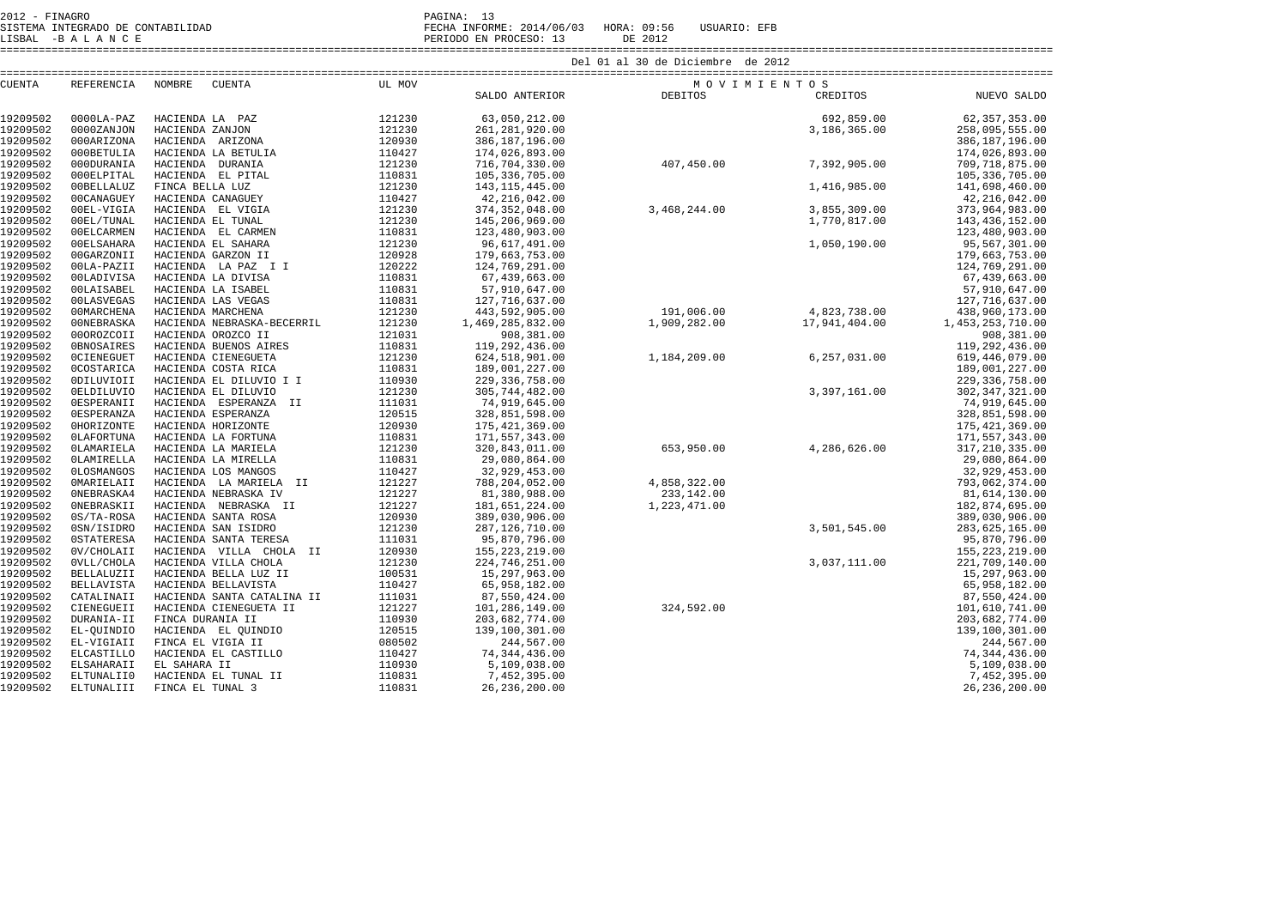| CUENTA               |                          | REFERENCIA NOMBRE CUENTA                       | UL MOV           |                                                                                              | MOVIMIENTOS                                                                  |                                                  |                                    |
|----------------------|--------------------------|------------------------------------------------|------------------|----------------------------------------------------------------------------------------------|------------------------------------------------------------------------------|--------------------------------------------------|------------------------------------|
|                      |                          |                                                |                  | ${\small \begin{tabular}{c} \bf{M} & \bf{O} \\ \bf{SALDO} & \bf{ANTERIOR} \\ \end{tabular}}$ |                                                                              |                                                  | O S<br>CREDITOS NUEVO SALDO        |
| 19209502             | $0000LA-PAZ$             |                                                |                  |                                                                                              |                                                                              |                                                  | 692,859.00 62,357,353.00           |
| 19209502             | 0000ZANJON               |                                                |                  |                                                                                              |                                                                              |                                                  | 258,095,555.00                     |
| 19209502             | 000ARIZONA               |                                                |                  |                                                                                              |                                                                              |                                                  | 386,187,196.00                     |
| 19209502             | 000BETULIA               |                                                |                  |                                                                                              |                                                                              |                                                  | 174,026,893.00                     |
| 19209502             | 000DURANIA               |                                                |                  |                                                                                              |                                                                              |                                                  | 709,718,875.00                     |
| 19209502             | 000ELPITAL               |                                                |                  |                                                                                              |                                                                              |                                                  | 105, 336, 705.00                   |
| 19209502             | 00BELLALUZ               |                                                |                  |                                                                                              |                                                                              |                                                  | 141,698,460.00                     |
| 19209502             | 00CANAGUEY               |                                                |                  |                                                                                              | 3,468,244.00<br>3,855,309.00<br>1,770,817.00<br>1,050,190.00<br>4,923,738.00 |                                                  | 42, 216, 042.00                    |
| 19209502             | 00EL-VIGIA               |                                                |                  | 374, 352, 048.00                                                                             |                                                                              |                                                  | 373,964,983.00                     |
| 19209502             | 00EL/TUNAL               |                                                |                  | 145,206,969.00                                                                               |                                                                              |                                                  | 143, 436, 152.00                   |
| 19209502             | 00ELCARMEN               |                                                |                  | 123,480,903.00                                                                               |                                                                              |                                                  | 123,480,903.00                     |
| 19209502             | 00ELSAHARA               |                                                |                  | 96,617,491.00                                                                                |                                                                              |                                                  | 95,567,301.00                      |
| 19209502             | 00GARZONII               |                                                |                  | 179,663,753.00                                                                               |                                                                              |                                                  | 179,663,753.00                     |
| 19209502             | 00LA-PAZII               |                                                |                  | 124,769,291.00                                                                               |                                                                              |                                                  | 124,769,291.00                     |
| 19209502             | 00LADIVISA               |                                                |                  | 67,439,663.00                                                                                |                                                                              |                                                  | 67,439,663.00                      |
| 19209502             | <b>00LAISABEL</b>        | HACIENDA LA ISABEL                             | 110831           | 57,910,647.00                                                                                |                                                                              |                                                  | 57,910,647.00                      |
| 19209502             | 00LASVEGAS               | HACIENDA LAS VEGAS                             | 110831           | 127,716,637.00                                                                               |                                                                              |                                                  | 127,716,637.00                     |
| 19209502             | 00MARCHENA               | HACIENDA MARCHENA                              | 121230           | 443,592,905.00                                                                               | $191,006.00$<br>$1,909,282.00$<br>$17,941,404.00$                            |                                                  | 438,960,173.00                     |
| 19209502             | 00NEBRASKA               | HACIENDA NEBRASKA-BECERRIL                     | 121230           | 1,469,285,832.00                                                                             |                                                                              |                                                  | 1,453,253,710.00                   |
| 19209502             | 000ROZCOII               | HACIENDA OROZCO II                             | 121031           | 908,381.00                                                                                   |                                                                              |                                                  | 908,381.00                         |
| 19209502             | <b>OBNOSAIRES</b>        | HACIENDA BUENOS AIRES                          | 110831           | 119,292,436.00                                                                               |                                                                              |                                                  | 119,292,436.00                     |
| 19209502<br>19209502 | <b>OCIENEGUET</b>        | HACIENDA CIENEGUETA                            | 121230<br>110831 | 624,518,901.00                                                                               | 1, 184, 209.00 6, 257, 031.00                                                |                                                  | 619, 446, 079.00                   |
| 19209502             | <b>OCOSTARICA</b>        | HACIENDA COSTA RICA<br>HACIENDA EL DILUVIO I I | 110930           | 189,001,227.00<br>229, 336, 758.00                                                           |                                                                              |                                                  | 189,001,227.00<br>229, 336, 758.00 |
| 19209502             | 0DILUVIOII<br>0ELDILUVIO | HACIENDA EL DILUVIO                            | 121230           | 305,744,482.00                                                                               |                                                                              |                                                  | 302, 347, 321.00                   |
| 19209502             | OESPERANII               | HACIENDA ESPERANZA II                          | 111031           | 74,919,645.00                                                                                |                                                                              |                                                  | 74,919,645.00                      |
| 19209502             | <b>OESPERANZA</b>        | HACIENDA ESPERANZA                             | 120515           | 328,851,598.00                                                                               | $3,397,161.00$<br>$4,286,626.00$                                             |                                                  | 328,851,598.00                     |
| 19209502             | OHORIZONTE               | HACIENDA HORIZONTE                             | 120930           | 175, 421, 369.00                                                                             |                                                                              |                                                  | 175, 421, 369.00                   |
| 19209502             | <b>OLAFORTUNA</b>        | HACIENDA LA FORTUNA                            | 110831           | 171,557,343.00                                                                               |                                                                              |                                                  | 171,557,343.00                     |
| 19209502             | <b>OLAMARIELA</b>        | HACIENDA LA MARIELA                            | 121230           | 320,843,011.00                                                                               |                                                                              |                                                  | 317, 210, 335.00                   |
| 19209502             | OLAMIRELLA               | HACIENDA LA MIRELLA                            | 110831           | 29,080,864.00                                                                                |                                                                              |                                                  | 29,080,864.00                      |
| 19209502             | <b>OLOSMANGOS</b>        | HACIENDA LOS MANGOS                            | 110427           | 32,929,453.00                                                                                |                                                                              |                                                  | 32,929,453.00                      |
| 19209502             | <b>OMARIELAII</b>        | HACIENDA LA MARIELA II                         | 121227           | 788,204,052.00                                                                               |                                                                              |                                                  | 793,062,374.00                     |
| 19209502             | ONEBRASKA4               | HACIENDA NEBRASKA IV                           | 121227           | 81,380,988.00                                                                                |                                                                              |                                                  | 81,614,130.00                      |
| 19209502             | ONEBRASKII               | HACIENDA NEBRASKA II                           | 121227           | 181,651,224.00                                                                               | $233,142.00$<br>$1,223,471.00$                                               | $4,858,322.00$<br>$233,142.00$<br>$1,223,471.00$ | 182,874,695.00                     |
| 19209502             | 0S/TA-ROSA               | HACIENDA SANTA ROSA                            | 120930           | 389,030,906.00                                                                               |                                                                              |                                                  | 389,030,906.00                     |
| 19209502             | 0SN/ISIDRO               | HACIENDA SAN ISIDRO                            | 121230           | 287,126,710.00                                                                               |                                                                              | 3,501,545.00                                     | 283,625,165.00                     |
| 19209502             | <b>OSTATERESA</b>        | HACIENDA SANTA TERESA                          | 111031           | 95,870,796.00                                                                                |                                                                              |                                                  | 95,870,796.00                      |
| 19209502             | OV/CHOLAII               | HACIENDA VILLA CHOLA II                        | 120930           | 155, 223, 219.00                                                                             |                                                                              |                                                  | 155, 223, 219.00                   |
| 19209502             | OVLL/CHOLA               | HACIENDA VILLA CHOLA                           | 121230           | 224,746,251.00                                                                               |                                                                              | 3,037,111.00                                     | 221,709,140.00                     |
| 19209502             | <b>BELLALUZII</b>        | HACIENDA BELLA LUZ II                          | 100531           | 15,297,963.00                                                                                |                                                                              |                                                  | 15,297,963.00                      |
| 19209502             | <b>BELLAVISTA</b>        | HACIENDA BELLAVISTA                            | 110427           | 65,958,182.00                                                                                |                                                                              |                                                  | 65,958,182.00                      |
| 19209502             | CATALINAII               | HACIENDA SANTA CATALINA II                     | 111031           | 87,550,424.00                                                                                |                                                                              |                                                  | 87,550,424.00                      |
| 19209502             | CIENEGUEII               | HACIENDA CIENEGUETA II                         | 121227           | 101,286,149.00                                                                               | 324,592.00                                                                   |                                                  | 101,610,741.00                     |
| 19209502             | DURANIA-II               | FINCA DURANIA II                               | 110930           | 203,682,774.00                                                                               |                                                                              |                                                  | 203,682,774.00                     |
| 19209502             | EL-QUINDIO               | HACIENDA EL QUINDIO                            | 120515           | 139,100,301.00                                                                               |                                                                              |                                                  | 139,100,301.00                     |
| 19209502             | EL-VIGIAII               | FINCA EL VIGIA II                              | 080502           | 244,567.00                                                                                   |                                                                              |                                                  | 244,567.00                         |
| 19209502             | <b>ELCASTILLO</b>        | HACIENDA EL CASTILLO                           | 110427           | 74, 344, 436.00                                                                              |                                                                              | $\frac{1}{2}$ .00                                | 74, 344, 436.00                    |
| 19209502             | ELSAHARAII               | EL SAHARA II                                   | 110930           | 5,109,038.00                                                                                 |                                                                              |                                                  | 5,109,038.00                       |

7,452,395.00

26, 236, 200.00

2012 - FINAGRO PAGINA: 13 SISTEMA INTEGRADO DE CONTABILIDAD FECHA INFORME: 2014/06/03 HORA: 09:56 USUARIO: EFB LISBAL -B A L A N C E PERIODO EN PROCESO: 13 DE 2012

19209502 ELSAHARAII EL SAHARA II 110930<br>19209502 ELTUNALIIO HACIENDA EL TUNAL II 110811

19209502 ELTUNALIII FINCA EL TUNAL 3 110831 26,236,200.00 26,236,200.00

19209502 ELTUNALII0 HACIENDA EL TUNAL II 110831 7,452,395.00 7,452,395.00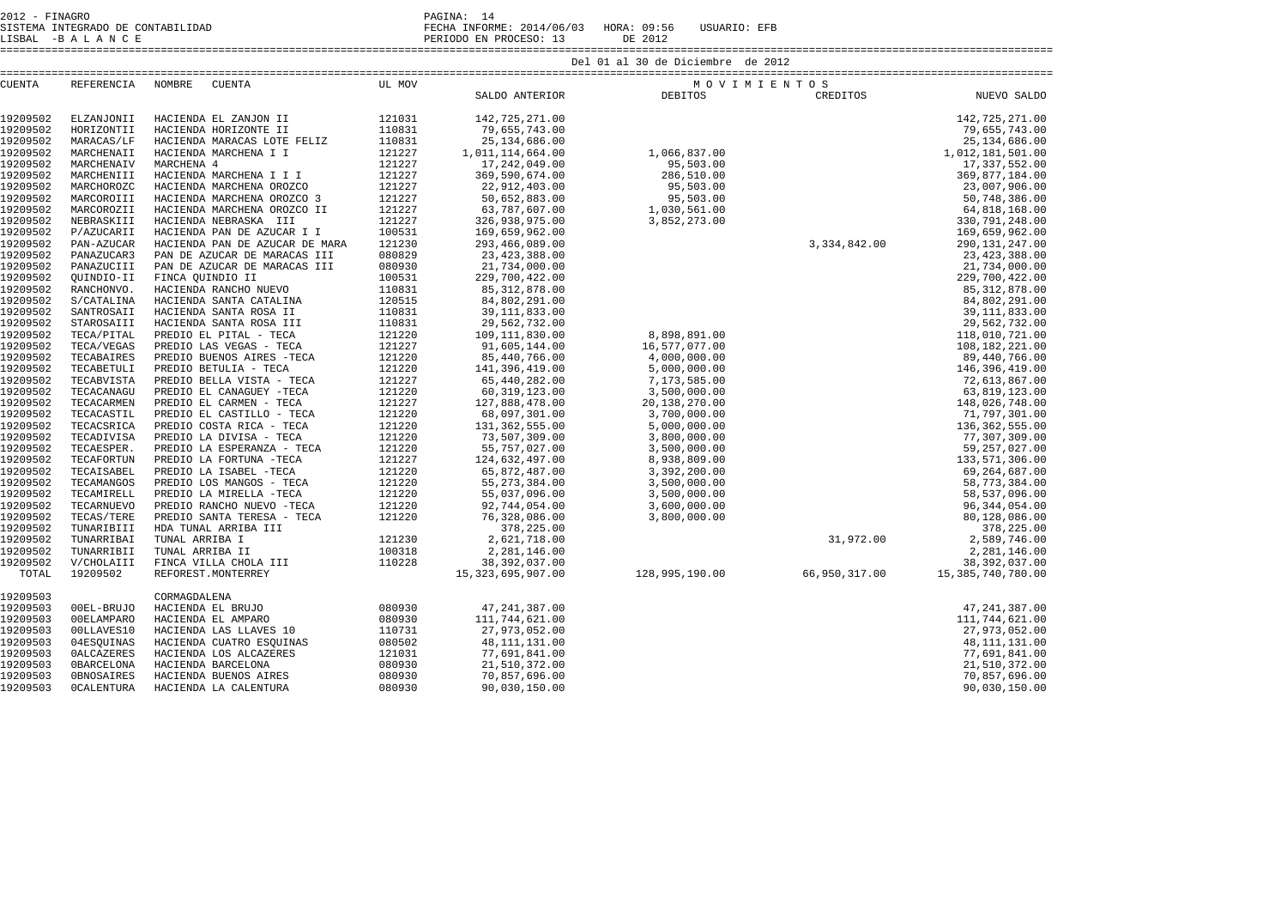| 2012 - FINAGRO                    | PAGINA:                                               |
|-----------------------------------|-------------------------------------------------------|
| SISTEMA INTEGRADO DE CONTABILIDAD | FECHA INFORME: 2014/06/03 HORA: 09:56<br>USUARIO: EFB |

LISBAL -B A L A N C E CONTABILIDAD CONTROLLED CONTROLLED CONTROLLED PERIODO EN PROCESO: 13 DE 2012

|               |                   |                                |        |                      | Del 01 al 30 de Diciembre de 2012                                                                                                         |               |                   |
|---------------|-------------------|--------------------------------|--------|----------------------|-------------------------------------------------------------------------------------------------------------------------------------------|---------------|-------------------|
| <b>CUENTA</b> | REFERENCIA NOMBRE | CUENTA                         | UL MOV |                      | MOVIMIENTOS                                                                                                                               |               |                   |
|               |                   |                                |        | SALDO ANTERIOR       | DEBITOS                                                                                                                                   | CREDITOS      | NUEVO SALDO       |
| 19209502      | ELZANJONII        | HACIENDA EL ZANJON II          | 121031 | 142,725,271.00       | 1,066,837.00<br>95,503.00<br>286,510.00<br>95,503.00<br>95,503.00<br>95,503.00<br>95,503.00<br>1,030,561.00<br>952.273.00<br>3,334,842.00 |               | 142,725,271.00    |
| 19209502      | HORIZONTII        | HACIENDA HORIZONTE II          | 110831 | 79,655,743.00        |                                                                                                                                           |               | 79,655,743.00     |
| 19209502      | MARACAS/LF        | HACIENDA MARACAS LOTE FELIZ    | 110831 | 25, 134, 686.00      |                                                                                                                                           |               | 25, 134, 686.00   |
| 19209502      | MARCHENAII        | HACIENDA MARCHENA I I          | 121227 | 1,011,114,664.00     |                                                                                                                                           |               | 1,012,181,501.00  |
| 19209502      | MARCHENAIV        | MARCHENA 4                     | 121227 | 17, 242, 049.00      |                                                                                                                                           |               | 17,337,552.00     |
| 19209502      | MARCHENIII        | HACIENDA MARCHENA I I I        | 121227 | 369,590,674.00       |                                                                                                                                           |               | 369,877,184.00    |
| 19209502      | MARCHOROZC        | HACIENDA MARCHENA OROZCO       | 121227 | 22,912,403.00        |                                                                                                                                           |               | 23,007,906.00     |
| 19209502      | MARCOROIII        | HACIENDA MARCHENA OROZCO 3     | 121227 | 50,652,883.00        |                                                                                                                                           |               | 50,748,386.00     |
| 19209502      | MARCOROZII        | HACIENDA MARCHENA OROZCO II    | 121227 | 63,787,607.00        |                                                                                                                                           |               | 64,818,168.00     |
| 19209502      | NEBRASKIII        | HACIENDA NEBRASKA III          | 121227 | 326,938,975.00       |                                                                                                                                           |               | 330, 791, 248.00  |
| 19209502      | P/AZUCARII        | HACIENDA PAN DE AZUCAR I I     | 100531 | 169,659,962.00       |                                                                                                                                           |               | 169,659,962.00    |
| 19209502      | PAN-AZUCAR        | HACIENDA PAN DE AZUCAR DE MARA | 121230 | 293,466,089.00       |                                                                                                                                           |               | 290, 131, 247.00  |
| 19209502      | PANAZUCAR3        | PAN DE AZUCAR DE MARACAS III   | 080829 | 23, 423, 388.00      |                                                                                                                                           |               | 23, 423, 388.00   |
| 19209502      | PANAZUCIII        | PAN DE AZUCAR DE MARACAS III   | 080930 | 21,734,000.00        |                                                                                                                                           |               | 21,734,000.00     |
| 19209502      | QUINDIO-II        | FINCA QUINDIO II               | 100531 | 229,700,422.00       |                                                                                                                                           |               | 229,700,422.00    |
| 19209502      | RANCHONVO.        | HACIENDA RANCHO NUEVO          | 110831 | 85, 312, 878.00      |                                                                                                                                           |               | 85, 312, 878.00   |
| 19209502      | S/CATALINA        | HACIENDA SANTA CATALINA        | 120515 | 84,802,291.00        |                                                                                                                                           |               | 84,802,291.00     |
| 19209502      | SANTROSAII        | HACIENDA SANTA ROSA II         | 110831 | 39, 111, 833.00      |                                                                                                                                           |               | 39, 111, 833.00   |
| 19209502      | STAROSAIII        | HACIENDA SANTA ROSA III        | 110831 | 29,562,732.00        |                                                                                                                                           |               | 29,562,732.00     |
| 19209502      | TECA/PITAL        | PREDIO EL PITAL - TECA         | 121220 | 109, 111, 830.00     | 8,898,891.00                                                                                                                              |               | 118,010,721.00    |
| 19209502      | TECA/VEGAS        | PREDIO LAS VEGAS - TECA        | 121227 | 91,605,144.00        | 16,577,077.00                                                                                                                             |               | 108,182,221.00    |
| 19209502      | TECABAIRES        | PREDIO BUENOS AIRES -TECA      | 121220 | 85,440,766.00        | 4,000,000.00                                                                                                                              |               | 89,440,766.00     |
| 19209502      | TECABETULI        | PREDIO BETULIA - TECA          | 121220 | 141,396,419.00       | 5,000,000.00                                                                                                                              |               | 146,396,419.00    |
| 19209502      | TECABVISTA        | PREDIO BELLA VISTA - TECA      | 121227 | 65,440,282.00        | 7,173,585.00                                                                                                                              |               | 72,613,867.00     |
| 19209502      | TECACANAGU        | PREDIO EL CANAGUEY -TECA       | 121220 | 60, 319, 123.00      | 3,500,000.00                                                                                                                              |               | 63,819,123.00     |
| 19209502      | TECACARMEN        | PREDIO EL CARMEN - TECA        | 121227 | 127,888,478.00       | 20,138,270.00                                                                                                                             |               | 148,026,748.00    |
| 19209502      | TECACASTIL        | PREDIO EL CASTILLO - TECA      | 121220 | 68,097,301.00        | 3,700,000.00                                                                                                                              |               | 71,797,301.00     |
| 19209502      | TECACSRICA        | PREDIO COSTA RICA - TECA       | 121220 | 131, 362, 555.00     | 5,000,000.00                                                                                                                              |               | 136, 362, 555.00  |
| 19209502      | TECADIVISA        | PREDIO LA DIVISA - TECA        | 121220 | 73,507,309.00        | 3,800,000.00                                                                                                                              |               | 77,307,309.00     |
| 19209502      | TECAESPER.        | PREDIO LA ESPERANZA - TECA     | 121220 | 55,757,027.00        | 3,500,000.00                                                                                                                              |               | 59, 257, 027.00   |
| 19209502      | TECAFORTUN        | PREDIO LA FORTUNA -TECA        | 121227 | 124,632,497.00       | 8,938,809.00                                                                                                                              |               | 133,571,306.00    |
| 19209502      | TECAISABEL        | PREDIO LA ISABEL -TECA         | 121220 | 65,872,487.00        | 3,392,200.00                                                                                                                              |               | 69,264,687.00     |
| 19209502      | TECAMANGOS        | PREDIO LOS MANGOS - TECA       | 121220 | 55, 273, 384.00      | 3,500,000.00                                                                                                                              |               | 58,773,384.00     |
| 19209502      | TECAMIRELL        | PREDIO LA MIRELLA -TECA        | 121220 | 55,037,096.00        | 3,500,000.00                                                                                                                              |               | 58,537,096.00     |
| 19209502      | TECARNUEVO        | PREDIO RANCHO NUEVO -TECA      | 121220 | 92,744,054.00        | 3,600,000.00                                                                                                                              |               | 96, 344, 054.00   |
| 19209502      | TECAS/TERE        | PREDIO SANTA TERESA - TECA     | 121220 | 76,328,086.00        | 3,800,000.00                                                                                                                              |               | 80,128,086.00     |
| 19209502      | TUNARIBIII        | HDA TUNAL ARRIBA III           |        | 378,225.00           |                                                                                                                                           |               | 378,225.00        |
| 19209502      | TUNARRIBAI        | TUNAL ARRIBA I                 | 121230 | 2,621,718.00         |                                                                                                                                           | 31,972.00     | 2,589,746.00      |
| 19209502      | TUNARRIBII        | TUNAL ARRIBA II                | 100318 | 2,281,146.00         |                                                                                                                                           |               | 2,281,146.00      |
| 19209502      | V/CHOLAIII        | FINCA VILLA CHOLA III          | 110228 | 38, 392, 037.00      |                                                                                                                                           |               | 38, 392, 037.00   |
| TOTAL         | 19209502          | REFOREST. MONTERREY            |        | 15, 323, 695, 907.00 | 128,995,190.00                                                                                                                            | 66,950,317.00 | 15,385,740,780.00 |
| 19209503      |                   | CORMAGDALENA                   |        |                      |                                                                                                                                           |               |                   |
| 19209503      | 00EL-BRUJO        | HACIENDA EL BRUJO              | 080930 | 47, 241, 387.00      |                                                                                                                                           |               | 47, 241, 387.00   |
| 19209503      | 00ELAMPARO        | HACIENDA EL AMPARO             | 080930 | 111,744,621.00       |                                                                                                                                           |               | 111,744,621.00    |
| 19209503      | 00LLAVES10        | HACIENDA LAS LLAVES 10         | 110731 | 27,973,052.00        |                                                                                                                                           |               | 27,973,052.00     |
| 19209503      | 04ESQUINAS        | HACIENDA CUATRO ESQUINAS       | 080502 | 48, 111, 131.00      |                                                                                                                                           |               | 48, 111, 131.00   |
| 19209503      | <b>OALCAZERES</b> | HACIENDA LOS ALCAZERES         | 121031 | 77,691,841.00        |                                                                                                                                           |               | 77,691,841.00     |
| 19209503      | <b>OBARCELONA</b> | HACIENDA BARCELONA             | 080930 | 21,510,372.00        |                                                                                                                                           |               | 21,510,372.00     |
| 19209503      | OBNOSAIRES        | HACIENDA BUENOS AIRES          | 080930 | 70,857,696.00        |                                                                                                                                           |               | 70,857,696.00     |
| 19209503      | <b>OCALENTURA</b> | HACIENDA LA CALENTURA          | 080930 | 90,030,150.00        |                                                                                                                                           |               | 90,030,150.00     |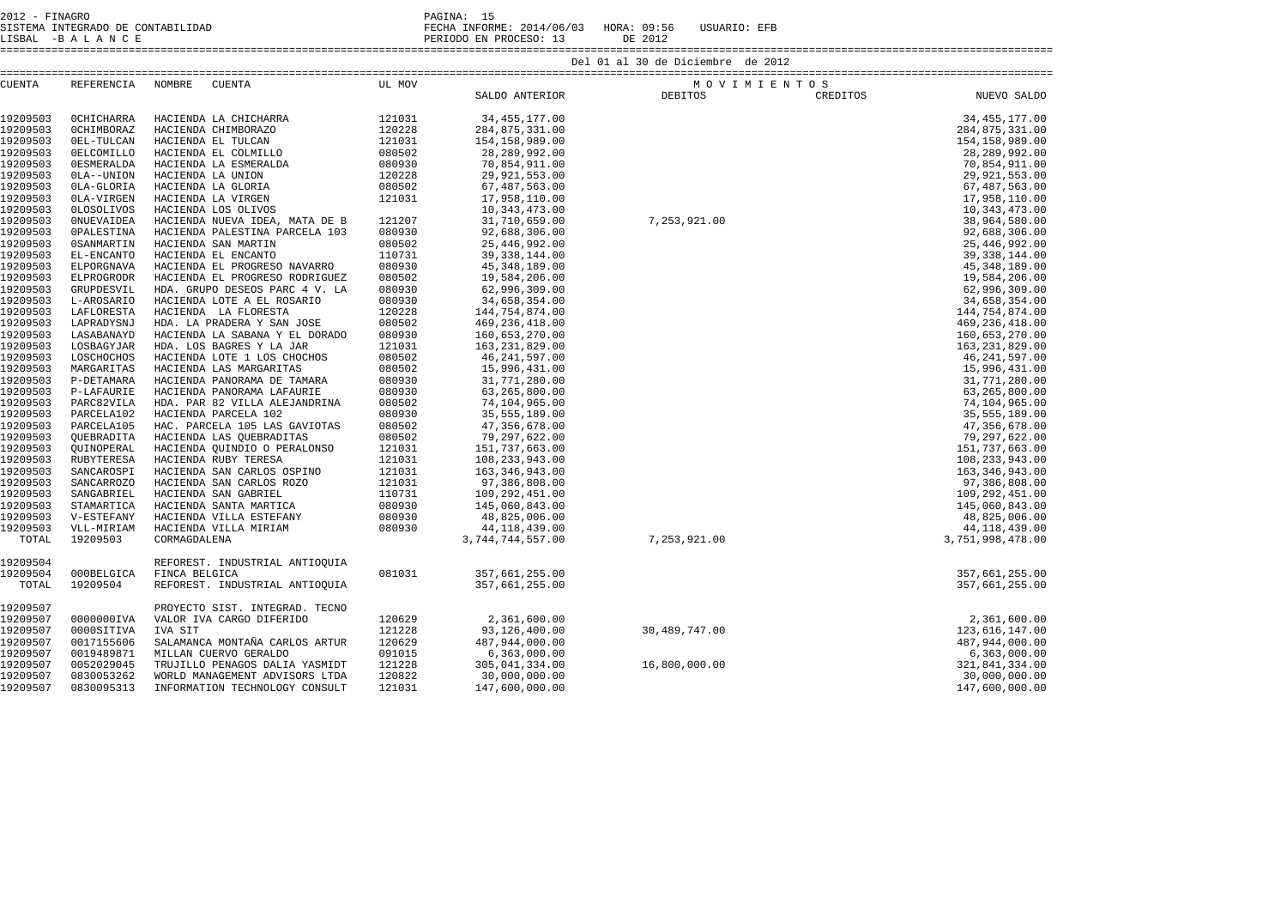| 2012 - FINAGRO                    | PAGINA:                               |         |              |
|-----------------------------------|---------------------------------------|---------|--------------|
| SISTEMA INTEGRADO DE CONTABILIDAD | FECHA INFORME: 2014/06/03 HORA: 09:56 |         | USUARIO: EFB |
| LISBAL -BALANCE                   | PERIODO EN PROCESO: 13                | DE 2012 |              |

====================================================================================================================================================================

| <b>CUENTA</b> | REFERENCIA        | NOMBRE<br>CUENTA               | UL MOV |                     | MOVIMIENTOS                             |          |                  |
|---------------|-------------------|--------------------------------|--------|---------------------|-----------------------------------------|----------|------------------|
|               |                   |                                |        | SALDO ANTERIOR      | DEBITOS                                 | CREDITOS | NUEVO SALDO      |
|               |                   |                                |        |                     |                                         |          |                  |
| 19209503      | <b>OCHICHARRA</b> | HACIENDA LA CHICHARRA          | 121031 | 34, 455, 177.00     |                                         |          | 34, 455, 177.00  |
| 19209503      | OCHIMBORAZ        | HACIENDA CHIMBORAZO            | 120228 | 284,875,331.00      |                                         |          | 284,875,331.00   |
| 19209503      | OEL-TULCAN        | HACIENDA EL TULCAN             | 121031 | 154, 158, 989.00    |                                         |          | 154, 158, 989.00 |
| 19209503      | <b>OELCOMILLO</b> | HACIENDA EL COLMILLO           | 080502 | 28, 289, 992.00     |                                         |          | 28, 289, 992.00  |
| 19209503      | <b>OESMERALDA</b> | HACIENDA LA ESMERALDA          | 080930 | 70,854,911.00       |                                         |          | 70,854,911.00    |
| 19209503      | OLA--UNION        | HACIENDA LA UNION              | 120228 | 29,921,553.00       |                                         |          | 29,921,553.00    |
| 19209503      | OLA-GLORIA        | HACIENDA LA GLORIA             | 080502 | 67, 487, 563.00     |                                         |          | 67, 487, 563.00  |
| 19209503      | OLA-VIRGEN        | HACIENDA LA VIRGEN             | 121031 | 17,958,110.00       |                                         |          | 17,958,110.00    |
| 19209503      | 0LOSOLIVOS        | HACIENDA LOS OLIVOS            |        | 10, 343, 473.00     |                                         |          | 10, 343, 473.00  |
| 19209503      | <b>ONUEVAIDEA</b> | HACIENDA NUEVA IDEA, MATA DE B | 121207 | 31,710,659.00       |                                         |          | 38,964,580.00    |
| 19209503      | <b>OPALESTINA</b> | HACIENDA PALESTINA PARCELA 103 | 080930 | 92,688,306.00       |                                         |          | 92,688,306.00    |
| 19209503      | <b>OSANMARTIN</b> | HACIENDA SAN MARTIN            | 080502 | 25, 446, 992.00     |                                         |          | 25, 446, 992.00  |
| 19209503      | EL-ENCANTO        | HACIENDA EL ENCANTO            | 110731 | 39, 338, 144.00     |                                         |          | 39, 338, 144.00  |
| 19209503      | ELPORGNAVA        | HACIENDA EL PROGRESO NAVARRO   | 080930 | 45, 348, 189.00     |                                         |          | 45, 348, 189.00  |
| 19209503      | ELPROGRODR        | HACIENDA EL PROGRESO RODRIGUEZ | 080502 | 19,584,206.00       |                                         |          | 19,584,206.00    |
| 19209503      | GRUPDESVIL        | HDA. GRUPO DESEOS PARC 4 V. LA | 080930 | 62,996,309.00       |                                         |          | 62,996,309.00    |
| 19209503      | L-AROSARIO        | HACIENDA LOTE A EL ROSARIO     | 080930 | 34,658,354.00       |                                         |          | 34,658,354.00    |
| 19209503      | LAFLORESTA        | HACIENDA LA FLORESTA           | 120228 | 144,754,874.00      |                                         |          | 144,754,874.00   |
| 19209503      | LAPRADYSNJ        | HDA. LA PRADERA Y SAN JOSE     | 080502 | 469, 236, 418.00    |                                         |          | 469, 236, 418.00 |
| 19209503      | LASABANAYD        | HACIENDA LA SABANA Y EL DORADO | 080930 | 160,653,270.00      |                                         |          | 160,653,270.00   |
| 19209503      | LOSBAGYJAR        | HDA. LOS BAGRES Y LA JAR       | 121031 | 163, 231, 829.00    |                                         |          | 163, 231, 829.00 |
| 19209503      | LOSCHOCHOS        | HACIENDA LOTE 1 LOS CHOCHOS    | 080502 | 46, 241, 597.00     |                                         |          | 46, 241, 597.00  |
| 19209503      | MARGARITAS        | HACIENDA LAS MARGARITAS        | 080502 | 15,996,431.00       |                                         |          | 15,996,431.00    |
| 19209503      | P-DETAMARA        | HACIENDA PANORAMA DE TAMARA    | 080930 | 31,771,280.00       |                                         |          | 31,771,280.00    |
| 19209503      |                   |                                | 080930 |                     |                                         |          | 63,265,800.00    |
| 19209503      | P-LAFAURIE        | HACIENDA PANORAMA LAFAURIE     | 080502 | 63,265,800.00       |                                         |          |                  |
| 19209503      | PARC82VILA        | HDA. PAR 82 VILLA ALEJANDRINA  | 080930 | 74,104,965.00       |                                         |          | 74,104,965.00    |
|               | PARCELA102        | HACIENDA PARCELA 102           |        | 35, 555, 189.00     |                                         |          | 35, 555, 189.00  |
| 19209503      | PARCELA105        | HAC. PARCELA 105 LAS GAVIOTAS  | 080502 | 47,356,678.00       |                                         |          | 47,356,678.00    |
| 19209503      | OUEBRADITA        | HACIENDA LAS OUEBRADITAS       | 080502 | 79,297,622.00       |                                         |          | 79,297,622.00    |
| 19209503      | OUINOPERAL        | HACIENDA QUINDIO O PERALONSO   | 121031 | 151,737,663.00      |                                         |          | 151,737,663.00   |
| 19209503      | RUBYTERESA        | HACIENDA RUBY TERESA           | 121031 | 108,233,943.00      |                                         |          | 108,233,943.00   |
| 19209503      | SANCAROSPI        | HACIENDA SAN CARLOS OSPINO     | 121031 | 163,346,943.00      |                                         |          | 163,346,943.00   |
| 19209503      | SANCARROZO        | HACIENDA SAN CARLOS ROZO       | 121031 | 97,386,808.00       |                                         |          | 97,386,808.00    |
| 19209503      | SANGABRIEL        | HACIENDA SAN GABRIEL           | 110731 | 109,292,451.00      |                                         |          | 109,292,451.00   |
| 19209503      | STAMARTICA        | HACIENDA SANTA MARTICA         | 080930 | 145,060,843.00      |                                         |          | 145,060,843.00   |
| 19209503      | V-ESTEFANY        | HACIENDA VILLA ESTEFANY        | 080930 | 48,825,006.00       |                                         |          | 48,825,006.00    |
| 19209503      | VLL-MIRIAM        | HACIENDA VILLA MIRIAM          | 080930 | 44, 118, 439.00     |                                         |          | 44, 118, 439.00  |
| TOTAL         | 19209503          | CORMAGDALENA                   |        | 3, 744, 744, 557.00 |                                         |          | 3,751,998,478.00 |
|               |                   |                                |        |                     | DEBITOS<br>7,253,921.00<br>7,253,921.00 |          |                  |
| 19209504      |                   | REFOREST. INDUSTRIAL ANTIOQUIA |        |                     |                                         |          |                  |
| 19209504      | 000BELGICA        | FINCA BELGICA                  | 081031 | 357,661,255.00      |                                         |          | 357,661,255.00   |
| TOTAL         | 19209504          | REFOREST. INDUSTRIAL ANTIOQUIA |        | 357,661,255.00      |                                         |          | 357,661,255.00   |
| 19209507      |                   | PROYECTO SIST. INTEGRAD. TECNO |        |                     |                                         |          |                  |
| 19209507      | 0000000IVA        | VALOR IVA CARGO DIFERIDO       | 120629 | 2,361,600.00        |                                         |          | 2,361,600.00     |
| 19209507      | 0000SITIVA        | IVA SIT                        | 121228 | 93,126,400.00       | 30,489,747.00                           |          | 123,616,147.00   |
| 19209507      | 0017155606        | SALAMANCA MONTAÑA CARLOS ARTUR | 120629 | 487,944,000.00      |                                         |          | 487,944,000.00   |
| 19209507      | 0019489871        | MILLAN CUERVO GERALDO          | 091015 | 6,363,000.00        |                                         |          | 6,363,000.00     |
| 19209507      | 0052029045        | TRUJILLO PENAGOS DALIA YASMIDT | 121228 | 305, 041, 334.00    | 16,800,000.00                           |          | 321,841,334.00   |
| 19209507      | 0830053262        | WORLD MANAGEMENT ADVISORS LTDA | 120822 | 30,000,000.00       |                                         |          | 30,000,000.00    |
| 19209507      | 0830095313        |                                | 121031 | 147,600,000.00      |                                         |          | 147,600,000.00   |
|               |                   | INFORMATION TECHNOLOGY CONSULT |        |                     |                                         |          |                  |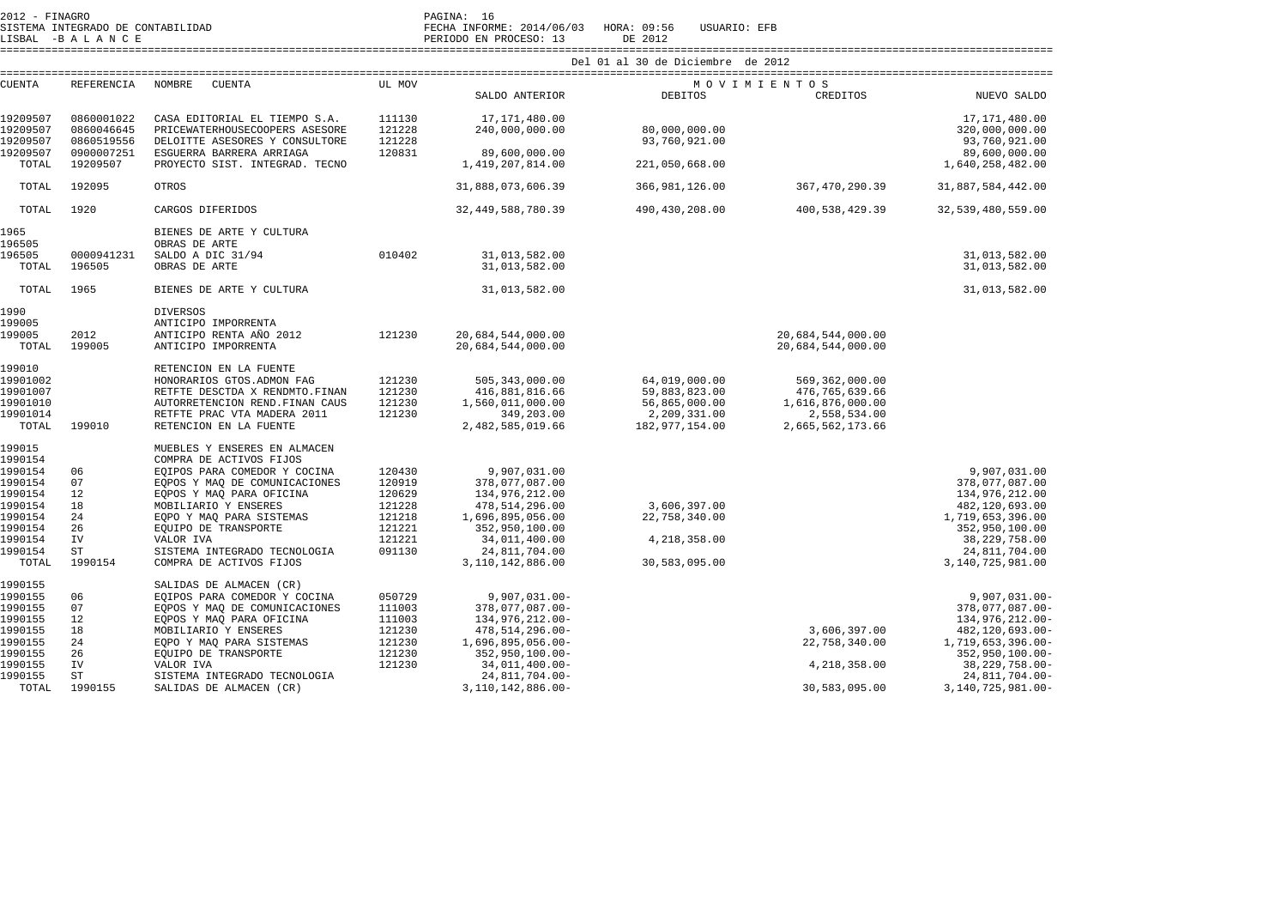| 2012 - FINAGRO     | SISTEMA INTEGRADO DE CONTABILIDAD<br>LISBAL -BALANCE |                                                         |        | PAGINA: 16<br>FECHA INFORME: 2014/06/03 HORA: 09:56<br>PERIODO EN PROCESO: 13 | USUARIO: EFB<br>DE 2012           |                                        |                                   |
|--------------------|------------------------------------------------------|---------------------------------------------------------|--------|-------------------------------------------------------------------------------|-----------------------------------|----------------------------------------|-----------------------------------|
|                    |                                                      |                                                         |        |                                                                               | Del 01 al 30 de Diciembre de 2012 |                                        |                                   |
| <b>CUENTA</b>      | REFERENCIA                                           | NOMBRE<br>CUENTA                                        | UL MOV |                                                                               |                                   | MOVIMIENTOS                            |                                   |
|                    |                                                      |                                                         |        | SALDO ANTERIOR                                                                | <b>DEBITOS</b>                    | CREDITOS                               | NUEVO SALDO                       |
| 19209507           | 0860001022                                           | CASA EDITORIAL EL TIEMPO S.A.                           | 111130 | 17,171,480.00                                                                 |                                   |                                        | 17,171,480.00                     |
| 19209507           | 0860046645                                           | PRICEWATERHOUSECOOPERS ASESORE                          | 121228 | 240,000,000.00                                                                | 80,000,000.00                     |                                        | 320,000,000.00                    |
| 19209507           | 0860519556                                           | DELOITTE ASESORES Y CONSULTORE                          | 121228 |                                                                               | 93,760,921.00                     |                                        | 93,760,921.00                     |
| 19209507           | 0900007251                                           | ESGUERRA BARRERA ARRIAGA                                | 120831 | 89,600,000.00                                                                 |                                   |                                        | 89,600,000.00                     |
| TOTAL              | 19209507                                             | PROYECTO SIST. INTEGRAD. TECNO                          |        | 1,419,207,814.00                                                              | 221,050,668.00                    |                                        | 1,640,258,482.00                  |
| TOTAL              | 192095                                               | OTROS                                                   |        | 31,888,073,606.39                                                             | 366,981,126.00                    | 367,470,290.39                         | 31,887,584,442.00                 |
| TOTAL              | 1920                                                 | CARGOS DIFERIDOS                                        |        | 32, 449, 588, 780. 39                                                         | 490,430,208.00                    | 400,538,429.39                         | 32,539,480,559.00                 |
| 1965<br>196505     |                                                      | BIENES DE ARTE Y CULTURA<br>OBRAS DE ARTE               |        |                                                                               |                                   |                                        |                                   |
| 196505             | 0000941231                                           | SALDO A DIC 31/94                                       | 010402 | 31,013,582.00                                                                 |                                   |                                        | 31,013,582.00                     |
| TOTAL              | 196505                                               | OBRAS DE ARTE                                           |        | 31,013,582.00                                                                 |                                   |                                        | 31,013,582.00                     |
| TOTAL              | 1965                                                 | BIENES DE ARTE Y CULTURA                                |        | 31,013,582.00                                                                 |                                   |                                        | 31,013,582.00                     |
| 1990               |                                                      | <b>DIVERSOS</b>                                         |        |                                                                               |                                   |                                        |                                   |
| 199005             |                                                      | ANTICIPO IMPORRENTA                                     |        |                                                                               |                                   |                                        |                                   |
| 199005<br>TOTAL    | 2012<br>199005                                       | ANTICIPO RENTA AÑO 2012<br>ANTICIPO IMPORRENTA          | 121230 | 20,684,544,000.00<br>20,684,544,000.00                                        |                                   | 20,684,544,000.00<br>20,684,544,000.00 |                                   |
| 199010             |                                                      | RETENCION EN LA FUENTE                                  |        |                                                                               |                                   |                                        |                                   |
| 19901002           |                                                      | HONORARIOS GTOS. ADMON FAG                              | 121230 | 505, 343, 000.00                                                              | 64,019,000.00                     | 569, 362, 000.00                       |                                   |
| 19901007           |                                                      | RETFTE DESCTDA X RENDMTO.FINAN                          | 121230 | 416,881,816.66                                                                | 59,883,823.00                     | 476,765,639.66                         |                                   |
| 19901010           |                                                      | AUTORRETENCION REND. FINAN CAUS                         | 121230 | 1,560,011,000.00                                                              | 56,865,000.00                     | 1,616,876,000.00                       |                                   |
| 19901014<br>TOTAL  | 199010                                               | RETFTE PRAC VTA MADERA 2011<br>RETENCION EN LA FUENTE   | 121230 | 349,203.00<br>2,482,585,019.66                                                | 2,209,331.00<br>182,977,154.00    | 2,558,534.00<br>2,665,562,173.66       |                                   |
| 199015             |                                                      | MUEBLES Y ENSERES EN ALMACEN                            |        |                                                                               |                                   |                                        |                                   |
| 1990154            |                                                      | COMPRA DE ACTIVOS FIJOS                                 |        |                                                                               |                                   |                                        |                                   |
| 1990154            | 06                                                   | EQIPOS PARA COMEDOR Y COCINA                            | 120430 | 9,907,031.00                                                                  |                                   |                                        | 9,907,031.00                      |
| 1990154            | 07                                                   | EQPOS Y MAQ DE COMUNICACIONES                           | 120919 | 378,077,087.00                                                                |                                   |                                        | 378,077,087.00                    |
| 1990154            | 12                                                   | EOPOS Y MAO PARA OFICINA                                | 120629 | 134,976,212.00                                                                |                                   |                                        | 134,976,212.00                    |
| 1990154            | 18                                                   | MOBILIARIO Y ENSERES                                    | 121228 | 478, 514, 296.00                                                              | 3,606,397.00                      |                                        | 482,120,693.00                    |
| 1990154            | 24                                                   | EQPO Y MAQ PARA SISTEMAS                                | 121218 | 1,696,895,056.00                                                              | 22,758,340.00                     |                                        | 1,719,653,396.00                  |
| 1990154            | 26                                                   | EQUIPO DE TRANSPORTE                                    | 121221 | 352,950,100.00                                                                |                                   |                                        | 352,950,100.00                    |
| 1990154            | IV                                                   | VALOR IVA                                               | 121221 | 34,011,400.00                                                                 | 4,218,358.00                      |                                        | 38,229,758.00                     |
| 1990154<br>TOTAL   | ST<br>1990154                                        | SISTEMA INTEGRADO TECNOLOGIA<br>COMPRA DE ACTIVOS FIJOS | 091130 | 24,811,704.00<br>3,110,142,886.00                                             | 30,583,095.00                     |                                        | 24,811,704.00<br>3,140,725,981.00 |
|                    |                                                      |                                                         |        |                                                                               |                                   |                                        |                                   |
| 1990155<br>1990155 | 06                                                   | SALIDAS DE ALMACEN (CR)<br>EQIPOS PARA COMEDOR Y COCINA | 050729 | $9,907,031.00 -$                                                              |                                   |                                        | $9,907,031.00 -$                  |
| 1990155            | 07                                                   | EQPOS Y MAQ DE COMUNICACIONES                           | 111003 | 378,077,087.00-                                                               |                                   |                                        | 378,077,087.00-                   |
| 1990155            | 12                                                   | EQPOS Y MAQ PARA OFICINA                                | 111003 | 134,976,212.00-                                                               |                                   |                                        | 134,976,212.00-                   |
| 1990155            | 18                                                   | MOBILIARIO Y ENSERES                                    | 121230 | 478, 514, 296.00-                                                             |                                   | 3,606,397.00                           | 482,120,693.00-                   |
| 1990155            | 24                                                   | EQPO Y MAQ PARA SISTEMAS                                | 121230 | 1,696,895,056.00-                                                             |                                   | 22,758,340.00                          | 1,719,653,396.00-                 |
| 1990155            | 26                                                   | EOUIPO DE TRANSPORTE                                    | 121230 | 352,950,100.00-                                                               |                                   |                                        | 352,950,100.00-                   |
| 1990155            | IV                                                   | VALOR IVA                                               | 121230 | 34,011,400.00-                                                                |                                   | 4,218,358.00                           | 38, 229, 758.00-                  |
| 1990155            | ST<br>1990155                                        | SISTEMA INTEGRADO TECNOLOGIA                            |        | 24,811,704.00-                                                                |                                   |                                        | 24,811,704.00-                    |
| TOTAL              |                                                      | SALIDAS DE ALMACEN (CR)                                 |        | 3, 110, 142, 886.00-                                                          |                                   | 30,583,095.00                          | 3, 140, 725, 981.00-              |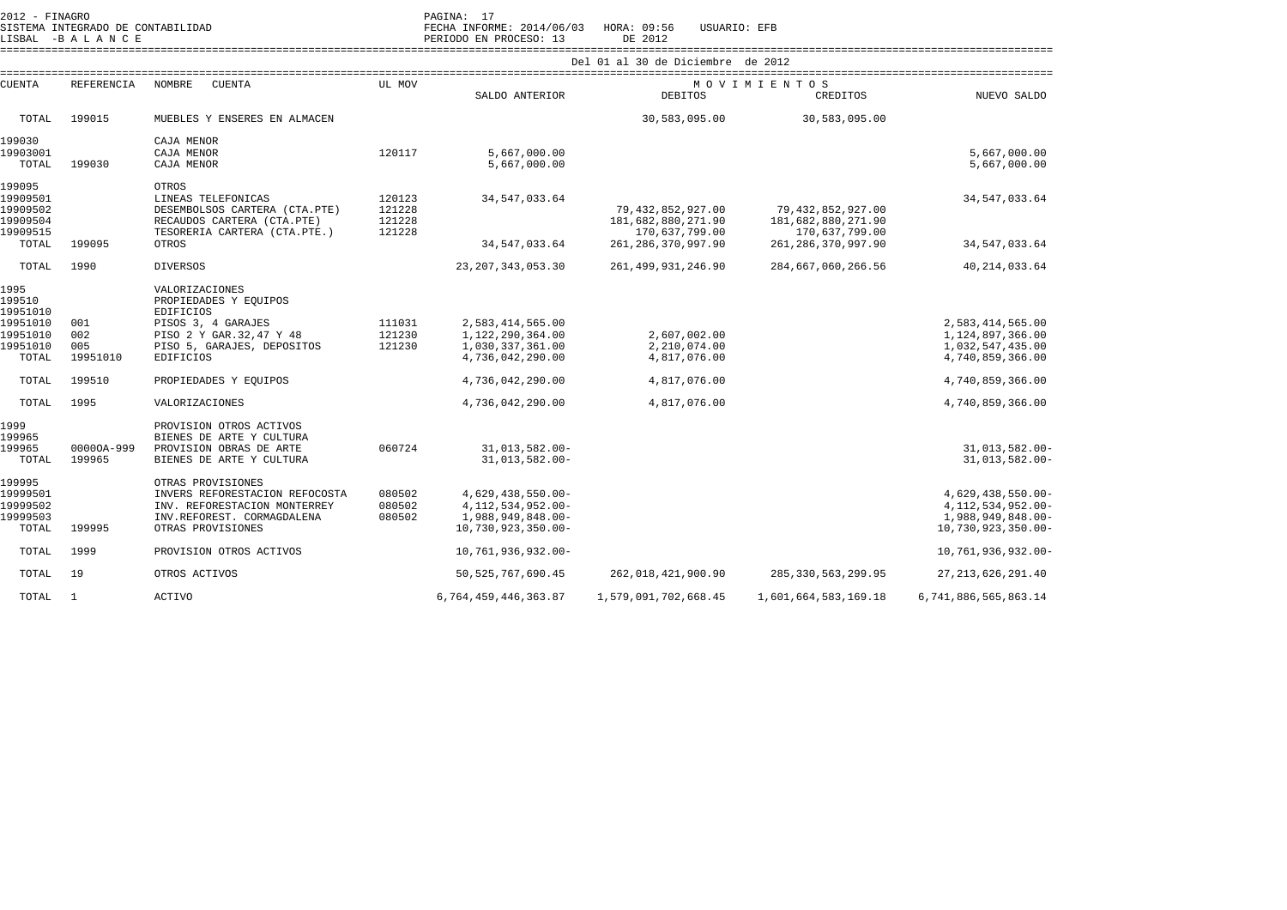| SISTEMA INTEGRADO DE CONTABILIDAD<br>LISBAL -BALANCE |                   |                                | FECHA INFORME: 2014/06/03<br>PERIODO EN PROCESO: 13 | USUARIO: EFB<br>HORA: 09:56<br>DE 2012 |                        |                       |                       |  |  |
|------------------------------------------------------|-------------------|--------------------------------|-----------------------------------------------------|----------------------------------------|------------------------|-----------------------|-----------------------|--|--|
|                                                      |                   |                                | Del 01 al 30 de Diciembre de 2012                   |                                        |                        |                       |                       |  |  |
| <b>CUENTA</b>                                        | <b>REFERENCIA</b> | <b>NOMBRE</b><br><b>CUENTA</b> | UL MOV                                              |                                        | MOVIMIENTOS            |                       |                       |  |  |
|                                                      |                   |                                |                                                     | SALDO ANTERIOR                         | <b>DEBITOS</b>         | CREDITOS              | NUEVO SALDO           |  |  |
| TOTAL                                                | 199015            | MUEBLES Y ENSERES EN ALMACEN   |                                                     |                                        | 30,583,095.00          | 30,583,095.00         |                       |  |  |
| 199030                                               |                   | CAJA MENOR                     |                                                     |                                        |                        |                       |                       |  |  |
| 19903001                                             |                   | CAJA MENOR                     | 120117                                              | 5,667,000.00                           |                        |                       | 5,667,000.00          |  |  |
| TOTAL                                                | 199030            | CAJA MENOR                     |                                                     | 5,667,000.00                           |                        |                       | 5,667,000.00          |  |  |
| 199095                                               |                   | <b>OTROS</b>                   |                                                     |                                        |                        |                       |                       |  |  |
| 19909501                                             |                   | LINEAS TELEFONICAS             | 120123                                              | 34, 547, 033.64                        |                        |                       | 34,547,033.64         |  |  |
| 19909502                                             |                   | DESEMBOLSOS CARTERA (CTA.PTE)  | 121228                                              |                                        | 79, 432, 852, 927.00   | 79, 432, 852, 927.00  |                       |  |  |
| 19909504                                             |                   | RECAUDOS CARTERA (CTA.PTE)     | 121228                                              |                                        | 181,682,880,271.90     | 181,682,880,271.90    |                       |  |  |
| 19909515                                             |                   | TESORERIA CARTERA (CTA.PTE.)   | 121228                                              |                                        | 170,637,799.00         | 170,637,799.00        |                       |  |  |
| TOTAL                                                | 199095            | OTROS                          |                                                     | 34,547,033.64                          | 261, 286, 370, 997.90  | 261, 286, 370, 997.90 | 34, 547, 033.64       |  |  |
| TOTAL                                                | 1990              | <b>DIVERSOS</b>                |                                                     | 23, 207, 343, 053, 30                  | 261, 499, 931, 246, 90 | 284,667,060,266.56    | 40, 214, 033.64       |  |  |
| 1995                                                 |                   | VALORIZACIONES                 |                                                     |                                        |                        |                       |                       |  |  |
| 199510                                               |                   | PROPIEDADES Y EQUIPOS          |                                                     |                                        |                        |                       |                       |  |  |
| 19951010                                             |                   | <b>EDIFICIOS</b>               |                                                     |                                        |                        |                       |                       |  |  |
| 19951010                                             | 001               | PISOS 3, 4 GARAJES             | 111031                                              | 2,583,414,565.00                       |                        |                       | 2,583,414,565.00      |  |  |
| 19951010                                             | 002               | PISO 2 Y GAR. 32, 47 Y 48      | 121230                                              | 1,122,290,364.00                       | 2,607,002.00           |                       | 1,124,897,366.00      |  |  |
| 19951010                                             | 005               | PISO 5, GARAJES, DEPOSITOS     | 121230                                              | 1,030,337,361.00                       | 2,210,074.00           |                       | 1,032,547,435.00      |  |  |
| TOTAL                                                | 19951010          | <b>EDIFICIOS</b>               |                                                     | 4,736,042,290.00                       | 4,817,076.00           |                       | 4,740,859,366.00      |  |  |
|                                                      |                   |                                |                                                     |                                        |                        |                       |                       |  |  |
| TOTAL                                                | 199510            | PROPIEDADES Y EQUIPOS          |                                                     | 4,736,042,290.00                       | 4,817,076.00           |                       | 4,740,859,366.00      |  |  |
| TOTAL                                                | 1995              | VALORIZACIONES                 |                                                     | 4,736,042,290.00                       | 4,817,076.00           |                       | 4,740,859,366.00      |  |  |
| 1999                                                 |                   | PROVISION OTROS ACTIVOS        |                                                     |                                        |                        |                       |                       |  |  |
| 199965                                               |                   | BIENES DE ARTE Y CULTURA       |                                                     |                                        |                        |                       |                       |  |  |
| 199965                                               | 00000A-999        | PROVISION OBRAS DE ARTE        | 060724                                              | 31,013,582.00-                         |                        |                       | $31.013.582.00 -$     |  |  |
| TOTAL                                                | 199965            | BIENES DE ARTE Y CULTURA       |                                                     | 31,013,582.00-                         |                        |                       | 31,013,582.00-        |  |  |
| 199995                                               |                   | OTRAS PROVISIONES              |                                                     |                                        |                        |                       |                       |  |  |
| 19999501                                             |                   | INVERS REFORESTACION REFOCOSTA | 080502                                              | 4,629,438,550.00-                      |                        |                       | 4,629,438,550.00-     |  |  |
| 19999502                                             |                   | INV. REFORESTACION MONTERREY   | 080502                                              | 4, 112, 534, 952.00-                   |                        |                       | 4, 112, 534, 952. 00- |  |  |
| 19999503                                             |                   | INV.REFOREST. CORMAGDALENA     | 080502                                              | 1,988,949,848.00-                      |                        |                       | 1,988,949,848.00-     |  |  |
|                                                      |                   |                                |                                                     |                                        |                        |                       |                       |  |  |

 $10,730,923,350.00-$  TOTAL 199995 OTRAS PROVISIONES 10,730,923,350.00- 10,730,923,350.00- TOTAL 1999 PROVISION OTROS ACTIVOS 10,761,936,932.00- 10,761,936,932.00- TOTAL 19 OTROS ACTIVOS 50,525,767,690.45 262,018,421,900.90 285,330,563,299.95 27,213,626,291.40 TOTAL 1 ACTIVO 6,764,459,446,363.87 1,579,091,702,668.45 1,601,664,583,169.18 6,741,886,565,863.14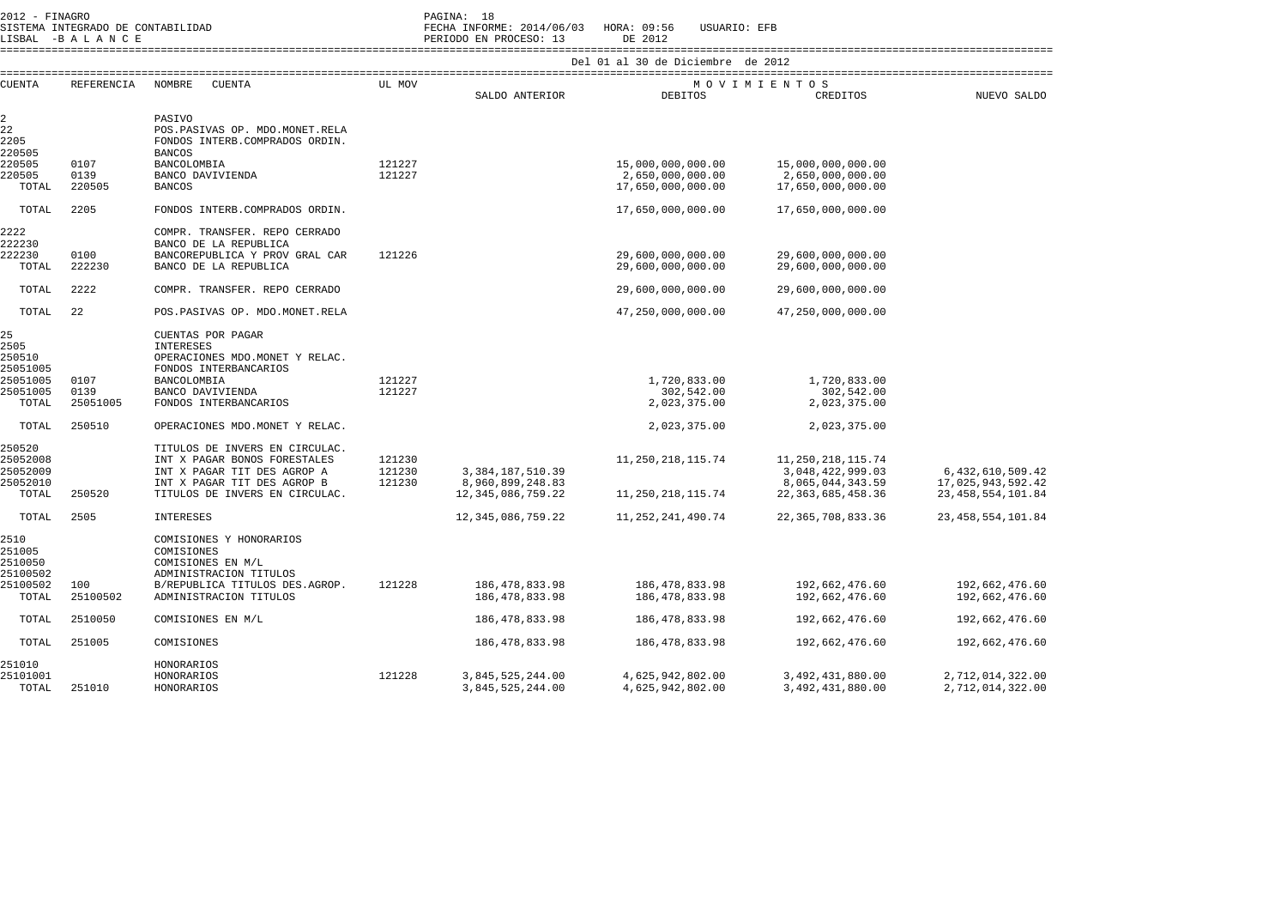| $2012 -$<br>FINAGRO                         | PAGINA: | <b>.</b>      |
|---------------------------------------------|---------|---------------|
| TNTTCDADO DE CONTADIIIDAD<br><b>CTCTTMA</b> | 모모스크고   | <b>TNEODM</b> |

SISTEMA INTEGRADO DE CONTABILIDAD FECHA INFORME: 2014/06/03 HORA: 09:56 USUARIO: EFB

SISTEMA INTEGRADO DE CONTABILIDAD<br>LISBAL -B A L A N C E PERIODO EN PROCESO: 13 DE 2012 ====================================================================================================================================================================

|                |            |                                 |        |                       | ue piciempre          | UE ZUIZ               |                      |
|----------------|------------|---------------------------------|--------|-----------------------|-----------------------|-----------------------|----------------------|
| <b>CUENTA</b>  | REFERENCIA | NOMBRE<br><b>CUENTA</b>         | UL MOV |                       |                       | MOVIMIENTOS           |                      |
|                |            |                                 |        | SALDO ANTERIOR        | <b>DEBITOS</b>        | CREDITOS              | NUEVO SALDO          |
| $\overline{a}$ |            | PASIVO                          |        |                       |                       |                       |                      |
| 22             |            | POS.PASIVAS OP. MDO.MONET.RELA  |        |                       |                       |                       |                      |
| 2205           |            | FONDOS INTERB. COMPRADOS ORDIN. |        |                       |                       |                       |                      |
| 220505         |            | <b>BANCOS</b>                   |        |                       |                       |                       |                      |
| 220505         | 0107       | BANCOLOMBIA                     | 121227 |                       | 15,000,000,000.00     | 15,000,000,000.00     |                      |
| 220505         | 0139       | BANCO DAVIVIENDA                | 121227 |                       | 2,650,000,000.00      | 2,650,000,000.00      |                      |
| TOTAL          | 220505     | <b>BANCOS</b>                   |        |                       | 17,650,000,000.00     | 17,650,000,000.00     |                      |
| TOTAL          | 2205       | FONDOS INTERB. COMPRADOS ORDIN. |        |                       | 17,650,000,000.00     | 17,650,000,000.00     |                      |
| 2222           |            | COMPR. TRANSFER. REPO CERRADO   |        |                       |                       |                       |                      |
| 222230         |            | BANCO DE LA REPUBLICA           |        |                       |                       |                       |                      |
| 222230         | 0100       | BANCOREPUBLICA Y PROV GRAL CAR  | 121226 |                       | 29,600,000,000.00     | 29,600,000,000.00     |                      |
| TOTAL          | 222230     | BANCO DE LA REPUBLICA           |        |                       | 29,600,000,000.00     | 29,600,000,000.00     |                      |
| TOTAL          | 2222       | COMPR. TRANSFER. REPO CERRADO   |        |                       | 29,600,000,000.00     | 29,600,000,000.00     |                      |
| TOTAL          | 22         | POS.PASIVAS OP. MDO.MONET.RELA  |        |                       | 47,250,000,000.00     | 47,250,000,000.00     |                      |
| 25             |            | CUENTAS POR PAGAR               |        |                       |                       |                       |                      |
| 2505           |            | <b>INTERESES</b>                |        |                       |                       |                       |                      |
| 250510         |            | OPERACIONES MDO. MONET Y RELAC. |        |                       |                       |                       |                      |
| 25051005       |            | FONDOS INTERBANCARIOS           |        |                       |                       |                       |                      |
| 25051005       | 0107       | BANCOLOMBIA                     | 121227 |                       | 1,720,833.00          | 1,720,833.00          |                      |
| 25051005       | 0139       | BANCO DAVIVIENDA                | 121227 |                       | 302,542.00            | 302,542.00            |                      |
| TOTAL          | 25051005   | FONDOS INTERBANCARIOS           |        |                       | 2,023,375.00          | 2,023,375.00          |                      |
| TOTAL          | 250510     | OPERACIONES MDO.MONET Y RELAC.  |        |                       | 2,023,375.00          | 2,023,375.00          |                      |
|                |            |                                 |        |                       |                       |                       |                      |
| 250520         |            | TITULOS DE INVERS EN CIRCULAC.  |        |                       |                       |                       |                      |
| 25052008       |            | INT X PAGAR BONOS FORESTALES    | 121230 |                       | 11, 250, 218, 115.74  | 11, 250, 218, 115.74  |                      |
| 25052009       |            | INT X PAGAR TIT DES AGROP A     | 121230 | 3, 384, 187, 510.39   |                       | 3,048,422,999.03      | 6,432,610,509.42     |
| 25052010       |            | INT X PAGAR TIT DES AGROP B     | 121230 | 8,960,899,248.83      |                       | 8,065,044,343.59      | 17,025,943,592.42    |
| TOTAL          | 250520     | TITULOS DE INVERS EN CIRCULAC.  |        | 12, 345, 086, 759. 22 | 11, 250, 218, 115. 74 | 22, 363, 685, 458. 36 | 23, 458, 554, 101.84 |
| TOTAL          | 2505       | <b>INTERESES</b>                |        | 12, 345, 086, 759. 22 | 11, 252, 241, 490. 74 | 22, 365, 708, 833.36  | 23, 458, 554, 101.84 |
| 2510           |            | COMISIONES Y HONORARIOS         |        |                       |                       |                       |                      |
| 251005         |            | COMISIONES                      |        |                       |                       |                       |                      |
| 2510050        |            | COMISIONES EN M/L               |        |                       |                       |                       |                      |
| 25100502       |            | ADMINISTRACION TITULOS          |        |                       |                       |                       |                      |
| 25100502       | 100        | B/REPUBLICA TITULOS DES.AGROP.  | 121228 | 186, 478, 833.98      | 186, 478, 833.98      | 192,662,476.60        | 192,662,476.60       |
| TOTAL          | 25100502   | ADMINISTRACION TITULOS          |        | 186, 478, 833.98      | 186, 478, 833.98      | 192,662,476.60        | 192,662,476.60       |
| TOTAL          | 2510050    | COMISIONES EN M/L               |        | 186, 478, 833.98      | 186, 478, 833.98      | 192,662,476.60        | 192,662,476.60       |
| TOTAL          | 251005     | COMISIONES                      |        | 186, 478, 833.98      | 186, 478, 833.98      | 192,662,476.60        | 192,662,476.60       |
| 251010         |            | HONORARIOS                      |        |                       |                       |                       |                      |
| 25101001       |            | HONORARIOS                      | 121228 | 3,845,525,244.00      | 4,625,942,802.00      | 3,492,431,880.00      | 2,712,014,322.00     |
| TOTAL          | 251010     | HONORARIOS                      |        | 3,845,525,244.00      | 4,625,942,802.00      | 3,492,431,880.00      | 2,712,014,322.00     |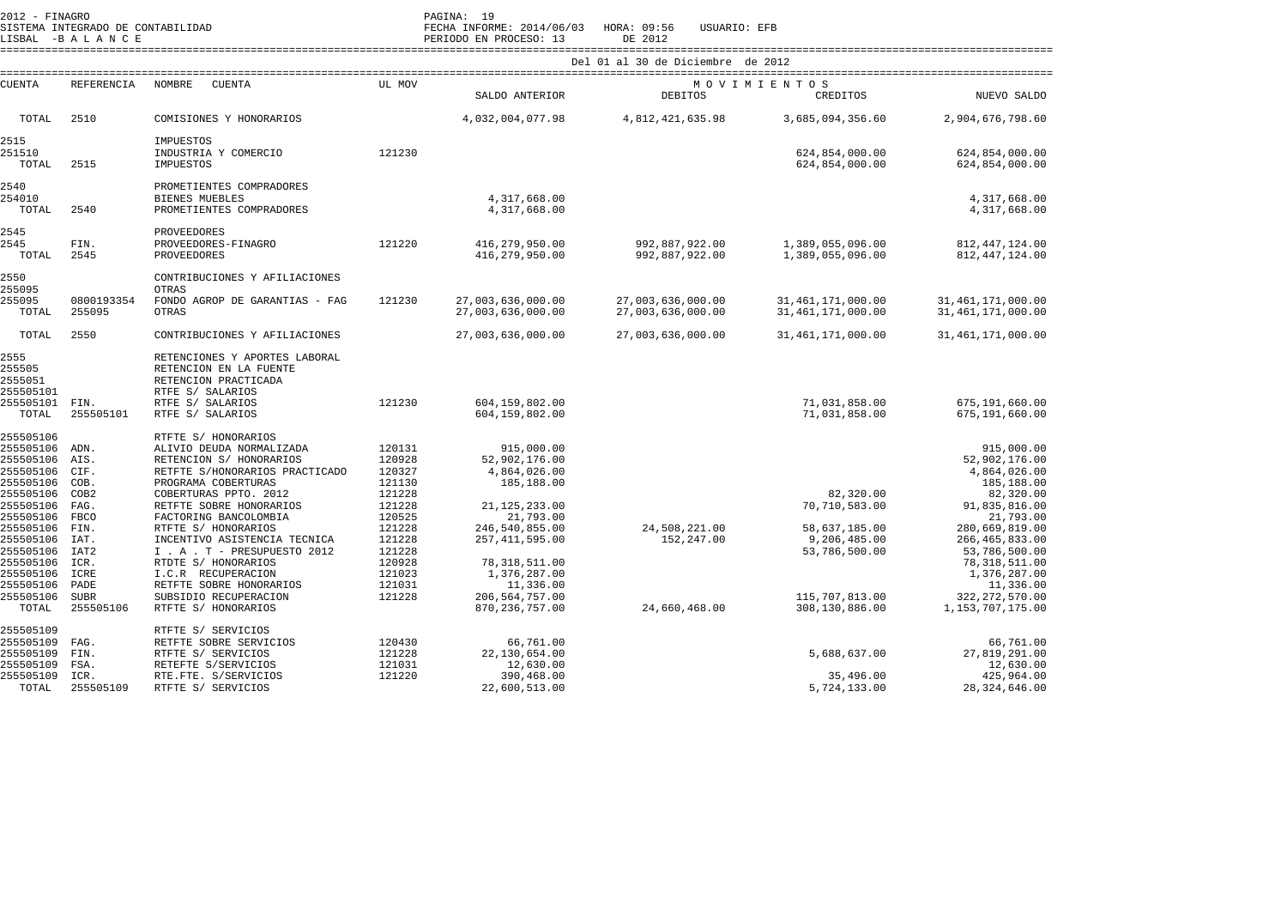| 2012 - FINAGRO |                                   | PAGINA: 19   |  |
|----------------|-----------------------------------|--------------|--|
|                | SISTEMA INTEGRADO DE CONTABILIDAD | FECHA INFORM |  |
|                | TTODAT DATAMOD                    | DERICOO EN B |  |

SISTEMA INTEGRADO DE CONTABILIDAD FECHA INFORME: 2014/06/03 HORA: 09:56 USUARIO: EFB

LISBAL -B A L A N C E PERIODO EN PROCESO: 13 DE 2012 ==================================================================================================================================================================== Del 01 al 30 de Diciembre de 2012

| <b>CUENTA</b>                            | <b>REFERENCIA</b>        | NOMBRE<br>CUENTA                                                                                    | UL MOV                     |                                              |                                        | MOVIMIENTOS                                    |                                                     |
|------------------------------------------|--------------------------|-----------------------------------------------------------------------------------------------------|----------------------------|----------------------------------------------|----------------------------------------|------------------------------------------------|-----------------------------------------------------|
|                                          |                          |                                                                                                     |                            | SALDO ANTERIOR                               | <b>DEBITOS</b>                         | CREDITOS                                       | NUEVO SALDO                                         |
| TOTAL                                    | 2510                     | COMISIONES Y HONORARIOS                                                                             |                            | 4,032,004,077.98                             | 4,812,421,635.98                       | 3,685,094,356.60                               | 2,904,676,798.60                                    |
| 2515<br>251510<br>TOTAL                  | 2515                     | IMPUESTOS<br>INDUSTRIA Y COMERCIO<br>IMPUESTOS                                                      | 121230                     |                                              |                                        | 624,854,000.00<br>624,854,000.00               | 624,854,000.00<br>624,854,000.00                    |
| 2540<br>254010<br>TOTAL                  | 2540                     | PROMETIENTES COMPRADORES<br>BIENES MUEBLES<br>PROMETIENTES COMPRADORES                              |                            | 4,317,668.00<br>4,317,668.00                 |                                        |                                                | 4,317,668.00<br>4, 317, 668.00                      |
| 2545<br>2545<br>TOTAL                    | FIN.<br>2545             | PROVEEDORES<br>PROVEEDORES-FINAGRO<br>PROVEEDORES                                                   | 121220                     | 416,279,950.00<br>416, 279, 950.00           | 992,887,922.00<br>992,887,922.00       | 1,389,055,096.00<br>1,389,055,096.00           | 812, 447, 124.00<br>812, 447, 124.00                |
| 2550<br>255095                           |                          | CONTRIBUCIONES Y AFILIACIONES<br>OTRAS                                                              |                            |                                              |                                        |                                                |                                                     |
| 255095<br>TOTAL                          | 0800193354<br>255095     | FONDO AGROP DE GARANTIAS - FAG<br>OTRAS                                                             | 121230                     | 27,003,636,000.00<br>27,003,636,000.00       | 27,003,636,000.00<br>27,003,636,000.00 | 31, 461, 171, 000.00<br>31, 461, 171, 000.00   | 31, 461, 171, 000.00<br>31, 461, 171, 000.00        |
| TOTAL                                    | 2550                     | CONTRIBUCIONES Y AFILIACIONES                                                                       |                            | 27,003,636,000.00                            | 27,003,636,000.00                      | 31, 461, 171, 000.00                           | 31, 461, 171, 000.00                                |
| 2555<br>255505<br>2555051<br>255505101   |                          | RETENCIONES Y APORTES LABORAL<br>RETENCION EN LA FUENTE<br>RETENCION PRACTICADA<br>RTFE S/ SALARIOS |                            |                                              |                                        |                                                |                                                     |
| 255505101<br>TOTAL                       | FIN.<br>255505101        | RTFE S/ SALARIOS<br>RTFE S/ SALARIOS                                                                | 121230                     | 604,159,802.00<br>604,159,802.00             |                                        | 71,031,858.00<br>71,031,858.00                 | 675,191,660.00<br>675,191,660.00                    |
| 255505106<br>255505106                   | ADN.                     | RTFTE S/ HONORARIOS<br>ALIVIO DEUDA NORMALIZADA                                                     | 120131                     | 915,000.00                                   |                                        |                                                | 915,000.00                                          |
| 255505106<br>255505106<br>255505106      | AIS.<br>CIF.<br>COB.     | RETENCION S/ HONORARIOS<br>RETFTE S/HONORARIOS PRACTICADO<br>PROGRAMA COBERTURAS                    | 120928<br>120327<br>121130 | 52,902,176.00<br>4,864,026.00<br>185,188.00  |                                        |                                                | 52,902,176.00<br>4,864,026.00<br>185,188.00         |
| 255505106<br>255505106 FAG.<br>255505106 | COB <sub>2</sub><br>FBCO | COBERTURAS PPTO. 2012<br>RETFTE SOBRE HONORARIOS<br>FACTORING BANCOLOMBIA                           | 121228<br>121228<br>120525 | 21, 125, 233.00<br>21,793.00                 |                                        | 82,320.00<br>70,710,583.00                     | 82,320.00<br>91,835,816.00<br>21,793.00             |
| 255505106<br>255505106<br>255505106      | FIN.<br>IAT.<br>IAT2     | RTFTE S/ HONORARIOS<br>INCENTIVO ASISTENCIA TECNICA<br>I . A . T - PRESUPUESTO 2012                 | 121228<br>121228<br>121228 | 246,540,855.00<br>257, 411, 595.00           | 24,508,221.00<br>152,247.00            | 58,637,185.00<br>9,206,485.00<br>53,786,500.00 | 280,669,819.00<br>266, 465, 833.00<br>53,786,500.00 |
| 255505106<br>255505106<br>255505106      | ICR.<br>ICRE<br>PADE     | RTDTE S/ HONORARIOS<br>I.C.R RECUPERACION<br>RETFTE SOBRE HONORARIOS                                | 120928<br>121023<br>121031 | 78, 318, 511.00<br>1,376,287.00<br>11,336.00 |                                        |                                                | 78, 318, 511.00<br>1,376,287.00<br>11,336.00        |
| 255505106<br>TOTAL                       | <b>SUBR</b><br>255505106 | SUBSIDIO RECUPERACION<br>RTFTE S/ HONORARIOS                                                        | 121228                     | 206, 564, 757.00<br>870, 236, 757.00         | 24,660,468.00                          | 115,707,813.00<br>308,130,886.00               | 322, 272, 570.00<br>1,153,707,175.00                |
| 255505109<br>255505109                   | FAG.                     | RTFTE S/ SERVICIOS<br>RETFTE SOBRE SERVICIOS                                                        | 120430                     | 66,761.00                                    |                                        |                                                | 66,761.00                                           |
| 255505109<br>255505109                   | FIN.<br>FSA.             | RTFTE S/ SERVICIOS<br>RETEFTE S/SERVICIOS                                                           | 121228<br>121031           | 22,130,654.00<br>12,630.00                   |                                        | 5,688,637.00                                   | 27,819,291.00<br>12,630.00                          |
| 255505109<br>TOTAL                       | ICR.<br>255505109        | RTE.FTE. S/SERVICIOS<br>RTFTE S/ SERVICIOS                                                          | 121220                     | 390,468.00<br>22,600,513.00                  |                                        | 35,496.00<br>5,724,133.00                      | 425,964.00<br>28, 324, 646.00                       |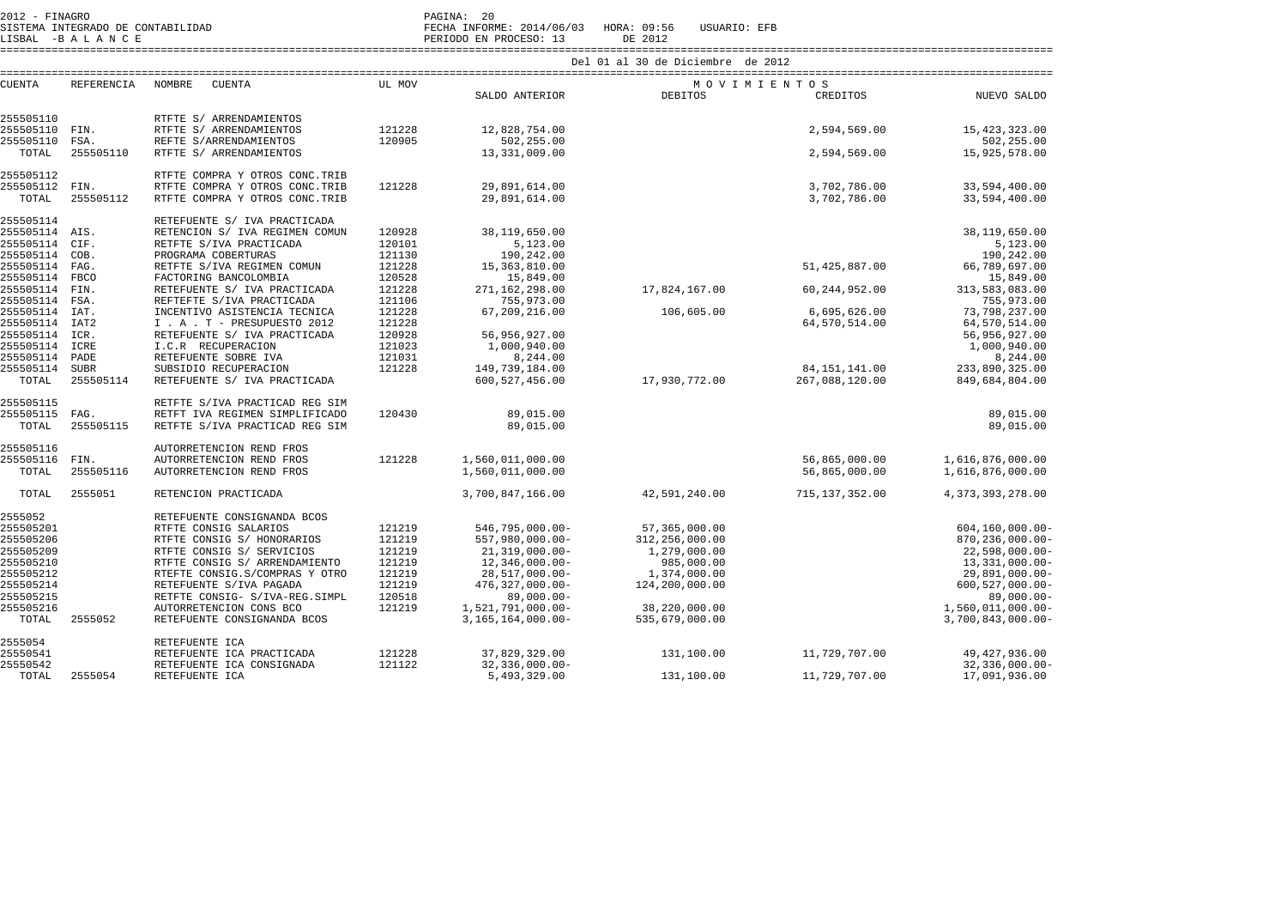LISBAL -B A L A N C E PERIODO EN PROCESO: 13 DE 2012

SISTEMA INTEGRADO DE CONTABILIDAD FECHA INFORME: 2014/06/03 HORA: 09:56 USUARIO: EFB

|                        |                     |                                                     | Del 01 al 30 de Diciembre de 2012 |                              |                |                  |                            |  |  |
|------------------------|---------------------|-----------------------------------------------------|-----------------------------------|------------------------------|----------------|------------------|----------------------------|--|--|
| <b>CUENTA</b>          | <b>REFERENCIA</b>   | <b>NOMBRE</b><br><b>CUENTA</b>                      | UL MOV                            |                              | MOVIMIENTOS    |                  |                            |  |  |
|                        |                     |                                                     |                                   | SALDO ANTERIOR               | <b>DEBITOS</b> | CREDITOS         | NUEVO SALDO                |  |  |
| 255505110              |                     | RTFTE S/ ARRENDAMIENTOS                             |                                   |                              |                |                  |                            |  |  |
| 255505110              | FIN.                | RTFTE S/ ARRENDAMIENTOS                             | 121228                            | 12,828,754.00                |                | 2,594,569.00     | 15, 423, 323.00            |  |  |
| 255505110              | FSA.                | REFTE S/ARRENDAMIENTOS                              | 120905                            | 502,255.00                   |                |                  | 502,255.00                 |  |  |
| TOTAL                  | 255505110           | RTFTE S/ ARRENDAMIENTOS                             |                                   | 13,331,009.00                |                | 2,594,569.00     | 15,925,578.00              |  |  |
| 255505112              |                     | RTFTE COMPRA Y OTROS CONC. TRIB                     |                                   |                              |                |                  |                            |  |  |
| 255505112              | FIN.                | RTFTE COMPRA Y OTROS CONC. TRIB                     | 121228                            | 29,891,614.00                |                | 3,702,786.00     | 33,594,400.00              |  |  |
| TOTAL                  | 255505112           | RTFTE COMPRA Y OTROS CONC. TRIB                     |                                   | 29,891,614.00                |                | 3,702,786.00     | 33,594,400.00              |  |  |
| 255505114              |                     | RETEFUENTE S/ IVA PRACTICADA                        |                                   |                              |                |                  |                            |  |  |
| 255505114              | AIS.                | RETENCION S/ IVA REGIMEN COMUN                      | 120928                            | 38,119,650.00                |                |                  | 38,119,650.00              |  |  |
| 255505114              | CIF.                | RETFTE S/IVA PRACTICADA                             | 120101                            | 5,123.00                     |                |                  | 5,123.00                   |  |  |
| 255505114              | COB.                | PROGRAMA COBERTURAS                                 | 121130<br>121228                  | 190,242.00                   |                | 51,425,887.00    | 190,242.00                 |  |  |
| 255505114<br>255505114 | FAG.<br><b>FBCO</b> | RETFTE S/IVA REGIMEN COMUN<br>FACTORING BANCOLOMBIA | 120528                            | 15, 363, 810.00<br>15,849.00 |                |                  | 66,789,697.00<br>15,849.00 |  |  |
| 255505114              | FIN.                | RETEFUENTE S/ IVA PRACTICADA                        | 121228                            | 271,162,298.00               | 17,824,167.00  | 60, 244, 952.00  | 313,583,083.00             |  |  |
| 255505114              | FSA.                | REFTEFTE S/IVA PRACTICADA                           | 121106                            | 755,973.00                   |                |                  | 755,973.00                 |  |  |
| 255505114              | IAT.                | INCENTIVO ASISTENCIA TECNICA                        | 121228                            | 67,209,216.00                | 106,605.00     | 6,695,626.00     | 73,798,237.00              |  |  |
| 255505114              | IAT <sub>2</sub>    | I . A . T - PRESUPUESTO 2012                        | 121228                            |                              |                | 64,570,514.00    | 64,570,514.00              |  |  |
| 255505114              | ICR.                | RETEFUENTE S/ IVA PRACTICADA                        | 120928                            | 56,956,927.00                |                |                  | 56,956,927.00              |  |  |
| 255505114              | ICRE                | I.C.R RECUPERACION                                  | 121023                            | 1,000,940.00                 |                |                  | 1,000,940.00               |  |  |
| 255505114              | PADE                | RETEFUENTE SOBRE IVA                                | 121031                            | 8,244.00                     |                |                  | 8,244.00                   |  |  |
| 255505114              | <b>SUBR</b>         | SUBSIDIO RECUPERACION                               | 121228                            | 149,739,184.00               |                | 84, 151, 141.00  | 233,890,325.00             |  |  |
| TOTAL                  | 255505114           | RETEFUENTE S/ IVA PRACTICADA                        |                                   | 600, 527, 456.00             | 17,930,772.00  | 267,088,120.00   | 849,684,804.00             |  |  |
| 255505115              |                     | RETFTE S/IVA PRACTICAD REG SIM                      |                                   |                              |                |                  |                            |  |  |
| 255505115              | FAG.                | RETFT IVA REGIMEN SIMPLIFICADO                      | 120430                            | 89,015.00                    |                |                  | 89,015.00                  |  |  |
| TOTAL                  | 255505115           | RETFTE S/IVA PRACTICAD REG SIM                      |                                   | 89,015.00                    |                |                  | 89,015.00                  |  |  |
| 255505116              |                     | AUTORRETENCION REND FROS                            |                                   |                              |                |                  |                            |  |  |
| 255505116              | FIN.                | AUTORRETENCION REND FROS                            | 121228                            | 1,560,011,000.00             |                | 56,865,000.00    | 1,616,876,000.00           |  |  |
| TOTAL                  | 255505116           | AUTORRETENCION REND FROS                            |                                   | 1,560,011,000.00             |                | 56,865,000.00    | 1,616,876,000.00           |  |  |
| TOTAL                  | 2555051             | RETENCION PRACTICADA                                |                                   | 3,700,847,166.00             | 42,591,240.00  | 715, 137, 352.00 | 4, 373, 393, 278.00        |  |  |
| 2555052                |                     | RETEFUENTE CONSIGNANDA BCOS                         |                                   |                              |                |                  |                            |  |  |
| 255505201              |                     | RTFTE CONSIG SALARIOS                               | 121219                            | 546,795,000.00-              | 57,365,000.00  |                  | $604, 160, 000.00 -$       |  |  |
| 255505206              |                     | RTFTE CONSIG S/ HONORARIOS                          | 121219                            | 557,980,000.00-              | 312,256,000.00 |                  | $870, 236, 000.00 -$       |  |  |
| 255505209              |                     | RTFTE CONSIG S/ SERVICIOS                           | 121219                            | 21,319,000.00-               | 1,279,000.00   |                  | $22,598,000.00 -$          |  |  |
| 255505210              |                     | RTFTE CONSIG S/ ARRENDAMIENTO                       | 121219                            | $12,346,000.00-$             | 985,000.00     |                  | 13,331,000.00-             |  |  |
| 255505212              |                     | RTEFTE CONSIG.S/COMPRAS Y OTRO                      | 121219                            | 28,517,000.00-               | 1,374,000.00   |                  | $29,891,000.00 -$          |  |  |
| 255505214              |                     | RETEFUENTE S/IVA PAGADA                             | 121219                            | $476, 327, 000.00 -$         | 124,200,000.00 |                  | $600, 527, 000.00 -$       |  |  |
| 255505215              |                     | RETFTE CONSIG- S/IVA-REG. SIMPL                     | 120518                            | $89,000.00 -$                |                |                  | $89,000.00$ -              |  |  |
| 255505216              |                     | AUTORRETENCION CONS BCO                             | 121219                            | 1,521,791,000.00-            | 38,220,000.00  |                  | 1,560,011,000.00-          |  |  |
| TOTAL                  | 2555052             | RETEFUENTE CONSIGNANDA BCOS                         |                                   | 3, 165, 164, 000.00-         | 535,679,000.00 |                  | 3,700,843,000.00-          |  |  |
| 2555054                |                     | RETEFUENTE ICA                                      |                                   |                              |                |                  |                            |  |  |
| 25550541               |                     | RETEFUENTE ICA PRACTICADA                           | 121228                            | 37,829,329.00                | 131,100.00     | 11,729,707.00    | 49, 427, 936.00            |  |  |
| 25550542               |                     | RETEFUENTE ICA CONSIGNADA                           | 121122                            | $32,336,000.00 -$            |                |                  | $32,336,000.00 -$          |  |  |
| TOTAL                  | 2555054             | RETEFUENTE ICA                                      |                                   | 5,493,329.00                 | 131,100.00     | 11,729,707.00    | 17,091,936.00              |  |  |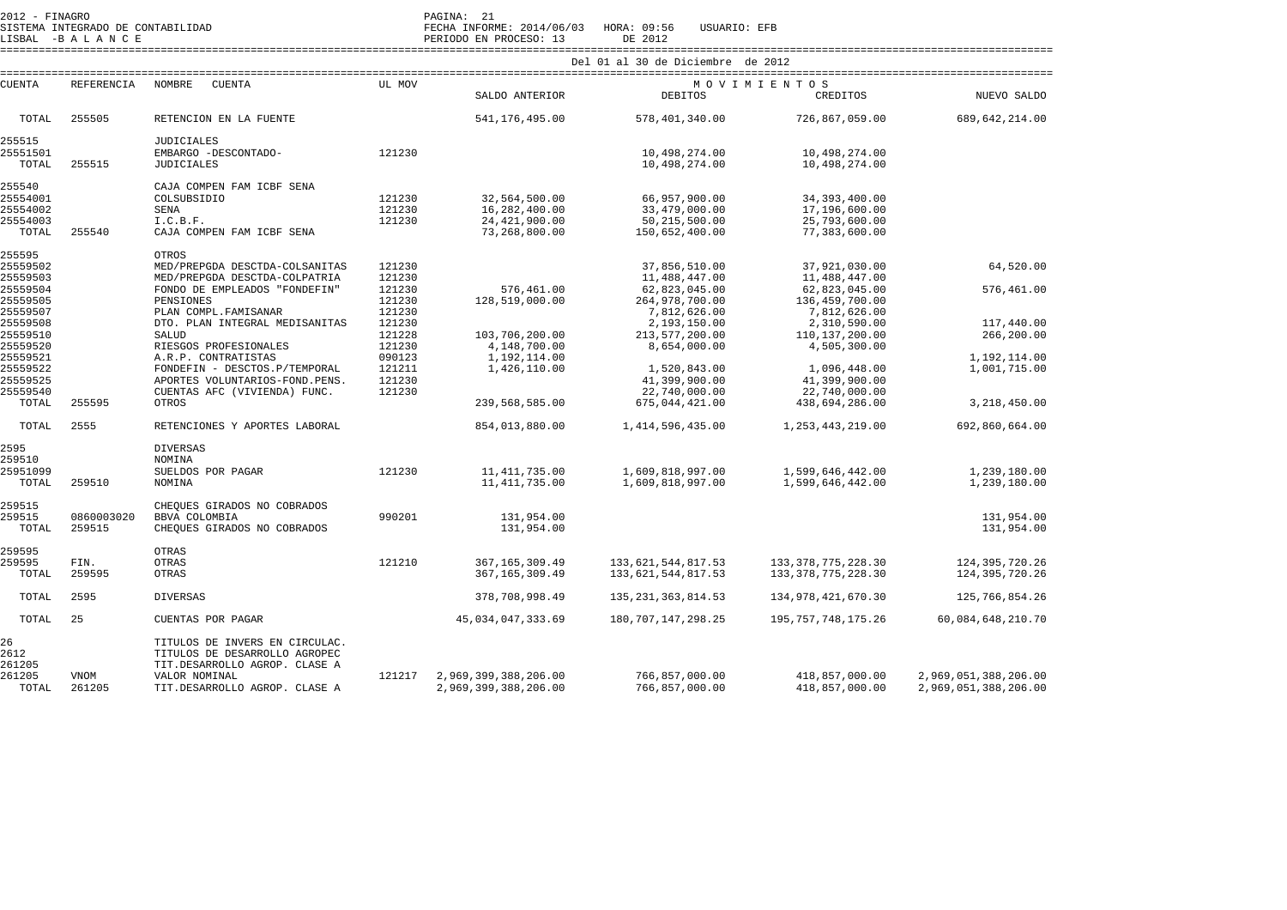SISTEMA INTEGRADO DE CONTABILIDAD FECHA INFORME: 2014/06/03 HORA: 09:56 USUARIO: EFB

LISBAL -B A L A N C E PERIODO EN PROCESO: 13 DE 2012 ==================================================================================================================================================================== Del 01 al 30 de Diciembre de 2012

| CUENTA               | <b>REFERENCIA</b> | NOMBRE<br><b>CUENTA</b>                                                                          | <b>III. MOV</b> |                      | MOVIMIENTOS            |                        |                      |  |  |
|----------------------|-------------------|--------------------------------------------------------------------------------------------------|-----------------|----------------------|------------------------|------------------------|----------------------|--|--|
|                      |                   |                                                                                                  |                 | SALDO ANTERIOR       | <b>DEBITOS</b>         | CREDITOS               | NUEVO SALDO          |  |  |
| TOTAL                | 255505            | RETENCION EN LA FUENTE                                                                           |                 | 541, 176, 495.00     | 578,401,340.00         | 726,867,059.00         | 689, 642, 214.00     |  |  |
| 255515               |                   | <b>JUDICIALES</b>                                                                                |                 |                      |                        |                        |                      |  |  |
| 25551501             |                   | EMBARGO -DESCONTADO-                                                                             | 121230          |                      | 10,498,274.00          | 10,498,274.00          |                      |  |  |
| TOTAL                | 255515            | <b>JUDICIALES</b>                                                                                |                 |                      | 10,498,274.00          | 10,498,274.00          |                      |  |  |
| 255540               |                   | CAJA COMPEN FAM ICBF SENA                                                                        |                 |                      |                        |                        |                      |  |  |
| 25554001             |                   | COLSUBSIDIO                                                                                      | 121230          | 32,564,500.00        | 66,957,900.00          | 34, 393, 400.00        |                      |  |  |
| 25554002             |                   | SENA                                                                                             | 121230          | 16,282,400.00        | 33,479,000.00          | 17,196,600.00          |                      |  |  |
| 25554003             |                   | I.C.B.F.                                                                                         | 121230          | 24, 421, 900.00      | 50, 215, 500.00        | 25,793,600.00          |                      |  |  |
| TOTAL                | 255540            | CAJA COMPEN FAM ICBF SENA                                                                        |                 | 73,268,800.00        | 150,652,400.00         | 77,383,600.00          |                      |  |  |
| 255595               |                   | OTROS                                                                                            |                 |                      |                        |                        |                      |  |  |
| 25559502             |                   | MED/PREPGDA DESCTDA-COLSANITAS                                                                   | 121230          |                      | 37,856,510.00          | 37,921,030.00          | 64,520.00            |  |  |
| 25559503             |                   | MED/PREPGDA DESCTDA-COLPATRIA                                                                    | 121230          |                      | 11,488,447.00          | 11,488,447.00          |                      |  |  |
| 25559504             |                   | FONDO DE EMPLEADOS "FONDEFIN"                                                                    | 121230          | 576,461.00           | 62,823,045.00          | 62,823,045.00          | 576,461.00           |  |  |
| 25559505             |                   | PENSIONES                                                                                        | 121230          | 128,519,000.00       | 264,978,700.00         | 136,459,700.00         |                      |  |  |
| 25559507             |                   | PLAN COMPL. FAMISANAR                                                                            | 121230          |                      | 7,812,626.00           | 7,812,626.00           |                      |  |  |
| 25559508             |                   | DTO. PLAN INTEGRAL MEDISANITAS                                                                   | 121230          |                      | 2,193,150.00           | 2,310,590.00           | 117,440.00           |  |  |
| 25559510             |                   | SALUD                                                                                            | 121228          | 103,706,200.00       | 213,577,200.00         | 110, 137, 200.00       | 266,200.00           |  |  |
| 25559520             |                   | RIESGOS PROFESIONALES                                                                            | 121230          | 4,148,700.00         | 8,654,000.00           | 4,505,300.00           |                      |  |  |
| 25559521             |                   | A.R.P. CONTRATISTAS                                                                              | 090123          | 1,192,114.00         |                        |                        | 1,192,114.00         |  |  |
| 25559522             |                   | FONDEFIN - DESCTOS.P/TEMPORAL                                                                    | 121211          | 1,426,110.00         | 1,520,843.00           | 1,096,448.00           | 1,001,715.00         |  |  |
| 25559525             |                   | APORTES VOLUNTARIOS-FOND.PENS.                                                                   | 121230          |                      | 41,399,900.00          | 41,399,900.00          |                      |  |  |
| 25559540             |                   | CUENTAS AFC (VIVIENDA) FUNC.                                                                     | 121230          |                      | 22,740,000.00          | 22,740,000.00          |                      |  |  |
| TOTAL                | 255595            | OTROS                                                                                            |                 | 239,568,585.00       | 675,044,421.00         | 438,694,286.00         | 3,218,450.00         |  |  |
| TOTAL                | 2555              | RETENCIONES Y APORTES LABORAL                                                                    |                 | 854,013,880.00       | 1, 414, 596, 435.00    | 1, 253, 443, 219, 00   | 692,860,664.00       |  |  |
| 2595                 |                   | <b>DIVERSAS</b>                                                                                  |                 |                      |                        |                        |                      |  |  |
| 259510               |                   | NOMINA                                                                                           |                 |                      |                        |                        |                      |  |  |
| 25951099             |                   | SUELDOS POR PAGAR                                                                                | 121230          | 11, 411, 735.00      | 1,609,818,997.00       | 1,599,646,442.00       | 1,239,180.00         |  |  |
| TOTAL                | 259510            | NOMINA                                                                                           |                 | 11, 411, 735.00      | 1,609,818,997.00       | 1,599,646,442.00       | 1,239,180.00         |  |  |
| 259515               |                   | CHEQUES GIRADOS NO COBRADOS                                                                      |                 |                      |                        |                        |                      |  |  |
| 259515               | 0860003020        | BBVA COLOMBIA                                                                                    | 990201          | 131,954.00           |                        |                        | 131,954.00           |  |  |
| TOTAL                | 259515            | CHEQUES GIRADOS NO COBRADOS                                                                      |                 | 131,954.00           |                        |                        | 131,954.00           |  |  |
| 259595               |                   | OTRAS                                                                                            |                 |                      |                        |                        |                      |  |  |
| 259595               | FIN.              | OTRAS                                                                                            | 121210          | 367, 165, 309.49     | 133, 621, 544, 817. 53 | 133, 378, 775, 228.30  | 124, 395, 720. 26    |  |  |
| TOTAL                | 259595            | <b>OTRAS</b>                                                                                     |                 | 367, 165, 309, 49    | 133,621,544,817.53     | 133, 378, 775, 228.30  | 124, 395, 720. 26    |  |  |
|                      |                   |                                                                                                  |                 |                      |                        |                        |                      |  |  |
| TOTAL                | 2595              | <b>DIVERSAS</b>                                                                                  |                 | 378,708,998.49       | 135, 231, 363, 814.53  | 134, 978, 421, 670. 30 | 125,766,854.26       |  |  |
| TOTAL                | 25                | CUENTAS POR PAGAR                                                                                |                 | 45,034,047,333.69    | 180, 707, 147, 298. 25 | 195, 757, 748, 175.26  | 60,084,648,210.70    |  |  |
| 26<br>2612<br>261205 |                   | TITULOS DE INVERS EN CIRCULAC.<br>TITULOS DE DESARROLLO AGROPEC<br>TIT.DESARROLLO AGROP. CLASE A |                 |                      |                        |                        |                      |  |  |
| 261205               | <b>VNOM</b>       | VALOR NOMINAL                                                                                    | 121217          | 2,969,399,388,206.00 | 766,857,000.00         | 418,857,000.00         | 2,969,051,388,206.00 |  |  |
| TOTAL                | 261205            | TIT.DESARROLLO AGROP. CLASE A                                                                    |                 | 2,969,399,388,206.00 | 766,857,000.00         | 418,857,000.00         | 2,969,051,388,206.00 |  |  |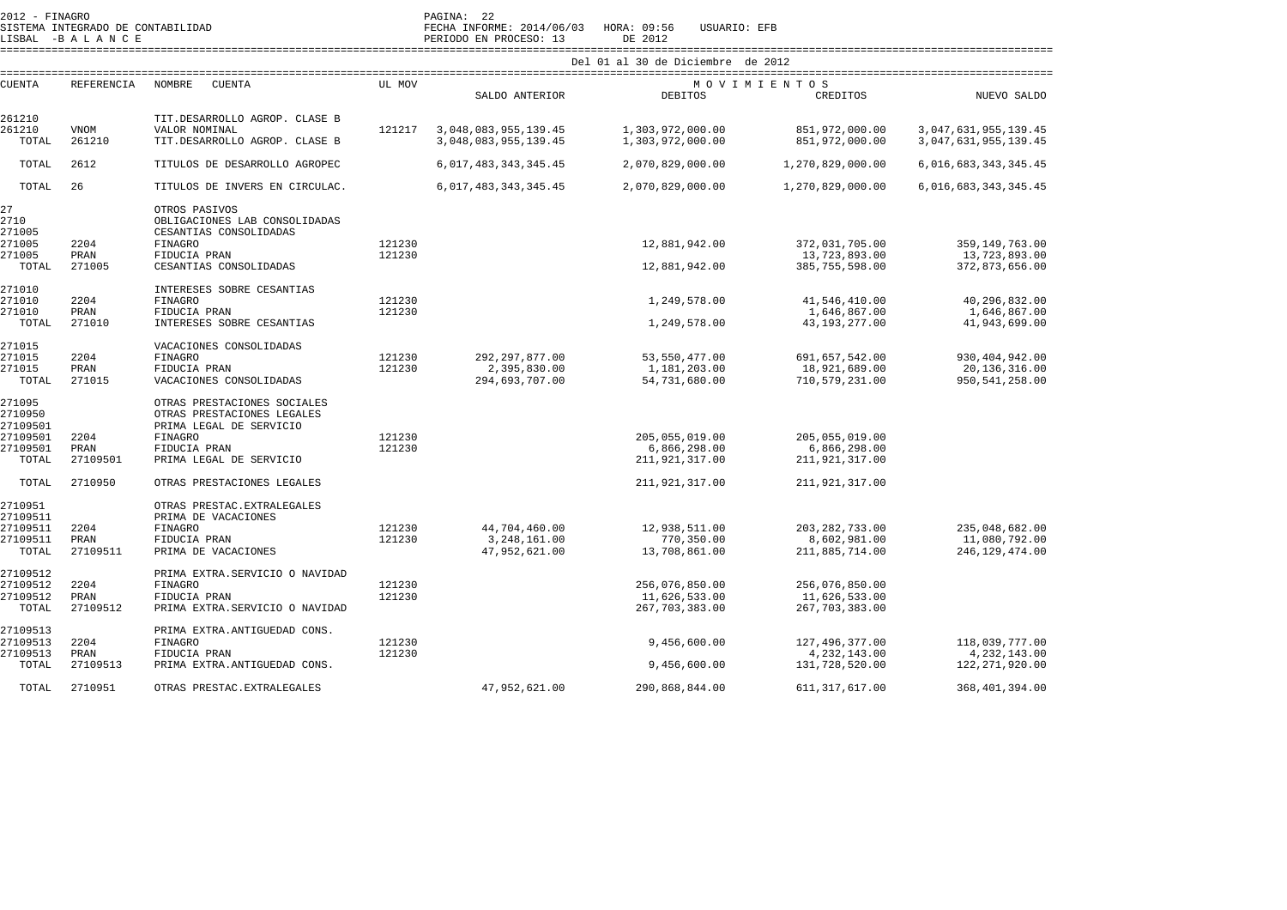| $\lambda U + \lambda = F + N A(\tau K)$ |  |                                   |
|-----------------------------------------|--|-----------------------------------|
|                                         |  | SISTEMA INTEGRADO DE CONTABILIDAD |

2012 - FINAGRO PAGINA: 22 SISTEMA INTEGRADO DE CONTABILIDAD FECHA INFORME: 2014/06/03 HORA: 09:56 USUARIO: EFB LISBAL -B A L A N C E PERIODO EN PROCESO: 13 DE 2012

 ==================================================================================================================================================================== Del 01 al 30 de Diciembre de 2012

| CUENTA   | <b>REFERENCIA</b> | NOMBRE<br>CUENTA               | UL MOV           |                           |                  | MOVIMIENTOS      |                          |
|----------|-------------------|--------------------------------|------------------|---------------------------|------------------|------------------|--------------------------|
|          |                   |                                |                  | SALDO ANTERIOR            | <b>DEBITOS</b>   | CREDITOS         | NUEVO SALDO              |
| 261210   |                   | TIT.DESARROLLO AGROP. CLASE B  |                  |                           |                  |                  |                          |
| 261210   | VNOM              | VALOR NOMINAL                  | 121217           | 3,048,083,955,139.45      | 1,303,972,000.00 | 851,972,000.00   | 3, 047, 631, 955, 139.45 |
| TOTAL    | 261210            | TIT.DESARROLLO AGROP. CLASE B  |                  | 3,048,083,955,139.45      | 1,303,972,000.00 | 851,972,000.00   | 3, 047, 631, 955, 139.45 |
| TOTAL    | 2612              | TITULOS DE DESARROLLO AGROPEC  |                  | 6, 017, 483, 343, 345. 45 | 2,070,829,000.00 | 1,270,829,000.00 | 6,016,683,343,345.45     |
| TOTAL    | 26                | TITULOS DE INVERS EN CIRCULAC. |                  | 6, 017, 483, 343, 345. 45 | 2,070,829,000.00 | 1,270,829,000.00 | 6, 016, 683, 343, 345.45 |
|          |                   |                                |                  |                           |                  |                  |                          |
| 27       |                   | OTROS PASIVOS                  |                  |                           |                  |                  |                          |
| 2710     |                   | OBLIGACIONES LAB CONSOLIDADAS  |                  |                           |                  |                  |                          |
| 271005   |                   | CESANTIAS CONSOLIDADAS         |                  |                           |                  |                  |                          |
| 271005   | 2204              | FINAGRO                        | 121230<br>121230 |                           | 12,881,942.00    | 372,031,705.00   | 359, 149, 763.00         |
| 271005   | PRAN              | FIDUCIA PRAN                   |                  |                           |                  | 13,723,893.00    | 13,723,893.00            |
| TOTAL    | 271005            | CESANTIAS CONSOLIDADAS         |                  |                           | 12,881,942.00    | 385,755,598.00   | 372,873,656.00           |
| 271010   |                   | INTERESES SOBRE CESANTIAS      |                  |                           |                  |                  |                          |
| 271010   | 2204              | FINAGRO                        | 121230           |                           | 1,249,578.00     | 41,546,410.00    | 40,296,832.00            |
| 271010   | PRAN              | FIDUCIA PRAN                   | 121230           |                           |                  | 1,646,867.00     | 1,646,867.00             |
| TOTAL    | 271010            | INTERESES SOBRE CESANTIAS      |                  |                           | 1,249,578.00     | 43, 193, 277.00  | 41,943,699.00            |
| 271015   |                   | VACACIONES CONSOLIDADAS        |                  |                           |                  |                  |                          |
| 271015   | 2204              | <b>FINAGRO</b>                 | 121230           | 292, 297, 877.00          | 53, 550, 477.00  | 691,657,542.00   | 930, 404, 942.00         |
| 271015   | PRAN              | FIDUCIA PRAN                   | 121230           | 2,395,830.00              | 1,181,203.00     | 18,921,689.00    | 20, 136, 316.00          |
| TOTAL    | 271015            | VACACIONES CONSOLIDADAS        |                  | 294,693,707.00            | 54,731,680.00    | 710,579,231.00   | 950, 541, 258.00         |
| 271095   |                   | OTRAS PRESTACIONES SOCIALES    |                  |                           |                  |                  |                          |
| 2710950  |                   | OTRAS PRESTACIONES LEGALES     |                  |                           |                  |                  |                          |
| 27109501 |                   | PRIMA LEGAL DE SERVICIO        |                  |                           |                  |                  |                          |
| 27109501 | 2204              | <b>FINAGRO</b>                 | 121230           |                           | 205,055,019.00   | 205,055,019.00   |                          |
| 27109501 | PRAN              | FIDUCIA PRAN                   | 121230           |                           | 6,866,298.00     | 6,866,298.00     |                          |
| TOTAL    | 27109501          | PRIMA LEGAL DE SERVICIO        |                  |                           | 211,921,317.00   | 211,921,317.00   |                          |
| TOTAL    | 2710950           | OTRAS PRESTACIONES LEGALES     |                  |                           | 211,921,317.00   | 211,921,317.00   |                          |
|          |                   |                                |                  |                           |                  |                  |                          |
| 2710951  |                   | OTRAS PRESTAC. EXTRALEGALES    |                  |                           |                  |                  |                          |
| 27109511 |                   | PRIMA DE VACACIONES            |                  |                           |                  |                  |                          |
| 27109511 | 2204              | <b>FINAGRO</b>                 | 121230           | 44,704,460.00             | 12,938,511.00    | 203, 282, 733.00 | 235,048,682.00           |
| 27109511 | PRAN              | FIDUCIA PRAN                   | 121230           | 3, 248, 161.00            | 770,350.00       | 8,602,981.00     | 11,080,792.00            |
| TOTAL    | 27109511          | PRIMA DE VACACIONES            |                  | 47,952,621.00             | 13,708,861.00    | 211,885,714.00   | 246, 129, 474.00         |
| 27109512 |                   | PRIMA EXTRA.SERVICIO O NAVIDAD |                  |                           |                  |                  |                          |
| 27109512 | 2204              | <b>FINAGRO</b>                 | 121230           |                           | 256,076,850.00   | 256,076,850.00   |                          |
| 27109512 | PRAN              | FIDUCIA PRAN                   | 121230           |                           | 11,626,533.00    | 11,626,533.00    |                          |
| TOTAL    | 27109512          | PRIMA EXTRA.SERVICIO O NAVIDAD |                  |                           | 267, 703, 383.00 | 267, 703, 383.00 |                          |
| 27109513 |                   | PRIMA EXTRA.ANTIGUEDAD CONS.   |                  |                           |                  |                  |                          |
| 27109513 | 2204              | <b>FINAGRO</b>                 | 121230           |                           | 9,456,600.00     | 127,496,377.00   | 118,039,777.00           |
| 27109513 | PRAN              | FIDUCIA PRAN                   | 121230           |                           |                  | 4, 232, 143.00   | 4, 232, 143.00           |
| TOTAL    | 27109513          | PRIMA EXTRA.ANTIGUEDAD CONS.   |                  |                           | 9,456,600.00     | 131,728,520.00   | 122, 271, 920.00         |
|          |                   |                                |                  |                           |                  |                  |                          |
| TOTAL    | 2710951           | OTRAS PRESTAC. EXTRALEGALES    |                  | 47,952,621.00             | 290,868,844.00   | 611, 317, 617.00 | 368,401,394.00           |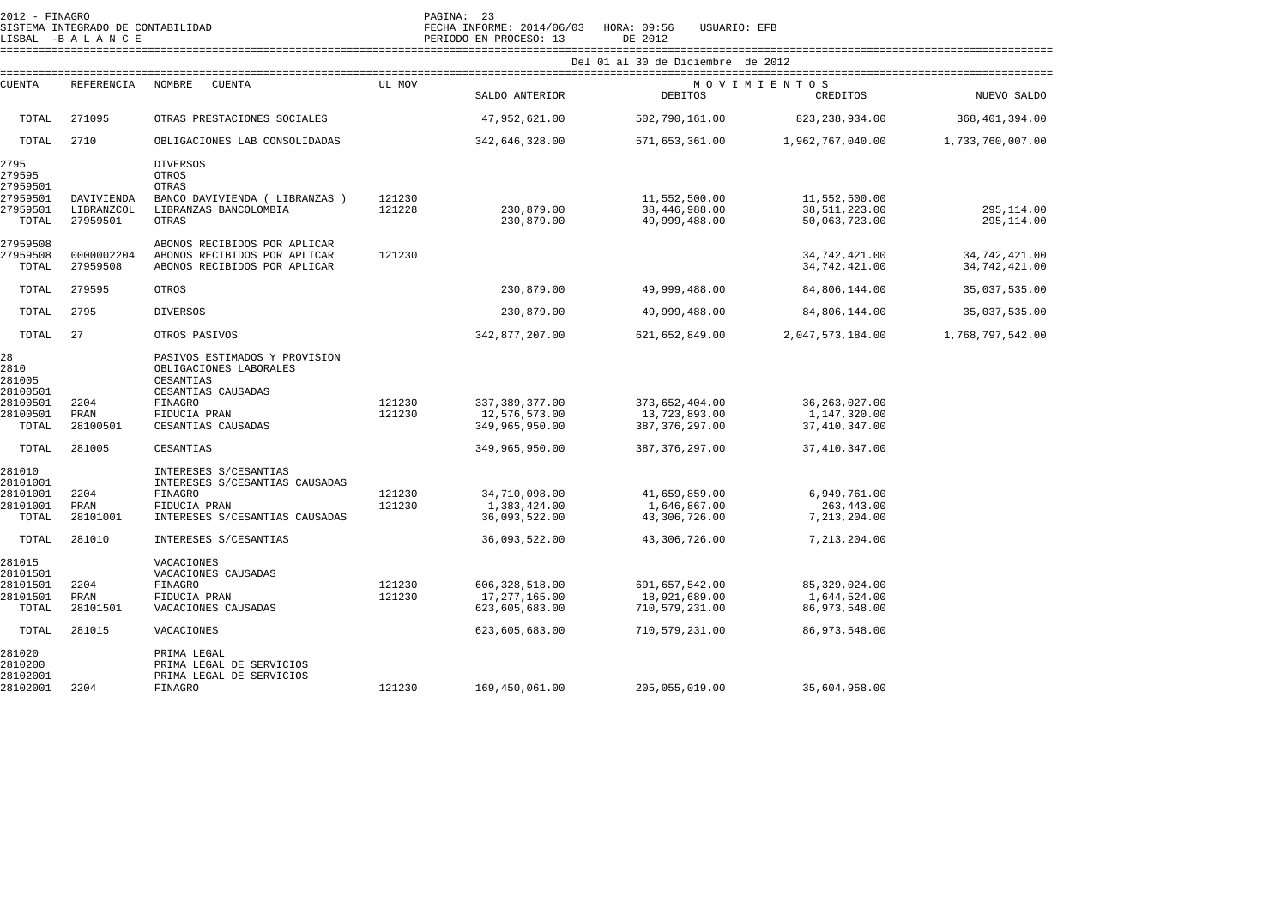| 2012 - FINAGRO                   | SISTEMA INTEGRADO DE CONTABILIDAD |                                                                                            |        | PAGINA: 23<br>FECHA INFORME: 2014/06/03 | HORA: 09:56<br>USUARIO: EFB       |                                |                                |
|----------------------------------|-----------------------------------|--------------------------------------------------------------------------------------------|--------|-----------------------------------------|-----------------------------------|--------------------------------|--------------------------------|
|                                  | LISBAL -BALANCE                   |                                                                                            |        | PERIODO EN PROCESO: 13                  | DE 2012                           |                                |                                |
|                                  |                                   |                                                                                            |        |                                         | Del 01 al 30 de Diciembre de 2012 |                                |                                |
| CUENTA                           | REFERENCIA                        | NOMBRE<br><b>CUENTA</b>                                                                    | UL MOV |                                         | MOVIMIENTOS                       |                                |                                |
|                                  |                                   |                                                                                            |        | SALDO ANTERIOR                          | <b>DEBITOS</b>                    | CREDITOS                       | NUEVO SALDO                    |
| TOTAL                            | 271095                            | OTRAS PRESTACIONES SOCIALES                                                                |        | 47,952,621.00                           | 502,790,161.00                    | 823, 238, 934.00               | 368, 401, 394.00               |
| TOTAL                            | 2710                              | OBLIGACIONES LAB CONSOLIDADAS                                                              |        | 342,646,328.00                          | 571,653,361.00                    | 1,962,767,040.00               | 1,733,760,007.00               |
| 2795<br>279595<br>27959501       |                                   | <b>DIVERSOS</b><br>OTROS<br>OTRAS                                                          |        |                                         |                                   |                                |                                |
| 27959501                         | DAVIVIENDA                        | BANCO DAVIVIENDA ( LIBRANZAS )                                                             | 121230 |                                         | 11,552,500.00                     | 11,552,500.00                  |                                |
| 27959501<br>TOTAL                | LIBRANZCOL<br>27959501            | LIBRANZAS BANCOLOMBIA<br>OTRAS                                                             | 121228 | 230,879.00<br>230,879.00                | 38,446,988.00<br>49,999,488.00    | 38,511,223.00<br>50,063,723.00 | 295,114.00<br>295,114.00       |
| 27959508                         |                                   | ABONOS RECIBIDOS POR APLICAR                                                               |        |                                         |                                   |                                |                                |
| 27959508<br>TOTAL                | 0000002204<br>27959508            | ABONOS RECIBIDOS POR APLICAR<br>ABONOS RECIBIDOS POR APLICAR                               | 121230 |                                         |                                   | 34,742,421.00<br>34,742,421.00 | 34,742,421.00<br>34,742,421.00 |
| TOTAL                            | 279595                            | OTROS                                                                                      |        | 230,879.00                              | 49,999,488.00                     | 84,806,144.00                  | 35,037,535.00                  |
| TOTAL                            | 2795                              | <b>DIVERSOS</b>                                                                            |        | 230,879.00                              | 49,999,488.00                     | 84,806,144.00                  | 35,037,535.00                  |
| TOTAL                            | 27                                | OTROS PASIVOS                                                                              |        | 342,877,207.00                          | 621,652,849.00                    | 2,047,573,184.00               | 1,768,797,542.00               |
| 28<br>2810<br>281005<br>28100501 |                                   | PASIVOS ESTIMADOS Y PROVISION<br>OBLIGACIONES LABORALES<br>CESANTIAS<br>CESANTIAS CAUSADAS |        |                                         |                                   |                                |                                |
| 28100501                         | 2204                              | FINAGRO                                                                                    | 121230 | 337, 389, 377.00                        | 373,652,404.00                    | 36, 263, 027.00                |                                |
| 28100501                         | PRAN                              | FIDUCIA PRAN                                                                               | 121230 | 12,576,573.00                           | 13,723,893.00                     | 1,147,320.00                   |                                |
| TOTAL                            | 28100501                          | CESANTIAS CAUSADAS                                                                         |        | 349,965,950.00                          | 387, 376, 297.00                  | 37, 410, 347.00                |                                |
| TOTAL                            | 281005                            | CESANTIAS                                                                                  |        | 349,965,950.00                          | 387, 376, 297.00                  | 37, 410, 347.00                |                                |
| 281010<br>28101001               |                                   | INTERESES S/CESANTIAS<br>INTERESES S/CESANTIAS CAUSADAS                                    |        |                                         |                                   |                                |                                |
| 28101001                         | 2204                              | FINAGRO                                                                                    | 121230 | 34,710,098.00                           | 41,659,859.00                     | 6,949,761.00                   |                                |
| 28101001<br>TOTAL                | PRAN<br>28101001                  | FIDUCIA PRAN<br>INTERESES S/CESANTIAS CAUSADAS                                             | 121230 | 1,383,424.00<br>36,093,522.00           | 1,646,867.00<br>43,306,726.00     | 263, 443.00<br>7,213,204.00    |                                |
| TOTAL                            | 281010                            | INTERESES S/CESANTIAS                                                                      |        | 36,093,522.00                           | 43,306,726.00                     | 7,213,204.00                   |                                |
| 281015                           |                                   | VACACIONES                                                                                 |        |                                         |                                   |                                |                                |
| 28101501<br>28101501             | 2204                              | VACACIONES CAUSADAS<br>FINAGRO                                                             | 121230 | 606, 328, 518.00                        | 691,657,542.00                    | 85, 329, 024.00                |                                |
| 28101501                         | PRAN                              | FIDUCIA PRAN                                                                               | 121230 | 17,277,165.00                           | 18,921,689.00                     | 1,644,524.00                   |                                |
| TOTAL                            | 28101501                          | VACACIONES CAUSADAS                                                                        |        | 623,605,683.00                          | 710,579,231.00                    | 86,973,548.00                  |                                |
| TOTAL                            | 281015                            | VACACIONES                                                                                 |        | 623,605,683.00                          | 710,579,231.00                    | 86, 973, 548.00                |                                |
| 281020<br>2810200                |                                   | PRIMA LEGAL<br>PRIMA LEGAL DE SERVICIOS                                                    |        |                                         |                                   |                                |                                |
| 28102001<br>28102001             | 2204                              | PRIMA LEGAL DE SERVICIOS<br>FINAGRO                                                        | 121230 | 169,450,061.00                          | 205,055,019.00                    | 35,604,958.00                  |                                |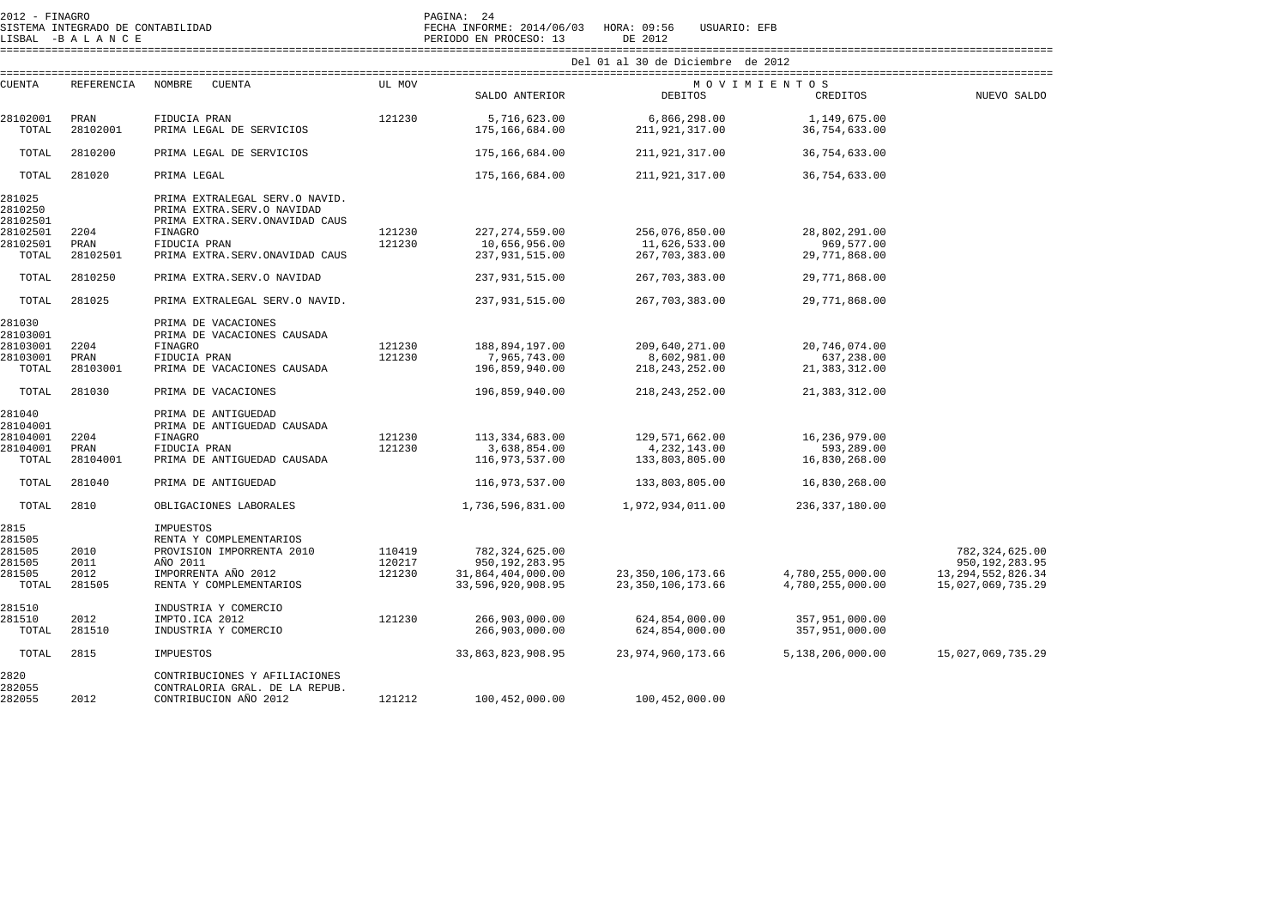| 2012 - FINAGRO<br>SISTEMA INTEGRADO DE CONTABILIDAD<br>LISBAL -BALANCE |                   |                                                                                                |        | PAGINA: 24<br>FECHA INFORME: 2014/06/03<br>HORA: 09:56<br>USUARIO: EFB<br>PERIODO EN PROCESO: 13<br>DE 2012 |                                              |                                      |                                            |  |  |  |
|------------------------------------------------------------------------|-------------------|------------------------------------------------------------------------------------------------|--------|-------------------------------------------------------------------------------------------------------------|----------------------------------------------|--------------------------------------|--------------------------------------------|--|--|--|
|                                                                        |                   |                                                                                                |        |                                                                                                             | Del 01 al 30 de Diciembre de 2012            |                                      |                                            |  |  |  |
|                                                                        |                   |                                                                                                |        |                                                                                                             |                                              |                                      |                                            |  |  |  |
| <b>CUENTA</b>                                                          | <b>REFERENCIA</b> | NOMBRE<br><b>CUENTA</b>                                                                        | UL MOV | SALDO ANTERIOR                                                                                              | DEBITOS                                      | MOVIMIENTOS<br>CREDITOS              | NUEVO SALDO                                |  |  |  |
| 28102001                                                               | PRAN              | FIDUCIA PRAN                                                                                   | 121230 | 5,716,623.00                                                                                                | 6,866,298.00                                 | 1,149,675.00                         |                                            |  |  |  |
| TOTAL                                                                  | 28102001          | PRIMA LEGAL DE SERVICIOS                                                                       |        | 175,166,684.00                                                                                              | 211,921,317.00                               | 36,754,633.00                        |                                            |  |  |  |
| TOTAL                                                                  | 2810200           | PRIMA LEGAL DE SERVICIOS                                                                       |        | 175,166,684.00                                                                                              | 211,921,317.00                               | 36,754,633.00                        |                                            |  |  |  |
| TOTAL                                                                  | 281020            | PRIMA LEGAL                                                                                    |        | 175,166,684.00                                                                                              | 211,921,317.00                               | 36,754,633.00                        |                                            |  |  |  |
| 281025<br>2810250<br>28102501                                          |                   | PRIMA EXTRALEGAL SERV.O NAVID.<br>PRIMA EXTRA.SERV.O NAVIDAD<br>PRIMA EXTRA.SERV.ONAVIDAD CAUS |        |                                                                                                             |                                              |                                      |                                            |  |  |  |
| 28102501                                                               | 2204              | FINAGRO                                                                                        | 121230 | 227, 274, 559.00                                                                                            | 256,076,850.00                               | 28,802,291.00                        |                                            |  |  |  |
| 28102501                                                               | PRAN              | FIDUCIA PRAN                                                                                   | 121230 | 10,656,956.00                                                                                               | 11,626,533.00                                | 969, 577, 00                         |                                            |  |  |  |
| TOTAL                                                                  | 28102501          | PRIMA EXTRA.SERV.ONAVIDAD CAUS                                                                 |        | 237,931,515.00                                                                                              | 267, 703, 383.00                             | 29,771,868.00                        |                                            |  |  |  |
| TOTAL                                                                  | 2810250           | PRIMA EXTRA.SERV.O NAVIDAD                                                                     |        | 237,931,515.00                                                                                              | 267,703,383.00                               | 29,771,868.00                        |                                            |  |  |  |
| TOTAL                                                                  | 281025            | PRIMA EXTRALEGAL SERV.O NAVID.                                                                 |        | 237,931,515.00                                                                                              | 267, 703, 383.00                             | 29,771,868.00                        |                                            |  |  |  |
| 281030<br>28103001                                                     |                   | PRIMA DE VACACIONES<br>PRIMA DE VACACIONES CAUSADA                                             |        |                                                                                                             |                                              |                                      |                                            |  |  |  |
| 28103001                                                               | 2204              | <b>FINAGRO</b>                                                                                 | 121230 | 188,894,197.00                                                                                              | 209,640,271.00                               | 20,746,074.00                        |                                            |  |  |  |
| 28103001                                                               | PRAN              | FIDUCIA PRAN                                                                                   | 121230 | 7,965,743.00                                                                                                | 8,602,981.00                                 | 637,238.00                           |                                            |  |  |  |
| TOTAL                                                                  | 28103001          | PRIMA DE VACACIONES CAUSADA                                                                    |        | 196,859,940.00                                                                                              | 218, 243, 252.00                             | 21, 383, 312.00                      |                                            |  |  |  |
| TOTAL                                                                  | 281030            | PRIMA DE VACACIONES                                                                            |        | 196,859,940.00                                                                                              | 218, 243, 252.00                             | 21, 383, 312.00                      |                                            |  |  |  |
| 281040<br>28104001                                                     |                   | PRIMA DE ANTIGUEDAD<br>PRIMA DE ANTIGUEDAD CAUSADA                                             |        |                                                                                                             |                                              |                                      |                                            |  |  |  |
| 28104001                                                               | 2204              | <b>FINAGRO</b>                                                                                 | 121230 | 113, 334, 683.00                                                                                            | 129,571,662.00                               | 16,236,979.00                        |                                            |  |  |  |
| 28104001<br>TOTAL                                                      | PRAN<br>28104001  | FIDUCIA PRAN<br>PRIMA DE ANTIGUEDAD CAUSADA                                                    | 121230 | 3,638,854.00<br>116,973,537.00                                                                              | 4,232,143.00<br>133,803,805.00               | 593,289.00<br>16,830,268.00          |                                            |  |  |  |
|                                                                        |                   |                                                                                                |        |                                                                                                             |                                              |                                      |                                            |  |  |  |
| TOTAL                                                                  | 281040            | PRIMA DE ANTIGUEDAD                                                                            |        | 116,973,537.00                                                                                              | 133,803,805.00                               | 16,830,268.00                        |                                            |  |  |  |
| TOTAL                                                                  | 2810              | OBLIGACIONES LABORALES                                                                         |        | 1,736,596,831.00                                                                                            | 1,972,934,011.00                             | 236, 337, 180.00                     |                                            |  |  |  |
| 2815<br>281505                                                         |                   | IMPUESTOS<br>RENTA Y COMPLEMENTARIOS                                                           |        |                                                                                                             |                                              |                                      |                                            |  |  |  |
| 281505                                                                 | 2010              | PROVISION IMPORRENTA 2010                                                                      | 110419 | 782, 324, 625.00                                                                                            |                                              |                                      | 782, 324, 625.00                           |  |  |  |
| 281505                                                                 | 2011              | AÑO 2011                                                                                       | 120217 | 950, 192, 283.95                                                                                            |                                              |                                      | 950, 192, 283.95                           |  |  |  |
| 281505<br>TOTAL                                                        | 2012<br>281505    | IMPORRENTA AÑO 2012<br>RENTA Y COMPLEMENTARIOS                                                 | 121230 | 31,864,404,000.00<br>33,596,920,908.95                                                                      | 23, 350, 106, 173.66<br>23, 350, 106, 173.66 | 4,780,255,000.00<br>4,780,255,000.00 | 13, 294, 552, 826. 34<br>15,027,069,735.29 |  |  |  |
| 281510                                                                 |                   | INDUSTRIA Y COMERCIO                                                                           |        |                                                                                                             |                                              |                                      |                                            |  |  |  |
| 281510                                                                 | 2012              | IMPTO.ICA 2012                                                                                 | 121230 | 266,903,000.00                                                                                              | 624,854,000.00                               | 357,951,000.00                       |                                            |  |  |  |
| TOTAL                                                                  | 281510            | INDUSTRIA Y COMERCIO                                                                           |        | 266,903,000.00                                                                                              | 624,854,000.00                               | 357,951,000.00                       |                                            |  |  |  |
| TOTAL                                                                  | 2815              | IMPUESTOS                                                                                      |        | 33,863,823,908.95                                                                                           | 23,974,960,173.66                            | 5,138,206,000.00                     | 15,027,069,735.29                          |  |  |  |
| 2820<br>282055                                                         |                   | CONTRIBUCIONES Y AFILIACIONES<br>CONTRALORIA GRAL. DE LA REPUB.                                |        |                                                                                                             |                                              |                                      |                                            |  |  |  |
| 282055                                                                 | 2012              | CONTRIBUCION AÑO 2012                                                                          | 121212 | 100,452,000.00                                                                                              | 100,452,000.00                               |                                      |                                            |  |  |  |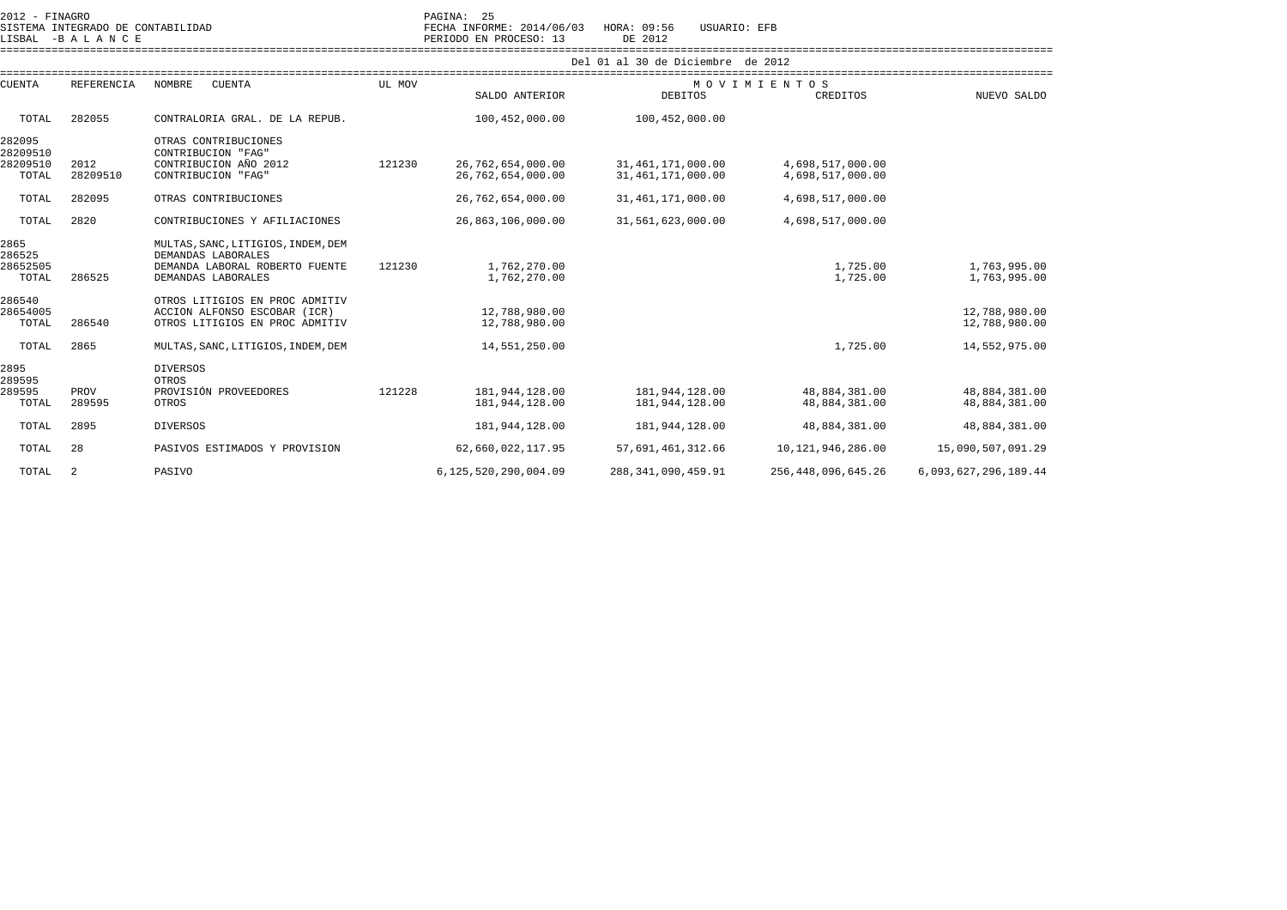|                                     | 2012 - FINAGRO<br>SISTEMA INTEGRADO DE CONTABILIDAD<br>LISBAL -BALANCE |                                                                                                                  |                                   | PAGINA: 25<br>FECHA INFORME: 2014/06/03<br>PERIODO EN PROCESO: 13 | HORA: 09:56<br>USUARIO: EFB<br>DE 2012 |                                |                                |  |  |
|-------------------------------------|------------------------------------------------------------------------|------------------------------------------------------------------------------------------------------------------|-----------------------------------|-------------------------------------------------------------------|----------------------------------------|--------------------------------|--------------------------------|--|--|
|                                     |                                                                        |                                                                                                                  | Del 01 al 30 de Diciembre de 2012 |                                                                   |                                        |                                |                                |  |  |
| <b>CUENTA</b>                       | REFERENCIA                                                             | NOMBRE<br><b>CUENTA</b>                                                                                          |                                   |                                                                   |                                        | MOVIMIENTOS                    |                                |  |  |
|                                     |                                                                        |                                                                                                                  |                                   | SALDO ANTERIOR                                                    | <b>DEBITOS</b>                         | CREDITOS                       | NUEVO SALDO                    |  |  |
| TOTAL                               | 282055                                                                 | CONTRALORIA GRAL. DE LA REPUB.                                                                                   |                                   | 100,452,000.00                                                    | 100,452,000.00                         |                                |                                |  |  |
| 282095<br>28209510<br>28209510      | 2012                                                                   | OTRAS CONTRIBUCIONES<br>CONTRIBUCION "FAG"<br>CONTRIBUCION AÑO 2012                                              | 121230                            | 26,762,654,000.00                                                 | 31,461,171,000.00                      | 4,698,517,000.00               |                                |  |  |
| TOTAL                               | 28209510                                                               | CONTRIBUCION "FAG"                                                                                               |                                   | 26,762,654,000.00                                                 | 31,461,171,000.00                      | 4,698,517,000.00               |                                |  |  |
| TOTAL                               | 282095                                                                 | OTRAS CONTRIBUCIONES                                                                                             |                                   | 26,762,654,000.00                                                 | 31, 461, 171, 000.00                   | 4,698,517,000.00               |                                |  |  |
| TOTAL                               | 2820                                                                   | CONTRIBUCIONES Y AFILIACIONES                                                                                    |                                   | 26,863,106,000.00                                                 | 31,561,623,000.00                      | 4,698,517,000.00               |                                |  |  |
| 2865<br>286525<br>28652505<br>TOTAL | 286525                                                                 | MULTAS, SANC, LITIGIOS, INDEM, DEM<br>DEMANDAS LABORALES<br>DEMANDA LABORAL ROBERTO FUENTE<br>DEMANDAS LABORALES | 121230                            | 1,762,270.00<br>1,762,270.00                                      |                                        | 1,725.00<br>1,725.00           | 1,763,995.00<br>1,763,995.00   |  |  |
| 286540<br>28654005<br>TOTAL         | 286540                                                                 | OTROS LITIGIOS EN PROC ADMITIV<br>ACCION ALFONSO ESCOBAR (ICR)<br>OTROS LITIGIOS EN PROC ADMITIV                 |                                   | 12,788,980.00<br>12,788,980.00                                    |                                        |                                | 12,788,980.00<br>12,788,980.00 |  |  |
| TOTAL                               | 2865                                                                   | MULTAS, SANC, LITIGIOS, INDEM, DEM                                                                               |                                   | 14,551,250.00                                                     |                                        | 1,725.00                       | 14,552,975.00                  |  |  |
| 2895<br>289595<br>289595<br>TOTAL   | PROV<br>289595                                                         | <b>DIVERSOS</b><br>OTROS<br>PROVISIÓN PROVEEDORES<br>OTROS                                                       | 121228                            | 181,944,128.00<br>181,944,128.00                                  | 181,944,128.00<br>181,944,128.00       | 48,884,381.00<br>48,884,381.00 | 48,884,381.00<br>48,884,381.00 |  |  |
| TOTAL                               | 2895                                                                   | <b>DIVERSOS</b>                                                                                                  |                                   | 181,944,128.00                                                    | 181,944,128.00                         | 48,884,381.00                  | 48,884,381.00                  |  |  |
| TOTAL                               | 28                                                                     | PASIVOS ESTIMADOS Y PROVISION                                                                                    |                                   | 62,660,022,117.95                                                 | 57,691,461,312.66                      | 10,121,946,286.00              | 15,090,507,091.29              |  |  |
| TOTAL                               | 2                                                                      | PASIVO                                                                                                           |                                   | 6, 125, 520, 290, 004.09                                          | 288, 341, 090, 459.91                  | 256, 448, 096, 645. 26         | 6,093,627,296,189.44           |  |  |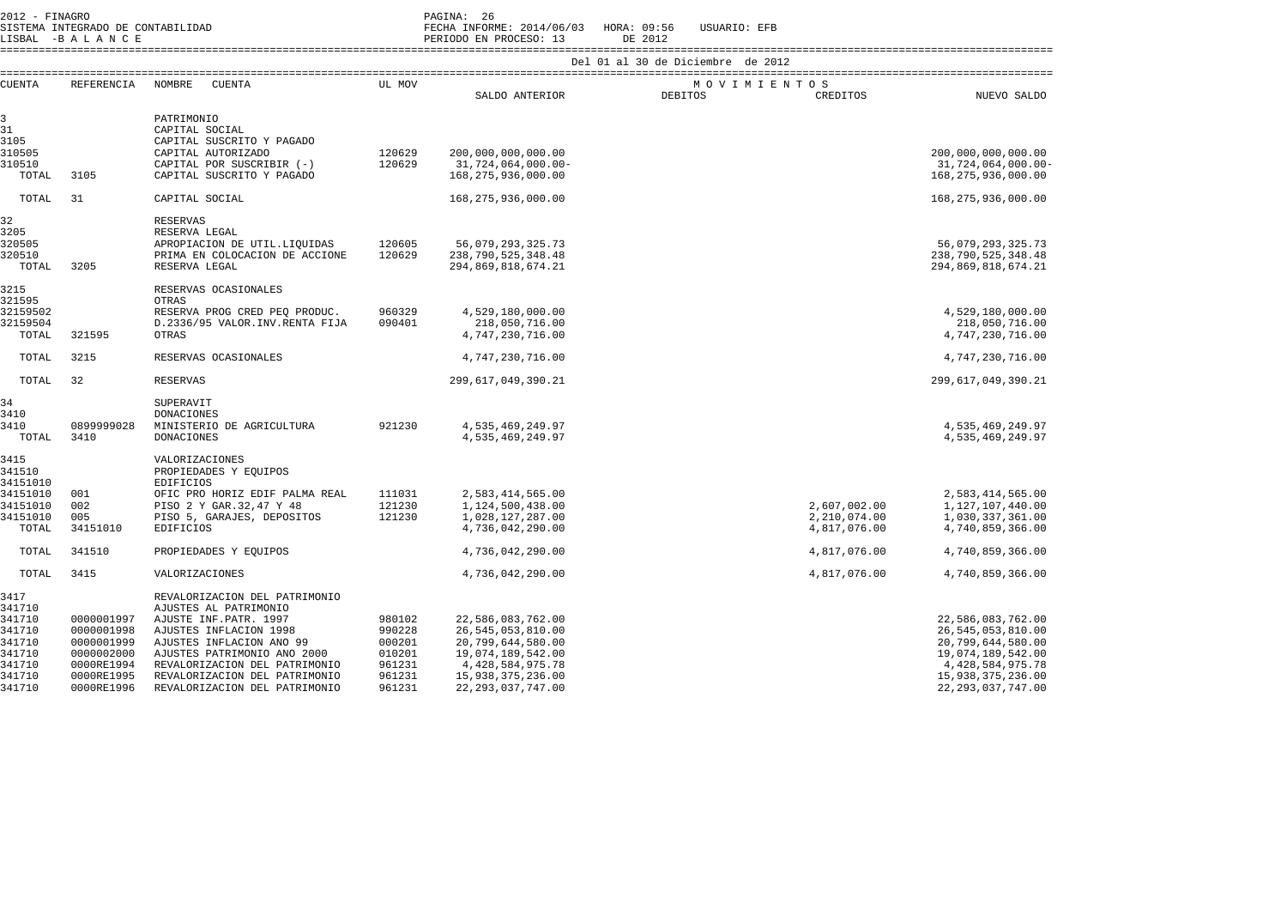2012 - FINAGRO<br>2012 - SISTEMA INTEGRADO DE CONTABILIDAD

SISTEMA INTEGRADO DE CONTABILIDAD FECHA INFORME: 2014/06/03 HORA: 09:56 USUARIO: EFB

LISBAL -B A L A N C E PERIODO EN PROCESO: 13 DE 2012 ====================================================================================================================================================================

| <b>CUENTA</b>        | REFERENCIA | <b>NOMBRE</b><br><b>CUENTA</b>            | UL MOV           |                                    |                | MOVIMIENTOS  |                                    |
|----------------------|------------|-------------------------------------------|------------------|------------------------------------|----------------|--------------|------------------------------------|
|                      |            |                                           |                  | SALDO ANTERIOR                     | <b>DEBITOS</b> | CREDITOS     | NUEVO SALDO                        |
| 3                    |            | PATRIMONIO                                |                  |                                    |                |              |                                    |
| 31                   |            | CAPITAL SOCIAL                            |                  |                                    |                |              |                                    |
| 3105                 |            | CAPITAL SUSCRITO Y PAGADO                 |                  |                                    |                |              |                                    |
| 310505               |            | CAPITAL AUTORIZADO                        | 120629           | 200,000,000,000.00                 |                |              | 200,000,000,000.00                 |
| 310510               |            | CAPITAL POR SUSCRIBIR (-)                 | 120629           | 31,724,064,000.00-                 |                |              | 31,724,064,000.00-                 |
| TOTAL                | 3105       | CAPITAL SUSCRITO Y PAGADO                 |                  | 168, 275, 936, 000.00              |                |              | 168,275,936,000.00                 |
| TOTAL                | 31         | CAPITAL SOCIAL                            |                  | 168, 275, 936, 000.00              |                |              | 168,275,936,000.00                 |
| 32                   |            | <b>RESERVAS</b>                           |                  |                                    |                |              |                                    |
| 3205                 |            | RESERVA LEGAL                             |                  |                                    |                |              |                                    |
| 320505               |            | APROPIACION DE UTIL. LIQUIDAS             | 120605           | 56,079,293,325.73                  |                |              | 56,079,293,325.73                  |
| 320510               |            | PRIMA EN COLOCACION DE ACCIONE            | 120629           | 238,790,525,348.48                 |                |              | 238,790,525,348.48                 |
| TOTAL                | 3205       | RESERVA LEGAL                             |                  | 294,869,818,674.21                 |                |              | 294,869,818,674.21                 |
| 3215                 |            | RESERVAS OCASIONALES                      |                  |                                    |                |              |                                    |
| 321595               |            | OTRAS                                     |                  |                                    |                |              |                                    |
| 32159502<br>32159504 |            | RESERVA PROG CRED PEO PRODUC.             | 960329<br>090401 | 4,529,180,000.00<br>218,050,716.00 |                |              | 4,529,180,000.00                   |
| TOTAL                | 321595     | D.2336/95 VALOR. INV. RENTA FIJA<br>OTRAS |                  | 4,747,230,716.00                   |                |              | 218,050,716.00<br>4,747,230,716.00 |
|                      |            |                                           |                  |                                    |                |              |                                    |
| TOTAL                | 3215       | RESERVAS OCASIONALES                      |                  | 4,747,230,716.00                   |                |              | 4,747,230,716.00                   |
| TOTAL                | 32         | <b>RESERVAS</b>                           |                  | 299,617,049,390.21                 |                |              | 299,617,049,390.21                 |
| 34                   |            | SUPERAVIT                                 |                  |                                    |                |              |                                    |
| 3410                 |            | DONACIONES                                |                  |                                    |                |              |                                    |
| 3410                 | 0899999028 | MINISTERIO DE AGRICULTURA                 | 921230           | 4,535,469,249.97                   |                |              | 4,535,469,249.97                   |
| TOTAL                | 3410       | <b>DONACIONES</b>                         |                  | 4,535,469,249.97                   |                |              | 4,535,469,249.97                   |
| 3415                 |            | <b>VALORIZACIONES</b>                     |                  |                                    |                |              |                                    |
| 341510               |            | PROPIEDADES Y EQUIPOS                     |                  |                                    |                |              |                                    |
| 34151010             |            | <b>EDIFICIOS</b>                          |                  |                                    |                |              |                                    |
| 34151010             | 001        | OFIC PRO HORIZ EDIF PALMA REAL            | 111031           | 2,583,414,565.00                   |                |              | 2,583,414,565.00                   |
| 34151010             | 002        | PISO 2 Y GAR. 32, 47 Y 48                 | 121230           | 1,124,500,438.00                   |                | 2,607,002.00 | 1,127,107,440.00                   |
| 34151010             | 005        | PISO 5, GARAJES, DEPOSITOS                | 121230           | 1,028,127,287.00                   |                | 2,210,074.00 | 1,030,337,361.00                   |
| TOTAL                | 34151010   | <b>EDIFICIOS</b>                          |                  | 4,736,042,290.00                   |                | 4,817,076.00 | 4,740,859,366.00                   |
| TOTAL                | 341510     | PROPIEDADES Y EQUIPOS                     |                  | 4,736,042,290.00                   |                | 4,817,076.00 | 4,740,859,366.00                   |
| TOTAL                | 3415       | VALORIZACIONES                            |                  | 4,736,042,290.00                   |                | 4,817,076.00 | 4,740,859,366.00                   |
| 3417                 |            | REVALORIZACION DEL PATRIMONIO             |                  |                                    |                |              |                                    |
| 341710               |            | AJUSTES AL PATRIMONIO                     |                  |                                    |                |              |                                    |
| 341710               | 0000001997 | AJUSTE INF. PATR. 1997                    | 980102           | 22,586,083,762.00                  |                |              | 22,586,083,762.00                  |
| 341710               | 0000001998 | AJUSTES INFLACION 1998                    | 990228           | 26,545,053,810.00                  |                |              | 26,545,053,810.00                  |
| 341710               | 0000001999 | AJUSTES INFLACION ANO 99                  | 000201           | 20,799,644,580.00                  |                |              | 20,799,644,580.00                  |
| 341710               | 0000002000 | AJUSTES PATRIMONIO ANO 2000               | 010201           | 19,074,189,542.00                  |                |              | 19,074,189,542.00                  |
| 341710               | 0000RE1994 | REVALORIZACION DEL PATRIMONIO             | 961231           | 4, 428, 584, 975. 78               |                |              | 4, 428, 584, 975. 78               |
| 341710               | 0000RE1995 | REVALORIZACION DEL PATRIMONIO             | 961231           | 15,938,375,236.00                  |                |              | 15,938,375,236.00                  |
| 341710               | 0000RE1996 | REVALORIZACION DEL PATRIMONIO             | 961231           | 22, 293, 037, 747.00               |                |              | 22, 293, 037, 747.00               |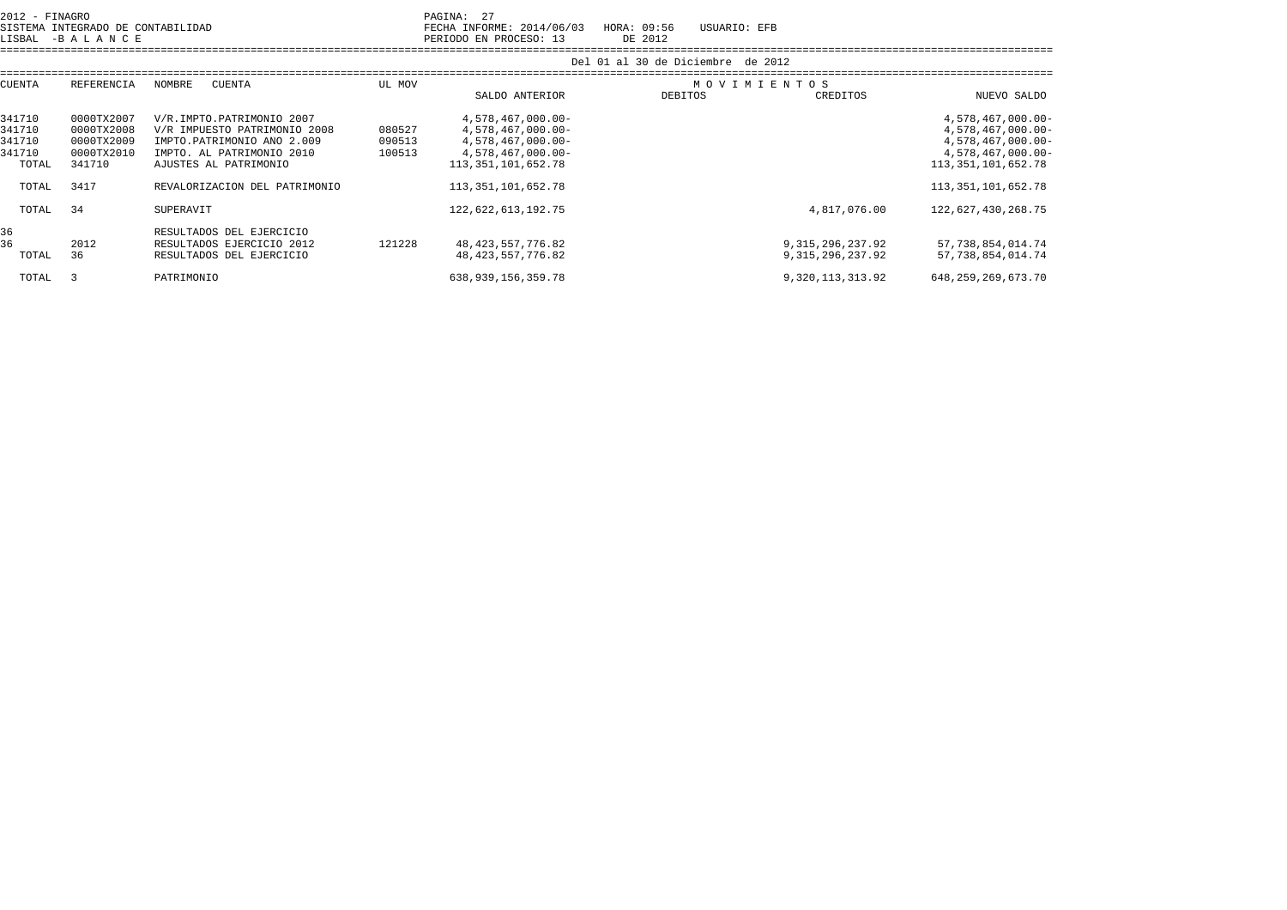| 2012 - FINAGRO<br>SISTEMA INTEGRADO DE CONTABILIDAD<br>LISBAL -BALANCE |                                                                |                                                                                                                                               |                            | 27<br>PAGINA:<br>FECHA INFORME: 2014/06/03<br>PERIODO EN PROCESO: 13                                       | USUARIO: EFB<br>HORA: 09:56<br>DE 2012 |                                            |                                                                                                            |
|------------------------------------------------------------------------|----------------------------------------------------------------|-----------------------------------------------------------------------------------------------------------------------------------------------|----------------------------|------------------------------------------------------------------------------------------------------------|----------------------------------------|--------------------------------------------|------------------------------------------------------------------------------------------------------------|
|                                                                        |                                                                |                                                                                                                                               |                            |                                                                                                            | Del 01 al 30 de Diciembre de 2012      |                                            |                                                                                                            |
| CUENTA<br>REFERENCIA                                                   |                                                                | NOMBRE<br>CUENTA                                                                                                                              | UL MOV                     | SALDO ANTERIOR                                                                                             | MOVIMIENTOS<br><b>DEBITOS</b>          | CREDITOS                                   | NUEVO SALDO                                                                                                |
| 341710<br>341710<br>341710<br>341710<br>TOTAL                          | 0000TX2007<br>0000TX2008<br>0000TX2009<br>0000TX2010<br>341710 | V/R.IMPTO.PATRIMONIO 2007<br>V/R IMPUESTO PATRIMONIO 2008<br>IMPTO.PATRIMONIO AÑO 2.009<br>IMPTO. AL PATRIMONIO 2010<br>AJUSTES AL PATRIMONIO | 080527<br>090513<br>100513 | 4,578,467,000.00-<br>4,578,467,000.00-<br>4,578,467,000.00-<br>4,578,467,000.00-<br>113, 351, 101, 652. 78 |                                        |                                            | 4,578,467,000.00-<br>4,578,467,000.00-<br>4,578,467,000.00-<br>4,578,467,000.00-<br>113, 351, 101, 652. 78 |
| TOTAL                                                                  | 3417                                                           | REVALORIZACION DEL PATRIMONIO                                                                                                                 |                            | 113, 351, 101, 652. 78                                                                                     |                                        |                                            | 113, 351, 101, 652. 78                                                                                     |
| TOTAL                                                                  | 34                                                             | SUPERAVIT                                                                                                                                     |                            | 122,622,613,192.75                                                                                         |                                        | 4,817,076.00                               | 122,627,430,268.75                                                                                         |
| 36<br>36<br>TOTAL                                                      | 2012<br>36                                                     | RESULTADOS DEL EJERCICIO<br>RESULTADOS EJERCICIO 2012<br>RESULTADOS DEL EJERCICIO                                                             | 121228                     | 48, 423, 557, 776.82<br>48, 423, 557, 776.82                                                               |                                        | 9, 315, 296, 237.92<br>9, 315, 296, 237.92 | 57, 738, 854, 014. 74<br>57,738,854,014.74                                                                 |

TOTAL 3 PATRIMONIO 638,939,156,359.78 9,320,113,313.92 648,259,269,673.70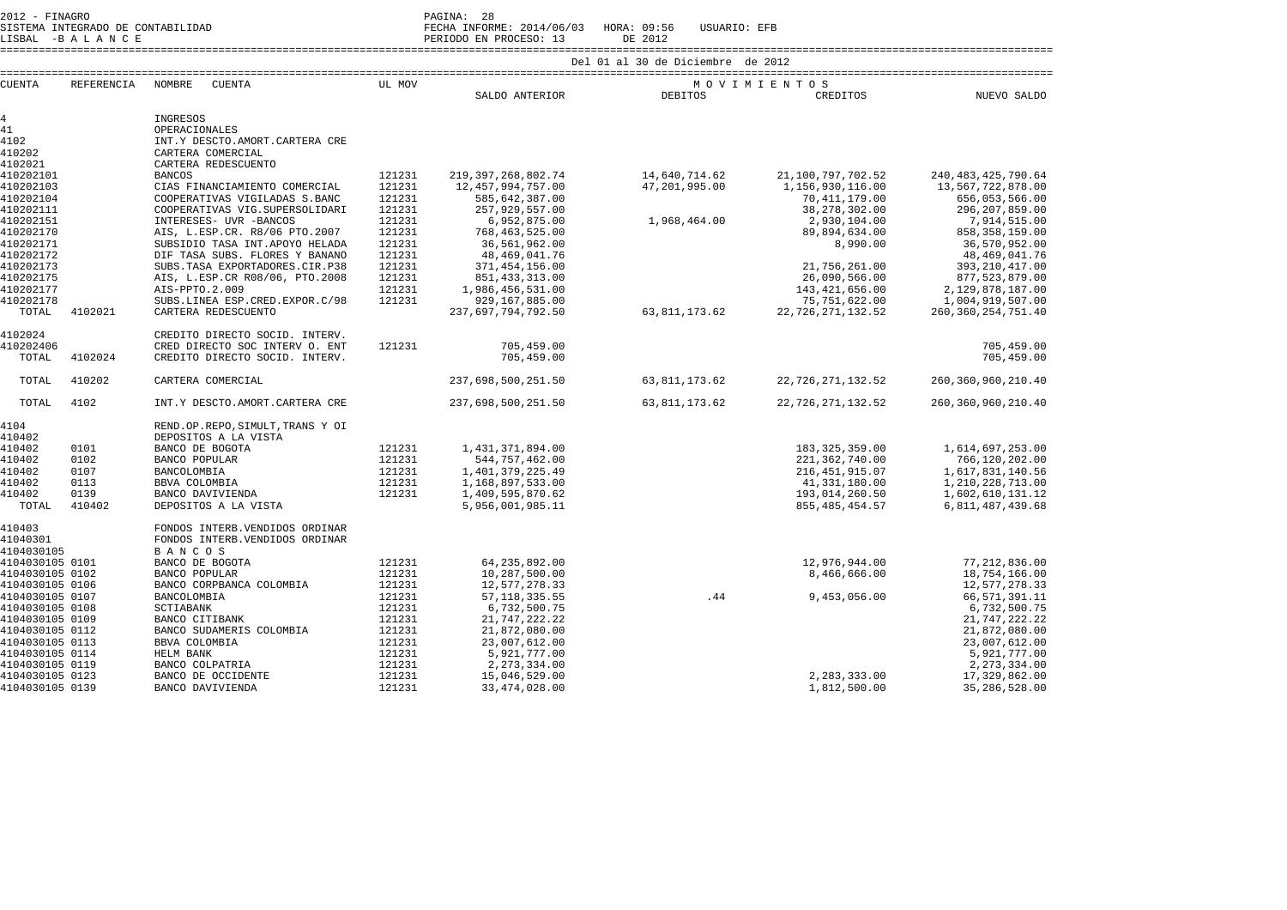2012 - FINAGRO<br>SISTEMA INTEGRADO DE CONTABILIDAD<br>IISBAI - PALIA NO F

SISTEMA INTEGRADO DE CONTABILIDAD FECHA INFORME: 2014/06/03 HORA: 09:56 USUARIO: EFB

LISBAL -B A L A N C E PERIODO EN PROCESO: 13 DE 2012

====================================================================================================================================================================

| <b>CUENTA</b>                      | REFERENCIA | NOMBRE<br><b>CUENTA</b>                   | UL MOV           |                                |                  | MOVIMIENTOS       |                                |
|------------------------------------|------------|-------------------------------------------|------------------|--------------------------------|------------------|-------------------|--------------------------------|
|                                    |            |                                           |                  | SALDO ANTERIOR                 | <b>DEBITOS</b>   | CREDITOS          | NUEVO SALDO                    |
| $4\overline{ }$                    |            | INGRESOS                                  |                  |                                |                  |                   |                                |
| 41                                 |            | OPERACIONALES                             |                  |                                |                  |                   |                                |
| 4102                               |            | INT.Y DESCTO.AMORT.CARTERA CRE            |                  |                                |                  |                   |                                |
| 410202                             |            | CARTERA COMERCIAL                         |                  |                                |                  |                   |                                |
| 4102021                            |            | CARTERA REDESCUENTO                       |                  |                                |                  |                   |                                |
| 410202101                          |            | <b>BANCOS</b>                             | 121231           | 219, 397, 268, 802. 74         | 14,640,714.62    | 21,100,797,702.52 | 240, 483, 425, 790.64          |
| 410202103                          |            | CIAS FINANCIAMIENTO COMERCIAL             | 121231           | 12,457,994,757.00              | 47,201,995.00    | 1,156,930,116.00  | 13,567,722,878.00              |
| 410202104                          |            | COOPERATIVAS VIGILADAS S.BANC             | 121231           | 585,642,387.00                 |                  | 70, 411, 179.00   | 656,053,566.00                 |
| 410202111                          |            | COOPERATIVAS VIG.SUPERSOLIDARI            | 121231           | 257,929,557.00                 |                  | 38, 278, 302.00   | 296, 207, 859.00               |
| 410202151                          |            | INTERESES- UVR -BANCOS                    | 121231           | 6,952,875.00                   | 1,968,464.00     | 2,930,104.00      | 7,914,515.00                   |
| 410202170                          |            | AIS, L.ESP.CR. R8/06 PTO.2007             | 121231           | 768, 463, 525.00               |                  | 89,894,634.00     | 858, 358, 159.00               |
| 410202171                          |            | SUBSIDIO TASA INT. APOYO HELADA           | 121231           | 36,561,962.00                  |                  | 8,990.00          | 36,570,952.00                  |
| 410202172                          |            | DIF TASA SUBS. FLORES Y BANANO            | 121231           | 48,469,041.76                  |                  |                   | 48, 469, 041.76                |
| 410202173                          |            | SUBS. TASA EXPORTADORES. CIR. P38         | 121231           | 371,454,156.00                 |                  | 21,756,261.00     | 393, 210, 417.00               |
| 410202175                          |            | AIS, L.ESP.CR R08/06, PTO.2008            | 121231           | 851, 433, 313.00               |                  | 26,090,566.00     | 877,523,879.00                 |
| 410202177                          |            | AIS-PPTO.2.009                            | 121231           | 1,986,456,531.00               |                  | 143, 421, 656.00  | 2,129,878,187.00               |
| 410202178                          |            | SUBS.LINEA ESP.CRED.EXPOR.C/98            | 121231           | 929,167,885.00                 |                  | 75,751,622.00     | 1,004,919,507.00               |
| TOTAL                              | 4102021    | CARTERA REDESCUENTO                       |                  | 237,697,794,792.50             | 63, 811, 173. 62 | 22,726,271,132.52 | 260, 360, 254, 751.40          |
| 4102024                            |            | CREDITO DIRECTO SOCID. INTERV.            |                  |                                |                  |                   |                                |
| 410202406                          |            | CRED DIRECTO SOC INTERV O. ENT            | 121231           | 705,459.00                     |                  |                   | 705,459.00                     |
| TOTAL                              | 4102024    | CREDITO DIRECTO SOCID. INTERV.            |                  | 705,459.00                     |                  |                   | 705,459.00                     |
| TOTAL                              | 410202     | CARTERA COMERCIAL                         |                  | 237,698,500,251.50             | 63, 811, 173. 62 | 22,726,271,132.52 | 260, 360, 960, 210.40          |
| TOTAL                              | 4102       | INT.Y DESCTO.AMORT.CARTERA CRE            |                  | 237,698,500,251.50             | 63, 811, 173. 62 | 22,726,271,132.52 | 260, 360, 960, 210.40          |
| 4104                               |            | REND.OP.REPO, SIMULT, TRANS Y OI          |                  |                                |                  |                   |                                |
| 410402                             |            | DEPOSITOS A LA VISTA                      |                  |                                |                  |                   |                                |
| 410402                             | 0101       | BANCO DE BOGOTA                           | 121231           | 1,431,371,894.00               |                  | 183, 325, 359.00  | 1,614,697,253.00               |
| 410402                             | 0102       | BANCO POPULAR                             | 121231           | 544,757,462.00                 |                  | 221, 362, 740.00  | 766,120,202.00                 |
| 410402                             | 0107       | BANCOLOMBIA                               | 121231           | 1,401,379,225.49               |                  | 216, 451, 915.07  | 1,617,831,140.56               |
| 410402                             | 0113       | BBVA COLOMBIA                             | 121231           | 1,168,897,533.00               |                  | 41,331,180.00     | 1, 210, 228, 713.00            |
| 410402                             | 0139       | BANCO DAVIVIENDA                          | 121231           | 1,409,595,870.62               |                  | 193,014,260.50    | 1,602,610,131.12               |
| TOTAL                              | 410402     | DEPOSITOS A LA VISTA                      |                  | 5,956,001,985.11               |                  | 855, 485, 454.57  | 6,811,487,439.68               |
| 410403                             |            | FONDOS INTERB. VENDIDOS ORDINAR           |                  |                                |                  |                   |                                |
| 41040301                           |            | FONDOS INTERB. VENDIDOS ORDINAR           |                  |                                |                  |                   |                                |
| 4104030105                         |            | <b>BANCOS</b>                             |                  |                                |                  |                   |                                |
| 4104030105 0101                    |            | BANCO DE BOGOTA                           | 121231           | 64, 235, 892.00                |                  | 12,976,944.00     | 77, 212, 836.00                |
| 4104030105 0102                    |            | BANCO POPULAR                             | 121231           | 10,287,500.00                  |                  | 8,466,666.00      | 18,754,166.00                  |
| 4104030105 0106                    |            | BANCO CORPBANCA COLOMBIA                  | 121231           | 12,577,278.33                  |                  |                   | 12,577,278.33                  |
| 4104030105 0107                    |            | BANCOLOMBIA                               | 121231           | 57, 118, 335.55                | .44              | 9,453,056.00      | 66, 571, 391.11                |
| 4104030105 0108                    |            | SCTIABANK                                 | 121231           | 6,732,500.75                   |                  |                   | 6,732,500.75                   |
| 4104030105 0109                    |            | BANCO CITIBANK                            | 121231           | 21,747,222.22                  |                  |                   | 21,747,222.22                  |
| 4104030105 0112<br>4104030105 0113 |            | BANCO SUDAMERIS COLOMBIA<br>BBVA COLOMBIA | 121231<br>121231 | 21,872,080.00<br>23,007,612.00 |                  |                   | 21,872,080.00<br>23,007,612.00 |
| 4104030105 0114                    |            | HELM BANK                                 | 121231           | 5,921,777.00                   |                  |                   | 5,921,777.00                   |
| 4104030105 0119                    |            | BANCO COLPATRIA                           | 121231           | 2, 273, 334.00                 |                  |                   | 2, 273, 334.00                 |
| 4104030105 0123                    |            | BANCO DE OCCIDENTE                        | 121231           | 15,046,529.00                  |                  | 2,283,333.00      | 17,329,862.00                  |
| 4104030105 0139                    |            | BANCO DAVIVIENDA                          | 121231           | 33, 474, 028.00                |                  | 1,812,500.00      | 35, 286, 528.00                |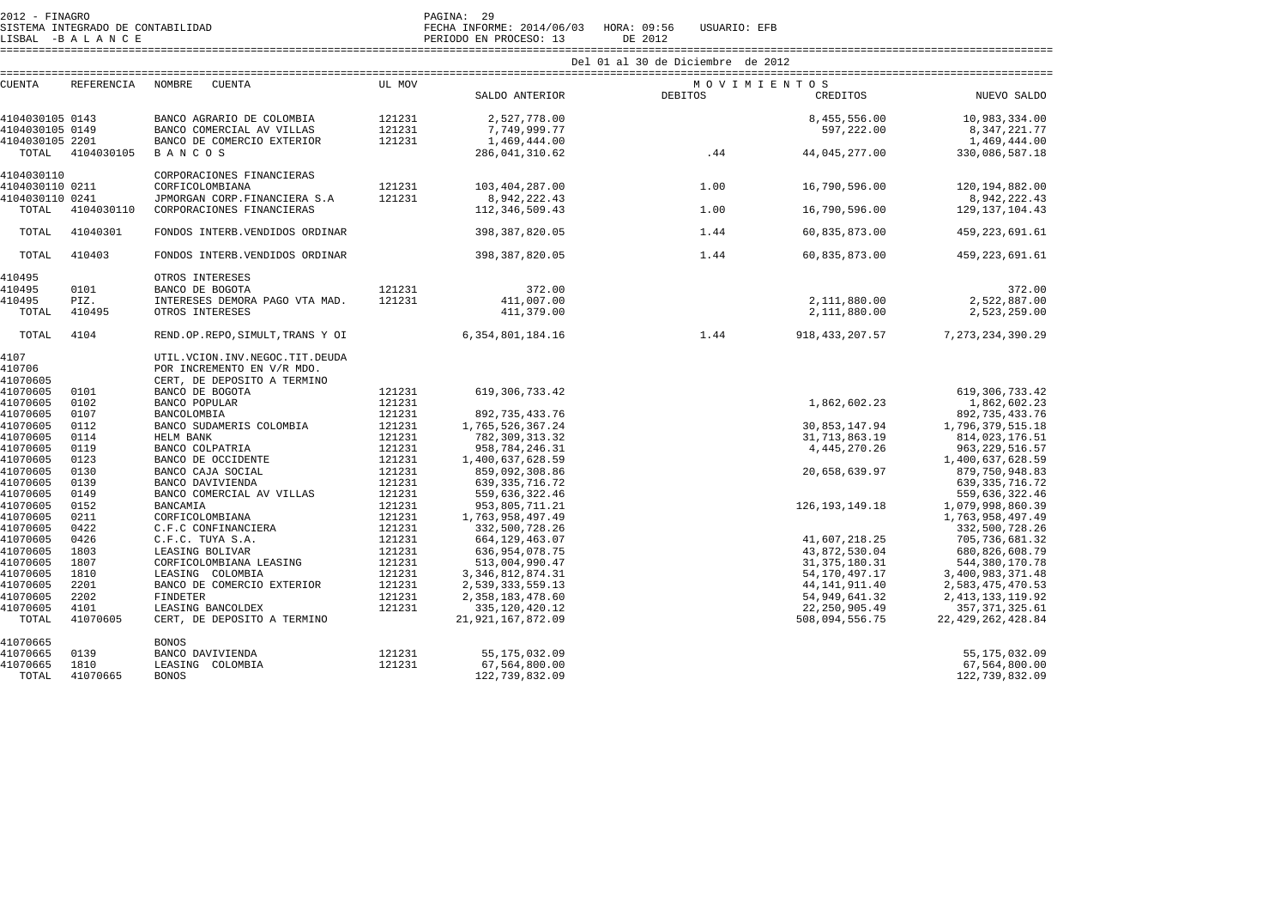|                 |            |                                     |        |                      | Del 01 al 30 de Diciembre de 2012 |             |                   |                      |
|-----------------|------------|-------------------------------------|--------|----------------------|-----------------------------------|-------------|-------------------|----------------------|
| CUENTA          |            | REFERENCIA NOMBRE CUENTA            | UL MOV |                      |                                   | MOVIMIENTOS |                   |                      |
|                 |            |                                     |        | SALDO ANTERIOR       | DEBITOS                           |             | CREDITOS          | NUEVO SALDO          |
| 4104030105 0143 |            | BANCO AGRARIO DE COLOMBIA           | 121231 | 2,527,778.00         |                                   |             | 8,455,556.00      | 10,983,334.00        |
| 4104030105 0149 |            | BANCO COMERCIAL AV VILLAS           | 121231 | 7,749,999.77         |                                   |             | 597,222.00        | 8, 347, 221. 77      |
| 4104030105 2201 |            | BANCO DE COMERCIO EXTERIOR          | 121231 | 1,469,444.00         |                                   |             |                   | 1,469,444.00         |
| TOTAL           | 4104030105 | BANCOS                              |        | 286,041,310.62       | .44                               |             | 44,045,277.00     | 330,086,587.18       |
| 4104030110      |            | CORPORACIONES FINANCIERAS           |        |                      |                                   |             |                   |                      |
| 4104030110 0211 |            | CORFICOLOMBIANA                     | 121231 | 103,404,287.00       |                                   | 1.00        | 16,790,596.00     | 120,194,882.00       |
| 4104030110 0241 |            | JPMORGAN CORP.FINANCIERA S.A        | 121231 | 8,942,222.43         |                                   |             |                   | 8,942,222.43         |
| TOTAL           | 4104030110 | CORPORACIONES FINANCIERAS           |        | 112,346,509.43       |                                   | 1.00        | 16,790,596.00     | 129, 137, 104. 43    |
| TOTAL           | 41040301   | FONDOS INTERB. VENDIDOS ORDINAR     |        | 398, 387, 820.05     |                                   | 1.44        | 60,835,873.00     | 459, 223, 691.61     |
|                 |            |                                     |        |                      |                                   |             |                   |                      |
| TOTAL           | 410403     | FONDOS INTERB. VENDIDOS ORDINAR     |        | 398,387,820.05       |                                   | 1.44        | 60,835,873.00     | 459, 223, 691.61     |
| 410495          |            | OTROS INTERESES                     |        |                      |                                   |             |                   |                      |
| 410495          | 0101       | BANCO DE BOGOTA                     | 121231 | 372.00               |                                   |             |                   | 372.00               |
| 410495          | PIZ.       | INTERESES DEMORA PAGO VTA MAD.      | 121231 | 411,007.00           |                                   |             | 2,111,880.00      | 2,522,887.00         |
| TOTAL           | 410495     | OTROS INTERESES                     |        | 411,379.00           |                                   |             | 2,111,880.00      | 2,523,259.00         |
| TOTAL           | 4104       | REND.OP.REPO, SIMULT, TRANS Y OI    |        | 6, 354, 801, 184. 16 |                                   | 1.44        | 918, 433, 207.57  | 7, 273, 234, 390. 29 |
| 4107            |            | UTIL. VCION. INV. NEGOC. TIT. DEUDA |        |                      |                                   |             |                   |                      |
| 410706          |            | POR INCREMENTO EN V/R MDO.          |        |                      |                                   |             |                   |                      |
| 41070605        |            | CERT, DE DEPOSITO A TERMINO         |        |                      |                                   |             |                   |                      |
| 41070605        | 0101       | BANCO DE BOGOTA                     | 121231 | 619, 306, 733.42     |                                   |             |                   | 619, 306, 733.42     |
| 41070605        | 0102       | BANCO POPULAR                       | 121231 |                      |                                   |             | 1,862,602.23      | 1,862,602.23         |
| 41070605        | 0107       | BANCOLOMBIA                         | 121231 | 892, 735, 433. 76    |                                   |             |                   | 892, 735, 433. 76    |
| 41070605        | 0112       | BANCO SUDAMERIS COLOMBIA            | 121231 | 1,765,526,367.24     |                                   |             | 30,853,147.94     | 1,796,379,515.18     |
| 41070605        | 0114       | HELM BANK                           | 121231 | 782,309,313.32       |                                   |             | 31,713,863.19     | 814,023,176.51       |
| 41070605        | 0119       | BANCO COLPATRIA                     | 121231 | 958, 784, 246. 31    |                                   |             | 4,445,270.26      | 963, 229, 516.57     |
| 41070605        | 0123       | BANCO DE OCCIDENTE                  | 121231 | 1,400,637,628.59     |                                   |             |                   | 1,400,637,628.59     |
| 41070605        | 0130       | BANCO CAJA SOCIAL                   | 121231 | 859,092,308.86       |                                   |             | 20,658,639.97     | 879, 750, 948.83     |
| 41070605        | 0139       | BANCO DAVIVIENDA                    | 121231 | 639, 335, 716.72     |                                   |             |                   | 639, 335, 716.72     |
| 41070605        | 0149       | BANCO COMERCIAL AV VILLAS           | 121231 | 559,636,322.46       |                                   |             |                   | 559,636,322.46       |
| 41070605        | 0152       | <b>BANCAMIA</b>                     | 121231 | 953,805,711.21       |                                   |             | 126, 193, 149. 18 | 1,079,998,860.39     |
| 41070605        | 0211       | CORFICOLOMBIANA                     | 121231 | 1,763,958,497.49     |                                   |             |                   | 1,763,958,497.49     |
| 41070605        | 0422       | C.F.C CONFINANCIERA                 | 121231 | 332,500,728.26       |                                   |             |                   | 332,500,728.26       |
| 41070605        | 0426       | C.F.C. TUYA S.A.                    | 121231 | 664, 129, 463.07     |                                   |             | 41,607,218.25     | 705, 736, 681.32     |
| 41070605        | 1803       | LEASING BOLIVAR                     | 121231 | 636,954,078.75       |                                   |             | 43,872,530.04     | 680,826,608.79       |
| 41070605        | 1807       | CORFICOLOMBIANA LEASING             | 121231 | 513,004,990.47       |                                   |             | 31, 375, 180. 31  | 544, 380, 170.78     |
| 41070605        | 1810       | LEASING COLOMBIA                    | 121231 | 3, 346, 812, 874.31  |                                   |             | 54,170,497.17     | 3,400,983,371.48     |
| 41070605        | 2201       | BANCO DE COMERCIO EXTERIOR          | 121231 | 2,539,333,559.13     |                                   |             | 44, 141, 911.40   | 2,583,475,470.53     |
| 41070605        | 2202       | <b>FINDETER</b>                     | 121231 | 2,358,183,478.60     |                                   |             | 54,949,641.32     | 2, 413, 133, 119.92  |
| 41070605        | 4101       | LEASING BANCOLDEX                   | 121231 | 335, 120, 420. 12    |                                   |             | 22, 250, 905.49   | 357, 371, 325.61     |
| TOTAL           | 41070605   | CERT, DE DEPOSITO A TERMINO         |        | 21, 921, 167, 872.09 |                                   |             | 508,094,556.75    | 22, 429, 262, 428.84 |
| 41070665        |            | <b>BONOS</b>                        |        |                      |                                   |             |                   |                      |
| 41070665        | 0139       | BANCO DAVIVIENDA                    | 121231 | 55, 175, 032.09      |                                   |             |                   | 55, 175, 032.09      |
| 41070665        | 1810       | LEASING COLOMBIA                    | 121231 | 67,564,800.00        |                                   |             |                   | 67,564,800.00        |
| TOTAL           | 41070665   | <b>BONOS</b>                        |        | 122,739,832.09       |                                   |             |                   | 122,739,832.09       |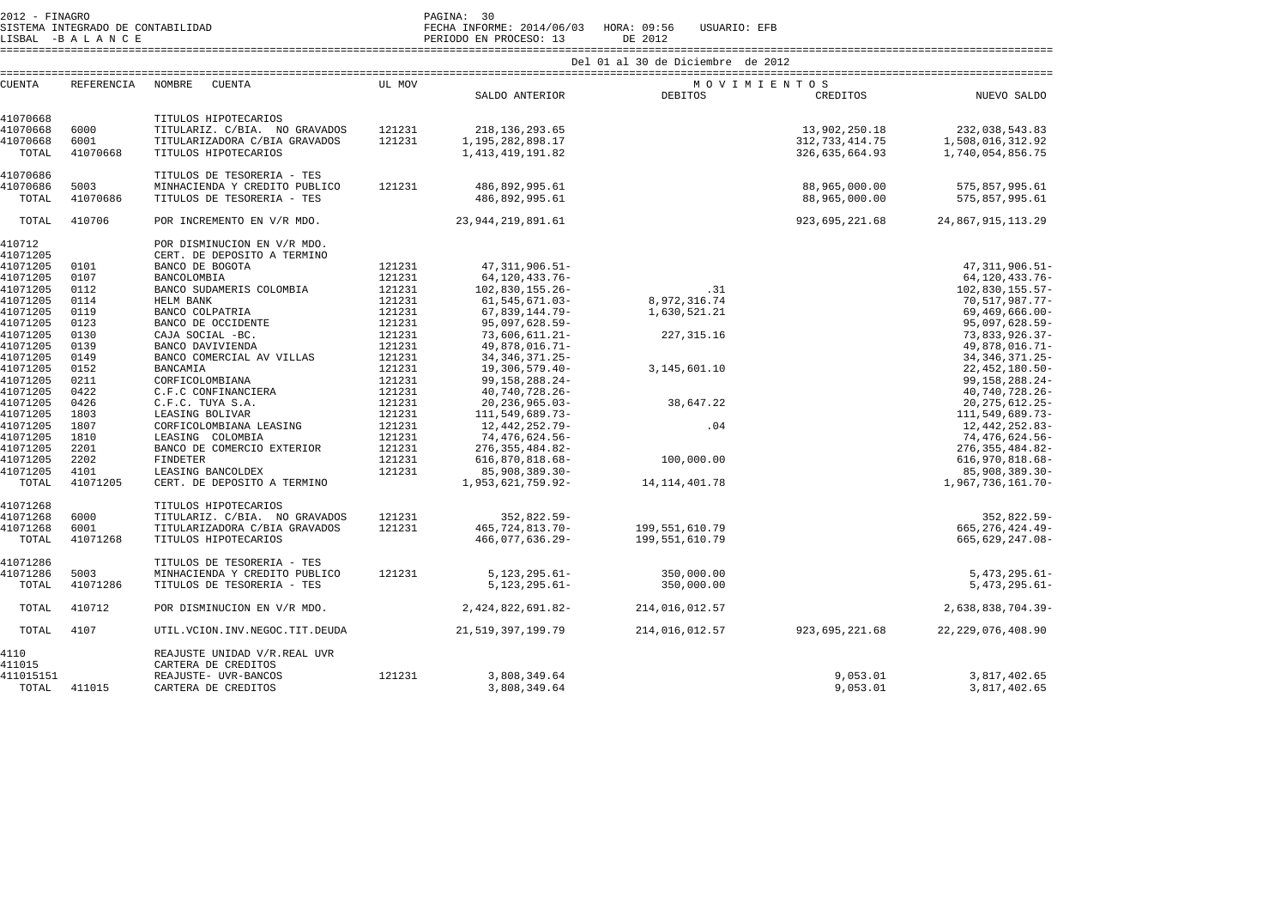2012 - FINAGRO DE CONTABILIDAD (PAGINA: 30)<br>2012 - PAGINA: SISTEMA INFORM

LISBAL -B A L A N C E PERIODO EN PROCESO: 13 DE 2012

SISTEMA INTEGRADO DE CONTABILIDAD FECHA INFORME: 2014/06/03 HORA: 09:56 USUARIO: EFB

====================================================================================================================================================================

| <b>CUENTA</b> | REFERENCIA | NOMBRE<br>CUENTA               | UL MOV |                        |                   | MOVIMIENTOS       |                      |
|---------------|------------|--------------------------------|--------|------------------------|-------------------|-------------------|----------------------|
|               |            |                                |        | SALDO ANTERIOR DEBITOS |                   | CREDITOS          | NUEVO SALDO          |
|               |            |                                |        |                        |                   |                   |                      |
| 41070668      |            | TITULOS HIPOTECARIOS           |        |                        |                   |                   |                      |
| 41070668      | 6000       | TITULARIZ. C/BIA. NO GRAVADOS  | 121231 | 218, 136, 293.65       |                   | 13,902,250.18     | 232,038,543.83       |
| 41070668      | 6001       | TITULARIZADORA C/BIA GRAVADOS  | 121231 | 1,195,282,898.17       |                   | 312, 733, 414. 75 | 1,508,016,312.92     |
| TOTAL         | 41070668   | TITULOS HIPOTECARIOS           |        | 1, 413, 419, 191.82    |                   | 326,635,664.93    | 1,740,054,856.75     |
|               |            |                                |        |                        |                   |                   |                      |
| 41070686      |            | TITULOS DE TESORERIA - TES     |        |                        |                   |                   |                      |
| 41070686      | 5003       | MINHACIENDA Y CREDITO PUBLICO  | 121231 | 486,892,995.61         |                   | 88,965,000.00     | 575,857,995.61       |
| TOTAL         | 41070686   | TITULOS DE TESORERIA - TES     |        | 486,892,995.61         |                   | 88,965,000.00     | 575,857,995.61       |
| TOTAL         | 410706     | POR INCREMENTO EN V/R MDO.     |        | 23, 944, 219, 891, 61  |                   | 923,695,221.68    | 24,867,915,113.29    |
| 410712        |            | POR DISMINUCION EN V/R MDO.    |        |                        |                   |                   |                      |
| 41071205      |            | CERT. DE DEPOSITO A TERMINO    |        |                        |                   |                   |                      |
| 41071205      | 0101       | BANCO DE BOGOTA                | 121231 | 47, 311, 906.51-       |                   |                   | 47, 311, 906.51-     |
| 41071205      | 0107       | BANCOLOMBIA                    | 121231 | 64, 120, 433. 76-      |                   |                   | 64,120,433.76-       |
| 41071205      | 0112       | BANCO SUDAMERIS COLOMBIA       | 121231 | 102,830,155.26-        | .31               |                   | 102,830,155.57-      |
| 41071205      | 0114       | HELM BANK                      | 121231 | 61, 545, 671.03-       | 8,972,316.74      |                   | 70,517,987.77-       |
| 41071205      | 0119       | BANCO COLPATRIA                | 121231 | 67,839,144.79-         | 1,630,521.21      |                   | $69,469,666.00 -$    |
| 41071205      | 0123       | BANCO DE OCCIDENTE             | 121231 | 95,097,628.59-         |                   |                   | 95,097,628.59-       |
| 41071205      | 0130       | CAJA SOCIAL -BC.               | 121231 | 73,606,611.21-         | 227, 315.16       |                   | 73,833,926.37-       |
| 41071205      | 0139       | BANCO DAVIVIENDA               | 121231 | 49,878,016.71-         |                   |                   | 49,878,016.71-       |
| 41071205      | 0149       | BANCO COMERCIAL AV VILLAS      | 121231 | 34, 346, 371. 25-      |                   |                   | 34, 346, 371. 25-    |
| 41071205      | 0152       | <b>BANCAMIA</b>                | 121231 | 19,306,579.40-         | 3, 145, 601. 10   |                   | 22, 452, 180.50-     |
| 41071205      | 0211       | CORFICOLOMBIANA                | 121231 | 99, 158, 288. 24-      |                   |                   | 99, 158, 288. 24-    |
| 41071205      | 0422       | C.F.C CONFINANCIERA            | 121231 | 40,740,728.26-         |                   |                   | 40,740,728.26-       |
| 41071205      | 0426       | C.F.C. TUYA S.A.               | 121231 | $20, 236, 965.03 -$    | 38,647.22         |                   | 20, 275, 612. 25-    |
| 41071205      | 1803       | LEASING BOLIVAR                | 121231 | 111,549,689.73-        |                   |                   | 111,549,689.73-      |
| 41071205      | 1807       | CORFICOLOMBIANA LEASING        | 121231 | 12,442,252.79-         | .04               |                   | 12,442,252.83-       |
| 41071205      | 1810       | LEASING COLOMBIA               | 121231 | 74,476,624.56-         |                   |                   | 74,476,624.56-       |
| 41071205      | 2201       | BANCO DE COMERCIO EXTERIOR     | 121231 | 276, 355, 484.82-      |                   |                   | 276, 355, 484.82-    |
| 41071205      | 2202       | <b>FINDETER</b>                | 121231 | 616,870,818.68-        | 100,000.00        |                   | 616,970,818.68-      |
| 41071205      | 4101       | LEASING BANCOLDEX              | 121231 | 85,908,389.30-         |                   |                   | 85,908,389.30-       |
| TOTAL         | 41071205   | CERT. DE DEPOSITO A TERMINO    |        | 1,953,621,759.92-      | 14, 114, 401. 78  |                   | 1,967,736,161.70-    |
|               |            |                                |        |                        |                   |                   |                      |
| 41071268      |            | TITULOS HIPOTECARIOS           |        |                        |                   |                   |                      |
| 41071268      | 6000       | TITULARIZ. C/BIA. NO GRAVADOS  | 121231 | 352,822.59-            |                   |                   | 352,822.59-          |
| 41071268      | 6001       | TITULARIZADORA C/BIA GRAVADOS  | 121231 | 465, 724, 813. 70-     | 199,551,610.79    |                   | 665, 276, 424. 49-   |
| TOTAL         | 41071268   | TITULOS HIPOTECARIOS           |        | 466,077,636.29-        | 199, 551, 610, 79 |                   | 665,629,247.08-      |
| 41071286      |            | TITULOS DE TESORERIA - TES     |        |                        |                   |                   |                      |
| 41071286      | 5003       | MINHACIENDA Y CREDITO PUBLICO  | 121231 | $5,123,295.61-$        | 350,000.00        |                   | $5,473,295.61-$      |
| TOTAL         | 41071286   | TITULOS DE TESORERIA - TES     |        | $5, 123, 295.61 -$     | 350,000.00        |                   | $5,473,295.61-$      |
| TOTAL         | 410712     | POR DISMINUCION EN V/R MDO.    |        | 2,424,822,691.82-      | 214,016,012.57    |                   | 2,638,838,704.39-    |
| TOTAL         | 4107       | UTIL.VCION.INV.NEGOC.TIT.DEUDA |        | 21, 519, 397, 199. 79  | 214,016,012.57    | 923,695,221.68    | 22, 229, 076, 408.90 |
| 4110          |            | REAJUSTE UNIDAD V/R.REAL UVR   |        |                        |                   |                   |                      |
| 411015        |            | CARTERA DE CREDITOS            |        |                        |                   |                   |                      |
| 411015151     |            | REAJUSTE- UVR-BANCOS           | 121231 | 3,808,349.64           |                   | 9,053.01          | 3,817,402.65         |
| TOTAL         | 411015     | CARTERA DE CREDITOS            |        | 3,808,349.64           |                   | 9,053.01          | 3,817,402.65         |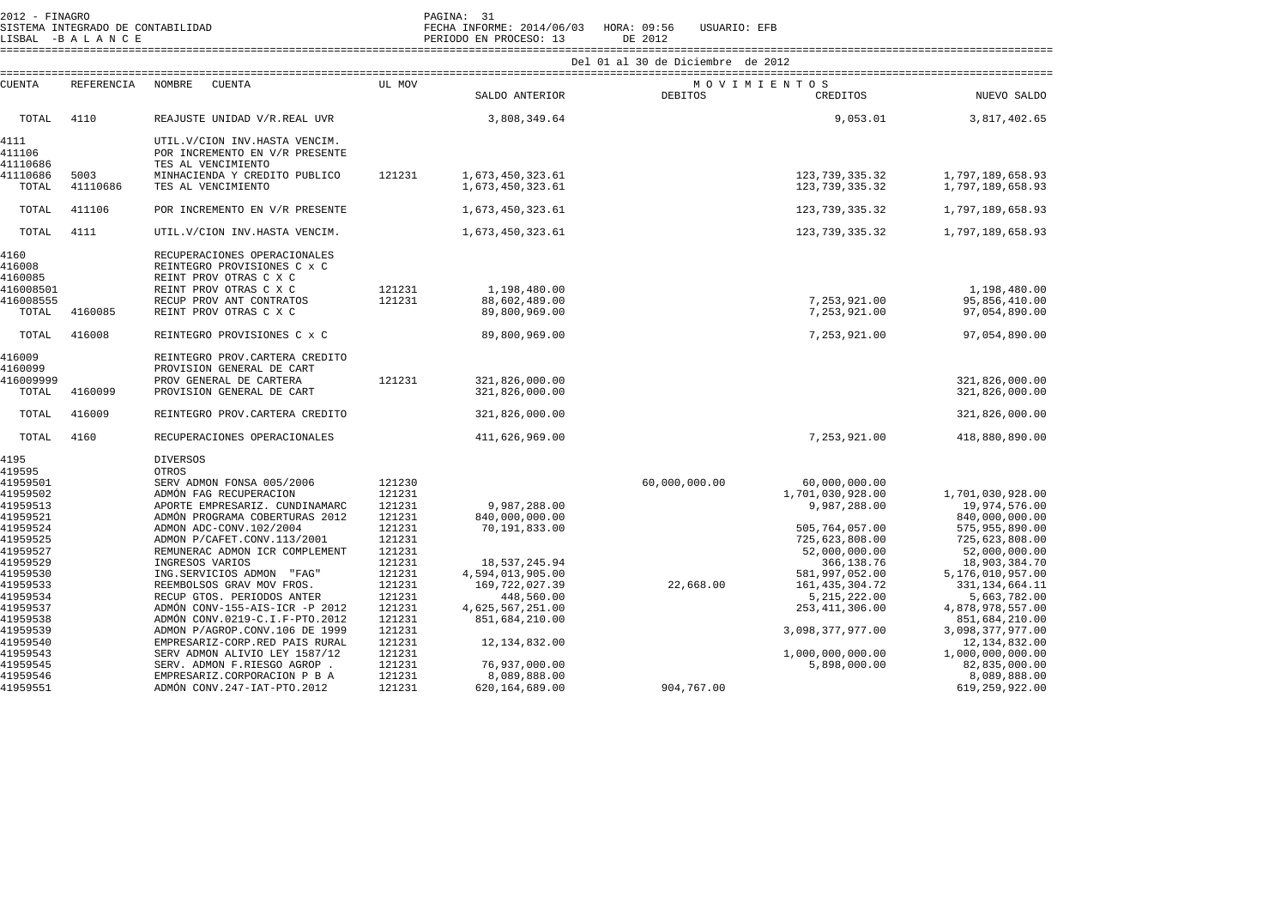| $2012 - FINAGRO$<br>SISTEMA INTEGRADO DE CONTABILIDAD<br>LISBAL -BALANCE                     |                  |                                                                                                                                                                                                                                        |                                                                              | PAGINA: 31<br>FECHA INFORME: 2014/06/03 HORA: 09:56<br>PERIODO EN PROCESO: 13         | USUARIO: EFB<br>DE 2012           |                                                                                                                       |                                                                                                                                               |
|----------------------------------------------------------------------------------------------|------------------|----------------------------------------------------------------------------------------------------------------------------------------------------------------------------------------------------------------------------------------|------------------------------------------------------------------------------|---------------------------------------------------------------------------------------|-----------------------------------|-----------------------------------------------------------------------------------------------------------------------|-----------------------------------------------------------------------------------------------------------------------------------------------|
|                                                                                              |                  |                                                                                                                                                                                                                                        |                                                                              |                                                                                       | Del 01 al 30 de Diciembre de 2012 |                                                                                                                       |                                                                                                                                               |
| <b>CUENTA</b>                                                                                | REFERENCIA       | NOMBRE<br>CUENTA                                                                                                                                                                                                                       | UL MOV                                                                       | SALDO ANTERIOR                                                                        | DEBITOS                           | MOVIMIENTOS<br>CREDITOS                                                                                               | NUEVO SALDO                                                                                                                                   |
| TOTAL                                                                                        | 4110             | REAJUSTE UNIDAD V/R.REAL UVR                                                                                                                                                                                                           |                                                                              | 3,808,349.64                                                                          |                                   | 9,053.01                                                                                                              | 3,817,402.65                                                                                                                                  |
| 4111<br>411106<br>41110686<br>41110686<br>TOTAL                                              | 5003<br>41110686 | UTIL. V/CION INV. HASTA VENCIM.<br>POR INCREMENTO EN V/R PRESENTE<br>TES AL VENCIMIENTO<br>MINHACIENDA Y CREDITO PUBLICO<br>TES AL VENCIMIENTO                                                                                         | 121231                                                                       | 1,673,450,323.61<br>1,673,450,323.61                                                  |                                   | 123, 739, 335.32<br>123, 739, 335.32                                                                                  | 1,797,189,658.93<br>1,797,189,658.93                                                                                                          |
| TOTAL                                                                                        | 411106           | POR INCREMENTO EN V/R PRESENTE                                                                                                                                                                                                         |                                                                              | 1,673,450,323.61                                                                      |                                   | 123, 739, 335.32                                                                                                      | 1,797,189,658.93                                                                                                                              |
| TOTAL                                                                                        | 4111             | UTIL. V/CION INV. HASTA VENCIM.                                                                                                                                                                                                        |                                                                              | 1,673,450,323.61                                                                      |                                   | 123, 739, 335.32                                                                                                      | 1,797,189,658.93                                                                                                                              |
| 4160<br>416008<br>4160085<br>416008501<br>416008555                                          |                  | RECUPERACIONES OPERACIONALES<br>REINTEGRO PROVISIONES C x C<br>REINT PROV OTRAS C X C<br>REINT PROV OTRAS C X C<br>RECUP PROV ANT CONTRATOS                                                                                            | 121231<br>121231                                                             | 1,198,480.00<br>88,602,489.00                                                         |                                   | 7,253,921.00                                                                                                          | 1,198,480.00<br>95,856,410.00                                                                                                                 |
| TOTAL                                                                                        | 4160085          | REINT PROV OTRAS C X C                                                                                                                                                                                                                 |                                                                              | 89,800,969.00                                                                         |                                   | 7,253,921.00                                                                                                          | 97,054,890.00                                                                                                                                 |
| TOTAL                                                                                        | 416008           | REINTEGRO PROVISIONES C x C                                                                                                                                                                                                            |                                                                              | 89,800,969.00                                                                         |                                   | 7,253,921.00                                                                                                          | 97,054,890.00                                                                                                                                 |
| 416009<br>4160099<br>416009999<br>TOTAL                                                      | 4160099          | REINTEGRO PROV. CARTERA CREDITO<br>PROVISION GENERAL DE CART<br>PROV GENERAL DE CARTERA<br>PROVISION GENERAL DE CART                                                                                                                   | 121231                                                                       | 321,826,000.00<br>321,826,000.00                                                      |                                   |                                                                                                                       | 321,826,000.00<br>321,826,000.00                                                                                                              |
| TOTAL                                                                                        | 416009           | REINTEGRO PROV. CARTERA CREDITO                                                                                                                                                                                                        |                                                                              | 321,826,000.00                                                                        |                                   |                                                                                                                       | 321,826,000.00                                                                                                                                |
| TOTAL                                                                                        | 4160             | RECUPERACIONES OPERACIONALES                                                                                                                                                                                                           |                                                                              | 411,626,969.00                                                                        |                                   | 7,253,921.00                                                                                                          | 418,880,890.00                                                                                                                                |
| 4195<br>419595<br>41959501                                                                   |                  | <b>DIVERSOS</b><br>OTROS<br>SERV ADMON FONSA 005/2006                                                                                                                                                                                  | 121230                                                                       |                                                                                       | 60,000,000.00                     | 60,000,000.00                                                                                                         |                                                                                                                                               |
| 41959502<br>41959513<br>41959521<br>41959524<br>41959525<br>41959527<br>41959529<br>41959530 |                  | ADMÓN FAG RECUPERACION<br>APORTE EMPRESARIZ. CUNDINAMARC<br>ADMÓN PROGRAMA COBERTURAS 2012<br>ADMON ADC-CONV.102/2004<br>ADMON P/CAFET.CONV.113/2001<br>REMUNERAC ADMON ICR COMPLEMENT<br>INGRESOS VARIOS<br>ING.SERVICIOS ADMON "FAG" | 121231<br>121231<br>121231<br>121231<br>121231<br>121231<br>121231<br>121231 | 9,987,288.00<br>840,000,000.00<br>70,191,833.00<br>18,537,245.94<br>4,594,013,905.00  |                                   | 1,701,030,928.00<br>9,987,288.00<br>505,764,057.00<br>725,623,808.00<br>52,000,000.00<br>366,138.76<br>581,997,052.00 | 1,701,030,928.00<br>19,974,576.00<br>840,000,000.00<br>575,955,890.00<br>725,623,808.00<br>52,000,000.00<br>18,903,384.70<br>5,176,010,957.00 |
| 41959533<br>41959534<br>41959537<br>41959538<br>41959539<br>41959540<br>41959543             |                  | REEMBOLSOS GRAV MOV FROS.<br>RECUP GTOS. PERIODOS ANTER<br>ADMÓN CONV-155-AIS-ICR -P 2012<br>ADMÓN CONV.0219-C.I.F-PTO.2012<br>ADMON P/AGROP.CONV.106 DE 1999<br>EMPRESARIZ-CORP.RED PAIS RURAL<br>SERV ADMON ALIVIO LEY 1587/12       | 121231<br>121231<br>121231<br>121231<br>121231<br>121231<br>121231           | 169,722,027.39<br>448,560.00<br>4,625,567,251.00<br>851,684,210.00<br>12, 134, 832.00 | 22,668.00                         | 161, 435, 304. 72<br>5, 215, 222.00<br>253, 411, 306.00<br>3,098,377,977.00<br>1,000,000,000.00                       | 331, 134, 664. 11<br>5,663,782.00<br>4,878,978,557.00<br>851,684,210.00<br>3,098,377,977.00<br>12, 134, 832.00<br>1,000,000,000.00            |
| 41959545<br>41959546<br>41959551                                                             |                  | SERV. ADMON F.RIESGO AGROP.<br>EMPRESARIZ.CORPORACION P B A<br>ADMÓN CONV. 247-IAT-PTO. 2012                                                                                                                                           | 121231<br>121231<br>121231                                                   | 76,937,000.00<br>8,089,888.00<br>620,164,689.00                                       | 904,767.00                        | 5,898,000.00                                                                                                          | 82,835,000.00<br>8,089,888.00<br>619,259,922.00                                                                                               |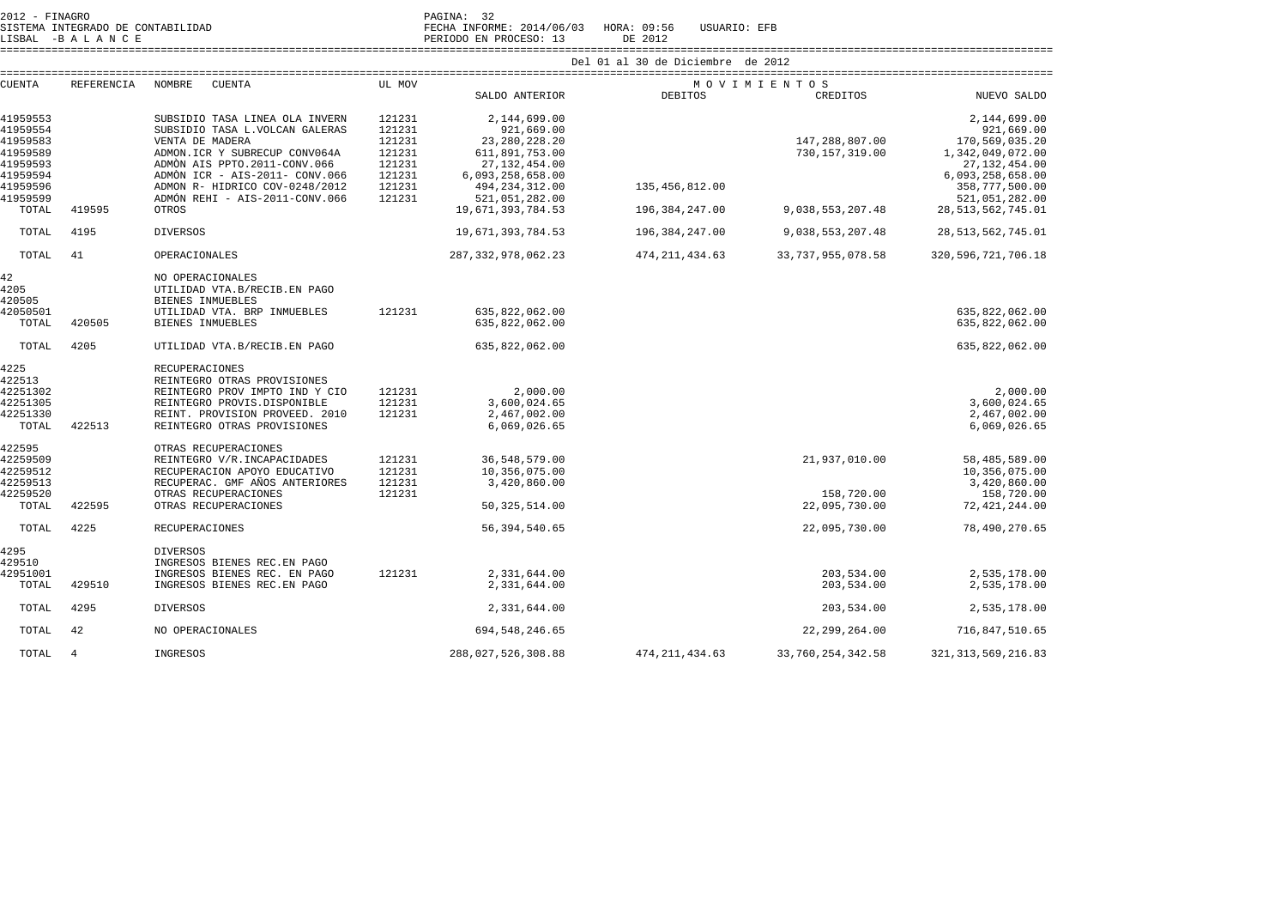| 2012 - FINAGRO    |                                   |                                                 |        | PAGINA: 32                   |                             |                      |                        |  |  |  |  |  |
|-------------------|-----------------------------------|-------------------------------------------------|--------|------------------------------|-----------------------------|----------------------|------------------------|--|--|--|--|--|
|                   | SISTEMA INTEGRADO DE CONTABILIDAD |                                                 |        | FECHA INFORME: 2014/06/03    | HORA: 09:56<br>USUARIO: EFB |                      |                        |  |  |  |  |  |
|                   | LISBAL -BALANCE                   |                                                 |        | PERIODO EN PROCESO: 13       | DE 2012                     |                      |                        |  |  |  |  |  |
|                   |                                   | Del 01 al 30 de Diciembre de 2012               |        |                              |                             |                      |                        |  |  |  |  |  |
| CUENTA            | <b>REFERENCIA</b>                 | NOMBRE<br>CUENTA                                | UL MOV |                              | MOVIMIENTOS                 |                      |                        |  |  |  |  |  |
|                   |                                   |                                                 |        | SALDO ANTERIOR               | <b>DEBITOS</b>              | CREDITOS             | NUEVO SALDO            |  |  |  |  |  |
| 41959553          |                                   | SUBSIDIO TASA LINEA OLA INVERN                  | 121231 | 2,144,699.00                 |                             |                      | 2,144,699.00           |  |  |  |  |  |
| 41959554          |                                   | SUBSIDIO TASA L.VOLCAN GALERAS                  | 121231 | 921,669.00                   |                             |                      | 921,669.00             |  |  |  |  |  |
| 41959583          |                                   | VENTA DE MADERA                                 | 121231 | 23, 280, 228. 20             |                             | 147,288,807.00       | 170,569,035.20         |  |  |  |  |  |
| 41959589          |                                   | ADMON.ICR Y SUBRECUP CONV064A                   | 121231 | 611,891,753.00               |                             | 730, 157, 319.00     | 1,342,049,072.00       |  |  |  |  |  |
| 41959593          |                                   | ADMON AIS PPTO.2011-CONV.066                    | 121231 | 27, 132, 454.00              |                             |                      | 27, 132, 454.00        |  |  |  |  |  |
| 41959594          |                                   | ADMON ICR - AIS-2011- CONV.066                  | 121231 | 6,093,258,658.00             |                             |                      | 6,093,258,658.00       |  |  |  |  |  |
| 41959596          |                                   | ADMÓN R- HÍDRICO COV-0248/2012                  | 121231 | 494, 234, 312.00             | 135,456,812.00              |                      | 358,777,500.00         |  |  |  |  |  |
| 41959599          |                                   | ADMÓN REHI - AIS-2011-CONV.066                  | 121231 | 521,051,282.00               |                             |                      | 521,051,282.00         |  |  |  |  |  |
| TOTAL             | 419595                            | OTROS                                           |        | 19,671,393,784.53            | 196,384,247.00              | 9,038,553,207.48     | 28, 513, 562, 745.01   |  |  |  |  |  |
| TOTAL             | 4195                              | <b>DIVERSOS</b>                                 |        | 19,671,393,784.53            | 196,384,247.00              | 9,038,553,207.48     | 28, 513, 562, 745.01   |  |  |  |  |  |
| TOTAL             | 41                                | OPERACIONALES                                   |        | 287, 332, 978, 062. 23       | 474, 211, 434.63            | 33, 737, 955, 078.58 | 320, 596, 721, 706. 18 |  |  |  |  |  |
| 42                |                                   | NO OPERACIONALES                                |        |                              |                             |                      |                        |  |  |  |  |  |
| 4205              |                                   | UTILIDAD VTA.B/RECIB.EN PAGO                    |        |                              |                             |                      |                        |  |  |  |  |  |
| 420505            |                                   | BIENES INMUEBLES                                |        |                              |                             |                      |                        |  |  |  |  |  |
| 42050501          |                                   | UTILIDAD VTA. BRP INMUEBLES                     | 121231 | 635,822,062.00               |                             |                      | 635,822,062.00         |  |  |  |  |  |
| TOTAL             | 420505                            | BIENES INMUEBLES                                |        | 635,822,062.00               |                             |                      | 635,822,062.00         |  |  |  |  |  |
| TOTAL             | 4205                              | UTILIDAD VTA.B/RECIB.EN PAGO                    |        | 635,822,062.00               |                             |                      | 635,822,062.00         |  |  |  |  |  |
| 4225              |                                   | RECUPERACIONES                                  |        |                              |                             |                      |                        |  |  |  |  |  |
| 422513            |                                   | REINTEGRO OTRAS PROVISIONES                     |        |                              |                             |                      |                        |  |  |  |  |  |
| 42251302          |                                   | REINTEGRO PROV IMPTO IND Y CIO                  | 121231 | 2,000.00                     |                             |                      | 2,000.00               |  |  |  |  |  |
| 42251305          |                                   | REINTEGRO PROVIS.DISPONIBLE                     | 121231 | 3,600,024.65                 |                             |                      | 3,600,024.65           |  |  |  |  |  |
| 42251330          |                                   | REINT, PROVISION PROVEED, 2010                  | 121231 | 2,467,002.00                 |                             |                      | 2,467,002.00           |  |  |  |  |  |
| TOTAL             | 422513                            | REINTEGRO OTRAS PROVISIONES                     |        | 6,069,026.65                 |                             |                      | 6,069,026.65           |  |  |  |  |  |
| 422595            |                                   | OTRAS RECUPERACIONES                            |        |                              |                             |                      |                        |  |  |  |  |  |
| 42259509          |                                   | REINTEGRO V/R. INCAPACIDADES                    | 121231 | 36,548,579.00                |                             | 21,937,010.00        | 58,485,589.00          |  |  |  |  |  |
| 42259512          |                                   | RECUPERACION APOYO EDUCATIVO                    | 121231 | 10,356,075.00                |                             |                      | 10,356,075.00          |  |  |  |  |  |
| 42259513          |                                   | RECUPERAC. GMF AÑOS ANTERIORES                  | 121231 | 3,420,860.00                 |                             |                      | 3,420,860.00           |  |  |  |  |  |
| 42259520          |                                   | OTRAS RECUPERACIONES                            | 121231 |                              |                             | 158,720.00           | 158,720.00             |  |  |  |  |  |
| TOTAL             | 422595                            | OTRAS RECUPERACIONES                            |        | 50, 325, 514.00              |                             | 22,095,730.00        | 72, 421, 244.00        |  |  |  |  |  |
| TOTAL             | 4225                              | <b>RECUPERACIONES</b>                           |        | 56, 394, 540.65              |                             | 22,095,730.00        | 78,490,270.65          |  |  |  |  |  |
| 4295<br>429510    |                                   | <b>DIVERSOS</b><br>INGRESOS BIENES REC. EN PAGO |        |                              |                             |                      |                        |  |  |  |  |  |
|                   |                                   | INGRESOS BIENES REC. EN PAGO                    | 121231 |                              |                             | 203,534.00           | 2,535,178.00           |  |  |  |  |  |
| 42951001<br>TOTAL | 429510                            | INGRESOS BIENES REC. EN PAGO                    |        | 2,331,644.00<br>2,331,644.00 |                             | 203,534.00           | 2,535,178.00           |  |  |  |  |  |
| TOTAL             | 4295                              | <b>DIVERSOS</b>                                 |        | 2,331,644.00                 |                             | 203,534.00           | 2,535,178.00           |  |  |  |  |  |
|                   |                                   |                                                 |        |                              |                             |                      |                        |  |  |  |  |  |
| TOTAL             | 42                                | NO OPERACIONALES                                |        | 694, 548, 246.65             |                             | 22, 299, 264.00      | 716,847,510.65         |  |  |  |  |  |
| TOTAL             | 4                                 | INGRESOS                                        |        | 288,027,526,308.88           | 474, 211, 434.63            | 33,760,254,342.58    | 321, 313, 569, 216.83  |  |  |  |  |  |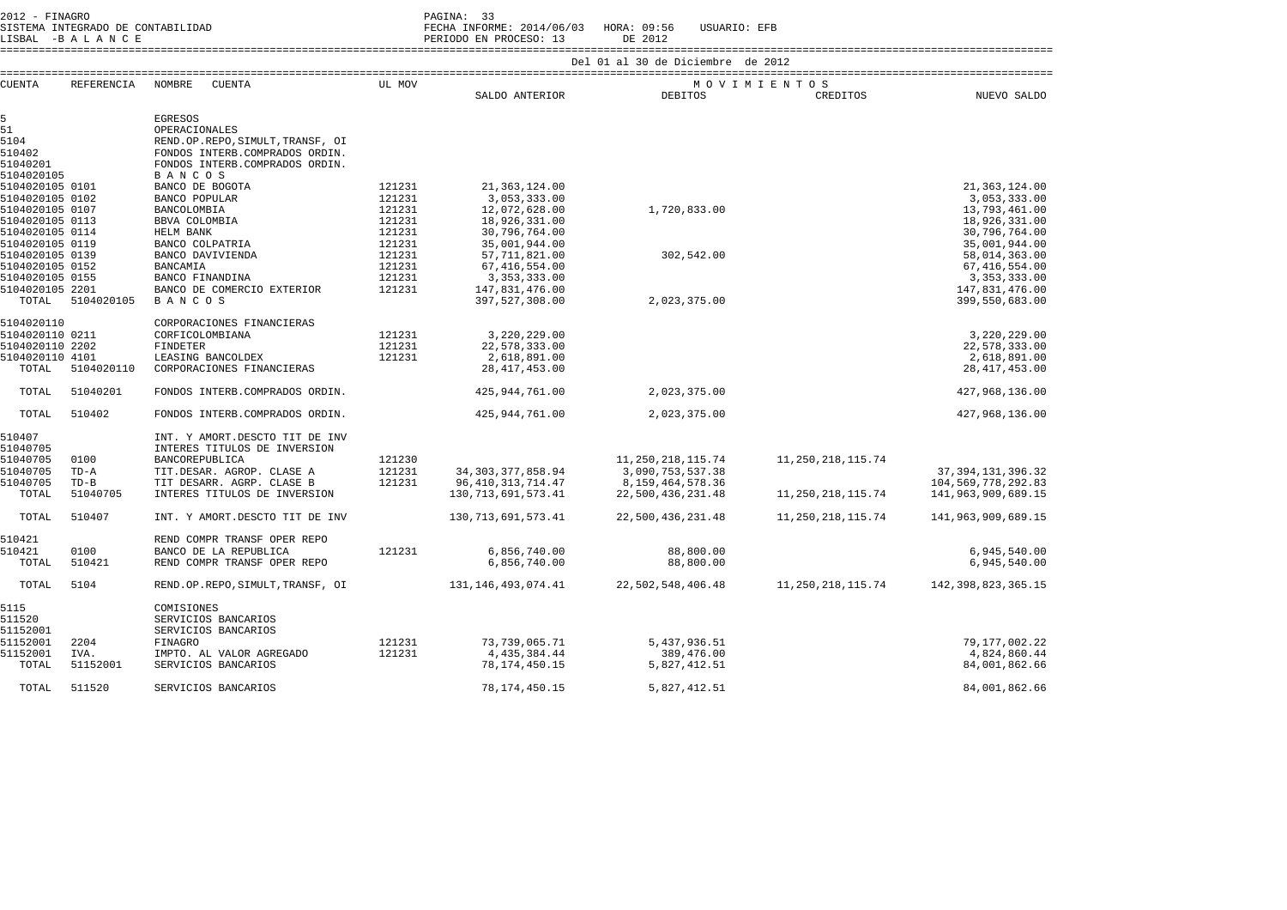2012 - FINAGRO DE CONTABILIDAD (PAGINA: 33)<br>2012 - PAGINA: SISTEMA INFORM

 SISTEMA INTEGRADO DE CONTABILIDAD FECHA INFORME: 2014/06/03 HORA: 09:56 USUARIO: EFB LISBAL -B A L A N C E PERIODO EN PROCESO: 13 DE 2012

====================================================================================================================================================================

| <b>CUENTA</b>     | REFERENCIA         | NOMBRE<br><b>CUENTA</b>                                             | UL MOV | SALDO ANTERIOR         | <b>DEBITOS</b>       | MOVIMIENTOS<br>CREDITOS | NUEVO SALDO            |
|-------------------|--------------------|---------------------------------------------------------------------|--------|------------------------|----------------------|-------------------------|------------------------|
|                   |                    |                                                                     |        |                        |                      |                         |                        |
| 5                 |                    | <b>EGRESOS</b>                                                      |        |                        |                      |                         |                        |
| 51<br>5104        |                    | OPERACIONALES                                                       |        |                        |                      |                         |                        |
| 510402            |                    | REND.OP.REPO, SIMULT, TRANSF, OI<br>FONDOS INTERB. COMPRADOS ORDIN. |        |                        |                      |                         |                        |
| 51040201          |                    | FONDOS INTERB. COMPRADOS ORDIN.                                     |        |                        |                      |                         |                        |
| 5104020105        |                    | <b>BANCOS</b>                                                       |        |                        |                      |                         |                        |
| 5104020105 0101   |                    | BANCO DE BOGOTA                                                     | 121231 | 21, 363, 124.00        |                      |                         | 21, 363, 124.00        |
| 5104020105 0102   |                    | BANCO POPULAR                                                       | 121231 | 3,053,333.00           |                      |                         | 3,053,333.00           |
| 5104020105 0107   |                    | BANCOLOMBIA                                                         | 121231 | 12,072,628.00          | 1,720,833.00         |                         | 13,793,461.00          |
| 5104020105 0113   |                    | BBVA COLOMBIA                                                       | 121231 | 18,926,331.00          |                      |                         | 18,926,331.00          |
| 5104020105 0114   |                    | HELM BANK                                                           | 121231 | 30,796,764.00          |                      |                         | 30,796,764.00          |
| 5104020105 0119   |                    | BANCO COLPATRIA                                                     | 121231 | 35,001,944.00          |                      |                         | 35,001,944.00          |
| 5104020105 0139   |                    | BANCO DAVIVIENDA                                                    | 121231 | 57,711,821.00          | 302,542.00           |                         | 58,014,363.00          |
| 5104020105 0152   |                    | <b>BANCAMIA</b>                                                     | 121231 | 67, 416, 554.00        |                      |                         | 67, 416, 554.00        |
| 5104020105 0155   |                    | BANCO FINANDINA                                                     | 121231 | 3, 353, 333, 00        |                      |                         | 3, 353, 333, 00        |
| 5104020105 2201   |                    | BANCO DE COMERCIO EXTERIOR                                          | 121231 | 147,831,476.00         |                      |                         | 147,831,476.00         |
| TOTAL             | 5104020105         | <b>BANCOS</b>                                                       |        | 397,527,308.00         | 2,023,375.00         |                         | 399,550,683.00         |
| 5104020110        |                    | CORPORACIONES FINANCIERAS                                           |        |                        |                      |                         |                        |
| 5104020110 0211   |                    | CORFICOLOMBIANA                                                     | 121231 | 3,220,229.00           |                      |                         | 3,220,229.00           |
| 5104020110 2202   |                    | <b>FINDETER</b>                                                     | 121231 | 22,578,333.00          |                      |                         | 22,578,333.00          |
| 5104020110 4101   |                    | LEASING BANCOLDEX                                                   | 121231 | 2,618,891.00           |                      |                         | 2,618,891.00           |
| TOTAL             | 5104020110         | CORPORACIONES FINANCIERAS                                           |        | 28, 417, 453.00        |                      |                         | 28, 417, 453.00        |
| TOTAL             | 51040201           | FONDOS INTERB. COMPRADOS ORDIN.                                     |        | 425,944,761.00         | 2,023,375.00         |                         | 427,968,136.00         |
| TOTAL             | 510402             | FONDOS INTERB. COMPRADOS ORDIN.                                     |        | 425,944,761.00         | 2,023,375.00         |                         | 427,968,136.00         |
| 510407            |                    | INT. Y AMORT.DESCTO TIT DE INV                                      |        |                        |                      |                         |                        |
| 51040705          |                    | INTERES TITULOS DE INVERSION                                        |        |                        |                      |                         |                        |
| 51040705          | 0100               | BANCOREPUBLICA                                                      | 121230 |                        | 11, 250, 218, 115.74 | 11, 250, 218, 115.74    |                        |
| 51040705          | $TD - A$           | TIT.DESAR. AGROP. CLASE A                                           | 121231 | 34, 303, 377, 858.94   | 3,090,753,537.38     |                         | 37, 394, 131, 396. 32  |
| 51040705<br>TOTAL | $TD-B$<br>51040705 | TIT DESARR. AGRP. CLASE B<br>INTERES TITULOS DE INVERSION           | 121231 | 96, 410, 313, 714. 47  | 8, 159, 464, 578. 36 |                         | 104,569,778,292.83     |
|                   |                    |                                                                     |        | 130, 713, 691, 573. 41 | 22,500,436,231.48    | 11, 250, 218, 115.74    | 141,963,909,689.15     |
| TOTAL             | 510407             | INT. Y AMORT.DESCTO TIT DE INV                                      |        | 130, 713, 691, 573. 41 | 22,500,436,231.48    | 11, 250, 218, 115.74    | 141,963,909,689.15     |
| 510421            |                    | REND COMPR TRANSF OPER REPO                                         |        |                        |                      |                         |                        |
| 510421            | 0100               | BANCO DE LA REPUBLICA                                               | 121231 | 6,856,740.00           | 88,800.00            |                         | 6,945,540.00           |
| TOTAL             | 510421             | REND COMPR TRANSF OPER REPO                                         |        | 6,856,740.00           | 88,800.00            |                         | 6,945,540.00           |
| TOTAL             | 5104               | REND.OP.REPO, SIMULT, TRANSF, OI                                    |        | 131, 146, 493, 074. 41 | 22,502,548,406.48    | 11,250,218,115.74       | 142, 398, 823, 365. 15 |
| 5115              |                    | COMISIONES                                                          |        |                        |                      |                         |                        |
| 511520            |                    | SERVICIOS BANCARIOS                                                 |        |                        |                      |                         |                        |
| 51152001          |                    | SERVICIOS BANCARIOS                                                 |        |                        |                      |                         |                        |
| 51152001          | 2204               | FINAGRO                                                             | 121231 | 73,739,065.71          | 5,437,936.51         |                         | 79,177,002.22          |
| 51152001          | IVA.               | IMPTO. AL VALOR AGREGADO                                            | 121231 | 4,435,384.44           | 389,476.00           |                         | 4,824,860.44           |
| TOTAL             | 51152001           | SERVICIOS BANCARIOS                                                 |        | 78, 174, 450. 15       | 5,827,412.51         |                         | 84,001,862.66          |
| TOTAL             | 511520             | SERVICIOS BANCARIOS                                                 |        | 78, 174, 450. 15       | 5,827,412.51         |                         | 84,001,862.66          |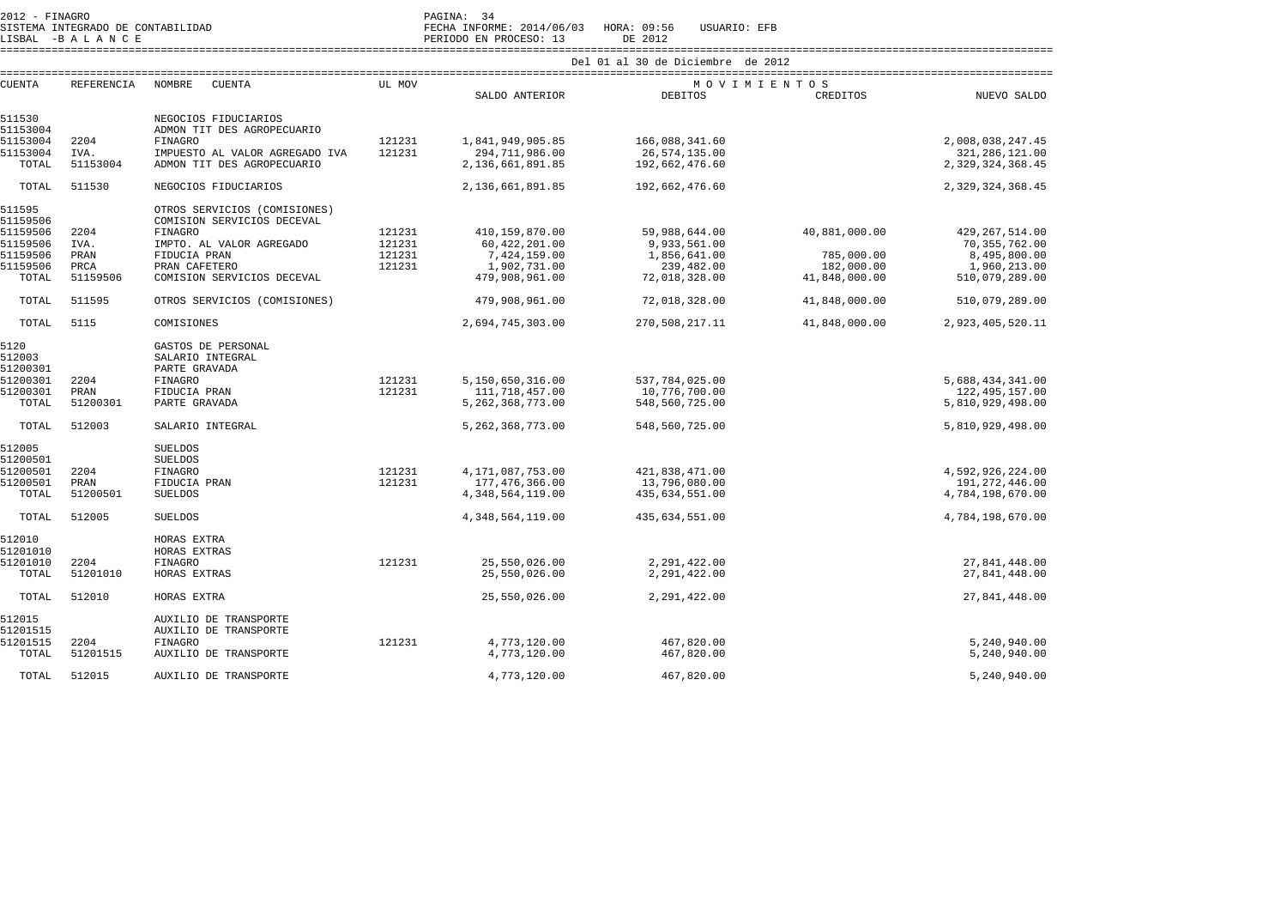| 2012<br>$\overline{\phantom{a}}$ | FINAGRO<br>--------- |                           | PAGINA: |        |  |
|----------------------------------|----------------------|---------------------------|---------|--------|--|
| STSTEMA                          |                      | INTEGRADO DE CONTABILIDAD | FECHA   | TNFORM |  |

SISTEMA INTEGRADO DE CONTABILIDAD FECHA INFORME: 2014/06/03 HORA: 09:56 USUARIO: EFB

LISBAL -B A L A N C E PERIODO EN PROCESO: 13 DE 2012

 ==================================================================================================================================================================== Del 01 al 30 de Diciembre de 2012

| <b>CUENTA</b> | <b>REFERENCIA</b> | NOMBRE<br><b>CUENTA</b>        | UL MOV |                      | MOVIMIENTOS    |               |                  |
|---------------|-------------------|--------------------------------|--------|----------------------|----------------|---------------|------------------|
|               |                   |                                |        | SALDO ANTERIOR       | <b>DEBITOS</b> | CREDITOS      | NUEVO SALDO      |
| 511530        |                   | NEGOCIOS FIDUCIARIOS           |        |                      |                |               |                  |
| 51153004      |                   | ADMON TIT DES AGROPECUARIO     |        |                      |                |               |                  |
| 51153004      | 2204              | FINAGRO                        | 121231 | 1,841,949,905.85     | 166,088,341.60 |               | 2,008,038,247.45 |
| 51153004      | IVA.              | IMPUESTO AL VALOR AGREGADO IVA | 121231 | 294,711,986.00       | 26,574,135.00  |               | 321, 286, 121.00 |
| TOTAL         | 51153004          | ADMON TIT DES AGROPECUARIO     |        | 2,136,661,891.85     | 192,662,476.60 |               | 2,329,324,368.45 |
|               |                   |                                |        |                      |                |               |                  |
| TOTAL         | 511530            | NEGOCIOS FIDUCIARIOS           |        | 2,136,661,891.85     | 192,662,476.60 |               | 2,329,324,368.45 |
| 511595        |                   | OTROS SERVICIOS (COMISIONES)   |        |                      |                |               |                  |
| 51159506      |                   | COMISION SERVICIOS DECEVAL     |        |                      |                |               |                  |
| 51159506      | 2204              | <b>FINAGRO</b>                 | 121231 | 410,159,870.00       | 59,988,644.00  | 40,881,000.00 | 429, 267, 514.00 |
| 51159506      | IVA.              | IMPTO. AL VALOR AGREGADO       | 121231 | 60,422,201.00        | 9,933,561.00   |               | 70, 355, 762.00  |
| 51159506      | PRAN              | FIDUCIA PRAN                   | 121231 | 7,424,159.00         | 1,856,641.00   | 785,000.00    | 8,495,800.00     |
| 51159506      | PRCA              | PRAN CAFETERO                  | 121231 | 1,902,731.00         | 239,482.00     | 182,000.00    | 1,960,213.00     |
| TOTAL         | 51159506          | COMISION SERVICIOS DECEVAL     |        | 479,908,961.00       | 72,018,328.00  | 41,848,000.00 | 510,079,289.00   |
| TOTAL         | 511595            | OTROS SERVICIOS (COMISIONES)   |        | 479,908,961.00       | 72,018,328.00  | 41,848,000.00 | 510,079,289.00   |
|               |                   |                                |        |                      |                |               |                  |
| TOTAL         | 5115              | COMISIONES                     |        | 2,694,745,303.00     | 270,508,217.11 | 41,848,000.00 | 2,923,405,520.11 |
| 5120          |                   | GASTOS DE PERSONAL             |        |                      |                |               |                  |
| 512003        |                   | SALARIO INTEGRAL               |        |                      |                |               |                  |
| 51200301      |                   | PARTE GRAVADA                  |        |                      |                |               |                  |
| 51200301      | 2204              | <b>FINAGRO</b>                 | 121231 | 5,150,650,316.00     | 537,784,025.00 |               | 5,688,434,341.00 |
| 51200301      | PRAN              | FIDUCIA PRAN                   | 121231 | 111,718,457.00       | 10,776,700.00  |               | 122, 495, 157.00 |
| TOTAL         | 51200301          | PARTE GRAVADA                  |        | 5, 262, 368, 773.00  | 548,560,725.00 |               | 5,810,929,498.00 |
| TOTAL         | 512003            | SALARIO INTEGRAL               |        | 5, 262, 368, 773.00  | 548,560,725.00 |               | 5,810,929,498.00 |
|               |                   |                                |        |                      |                |               |                  |
| 512005        |                   | <b>SUELDOS</b>                 |        |                      |                |               |                  |
| 51200501      |                   | <b>SUELDOS</b>                 |        |                      |                |               |                  |
| 51200501      | 2204              | FINAGRO                        | 121231 | 4, 171, 087, 753.00  | 421,838,471.00 |               | 4,592,926,224.00 |
| 51200501      | PRAN              | FIDUCIA PRAN                   | 121231 | 177,476,366.00       | 13,796,080.00  |               | 191,272,446.00   |
| TOTAL         | 51200501          | <b>SUELDOS</b>                 |        | 4, 348, 564, 119.00  | 435,634,551.00 |               | 4,784,198,670.00 |
| TOTAL         | 512005            | <b>SUELDOS</b>                 |        | 4, 348, 564, 119, 00 | 435,634,551.00 |               | 4,784,198,670.00 |
| 512010        |                   | HORAS EXTRA                    |        |                      |                |               |                  |
| 51201010      |                   | HORAS EXTRAS                   |        |                      |                |               |                  |
| 51201010      | 2204              | <b>FINAGRO</b>                 | 121231 | 25,550,026.00        | 2,291,422.00   |               | 27,841,448.00    |
| TOTAL         | 51201010          | HORAS EXTRAS                   |        | 25,550,026.00        | 2,291,422.00   |               | 27,841,448.00    |
|               |                   |                                |        |                      |                |               |                  |
| TOTAL         | 512010            | HORAS EXTRA                    |        | 25,550,026.00        | 2,291,422.00   |               | 27,841,448.00    |
| 512015        |                   | AUXILIO DE TRANSPORTE          |        |                      |                |               |                  |
| 51201515      |                   | AUXILIO DE TRANSPORTE          |        |                      |                |               |                  |
| 51201515      | 2204              | FINAGRO                        | 121231 | 4,773,120.00         | 467,820.00     |               | 5,240,940.00     |
| TOTAL         | 51201515          | AUXILIO DE TRANSPORTE          |        | 4,773,120.00         | 467,820.00     |               | 5,240,940.00     |
|               |                   |                                |        |                      |                |               |                  |
| TOTAL         | 512015            | AUXILIO DE TRANSPORTE          |        | 4,773,120.00         | 467,820.00     |               | 5,240,940.00     |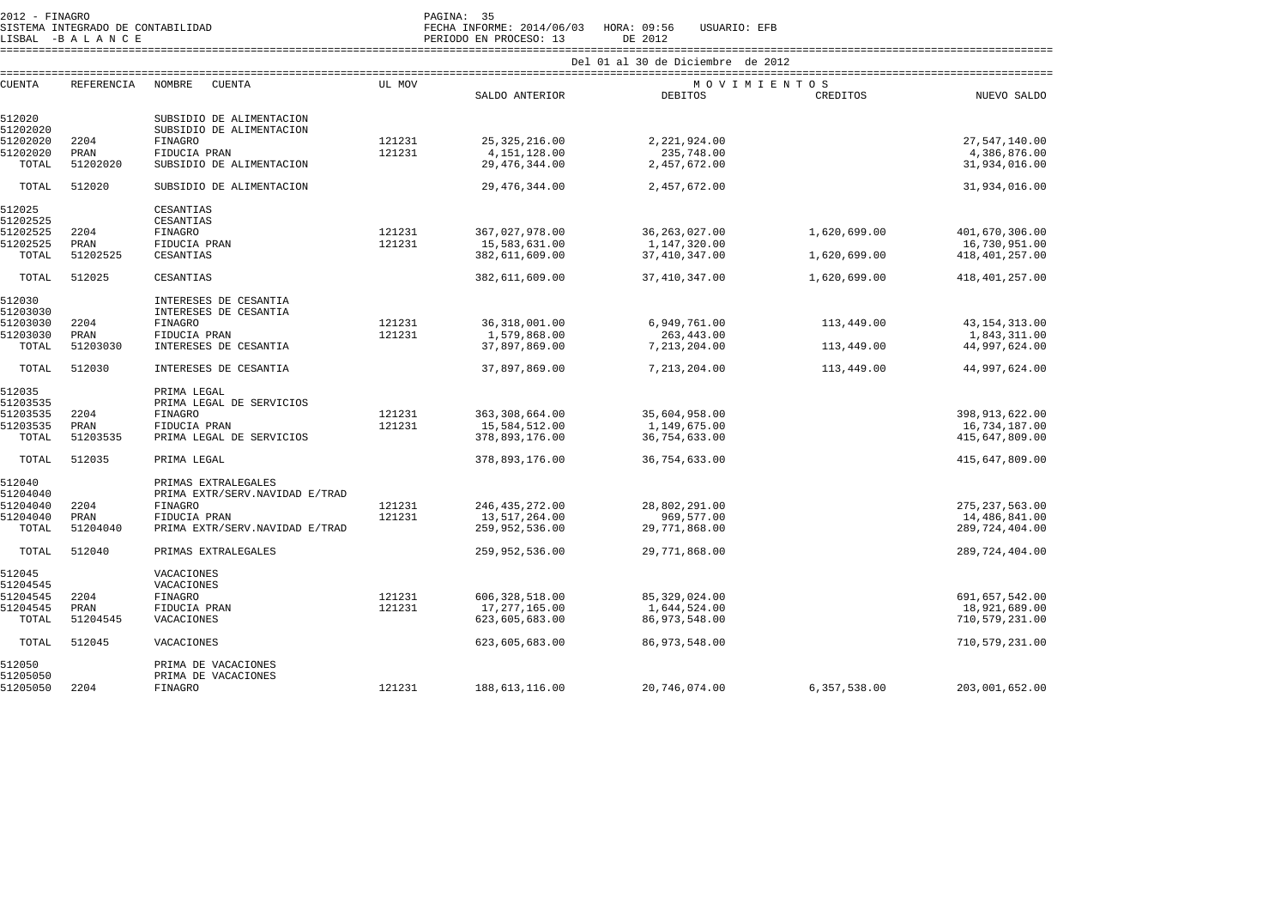| $2012 - FINAGRO$                  | PAGINA:                                                     |
|-----------------------------------|-------------------------------------------------------------|
| SISTEMA INTEGRADO DE CONTABILIDAD | INFORME: 2014/06/03<br>HORA: 09:56<br>USUARIO: EFB<br>FECHA |

للمحمد المستقيمة المستقيمة المستقيمة المستقيمة المستقيمة المستقيمة المستقيمة المستقيمة المستقيمة المستقيمة الم<br>LISBAL -B A L A N C E PERIODO EN PROCESO: 13 DE 2012

==================================================================================================================================================================== Del 01 al 30 de Diciembre de 2012

|               |                   |                                | Del 01 al 30 de Diciembre<br>αe<br>2012 |                  |                 |              |                  |  |  |
|---------------|-------------------|--------------------------------|-----------------------------------------|------------------|-----------------|--------------|------------------|--|--|
| <b>CUENTA</b> | <b>REFERENCIA</b> | <b>NOMBRE</b><br><b>CUENTA</b> | UL MOV                                  | MOVIMIENTOS      |                 |              |                  |  |  |
|               |                   |                                |                                         | SALDO ANTERIOR   | DEBITOS         | CREDITOS     | NUEVO SALDO      |  |  |
| 512020        |                   | SUBSIDIO DE ALIMENTACION       |                                         |                  |                 |              |                  |  |  |
| 51202020      |                   | SUBSIDIO DE ALIMENTACION       |                                         |                  |                 |              |                  |  |  |
| 51202020      | 2204              | <b>FINAGRO</b>                 | 121231                                  | 25, 325, 216.00  | 2,221,924.00    |              | 27,547,140.00    |  |  |
| 51202020      | PRAN              | FIDUCIA PRAN                   | 121231                                  | 4, 151, 128.00   | 235,748.00      |              | 4,386,876.00     |  |  |
| TOTAL         | 51202020          | SUBSIDIO DE ALIMENTACION       |                                         | 29, 476, 344.00  | 2,457,672.00    |              | 31,934,016.00    |  |  |
| TOTAL         | 512020            | SUBSIDIO DE ALIMENTACION       |                                         | 29, 476, 344.00  | 2,457,672.00    |              | 31,934,016.00    |  |  |
| 512025        |                   | CESANTIAS                      |                                         |                  |                 |              |                  |  |  |
| 51202525      |                   | CESANTIAS                      |                                         |                  |                 |              |                  |  |  |
| 51202525      | 2204              | <b>FINAGRO</b>                 | 121231                                  | 367,027,978.00   | 36, 263, 027.00 | 1,620,699.00 | 401,670,306.00   |  |  |
| 51202525      | PRAN              | FIDUCIA PRAN                   | 121231                                  | 15,583,631.00    | 1,147,320.00    |              | 16,730,951.00    |  |  |
| TOTAL         | 51202525          | CESANTIAS                      |                                         | 382,611,609.00   | 37, 410, 347.00 | 1,620,699.00 | 418, 401, 257.00 |  |  |
| TOTAL         | 512025            | CESANTIAS                      |                                         | 382,611,609.00   | 37, 410, 347.00 | 1,620,699.00 | 418, 401, 257.00 |  |  |
| 512030        |                   | INTERESES DE CESANTIA          |                                         |                  |                 |              |                  |  |  |
| 51203030      |                   | INTERESES DE CESANTIA          |                                         |                  |                 |              |                  |  |  |
| 51203030      | 2204              | <b>FINAGRO</b>                 | 121231                                  | 36, 318, 001.00  | 6,949,761.00    | 113,449.00   | 43, 154, 313.00  |  |  |
| 51203030      | PRAN              | FIDUCIA PRAN                   | 121231                                  | 1,579,868.00     | 263, 443.00     |              | 1,843,311.00     |  |  |
| TOTAL         | 51203030          | INTERESES DE CESANTIA          |                                         | 37,897,869.00    | 7, 213, 204.00  | 113,449.00   | 44,997,624.00    |  |  |
| TOTAL         | 512030            | INTERESES DE CESANTIA          |                                         | 37,897,869.00    | 7, 213, 204.00  | 113,449.00   | 44,997,624.00    |  |  |
| 512035        |                   | PRIMA LEGAL                    |                                         |                  |                 |              |                  |  |  |
| 51203535      |                   | PRIMA LEGAL DE SERVICIOS       |                                         |                  |                 |              |                  |  |  |
| 51203535      | 2204              | <b>FINAGRO</b>                 | 121231                                  | 363, 308, 664.00 | 35,604,958.00   |              | 398, 913, 622.00 |  |  |
| 51203535      | PRAN              | FIDUCIA PRAN                   | 121231                                  | 15,584,512.00    | 1,149,675.00    |              | 16,734,187.00    |  |  |
| TOTAL         | 51203535          | PRIMA LEGAL DE SERVICIOS       |                                         | 378,893,176.00   | 36,754,633.00   |              | 415,647,809.00   |  |  |
| TOTAL         | 512035            | PRIMA LEGAL                    |                                         | 378,893,176.00   | 36,754,633.00   |              | 415,647,809.00   |  |  |
| 512040        |                   | PRIMAS EXTRALEGALES            |                                         |                  |                 |              |                  |  |  |
| 51204040      |                   | PRIMA EXTR/SERV.NAVIDAD E/TRAD |                                         |                  |                 |              |                  |  |  |
| 51204040      | 2204              | <b>FINAGRO</b>                 | 121231                                  | 246, 435, 272.00 | 28,802,291.00   |              | 275, 237, 563.00 |  |  |
| 51204040      | PRAN              | FIDUCIA PRAN                   | 121231                                  | 13,517,264.00    | 969,577.00      |              | 14,486,841.00    |  |  |
| TOTAL         | 51204040          | PRIMA EXTR/SERV.NAVIDAD E/TRAD |                                         | 259,952,536.00   | 29,771,868.00   |              | 289, 724, 404.00 |  |  |
| TOTAL         | 512040            | PRIMAS EXTRALEGALES            |                                         | 259,952,536.00   | 29,771,868.00   |              | 289, 724, 404.00 |  |  |
| 512045        |                   | VACACIONES                     |                                         |                  |                 |              |                  |  |  |
| 51204545      |                   | VACACIONES                     |                                         |                  |                 |              |                  |  |  |
| 51204545      | 2204              | <b>FINAGRO</b>                 | 121231                                  | 606, 328, 518.00 | 85, 329, 024.00 |              | 691,657,542.00   |  |  |
| 51204545      | PRAN              | FIDUCIA PRAN                   | 121231                                  | 17,277,165.00    | 1,644,524.00    |              | 18,921,689.00    |  |  |
| TOTAL         | 51204545          | VACACIONES                     |                                         | 623,605,683.00   | 86,973,548.00   |              | 710,579,231.00   |  |  |
| TOTAL         | 512045            | VACACIONES                     |                                         | 623,605,683.00   | 86,973,548.00   |              | 710,579,231.00   |  |  |
| 512050        |                   | PRIMA DE VACACIONES            |                                         |                  |                 |              |                  |  |  |
| 51205050      |                   | PRIMA DE VACACIONES            |                                         |                  |                 |              |                  |  |  |
| 51205050      | 2204              | FINAGRO                        | 121231                                  | 188, 613, 116.00 | 20,746,074.00   | 6,357,538.00 | 203,001,652.00   |  |  |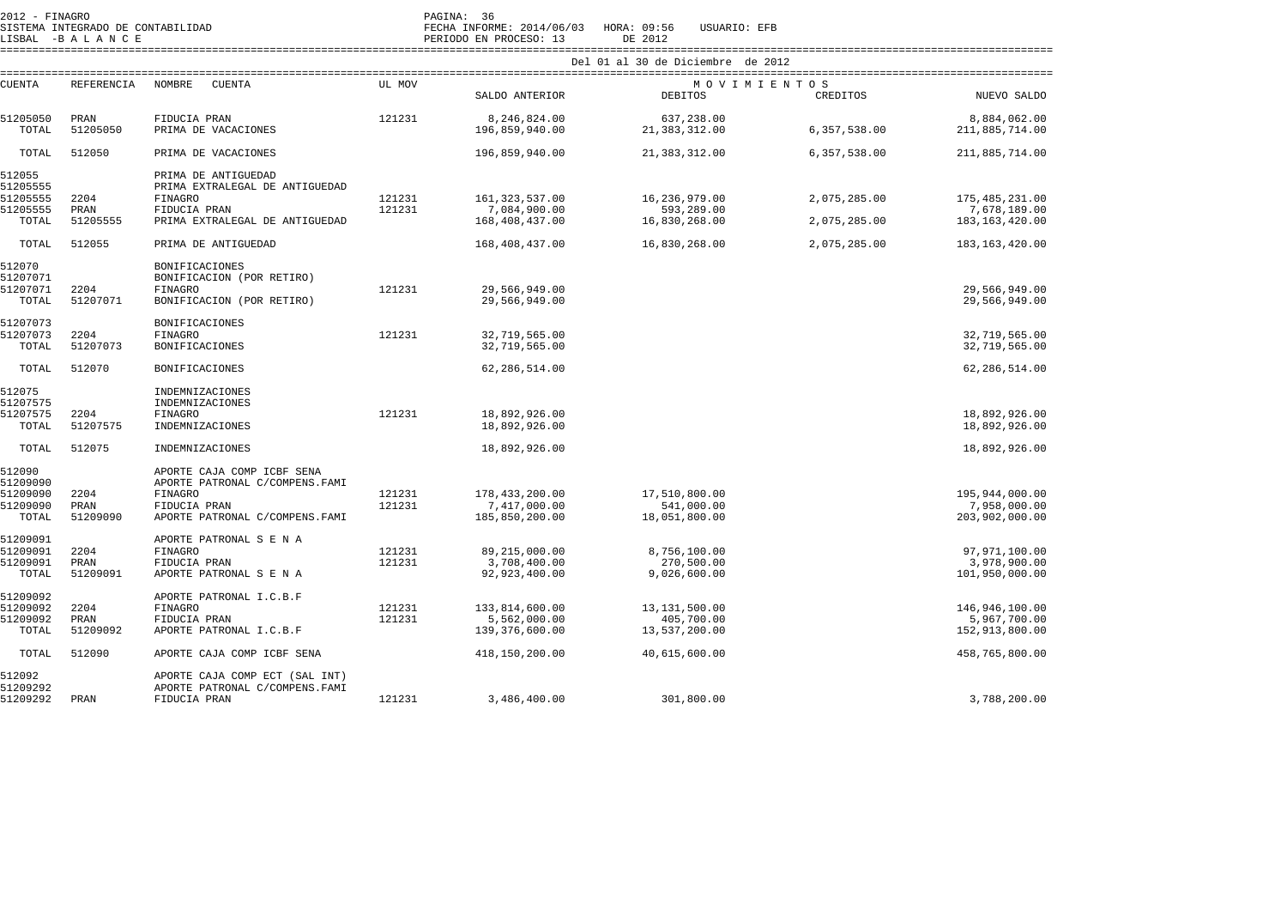| 2012 - FINAGRO<br>SISTEMA INTEGRADO DE CONTABILIDAD<br>LISBAL -BALANCE |                  |                                                       |                                   | PAGINA: 36<br>FECHA INFORME: 2014/06/03 HORA: 09:56<br>USUARIO: EFB<br>PERIODO EN PROCESO: 13<br>DE 2012 |                             |              |                                |  |  |  |
|------------------------------------------------------------------------|------------------|-------------------------------------------------------|-----------------------------------|----------------------------------------------------------------------------------------------------------|-----------------------------|--------------|--------------------------------|--|--|--|
|                                                                        |                  |                                                       | Del 01 al 30 de Diciembre de 2012 |                                                                                                          |                             |              |                                |  |  |  |
| CUENTA                                                                 | REFERENCIA       | NOMBRE<br>CUENTA                                      | UL MOV                            | MOVIMIENTOS                                                                                              |                             |              |                                |  |  |  |
|                                                                        |                  |                                                       |                                   | SALDO ANTERIOR                                                                                           | <b>DEBITOS</b>              | CREDITOS     | NUEVO SALDO                    |  |  |  |
| 51205050                                                               | PRAN             | FIDUCIA PRAN                                          | 121231                            | 8,246,824.00                                                                                             | 637,238.00                  |              | 8,884,062.00                   |  |  |  |
| TOTAL                                                                  | 51205050         | PRIMA DE VACACIONES                                   |                                   | 196,859,940.00                                                                                           | 21, 383, 312.00             | 6,357,538.00 | 211,885,714.00                 |  |  |  |
| TOTAL                                                                  | 512050           | PRIMA DE VACACIONES                                   |                                   | 196,859,940.00                                                                                           | 21,383,312.00               | 6,357,538.00 | 211,885,714.00                 |  |  |  |
| 512055<br>51205555                                                     |                  | PRIMA DE ANTIGUEDAD<br>PRIMA EXTRALEGAL DE ANTIGUEDAD |                                   |                                                                                                          |                             |              |                                |  |  |  |
| 51205555                                                               | 2204             | FINAGRO                                               | 121231                            | 161, 323, 537.00                                                                                         | 16,236,979.00               | 2,075,285.00 | 175, 485, 231.00               |  |  |  |
| 51205555                                                               | PRAN             | FIDUCIA PRAN                                          | 121231                            | 7,084,900.00                                                                                             | 593,289.00                  |              | 7,678,189.00                   |  |  |  |
| TOTAL                                                                  | 51205555         | PRIMA EXTRALEGAL DE ANTIGUEDAD                        |                                   | 168,408,437.00                                                                                           | 16,830,268.00               | 2,075,285.00 | 183, 163, 420.00               |  |  |  |
| TOTAL                                                                  | 512055           | PRIMA DE ANTIGUEDAD                                   |                                   | 168,408,437.00                                                                                           | 16,830,268.00               | 2,075,285.00 | 183, 163, 420.00               |  |  |  |
| 512070<br>51207071                                                     |                  | <b>BONIFICACIONES</b><br>BONIFICACION (POR RETIRO)    |                                   |                                                                                                          |                             |              |                                |  |  |  |
| 51207071                                                               | 2204             | <b>FINAGRO</b>                                        | 121231                            | 29,566,949.00                                                                                            |                             |              | 29,566,949.00                  |  |  |  |
| TOTAL                                                                  | 51207071         | BONIFICACION (POR RETIRO)                             |                                   | 29,566,949.00                                                                                            |                             |              | 29,566,949.00                  |  |  |  |
| 51207073                                                               |                  | BONIFICACIONES                                        |                                   |                                                                                                          |                             |              |                                |  |  |  |
| 51207073                                                               | 2204             | FINAGRO                                               | 121231                            | 32,719,565.00                                                                                            |                             |              | 32,719,565.00                  |  |  |  |
| TOTAL                                                                  | 51207073         | BONIFICACIONES                                        |                                   | 32,719,565.00                                                                                            |                             |              | 32,719,565.00                  |  |  |  |
| TOTAL                                                                  | 512070           | <b>BONIFICACIONES</b>                                 |                                   | 62,286,514.00                                                                                            |                             |              | 62, 286, 514.00                |  |  |  |
| 512075                                                                 |                  | INDEMNIZACIONES                                       |                                   |                                                                                                          |                             |              |                                |  |  |  |
| 51207575                                                               |                  | INDEMNIZACIONES                                       |                                   |                                                                                                          |                             |              |                                |  |  |  |
| 51207575<br>TOTAL                                                      | 2204<br>51207575 | FINAGRO<br>INDEMNIZACIONES                            | 121231                            | 18,892,926.00<br>18,892,926.00                                                                           |                             |              | 18,892,926.00<br>18,892,926.00 |  |  |  |
|                                                                        |                  |                                                       |                                   |                                                                                                          |                             |              |                                |  |  |  |
| TOTAL                                                                  | 512075           | INDEMNIZACIONES                                       |                                   | 18,892,926.00                                                                                            |                             |              | 18,892,926.00                  |  |  |  |
| 512090                                                                 |                  | APORTE CAJA COMP ICBF SENA                            |                                   |                                                                                                          |                             |              |                                |  |  |  |
| 51209090<br>51209090                                                   | 2204             | APORTE PATRONAL C/COMPENS. FAMI<br><b>FINAGRO</b>     | 121231                            | 178, 433, 200.00                                                                                         | 17,510,800.00               |              | 195,944,000.00                 |  |  |  |
| 51209090                                                               | PRAN             | FIDUCIA PRAN                                          | 121231                            | 7,417,000.00                                                                                             | 541,000.00                  |              | 7,958,000.00                   |  |  |  |
| TOTAL                                                                  | 51209090         | APORTE PATRONAL C/COMPENS. FAMI                       |                                   | 185,850,200.00                                                                                           | 18,051,800.00               |              | 203,902,000.00                 |  |  |  |
| 51209091                                                               |                  | APORTE PATRONAL S E N A                               |                                   |                                                                                                          |                             |              |                                |  |  |  |
| 51209091                                                               | 2204             | <b>FINAGRO</b>                                        | 121231                            | 89,215,000.00                                                                                            | 8,756,100.00                |              | 97,971,100.00                  |  |  |  |
| 51209091                                                               | PRAN             | FIDUCIA PRAN                                          | 121231                            | 3,708,400.00                                                                                             | 270,500.00                  |              | 3,978,900.00                   |  |  |  |
| TOTAL                                                                  | 51209091         | APORTE PATRONAL S E N A                               |                                   | 92,923,400.00                                                                                            | 9,026,600.00                |              | 101,950,000.00                 |  |  |  |
| 51209092                                                               |                  | APORTE PATRONAL I.C.B.F                               |                                   |                                                                                                          |                             |              |                                |  |  |  |
| 51209092                                                               | 2204             | <b>FINAGRO</b>                                        | 121231                            | 133,814,600.00                                                                                           | 13, 131, 500.00             |              | 146,946,100.00                 |  |  |  |
| 51209092<br>TOTAL                                                      | PRAN<br>51209092 | FIDUCIA PRAN<br>APORTE PATRONAL I.C.B.F               | 121231                            | 5,562,000.00<br>139,376,600.00                                                                           | 405,700.00<br>13,537,200.00 |              | 5,967,700.00<br>152,913,800.00 |  |  |  |
| TOTAL                                                                  | 512090           | APORTE CAJA COMP ICBF SENA                            |                                   | 418,150,200.00                                                                                           | 40,615,600.00               |              | 458,765,800.00                 |  |  |  |
| 512092                                                                 |                  | APORTE CAJA COMP ECT (SAL INT)                        |                                   |                                                                                                          |                             |              |                                |  |  |  |
| 51209292                                                               |                  | APORTE PATRONAL C/COMPENS. FAMI                       |                                   |                                                                                                          |                             |              |                                |  |  |  |
| 51209292                                                               | PRAN             | FIDUCIA PRAN                                          | 121231                            | 3,486,400.00                                                                                             | 301,800.00                  |              | 3,788,200.00                   |  |  |  |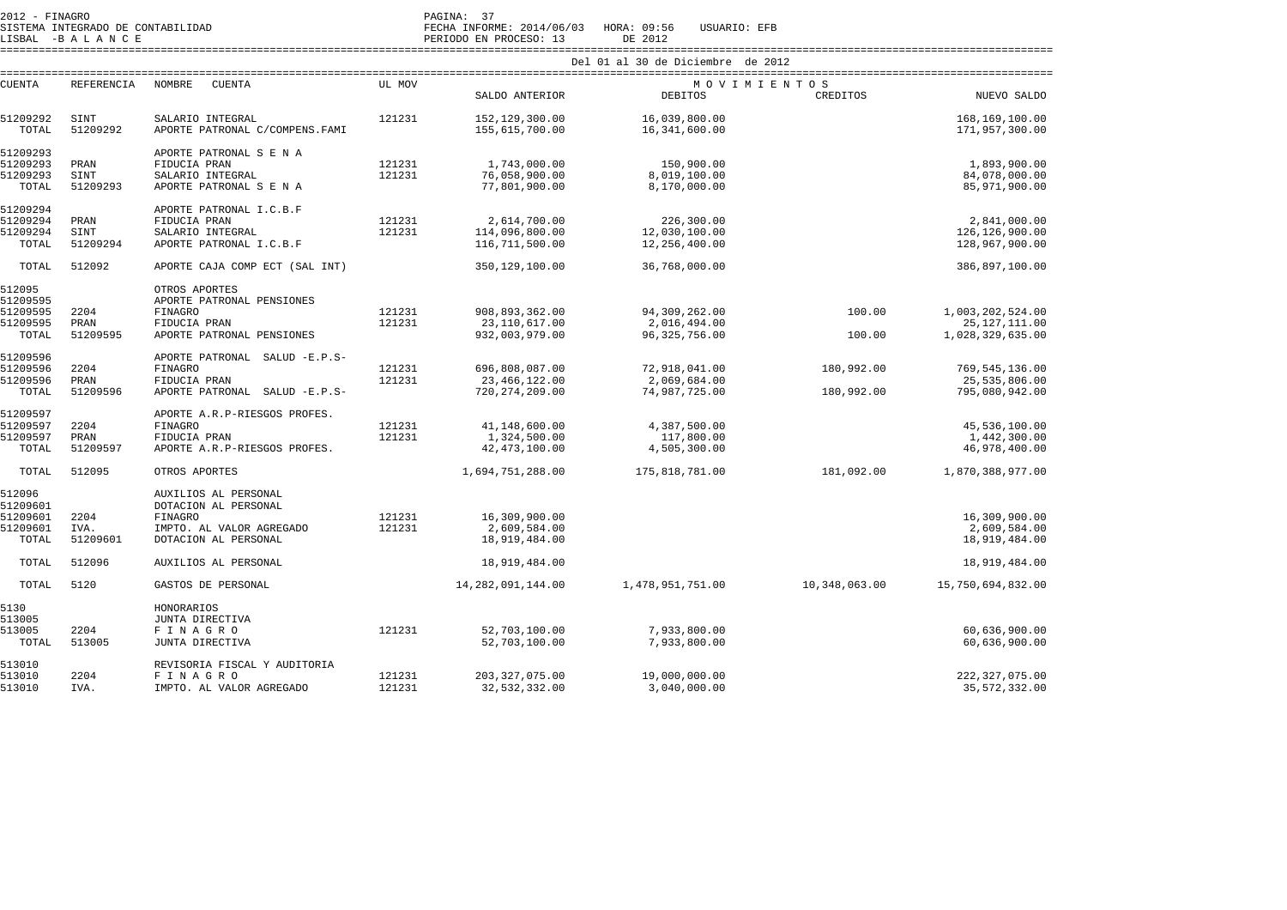| $2012 - FINAGRO$                  | PAGINA:                                                  |
|-----------------------------------|----------------------------------------------------------|
| SISTEMA INTEGRADO DE CONTABILIDAD | INFORME: 2014/06/03 HORA: 09:56<br>USUARIO: EFB<br>FECHA |

LISBAL -B A L A N C E PERIODO EN PROCESO: 13 DE 2012 ====================================================================================================================================================================

|               |            | UI UI JU UC DICIEMBIC<br>- 92 - 93 - 94 |        |                      |                  |               |                   |  |  |  |  |
|---------------|------------|-----------------------------------------|--------|----------------------|------------------|---------------|-------------------|--|--|--|--|
| <b>CUENTA</b> | REFERENCIA | NOMBRE<br><b>CUENTA</b>                 | UL MOV |                      | MOVIMIENTOS      |               |                   |  |  |  |  |
|               |            |                                         |        | SALDO ANTERIOR       | DEBITOS          | CREDITOS      | NUEVO SALDO       |  |  |  |  |
| 51209292      | SINT       | SALARIO INTEGRAL                        | 121231 | 152,129,300.00       | 16,039,800.00    |               | 168,169,100.00    |  |  |  |  |
| TOTAL         | 51209292   | APORTE PATRONAL C/COMPENS. FAMI         |        | 155,615,700.00       | 16,341,600.00    |               | 171,957,300.00    |  |  |  |  |
| 51209293      |            | APORTE PATRONAL S E N A                 |        |                      |                  |               |                   |  |  |  |  |
| 51209293      | PRAN       | FIDUCIA PRAN                            | 121231 | 1,743,000.00         | 150,900.00       |               | 1,893,900.00      |  |  |  |  |
| 51209293      | SINT       | SALARIO INTEGRAL                        | 121231 | 76,058,900.00        | 8,019,100.00     |               | 84,078,000.00     |  |  |  |  |
| TOTAL         | 51209293   | APORTE PATRONAL S E N A                 |        | 77,801,900.00        | 8,170,000.00     |               | 85,971,900.00     |  |  |  |  |
| 51209294      |            | APORTE PATRONAL I.C.B.F                 |        |                      |                  |               |                   |  |  |  |  |
| 51209294      | PRAN       | FIDUCIA PRAN                            | 121231 | 2,614,700.00         | 226,300.00       |               | 2,841,000.00      |  |  |  |  |
| 51209294      | SINT       | SALARIO INTEGRAL                        | 121231 | 114,096,800.00       | 12,030,100.00    |               | 126,126,900.00    |  |  |  |  |
| TOTAL         | 51209294   | APORTE PATRONAL I.C.B.F                 |        | 116,711,500.00       | 12,256,400.00    |               | 128,967,900.00    |  |  |  |  |
| TOTAL         | 512092     | APORTE CAJA COMP ECT (SAL INT)          |        | 350,129,100.00       | 36,768,000.00    |               | 386,897,100.00    |  |  |  |  |
| 512095        |            | OTROS APORTES                           |        |                      |                  |               |                   |  |  |  |  |
| 51209595      |            | APORTE PATRONAL PENSIONES               |        |                      |                  |               |                   |  |  |  |  |
| 51209595      | 2204       | <b>FINAGRO</b>                          | 121231 | 908,893,362.00       | 94,309,262.00    | 100.00        | 1,003,202,524.00  |  |  |  |  |
| 51209595      | PRAN       | FIDUCIA PRAN                            | 121231 | 23,110,617.00        | 2,016,494.00     |               | 25, 127, 111.00   |  |  |  |  |
| TOTAL         | 51209595   | APORTE PATRONAL PENSIONES               |        | 932,003,979.00       | 96, 325, 756.00  | 100.00        | 1,028,329,635.00  |  |  |  |  |
| 51209596      |            | APORTE PATRONAL SALUD -E.P.S-           |        |                      |                  |               |                   |  |  |  |  |
| 51209596      | 2204       | <b>FINAGRO</b>                          | 121231 | 696,808,087.00       | 72,918,041.00    | 180,992.00    | 769, 545, 136.00  |  |  |  |  |
| 51209596      | PRAN       | FIDUCIA PRAN                            | 121231 | 23,466,122.00        | 2,069,684.00     |               | 25,535,806.00     |  |  |  |  |
| TOTAL         | 51209596   | APORTE PATRONAL SALUD -E.P.S-           |        | 720, 274, 209.00     | 74,987,725.00    | 180,992.00    | 795,080,942.00    |  |  |  |  |
| 51209597      |            | APORTE A.R.P-RIESGOS PROFES.            |        |                      |                  |               |                   |  |  |  |  |
| 51209597      | 2204       | <b>FINAGRO</b>                          | 121231 | 41,148,600.00        | 4,387,500.00     |               | 45,536,100.00     |  |  |  |  |
| 51209597      | PRAN       | FIDUCIA PRAN                            | 121231 | 1,324,500.00         | 117,800.00       |               | 1,442,300.00      |  |  |  |  |
| TOTAL         | 51209597   | APORTE A.R.P-RIESGOS PROFES.            |        | 42, 473, 100.00      | 4,505,300.00     |               | 46,978,400.00     |  |  |  |  |
| TOTAL         | 512095     | OTROS APORTES                           |        | 1,694,751,288.00     | 175,818,781.00   | 181,092.00    | 1,870,388,977.00  |  |  |  |  |
| 512096        |            | AUXILIOS AL PERSONAL                    |        |                      |                  |               |                   |  |  |  |  |
| 51209601      |            | DOTACION AL PERSONAL                    |        |                      |                  |               |                   |  |  |  |  |
| 51209601      | 2204       | FINAGRO                                 | 121231 | 16,309,900.00        |                  |               | 16,309,900.00     |  |  |  |  |
| 51209601      | IVA.       | IMPTO. AL VALOR AGREGADO                | 121231 | 2,609,584.00         |                  |               | 2,609,584.00      |  |  |  |  |
| TOTAL         | 51209601   | DOTACION AL PERSONAL                    |        | 18,919,484.00        |                  |               | 18,919,484.00     |  |  |  |  |
| TOTAL         | 512096     | AUXILIOS AL PERSONAL                    |        | 18,919,484.00        |                  |               | 18,919,484.00     |  |  |  |  |
| TOTAL         | 5120       | GASTOS DE PERSONAL                      |        | 14, 282, 091, 144.00 | 1,478,951,751.00 | 10,348,063.00 | 15,750,694,832.00 |  |  |  |  |
| 5130          |            | HONORARIOS                              |        |                      |                  |               |                   |  |  |  |  |
| 513005        |            | JUNTA DIRECTIVA                         |        |                      |                  |               |                   |  |  |  |  |
| 513005        | 2204       | FINAGRO                                 | 121231 | 52,703,100.00        | 7,933,800.00     |               | 60,636,900.00     |  |  |  |  |
| TOTAL         | 513005     | JUNTA DIRECTIVA                         |        | 52,703,100.00        | 7,933,800.00     |               | 60,636,900.00     |  |  |  |  |
| 513010        |            | REVISORIA FISCAL Y AUDITORIA            |        |                      |                  |               |                   |  |  |  |  |
| 513010        | 2204       | FINAGRO                                 | 121231 | 203, 327, 075.00     | 19,000,000.00    |               | 222, 327, 075.00  |  |  |  |  |
| 513010        | IVA.       | IMPTO. AL VALOR AGREGADO                | 121231 | 32,532,332.00        | 3,040,000.00     |               | 35,572,332.00     |  |  |  |  |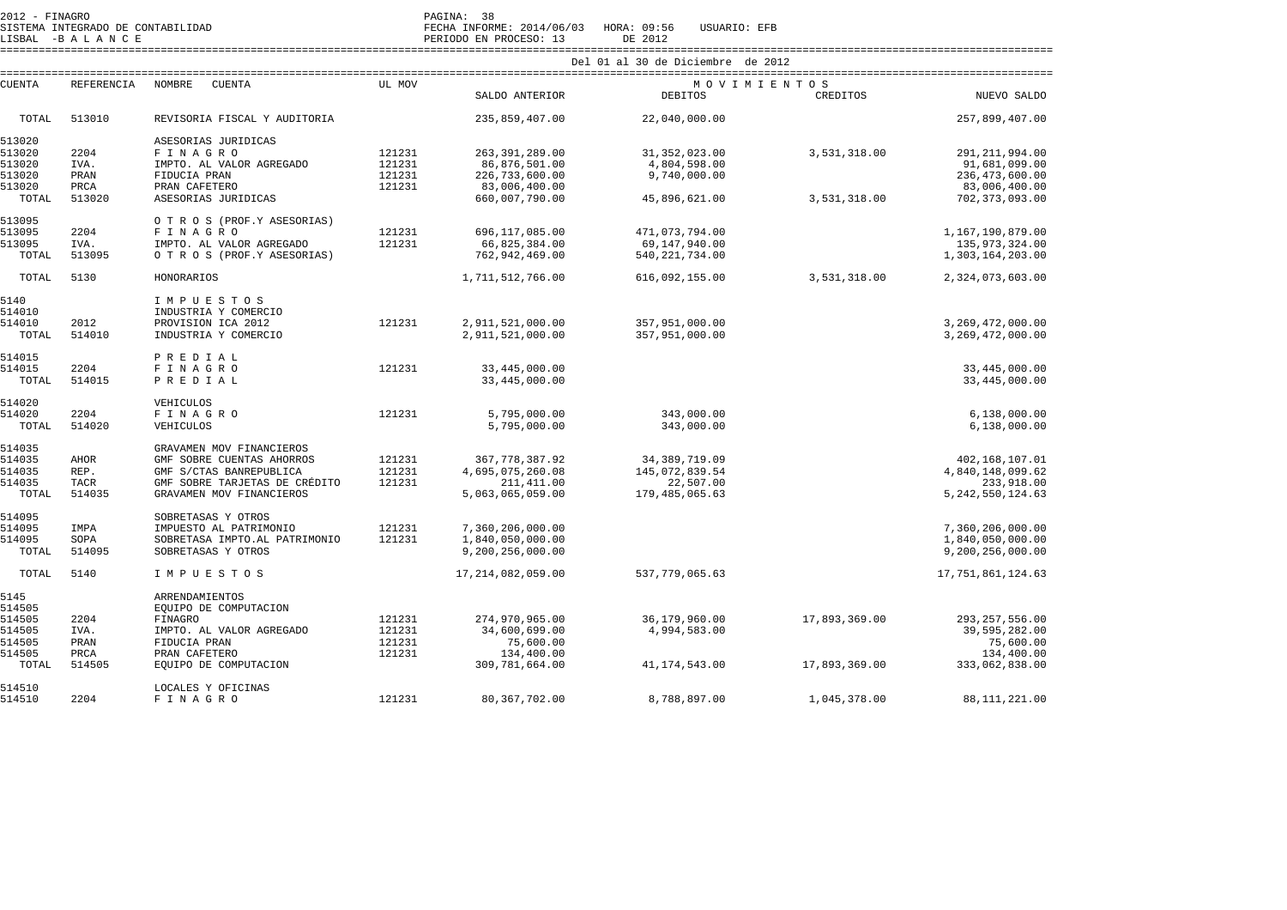| 2012 - FINAGRO<br>SISTEMA INTEGRADO DE CONTABILIDAD |                 |                                                     |        | PAGINA: 38<br>FECHA INFORME: 2014/06/03 HORA: 09:56 | USUARIO: EFB     |               |                                      |  |  |  |
|-----------------------------------------------------|-----------------|-----------------------------------------------------|--------|-----------------------------------------------------|------------------|---------------|--------------------------------------|--|--|--|
|                                                     | LISBAL -BALANCE |                                                     |        | PERIODO EN PROCESO: 13                              | DE 2012          |               |                                      |  |  |  |
|                                                     |                 |                                                     |        | Del 01 al 30 de Diciembre de 2012                   |                  |               |                                      |  |  |  |
| CUENTA                                              | REFERENCIA      | NOMBRE<br>CUENTA                                    | UL MOV |                                                     | MOVIMIENTOS      |               |                                      |  |  |  |
|                                                     |                 |                                                     |        | SALDO ANTERIOR                                      | DEBITOS          | CREDITOS      | NUEVO SALDO                          |  |  |  |
| TOTAL                                               | 513010          | REVISORIA FISCAL Y AUDITORIA                        |        | 235,859,407.00                                      | 22,040,000.00    |               | 257,899,407.00                       |  |  |  |
| 513020                                              |                 | ASESORIAS JURIDICAS                                 |        |                                                     |                  |               |                                      |  |  |  |
| 513020                                              | 2204            | FINAGRO                                             | 121231 | 263, 391, 289.00                                    | 31, 352, 023.00  | 3,531,318.00  | 291, 211, 994.00                     |  |  |  |
| 513020                                              | IVA.            | IMPTO. AL VALOR AGREGADO                            | 121231 | 86,876,501.00                                       | 4,804,598.00     |               | 91,681,099.00                        |  |  |  |
| 513020                                              | PRAN            | FIDUCIA PRAN                                        | 121231 | 226,733,600.00                                      | 9,740,000.00     |               | 236, 473, 600.00                     |  |  |  |
| 513020                                              | PRCA            | PRAN CAFETERO                                       | 121231 | 83,006,400.00                                       |                  |               | 83,006,400.00                        |  |  |  |
| TOTAL                                               | 513020          | ASESORIAS JURIDICAS                                 |        | 660,007,790.00                                      | 45,896,621.00    | 3,531,318.00  | 702, 373, 093.00                     |  |  |  |
| 513095                                              |                 | O T R O S (PROF.Y ASESORIAS)                        |        |                                                     |                  |               |                                      |  |  |  |
| 513095                                              | 2204            | FINAGRO                                             | 121231 | 696,117,085.00                                      | 471,073,794.00   |               | 1,167,190,879.00                     |  |  |  |
| 513095                                              | IVA.            | IMPTO. AL VALOR AGREGADO                            | 121231 | 66,825,384.00                                       | 69,147,940.00    |               | 135,973,324.00                       |  |  |  |
| TOTAL                                               | 513095          | O T R O S (PROF.Y ASESORIAS)                        |        | 762,942,469.00                                      | 540, 221, 734.00 |               | 1,303,164,203.00                     |  |  |  |
| TOTAL                                               | 5130            | HONORARIOS                                          |        | 1,711,512,766.00                                    | 616,092,155.00   | 3,531,318.00  | 2,324,073,603.00                     |  |  |  |
| 5140                                                |                 | IMPUESTOS                                           |        |                                                     |                  |               |                                      |  |  |  |
| 514010                                              |                 | INDUSTRIA Y COMERCIO                                |        |                                                     |                  |               |                                      |  |  |  |
| 514010                                              | 2012            | PROVISION ICA 2012                                  | 121231 | 2,911,521,000.00                                    | 357,951,000.00   |               | 3,269,472,000.00                     |  |  |  |
| TOTAL                                               | 514010          | INDUSTRIA Y COMERCIO                                |        | 2,911,521,000.00                                    | 357,951,000.00   |               | 3,269,472,000.00                     |  |  |  |
| 514015                                              |                 | PREDIAL                                             |        |                                                     |                  |               |                                      |  |  |  |
| 514015                                              | 2204            | FINAGRO                                             | 121231 | 33, 445, 000.00                                     |                  |               | 33, 445, 000.00                      |  |  |  |
| TOTAL                                               | 514015          | PREDIAL                                             |        | 33, 445, 000.00                                     |                  |               | 33, 445, 000.00                      |  |  |  |
| 514020                                              |                 | VEHICULOS                                           |        |                                                     |                  |               |                                      |  |  |  |
| 514020                                              | 2204            | FINAGRO                                             | 121231 | 5,795,000.00                                        | 343,000.00       |               | 6,138,000.00                         |  |  |  |
| TOTAL                                               | 514020          | VEHICULOS                                           |        | 5,795,000.00                                        | 343,000.00       |               | 6,138,000.00                         |  |  |  |
| 514035                                              |                 | GRAVAMEN MOV FINANCIEROS                            |        |                                                     |                  |               |                                      |  |  |  |
| 514035                                              | AHOR            | GMF SOBRE CUENTAS AHORROS                           | 121231 | 367, 778, 387.92                                    | 34, 389, 719.09  |               | 402,168,107.01                       |  |  |  |
| 514035                                              | REP.            | GMF S/CTAS BANREPUBLICA                             | 121231 | 4,695,075,260.08                                    | 145,072,839.54   |               | 4,840,148,099.62                     |  |  |  |
| 514035                                              | TACR            | GMF SOBRE TARJETAS DE CRÉDITO                       | 121231 | 211, 411.00                                         | 22,507.00        |               | 233,918.00                           |  |  |  |
| TOTAL                                               | 514035          | GRAVAMEN MOV FINANCIEROS                            |        | 5,063,065,059.00                                    | 179,485,065.63   |               | 5, 242, 550, 124.63                  |  |  |  |
| 514095                                              |                 | SOBRETASAS Y OTROS                                  |        |                                                     |                  |               |                                      |  |  |  |
| 514095                                              | IMPA            | IMPUESTO AL PATRIMONIO                              | 121231 | 7,360,206,000.00                                    |                  |               | 7,360,206,000.00                     |  |  |  |
| 514095<br>TOTAL                                     | SOPA<br>514095  | SOBRETASA IMPTO.AL PATRIMONIO<br>SOBRETASAS Y OTROS | 121231 | 1,840,050,000.00<br>9,200,256,000.00                |                  |               | 1,840,050,000.00<br>9,200,256,000.00 |  |  |  |
| TOTAL                                               | 5140            | IMPUESTOS                                           |        | 17, 214, 082, 059.00                                | 537,779,065.63   |               | 17,751,861,124.63                    |  |  |  |
| 5145                                                |                 | ARRENDAMIENTOS                                      |        |                                                     |                  |               |                                      |  |  |  |
| 514505                                              |                 | EOUIPO DE COMPUTACION                               |        |                                                     |                  |               |                                      |  |  |  |
| 514505                                              | 2204            | FINAGRO                                             | 121231 | 274,970,965.00                                      | 36,179,960.00    | 17,893,369.00 | 293, 257, 556.00                     |  |  |  |
| 514505                                              | IVA.            | IMPTO. AL VALOR AGREGADO                            | 121231 | 34,600,699.00                                       | 4,994,583.00     |               | 39,595,282.00                        |  |  |  |
| 514505                                              | PRAN            | FIDUCIA PRAN                                        | 121231 | 75,600.00                                           |                  |               | 75,600.00                            |  |  |  |
| 514505                                              | PRCA            | PRAN CAFETERO                                       | 121231 | 134,400.00                                          |                  |               | 134,400.00                           |  |  |  |
| TOTAL                                               | 514505          | EQUIPO DE COMPUTACION                               |        | 309,781,664.00                                      | 41,174,543.00    | 17,893,369.00 | 333,062,838.00                       |  |  |  |
| 514510                                              |                 | LOCALES Y OFICINAS                                  |        |                                                     |                  |               |                                      |  |  |  |
| 514510                                              | 2204            | FINAGRO                                             | 121231 | 80, 367, 702, 00                                    | 8,788,897.00     | 1,045,378.00  | 88, 111, 221, 00                     |  |  |  |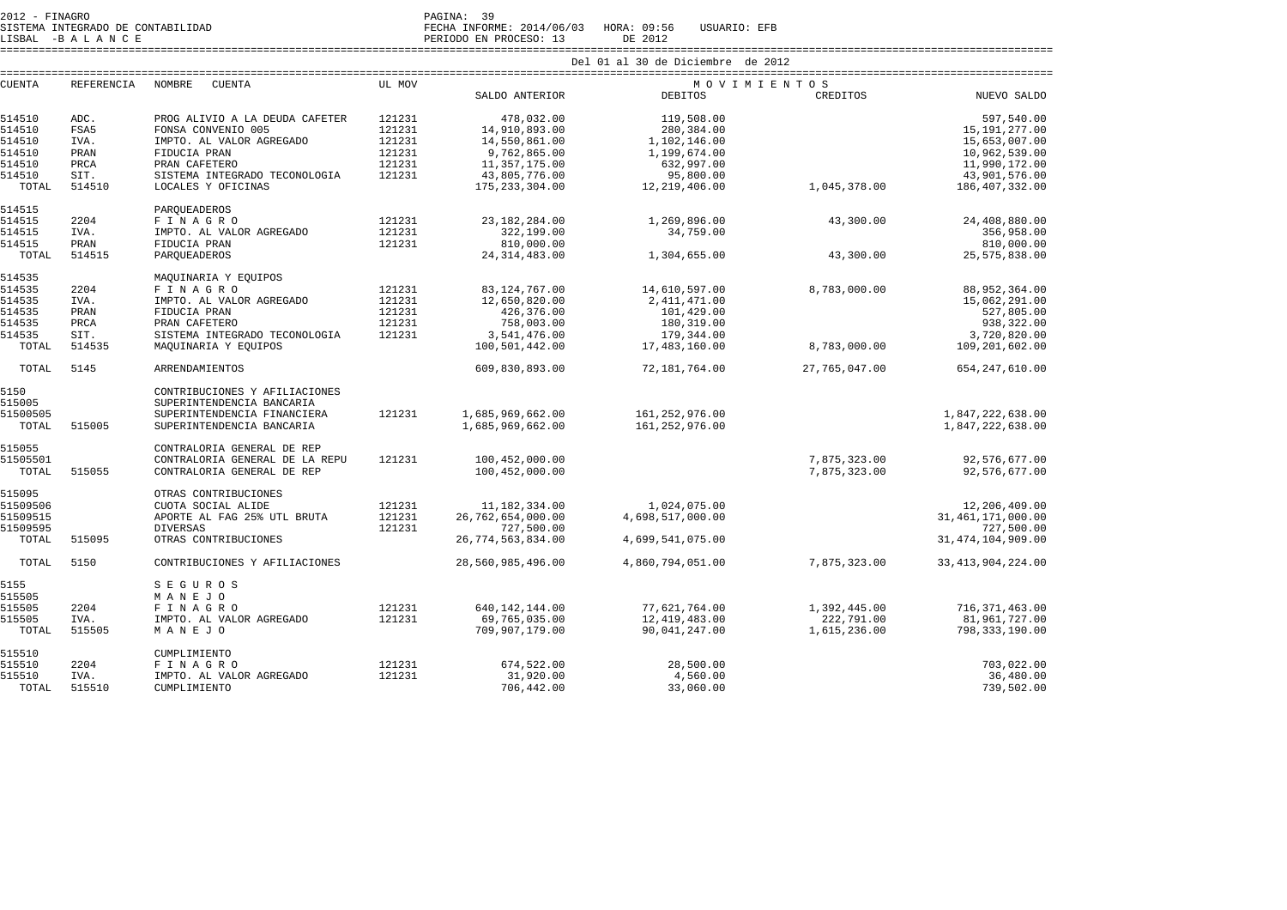SISTEMA INTEGRADO DE CONTABILIDAD FECHA INFORME: 2014/06/03 HORA: 09:56 USUARIO: EFB

LISBAL -B A L A N C E PERIODO EN PROCESO: 13 DE 2012

|                 |                   |                                    |        |                                 | Del 01 al 30 de Diciembre de 2012 |                            |                                   |  |
|-----------------|-------------------|------------------------------------|--------|---------------------------------|-----------------------------------|----------------------------|-----------------------------------|--|
| <b>CUENTA</b>   | <b>REFERENCIA</b> | NOMBRE<br><b>CUENTA</b>            | UL MOV |                                 | MOVIMIENTOS                       |                            |                                   |  |
|                 |                   |                                    |        | SALDO ANTERIOR                  | <b>DEBITOS</b>                    | CREDITOS                   | NUEVO SALDO                       |  |
| 514510          | ADC.              | PROG ALIVIO A LA DEUDA CAFETER     | 121231 | 478,032.00                      | 119,508.00                        |                            | 597,540.00                        |  |
| 514510          | FSA5              | FONSA CONVENIO 005                 | 121231 | 14,910,893.00                   | 280,384.00                        |                            | 15,191,277.00                     |  |
| 514510          | IVA.              | IMPTO. AL VALOR AGREGADO           | 121231 | 14,550,861.00                   | 1,102,146.00                      |                            | 15,653,007.00                     |  |
| 514510          | PRAN              | FIDUCIA PRAN                       | 121231 | 9,762,865.00                    | 1,199,674.00                      |                            | 10,962,539.00                     |  |
| 514510          | PRCA              | PRAN CAFETERO                      | 121231 | 11,357,175.00                   | 632,997.00                        |                            | 11,990,172.00                     |  |
|                 |                   |                                    |        |                                 |                                   |                            |                                   |  |
| 514510          | SIT.              | SISTEMA INTEGRADO TECONOLOGIA      | 121231 | 43,805,776.00                   | 95,800.00                         |                            | 43,901,576.00                     |  |
| TOTAL           | 514510            | LOCALES Y OFICINAS                 |        | 175, 233, 304.00                | 12,219,406.00                     | 1,045,378.00               | 186,407,332.00                    |  |
| 514515          |                   | PAROUEADEROS                       |        |                                 |                                   |                            |                                   |  |
| 514515          | 2204              | FINAGRO                            | 121231 | 23, 182, 284.00                 | 1,269,896.00                      | 43,300.00                  | 24,408,880.00                     |  |
| 514515          | IVA.              | IMPTO. AL VALOR AGREGADO           | 121231 | 322,199.00                      | 34,759.00                         |                            | 356,958.00                        |  |
| 514515          | PRAN              | FIDUCIA PRAN                       | 121231 | 810,000.00                      |                                   |                            | 810,000.00                        |  |
| TOTAL           | 514515            | PARQUEADEROS                       |        | 24, 314, 483.00                 | 1,304,655.00                      | 43,300.00                  | 25, 575, 838.00                   |  |
|                 |                   |                                    |        |                                 |                                   |                            |                                   |  |
| 514535          |                   | MAQUINARIA Y EQUIPOS               |        |                                 |                                   |                            |                                   |  |
| 514535          | 2204              | FINAGRO                            | 121231 | 83, 124, 767.00                 | 14,610,597.00                     | 8,783,000.00               | 88, 952, 364.00                   |  |
| 514535          | IVA.              | IMPTO. AL VALOR AGREGADO           | 121231 | 12,650,820.00                   | 2,411,471.00                      |                            | 15,062,291.00                     |  |
| 514535          | PRAN              | FIDUCIA PRAN                       | 121231 | 426,376.00                      | 101,429.00                        |                            | 527,805.00                        |  |
| 514535          | PRCA              | PRAN CAFETERO                      | 121231 | 758,003.00                      | 180,319.00                        |                            | 938,322.00                        |  |
| 514535          | SIT.              | SISTEMA INTEGRADO TECONOLOGIA      | 121231 | 3,541,476.00                    | 179,344.00                        |                            | 3,720,820.00                      |  |
| TOTAL           | 514535            | MAQUINARIA Y EQUIPOS               |        | 100,501,442.00                  | 17,483,160.00                     | 8,783,000.00               | 109,201,602.00                    |  |
| TOTAL           | 5145              | <b>ARRENDAMIENTOS</b>              |        | 609,830,893.00                  | 72,181,764.00                     | 27,765,047.00              | 654, 247, 610.00                  |  |
| 5150            |                   | CONTRIBUCIONES Y AFILIACIONES      |        |                                 |                                   |                            |                                   |  |
| 515005          |                   | SUPERINTENDENCIA BANCARIA          |        |                                 |                                   |                            |                                   |  |
|                 |                   |                                    |        |                                 |                                   |                            |                                   |  |
| 51500505        |                   | SUPERINTENDENCIA FINANCIERA        | 121231 | 1,685,969,662.00                | 161,252,976.00                    |                            | 1,847,222,638.00                  |  |
| TOTAL           | 515005            | SUPERINTENDENCIA BANCARIA          |        | 1,685,969,662.00                | 161,252,976.00                    |                            | 1,847,222,638.00                  |  |
| 515055          |                   | CONTRALORIA GENERAL DE REP         |        |                                 |                                   |                            |                                   |  |
| 51505501        |                   | CONTRALORIA GENERAL DE LA REPU     | 121231 | 100,452,000.00                  |                                   | 7,875,323.00               | 92,576,677.00                     |  |
| TOTAL           | 515055            | CONTRALORIA GENERAL DE REP         |        | 100,452,000.00                  |                                   | 7,875,323.00               | 92,576,677.00                     |  |
| 515095          |                   | OTRAS CONTRIBUCIONES               |        |                                 |                                   |                            |                                   |  |
|                 |                   |                                    |        |                                 |                                   |                            |                                   |  |
| 51509506        |                   | CUOTA SOCIAL ALIDE                 | 121231 | 11,182,334.00                   | 1,024,075.00                      |                            | 12,206,409.00                     |  |
| 51509515        |                   | APORTE AL FAG 25% UTL BRUTA        | 121231 | 26,762,654,000.00               | 4,698,517,000.00                  |                            | 31, 461, 171, 000.00              |  |
| 51509595        |                   | <b>DIVERSAS</b>                    | 121231 | 727,500.00                      |                                   |                            | 727,500.00                        |  |
| TOTAL           | 515095            | OTRAS CONTRIBUCIONES               |        | 26,774,563,834.00               | 4,699,541,075.00                  |                            | 31, 474, 104, 909.00              |  |
| TOTAL           | 5150              | CONTRIBUCIONES Y AFILIACIONES      |        | 28,560,985,496.00               | 4,860,794,051.00                  | 7,875,323.00               | 33, 413, 904, 224.00              |  |
| 5155            |                   | <b>SEGUROS</b>                     |        |                                 |                                   |                            |                                   |  |
| 515505          |                   | MANEJO                             |        |                                 |                                   |                            |                                   |  |
| 515505          | 2204              | <b>FINAGRO</b>                     | 121231 | 640, 142, 144.00                | 77,621,764.00                     |                            |                                   |  |
|                 |                   |                                    |        |                                 |                                   | 1,392,445.00               | 716, 371, 463.00                  |  |
| 515505<br>TOTAL | IVA.<br>515505    | IMPTO. AL VALOR AGREGADO<br>MANEJO | 121231 | 69,765,035.00<br>709,907,179.00 | 12,419,483.00<br>90,041,247.00    | 222,791.00<br>1,615,236.00 | 81,961,727.00<br>798, 333, 190.00 |  |
|                 |                   |                                    |        |                                 |                                   |                            |                                   |  |
| 515510          |                   | CUMPLIMIENTO                       |        |                                 |                                   |                            |                                   |  |
| 515510          | 2204              | FINAGRO                            | 121231 | 674,522.00                      | 28,500.00                         |                            | 703,022.00                        |  |
| 515510          | IVA.              | IMPTO. AL VALOR AGREGADO           | 121231 | 31,920.00                       | 4,560.00                          |                            | 36,480.00                         |  |
| TOTAL           | 515510            | CUMPLIMIENTO                       |        | 706,442.00                      | 33,060.00                         |                            | 739,502.00                        |  |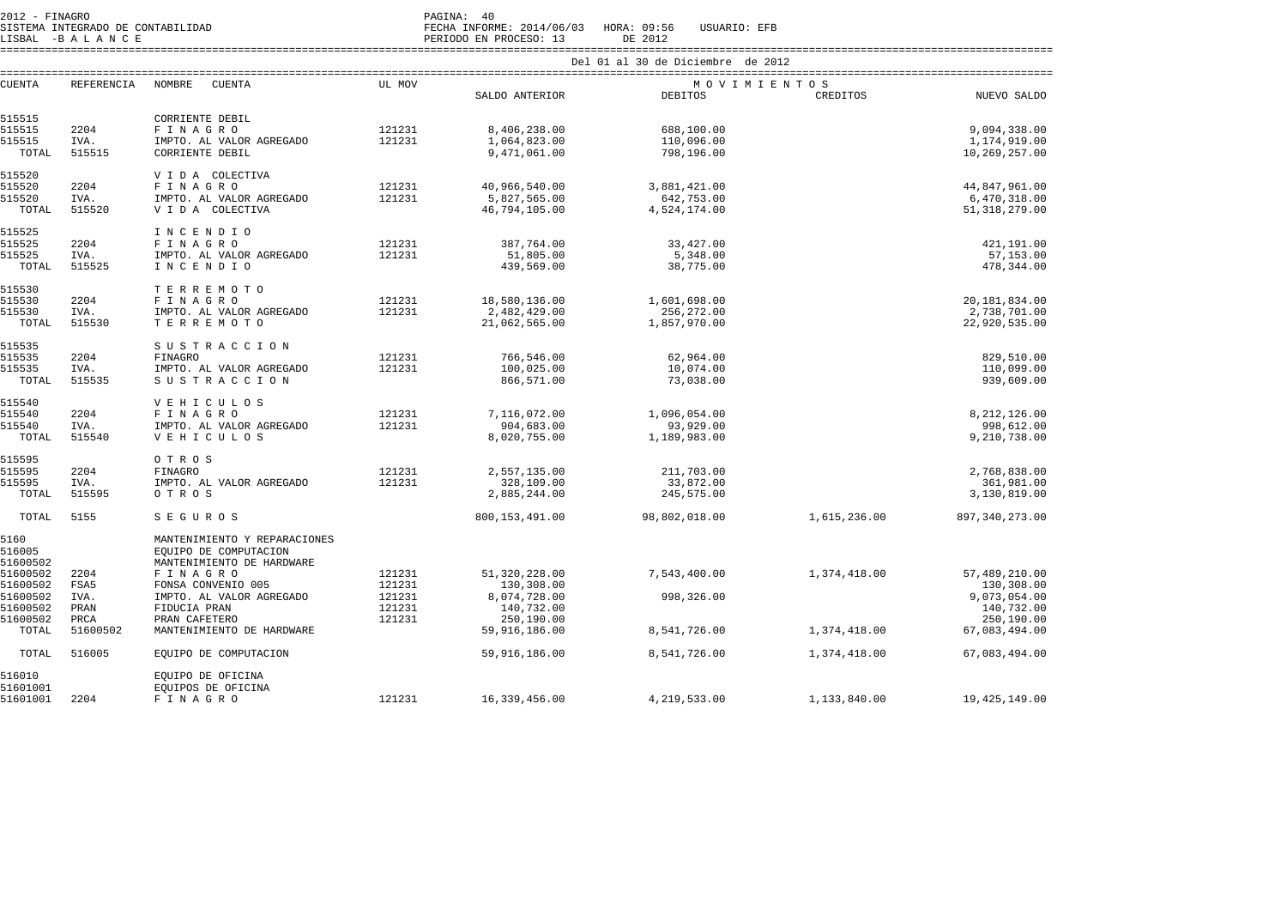2012 - FINAGRO DE CONTABILIDAD<br>2012 - SISTEMA INTEGRADO DE CONTABILIDAD<br>2012 - PAGINA DE CONTABILIDAD

SISTEMA INTEGRADO DE CONTABILIDAD FECHA INFORME: 2014/06/03 HORA: 09:56 USUARIO: EFB

LISBAL -B A L A N C E PERIODO EN PROCESO: 13 DE 2012 ====================================================================================================================================================================

| <b>CUENTA</b> | REFERENCIA | NOMBRE<br>CUENTA             | UL MOV |                  | MOVIMIENTOS    |              |                  |
|---------------|------------|------------------------------|--------|------------------|----------------|--------------|------------------|
|               |            |                              |        | SALDO ANTERIOR   | <b>DEBITOS</b> | CREDITOS     | NUEVO SALDO      |
|               |            |                              |        |                  |                |              |                  |
| 515515        |            | CORRIENTE DEBIL              |        |                  |                |              |                  |
| 515515        | 2204       | FINAGRO                      | 121231 | 8,406,238.00     | 688,100.00     |              | 9,094,338.00     |
| 515515        | IVA.       | IMPTO. AL VALOR AGREGADO     | 121231 | 1,064,823.00     | 110,096.00     |              | 1,174,919.00     |
| TOTAL         | 515515     | CORRIENTE DEBIL              |        | 9,471,061.00     | 798,196.00     |              | 10,269,257.00    |
|               |            |                              |        |                  |                |              |                  |
| 515520        |            | V I D A COLECTIVA            |        |                  |                |              |                  |
|               |            |                              |        |                  |                |              |                  |
| 515520        | 2204       | FINAGRO                      | 121231 | 40,966,540.00    | 3,881,421.00   |              | 44,847,961.00    |
| 515520        | IVA.       | IMPTO. AL VALOR AGREGADO     | 121231 | 5,827,565.00     | 642,753.00     |              | 6,470,318.00     |
| TOTAL         | 515520     | V I D A COLECTIVA            |        | 46,794,105.00    | 4,524,174.00   |              | 51, 318, 279.00  |
|               |            |                              |        |                  |                |              |                  |
| 515525        |            | INCENDIO                     |        |                  |                |              |                  |
| 515525        | 2204       | FINAGRO                      | 121231 | 387,764.00       | 33,427.00      |              | 421,191.00       |
| 515525        | IVA.       | IMPTO. AL VALOR AGREGADO     | 121231 | 51,805.00        | 5,348.00       |              | 57,153.00        |
| TOTAL         | 515525     | INCENDIO                     |        | 439,569.00       | 38,775.00      |              | 478, 344.00      |
|               |            |                              |        |                  |                |              |                  |
| 515530        |            | TERREMOTO                    |        |                  |                |              |                  |
| 515530        | 2204       | FINAGRO                      | 121231 | 18,580,136.00    | 1,601,698.00   |              | 20,181,834.00    |
| 515530        | IVA.       | IMPTO. AL VALOR AGREGADO     | 121231 | 2,482,429.00     | 256,272.00     |              | 2,738,701.00     |
| TOTAL         | 515530     | TERREMOTO                    |        | 21,062,565.00    | 1,857,970.00   |              | 22,920,535.00    |
|               |            |                              |        |                  |                |              |                  |
| 515535        |            | SUSTRACCION                  |        |                  |                |              |                  |
| 515535        | 2204       | FINAGRO                      | 121231 | 766,546.00       | 62,964.00      |              | 829,510.00       |
| 515535        | IVA.       | IMPTO. AL VALOR AGREGADO     | 121231 | 100,025.00       | 10,074.00      |              | 110,099.00       |
| TOTAL         | 515535     | SUSTRACCION                  |        | 866,571.00       | 73,038.00      |              | 939,609.00       |
|               |            |                              |        |                  |                |              |                  |
| 515540        |            | <b>VEHICULOS</b>             |        |                  |                |              |                  |
| 515540        | 2204       | FINAGRO                      | 121231 | 7,116,072.00     | 1,096,054.00   |              | 8, 212, 126.00   |
| 515540        | IVA.       |                              | 121231 | 904,683.00       | 93,929.00      |              | 998,612.00       |
|               |            | IMPTO. AL VALOR AGREGADO     |        |                  |                |              |                  |
| TOTAL         | 515540     | <b>VEHICULOS</b>             |        | 8,020,755.00     | 1,189,983.00   |              | 9,210,738.00     |
| 515595        |            |                              |        |                  |                |              |                  |
| 515595        |            | O T R O S                    |        |                  |                |              |                  |
|               | 2204       | FINAGRO                      | 121231 | 2,557,135.00     | 211,703.00     |              | 2,768,838.00     |
| 515595        | IVA.       | IMPTO. AL VALOR AGREGADO     | 121231 | 328,109.00       | 33,872.00      |              | 361,981.00       |
| TOTAL         | 515595     | O T R O S                    |        | 2,885,244.00     | 245,575.00     |              | 3,130,819.00     |
|               |            |                              |        |                  |                |              |                  |
| TOTAL         | 5155       | <b>SEGUROS</b>               |        | 800, 153, 491.00 | 98,802,018.00  | 1,615,236.00 | 897, 340, 273.00 |
|               |            |                              |        |                  |                |              |                  |
| 5160          |            | MANTENIMIENTO Y REPARACIONES |        |                  |                |              |                  |
| 516005        |            | EQUIPO DE COMPUTACION        |        |                  |                |              |                  |
| 51600502      |            | MANTENIMIENTO DE HARDWARE    |        |                  |                |              |                  |
| 51600502      | 2204       | FINAGRO                      | 121231 | 51, 320, 228.00  | 7,543,400.00   | 1,374,418.00 | 57,489,210.00    |
| 51600502      | FSA5       | FONSA CONVENIO 005           | 121231 | 130,308.00       |                |              | 130,308.00       |
| 51600502      | IVA.       | IMPTO. AL VALOR AGREGADO     | 121231 | 8,074,728.00     | 998,326.00     |              | 9,073,054.00     |
| 51600502      | PRAN       | FIDUCIA PRAN                 | 121231 | 140,732.00       |                |              | 140,732.00       |
| 51600502      | PRCA       | PRAN CAFETERO                | 121231 | 250,190.00       |                |              | 250,190.00       |
| TOTAL         | 51600502   | MANTENIMIENTO DE HARDWARE    |        | 59,916,186.00    | 8,541,726.00   | 1,374,418.00 | 67,083,494.00    |
|               |            |                              |        |                  |                |              |                  |
| TOTAL         | 516005     | EQUIPO DE COMPUTACION        |        | 59,916,186.00    | 8,541,726.00   | 1,374,418.00 | 67,083,494.00    |
|               |            |                              |        |                  |                |              |                  |
| 516010        |            | EQUIPO DE OFICINA            |        |                  |                |              |                  |
| 51601001      |            | EOUIPOS DE OFICINA           |        |                  |                |              |                  |
| 51601001      | 2204       | FINAGRO                      | 121231 | 16,339,456.00    | 4,219,533.00   | 1,133,840.00 | 19, 425, 149.00  |
|               |            |                              |        |                  |                |              |                  |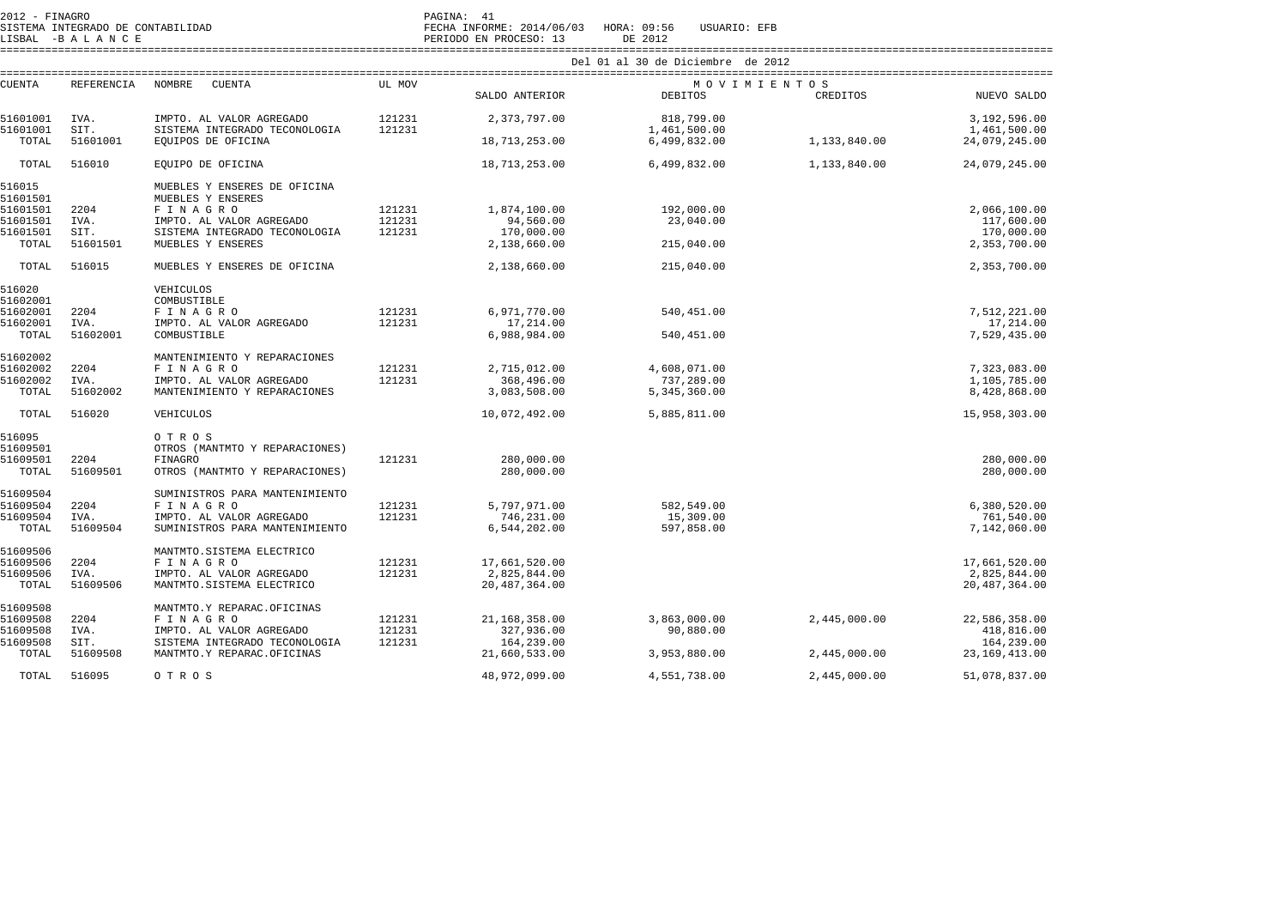| 2012 - FINAGRO<br>SISTEMA INTEGRADO DE CONTABILIDAD<br>LISBAL -BALANCE |            |                                |        | PAGINA: 41<br>FECHA INFORME: 2014/06/03 HORA: 09:56<br>PERIODO EN PROCESO: 13 | USUARIO: EFB<br>DE 2012           |              |                  |  |  |
|------------------------------------------------------------------------|------------|--------------------------------|--------|-------------------------------------------------------------------------------|-----------------------------------|--------------|------------------|--|--|
|                                                                        |            |                                |        |                                                                               | Del 01 al 30 de Diciembre de 2012 |              |                  |  |  |
|                                                                        |            |                                |        |                                                                               |                                   |              |                  |  |  |
| <b>CUENTA</b>                                                          | REFERENCIA | NOMBRE<br>CUENTA               | UL MOV |                                                                               | MOVIMIENTOS                       |              |                  |  |  |
|                                                                        |            |                                |        | SALDO ANTERIOR                                                                | <b>DEBITOS</b>                    | CREDITOS     | NUEVO SALDO      |  |  |
| 51601001                                                               | IVA.       | IMPTO. AL VALOR AGREGADO       | 121231 | 2,373,797.00                                                                  | 818,799.00                        |              | 3,192,596.00     |  |  |
| 51601001                                                               | SIT.       | SISTEMA INTEGRADO TECONOLOGIA  | 121231 |                                                                               | 1,461,500.00                      |              | 1,461,500.00     |  |  |
| TOTAL                                                                  | 51601001   | EQUIPOS DE OFICINA             |        | 18,713,253.00                                                                 | 6,499,832.00                      | 1,133,840.00 | 24,079,245.00    |  |  |
| TOTAL                                                                  | 516010     | EQUIPO DE OFICINA              |        | 18,713,253.00                                                                 | 6,499,832.00                      | 1,133,840.00 | 24,079,245.00    |  |  |
| 516015                                                                 |            | MUEBLES Y ENSERES DE OFICINA   |        |                                                                               |                                   |              |                  |  |  |
| 51601501                                                               |            | MUEBLES Y ENSERES              |        |                                                                               |                                   |              |                  |  |  |
| 51601501                                                               | 2204       | FINAGRO                        | 121231 | 1,874,100.00                                                                  | 192,000.00                        |              | 2,066,100.00     |  |  |
| 51601501                                                               | IVA.       | IMPTO. AL VALOR AGREGADO       | 121231 | 94,560.00                                                                     | 23,040.00                         |              | 117,600.00       |  |  |
| 51601501                                                               | SIT.       | SISTEMA INTEGRADO TECONOLOGIA  | 121231 | 170,000.00                                                                    |                                   |              | 170,000.00       |  |  |
| TOTAL                                                                  | 51601501   | MUEBLES Y ENSERES              |        | 2,138,660.00                                                                  | 215,040.00                        |              | 2,353,700.00     |  |  |
| TOTAL                                                                  | 516015     | MUEBLES Y ENSERES DE OFICINA   |        | 2,138,660.00                                                                  | 215,040.00                        |              | 2,353,700.00     |  |  |
|                                                                        |            |                                |        |                                                                               |                                   |              |                  |  |  |
| 516020                                                                 |            | VEHICULOS                      |        |                                                                               |                                   |              |                  |  |  |
| 51602001                                                               |            | COMBUSTIBLE                    |        |                                                                               |                                   |              |                  |  |  |
| 51602001                                                               | 2204       | FINAGRO                        | 121231 | 6,971,770.00                                                                  | 540,451.00                        |              | 7,512,221.00     |  |  |
| 51602001                                                               | IVA.       | IMPTO. AL VALOR AGREGADO       | 121231 | 17,214.00                                                                     |                                   |              | 17,214.00        |  |  |
| TOTAL                                                                  | 51602001   | COMBUSTIBLE                    |        | 6,988,984.00                                                                  | 540,451.00                        |              | 7,529,435.00     |  |  |
| 51602002                                                               |            | MANTENIMIENTO Y REPARACIONES   |        |                                                                               |                                   |              |                  |  |  |
| 51602002                                                               | 2204       | FINAGRO                        | 121231 | 2,715,012.00                                                                  | 4,608,071.00                      |              | 7,323,083.00     |  |  |
| 51602002                                                               | IVA.       | IMPTO. AL VALOR AGREGADO       | 121231 | 368,496.00                                                                    | 737,289.00                        |              | 1,105,785.00     |  |  |
| TOTAL                                                                  | 51602002   | MANTENIMIENTO Y REPARACIONES   |        | 3,083,508.00                                                                  | 5,345,360.00                      |              | 8,428,868.00     |  |  |
| TOTAL                                                                  | 516020     | VEHICULOS                      |        | 10,072,492.00                                                                 | 5,885,811.00                      |              | 15,958,303.00    |  |  |
|                                                                        |            |                                |        |                                                                               |                                   |              |                  |  |  |
| 516095                                                                 |            | OTROS                          |        |                                                                               |                                   |              |                  |  |  |
| 51609501                                                               |            | OTROS (MANTMTO Y REPARACIONES) |        |                                                                               |                                   |              |                  |  |  |
| 51609501                                                               | 2204       | FINAGRO                        | 121231 | 280,000.00                                                                    |                                   |              | 280,000.00       |  |  |
| TOTAL                                                                  | 51609501   | OTROS (MANTMTO Y REPARACIONES) |        | 280,000.00                                                                    |                                   |              | 280,000.00       |  |  |
| 51609504                                                               |            | SUMINISTROS PARA MANTENIMIENTO |        |                                                                               |                                   |              |                  |  |  |
| 51609504                                                               | 2204       | FINAGRO                        | 121231 | 5,797,971.00                                                                  | 582,549.00                        |              | 6,380,520.00     |  |  |
| 51609504                                                               | IVA.       | IMPTO. AL VALOR AGREGADO       | 121231 | 746,231.00                                                                    | 15,309.00                         |              | 761,540.00       |  |  |
| TOTAL                                                                  | 51609504   | SUMINISTROS PARA MANTENIMIENTO |        | 6,544,202.00                                                                  | 597,858.00                        |              | 7,142,060.00     |  |  |
|                                                                        |            |                                |        |                                                                               |                                   |              |                  |  |  |
| 51609506                                                               |            | MANTMTO. SISTEMA ELECTRICO     |        |                                                                               |                                   |              |                  |  |  |
| 51609506                                                               | 2204       | FINAGRO                        | 121231 | 17,661,520.00                                                                 |                                   |              | 17,661,520.00    |  |  |
| 51609506                                                               | IVA.       | IMPTO. AL VALOR AGREGADO       | 121231 | 2,825,844.00                                                                  |                                   |              | 2,825,844.00     |  |  |
| TOTAL                                                                  | 51609506   | MANTMTO. SISTEMA ELECTRICO     |        | 20, 487, 364, 00                                                              |                                   |              | 20, 487, 364, 00 |  |  |
|                                                                        |            |                                |        |                                                                               |                                   |              |                  |  |  |
| 51609508                                                               |            | MANTMTO.Y REPARAC.OFICINAS     |        |                                                                               |                                   |              |                  |  |  |
| 51609508                                                               | 2204       | <b>FINAGRO</b>                 | 121231 | 21,168,358.00                                                                 | 3,863,000.00                      | 2,445,000.00 | 22,586,358.00    |  |  |
| 51609508                                                               | IVA.       | IMPTO. AL VALOR AGREGADO       | 121231 | 327,936.00                                                                    | 90,880.00                         |              | 418,816.00       |  |  |
| 51609508                                                               | SIT.       | SISTEMA INTEGRADO TECONOLOGIA  | 121231 | 164,239.00                                                                    |                                   |              | 164,239.00       |  |  |
| TOTAL                                                                  | 51609508   | MANTMTO.Y REPARAC.OFICINAS     |        | 21,660,533.00                                                                 | 3,953,880.00                      | 2,445,000.00 | 23, 169, 413.00  |  |  |
| TOTAL                                                                  | 516095     | OTROS                          |        | 48,972,099.00                                                                 | 4,551,738.00                      | 2,445,000.00 | 51,078,837.00    |  |  |
|                                                                        |            |                                |        |                                                                               |                                   |              |                  |  |  |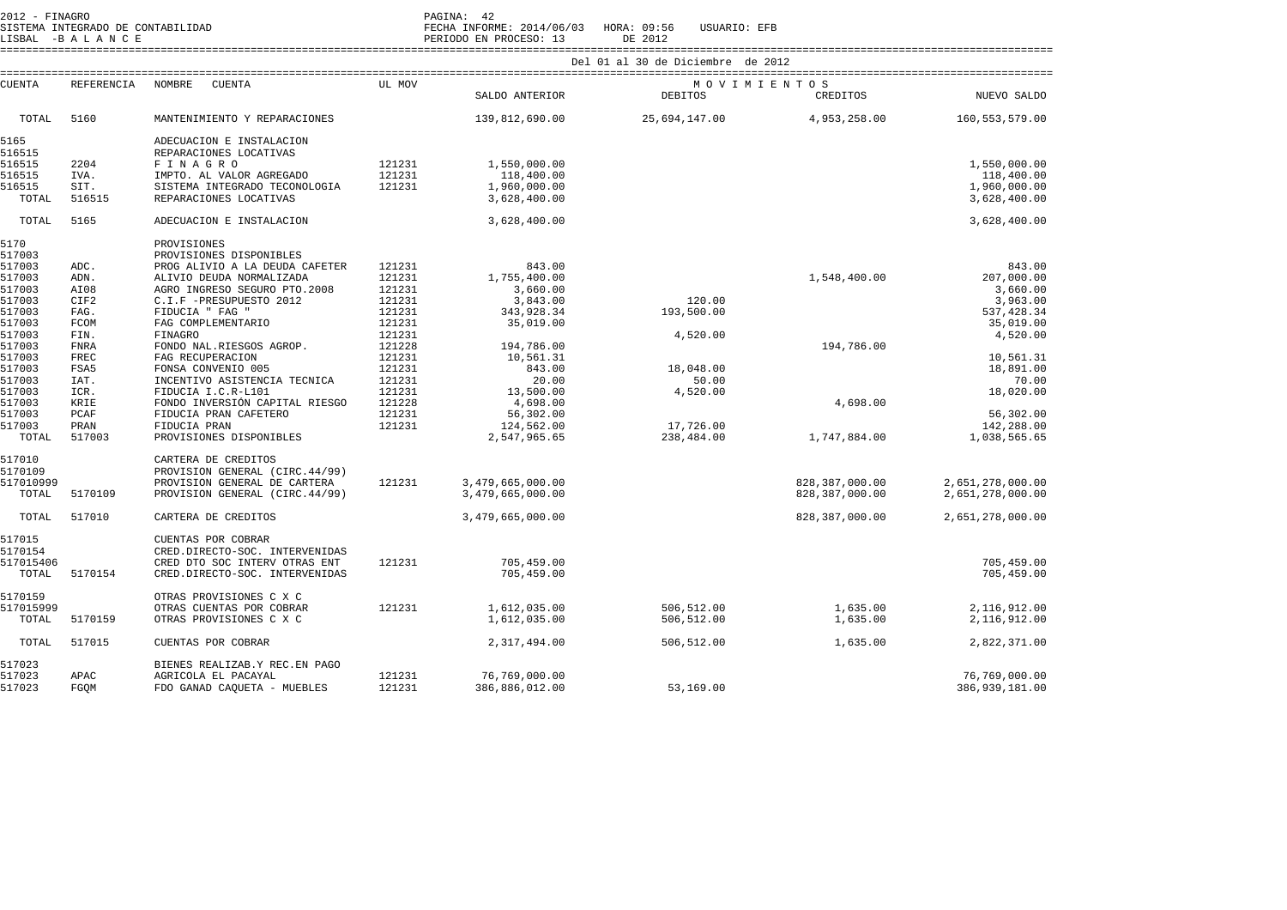|                                     | LISBAL -BALANCE     | SISTEMA INTEGRADO DE CONTABILIDAD                  |                  | PAGINA: 42<br>FECHA INFORME: 2014/06/03<br>PERIODO EN PROCESO: 13 | HORA: 09:56<br>USUARIO: EFB<br>DE 2012 |              |                   |
|-------------------------------------|---------------------|----------------------------------------------------|------------------|-------------------------------------------------------------------|----------------------------------------|--------------|-------------------|
|                                     |                     |                                                    |                  |                                                                   | Del 01 al 30 de Diciembre de 2012      |              |                   |
| __________________<br><b>CUENTA</b> | REFERENCIA          | <b>CUENTA</b><br>NOMBRE                            | UL MOV           |                                                                   | MOVIMIENTOS                            |              |                   |
|                                     |                     |                                                    |                  | SALDO ANTERIOR                                                    | <b>DEBITOS</b>                         | CREDITOS     | NUEVO SALDO       |
| TOTAL                               | 5160                | MANTENIMIENTO Y REPARACIONES                       |                  | 139,812,690.00                                                    | 25,694,147.00                          | 4,953,258.00 | 160, 553, 579, 00 |
| 5165<br>516515                      |                     | ADECUACION E INSTALACION<br>REPARACIONES LOCATIVAS |                  |                                                                   |                                        |              |                   |
| 516515                              | 2204                | FINAGRO                                            | 121231           | 1,550,000.00                                                      |                                        |              | 1,550,000.00      |
| 516515                              | IVA.                | IMPTO. AL VALOR AGREGADO                           | 121231           | 118,400.00                                                        |                                        |              | 118,400.00        |
| 516515                              | SIT.                | SISTEMA INTEGRADO TECONOLOGIA                      | 121231           | 1,960,000.00                                                      |                                        |              | 1,960,000.00      |
| TOTAL                               | 516515              | REPARACIONES LOCATIVAS                             |                  | 3,628,400.00                                                      |                                        |              | 3,628,400.00      |
| TOTAL                               | 5165                | ADECUACION E INSTALACION                           |                  | 3,628,400.00                                                      |                                        |              | 3,628,400.00      |
| 5170                                |                     | PROVISIONES                                        |                  |                                                                   |                                        |              |                   |
| 517003                              |                     | PROVISIONES DISPONIBLES                            |                  |                                                                   |                                        |              |                   |
| 517003                              | ADC.                | PROG ALIVIO A LA DEUDA CAFETER                     | 121231           | 843.00                                                            |                                        |              | 843.00            |
| 517003                              | ADN.                | ALIVIO DEUDA NORMALIZADA                           | 121231           | 1,755,400.00                                                      |                                        | 1,548,400.00 | 207,000.00        |
| 517003                              | AI08                | AGRO INGRESO SEGURO PTO.2008                       | 121231           | 3,660.00                                                          |                                        |              | 3,660.00          |
| 517003                              | CIF2                | C.I.F -PRESUPUESTO 2012                            | 121231           | 3,843.00                                                          | 120.00                                 |              | 3,963.00          |
| 517003                              | FAG.                | FIDUCIA " FAG "                                    | 121231           | 343,928.34                                                        | 193,500.00                             |              | 537, 428.34       |
| 517003                              | FCOM<br>FIN.        | FAG COMPLEMENTARIO                                 | 121231           | 35,019.00                                                         |                                        |              | 35,019.00         |
| 517003<br>517003                    | FNRA                | FINAGRO                                            | 121231<br>121228 | 194,786.00                                                        | 4,520.00                               | 194,786.00   | 4,520.00          |
| 517003                              | FREC                | FONDO NAL.RIESGOS AGROP.                           | 121231           |                                                                   |                                        |              | 10,561.31         |
| 517003                              | FSA5                | FAG RECUPERACION<br>FONSA CONVENIO 005             | 121231           | 10,561.31<br>843.00                                               | 18,048.00                              |              | 18,891.00         |
| 517003                              | IAT.                | INCENTIVO ASISTENCIA TECNICA                       | 121231           | 20.00                                                             | 50.00                                  |              | 70.00             |
| 517003                              | ICR.                | FIDUCIA I.C.R-L101                                 | 121231           | 13,500.00                                                         | 4,520.00                               |              | 18,020.00         |
| 517003                              | KRIE                | FONDO INVERSIÓN CAPITAL RIESGO                     | 121228           | 4,698.00                                                          |                                        | 4,698.00     |                   |
| 517003                              | $\mathop{\rm PCAF}$ | FIDUCIA PRAN CAFETERO                              | 121231           | 56,302.00                                                         |                                        |              | 56,302.00         |
| 517003                              | PRAN                | FIDUCIA PRAN                                       | 121231           | 124,562.00                                                        | 17,726.00                              |              | 142,288.00        |
| TOTAL                               | 517003              | PROVISIONES DISPONIBLES                            |                  | 2,547,965.65                                                      | 238,484.00                             | 1,747,884.00 | 1,038,565.65      |

| 517010    |         | CARTERA DE CREDITOS            |        |                  |            |                |                  |
|-----------|---------|--------------------------------|--------|------------------|------------|----------------|------------------|
| 5170109   |         | PROVISION GENERAL (CIRC.44/99) |        |                  |            |                |                  |
| 517010999 |         | PROVISION GENERAL DE CARTERA   | 121231 | 3,479,665,000.00 |            | 828,387,000.00 | 2,651,278,000.00 |
| TOTAL     | 5170109 | PROVISION GENERAL (CIRC.44/99) |        | 3,479,665,000.00 |            | 828,387,000.00 | 2,651,278,000.00 |
| TOTAL     | 517010  | CARTERA DE CREDITOS            |        | 3,479,665,000.00 |            | 828,387,000.00 | 2,651,278,000.00 |
| 517015    |         | CUENTAS POR COBRAR             |        |                  |            |                |                  |
| 5170154   |         | CRED.DIRECTO-SOC. INTERVENIDAS |        |                  |            |                |                  |
| 517015406 |         | CRED DTO SOC INTERV OTRAS ENT  | 121231 | 705,459.00       |            |                | 705,459.00       |
| TOTAL     | 5170154 | CRED.DIRECTO-SOC. INTERVENIDAS |        | 705,459.00       |            |                | 705,459.00       |
| 5170159   |         | OTRAS PROVISIONES C X C        |        |                  |            |                |                  |
| 517015999 |         | OTRAS CUENTAS POR COBRAR       | 121231 | 1,612,035.00     | 506,512.00 | 1,635.00       | 2,116,912.00     |
| TOTAL     | 5170159 | OTRAS PROVISIONES C X C        |        | 1,612,035.00     | 506,512.00 | 1,635.00       | 2,116,912.00     |
| TOTAL     | 517015  | CUENTAS POR COBRAR             |        | 2,317,494.00     | 506,512.00 | 1,635.00       | 2,822,371.00     |
| 517023    |         | BIENES REALIZAB.Y REC.EN PAGO  |        |                  |            |                |                  |
| 517023    | APAC    | AGRICOLA EL PACAYAL            | 121231 | 76,769,000.00    |            |                | 76,769,000.00    |
| 517023    | FGQM    | FDO GANAD CAQUETA - MUEBLES    | 121231 | 386,886,012.00   | 53,169.00  |                | 386,939,181.00   |
|           |         |                                |        |                  |            |                |                  |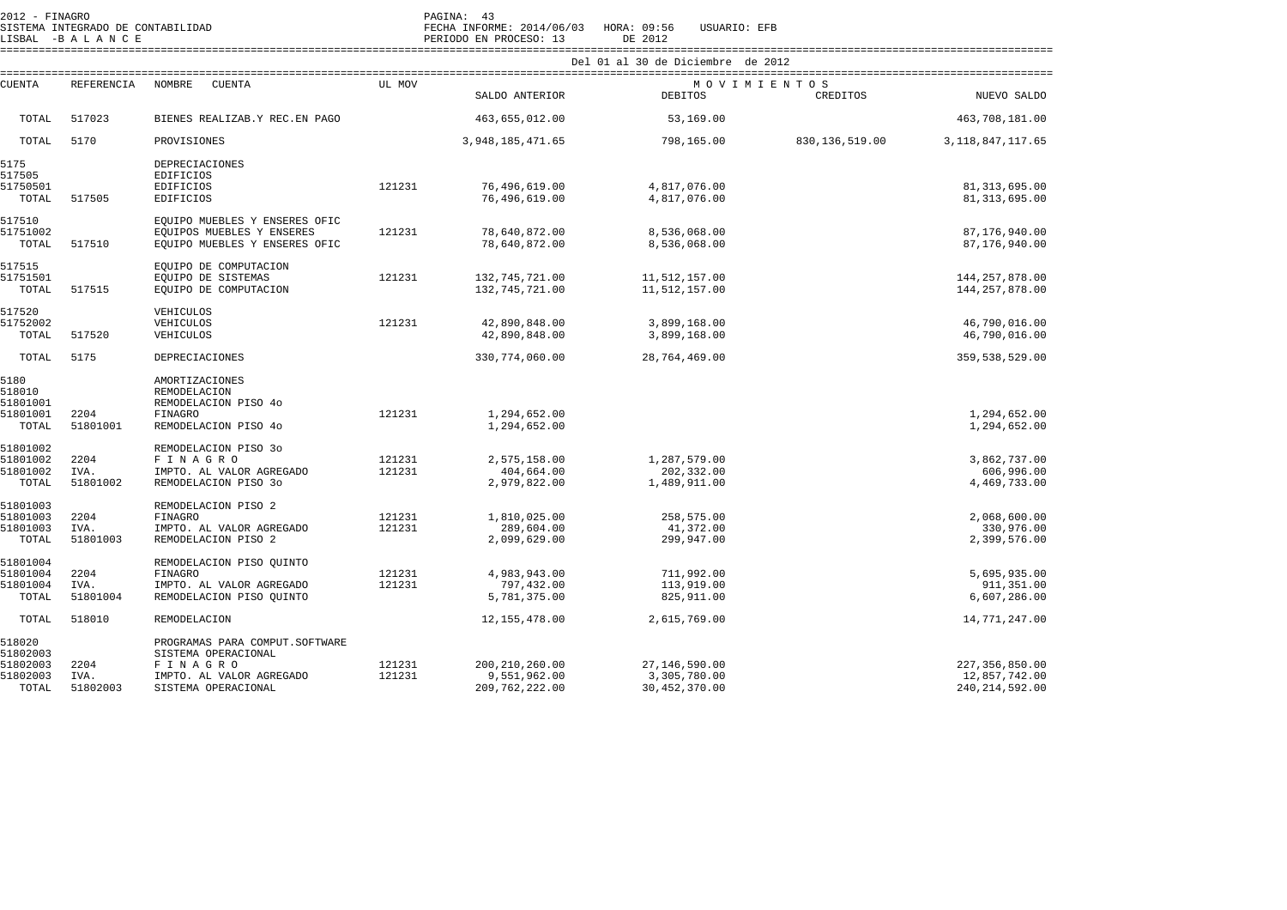| $ZU + Z = F + N A(\tau K)$ |  |                                   |
|----------------------------|--|-----------------------------------|
|                            |  | SISTEMA INTEGRADO DE CONTABILIDAD |

2012 - FINAGRO PAGINA: 43 SISTEMA INTEGRADO DE CONTABILIDAD FECHA INFORME: 2014/06/03 HORA: 09:56 USUARIO: EFB LISBAL -B A L A N C E PERIODO EN PROCESO: 13 DE 2012 ==================================================================================================================================================================== Del 01 al 30 de Diciembre de 2012

| <b>CUENTA</b>        | <b>REFERENCIA</b> | <b>NOMBRE</b><br><b>CUENTA</b>                             | UL MOV           |                                  |                                | MOVIMIENTOS      |                                      |
|----------------------|-------------------|------------------------------------------------------------|------------------|----------------------------------|--------------------------------|------------------|--------------------------------------|
|                      |                   |                                                            |                  | SALDO ANTERIOR                   | <b>DEBITOS</b>                 | CREDITOS         | NUEVO SALDO                          |
| TOTAL                | 517023            | BIENES REALIZAB.Y REC.EN PAGO                              |                  | 463,655,012.00                   | 53,169.00                      |                  | 463,708,181.00                       |
| TOTAL                | 5170              | PROVISIONES                                                |                  | 3, 948, 185, 471.65              | 798,165.00                     | 830, 136, 519.00 | 3, 118, 847, 117.65                  |
| 5175<br>517505       |                   | <b>DEPRECIACIONES</b><br>EDIFICIOS                         |                  |                                  |                                |                  |                                      |
| 51750501             |                   | <b>EDIFICIOS</b>                                           | 121231           | 76,496,619.00                    | 4,817,076.00                   |                  | 81, 313, 695.00                      |
| TOTAL                | 517505            | <b>EDIFICIOS</b>                                           |                  | 76,496,619.00                    | 4,817,076.00                   |                  | 81, 313, 695.00                      |
| 517510               |                   | EQUIPO MUEBLES Y ENSERES OFIC                              |                  |                                  |                                |                  |                                      |
| 51751002<br>TOTAL    | 517510            | EQUIPOS MUEBLES Y ENSERES<br>EQUIPO MUEBLES Y ENSERES OFIC | 121231           | 78,640,872.00<br>78,640,872.00   | 8,536,068.00<br>8,536,068.00   |                  | 87,176,940.00<br>87,176,940.00       |
|                      |                   |                                                            |                  |                                  |                                |                  |                                      |
| 517515               |                   | EOUIPO DE COMPUTACION                                      |                  |                                  |                                |                  |                                      |
| 51751501<br>TOTAL    | 517515            | EQUIPO DE SISTEMAS<br>EQUIPO DE COMPUTACION                | 121231           | 132,745,721.00<br>132,745,721.00 | 11,512,157.00<br>11,512,157.00 |                  | 144, 257, 878.00<br>144, 257, 878.00 |
|                      |                   |                                                            |                  |                                  |                                |                  |                                      |
| 517520               |                   | VEHICULOS                                                  |                  |                                  |                                |                  |                                      |
| 51752002<br>TOTAL    | 517520            | VEHICULOS<br>VEHICULOS                                     | 121231           | 42,890,848.00<br>42,890,848.00   | 3,899,168.00<br>3,899,168.00   |                  | 46,790,016.00<br>46,790,016.00       |
|                      |                   |                                                            |                  |                                  |                                |                  |                                      |
| TOTAL                | 5175              | <b>DEPRECIACIONES</b>                                      |                  | 330,774,060.00                   | 28,764,469.00                  |                  | 359,538,529.00                       |
| 5180                 |                   | AMORTIZACIONES                                             |                  |                                  |                                |                  |                                      |
| 518010               |                   | REMODELACION                                               |                  |                                  |                                |                  |                                      |
| 51801001             |                   | REMODELACION PISO 4o                                       | 121231           | 1,294,652.00                     |                                |                  |                                      |
| 51801001<br>TOTAL    | 2204<br>51801001  | FINAGRO<br>REMODELACION PISO 4o                            |                  | 1,294,652.00                     |                                |                  | 1,294,652.00<br>1,294,652.00         |
|                      |                   |                                                            |                  |                                  |                                |                  |                                      |
| 51801002             |                   | REMODELACION PISO 30                                       |                  |                                  |                                |                  |                                      |
| 51801002<br>51801002 | 2204<br>IVA.      | FINAGRO<br>IMPTO. AL VALOR AGREGADO                        | 121231<br>121231 | 2,575,158.00<br>404,664.00       | 1,287,579.00<br>202,332.00     |                  | 3,862,737.00<br>606,996.00           |
| TOTAL                | 51801002          | REMODELACION PISO 30                                       |                  | 2,979,822.00                     | 1,489,911.00                   |                  | 4,469,733.00                         |
|                      |                   |                                                            |                  |                                  |                                |                  |                                      |
| 51801003             |                   | REMODELACION PISO 2                                        |                  |                                  |                                |                  |                                      |
| 51801003<br>51801003 | 2204<br>IVA.      | FINAGRO<br>IMPTO. AL VALOR AGREGADO                        | 121231<br>121231 | 1,810,025.00<br>289,604.00       | 258,575.00<br>41,372.00        |                  | 2,068,600.00<br>330,976.00           |
| TOTAL                | 51801003          | REMODELACION PISO 2                                        |                  | 2,099,629.00                     | 299,947.00                     |                  | 2,399,576.00                         |
|                      |                   |                                                            |                  |                                  |                                |                  |                                      |
| 51801004             |                   | REMODELACION PISO OUINTO                                   |                  |                                  |                                |                  |                                      |
| 51801004<br>51801004 | 2204<br>IVA.      | <b>FINAGRO</b><br>IMPTO. AL VALOR AGREGADO                 | 121231<br>121231 | 4,983,943.00<br>797,432.00       | 711,992.00<br>113,919.00       |                  | 5,695,935.00<br>911,351.00           |
| TOTAL                | 51801004          | REMODELACION PISO QUINTO                                   |                  | 5,781,375.00                     | 825,911.00                     |                  | 6,607,286.00                         |
| TOTAL                | 518010            | REMODELACION                                               |                  | 12, 155, 478.00                  | 2,615,769.00                   |                  | 14,771,247.00                        |
|                      |                   |                                                            |                  |                                  |                                |                  |                                      |
| 518020<br>51802003   |                   | PROGRAMAS PARA COMPUT.SOFTWARE<br>SISTEMA OPERACIONAL      |                  |                                  |                                |                  |                                      |
| 51802003             | 2204              | FINAGRO                                                    | 121231           | 200, 210, 260.00                 | 27,146,590.00                  |                  | 227, 356, 850.00                     |
| 51802003             | IVA.              | IMPTO. AL VALOR AGREGADO                                   | 121231           | 9,551,962.00                     | 3,305,780.00                   |                  | 12,857,742.00                        |
| TOTAL                | 51802003          | SISTEMA OPERACIONAL                                        |                  | 209, 762, 222.00                 | 30,452,370.00                  |                  | 240, 214, 592.00                     |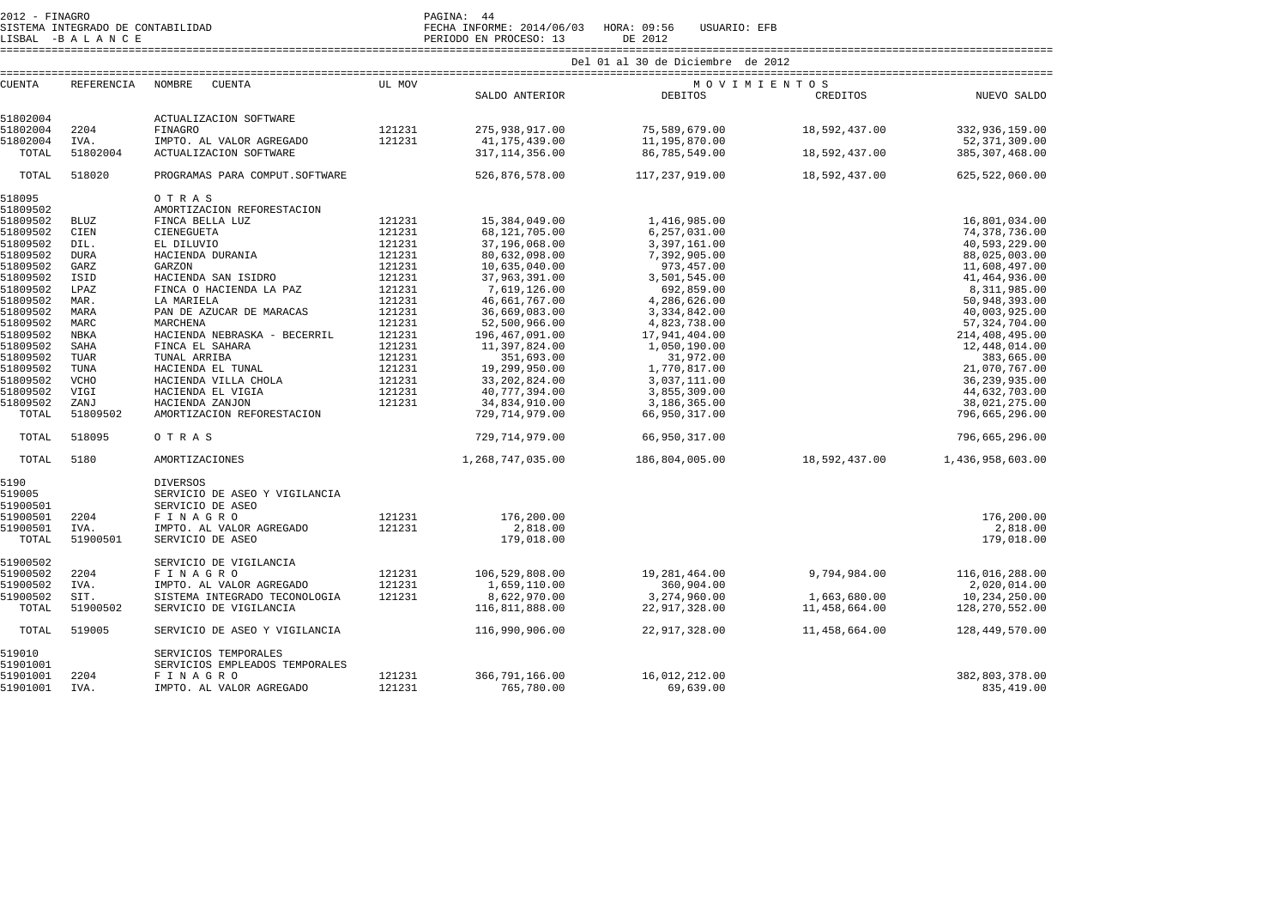SISTEMA INTEGRADO DE CONTABILIDAD FECHA INFORME: 2014/06/03 HORA: 09:56 USUARIO: EFB SISTEMA INTEGRADO DE CONTABILIDAD<br>LISBAL -B A L A N C E PERIODO EN PROCESO: 13 DE 2012

====================================================================================================================================================================

| <b>CUENTA</b>        | REFERENCIA   | NOMBRE<br><b>CUENTA</b>                    | UL MOV           |                                 | MOVIMIENTOS                    |               |                                   |
|----------------------|--------------|--------------------------------------------|------------------|---------------------------------|--------------------------------|---------------|-----------------------------------|
|                      |              |                                            |                  | SALDO ANTERIOR                  | DEBITOS                        | CREDITOS      | NUEVO SALDO                       |
|                      |              |                                            |                  |                                 |                                |               |                                   |
| 51802004             |              | ACTUALIZACION SOFTWARE                     |                  |                                 |                                |               |                                   |
| 51802004<br>51802004 | 2204<br>IVA. | <b>FINAGRO</b><br>IMPTO. AL VALOR AGREGADO | 121231<br>121231 | 275,938,917.00<br>41,175,439.00 | 75,589,679.00<br>11,195,870.00 | 18,592,437.00 | 332,936,159.00<br>52, 371, 309.00 |
| TOTAL                | 51802004     | ACTUALIZACION SOFTWARE                     |                  | 317, 114, 356.00                | 86,785,549.00                  | 18,592,437.00 | 385, 307, 468.00                  |
|                      |              |                                            |                  |                                 |                                |               |                                   |
| TOTAL                | 518020       | PROGRAMAS PARA COMPUT. SOFTWARE            |                  | 526,876,578.00                  | 117,237,919.00                 | 18,592,437.00 | 625, 522, 060.00                  |
| 518095               |              | O T R A S                                  |                  |                                 |                                |               |                                   |
| 51809502             |              | AMORTIZACION REFORESTACION                 |                  |                                 |                                |               |                                   |
| 51809502             | <b>BLUZ</b>  | FINCA BELLA LUZ                            | 121231           | 15,384,049.00                   | 1,416,985.00                   |               | 16,801,034.00                     |
| 51809502             | CIEN         | CIENEGUETA                                 | 121231           | 68,121,705.00                   | 6,257,031.00                   |               | 74,378,736.00                     |
| 51809502             | DIL.         | EL DILUVIO                                 | 121231           | 37,196,068.00                   | 3,397,161.00                   |               | 40,593,229.00                     |
| 51809502             | <b>DURA</b>  | HACIENDA DURANIA                           | 121231           | 80,632,098.00                   | 7,392,905.00                   |               | 88,025,003.00                     |
| 51809502             | GARZ         | GARZON                                     | 121231           | 10,635,040.00                   | 973,457.00                     |               | 11,608,497.00                     |
| 51809502             | ISID         | HACIENDA SAN ISIDRO                        | 121231           | 37,963,391.00                   | 3,501,545.00                   |               | 41,464,936.00                     |
| 51809502             | LPAZ         | FINCA O HACIENDA LA PAZ                    | 121231           | 7,619,126.00                    | 692,859.00                     |               | 8,311,985.00                      |
| 51809502             | MAR.         | LA MARIELA                                 | 121231           | 46,661,767.00                   | 4,286,626.00                   |               | 50,948,393.00                     |
| 51809502             | MARA         | PAN DE AZUCAR DE MARACAS                   | 121231           | 36,669,083.00                   | 3,334,842.00                   |               | 40,003,925.00                     |
| 51809502             | MARC         | MARCHENA                                   | 121231           | 52,500,966.00                   | 4,823,738.00                   |               | 57,324,704.00                     |
| 51809502             | <b>NBKA</b>  | HACIENDA NEBRASKA - BECERRIL               | 121231           | 196,467,091.00                  | 17,941,404.00                  |               | 214,408,495.00                    |
| 51809502             | SAHA         | FINCA EL SAHARA                            | 121231           | 11,397,824.00                   | 1,050,190.00                   |               | 12,448,014.00                     |
| 51809502             | TUAR         | TUNAL ARRIBA                               | 121231           | 351,693.00                      | 31,972.00                      |               | 383,665.00                        |
| 51809502             | TUNA         | HACIENDA EL TUNAL                          | 121231           | 19,299,950.00                   | 1,770,817.00                   |               | 21,070,767.00                     |
| 51809502             | <b>VCHO</b>  | HACIENDA VILLA CHOLA                       | 121231           | 33, 202, 824.00                 | 3,037,111.00                   |               | 36, 239, 935.00                   |
| 51809502             | VIGI         | HACIENDA EL VIGIA                          | 121231           | 40,777,394.00                   | 3,855,309.00                   |               | 44,632,703.00                     |
| 51809502             | ZANJ         | HACIENDA ZANJON                            | 121231           | 34,834,910.00                   | 3,186,365.00                   |               | 38,021,275.00                     |
| TOTAL                | 51809502     | AMORTIZACION REFORESTACION                 |                  | 729, 714, 979.00                | 66,950,317.00                  |               | 796,665,296.00                    |
|                      |              |                                            |                  |                                 |                                |               |                                   |
| TOTAL                | 518095       | O T R A S                                  |                  | 729, 714, 979.00                | 66,950,317.00                  |               | 796,665,296.00                    |
| TOTAL                | 5180         | AMORTIZACIONES                             |                  | 1,268,747,035.00                | 186,804,005.00                 | 18,592,437.00 | 1,436,958,603.00                  |
| 5190                 |              | <b>DIVERSOS</b>                            |                  |                                 |                                |               |                                   |
| 519005               |              | SERVICIO DE ASEO Y VIGILANCIA              |                  |                                 |                                |               |                                   |
| 51900501             |              | SERVICIO DE ASEO                           |                  |                                 |                                |               |                                   |
| 51900501             | 2204         | <b>FINAGRO</b>                             | 121231           | 176,200.00                      |                                |               | 176,200.00                        |
| 51900501             | IVA.         | IMPTO. AL VALOR AGREGADO                   | 121231           | 2,818.00                        |                                |               | 2,818.00                          |
| TOTAL                | 51900501     | SERVICIO DE ASEO                           |                  | 179,018.00                      |                                |               | 179,018.00                        |
|                      |              |                                            |                  |                                 |                                |               |                                   |
| 51900502             |              | SERVICIO DE VIGILANCIA                     |                  |                                 |                                |               |                                   |
| 51900502             | 2204         | FINAGRO                                    | 121231           | 106,529,808.00                  | 19,281,464.00                  | 9,794,984.00  | 116,016,288.00                    |
| 51900502             | IVA.         | IMPTO. AL VALOR AGREGADO                   | 121231           | 1,659,110.00                    | 360,904.00                     |               | 2,020,014.00                      |
| 51900502             | SIT.         | SISTEMA INTEGRADO TECONOLOGIA              | 121231           | 8,622,970.00                    | 3,274,960.00                   | 1,663,680.00  | 10,234,250.00                     |
| TOTAL                | 51900502     | SERVICIO DE VIGILANCIA                     |                  | 116,811,888.00                  | 22,917,328.00                  | 11,458,664.00 | 128,270,552.00                    |
| TOTAL                | 519005       | SERVICIO DE ASEO Y VIGILANCIA              |                  | 116,990,906.00                  | 22,917,328.00                  | 11,458,664.00 | 128,449,570.00                    |
| 519010               |              | SERVICIOS TEMPORALES                       |                  |                                 |                                |               |                                   |
| 51901001             |              | SERVICIOS EMPLEADOS TEMPORALES             |                  |                                 |                                |               |                                   |
| 51901001             | 2204         | FINAGRO                                    | 121231           | 366,791,166.00                  | 16,012,212.00                  |               | 382,803,378.00                    |
| 51901001             | IVA.         | IMPTO. AL VALOR AGREGADO                   | 121231           | 765,780.00                      | 69,639.00                      |               | 835,419.00                        |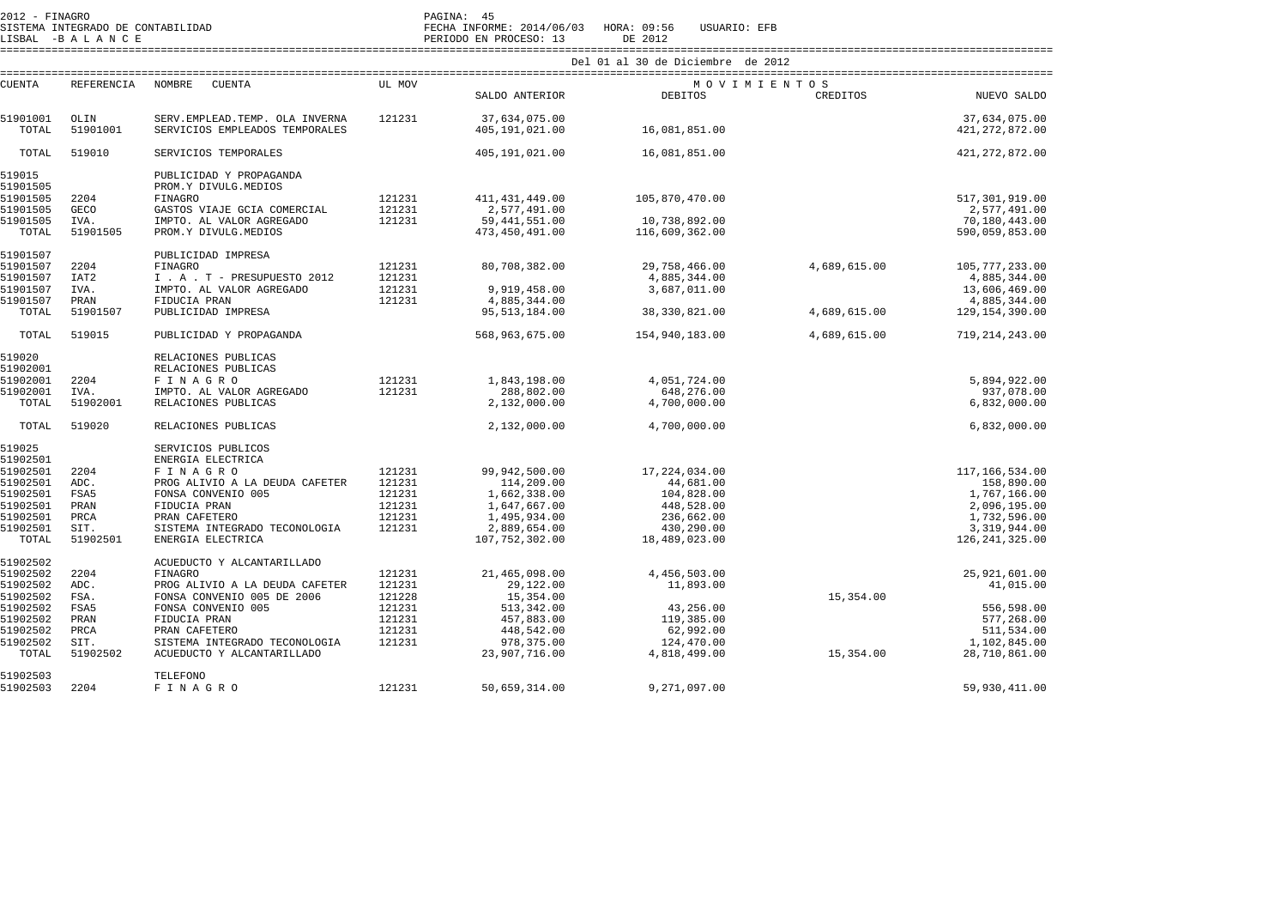2012 - FINAGRO DE CONTABILIDAD (CONTABILIDAD PAGINA: 45)<br>2012 - PAGINA INTEGRADO DE CONTABILIDAD

SISTEMA INTEGRADO DE CONTABILIDAD FECHA INFORME: 2014/06/03 HORA: 09:56 USUARIO: EFB

LISBAL -B A L A N C E PERIODO EN PROCESO: 13 DE 2012 ==================================================================================================================================================================== Del 01 al 30 de Diciembre de 2012

|                      |                     |                                                             |                  |                                 | UE ZUIZ                    |              |                               |
|----------------------|---------------------|-------------------------------------------------------------|------------------|---------------------------------|----------------------------|--------------|-------------------------------|
| <b>CUENTA</b>        | REFERENCIA          | NOMBRE<br>CUENTA                                            | UL MOV           |                                 | MOVIMIENTOS                |              |                               |
|                      |                     |                                                             |                  | SALDO ANTERIOR                  | DEBITOS                    | CREDITOS     | NUEVO SALDO                   |
| 51901001             | OLIN                | SERV. EMPLEAD. TEMP. OLA INVERNA                            | 121231           | 37,634,075.00                   |                            |              | 37,634,075.00                 |
| TOTAL                | 51901001            | SERVICIOS EMPLEADOS TEMPORALES                              |                  | 405,191,021.00                  | 16,081,851.00              |              | 421, 272, 872.00              |
| TOTAL                | 519010              | SERVICIOS TEMPORALES                                        |                  | 405,191,021.00                  | 16,081,851.00              |              | 421, 272, 872.00              |
| 519015               |                     | PUBLICIDAD Y PROPAGANDA                                     |                  |                                 |                            |              |                               |
| 51901505             |                     | PROM.Y DIVULG.MEDIOS                                        |                  |                                 |                            |              |                               |
| 51901505<br>51901505 | 2204                | FINAGRO                                                     | 121231           | 411, 431, 449.00                | 105,870,470.00             |              | 517, 301, 919.00              |
| 51901505             | <b>GECO</b><br>IVA. | GASTOS VIAJE GCIA COMERCIAL<br>IMPTO. AL VALOR AGREGADO     | 121231<br>121231 | 2,577,491.00<br>59, 441, 551.00 | 10,738,892.00              |              | 2,577,491.00<br>70,180,443.00 |
| TOTAL                | 51901505            | PROM.Y DIVULG.MEDIOS                                        |                  | 473, 450, 491.00                | 116,609,362.00             |              | 590,059,853.00                |
|                      |                     |                                                             |                  |                                 |                            |              |                               |
| 51901507             |                     | PUBLICIDAD IMPRESA                                          |                  |                                 |                            |              |                               |
| 51901507             | 2204                | <b>FINAGRO</b>                                              | 121231           | 80,708,382.00                   | 29,758,466.00              | 4,689,615.00 | 105, 777, 233.00              |
| 51901507             | IAT <sub>2</sub>    | I . A . T - PRESUPUESTO 2012                                | 121231           |                                 | 4,885,344.00               |              | 4,885,344.00                  |
| 51901507             | IVA.                | IMPTO. AL VALOR AGREGADO                                    | 121231           | 9,919,458.00                    | 3,687,011.00               |              | 13,606,469.00                 |
| 51901507             | PRAN                | FIDUCIA PRAN                                                | 121231           | 4,885,344.00                    |                            |              | 4,885,344.00                  |
| TOTAL                | 51901507            | PUBLICIDAD IMPRESA                                          |                  | 95, 513, 184.00                 | 38, 330, 821.00            | 4,689,615.00 | 129, 154, 390.00              |
| TOTAL                | 519015              | PUBLICIDAD Y PROPAGANDA                                     |                  | 568,963,675.00                  | 154,940,183.00             | 4,689,615.00 | 719, 214, 243.00              |
| 519020               |                     | RELACIONES PUBLICAS                                         |                  |                                 |                            |              |                               |
| 51902001             |                     | RELACIONES PUBLICAS                                         |                  |                                 |                            |              |                               |
| 51902001             | 2204                | <b>FINAGRO</b>                                              | 121231           | 1,843,198.00                    | 4,051,724.00               |              | 5,894,922.00                  |
| 51902001             | IVA.                | IMPTO. AL VALOR AGREGADO                                    | 121231           | 288,802.00                      | 648,276.00                 |              | 937,078.00                    |
| TOTAL                | 51902001            | RELACIONES PUBLICAS                                         |                  | 2,132,000.00                    | 4,700,000.00               |              | 6,832,000.00                  |
| TOTAL                | 519020              | RELACIONES PUBLICAS                                         |                  | 2,132,000.00                    | 4,700,000.00               |              | 6,832,000.00                  |
| 519025               |                     | SERVICIOS PUBLICOS                                          |                  |                                 |                            |              |                               |
| 51902501             |                     | ENERGIA ELECTRICA                                           |                  |                                 |                            |              |                               |
| 51902501             | 2204                | <b>FINAGRO</b>                                              | 121231           | 99,942,500.00                   | 17,224,034.00              |              | 117,166,534.00                |
| 51902501             | ADC.                | PROG ALIVIO A LA DEUDA CAFETER                              | 121231           | 114,209.00                      | 44,681.00                  |              | 158,890.00                    |
| 51902501             | FSA5                | FONSA CONVENIO 005                                          | 121231           | 1,662,338.00                    | 104,828.00                 |              | 1,767,166.00                  |
| 51902501             | PRAN<br>PRCA        | FIDUCIA PRAN                                                | 121231           | 1,647,667.00                    | 448,528.00                 |              | 2,096,195.00                  |
| 51902501<br>51902501 | SIT.                | PRAN CAFETERO<br>SISTEMA INTEGRADO TECONOLOGIA              | 121231<br>121231 | 1,495,934.00<br>2,889,654.00    | 236,662.00<br>430,290.00   |              | 1,732,596.00<br>3,319,944.00  |
| TOTAL                | 51902501            | ENERGIA ELECTRICA                                           |                  | 107, 752, 302.00                | 18,489,023.00              |              | 126, 241, 325.00              |
|                      |                     |                                                             |                  |                                 |                            |              |                               |
| 51902502             |                     | ACUEDUCTO Y ALCANTARILLADO                                  |                  |                                 |                            |              |                               |
| 51902502             | 2204                | FINAGRO                                                     | 121231           | 21,465,098.00                   | 4,456,503.00               |              | 25,921,601.00                 |
| 51902502             | ADC.                | PROG ALIVIO A LA DEUDA CAFETER                              | 121231           | 29,122.00                       | 11,893.00                  |              | 41,015.00                     |
| 51902502             | FSA.                | FONSA CONVENIO 005 DE 2006                                  | 121228           | 15,354.00                       |                            | 15,354.00    |                               |
| 51902502             | FSA5                | FONSA CONVENIO 005                                          | 121231           | 513,342.00                      | 43,256.00                  |              | 556,598.00                    |
| 51902502             | PRAN                | FIDUCIA PRAN                                                | 121231           | 457,883.00                      | 119,385.00                 |              | 577,268.00                    |
| 51902502             | PRCA                | PRAN CAFETERO                                               | 121231           | 448,542.00                      | 62,992.00                  |              | 511,534.00                    |
| 51902502<br>TOTAL    | SIT.<br>51902502    | SISTEMA INTEGRADO TECONOLOGIA<br>ACUEDUCTO Y ALCANTARILLADO | 121231           | 978, 375.00<br>23,907,716.00    | 124,470.00<br>4,818,499.00 | 15,354.00    | 1,102,845.00<br>28,710,861.00 |
|                      |                     |                                                             |                  |                                 |                            |              |                               |
| 51902503             |                     | TELEFONO                                                    |                  |                                 |                            |              |                               |
| 51902503             | 2204                | <b>FINAGRO</b>                                              | 121231           | 50,659,314.00                   | 9,271,097.00               |              | 59,930,411.00                 |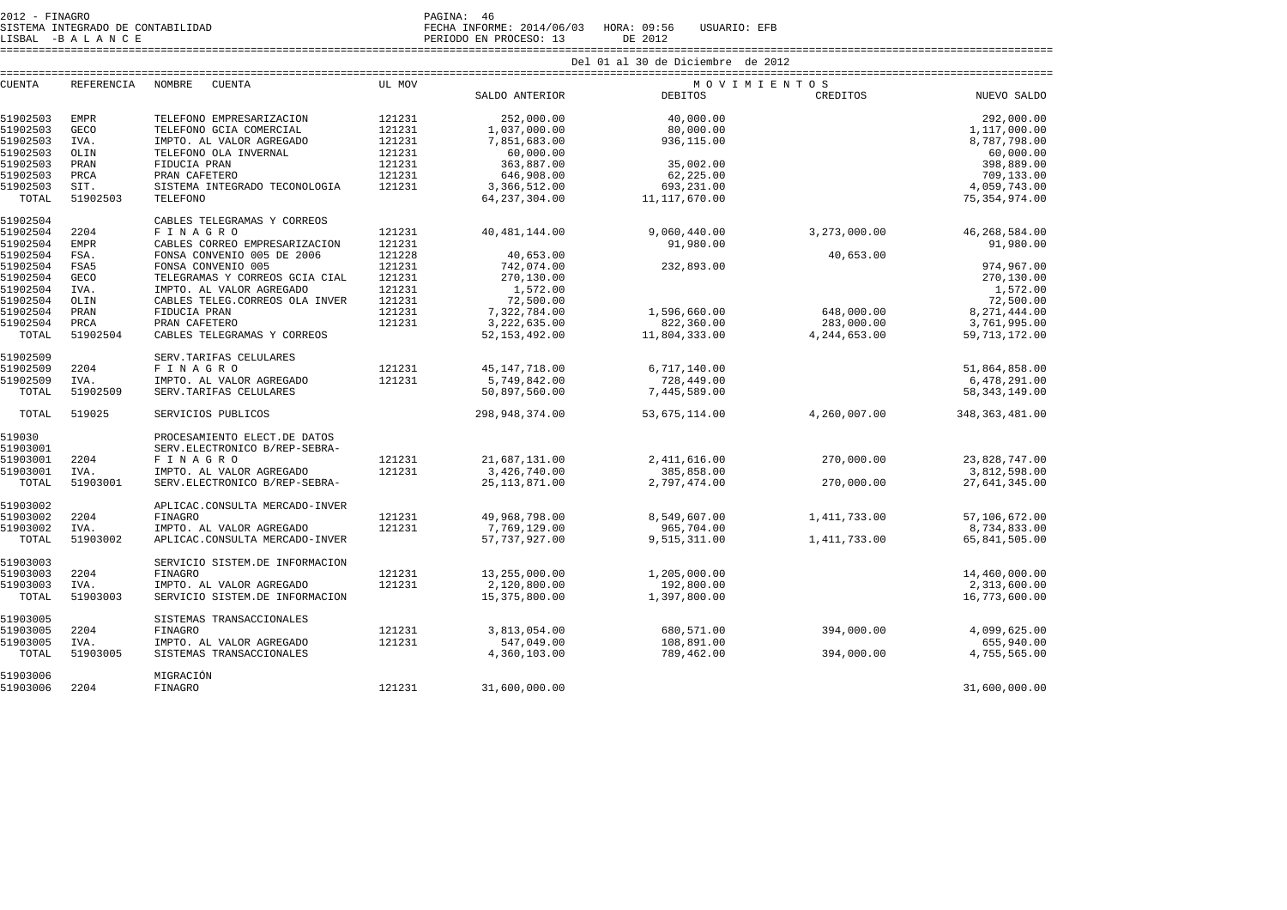2012 - FINAGRO PAGINA: 46 SISTEMA INTEGRADO DE CONTABILIDAD FECHA INFORME: 2014/06/03 HORA: 09:56 USUARIO: EFB

LISBAL -B A L A N C E PERIODO EN PROCESO: 13 DE 2012 ====================================================================================================================================================================

|               |             |                                 |        |                  | Del 01 al 30 de Diciembre de 2012 |                |                  |
|---------------|-------------|---------------------------------|--------|------------------|-----------------------------------|----------------|------------------|
| <b>CUENTA</b> | REFERENCIA  | <b>NOMBRE</b><br><b>CUENTA</b>  | UL MOV |                  | MOVIMIENTOS                       |                |                  |
|               |             |                                 |        | SALDO ANTERIOR   | DEBITOS                           | CREDITOS       | NUEVO SALDO      |
| 51902503      | <b>EMPR</b> | TELEFONO EMPRESARIZACION        | 121231 | 252,000.00       | 40,000.00                         |                | 292,000.00       |
| 51902503      | GECO        | TELEFONO GCIA COMERCIAL         | 121231 | 1,037,000.00     | 80,000.00                         |                | 1,117,000.00     |
| 51902503      | IVA.        | IMPTO. AL VALOR AGREGADO        | 121231 | 7,851,683.00     | 936,115.00                        |                | 8,787,798.00     |
| 51902503      | OLIN        | TELEFONO OLA INVERNAL           | 121231 | 60,000.00        |                                   |                | 60,000.00        |
| 51902503      | PRAN        | FIDUCIA PRAN                    | 121231 | 363,887.00       | 35,002.00                         |                | 398,889.00       |
| 51902503      | PRCA        | PRAN CAFETERO                   | 121231 | 646,908.00       | 62,225.00                         |                | 709,133.00       |
| 51902503      | SIT.        | SISTEMA INTEGRADO TECONOLOGIA   | 121231 | 3,366,512.00     | 693,231.00                        |                | 4,059,743.00     |
| TOTAL         | 51902503    | TELEFONO                        |        | 64, 237, 304.00  | 11,117,670.00                     |                | 75, 354, 974.00  |
| 51902504      |             | CABLES TELEGRAMAS Y CORREOS     |        |                  |                                   |                |                  |
| 51902504      | 2204        | <b>FINAGRO</b>                  | 121231 | 40, 481, 144.00  | 9,060,440.00                      | 3,273,000.00   | 46,268,584.00    |
| 51902504      | <b>EMPR</b> | CABLES CORREO EMPRESARIZACION   | 121231 |                  | 91,980.00                         |                | 91,980.00        |
| 51902504      | FSA.        | FONSA CONVENIO 005 DE 2006      | 121228 | 40,653.00        |                                   | 40,653.00      |                  |
| 51902504      | FSA5        | FONSA CONVENIO 005              | 121231 | 742,074.00       | 232,893.00                        |                | 974,967.00       |
| 51902504      | <b>GECO</b> | TELEGRAMAS Y CORREOS GCIA CIAL  | 121231 | 270,130.00       |                                   |                | 270,130.00       |
| 51902504      | IVA.        | IMPTO. AL VALOR AGREGADO        | 121231 | 1,572.00         |                                   |                | 1,572.00         |
| 51902504      | OLIN        | CABLES TELEG. CORREOS OLA INVER | 121231 | 72,500.00        |                                   |                | 72,500.00        |
| 51902504      | PRAN        | FIDUCIA PRAN                    | 121231 | 7,322,784.00     | 1,596,660.00                      | 648,000.00     | 8,271,444.00     |
| 51902504      | PRCA        | PRAN CAFETERO                   | 121231 | 3,222,635.00     | 822,360.00                        | 283,000.00     | 3,761,995.00     |
| TOTAL         | 51902504    | CABLES TELEGRAMAS Y CORREOS     |        | 52, 153, 492.00  | 11,804,333.00                     | 4, 244, 653.00 | 59, 713, 172.00  |
| 51902509      |             | SERV. TARIFAS CELULARES         |        |                  |                                   |                |                  |
| 51902509      | 2204        | F I N A G R O                   | 121231 | 45, 147, 718.00  | 6,717,140.00                      |                | 51,864,858.00    |
| 51902509      | IVA.        | IMPTO. AL VALOR AGREGADO        | 121231 | 5,749,842.00     | 728,449.00                        |                | 6,478,291.00     |
| TOTAL         | 51902509    | SERV. TARIFAS CELULARES         |        | 50,897,560.00    | 7,445,589.00                      |                | 58, 343, 149.00  |
| TOTAL         | 519025      | SERVICIOS PUBLICOS              |        | 298, 948, 374.00 | 53,675,114.00                     | 4,260,007.00   | 348, 363, 481.00 |
| 519030        |             | PROCESAMIENTO ELECT.DE DATOS    |        |                  |                                   |                |                  |
| 51903001      |             | SERV. ELECTRONICO B/REP-SEBRA-  |        |                  |                                   |                |                  |
| 51903001      | 2204        | FINAGRO                         | 121231 | 21,687,131.00    | 2,411,616.00                      | 270,000.00     | 23,828,747.00    |
| 51903001      | IVA.        | IMPTO. AL VALOR AGREGADO        | 121231 | 3,426,740.00     | 385,858.00                        |                | 3,812,598.00     |
| TOTAL         | 51903001    | SERV. ELECTRONICO B/REP-SEBRA-  |        | 25, 113, 871.00  | 2,797,474.00                      | 270,000.00     | 27,641,345.00    |
| 51903002      |             | APLICAC.CONSULTA MERCADO-INVER  |        |                  |                                   |                |                  |
| 51903002      | 2204        | FINAGRO                         | 121231 | 49,968,798.00    | 8,549,607.00                      | 1,411,733.00   | 57,106,672.00    |
| 51903002      | IVA.        | IMPTO. AL VALOR AGREGADO        | 121231 | 7,769,129.00     | 965,704.00                        |                | 8,734,833.00     |
| TOTAL         | 51903002    | APLICAC.CONSULTA MERCADO-INVER  |        | 57, 737, 927.00  | 9,515,311.00                      | 1,411,733.00   | 65,841,505.00    |
| 51903003      |             | SERVICIO SISTEM. DE INFORMACION |        |                  |                                   |                |                  |
| 51903003      | 2204        | FINAGRO                         | 121231 | 13, 255, 000.00  | 1,205,000.00                      |                | 14,460,000.00    |
| 51903003      | IVA.        | IMPTO. AL VALOR AGREGADO        | 121231 | 2,120,800.00     | 192,800.00                        |                | 2,313,600.00     |
| TOTAL         | 51903003    | SERVICIO SISTEM.DE INFORMACION  |        | 15,375,800.00    | 1,397,800.00                      |                | 16,773,600.00    |
| 51903005      |             | SISTEMAS TRANSACCIONALES        |        |                  |                                   |                |                  |
| 51903005      | 2204        | <b>FINAGRO</b>                  | 121231 | 3,813,054.00     | 680,571.00                        | 394,000.00     | 4,099,625.00     |
| 51903005      | IVA.        | IMPTO. AL VALOR AGREGADO        | 121231 | 547,049.00       | 108,891.00                        |                | 655,940.00       |
| TOTAL         | 51903005    | SISTEMAS TRANSACCIONALES        |        | 4,360,103.00     | 789,462.00                        | 394,000.00     | 4,755,565.00     |
| 51903006      |             | MIGRACIÓN                       |        |                  |                                   |                |                  |
| 51903006      | 2204        | FINAGRO                         | 121231 | 31,600,000.00    |                                   |                | 31,600,000.00    |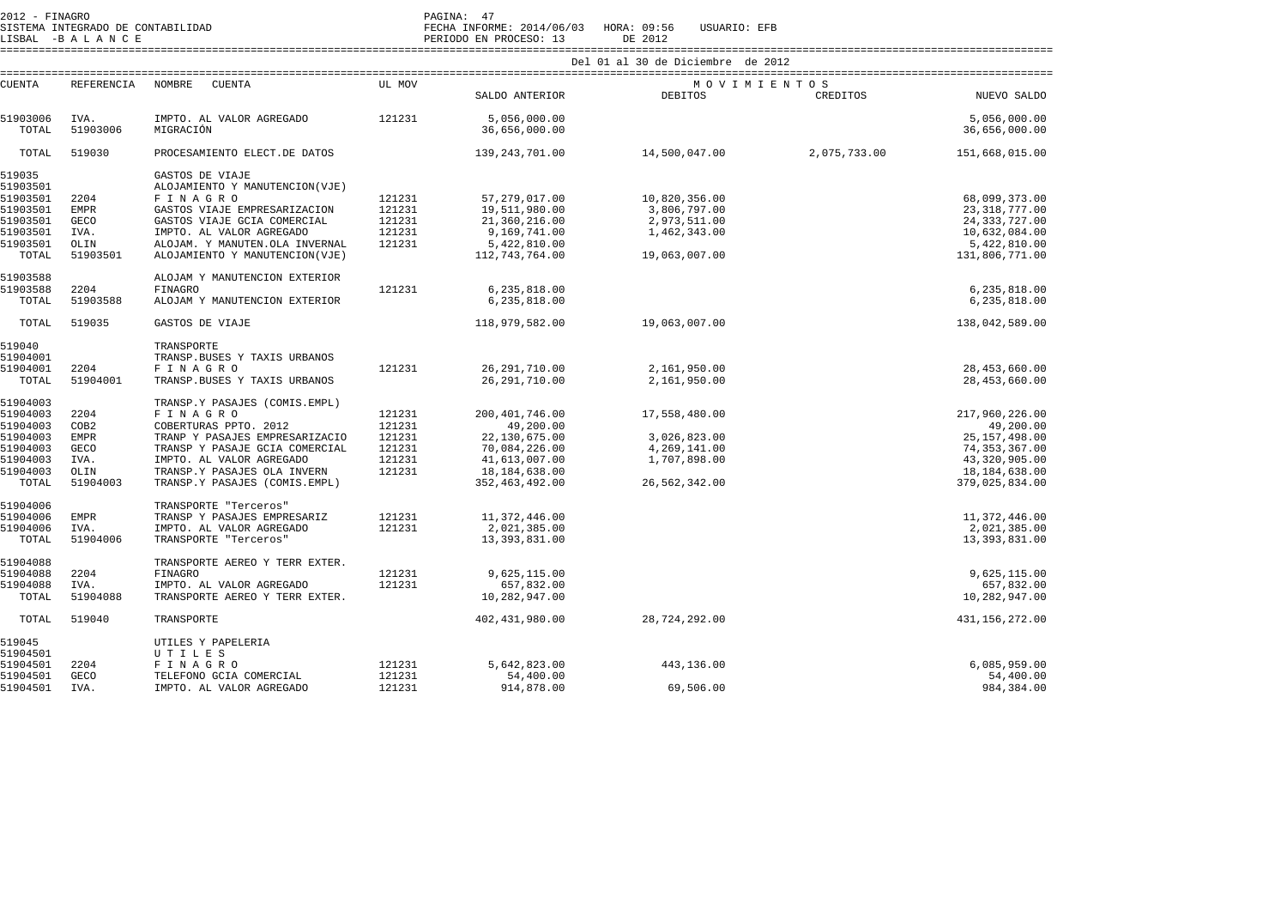| $2012 - FINAGRO$<br>SISTEMA INTEGRADO DE CONTABILIDAD<br>LISBAL -BALANCE |                   |                                          |        | PAGINA: 47<br>FECHA INFORME: 2014/06/03 HORA: 09:56<br>USUARIO: EFB<br>DE 2012<br>PERIODO EN PROCESO: 13 |                                    |              |                               |  |  |  |
|--------------------------------------------------------------------------|-------------------|------------------------------------------|--------|----------------------------------------------------------------------------------------------------------|------------------------------------|--------------|-------------------------------|--|--|--|
|                                                                          |                   |                                          |        |                                                                                                          | Del 01 al 30 de Diciembre de 2012  |              |                               |  |  |  |
| <b>CUENTA</b>                                                            | <b>REFERENCIA</b> | NOMBRE<br>CUENTA                         | UL MOV | SALDO ANTERIOR                                                                                           | MOVIMIENTOS<br>DEBITOS<br>CREDITOS |              |                               |  |  |  |
|                                                                          |                   |                                          |        |                                                                                                          |                                    |              | NUEVO SALDO                   |  |  |  |
| 51903006<br>TOTAL                                                        | IVA.<br>51903006  | IMPTO. AL VALOR AGREGADO<br>MIGRACIÓN    | 121231 | 5,056,000.00<br>36,656,000.00                                                                            |                                    |              | 5,056,000.00<br>36,656,000.00 |  |  |  |
| TOTAL                                                                    | 519030            | PROCESAMIENTO ELECT.DE DATOS             |        | 139, 243, 701.00                                                                                         | 14,500,047.00                      | 2,075,733.00 | 151,668,015.00                |  |  |  |
| 519035                                                                   |                   | GASTOS DE VIAJE                          |        |                                                                                                          |                                    |              |                               |  |  |  |
| 51903501                                                                 |                   | ALOJAMIENTO Y MANUTENCION(VJE)           |        |                                                                                                          |                                    |              |                               |  |  |  |
| 51903501                                                                 | 2204              | FINAGRO                                  | 121231 | 57,279,017.00                                                                                            | 10,820,356.00                      |              | 68,099,373.00                 |  |  |  |
| 51903501                                                                 | <b>EMPR</b>       | GASTOS VIAJE EMPRESARIZACION             | 121231 | 19,511,980.00                                                                                            | 3,806,797.00                       |              | 23,318,777.00                 |  |  |  |
| 51903501                                                                 | GECO              | GASTOS VIAJE GCIA COMERCIAL              | 121231 | 21,360,216.00                                                                                            | 2,973,511.00                       |              | 24, 333, 727.00               |  |  |  |
| 51903501                                                                 | IVA.              | IMPTO. AL VALOR AGREGADO                 | 121231 | 9,169,741.00                                                                                             | 1,462,343.00                       |              | 10,632,084.00                 |  |  |  |
| 51903501                                                                 | OLIN              | ALOJAM. Y MANUTEN. OLA INVERNAL          | 121231 | 5,422,810.00                                                                                             |                                    |              | 5,422,810.00                  |  |  |  |
| TOTAL                                                                    | 51903501          | ALOJAMIENTO Y MANUTENCION(VJE)           |        | 112,743,764.00                                                                                           | 19,063,007.00                      |              | 131,806,771.00                |  |  |  |
| 51903588<br>51903588                                                     | 2204              | ALOJAM Y MANUTENCION EXTERIOR<br>FINAGRO | 121231 | 6,235,818.00                                                                                             |                                    |              | 6,235,818.00                  |  |  |  |
| TOTAL                                                                    | 51903588          | ALOJAM Y MANUTENCION EXTERIOR            |        | 6,235,818.00                                                                                             |                                    |              | 6,235,818.00                  |  |  |  |
| TOTAL                                                                    | 519035            | GASTOS DE VIAJE                          |        | 118,979,582.00                                                                                           | 19,063,007.00                      |              | 138,042,589.00                |  |  |  |
| 519040                                                                   |                   | TRANSPORTE                               |        |                                                                                                          |                                    |              |                               |  |  |  |
| 51904001                                                                 |                   |                                          |        |                                                                                                          |                                    |              |                               |  |  |  |
|                                                                          |                   | TRANSP.BUSES Y TAXIS URBANOS             |        |                                                                                                          |                                    |              |                               |  |  |  |
| 51904001                                                                 | 2204              | FINAGRO                                  | 121231 | 26, 291, 710.00                                                                                          | 2,161,950.00                       |              | 28, 453, 660.00               |  |  |  |
| TOTAL                                                                    | 51904001          | TRANSP.BUSES Y TAXIS URBANOS             |        | 26, 291, 710.00                                                                                          | 2,161,950.00                       |              | 28, 453, 660.00               |  |  |  |
| 51904003                                                                 |                   | TRANSP.Y PASAJES (COMIS.EMPL)            |        |                                                                                                          |                                    |              |                               |  |  |  |
| 51904003                                                                 | 2204              | FINAGRO                                  | 121231 | 200, 401, 746.00                                                                                         | 17,558,480.00                      |              | 217,960,226.00                |  |  |  |
| 51904003                                                                 | COB2              | COBERTURAS PPTO. 2012                    | 121231 | 49,200.00                                                                                                |                                    |              | 49,200.00                     |  |  |  |
| 51904003                                                                 | <b>EMPR</b>       | TRANP Y PASAJES EMPRESARIZACIO           | 121231 | 22,130,675.00                                                                                            | 3,026,823.00                       |              | 25, 157, 498.00               |  |  |  |
| 51904003                                                                 | <b>GECO</b>       | TRANSP Y PASAJE GCIA COMERCIAL           | 121231 | 70,084,226.00                                                                                            | 4,269,141.00                       |              | 74, 353, 367.00               |  |  |  |
| 51904003                                                                 | IVA.              | IMPTO. AL VALOR AGREGADO                 | 121231 | 41,613,007.00                                                                                            | 1,707,898.00                       |              | 43,320,905.00                 |  |  |  |
| 51904003                                                                 | OLIN              | TRANSP.Y PASAJES OLA INVERN              | 121231 | 18, 184, 638.00                                                                                          |                                    |              | 18,184,638.00                 |  |  |  |
| TOTAL                                                                    | 51904003          | TRANSP.Y PASAJES (COMIS.EMPL)            |        | 352, 463, 492.00                                                                                         | 26,562,342.00                      |              | 379,025,834.00                |  |  |  |
| 51904006                                                                 |                   | TRANSPORTE "Terceros"                    |        |                                                                                                          |                                    |              |                               |  |  |  |
| 51904006                                                                 | <b>EMPR</b>       | TRANSP Y PASAJES EMPRESARIZ              | 121231 | 11,372,446.00                                                                                            |                                    |              | 11,372,446.00                 |  |  |  |
| 51904006                                                                 | IVA.              | IMPTO. AL VALOR AGREGADO                 | 121231 | 2,021,385.00                                                                                             |                                    |              | 2,021,385.00                  |  |  |  |
| TOTAL                                                                    | 51904006          | TRANSPORTE "Terceros"                    |        | 13, 393, 831.00                                                                                          |                                    |              | 13,393,831.00                 |  |  |  |
| 51904088                                                                 |                   | TRANSPORTE AEREO Y TERR EXTER.           |        |                                                                                                          |                                    |              |                               |  |  |  |
| 51904088                                                                 | 2204              | FINAGRO                                  | 121231 | 9,625,115.00                                                                                             |                                    |              | 9,625,115.00                  |  |  |  |
| 51904088                                                                 | IVA.              | IMPTO. AL VALOR AGREGADO                 | 121231 | 657,832.00                                                                                               |                                    |              | 657,832.00                    |  |  |  |
| TOTAL                                                                    | 51904088          | TRANSPORTE AEREO Y TERR EXTER.           |        | 10,282,947.00                                                                                            |                                    |              | 10,282,947.00                 |  |  |  |
| TOTAL                                                                    | 519040            | TRANSPORTE                               |        | 402, 431, 980.00                                                                                         | 28,724,292.00                      |              | 431, 156, 272.00              |  |  |  |
| 519045                                                                   |                   | UTILES Y PAPELERIA                       |        |                                                                                                          |                                    |              |                               |  |  |  |
| 51904501                                                                 |                   | UTILES                                   |        |                                                                                                          |                                    |              |                               |  |  |  |
| 51904501                                                                 | 2204              | FINAGRO                                  | 121231 | 5,642,823.00                                                                                             | 443,136.00                         |              | 6,085,959.00                  |  |  |  |
| 51904501                                                                 | <b>GECO</b>       | TELEFONO GCIA COMERCIAL                  | 121231 | 54,400.00                                                                                                |                                    |              | 54,400.00                     |  |  |  |
| 51904501                                                                 | IVA.              | IMPTO. AL VALOR AGREGADO                 | 121231 | 914,878.00                                                                                               | 69,506.00                          |              | 984, 384.00                   |  |  |  |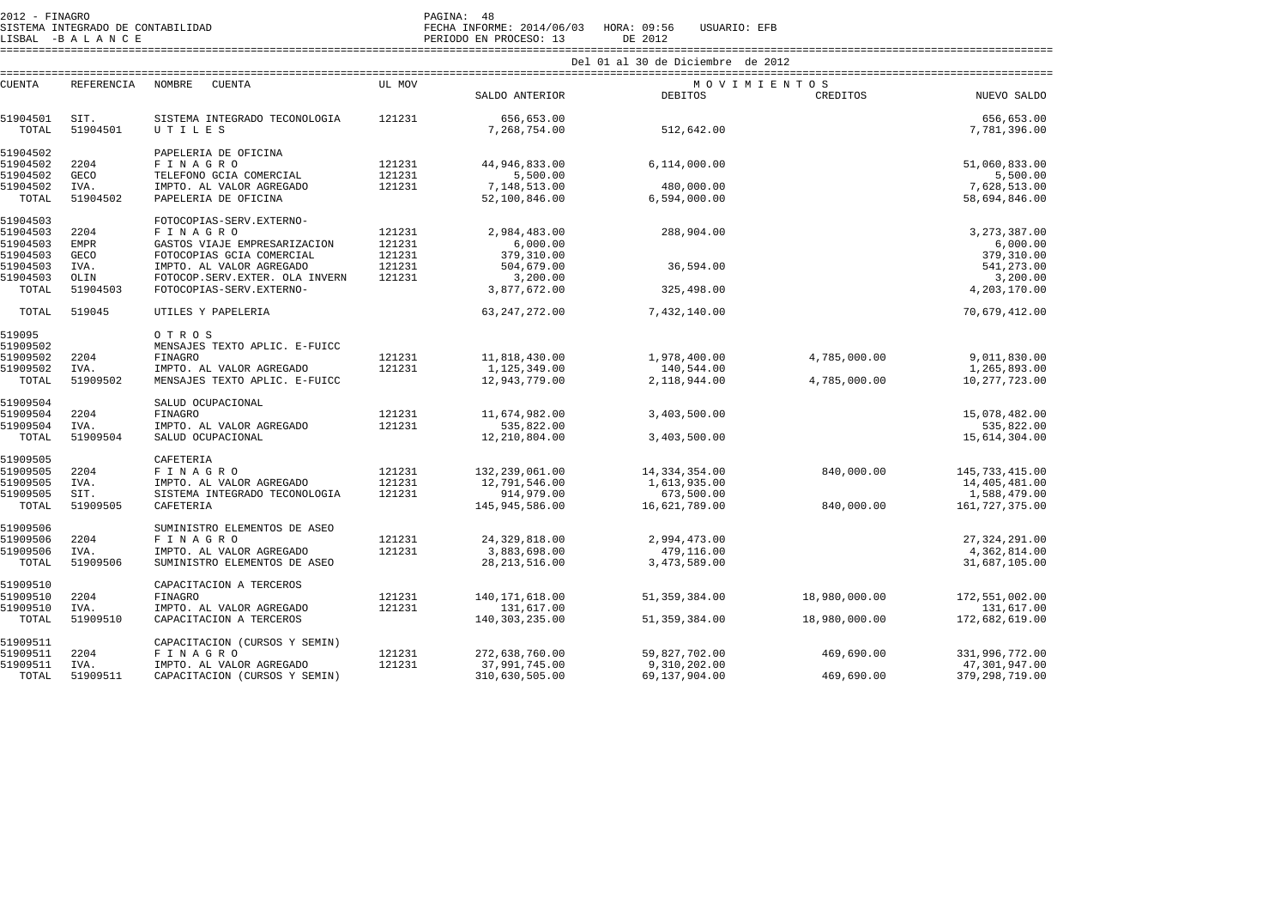SISTEMA INTEGRADO DE CONTABILIDAD FECHA INFORME: 2014/06/03 HORA: 09:56 USUARIO: EFB

LISBAL -B A L A N C E PERIODO EN PROCESO: 13 DE 2012

====================================================================================================================================================================

|                      |                   |                                                            | Del 01 al 30 de Diciembre de 2012 |                             |                            |               |                               |  |  |  |
|----------------------|-------------------|------------------------------------------------------------|-----------------------------------|-----------------------------|----------------------------|---------------|-------------------------------|--|--|--|
| <b>CUENTA</b>        | <b>REFERENCIA</b> | NOMBRE<br><b>CUENTA</b>                                    | UL MOV                            |                             | MOVIMIENTOS                |               |                               |  |  |  |
|                      |                   |                                                            |                                   | SALDO ANTERIOR              | <b>DEBITOS</b>             | CREDITOS      | NUEVO SALDO                   |  |  |  |
| 51904501             | SIT.              | SISTEMA INTEGRADO TECONOLOGIA                              | 121231                            | 656,653.00                  |                            |               | 656,653.00                    |  |  |  |
| TOTAL                | 51904501          | UTILES                                                     |                                   | 7,268,754.00                | 512,642.00                 |               | 7,781,396.00                  |  |  |  |
| 51904502             |                   | PAPELERIA DE OFICINA                                       |                                   |                             |                            |               |                               |  |  |  |
| 51904502             | 2204              | FINAGRO                                                    | 121231                            | 44,946,833.00               | 6,114,000.00               |               | 51,060,833.00                 |  |  |  |
| 51904502             | <b>GECO</b>       | TELEFONO GCIA COMERCIAL                                    | 121231                            | 5,500.00                    |                            |               | 5,500.00                      |  |  |  |
| 51904502             | IVA.              | IMPTO. AL VALOR AGREGADO                                   | 121231                            | 7,148,513.00                | 480,000.00                 |               | 7,628,513.00                  |  |  |  |
| TOTAL                | 51904502          | PAPELERIA DE OFICINA                                       |                                   | 52,100,846.00               | 6,594,000.00               |               | 58,694,846.00                 |  |  |  |
| 51904503             |                   | FOTOCOPIAS-SERV.EXTERNO-                                   |                                   |                             |                            |               |                               |  |  |  |
| 51904503             | 2204              | FINAGRO                                                    | 121231                            | 2,984,483.00                | 288,904.00                 |               | 3, 273, 387.00                |  |  |  |
| 51904503             | <b>EMPR</b>       | GASTOS VIAJE EMPRESARIZACION                               | 121231                            | 6,000.00                    |                            |               | 6,000.00                      |  |  |  |
| 51904503             | <b>GECO</b>       | FOTOCOPIAS GCIA COMERCIAL                                  | 121231<br>121231                  | 379, 310.00<br>504,679.00   | 36,594.00                  |               | 379, 310.00<br>541,273.00     |  |  |  |
| 51904503<br>51904503 | IVA.<br>OLIN      | IMPTO. AL VALOR AGREGADO<br>FOTOCOP.SERV.EXTER. OLA INVERN | 121231                            | 3,200.00                    |                            |               | 3,200.00                      |  |  |  |
| TOTAL                | 51904503          | FOTOCOPIAS-SERV.EXTERNO-                                   |                                   | 3,877,672.00                | 325,498.00                 |               | 4,203,170.00                  |  |  |  |
|                      |                   |                                                            |                                   |                             |                            |               |                               |  |  |  |
| TOTAL                | 519045            | UTILES Y PAPELERIA                                         |                                   | 63, 247, 272.00             | 7,432,140.00               |               | 70,679,412.00                 |  |  |  |
| 519095               |                   | OTROS                                                      |                                   |                             |                            |               |                               |  |  |  |
| 51909502             |                   | MENSAJES TEXTO APLIC. E-FUICC                              |                                   |                             |                            |               |                               |  |  |  |
| 51909502             | 2204              | <b>FINAGRO</b>                                             | 121231                            | 11,818,430.00               | 1,978,400.00               | 4,785,000.00  | 9,011,830.00                  |  |  |  |
| 51909502             | IVA.              | IMPTO. AL VALOR AGREGADO                                   | 121231                            | 1,125,349.00                | 140,544.00                 |               | 1,265,893.00                  |  |  |  |
| TOTAL                | 51909502          | MENSAJES TEXTO APLIC. E-FUICC                              |                                   | 12,943,779.00               | 2,118,944.00               | 4,785,000.00  | 10,277,723.00                 |  |  |  |
| 51909504             |                   | SALUD OCUPACIONAL                                          |                                   |                             |                            |               |                               |  |  |  |
| 51909504             | 2204              | FINAGRO                                                    | 121231                            | 11,674,982.00               | 3,403,500.00               |               | 15,078,482.00                 |  |  |  |
| 51909504             | IVA.              | IMPTO. AL VALOR AGREGADO                                   | 121231                            | 535,822.00                  |                            |               | 535,822.00                    |  |  |  |
| TOTAL                | 51909504          | SALUD OCUPACIONAL                                          |                                   | 12,210,804.00               | 3,403,500.00               |               | 15,614,304.00                 |  |  |  |
| 51909505             |                   | CAFETERIA                                                  |                                   |                             |                            |               |                               |  |  |  |
| 51909505             | 2204              | FINAGRO                                                    | 121231<br>121231                  | 132,239,061.00              | 14,334,354.00              | 840,000.00    | 145, 733, 415.00              |  |  |  |
| 51909505<br>51909505 | IVA.<br>SIT.      | IMPTO. AL VALOR AGREGADO<br>SISTEMA INTEGRADO TECONOLOGIA  | 121231                            | 12,791,546.00<br>914,979.00 | 1,613,935.00<br>673,500.00 |               | 14,405,481.00<br>1,588,479.00 |  |  |  |
| TOTAL                | 51909505          | CAFETERIA                                                  |                                   | 145,945,586.00              | 16,621,789.00              | 840,000.00    | 161, 727, 375.00              |  |  |  |
|                      |                   |                                                            |                                   |                             |                            |               |                               |  |  |  |
| 51909506             |                   | SUMINISTRO ELEMENTOS DE ASEO                               |                                   |                             |                            |               |                               |  |  |  |
| 51909506             | 2204              | F I N A G R O                                              | 121231                            | 24, 329, 818.00             | 2,994,473.00               |               | 27, 324, 291.00               |  |  |  |
| 51909506             | IVA.              | IMPTO. AL VALOR AGREGADO                                   | 121231                            | 3,883,698.00                | 479,116.00                 |               | 4,362,814.00                  |  |  |  |
| TOTAL                | 51909506          | SUMINISTRO ELEMENTOS DE ASEO                               |                                   | 28, 213, 516.00             | 3,473,589.00               |               | 31,687,105.00                 |  |  |  |
| 51909510             |                   | CAPACITACION A TERCEROS                                    |                                   |                             |                            |               |                               |  |  |  |
| 51909510             | 2204              | FINAGRO                                                    | 121231                            | 140, 171, 618.00            | 51, 359, 384.00            | 18,980,000.00 | 172,551,002.00                |  |  |  |
| 51909510             | IVA.              | IMPTO. AL VALOR AGREGADO                                   | 121231                            | 131,617.00                  |                            |               | 131,617.00                    |  |  |  |
| TOTAL                | 51909510          | CAPACITACION A TERCEROS                                    |                                   | 140, 303, 235.00            | 51, 359, 384.00            | 18,980,000.00 | 172,682,619.00                |  |  |  |
| 51909511             |                   | CAPACITACION (CURSOS Y SEMIN)                              |                                   |                             |                            |               |                               |  |  |  |
| 51909511             | 2204              | FINAGRO                                                    | 121231                            | 272,638,760.00              | 59,827,702.00              | 469,690.00    | 331,996,772.00                |  |  |  |
| 51909511             | IVA.              | IMPTO. AL VALOR AGREGADO                                   | 121231                            | 37,991,745.00               | 9,310,202.00               |               | 47,301,947.00                 |  |  |  |
| TOTAL                | 51909511          | CAPACITACION (CURSOS Y SEMIN)                              |                                   | 310,630,505.00              | 69,137,904.00              | 469,690.00    | 379, 298, 719.00              |  |  |  |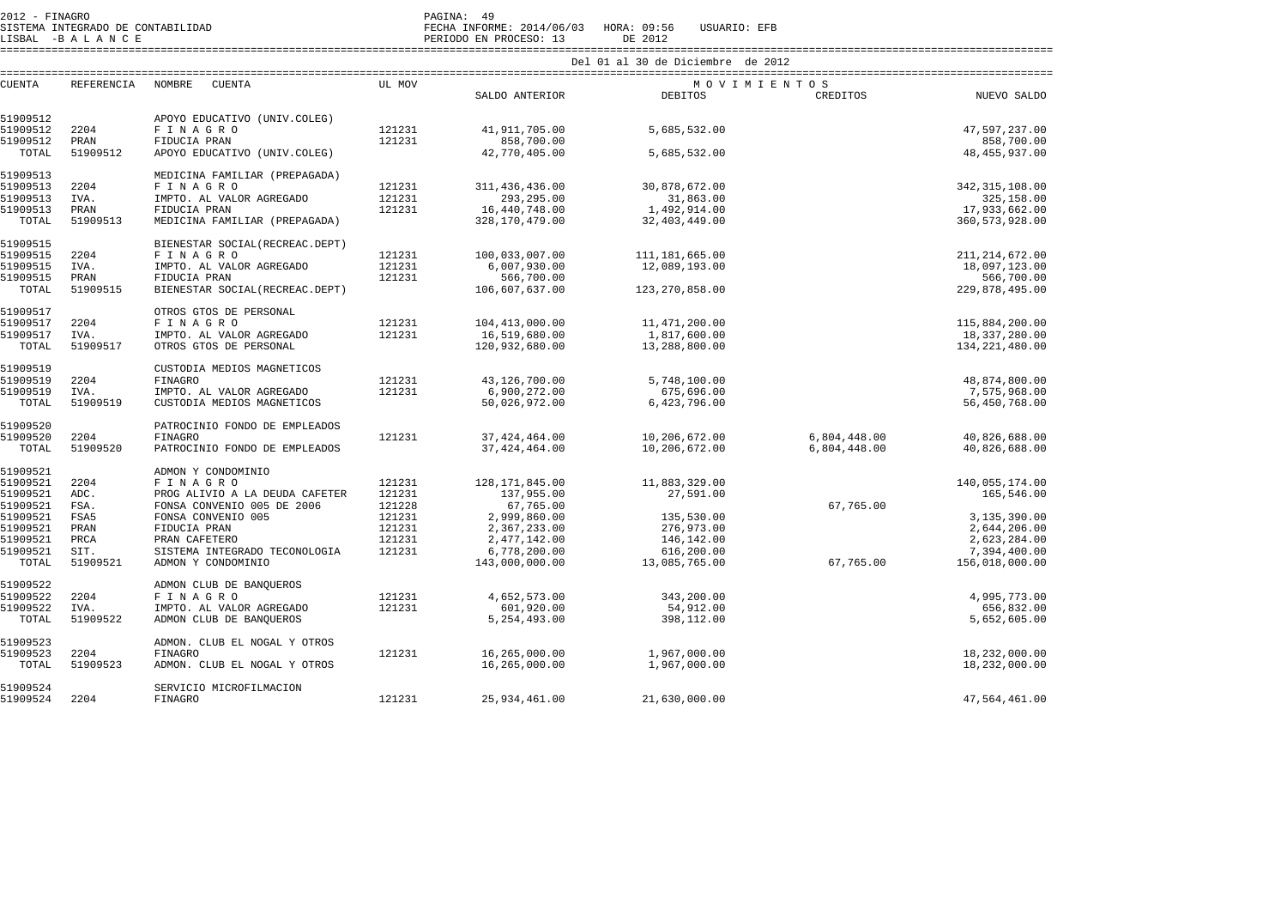2012 - FINAGRO<br>SISTEMA INTEGRADO DE CONTABILIDAD FECHA INFORME: 2014/06/03 HORA: 09:56 USUARIO: EFB

FECHA INFORME: 2014/06/03 HORA: 09:56 USUARIO: EFB

LISBAL -B A L A N C E PERIODO EN PROCESO: 13 DE 2012 ====================================================================================================================================================================

|               |                   |                                  |        |                  | Del 01 al 30 de Diciembre de 2012 |              |                  |
|---------------|-------------------|----------------------------------|--------|------------------|-----------------------------------|--------------|------------------|
| <b>CUENTA</b> | <b>REFERENCIA</b> | NOMBRE<br><b>CUENTA</b>          | UL MOV |                  | MOVIMIENTOS                       |              |                  |
|               |                   |                                  |        | SALDO ANTERIOR   | <b>DEBITOS</b>                    | CREDITOS     | NUEVO SALDO      |
| 51909512      |                   | APOYO EDUCATIVO (UNIV.COLEG)     |        |                  |                                   |              |                  |
| 51909512      | 2204              | F I N A G R O                    | 121231 | 41, 911, 705.00  | 5,685,532.00                      |              | 47,597,237.00    |
| 51909512      | PRAN              | FIDUCIA PRAN                     | 121231 | 858,700.00       |                                   |              | 858,700.00       |
| TOTAL         | 51909512          | APOYO EDUCATIVO (UNIV.COLEG)     |        | 42,770,405.00    | 5,685,532.00                      |              | 48, 455, 937.00  |
| 51909513      |                   | MEDICINA FAMILIAR (PREPAGADA)    |        |                  |                                   |              |                  |
| 51909513      | 2204              | FINAGRO                          | 121231 | 311, 436, 436.00 | 30,878,672.00                     |              | 342, 315, 108.00 |
| 51909513      | IVA.              | IMPTO. AL VALOR AGREGADO         | 121231 | 293,295.00       | 31,863.00                         |              | 325,158.00       |
| 51909513      | PRAN              | FIDUCIA PRAN                     | 121231 | 16,440,748.00    | 1,492,914.00                      |              | 17,933,662.00    |
| TOTAL         | 51909513          | MEDICINA FAMILIAR (PREPAGADA)    |        | 328,170,479.00   | 32,403,449.00                     |              | 360, 573, 928.00 |
| 51909515      |                   | BIENESTAR SOCIAL (RECREAC.DEPT)  |        |                  |                                   |              |                  |
| 51909515      | 2204              | FINAGRO                          | 121231 | 100,033,007.00   | 111,181,665.00                    |              | 211, 214, 672.00 |
| 51909515      | IVA.              | IMPTO. AL VALOR AGREGADO         | 121231 | 6,007,930.00     | 12,089,193.00                     |              | 18,097,123.00    |
| 51909515      | PRAN              | FIDUCIA PRAN                     | 121231 | 566,700.00       |                                   |              | 566,700.00       |
| TOTAL         | 51909515          | BIENESTAR SOCIAL (RECREAC. DEPT) |        | 106,607,637.00   | 123,270,858.00                    |              | 229,878,495.00   |
|               |                   |                                  |        |                  |                                   |              |                  |
| 51909517      |                   | OTROS GTOS DE PERSONAL           |        |                  |                                   |              |                  |
| 51909517      | 2204              | FINAGRO                          | 121231 | 104, 413, 000.00 | 11,471,200.00                     |              | 115,884,200.00   |
| 51909517      | IVA.              | IMPTO. AL VALOR AGREGADO         | 121231 | 16,519,680.00    | 1,817,600.00                      |              | 18,337,280.00    |
| TOTAL         | 51909517          | OTROS GTOS DE PERSONAL           |        | 120,932,680.00   | 13,288,800.00                     |              | 134, 221, 480.00 |
| 51909519      |                   | CUSTODIA MEDIOS MAGNETICOS       |        |                  |                                   |              |                  |
| 51909519      | 2204              | <b>FINAGRO</b>                   | 121231 | 43,126,700.00    | 5,748,100.00                      |              | 48,874,800.00    |
| 51909519      | IVA.              | IMPTO. AL VALOR AGREGADO         | 121231 | 6,900,272.00     | 675,696.00                        |              | 7,575,968.00     |
| TOTAL         | 51909519          | CUSTODIA MEDIOS MAGNETICOS       |        | 50,026,972.00    | 6,423,796.00                      |              | 56,450,768.00    |
| 51909520      |                   | PATROCINIO FONDO DE EMPLEADOS    |        |                  |                                   |              |                  |
| 51909520      | 2204              | <b>FINAGRO</b>                   | 121231 | 37, 424, 464.00  | 10,206,672.00                     | 6,804,448.00 | 40,826,688.00    |
| TOTAL         | 51909520          | PATROCINIO FONDO DE EMPLEADOS    |        | 37, 424, 464.00  | 10,206,672.00                     | 6,804,448.00 | 40,826,688.00    |
|               |                   |                                  |        |                  |                                   |              |                  |
| 51909521      | 2204              | ADMON Y CONDOMINIO               | 121231 |                  | 11,883,329.00                     |              | 140,055,174.00   |
| 51909521      |                   | FINAGRO                          |        | 128, 171, 845.00 |                                   |              |                  |
| 51909521      | ADC.              | PROG ALIVIO A LA DEUDA CAFETER   | 121231 | 137,955.00       | 27,591.00                         |              | 165,546.00       |
| 51909521      | FSA.              | FONSA CONVENIO 005 DE 2006       | 121228 | 67,765.00        |                                   | 67,765.00    |                  |
| 51909521      | FSA5              | FONSA CONVENIO 005               | 121231 | 2,999,860.00     | 135,530.00                        |              | 3,135,390.00     |
| 51909521      | PRAN              | FIDUCIA PRAN                     | 121231 | 2,367,233.00     | 276,973.00                        |              | 2,644,206.00     |
| 51909521      | PRCA              | PRAN CAFETERO                    | 121231 | 2,477,142.00     | 146,142.00                        |              | 2,623,284.00     |
| 51909521      | SIT.              | SISTEMA INTEGRADO TECONOLOGIA    | 121231 | 6,778,200.00     | 616,200.00                        |              | 7,394,400.00     |
| TOTAL         | 51909521          | ADMON Y CONDOMINIO               |        | 143,000,000.00   | 13,085,765.00                     | 67,765.00    | 156,018,000.00   |
| 51909522      |                   | ADMON CLUB DE BANQUEROS          |        |                  |                                   |              |                  |
| 51909522      | 2204              | FINAGRO                          | 121231 | 4,652,573.00     | 343,200.00                        |              | 4,995,773.00     |
| 51909522      | IVA.              | IMPTO. AL VALOR AGREGADO         | 121231 | 601,920.00       | 54,912.00                         |              | 656,832.00       |
| TOTAL         | 51909522          | ADMON CLUB DE BANQUEROS          |        | 5, 254, 493.00   | 398,112.00                        |              | 5,652,605.00     |
| 51909523      |                   | ADMON. CLUB EL NOGAL Y OTROS     |        |                  |                                   |              |                  |
| 51909523      | 2204              | <b>FINAGRO</b>                   | 121231 | 16,265,000.00    | 1,967,000.00                      |              | 18,232,000.00    |
| TOTAL         | 51909523          | ADMON. CLUB EL NOGAL Y OTROS     |        | 16,265,000.00    | 1,967,000.00                      |              | 18,232,000.00    |
| 51909524      |                   | SERVICIO MICROFILMACION          |        |                  |                                   |              |                  |
| 51909524      | 2204              | FINAGRO                          | 121231 | 25,934,461.00    | 21,630,000.00                     |              | 47,564,461.00    |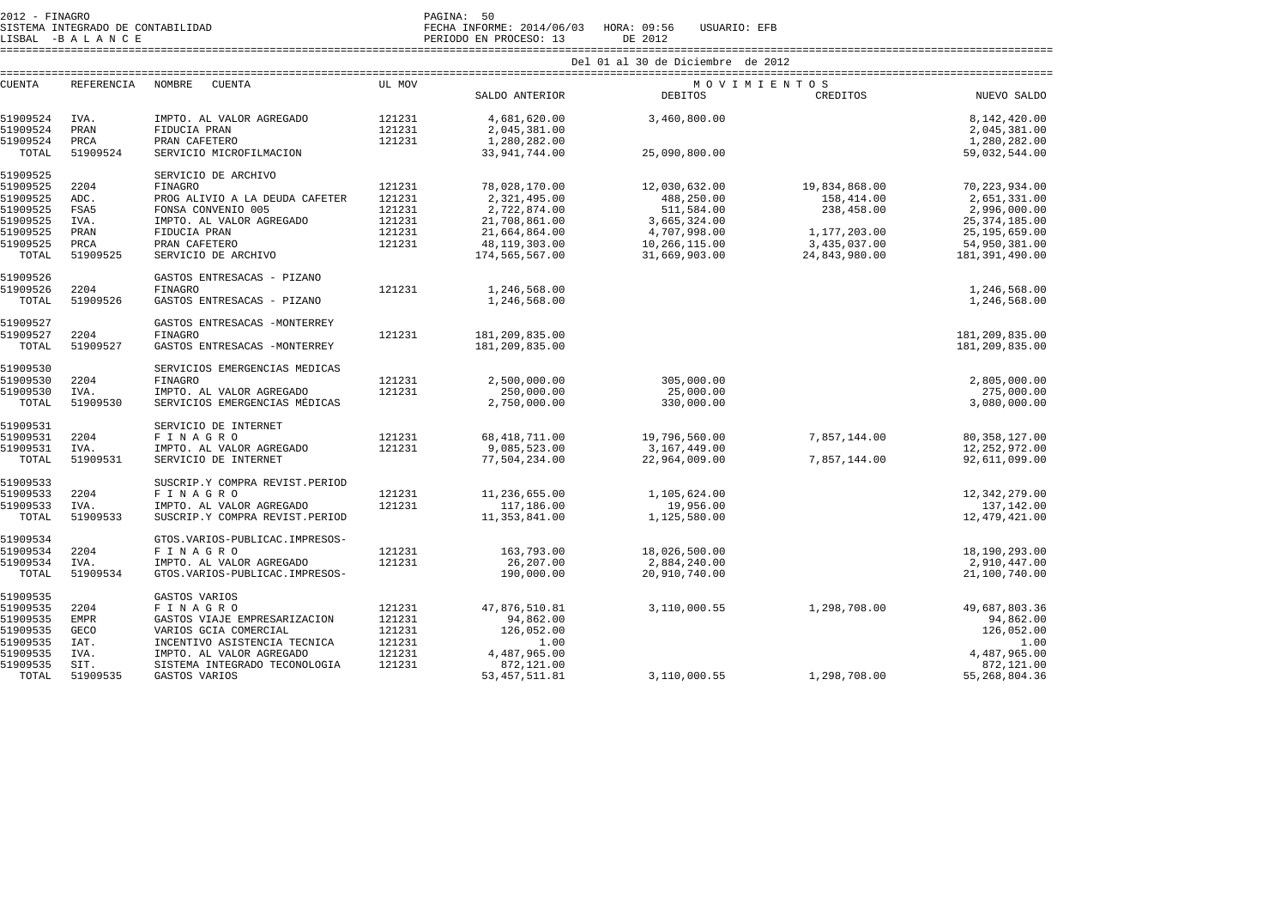| $2012$ - FINAGRO |  |                                   | PAGINA:      | 50 |
|------------------|--|-----------------------------------|--------------|----|
|                  |  | SISTEMA INTEGRADO DE CONTABILIDAD | FECHA INFORM |    |

SISTEMA INTEGRADO DE CONTABILIDAD FECHA INFORME: 2014/06/03 HORA: 09:56 USUARIO: EFB

LISBAL -B A L A N C E PERIODO EN PROCESO: 13 DE 2012 ====================================================================================================================================================================

|  |  |  |  |  | Del 01 al 30 de Diciembre de 2012 |  |  |
|--|--|--|--|--|-----------------------------------|--|--|
|--|--|--|--|--|-----------------------------------|--|--|

| <b>CUENTA</b>        | <b>REFERENCIA</b> | NOMBRE<br>CUENTA               | UL MOV |                                 | MOVIMIENTOS   |               |                                    |
|----------------------|-------------------|--------------------------------|--------|---------------------------------|---------------|---------------|------------------------------------|
|                      |                   |                                |        | SALDO ANTERIOR                  | DEBITOS       | CREDITOS      | NUEVO SALDO                        |
| 51909524             | IVA.              | IMPTO. AL VALOR AGREGADO       | 121231 | 4,681,620.00                    | 3,460,800.00  |               | 8,142,420.00                       |
| 51909524             | PRAN              | FIDUCIA PRAN                   | 121231 | 2,045,381.00                    |               |               | 2,045,381.00                       |
| 51909524             | PRCA              | PRAN CAFETERO                  | 121231 | 1,280,282.00                    |               |               | 1,280,282.00                       |
| TOTAL                | 51909524          | SERVICIO MICROFILMACION        |        |                                 | 25,090,800.00 |               | 59,032,544.00                      |
|                      |                   |                                |        | 33, 941, 744.00                 |               |               |                                    |
| 51909525             |                   | SERVICIO DE ARCHIVO            |        |                                 |               |               |                                    |
| 51909525             | 2204              | <b>FINAGRO</b>                 | 121231 | 78,028,170.00                   | 12,030,632.00 | 19,834,868.00 | 70, 223, 934.00                    |
| 51909525             | ADC.              | PROG ALIVIO A LA DEUDA CAFETER | 121231 | 2,321,495.00                    | 488,250.00    | 158,414.00    | 2,651,331.00                       |
| 51909525             | FSA5              | FONSA CONVENIO 005             | 121231 | 2,722,874.00                    | 511,584.00    | 238,458.00    | 2,996,000.00                       |
| 51909525             | IVA.              | IMPTO. AL VALOR AGREGADO       | 121231 | 21,708,861.00                   | 3,665,324.00  |               | 25, 374, 185.00                    |
| 51909525             | PRAN              | FIDUCIA PRAN                   | 121231 | 21,664,864.00                   | 4,707,998.00  | 1,177,203.00  | 25, 195, 659.00                    |
| 51909525             | PRCA              | PRAN CAFETERO                  | 121231 | 48,119,303.00                   | 10,266,115.00 | 3,435,037.00  | 54,950,381.00                      |
| TOTAL                | 51909525          | SERVICIO DE ARCHIVO            |        | 174,565,567.00                  | 31,669,903.00 | 24,843,980.00 | 181, 391, 490.00                   |
|                      |                   |                                |        |                                 |               |               |                                    |
| 51909526             |                   | GASTOS ENTRESACAS - PIZANO     |        |                                 |               |               |                                    |
| 51909526             | 2204              | <b>FINAGRO</b>                 | 121231 | 1,246,568.00                    |               |               | 1,246,568.00                       |
| TOTAL                | 51909526          | GASTOS ENTRESACAS - PIZANO     |        | 1,246,568.00                    |               |               | 1,246,568.00                       |
|                      |                   |                                |        |                                 |               |               |                                    |
| 51909527             |                   | GASTOS ENTRESACAS -MONTERREY   |        |                                 |               |               |                                    |
| 51909527             | 2204              | <b>FINAGRO</b>                 | 121231 | 181,209,835.00                  |               |               | 181,209,835.00                     |
| TOTAL                | 51909527          | GASTOS ENTRESACAS -MONTERREY   |        | 181,209,835.00                  |               |               | 181, 209, 835.00                   |
|                      |                   |                                |        |                                 |               |               |                                    |
| 51909530             |                   | SERVICIOS EMERGENCIAS MÉDICAS  |        |                                 |               |               |                                    |
| 51909530             | 2204              | FINAGRO                        | 121231 | 2,500,000.00                    | 305,000.00    |               | 2,805,000.00                       |
| 51909530             | IVA.              | IMPTO. AL VALOR AGREGADO       | 121231 | 250,000.00                      | 25,000.00     |               | 275,000.00                         |
| TOTAL                | 51909530          | SERVICIOS EMERGENCIAS MÉDICAS  |        | 2,750,000.00                    | 330,000.00    |               | 3,080,000.00                       |
| 51909531             |                   | SERVICIO DE INTERNET           |        |                                 |               |               |                                    |
|                      |                   |                                | 121231 |                                 | 19,796,560.00 |               |                                    |
| 51909531<br>51909531 | 2204              | FINAGRO                        | 121231 | 68, 418, 711.00<br>9,085,523.00 | 3,167,449.00  | 7,857,144.00  | 80, 358, 127.00<br>12, 252, 972.00 |
| TOTAL                | IVA.              | IMPTO. AL VALOR AGREGADO       |        | 77,504,234.00                   | 22,964,009.00 | 7,857,144.00  | 92,611,099.00                      |
|                      | 51909531          | SERVICIO DE INTERNET           |        |                                 |               |               |                                    |
| 51909533             |                   | SUSCRIP.Y COMPRA REVIST.PERIOD |        |                                 |               |               |                                    |
| 51909533             | 2204              | FINAGRO                        | 121231 | 11,236,655.00                   | 1,105,624.00  |               | 12,342,279.00                      |
| 51909533             | IVA.              | IMPTO. AL VALOR AGREGADO       | 121231 | 117,186.00                      | 19,956.00     |               | 137,142.00                         |
| TOTAL                | 51909533          | SUSCRIP.Y COMPRA REVIST.PERIOD |        | 11,353,841.00                   | 1,125,580.00  |               | 12,479,421.00                      |
|                      |                   |                                |        |                                 |               |               |                                    |
| 51909534             |                   | GTOS.VARIOS-PUBLICAC.IMPRESOS- |        |                                 |               |               |                                    |
| 51909534             | 2204              | FINAGRO                        | 121231 | 163,793.00                      | 18,026,500.00 |               | 18,190,293.00                      |
| 51909534             | IVA.              | IMPTO. AL VALOR AGREGADO       | 121231 | 26,207.00                       | 2,884,240.00  |               | 2,910,447.00                       |
| TOTAL                | 51909534          | GTOS.VARIOS-PUBLICAC.IMPRESOS- |        | 190,000.00                      | 20,910,740.00 |               | 21,100,740.00                      |
|                      |                   |                                |        |                                 |               |               |                                    |
| 51909535             |                   | GASTOS VARIOS                  |        |                                 |               |               |                                    |
| 51909535             | 2204              | FINAGRO                        | 121231 | 47,876,510.81                   | 3,110,000.55  | 1,298,708.00  | 49,687,803.36                      |
| 51909535             | <b>EMPR</b>       | GASTOS VIAJE EMPRESARIZACION   | 121231 | 94,862.00                       |               |               | 94,862.00                          |
| 51909535             | <b>GECO</b>       | VARIOS GCIA COMERCIAL          | 121231 | 126,052.00                      |               |               | 126,052.00                         |
| 51909535             | IAT.              | INCENTIVO ASISTENCIA TECNICA   | 121231 | 1.00                            |               |               | 1.00                               |
| 51909535             | IVA.              | IMPTO. AL VALOR AGREGADO       | 121231 | 4,487,965.00                    |               |               | 4,487,965.00                       |
| 51909535             | SIT.              | SISTEMA INTEGRADO TECONOLOGIA  | 121231 | 872,121.00                      |               |               | 872,121.00                         |
| TOTAL                | 51909535          | GASTOS VARIOS                  |        | 53, 457, 511.81                 | 3,110,000.55  | 1,298,708.00  | 55,268,804.36                      |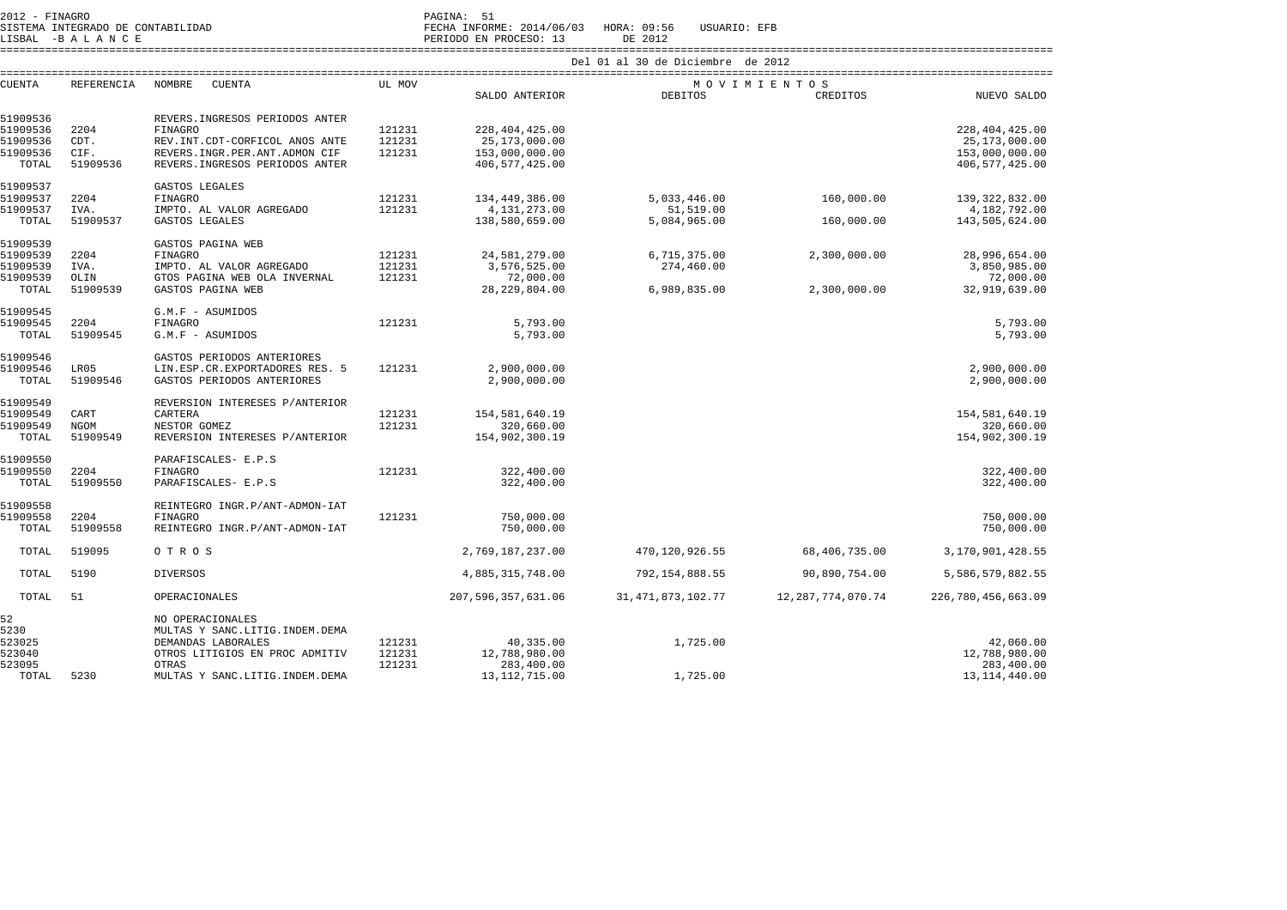2012 - FINAGRO<br>SISTEMA INTEGRADO DE CONTABILIDAD

LISBAL -B A L A N C E PERIODO EN PROCESO: 13 DE 2012

SISTEMA INTEGRADO DE CONTABILIDAD FECHA INFORME: 2014/06/03 HORA: 09:56 USUARIO: EFB

====================================================================================================================================================================

| <b>CUENTA</b> | REFERENCIA | NOMBRE<br><b>CUENTA</b>           | UL MOV | ================      |                       | MOVIMIENTOS           |                    |
|---------------|------------|-----------------------------------|--------|-----------------------|-----------------------|-----------------------|--------------------|
|               |            |                                   |        | SALDO ANTERIOR        | DEBITOS               | CREDITOS              | NUEVO SALDO        |
| 51909536      |            | REVERS. INGRESOS PERIODOS ANTER   |        |                       |                       |                       |                    |
| 51909536      | 2204       | <b>FINAGRO</b>                    | 121231 | 228, 404, 425.00      |                       |                       | 228, 404, 425.00   |
| 51909536      | CDT.       | REV. INT. CDT-CORFICOL AÑOS ANTE  | 121231 | 25,173,000.00         |                       |                       | 25,173,000.00      |
| 51909536      | CIF.       | REVERS. INGR. PER. ANT. ADMON CIF | 121231 | 153,000,000.00        |                       |                       | 153,000,000.00     |
| TOTAL         | 51909536   | REVERS. INGRESOS PERIODOS ANTER   |        | 406,577,425.00        |                       |                       | 406, 577, 425.00   |
| 51909537      |            | GASTOS LEGALES                    |        |                       |                       |                       |                    |
| 51909537      | 2204       | <b>FINAGRO</b>                    | 121231 | 134,449,386.00        | 5,033,446.00          | 160,000.00            | 139, 322, 832.00   |
| 51909537      | IVA.       | IMPTO. AL VALOR AGREGADO          | 121231 | 4, 131, 273.00        | 51,519.00             |                       | 4,182,792.00       |
| TOTAL         | 51909537   | GASTOS LEGALES                    |        | 138,580,659.00        | 5,084,965.00          | 160,000.00            | 143,505,624.00     |
| 51909539      |            | GASTOS PAGINA WEB                 |        |                       |                       |                       |                    |
| 51909539      | 2204       | <b>FINAGRO</b>                    | 121231 | 24,581,279.00         | 6,715,375.00          | 2,300,000.00          | 28,996,654.00      |
| 51909539      | IVA.       | IMPTO. AL VALOR AGREGADO          | 121231 | 3,576,525.00          | 274,460.00            |                       | 3,850,985.00       |
| 51909539      | OLIN       | GTOS PAGINA WEB OLA INVERNAL      | 121231 | 72,000.00             |                       |                       | 72,000.00          |
| TOTAL         | 51909539   | GASTOS PAGINA WEB                 |        | 28, 229, 804.00       | 6,989,835.00          | 2,300,000.00          | 32,919,639.00      |
| 51909545      |            | G.M.F - ASUMIDOS                  |        |                       |                       |                       |                    |
| 51909545      | 2204       | <b>FINAGRO</b>                    | 121231 | 5,793.00              |                       |                       | 5,793.00           |
| TOTAL         | 51909545   | G.M.F - ASUMIDOS                  |        | 5,793.00              |                       |                       | 5,793.00           |
| 51909546      |            | GASTOS PERIODOS ANTERIORES        |        |                       |                       |                       |                    |
| 51909546      | LR05       | LIN.ESP.CR.EXPORTADORES RES. 5    | 121231 | 2,900,000.00          |                       |                       | 2,900,000.00       |
| TOTAL         | 51909546   | GASTOS PERIODOS ANTERIORES        |        | 2,900,000.00          |                       |                       | 2,900,000.00       |
| 51909549      |            | REVERSION INTERESES P/ANTERIOR    |        |                       |                       |                       |                    |
| 51909549      | CART       | CARTERA                           | 121231 | 154,581,640.19        |                       |                       | 154,581,640.19     |
| 51909549      | NGOM       | NESTOR GOMEZ                      | 121231 | 320,660.00            |                       |                       | 320,660.00         |
| TOTAL         | 51909549   | REVERSION INTERESES P/ANTERIOR    |        | 154,902,300.19        |                       |                       | 154,902,300.19     |
| 51909550      |            | PARAFISCALES- E.P.S               |        |                       |                       |                       |                    |
| 51909550      | 2204       | <b>FINAGRO</b>                    | 121231 | 322,400.00            |                       |                       | 322,400.00         |
| TOTAL         | 51909550   | PARAFISCALES- E.P.S               |        | 322,400.00            |                       |                       | 322,400.00         |
| 51909558      |            | REINTEGRO INGR.P/ANT-ADMON-IAT    |        |                       |                       |                       |                    |
| 51909558      | 2204       | <b>FINAGRO</b>                    | 121231 | 750,000.00            |                       |                       | 750,000.00         |
| TOTAL         | 51909558   | REINTEGRO INGR.P/ANT-ADMON-IAT    |        | 750,000.00            |                       |                       | 750,000.00         |
| TOTAL         | 519095     | OTROS                             |        | 2,769,187,237.00      | 470,120,926.55        | 68,406,735.00         | 3,170,901,428.55   |
| TOTAL         | 5190       | <b>DIVERSOS</b>                   |        | 4,885,315,748.00      | 792,154,888.55        | 90,890,754.00         | 5,586,579,882.55   |
| TOTAL         | 51         | OPERACIONALES                     |        | 207, 596, 357, 631.06 | 31, 471, 873, 102. 77 | 12, 287, 774, 070. 74 | 226,780,456,663.09 |
| 52            |            | NO OPERACIONALES                  |        |                       |                       |                       |                    |
| 5230          |            | MULTAS Y SANC.LITIG.INDEM.DEMA    |        |                       |                       |                       |                    |
| 523025        |            | DEMANDAS LABORALES                | 121231 | 40,335.00             | 1,725.00              |                       | 42,060.00          |
| 523040        |            | OTROS LITIGIOS EN PROC ADMITIV    | 121231 | 12,788,980.00         |                       |                       | 12,788,980.00      |
| 523095        |            | OTRAS                             | 121231 | 283,400.00            |                       |                       | 283,400.00         |
| TOTAL         | 5230       | MULTAS Y SANC. LITIG. INDEM. DEMA |        | 13, 112, 715.00       | 1,725.00              |                       | 13,114,440.00      |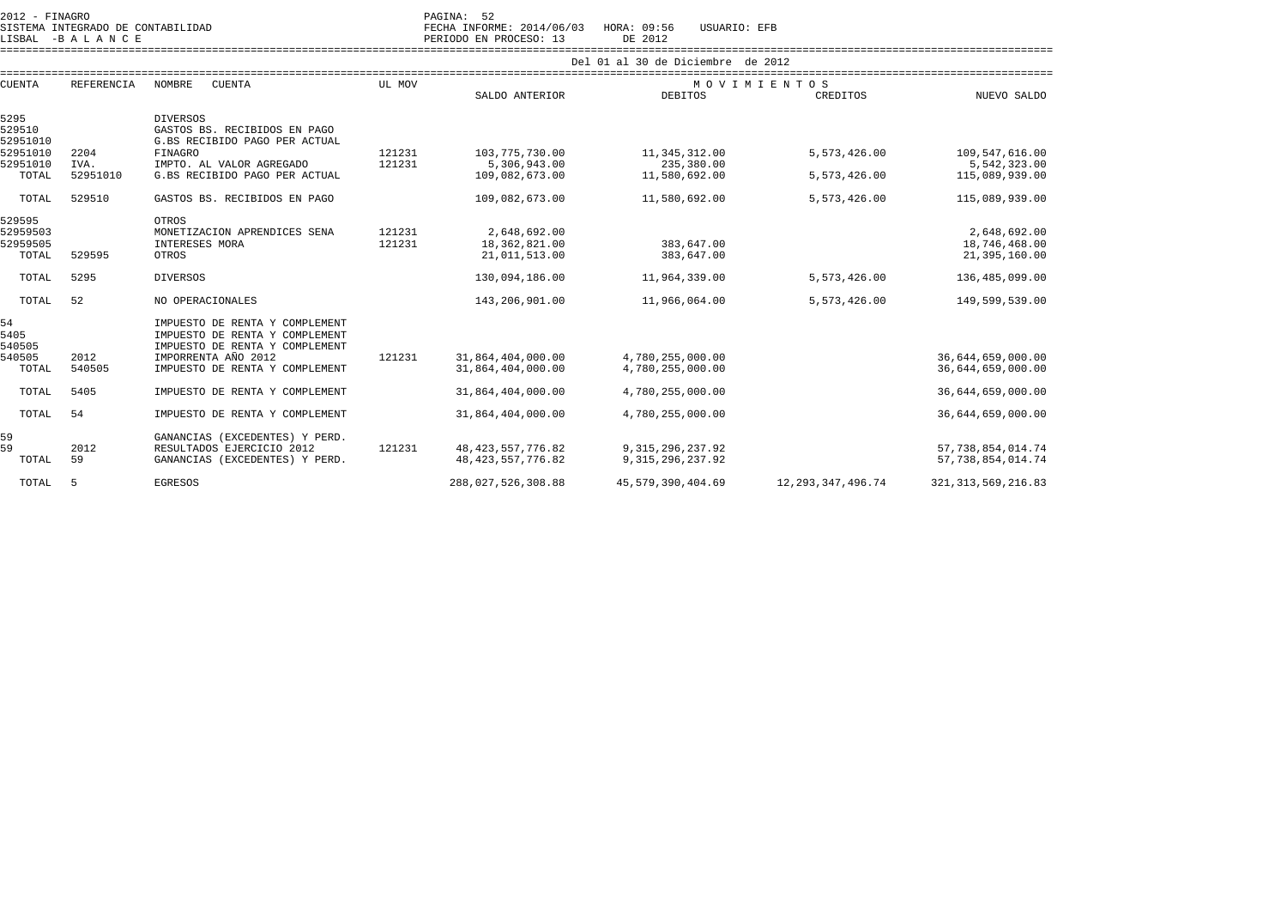2012 - FINAGRO<br>2012 - PAGINA: 52<br>2022 - PAGINA DE CONTABILIDAD

SISTEMA INTEGRADO DE CONTABILIDAD FECHA INFORME: 2014/06/03 HORA: 09:56 USUARIO: EFB

LISBAL -B A L A N C E PERIODO EN PROCESO: 13 DE 2012 ====================================================================================================================================================================

| <b>CUENTA</b><br><b>REFERENCIA</b> |          | <b>NOMBRE</b><br><b>CUENTA</b>                                | UL MOV | MOVIMIENTOS          |                     |                      |                       |  |  |  |
|------------------------------------|----------|---------------------------------------------------------------|--------|----------------------|---------------------|----------------------|-----------------------|--|--|--|
|                                    |          |                                                               |        | SALDO ANTERIOR       | <b>DEBITOS</b>      | CREDITOS             | NUEVO SALDO           |  |  |  |
| 5295                               |          | <b>DIVERSOS</b>                                               |        |                      |                     |                      |                       |  |  |  |
| 529510<br>52951010                 |          | GASTOS BS. RECIBIDOS EN PAGO<br>G.BS RECIBIDO PAGO PER ACTUAL |        |                      |                     |                      |                       |  |  |  |
| 52951010                           | 2204     | <b>FINAGRO</b>                                                | 121231 | 103, 775, 730.00     | 11,345,312.00       | 5,573,426.00         | 109,547,616.00        |  |  |  |
| 52951010                           | IVA.     | IMPTO. AL VALOR AGREGADO                                      | 121231 | 5,306,943.00         | 235,380.00          |                      | 5,542,323.00          |  |  |  |
| TOTAL                              | 52951010 | G.BS RECIBIDO PAGO PER ACTUAL                                 |        | 109,082,673.00       | 11,580,692.00       | 5,573,426.00         | 115,089,939.00        |  |  |  |
|                                    |          |                                                               |        |                      |                     |                      |                       |  |  |  |
| TOTAL                              | 529510   | GASTOS BS. RECIBIDOS EN PAGO                                  |        | 109,082,673.00       | 11,580,692.00       | 5,573,426.00         | 115,089,939.00        |  |  |  |
| 529595                             |          | <b>OTROS</b>                                                  |        |                      |                     |                      |                       |  |  |  |
| 52959503                           |          | MONETIZACION APRENDICES SENA                                  | 121231 | 2,648,692.00         |                     |                      | 2,648,692.00          |  |  |  |
| 52959505                           |          | INTERESES MORA                                                | 121231 | 18,362,821.00        | 383,647.00          |                      | 18,746,468.00         |  |  |  |
| TOTAL                              | 529595   | <b>OTROS</b>                                                  |        | 21,011,513.00        | 383,647.00          |                      | 21,395,160.00         |  |  |  |
| TOTAL                              | 5295     | <b>DIVERSOS</b>                                               |        | 130,094,186.00       | 11,964,339.00       | 5,573,426.00         | 136,485,099.00        |  |  |  |
| TOTAL                              | 52       | NO OPERACIONALES                                              |        | 143,206,901.00       | 11,966,064.00       | 5,573,426.00         | 149,599,539.00        |  |  |  |
| 54                                 |          | IMPUESTO DE RENTA Y COMPLEMENT                                |        |                      |                     |                      |                       |  |  |  |
| 5405                               |          | IMPUESTO DE RENTA Y COMPLEMENT                                |        |                      |                     |                      |                       |  |  |  |
| 540505                             |          | IMPUESTO DE RENTA Y COMPLEMENT                                |        |                      |                     |                      |                       |  |  |  |
| 540505                             | 2012     | IMPORRENTA AÑO 2012                                           | 121231 | 31,864,404,000.00    | 4,780,255,000.00    |                      | 36,644,659,000.00     |  |  |  |
| TOTAL                              | 540505   | IMPUESTO DE RENTA Y COMPLEMENT                                |        | 31,864,404,000.00    | 4,780,255,000.00    |                      | 36,644,659,000.00     |  |  |  |
| TOTAL                              | 5405     | IMPUESTO DE RENTA Y COMPLEMENT                                |        | 31,864,404,000.00    | 4,780,255,000.00    |                      | 36,644,659,000.00     |  |  |  |
| TOTAL                              | 54       | IMPUESTO DE RENTA Y COMPLEMENT                                |        | 31,864,404,000.00    | 4,780,255,000.00    |                      | 36,644,659,000.00     |  |  |  |
| 59                                 |          | GANANCIAS (EXCEDENTES) Y PERD.                                |        |                      |                     |                      |                       |  |  |  |
| 59                                 | 2012     | RESULTADOS EJERCICIO 2012                                     | 121231 | 48, 423, 557, 776.82 | 9, 315, 296, 237.92 |                      | 57, 738, 854, 014. 74 |  |  |  |
| TOTAL                              | 59       | GANANCIAS (EXCEDENTES) Y PERD.                                |        | 48, 423, 557, 776.82 | 9, 315, 296, 237.92 |                      | 57, 738, 854, 014. 74 |  |  |  |
| TOTAL                              | -5       | <b>EGRESOS</b>                                                |        | 288,027,526,308.88   | 45,579,390,404.69   | 12, 293, 347, 496.74 | 321, 313, 569, 216.83 |  |  |  |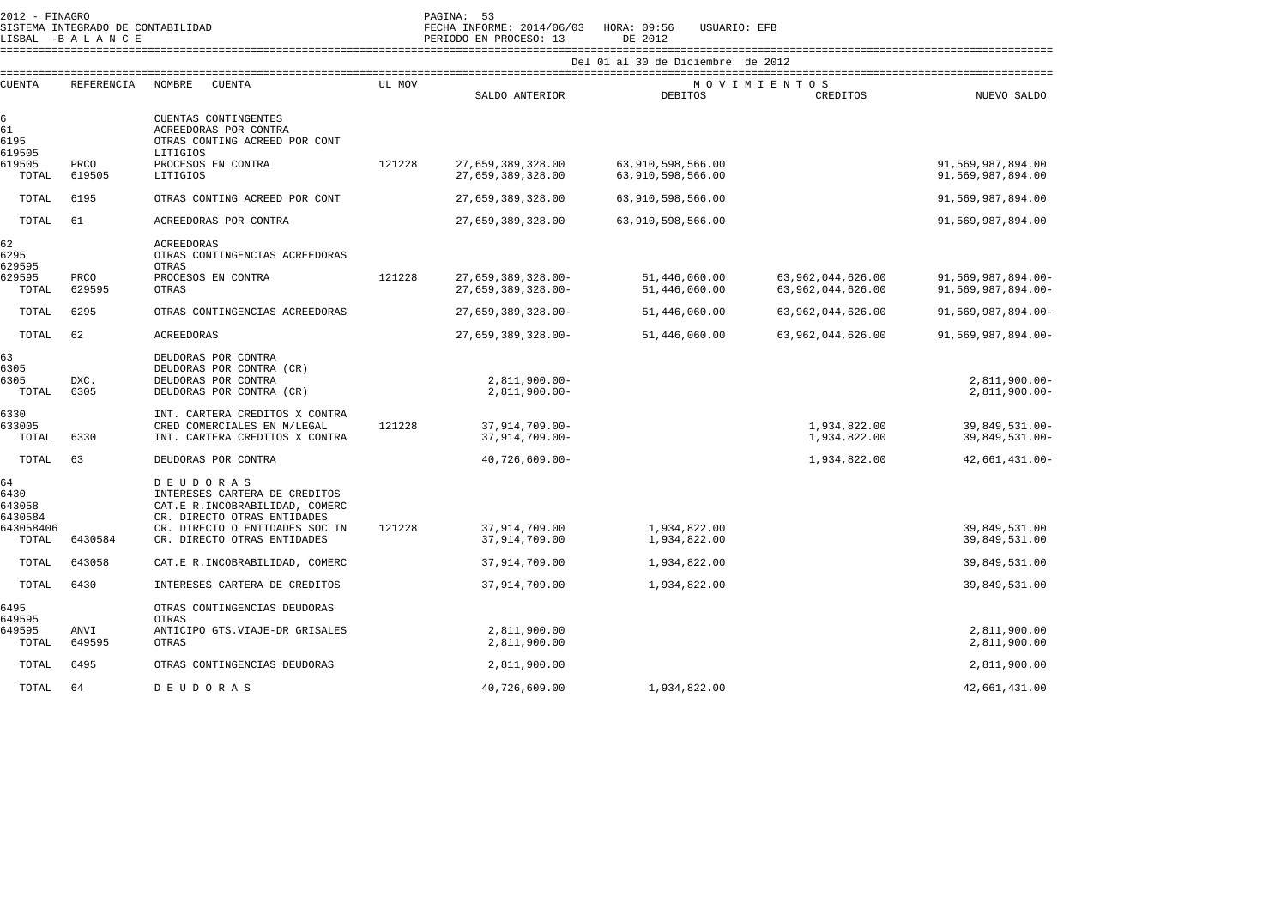| 2012 - FINAGRO                  | SISTEMA INTEGRADO DE CONTABILIDAD<br>LISBAL -BALANCE |                                                                                                                    |        | PAGINA: 53<br>FECHA INFORME: 2014/06/03 HORA: 09:56<br>PERIODO EN PROCESO: 13 | USUARIO: EFB<br>DE 2012                |                                        |                                          |
|---------------------------------|------------------------------------------------------|--------------------------------------------------------------------------------------------------------------------|--------|-------------------------------------------------------------------------------|----------------------------------------|----------------------------------------|------------------------------------------|
|                                 |                                                      |                                                                                                                    |        |                                                                               | Del 01 al 30 de Diciembre de 2012      |                                        |                                          |
| <b>CUENTA</b>                   | REFERENCIA                                           | NOMBRE<br><b>CUENTA</b>                                                                                            | UL MOV | SALDO ANTERIOR                                                                | <b>DEBITOS</b>                         | MOVIMIENTOS<br>CREDITOS                | NUEVO SALDO                              |
| 6<br>61<br>6195<br>619505       |                                                      | CUENTAS CONTINGENTES<br>ACREEDORAS POR CONTRA<br>OTRAS CONTING ACREED POR CONT<br>LITIGIOS                         |        |                                                                               |                                        |                                        |                                          |
| 619505<br>TOTAL                 | PRCO<br>619505                                       | PROCESOS EN CONTRA<br>LITIGIOS                                                                                     | 121228 | 27,659,389,328.00<br>27,659,389,328.00                                        | 63,910,598,566.00<br>63,910,598,566.00 |                                        | 91,569,987,894.00<br>91,569,987,894.00   |
| TOTAL                           | 6195                                                 | OTRAS CONTING ACREED POR CONT                                                                                      |        | 27,659,389,328.00                                                             | 63,910,598,566.00                      |                                        | 91,569,987,894.00                        |
| TOTAL                           | 61                                                   | ACREEDORAS POR CONTRA                                                                                              |        | 27,659,389,328.00                                                             | 63,910,598,566.00                      |                                        | 91,569,987,894.00                        |
| 62<br>6295<br>629595            |                                                      | <b>ACREEDORAS</b><br>OTRAS CONTINGENCIAS ACREEDORAS<br>OTRAS                                                       |        |                                                                               |                                        |                                        |                                          |
| 629595<br>TOTAL                 | PRCO<br>629595                                       | PROCESOS EN CONTRA<br>OTRAS                                                                                        | 121228 | $27.659.389.328.00 -$<br>$27.659.389.328.00 -$                                | 51,446,060.00<br>51,446,060.00         | 63,962,044,626.00<br>63,962,044,626.00 | 91,569,987,894.00-<br>91,569,987,894.00- |
| TOTAL                           | 6295                                                 | OTRAS CONTINGENCIAS ACREEDORAS                                                                                     |        | 27,659,389,328.00-                                                            | 51,446,060.00                          | 63,962,044,626.00                      | 91,569,987,894.00-                       |
| TOTAL                           | 62                                                   | <b>ACREEDORAS</b>                                                                                                  |        | 27,659,389,328.00-                                                            | 51,446,060.00                          | 63,962,044,626.00                      | 91,569,987,894.00-                       |
| 63<br>6305<br>6305<br>TOTAL     | DXC.<br>6305                                         | DEUDORAS POR CONTRA<br>DEUDORAS POR CONTRA (CR)<br>DEUDORAS POR CONTRA<br>DEUDORAS POR CONTRA (CR)                 |        | $2,811,900.00-$<br>$2,811,900.00-$                                            |                                        |                                        | $2,811,900.00 -$<br>$2,811,900.00 -$     |
| 6330<br>633005<br>TOTAL         | 6330                                                 | INT. CARTERA CREDITOS X CONTRA<br>CRED COMERCIALES EN M/LEGAL<br>INT. CARTERA CREDITOS X CONTRA                    | 121228 | 37,914,709.00-<br>37,914,709.00-                                              |                                        | 1,934,822.00<br>1,934,822.00           | 39,849,531.00-<br>39,849,531.00-         |
| TOTAL                           | 63                                                   | DEUDORAS POR CONTRA                                                                                                |        | $40,726,609.00 -$                                                             |                                        | 1,934,822.00                           | $42,661,431.00 -$                        |
| 64<br>6430<br>643058<br>6430584 |                                                      | <b>DEUDORAS</b><br>INTERESES CARTERA DE CREDITOS<br>CAT.E R. INCOBRABILIDAD, COMERC<br>CR. DIRECTO OTRAS ENTIDADES |        |                                                                               |                                        |                                        |                                          |
| 643058406<br>TOTAL              | 6430584                                              | CR. DIRECTO O ENTIDADES SOC IN<br>CR. DIRECTO OTRAS ENTIDADES                                                      | 121228 | 37,914,709.00<br>37,914,709.00                                                | 1,934,822.00<br>1,934,822.00           |                                        | 39,849,531.00<br>39,849,531.00           |
| TOTAL                           | 643058                                               | CAT.E R. INCOBRABILIDAD, COMERC                                                                                    |        | 37,914,709.00                                                                 | 1,934,822.00                           |                                        | 39,849,531.00                            |
| TOTAL                           | 6430                                                 | INTERESES CARTERA DE CREDITOS                                                                                      |        | 37,914,709.00                                                                 | 1,934,822.00                           |                                        | 39,849,531.00                            |
| 6495<br>649595                  |                                                      | OTRAS CONTINGENCIAS DEUDORAS<br>OTRAS                                                                              |        |                                                                               |                                        |                                        |                                          |
| 649595<br>TOTAL                 | <b>ANVI</b><br>649595                                | ANTICIPO GTS.VIAJE-DR GRISALES<br>OTRAS                                                                            |        | 2,811,900.00<br>2,811,900.00                                                  |                                        |                                        | 2,811,900.00<br>2,811,900.00             |
| TOTAL                           | 6495                                                 | OTRAS CONTINGENCIAS DEUDORAS                                                                                       |        | 2,811,900.00                                                                  |                                        |                                        | 2,811,900.00                             |
| TOTAL                           | 64                                                   | <b>DEUDORAS</b>                                                                                                    |        | 40,726,609.00                                                                 | 1,934,822.00                           |                                        | 42,661,431.00                            |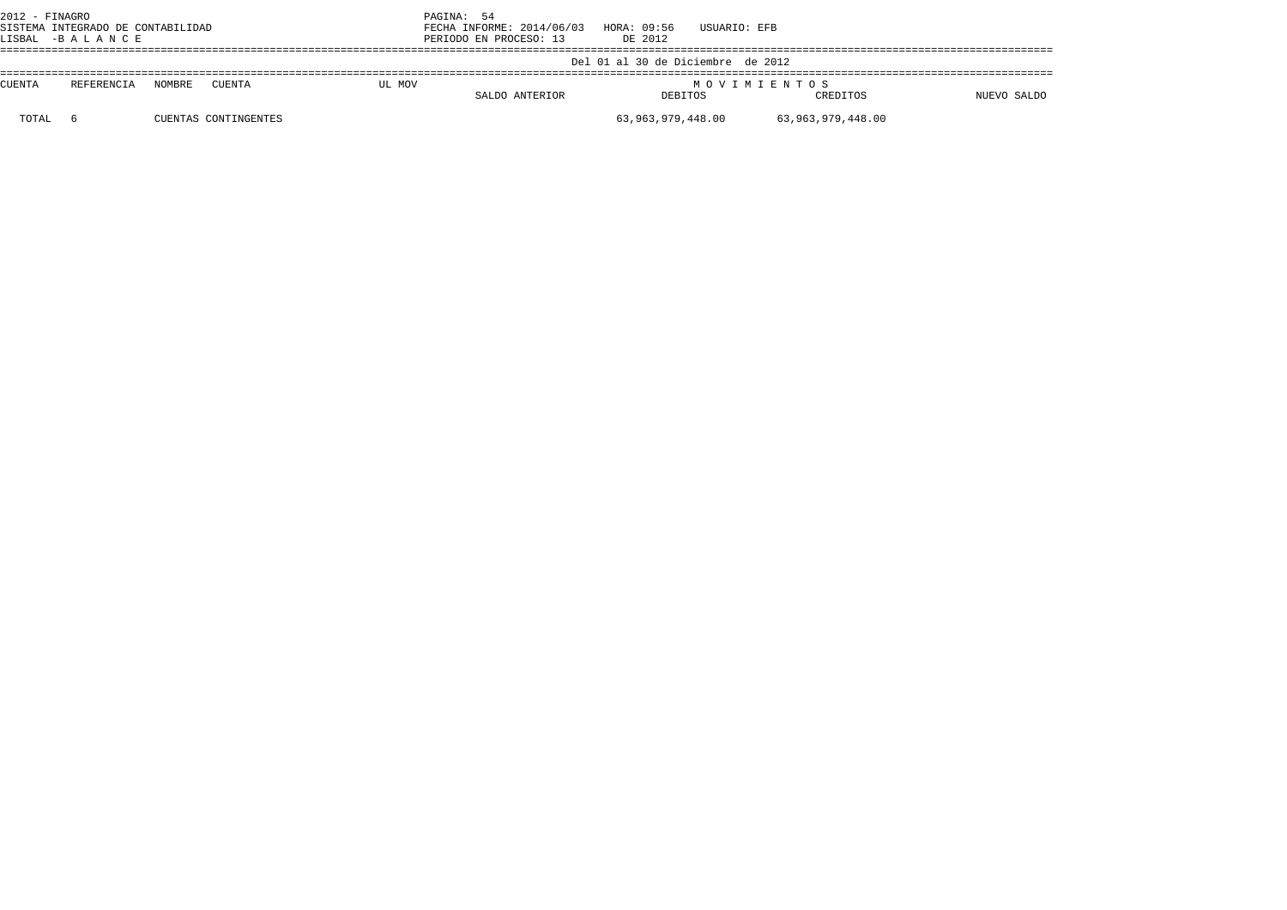| $2012$ - FINAGRO<br>SISTEMA INTEGRADO DE CONTABILIDAD<br>LISBAL -BALANCE |            |        |                      | PAGINA: 54<br>FECHA INFORME: 2014/06/03<br>PERIODO EN PROCESO: 13 | HORA: 09:56<br>DE 2012 | USUARIO: EFB                      |             |                   |             |
|--------------------------------------------------------------------------|------------|--------|----------------------|-------------------------------------------------------------------|------------------------|-----------------------------------|-------------|-------------------|-------------|
|                                                                          |            |        |                      |                                                                   |                        | Del 01 al 30 de Diciembre de 2012 |             |                   |             |
| <b>CUENTA</b>                                                            | REFERENCIA | NOMBRE | CUENTA               | UL MOV                                                            | SALDO ANTERIOR         | DEBITOS                           | MOVIMIENTOS | CREDITOS          | NUEVO SALDO |
| TOTAL                                                                    |            |        | CUENTAS CONTINGENTES |                                                                   |                        | 63,963,979,448.00                 |             | 63,963,979,448.00 |             |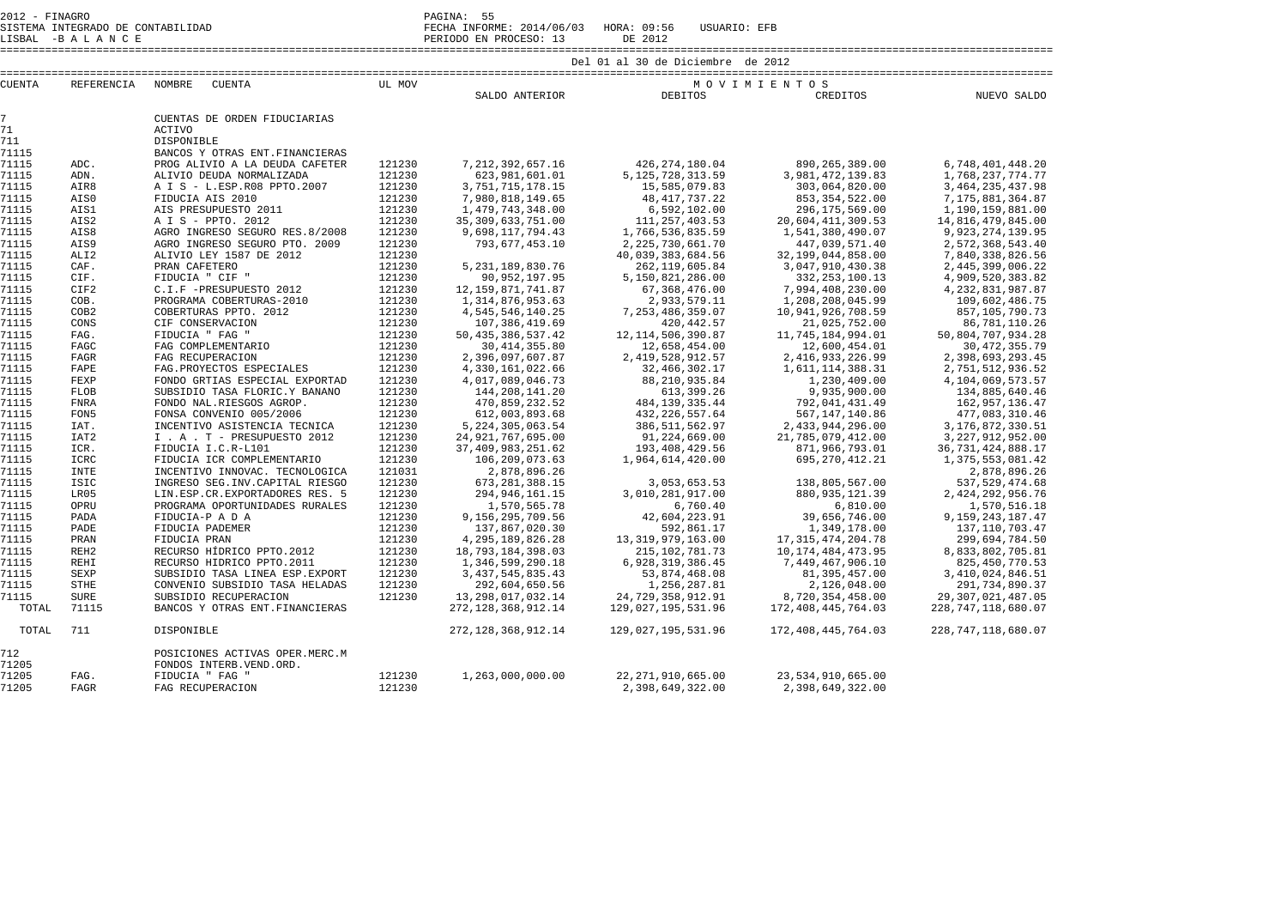SISTEMA INTEGRADO DE CONTABILIDAD FECHA INFORME: 2014/06/03 HORA: 09:56 USUARIO: EFB LISBAL -B A L A N C E PERIODO EN PROCESO: 13 DE 2012

====================================================================================================================================================================

| <b>CUENTA</b>  | <b>REFERENCIA</b>    | <b>NOMBRE</b><br><b>CUENTA</b>                              | UL MOV           |                                                |                                          | MOVIMIENTOS                               |                                               |  |
|----------------|----------------------|-------------------------------------------------------------|------------------|------------------------------------------------|------------------------------------------|-------------------------------------------|-----------------------------------------------|--|
|                |                      |                                                             |                  | SALDO ANTERIOR                                 | <b>DEBITOS</b>                           | CREDITOS                                  | NUEVO SALDO                                   |  |
| $\overline{7}$ |                      | CUENTAS DE ORDEN FIDUCIARIAS                                |                  |                                                |                                          |                                           |                                               |  |
| 71             |                      | <b>ACTIVO</b>                                               |                  |                                                |                                          |                                           |                                               |  |
| 711            |                      | DISPONIBLE                                                  |                  |                                                |                                          |                                           |                                               |  |
| 71115          |                      | BANCOS Y OTRAS ENT. FINANCIERAS                             |                  |                                                |                                          |                                           |                                               |  |
| 71115          | ADC.                 | PROG ALIVIO A LA DEUDA CAFETER                              | 121230           | 7, 212, 392, 657, 16                           | 426, 274, 180.04                         | 890, 265, 389, 00                         | 6,748,401,448.20                              |  |
| 71115          | ADN.                 | ALIVIO DEUDA NORMALIZADA                                    | 121230           | 623,981,601.01                                 | 5, 125, 728, 313.59                      | 3,981,472,139.83                          | 1,768,237,774.77                              |  |
| 71115          | AIR8                 | A I S - L.ESP.R08 PPTO.2007                                 | 121230           | 3, 751, 715, 178. 15                           | 15,585,079.83                            | 303,064,820.00                            | 3, 464, 235, 437.98                           |  |
| 71115          | AIS0                 | FIDUCIA AIS 2010                                            | 121230           | 7,980,818,149.65                               | 48, 417, 737. 22                         | 853, 354, 522.00                          | 7,175,881,364.87                              |  |
| 71115          | AIS1                 | AIS PRESUPUESTO 2011                                        | 121230           | 1,479,743,348.00                               | 6,592,102.00                             | 296, 175, 569.00                          | 1,190,159,881.00                              |  |
| 71115          | AIS2                 | A I S - PPTO. 2012                                          | 121230           | 35, 309, 633, 751.00                           | 111, 257, 403.53                         | 20,604,411,309.53                         | 14,816,479,845.00                             |  |
| 71115          | AIS8                 | AGRO INGRESO SEGURO RES.8/2008                              | 121230           | 9,698,117,794.43                               | 1,766,536,835.59                         | 1,541,380,490.07                          | 9, 923, 274, 139.95                           |  |
| 71115          | AIS9                 | AGRO INGRESO SEGURO PTO. 2009                               | 121230           | 793,677,453.10                                 | 2, 225, 730, 661. 70                     | 447,039,571.40                            | 2,572,368,543.40                              |  |
| 71115          | ALI <sub>2</sub>     | ALIVIO LEY 1587 DE 2012                                     | 121230           |                                                | 40,039,383,684.56                        | 32,199,044,858.00                         | 7,840,338,826.56                              |  |
| 71115          | CAF.                 | PRAN CAFETERO                                               | 121230           | 5, 231, 189, 830. 76                           | 262, 119, 605.84                         | 3,047,910,430.38                          | 2, 445, 399, 006. 22                          |  |
| 71115          | CIF.                 | FIDUCIA " CIF "                                             | 121230           | 90, 952, 197.95                                | 5,150,821,286.00                         | 332, 253, 100.13                          | 4,909,520,383.82                              |  |
| 71115          | CIF2                 | C.I.F -PRESUPUESTO 2012                                     | 121230           | 12, 159, 871, 741.87                           | 67,368,476.00                            | 7,994,408,230.00                          | 4, 232, 831, 987.87                           |  |
| 71115          | COB.                 | PROGRAMA COBERTURAS-2010                                    | 121230           | 1, 314, 876, 953.63                            | 2,933,579.11                             | 1,208,208,045.99                          | 109,602,486.75                                |  |
| 71115          | COB <sub>2</sub>     | COBERTURAS PPTO, 2012                                       | 121230           | 4, 545, 546, 140. 25                           | 7, 253, 486, 359.07                      | 10,941,926,708.59                         | 857, 105, 790. 73                             |  |
| 71115          | CONS                 | CIF CONSERVACION                                            | 121230           | 107,386,419.69                                 | 420, 442.57                              | 21,025,752.00                             | 86,781,110.26                                 |  |
| 71115          | FAG.                 | FIDUCIA " FAG "                                             | 121230           | 50, 435, 386, 537.42                           | 12, 114, 506, 390.87                     | 11,745,184,994.01                         | 50,804,707,934.28                             |  |
| 71115          | FAGC                 | FAG COMPLEMENTARIO                                          | 121230           | 30, 414, 355.80                                | 12,658,454.00                            | 12,600,454.01                             | 30, 472, 355.79                               |  |
| 71115          | <b>FAGR</b>          | FAG RECUPERACION                                            | 121230           | 2,396,097,607.87                               | 2, 419, 528, 912. 57                     | 2, 416, 933, 226.99                       | 2,398,693,293.45                              |  |
| 71115          | FAPE                 | FAG. PROYECTOS ESPECIALES                                   | 121230           | 4,330,161,022.66                               | 32,466,302.17                            | 1,611,114,388.31                          | 2,751,512,936.52                              |  |
| 71115          | FEXP                 | FONDO GRTIAS ESPECIAL EXPORTAD                              | 121230           | 4,017,089,046.73                               | 88, 210, 935.84                          | 1,230,409.00                              | 4,104,069,573.57                              |  |
| 71115          | <b>FLOB</b>          | SUBSIDIO TASA FLORIC.Y BANANO                               | 121230           | 144,208,141.20                                 | 613,399.26                               | 9,935,900.00                              | 134,885,640.46                                |  |
| 71115          | FNRA                 | FONDO NAL.RIESGOS AGROP.                                    | 121230           | 470,859,232.52                                 | 484, 139, 335.44                         | 792,041,431.49                            | 162, 957, 136.47                              |  |
| 71115          | FON5                 | FONSA CONVENIO 005/2006                                     | 121230           | 612,003,893.68                                 | 432, 226, 557.64                         | 567, 147, 140.86                          | 477,083,310.46                                |  |
| 71115          | IAT.                 | INCENTIVO ASISTENCIA TECNICA                                | 121230           | 5, 224, 305, 063.54                            | 386, 511, 562.97                         | 2,433,944,296.00                          | 3,176,872,330.51                              |  |
| 71115          | IAT <sub>2</sub>     | I . A . T - PRESUPUESTO 2012                                | 121230           | 24, 921, 767, 695.00                           | 91,224,669.00                            | 21,785,079,412.00                         | 3, 227, 912, 952.00                           |  |
| 71115          | ICR.                 | FIDUCIA I.C.R-L101                                          | 121230           | 37, 409, 983, 251.62                           | 193,408,429.56                           | 871,966,793.01                            | 36, 731, 424, 888. 17                         |  |
| 71115          | ICRC                 | FIDUCIA ICR COMPLEMENTARIO                                  | 121230           | 106,209,073.63                                 | 1,964,614,420.00                         | 695, 270, 412. 21                         | 1,375,553,081.42                              |  |
| 71115          | <b>INTE</b>          | INCENTIVO INNOVAC. TECNOLOGICA                              | 121031           | 2,878,896.26                                   |                                          |                                           | 2,878,896.26                                  |  |
| 71115          | <b>ISIC</b>          | INGRESO SEG. INV. CAPITAL RIESGO                            | 121230           | 673, 281, 388.15                               | 3,053,653.53                             | 138,805,567.00                            | 537, 529, 474.68                              |  |
| 71115          | LR05                 | LIN.ESP.CR.EXPORTADORES RES. 5                              | 121230           | 294, 946, 161. 15                              | 3,010,281,917.00                         | 880, 935, 121.39                          | 2,424,292,956.76                              |  |
| 71115          | OPRU                 | PROGRAMA OPORTUNIDADES RURALES                              | 121230           | 1,570,565.78                                   | 6,760.40                                 | 6,810.00                                  | 1,570,516.18                                  |  |
| 71115          | PADA                 | FIDUCIA-P A D A                                             | 121230           | 9,156,295,709.56                               | 42,604,223.91                            | 39,656,746.00                             | 9, 159, 243, 187. 47                          |  |
| 71115          | PADE                 | FIDUCIA PADEMER                                             | 121230           | 137,867,020.30                                 | 592,861.17                               | 1,349,178.00                              | 137, 110, 703. 47                             |  |
| 71115          | PRAN                 | FIDUCIA PRAN                                                | 121230           | 4, 295, 189, 826. 28                           | 13, 319, 979, 163.00                     | 17, 315, 474, 204. 78                     | 299,694,784.50                                |  |
| 71115          | REH <sub>2</sub>     | RECURSO HÍDRICO PPTO.2012                                   | 121230           | 18,793,184,398.03                              | 215, 102, 781. 73                        | 10, 174, 484, 473. 95                     | 8,833,802,705.81                              |  |
| 71115          | <b>REHI</b>          | RECURSO HIDRICO PPTO.2011                                   | 121230           | 1,346,599,290.18                               | 6,928,319,386.45                         | 7,449,467,906.10                          | 825, 450, 770.53                              |  |
| 71115          | SEXP                 | SUBSIDIO TASA LINEA ESP. EXPORT                             | 121230           | 3, 437, 545, 835. 43                           | 53,874,468.08                            | 81, 395, 457.00                           | 3,410,024,846.51                              |  |
| 71115          | <b>STHE</b>          | CONVENIO SUBSIDIO TASA HELADAS                              | 121230           | 292,604,650.56                                 | 1,256,287.81                             | 2,126,048.00                              | 291,734,890.37                                |  |
| 71115<br>TOTAL | <b>SURE</b><br>71115 | SUBSIDIO RECUPERACION<br>BANCOS Y OTRAS ENT. FINANCIERAS    | 121230           | 13, 298, 017, 032.14<br>272, 128, 368, 912. 14 | 24,729,358,912.91<br>129,027,195,531.96  | 8,720,354,458.00<br>172, 408, 445, 764.03 | 29, 307, 021, 487.05<br>228, 747, 118, 680.07 |  |
| TOTAL          | 711                  | <b>DISPONIBLE</b>                                           |                  | 272, 128, 368, 912. 14                         | 129,027,195,531.96                       | 172, 408, 445, 764.03                     | 228, 747, 118, 680.07                         |  |
| 712<br>71205   |                      | POSICIONES ACTIVAS OPER.MERC.M<br>FONDOS INTERB. VEND. ORD. |                  |                                                |                                          |                                           |                                               |  |
| 71205<br>71205 | FAG.<br><b>FAGR</b>  | FIDUCIA " FAG "<br>FAG RECUPERACION                         | 121230<br>121230 | 1,263,000,000.00                               | 22, 271, 910, 665.00<br>2,398,649,322.00 | 23,534,910,665.00<br>2,398,649,322.00     |                                               |  |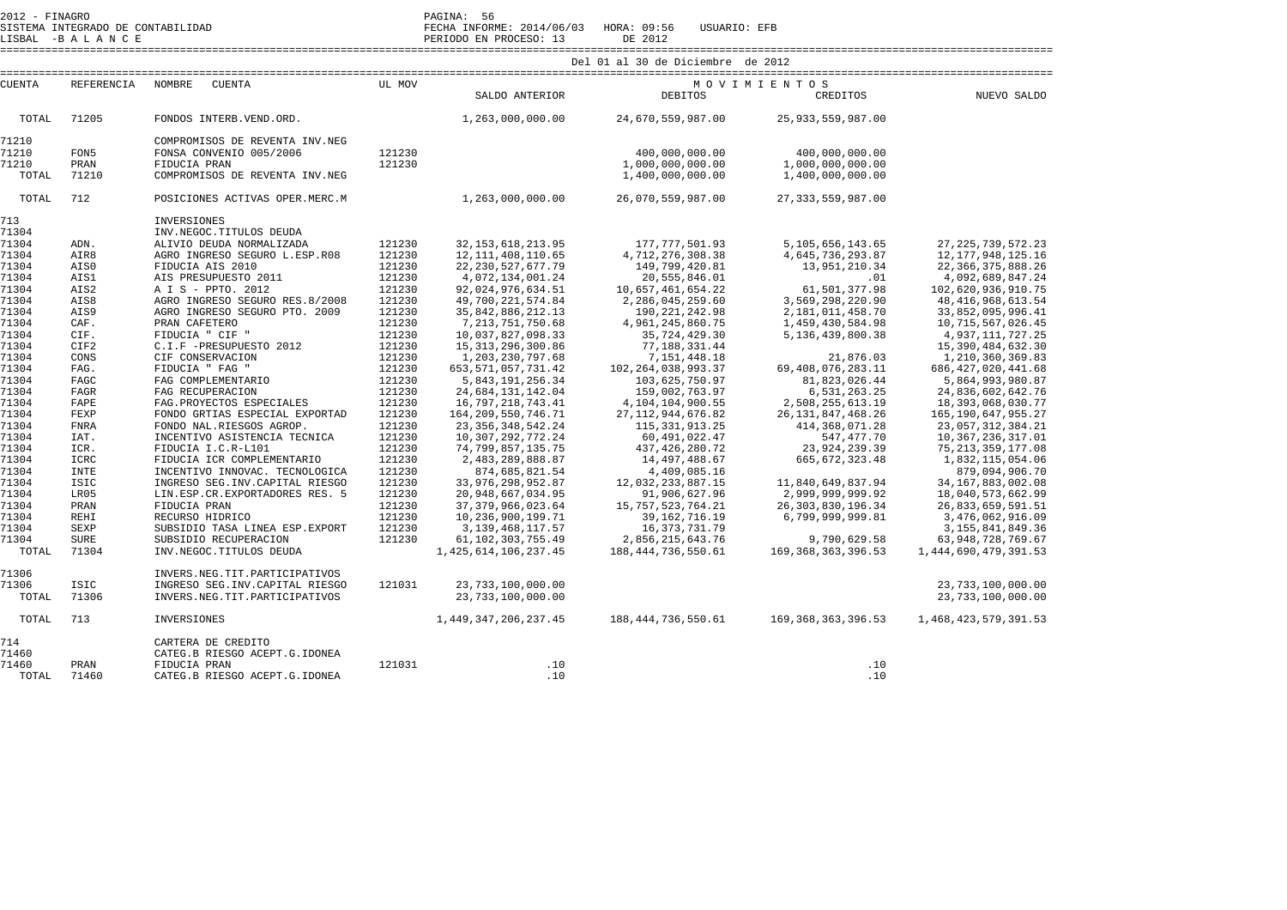2012 - FINAGRO<br>SISTEMA INTEGRADO DE CONTABILIDAD FECHA INFORME: 2014/06/03 HORA: 09:56 USUARIO: EFB

LISBAL -B A L A N C E PERIODO EN PROCESO: 13 DE 2012 ====================================================================================================================================================================

FECHA INFORME: 2014/06/03 HORA: 09:56 USUARIO: EFB

|               |             |                                  | Del 01 al 30 de Diciembre de 2012 |                           |                       |                       |                          |  |  |
|---------------|-------------|----------------------------------|-----------------------------------|---------------------------|-----------------------|-----------------------|--------------------------|--|--|
| <b>CUENTA</b> | REFERENCIA  | NOMBRE<br><b>CUENTA</b>          | UL MOV                            |                           | MOVIMIENTOS           |                       |                          |  |  |
|               |             |                                  |                                   | SALDO ANTERIOR            | <b>DEBITOS</b>        | CREDITOS              | NUEVO SALDO              |  |  |
| TOTAL         | 71205       | FONDOS INTERB. VEND. ORD.        |                                   | 1,263,000,000.00          | 24,670,559,987.00     | 25, 933, 559, 987.00  |                          |  |  |
| 71210         |             | COMPROMISOS DE REVENTA INV.NEG   |                                   |                           |                       |                       |                          |  |  |
| 71210         | FON5        | FONSA CONVENIO 005/2006          | 121230                            |                           | 400,000,000.00        | 400,000,000.00        |                          |  |  |
| 71210         | PRAN        | FIDUCIA PRAN                     | 121230                            |                           | 1,000,000,000.00      | 1,000,000,000.00      |                          |  |  |
| TOTAL         | 71210       | COMPROMISOS DE REVENTA INV.NEG   |                                   |                           | 1,400,000,000.00      | 1,400,000,000.00      |                          |  |  |
| TOTAL         | 712         | POSICIONES ACTIVAS OPER.MERC.M   |                                   | 1,263,000,000.00          | 26,070,559,987.00     | 27, 333, 559, 987.00  |                          |  |  |
| 713           |             | INVERSIONES                      |                                   |                           |                       |                       |                          |  |  |
| 71304         |             | INV.NEGOC.TITULOS DEUDA          |                                   |                           |                       |                       |                          |  |  |
| 71304         | ADN.        | ALIVIO DEUDA NORMALIZADA         | 121230                            | 32, 153, 618, 213.95      | 177, 777, 501.93      | 5, 105, 656, 143.65   | 27, 225, 739, 572. 23    |  |  |
| 71304         | AIR8        | AGRO INGRESO SEGURO L.ESP.R08    | 121230                            | 12, 111, 408, 110.65      | 4,712,276,308.38      | 4,645,736,293.87      | 12, 177, 948, 125. 16    |  |  |
| 71304         | AIS0        | FIDUCIA AIS 2010                 | 121230                            | 22, 230, 527, 677. 79     | 149,799,420.81        | 13,951,210.34         | 22, 366, 375, 888. 26    |  |  |
| 71304         | AIS1        | AIS PRESUPUESTO 2011             | 121230                            | 4,072,134,001.24          | 20,555,846.01         | .01                   | 4,092,689,847.24         |  |  |
| 71304         | AIS2        | A I S - PPTO. 2012               | 121230                            | 92,024,976,634.51         | 10,657,461,654.22     | 61,501,377.98         | 102,620,936,910.75       |  |  |
| 71304         | AIS8        | AGRO INGRESO SEGURO RES.8/2008   | 121230                            | 49,700,221,574.84         | 2,286,045,259.60      | 3,569,298,220.90      | 48, 416, 968, 613.54     |  |  |
| 71304         | AIS9        | AGRO INGRESO SEGURO PTO, 2009    | 121230                            | 35,842,886,212.13         | 190, 221, 242.98      | 2,181,011,458.70      | 33,852,095,996.41        |  |  |
| 71304         | CAF.        | PRAN CAFETERO                    | 121230                            | 7, 213, 751, 750.68       | 4,961,245,860.75      | 1,459,430,584.98      | 10,715,567,026.45        |  |  |
| 71304         | CIF.        | FIDUCIA " CIF "                  | 121230                            | 10,037,827,098.33         | 35,724,429.30         | 5,136,439,800.38      | 4, 937, 111, 727. 25     |  |  |
| 71304         | CIF2        | C.I.F -PRESUPUESTO 2012          | 121230                            | 15, 313, 296, 300.86      | 77,188,331.44         |                       | 15,390,484,632.30        |  |  |
| 71304         | CONS        | CIF CONSERVACION                 | 121230                            | 1, 203, 230, 797.68       | 7,151,448.18          | 21,876.03             | 1,210,360,369.83         |  |  |
| 71304         | FAG.        | FIDUCIA " FAG "                  | 121230                            | 653, 571, 057, 731.42     | 102, 264, 038, 993.37 | 69,408,076,283.11     | 686, 427, 020, 441.68    |  |  |
| 71304         | FAGC        | FAG COMPLEMENTARIO               | 121230                            | 5,843,191,256.34          | 103,625,750.97        | 81,823,026.44         | 5,864,993,980.87         |  |  |
| 71304         | FAGR        | FAG RECUPERACION                 | 121230                            | 24,684,131,142.04         | 159,002,763.97        | 6,531,263.25          | 24,836,602,642.76        |  |  |
| 71304         | FAPE        | FAG. PROYECTOS ESPECIALES        | 121230                            | 16,797,218,743.41         | 4,104,104,900.55      | 2,508,255,613.19      | 18,393,068,030.77        |  |  |
| 71304         | FEXP        | FONDO GRTIAS ESPECIAL EXPORTAD   | 121230                            | 164, 209, 550, 746. 71    | 27, 112, 944, 676.82  | 26, 131, 847, 468. 26 | 165, 190, 647, 955. 27   |  |  |
| 71304         | <b>FNRA</b> | FONDO NAL.RIESGOS AGROP.         | 121230                            | 23, 356, 348, 542. 24     | 115, 331, 913. 25     | 414,368,071.28        | 23,057,312,384.21        |  |  |
| 71304         | IAT.        | INCENTIVO ASISTENCIA TECNICA     | 121230                            | 10,307,292,772.24         | 60,491,022.47         | 547, 477. 70          | 10, 367, 236, 317.01     |  |  |
| 71304         | ICR.        | FIDUCIA I.C.R-L101               | 121230                            | 74, 799, 857, 135. 75     | 437, 426, 280. 72     | 23, 924, 239.39       | 75, 213, 359, 177.08     |  |  |
| 71304         | ICRC        | FIDUCIA ICR COMPLEMENTARIO       | 121230                            | 2,483,289,888.87          | 14,497,488.67         | 665, 672, 323.48      | 1,832,115,054.06         |  |  |
| 71304         | <b>INTE</b> | INCENTIVO INNOVAC. TECNOLOGICA   | 121230                            | 874,685,821.54            | 4,409,085.16          |                       | 879,094,906.70           |  |  |
| 71304         | <b>ISIC</b> | INGRESO SEG. INV. CAPITAL RIESGO | 121230                            | 33,976,298,952.87         | 12,032,233,887.15     | 11,840,649,837.94     | 34, 167, 883, 002.08     |  |  |
| 71304         | LR05        | LIN.ESP.CR.EXPORTADORES RES. 5   | 121230                            | 20,948,667,034.95         | 91,906,627.96         | 2,999,999,999.92      | 18,040,573,662.99        |  |  |
| 71304         | PRAN        | FIDUCIA PRAN                     | 121230                            | 37, 379, 966, 023.64      | 15, 757, 523, 764. 21 | 26, 303, 830, 196. 34 | 26,833,659,591.51        |  |  |
| 71304         | <b>REHI</b> | RECURSO HIDRICO                  | 121230                            | 10,236,900,199.71         | 39, 162, 716. 19      | 6,799,999,999.81      | 3,476,062,916.09         |  |  |
| 71304         | <b>SEXP</b> | SUBSIDIO TASA LINEA ESP. EXPORT  | 121230                            | 3, 139, 468, 117.57       | 16, 373, 731. 79      |                       | 3, 155, 841, 849. 36     |  |  |
| 71304         | <b>SURE</b> | SUBSIDIO RECUPERACION            | 121230                            | 61, 102, 303, 755. 49     | 2,856,215,643.76      | 9,790,629.58          | 63, 948, 728, 769.67     |  |  |
| TOTAL         | 71304       | INV.NEGOC.TITULOS DEUDA          |                                   | 1, 425, 614, 106, 237. 45 | 188, 444, 736, 550.61 | 169, 368, 363, 396.53 | 1, 444, 690, 479, 391.53 |  |  |
| 71306         |             | INVERS.NEG.TIT.PARTICIPATIVOS    |                                   |                           |                       |                       |                          |  |  |
| 71306         | <b>ISIC</b> | INGRESO SEG. INV. CAPITAL RIESGO | 121031                            | 23,733,100,000.00         |                       |                       | 23,733,100,000.00        |  |  |
| TOTAL         | 71306       | INVERS.NEG.TIT.PARTICIPATIVOS    |                                   | 23,733,100,000.00         |                       |                       | 23,733,100,000.00        |  |  |
| TOTAL         | 713         | INVERSIONES                      |                                   | 1, 449, 347, 206, 237. 45 | 188, 444, 736, 550.61 | 169, 368, 363, 396.53 | 1, 468, 423, 579, 391.53 |  |  |
| 714           |             | CARTERA DE CREDITO               |                                   |                           |                       |                       |                          |  |  |
| 71460         |             | CATEG.B RIESGO ACEPT.G.IDONEA    |                                   |                           |                       |                       |                          |  |  |
| 71460         | PRAN        | FIDUCIA PRAN                     | 121031                            | .10                       |                       | .10                   |                          |  |  |
| TOTAL         | 71460       | CATEG.B RIESGO ACEPT.G.IDONEA    |                                   | .10                       |                       | .10                   |                          |  |  |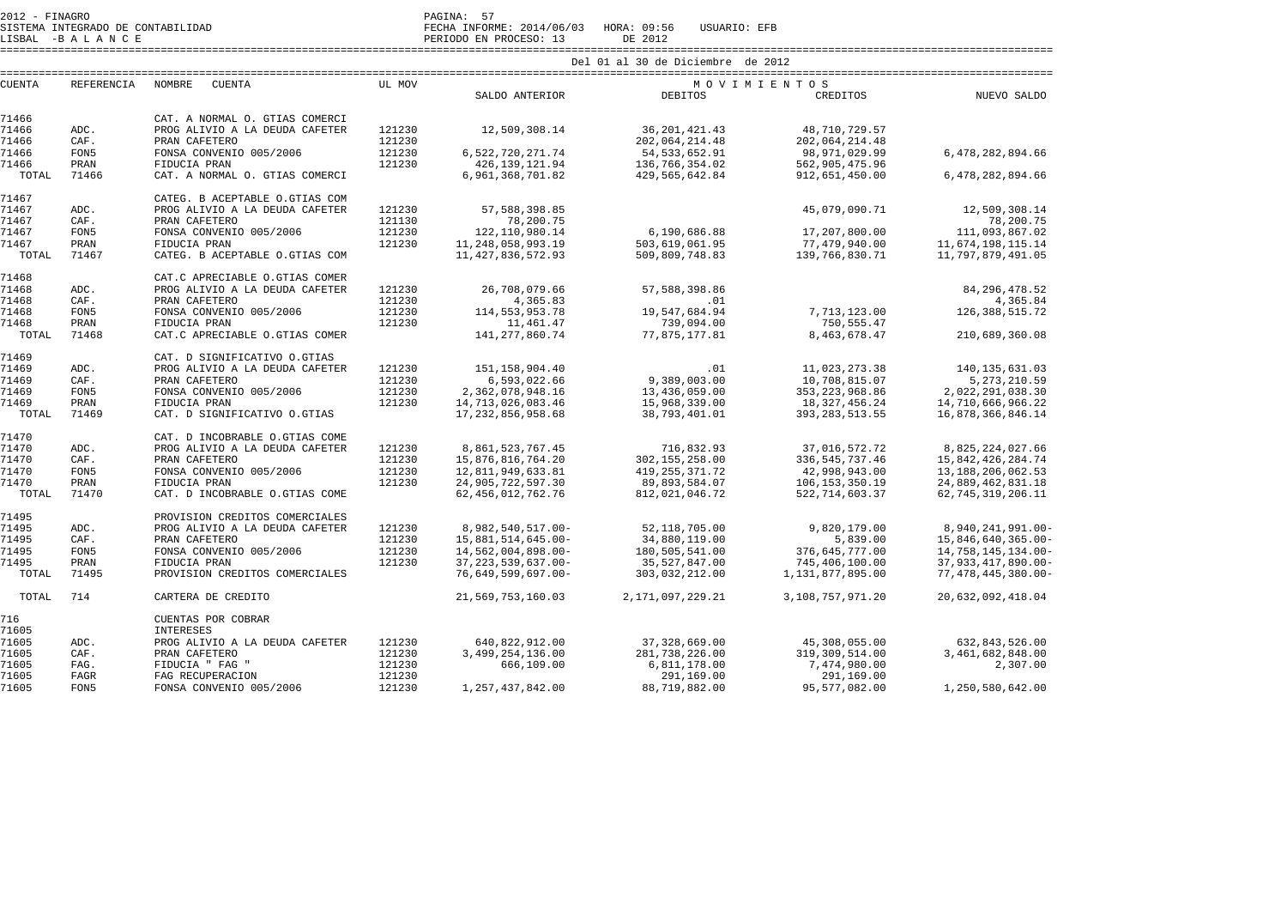SISTEMA INTEGRADO DE CONTABILIDAD FECHA INFORME: 2014/06/03 HORA: 09:56 USUARIO: EFB

LISBAL -B A L A N C E PERIODO EN PROCESO: 13 DE 2012 ====================================================================================================================================================================

| <b>CUENTA</b> | <b>REFERENCIA</b> | <b>NOMBRE</b><br>CUENTA        | UL MOV |                       |                      | MOVIMIENTOS       |                       |
|---------------|-------------------|--------------------------------|--------|-----------------------|----------------------|-------------------|-----------------------|
|               |                   |                                |        | SALDO ANTERIOR        | DEBITOS              | CREDITOS          | NUEVO SALDO           |
| 71466         |                   | CAT. A NORMAL O. GTIAS COMERCI |        |                       |                      |                   |                       |
| 71466         | ADC.              | PROG ALIVIO A LA DEUDA CAFETER | 121230 | 12,509,308.14         | 36, 201, 421.43      | 48,710,729.57     |                       |
| 71466         | CAF.              | PRAN CAFETERO                  | 121230 |                       | 202,064,214.48       | 202,064,214.48    |                       |
| 71466         | FON5              | FONSA CONVENIO 005/2006        | 121230 | 6,522,720,271.74      | 54, 533, 652. 91     | 98, 971, 029.99   | 6,478,282,894.66      |
| 71466         | PRAN              | FIDUCIA PRAN                   | 121230 | 426, 139, 121.94      | 136,766,354.02       | 562,905,475.96    |                       |
| TOTAL         | 71466             | CAT. A NORMAL O. GTIAS COMERCI |        | 6,961,368,701.82      | 429,565,642.84       | 912,651,450.00    | 6,478,282,894.66      |
|               |                   |                                |        |                       |                      |                   |                       |
| 71467         |                   | CATEG. B ACEPTABLE O.GTIAS COM |        |                       |                      |                   |                       |
| 71467         | ADC.              | PROG ALIVIO A LA DEUDA CAFETER | 121230 | 57, 588, 398.85       |                      | 45,079,090.71     | 12,509,308.14         |
| 71467         | CAF.              | PRAN CAFETERO                  | 121130 | 78,200.75             |                      |                   | 78,200.75             |
| 71467         | FON5              | FONSA CONVENIO 005/2006        | 121230 | 122, 110, 980. 14     | 6,190,686.88         | 17,207,800.00     | 111,093,867.02        |
| 71467         | PRAN              | FIDUCIA PRAN                   | 121230 | 11, 248, 058, 993. 19 | 503,619,061.95       | 77,479,940.00     | 11,674,198,115.14     |
| TOTAL         | 71467             | CATEG. B ACEPTABLE O.GTIAS COM |        | 11, 427, 836, 572.93  | 509,809,748.83       | 139,766,830.71    | 11,797,879,491.05     |
|               |                   |                                |        |                       |                      |                   |                       |
| 71468         |                   | CAT.C APRECIABLE O.GTIAS COMER |        |                       |                      |                   |                       |
| 71468         | ADC.              | PROG ALIVIO A LA DEUDA CAFETER | 121230 | 26,708,079.66         | 57,588,398.86        |                   | 84, 296, 478.52       |
| 71468         | CAF.              | PRAN CAFETERO                  | 121230 | 4,365.83              | .01                  |                   | 4,365.84              |
| 71468         | FON5              | FONSA CONVENIO 005/2006        | 121230 | 114, 553, 953. 78     | 19,547,684.94        | 7,713,123.00      | 126, 388, 515. 72     |
| 71468         | PRAN              | FIDUCIA PRAN                   | 121230 | 11,461.47             | 739,094.00           | 750,555.47        |                       |
| TOTAL         | 71468             | CAT.C APRECIABLE O.GTIAS COMER |        | 141, 277, 860. 74     | 77,875,177.81        | 8,463,678.47      | 210,689,360.08        |
| 71469         |                   | CAT. D SIGNIFICATIVO O.GTIAS   |        |                       |                      |                   |                       |
| 71469         | ADC.              | PROG ALIVIO A LA DEUDA CAFETER | 121230 | 151, 158, 904. 40     | .01                  | 11,023,273.38     | 140, 135, 631.03      |
| 71469         | CAF.              | PRAN CAFETERO                  | 121230 | 6,593,022.66          | 9,389,003.00         | 10,708,815.07     | 5, 273, 210.59        |
| 71469         | FON5              | FONSA CONVENIO 005/2006        | 121230 | 2,362,078,948.16      | 13,436,059.00        | 353, 223, 968.86  | 2,022,291,038.30      |
| 71469         | PRAN              | FIDUCIA PRAN                   | 121230 | 14,713,026,083.46     | 15,968,339.00        | 18, 327, 456.24   | 14,710,666,966.22     |
| TOTAL         | 71469             | CAT. D SIGNIFICATIVO O.GTIAS   |        | 17, 232, 856, 958. 68 | 38,793,401.01        | 393, 283, 513.55  | 16,878,366,846.14     |
|               |                   |                                |        |                       |                      |                   |                       |
| 71470         |                   | CAT. D INCOBRABLE O.GTIAS COME |        |                       |                      |                   |                       |
| 71470         | ADC.              | PROG ALIVIO A LA DEUDA CAFETER | 121230 | 8,861,523,767.45      | 716,832.93           | 37,016,572.72     | 8,825,224,027.66      |
| 71470         | CAF.              | PRAN CAFETERO                  | 121230 | 15,876,816,764.20     | 302, 155, 258.00     | 336, 545, 737.46  | 15,842,426,284.74     |
| 71470         | FON5              | FONSA CONVENIO 005/2006        | 121230 | 12,811,949,633.81     | 419, 255, 371.72     | 42,998,943.00     | 13, 188, 206, 062. 53 |
| 71470         | PRAN              | FIDUCIA PRAN                   | 121230 | 24,905,722,597.30     | 89,893,584.07        | 106, 153, 350. 19 | 24,889,462,831.18     |
| TOTAL         | 71470             | CAT. D INCOBRABLE O.GTIAS COME |        | 62, 456, 012, 762. 76 | 812,021,046.72       | 522, 714, 603.37  | 62,745,319,206.11     |
|               |                   |                                |        |                       |                      |                   |                       |
| 71495         |                   | PROVISION CREDITOS COMERCIALES |        |                       |                      |                   |                       |
| 71495         | ADC.              | PROG ALIVIO A LA DEUDA CAFETER | 121230 | 8,982,540,517.00-     | 52,118,705.00        | 9,820,179.00      | 8,940,241,991.00-     |
| 71495         | CAF.              | PRAN CAFETERO                  | 121230 | 15,881,514,645.00-    | 34,880,119.00        | 5,839.00          | 15,846,640,365.00-    |
| 71495         | FON5              | FONSA CONVENIO 005/2006        | 121230 | 14,562,004,898.00-    | 180,505,541.00       | 376,645,777.00    | 14,758,145,134.00-    |
| 71495         | PRAN              | FIDUCIA PRAN                   | 121230 | 37, 223, 539, 637.00- | 35,527,847.00        | 745,406,100.00    | 37,933,417,890.00-    |
| TOTAL         | 71495             | PROVISION CREDITOS COMERCIALES |        | 76,649,599,697.00-    | 303,032,212.00       | 1,131,877,895.00  | 77,478,445,380.00-    |
| TOTAL         | 714               | CARTERA DE CREDITO             |        | 21,569,753,160.03     | 2, 171, 097, 229. 21 | 3,108,757,971.20  | 20,632,092,418.04     |
| 716           |                   | CUENTAS POR COBRAR             |        |                       |                      |                   |                       |
| 71605         |                   | <b>INTERESES</b>               |        |                       |                      |                   |                       |
| 71605         | ADC.              | PROG ALIVIO A LA DEUDA CAFETER | 121230 | 640,822,912.00        | 37,328,669.00        | 45,308,055.00     | 632,843,526.00        |
| 71605         | CAF.              | PRAN CAFETERO                  | 121230 | 3,499,254,136.00      | 281,738,226.00       | 319, 309, 514.00  | 3,461,682,848.00      |
| 71605         | FAG.              | FIDUCIA " FAG "                | 121230 | 666,109.00            | 6,811,178.00         | 7,474,980.00      | 2,307.00              |
| 71605         | FAGR              | FAG RECUPERACION               | 121230 |                       | 291,169.00           | 291,169.00        |                       |
| 71605         | FON5              | FONSA CONVENIO 005/2006        | 121230 | 1, 257, 437, 842.00   | 88,719,882.00        | 95,577,082.00     | 1,250,580,642.00      |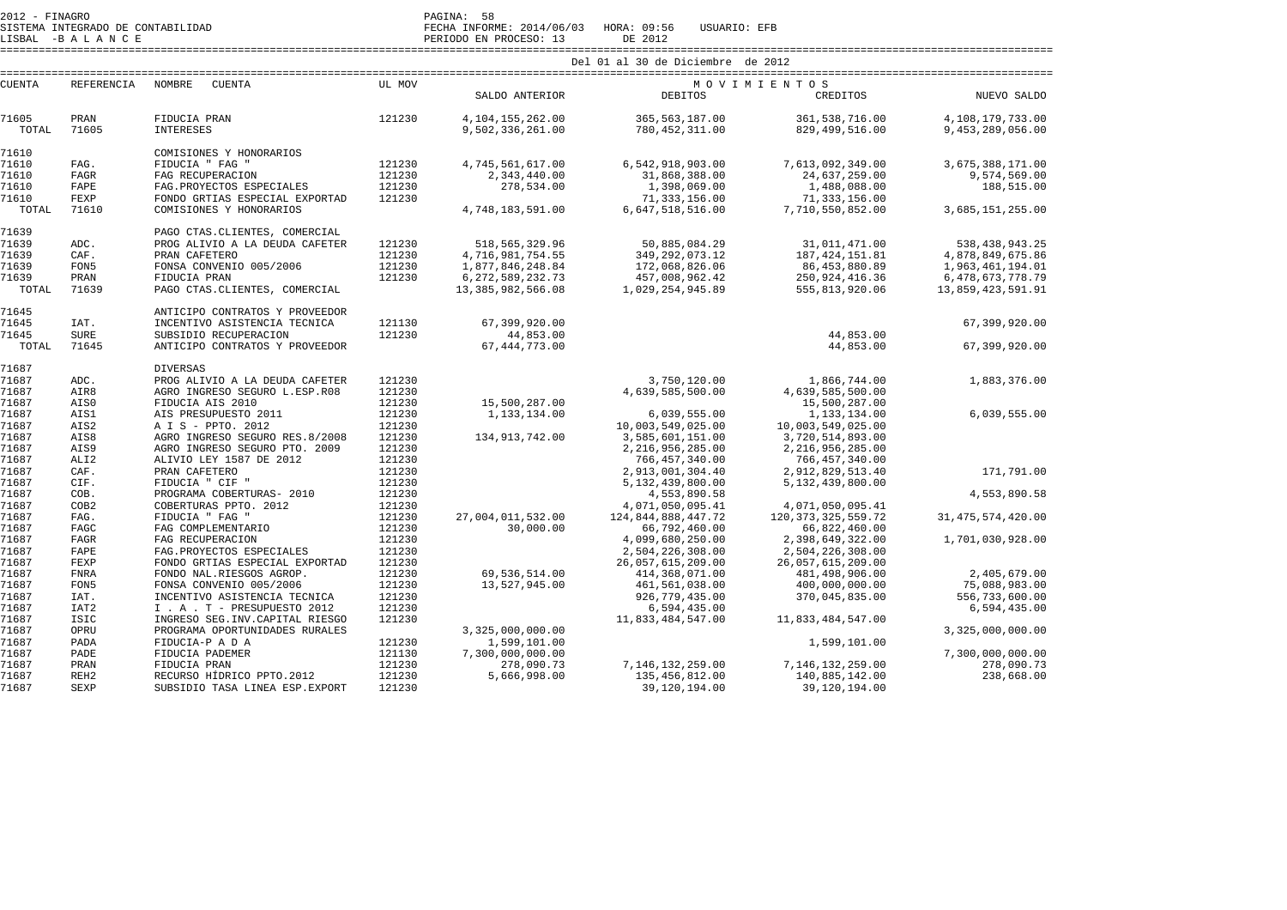SISTEMA INTEGRADO DE CONTABILIDAD FECHA INFORME: 2014/06/03 HORA: 09:56 USUARIO: EFB SISTEMA INTEGRADO DE CONTABILIDAD<br>LISBAL -B A L A N C E PERIODO EN PROCESO: 13 DE 2012

====================================================================================================================================================================

| <b>CUENTA</b><br>REFERENCIA |                  | <b>NOMBRE</b><br><b>CUENTA</b>   | UL MOV |                      |                     | MOVIMIENTOS            |                      |  |
|-----------------------------|------------------|----------------------------------|--------|----------------------|---------------------|------------------------|----------------------|--|
|                             |                  |                                  |        | SALDO ANTERIOR       | <b>DEBITOS</b>      | CREDITOS               | NUEVO SALDO          |  |
| 71605                       | PRAN             | FIDUCIA PRAN                     | 121230 | 4, 104, 155, 262.00  | 365,563,187.00      | 361,538,716.00         | 4,108,179,733.00     |  |
| TOTAL                       | 71605            | <b>INTERESES</b>                 |        | 9,502,336,261.00     | 780, 452, 311.00    | 829, 499, 516.00       | 9,453,289,056.00     |  |
| 71610                       |                  | COMISIONES Y HONORARIOS          |        |                      |                     |                        |                      |  |
| 71610                       | FAG.             | FIDUCIA " FAG "                  | 121230 | 4,745,561,617.00     | 6,542,918,903.00    | 7,613,092,349.00       | 3,675,388,171.00     |  |
| 71610                       | <b>FAGR</b>      | FAG RECUPERACION                 | 121230 | 2,343,440.00         | 31,868,388.00       | 24,637,259.00          | 9,574,569.00         |  |
| 71610                       | FAPE             | FAG. PROYECTOS ESPECIALES        | 121230 | 278,534.00           | 1,398,069.00        | 1,488,088.00           | 188,515.00           |  |
| 71610                       | FEXP             | FONDO GRTIAS ESPECIAL EXPORTAD   | 121230 |                      | 71,333,156.00       | 71, 333, 156.00        |                      |  |
| TOTAL                       | 71610            | COMISIONES Y HONORARIOS          |        | 4,748,183,591.00     | 6,647,518,516.00    | 7,710,550,852.00       | 3,685,151,255.00     |  |
| 71639                       |                  | PAGO CTAS. CLIENTES, COMERCIAL   |        |                      |                     |                        |                      |  |
| 71639                       | ADC.             | PROG ALIVIO A LA DEUDA CAFETER   | 121230 | 518, 565, 329, 96    | 50,885,084.29       | 31,011,471.00          | 538, 438, 943. 25    |  |
| 71639                       | CAF.             | PRAN CAFETERO                    | 121230 | 4,716,981,754.55     | 349, 292, 073. 12   | 187, 424, 151.81       | 4,878,849,675.86     |  |
| 71639                       | FON5             | FONSA CONVENIO 005/2006          | 121230 | 1,877,846,248.84     | 172,068,826.06      | 86,453,880.89          | 1,963,461,194.01     |  |
| 71639                       | PRAN             | FIDUCIA PRAN                     | 121230 | 6, 272, 589, 232. 73 | 457,008,962.42      | 250, 924, 416.36       | 6, 478, 673, 778. 79 |  |
| TOTAL                       | 71639            | PAGO CTAS. CLIENTES, COMERCIAL   |        | 13, 385, 982, 566.08 | 1,029,254,945.89    | 555,813,920.06         | 13,859,423,591.91    |  |
| 71645                       |                  | ANTICIPO CONTRATOS Y PROVEEDOR   |        |                      |                     |                        |                      |  |
| 71645                       | IAT.             | INCENTIVO ASISTENCIA TECNICA     | 121130 | 67,399,920.00        |                     |                        | 67,399,920.00        |  |
| 71645                       | <b>SURE</b>      | SUBSIDIO RECUPERACION            | 121230 | 44,853.00            |                     | 44,853.00              |                      |  |
| TOTAL                       | 71645            | ANTICIPO CONTRATOS Y PROVEEDOR   |        | 67, 444, 773.00      |                     | 44,853.00              | 67,399,920.00        |  |
| 71687                       |                  | <b>DIVERSAS</b>                  |        |                      |                     |                        |                      |  |
| 71687                       | ADC.             | PROG ALIVIO A LA DEUDA CAFETER   | 121230 |                      | 3,750,120.00        | 1,866,744.00           | 1,883,376.00         |  |
| 71687                       | AIR8             | AGRO INGRESO SEGURO L.ESP.R08    | 121230 |                      | 4,639,585,500.00    | 4,639,585,500.00       |                      |  |
| 71687                       | AIS0             | FIDUCIA AIS 2010                 | 121230 | 15,500,287.00        |                     | 15,500,287.00          |                      |  |
| 71687                       | AIS1             | AIS PRESUPUESTO 2011             | 121230 | 1,133,134.00         | 6,039,555.00        | 1,133,134.00           | 6,039,555.00         |  |
| 71687                       | AIS2             | A I S - PPTO. 2012               | 121230 |                      | 10,003,549,025.00   | 10,003,549,025.00      |                      |  |
| 71687                       | AIS8             | AGRO INGRESO SEGURO RES.8/2008   | 121230 | 134, 913, 742.00     | 3,585,601,151.00    | 3,720,514,893.00       |                      |  |
| 71687                       | AIS9             | AGRO INGRESO SEGURO PTO. 2009    | 121230 |                      | 2, 216, 956, 285.00 | 2, 216, 956, 285.00    |                      |  |
| 71687                       | ALI <sub>2</sub> | ALIVIO LEY 1587 DE 2012          | 121230 |                      | 766,457,340.00      | 766, 457, 340.00       |                      |  |
| 71687                       | CAF.             | PRAN CAFETERO                    | 121230 |                      | 2,913,001,304.40    | 2,912,829,513.40       | 171,791.00           |  |
| 71687                       | CIF.             | FIDUCIA " CIF "                  | 121230 |                      | 5,132,439,800.00    | 5,132,439,800.00       |                      |  |
| 71687                       | COB.             | PROGRAMA COBERTURAS- 2010        | 121230 |                      | 4,553,890.58        |                        | 4,553,890.58         |  |
| 71687                       | COB2             | COBERTURAS PPTO. 2012            | 121230 |                      | 4,071,050,095.41    | 4,071,050,095.41       |                      |  |
| 71687                       | FAG.             | FIDUCIA " FAG "                  | 121230 | 27,004,011,532.00    | 124,844,888,447.72  | 120, 373, 325, 559. 72 | 31, 475, 574, 420.00 |  |
| 71687                       | FAGC             | FAG COMPLEMENTARIO               | 121230 | 30,000.00            | 66,792,460.00       | 66,822,460.00          |                      |  |
| 71687                       | FAGR             | FAG RECUPERACION                 | 121230 |                      | 4,099,680,250.00    | 2,398,649,322.00       | 1,701,030,928.00     |  |
| 71687                       | FAPE             | FAG. PROYECTOS ESPECIALES        | 121230 |                      | 2,504,226,308.00    | 2,504,226,308.00       |                      |  |
| 71687                       | FEXP             | FONDO GRTIAS ESPECIAL EXPORTAD   | 121230 |                      | 26,057,615,209.00   | 26,057,615,209.00      |                      |  |
| 71687                       | FNRA             | FONDO NAL.RIESGOS AGROP.         | 121230 | 69,536,514.00        | 414,368,071.00      | 481,498,906.00         | 2,405,679.00         |  |
| 71687                       | FON5             | FONSA CONVENIO 005/2006          | 121230 | 13,527,945.00        | 461,561,038.00      | 400,000,000.00         | 75,088,983.00        |  |
| 71687                       | IAT.             | INCENTIVO ASISTENCIA TECNICA     | 121230 |                      | 926,779,435.00      | 370,045,835.00         | 556,733,600.00       |  |
| 71687                       | IAT <sub>2</sub> | I . A . T - PRESUPUESTO 2012     | 121230 |                      | 6,594,435.00        |                        | 6,594,435.00         |  |
| 71687                       | <b>ISIC</b>      | INGRESO SEG. INV. CAPITAL RIESGO | 121230 |                      | 11,833,484,547.00   | 11,833,484,547.00      |                      |  |
| 71687                       | OPRU             | PROGRAMA OPORTUNIDADES RURALES   |        | 3,325,000,000.00     |                     |                        | 3,325,000,000.00     |  |
| 71687                       | PADA             | FIDUCIA-P A D A                  | 121230 | 1,599,101.00         |                     | 1,599,101.00           |                      |  |
| 71687                       | PADE             | FIDUCIA PADEMER                  | 121130 | 7,300,000,000.00     |                     |                        | 7,300,000,000.00     |  |
| 71687                       | PRAN             | FIDUCIA PRAN                     | 121230 | 278,090.73           | 7, 146, 132, 259.00 | 7,146,132,259.00       | 278,090.73           |  |
| 71687                       | REH <sub>2</sub> | RECURSO HÍDRICO PPTO.2012        | 121230 | 5,666,998.00         | 135,456,812.00      | 140,885,142.00         | 238,668.00           |  |
| 71687                       | SEXP             | SUBSIDIO TASA LINEA ESP. EXPORT  | 121230 |                      | 39,120,194.00       | 39,120,194.00          |                      |  |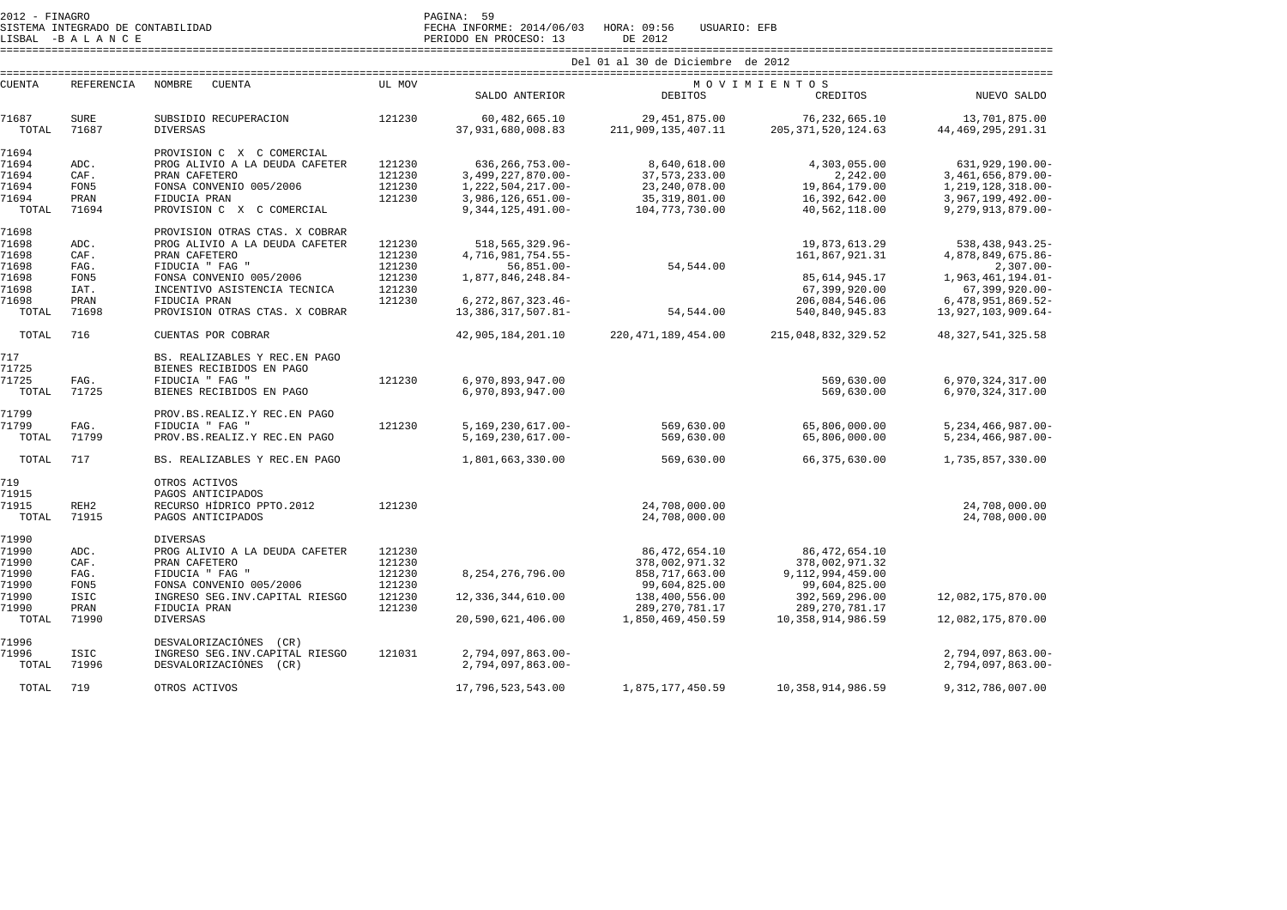SISTEMA INTEGRADO DE CONTABILIDAD FECHA INFORME: 2014/06/03 HORA: 09:56 USUARIO: EFB

LISBAL -B A L A N C E PERIODO EN PROCESO: 13 DE 2012

 ==================================================================================================================================================================== Del 01 al 30 de Diciembre de 2012 ==================================================================================================================================================================== CUENTA REFERENCIA NOMBRE CUENTA UL MOV M O V I M I E N T O S CREDITOS SALDO ANTERIOR DEBITOS CREDITOS NUEVO SALDO 71687 SURE SUBSIDIO RECUPERACION 121230 60,482,665.10 29,451,875.00 76,232,665.10 13,701,875.00 44, 469, 295, 291.31 TOTAL 71687 DIVERSAS 37,931,680,008.83 211,909,135,407.11 205,371,520,124.63 71694 PROVISION C X C COMERCIAL 71694 ADC. PROG ALIVIO A LA DEUDA CAFETER 121230 636,266,753.00- 8,640,618.00 4,303,055.00 631,929,190.00- 3,461,656,879.00-71694 CAF. PRAN CAFETERO 121230 3,499,227,870.00- 37,573,233.00 2,242.00<br>71694 FON5 FONSA CONVENIO 005/2006 121230 1,222,504,217.00- 23,240,078.00 19,864,179.00 1, 219, 128, 318.00-71694 FON5 FONSA CONVENIO 005/2006 121230 1,222,504,217.00- 23,240,078.00 19,864,179.00<br>201694 PRAN FIDUCIA PRAN 121230 3,986,126,651.00- 35,319,801.00 16,392,642.00  $3.967.199.492.00 -$ PRAN FIDUCIA PRAN 121230 3,986,126,651.00- 35,319,801.00  $9.279.913.879.00 -$  TOTAL 71694 PROVISION C X C COMERCIAL 9,344,125,491.00- 104,773,730.00 40,562,118.00 9,279,913,879.00- 71698 PROVISION OTRAS CTAS. X COBRAR 71698 ADC. PROG ALIVIO A LA DEUDA CAFETER 121230 518,565,329.96- 19,873,613.29 19,873,613.29 538,438,943.25-4,878,849,675.86-71698 CAF. PRAN CAFETERO 121230 4,716,981,754.55- 161,867,921.31  $2.307.00 -$ 71698 FAG. FIDUCIA " FAG " 121230 56,851.00- 54,544.00 2,307.00- 1,963,461,194.01-71698 FON5 FONSA CONVENIO 005/2006 121230 1,877,846,248.84- 85,614,945.17 71698 IAT. INCENTIVO ASISTENCIA TECNICA 121230 67,399,920.00 67,399,920.00- .71698 PRAN FIDUCIA PRAN 121230 6,272,867,323.46<br>-40.841,927,1698 PROVISION OTRAS CTAS X CORRAR 13.386.317.507.81 54.544.00 54.544.00 540.840.945.83 13.927.103.909.64 TOTAL 71698 PROVISION OTRAS CTAS. X COBRAR 13,386,317,507.81- 54,544.00 540,840,945.83 13,927,103,909.64- TOTAL 716 CUENTAS POR COBRAR 42,905,184,201.10 220,471,189,454.00 215,048,832,329.52 48,327,541,325.58 717 BS. REALIZABLES Y REC.EN PAGO 71725 BIENES RECIBIDOS EN PAGO 71725 FAG. FIDUCIA " FAG " 121230 6,970,893,947.00 569,630.00 6,970,324,317.00 6,970,324,317.00 TOTAL 71725 BIENES RECIBIDOS EN PAGO 6,970,893,947.00 569,630.00 569,630.00 71799 PROV.BS.REALIZ.Y REC.EN PAGO 71799 FAG. FIDUCIA " FAG " 121230 5,169,230,617.00- 569,630.00 65,806,000.00 5,234,466,987.00- TOTAL 71799 PROV.BS.REALIZ.Y REC.EN PAGO 5,169,230,617.00- 569,630.00 65,806,000.00 5,234,466,987.00- TOTAL 717 BS. REALIZABLES Y REC.EN PAGO 1,801,663,330.00 569,630.00 66,375,630.00 1,735,857,330.00 719 OTROS ACTIVOS 71915 PAGOS ANTICIPADOS 71915 REH2 RECURSO HÍDRICO PPTO.2012 121230 24,708,000.00 24,708,000.00 24.708.000.00 TOTAL 71915 PAGOS ANTICIPADOS 24,708,000.00 24,708,000.00 71990 DIVERSAS 71990 ADC. PROG ALIVIO A LA DEUDA CAFETER 121230 86,472,654.10 86,472,654.10 71990 CAF. PRAN CAFETERO 121230 378,002,971.32 378,002,971.32 9,112,994,459.00 71990 FAG. FIDUCIA " FAG " 121230 8,254,276,796.00 858,717,663.00 99,604,825.00 71990 FON5 FONSA CONVENIO 005/2006 121230 99,604,825.00 99,604,825.00 392,569,296.00 71990 ISIC INGRESO SEG.INV.CAPITAL RIESGO 121230 12,336,344,610.00 138,400,556.00 392,569,296.00 12,082,175,870.00 71990 PRAN FIDUCIA PRAN 121230 289,270,781.17 289,270,781.17 TOTAL 71990 DIVERSAS 20,590,621,406.00 1,850,469,450.59 10,358,914,986.59 12,082,175,870.00 71996 DESVALORIZACIÓNES (CR)

71996 ISIC INGRESO SEG.INV.CAPITAL RIESGO 121031 2,794,097,863.00- 2,794,097,863.00-

TOTAL 719 OTROS ACTIVOS 17,796,523,543.00 1,875,177,450.59 10,358,914,986.59 9,312,786,007.00

TOTAL 71996 DESVALORIZACIÓNES (CR) 2,794,097,863.00- 2,794,097,863.00-

2.794.097.863.00-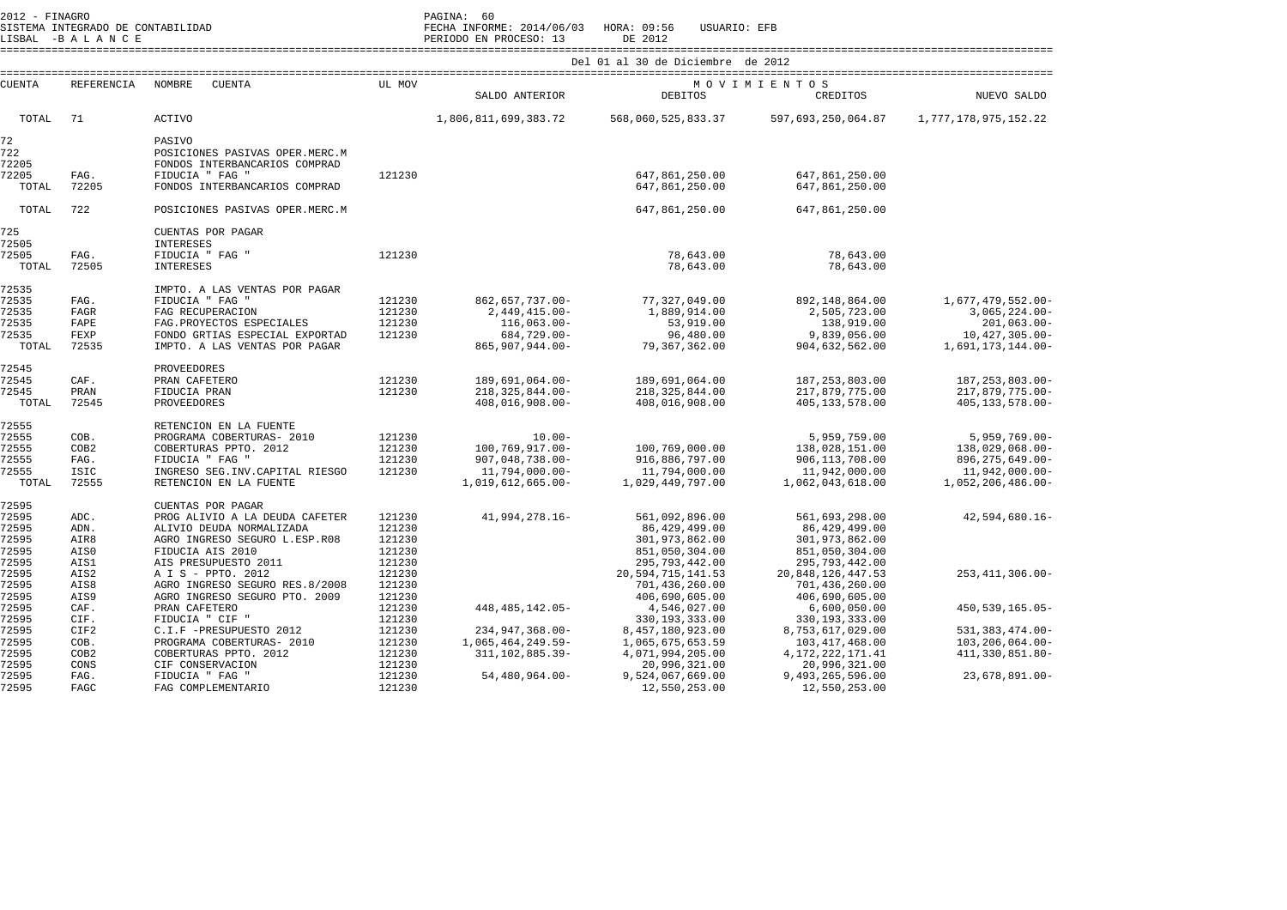| $2012 - FINAGRO$                                   |                                              |                                                                                                                                                                      |                                                | PAGINA: 60<br>ZOLZ – FINANCO<br>SISTEMA INTEGRADO DE CONTABILIDAD<br>LISBAL –B A L A N C E PECHA INFORME: 2014/06/03 HORA: 09:56 USUARIO: EFB<br>IISBAL –B A L A N C E PERIODO EN PROCESO: 13 DE 2012 |                                                                                       |                                                                                         |                                                                                                  |  |  |  |  |
|----------------------------------------------------|----------------------------------------------|----------------------------------------------------------------------------------------------------------------------------------------------------------------------|------------------------------------------------|-------------------------------------------------------------------------------------------------------------------------------------------------------------------------------------------------------|---------------------------------------------------------------------------------------|-----------------------------------------------------------------------------------------|--------------------------------------------------------------------------------------------------|--|--|--|--|
|                                                    |                                              |                                                                                                                                                                      |                                                | Del 01 al 30 de Diciembre de 2012                                                                                                                                                                     |                                                                                       |                                                                                         |                                                                                                  |  |  |  |  |
| CUENTA                                             | <b>REFERENCIA</b>                            | NOMBRE<br>CUENTA                                                                                                                                                     | UL MOV                                         | SALDO ANTERIOR                                                                                                                                                                                        | DEBITOS                                                                               | MOVIMIENTOS<br>CREDITOS                                                                 | NUEVO SALDO                                                                                      |  |  |  |  |
| TOTAL                                              | 71                                           | <b>ACTIVO</b>                                                                                                                                                        |                                                | 1,806,811,699,383.72                                                                                                                                                                                  | 568,060,525,833.37                                                                    | 597,693,250,064.87                                                                      | 1,777,178,975,152.22                                                                             |  |  |  |  |
| 72<br>722<br>72205<br>72205<br>TOTAL               | FAG.<br>72205                                | PASIVO<br>POSICIONES PASIVAS OPER.MERC.M<br>FONDOS INTERBANCARIOS COMPRAD<br>FIDUCIA " FAG "<br>FONDOS INTERBANCARIOS COMPRAD                                        | 121230                                         |                                                                                                                                                                                                       | 647,861,250.00<br>647,861,250.00                                                      | 647,861,250.00<br>647,861,250.00                                                        |                                                                                                  |  |  |  |  |
| TOTAL                                              | 722                                          | POSICIONES PASIVAS OPER.MERC.M                                                                                                                                       |                                                |                                                                                                                                                                                                       | 647,861,250.00                                                                        | 647,861,250.00                                                                          |                                                                                                  |  |  |  |  |
| 725<br>72505                                       |                                              | CUENTAS POR PAGAR<br><b>INTERESES</b>                                                                                                                                |                                                |                                                                                                                                                                                                       |                                                                                       |                                                                                         |                                                                                                  |  |  |  |  |
| 72505<br>TOTAL                                     | FAG.<br>72505                                | FIDUCIA " FAG "<br><b>INTERESES</b>                                                                                                                                  | 121230                                         |                                                                                                                                                                                                       | 78,643.00<br>78,643.00                                                                | 78,643.00<br>78,643.00                                                                  |                                                                                                  |  |  |  |  |
| 72535<br>72535<br>72535<br>72535<br>72535<br>TOTAL | FAG.<br><b>FAGR</b><br>FAPE<br>FEXP<br>72535 | IMPTO. A LAS VENTAS POR PAGAR<br>FIDUCIA " FAG "<br>FAG RECUPERACION<br>FAG. PROYECTOS ESPECIALES<br>FONDO GRTIAS ESPECIAL EXPORTAD<br>IMPTO. A LAS VENTAS POR PAGAR | 121230<br>121230<br>121230<br>121230           | 862,657,737.00-<br>$2,449,415.00 -$<br>$116,063.00 -$<br>684,729.00-<br>865,907,944.00-                                                                                                               | 77,327,049.00<br>1,889,914.00<br>53,919.00<br>96,480.00<br>79,367,362.00              | 892,148,864.00<br>2,505,723.00<br>138,919.00<br>9,839,056.00<br>904,632,562.00          | 1,677,479,552.00-<br>$3,065,224.00-$<br>$201,063.00 -$<br>$10,427,305.00 -$<br>1,691,173,144.00- |  |  |  |  |
| 72545<br>72545<br>72545<br>TOTAL                   | CAF.<br>PRAN<br>72545                        | PROVEEDORES<br>PRAN CAFETERO<br>FIDUCIA PRAN<br>PROVEEDORES                                                                                                          | 121230<br>121230                               | 189,691,064.00-<br>$218, 325, 844.00 -$<br>408,016,908.00-                                                                                                                                            | 189,691,064.00<br>218, 325, 844.00<br>408,016,908.00                                  | 187, 253, 803.00<br>217,879,775.00<br>405, 133, 578.00                                  | 187, 253, 803.00-<br>217,879,775.00-<br>405, 133, 578.00-                                        |  |  |  |  |
| 72555<br>72555<br>72555<br>72555<br>72555<br>TOTAL | COB.<br>COB2<br>FAG.<br><b>ISIC</b><br>72555 | RETENCION EN LA FUENTE<br>PROGRAMA COBERTURAS- 2010<br>COBERTURAS PPTO. 2012<br>FIDUCIA " FAG "<br>INGRESO SEG. INV. CAPITAL RIESGO<br>RETENCION EN LA FUENTE        | 121230<br>121230<br>121230<br>121230           | $10.00 -$<br>100,769,917.00-<br>907,048,738.00-<br>11,794,000.00-<br>1,019,612,665.00-                                                                                                                | 100,769,000.00<br>916,886,797.00<br>11,794,000.00<br>1,029,449,797.00                 | 5,959,759.00<br>138,028,151.00<br>906,113,708.00<br>11,942,000.00<br>1,062,043,618.00   | $5,959,769.00 -$<br>138,029,068.00-<br>896, 275, 649.00-<br>11,942,000.00-<br>1,052,206,486.00-  |  |  |  |  |
| 72595<br>72595<br>72595<br>72595<br>72595<br>72595 | ADC.<br>ADN.<br>AIR8<br>AIS0<br>AIS1         | CUENTAS POR PAGAR<br>PROG ALIVIO A LA DEUDA CAFETER<br>ALIVIO DEUDA NORMALIZADA<br>AGRO INGRESO SEGURO L.ESP.R08<br>FIDUCIA AIS 2010<br>AIS PRESUPUESTO 2011         | 121230<br>121230<br>121230<br>121230<br>121230 | 41,994,278.16-                                                                                                                                                                                        | 561,092,896.00<br>86,429,499.00<br>301,973,862.00<br>851,050,304.00<br>295,793,442.00 | 561,693,298.00<br>86,429,499.00<br>301,973,862.00<br>851,050,304.00<br>295, 793, 442.00 | $42,594,680.16 -$                                                                                |  |  |  |  |
| 72595<br>72595<br>72595<br>72595                   | AIS2<br>AIS8<br>AIS9<br>CAF.                 | A I S - PPTO. 2012<br>AGRO INGRESO SEGURO RES.8/2008<br>AGRO INGRESO SEGURO PTO. 2009<br>PRAN CAFETERO                                                               | 121230<br>121230<br>121230<br>121230           | 448, 485, 142.05-                                                                                                                                                                                     | 20, 594, 715, 141. 53<br>701,436,260.00<br>406,690,605.00<br>4,546,027.00             | 20,848,126,447.53<br>701,436,260.00<br>406,690,605.00<br>6,600,050.00                   | 253, 411, 306.00-<br>450, 539, 165.05-                                                           |  |  |  |  |
| 72595<br>72595                                     | CIF.<br>CIF2                                 | FIDUCIA " CIF "<br>C.I.F -PRESUPUESTO 2012                                                                                                                           | 121230<br>121230                               | 234, 947, 368.00-                                                                                                                                                                                     | 330, 193, 333.00<br>8,457,180,923.00                                                  | 330, 193, 333.00<br>8,753,617,029.00                                                    | 531, 383, 474.00-                                                                                |  |  |  |  |
| 72595                                              | COB.                                         | PROGRAMA COBERTURAS- 2010                                                                                                                                            | 121230                                         | 1,065,464,249.59-                                                                                                                                                                                     | 1,065,675,653.59                                                                      | 103, 417, 468.00                                                                        | $103, 206, 064.00 -$                                                                             |  |  |  |  |
| 72595<br>72595<br>72595<br>72595                   | COB <sub>2</sub><br>CONS<br>FAG.<br>FAGC     | COBERTURAS PPTO. 2012<br>CIF CONSERVACION<br>FIDUCIA " FAG "<br>FAG COMPLEMENTARIO                                                                                   | 121230<br>121230<br>121230<br>121230           | 311, 102, 885.39-<br>54,480,964.00-                                                                                                                                                                   | 4,071,994,205.00<br>20,996,321.00<br>9,524,067,669.00<br>12,550,253.00                | 4, 172, 222, 171.41<br>20,996,321.00<br>9,493,265,596.00<br>12,550,253.00               | 411, 330, 851.80-<br>$23,678,891.00 -$                                                           |  |  |  |  |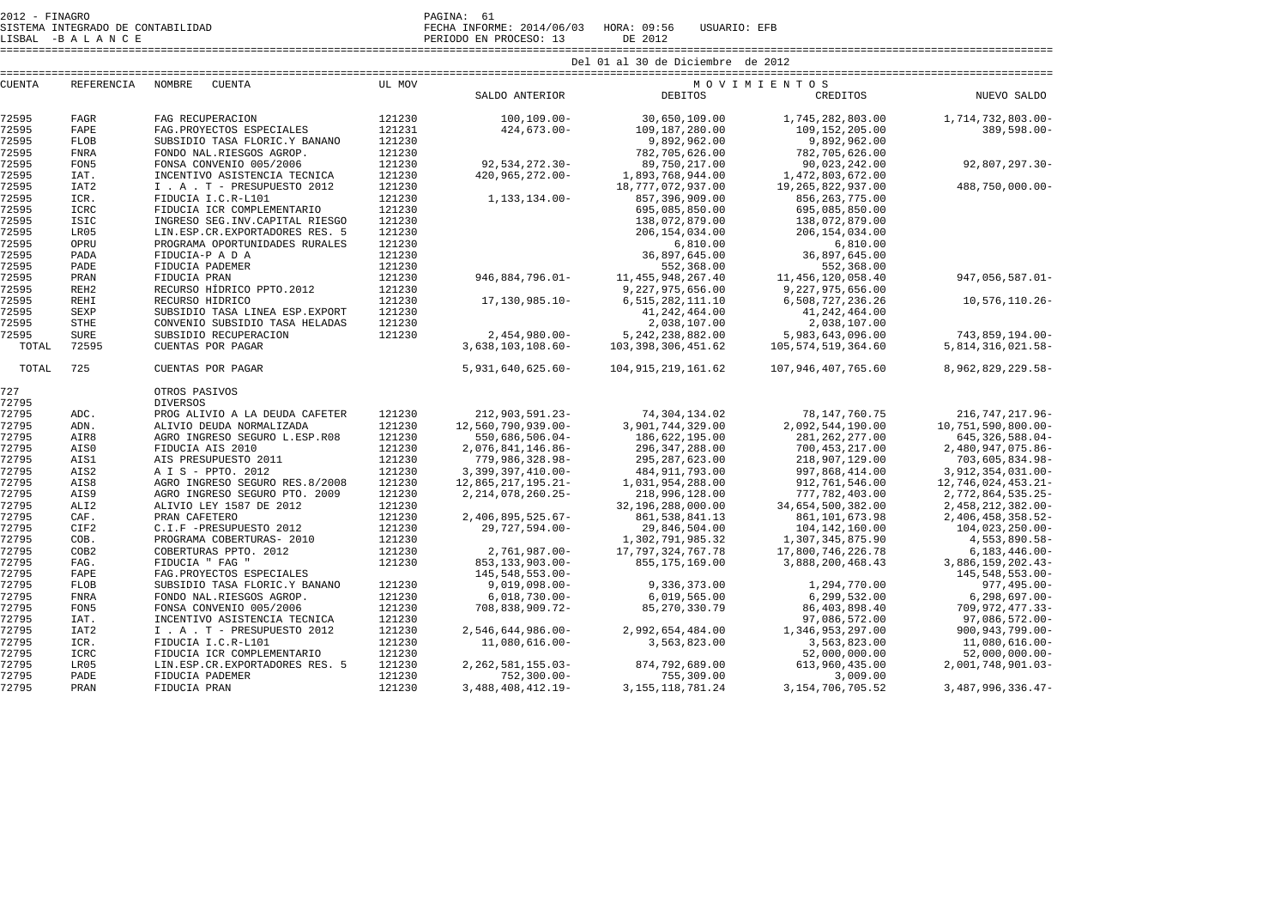SISTEMA INTEGRADO DE CONTABILIDAD FECHA INFORME: 2014/06/03 HORA: 09:56 USUARIO: EFB

LISBAL -B A L A N C E PERIODO EN PROCESO: 13 DE 2012

====================================================================================================================================================================

| <b>CUENTA</b> | REFERENCIA       | NOMBRE<br>CUENTA                 | UL MOV |                       | MOVIMIENTOS            |                       |                      |  |
|---------------|------------------|----------------------------------|--------|-----------------------|------------------------|-----------------------|----------------------|--|
|               |                  |                                  |        | SALDO ANTERIOR        | <b>DEBITOS</b>         | CREDITOS              | NUEVO SALDO          |  |
| 72595         | FAGR             | FAG RECUPERACION                 | 121230 | $100.109.00 -$        | 30,650,109.00          | 1,745,282,803.00      | 1,714,732,803.00-    |  |
| 72595         | FAPE             | FAG. PROYECTOS ESPECIALES        | 121231 | $424,673.00 -$        | 109,187,280.00         | 109, 152, 205.00      | $389,598.00 -$       |  |
| 72595         | <b>FLOB</b>      | SUBSIDIO TASA FLORIC.Y BANANO    | 121230 |                       | 9,892,962.00           | 9,892,962.00          |                      |  |
| 72595         | <b>FNRA</b>      | FONDO NAL.RIESGOS AGROP.         | 121230 |                       | 782,705,626.00         | 782,705,626.00        |                      |  |
| 72595         | FON5             | FONSA CONVENIO 005/2006          | 121230 | 92,534,272.30-        | 89,750,217.00          | 90,023,242.00         | 92,807,297.30-       |  |
| 72595         | IAT.             | INCENTIVO ASISTENCIA TECNICA     | 121230 | 420,965,272.00-       | 1,893,768,944.00       | 1,472,803,672.00      |                      |  |
| 72595         | IAT <sub>2</sub> | I . A . T - PRESUPUESTO 2012     | 121230 |                       | 18,777,072,937.00      | 19, 265, 822, 937.00  | 488,750,000.00-      |  |
| 72595         | ICR.             | FIDUCIA I.C.R-L101               | 121230 | 1, 133, 134.00-       | 857,396,909.00         | 856, 263, 775.00      |                      |  |
| 72595         | <b>ICRC</b>      | FIDUCIA ICR COMPLEMENTARIO       | 121230 |                       | 695,085,850.00         | 695,085,850.00        |                      |  |
| 72595         | ISIC             | INGRESO SEG. INV. CAPITAL RIESGO | 121230 |                       | 138,072,879.00         | 138,072,879.00        |                      |  |
| 72595         | LR05             | LIN.ESP.CR.EXPORTADORES RES. 5   | 121230 |                       | 206, 154, 034, 00      | 206, 154, 034, 00     |                      |  |
| 72595         | OPRU             | PROGRAMA OPORTUNIDADES RURALES   | 121230 |                       | 6,810.00               | 6,810.00              |                      |  |
| 72595         | PADA             | FIDUCIA-P A D A                  | 121230 |                       | 36,897,645.00          | 36,897,645.00         |                      |  |
| 72595         | PADE             | FIDUCIA PADEMER                  | 121230 |                       | 552,368.00             | 552,368.00            |                      |  |
| 72595         | PRAN             | FIDUCIA PRAN                     | 121230 | 946,884,796.01-       | 11, 455, 948, 267.40   | 11, 456, 120, 058.40  | 947,056,587.01-      |  |
| 72595         | REH <sub>2</sub> | RECURSO HÍDRICO PPTO.2012        | 121230 |                       | 9,227,975,656.00       | 9,227,975,656.00      |                      |  |
| 72595         | REHI             | RECURSO HIDRICO                  | 121230 | 17,130,985.10-        | 6, 515, 282, 111.10    | 6,508,727,236.26      | 10,576,110.26-       |  |
| 72595         | SEXP             | SUBSIDIO TASA LINEA ESP. EXPORT  | 121230 |                       | 41, 242, 464.00        | 41, 242, 464.00       |                      |  |
| 72595         | <b>STHE</b>      | CONVENIO SUBSIDIO TASA HELADAS   | 121230 |                       | 2,038,107.00           | 2,038,107.00          |                      |  |
| 72595         | <b>SURE</b>      | SUBSIDIO RECUPERACION            | 121230 | $2,454,980.00 -$      | 5, 242, 238, 882.00    | 5,983,643,096.00      | 743,859,194.00-      |  |
| TOTAL         | 72595            | CUENTAS POR PAGAR                |        | 3,638,103,108.60-     | 103, 398, 306, 451, 62 | 105, 574, 519, 364.60 | 5,814,316,021.58-    |  |
| TOTAL         | 725              | CUENTAS POR PAGAR                |        | 5,931,640,625.60-     | 104, 915, 219, 161, 62 | 107,946,407,765.60    | 8,962,829,229.58-    |  |
| 727           |                  | OTROS PASIVOS                    |        |                       |                        |                       |                      |  |
| 72795         |                  | <b>DIVERSOS</b>                  |        |                       |                        |                       |                      |  |
| 72795         | ADC.             | PROG ALIVIO A LA DEUDA CAFETER   | 121230 | 212,903,591.23-       | 74,304,134.02          | 78, 147, 760. 75      | 216, 747, 217.96-    |  |
| 72795         | ADN.             | ALIVIO DEUDA NORMALIZADA         | 121230 | 12,560,790,939.00-    | 3,901,744,329.00       | 2,092,544,190.00      | 10,751,590,800.00-   |  |
| 72795         | AIR8             | AGRO INGRESO SEGURO L.ESP.R08    | 121230 | 550,686,506.04-       | 186,622,195.00         | 281, 262, 277.00      | 645, 326, 588.04-    |  |
| 72795         | AIS0             | FIDUCIA AIS 2010                 | 121230 | 2,076,841,146.86-     | 296, 347, 288, 00      | 700,453,217.00        | 2,480,947,075.86-    |  |
| 72795         | AIS1             | AIS PRESUPUESTO 2011             | 121230 | 779,986,328.98-       | 295, 287, 623.00       | 218,907,129.00        | 703,605,834.98-      |  |
| 72795         | AIS2             | A I S - PPTO. 2012               | 121230 | 3,399,397,410.00-     | 484, 911, 793.00       | 997,868,414.00        | 3,912,354,031.00-    |  |
| 72795         | AIS8             | AGRO INGRESO SEGURO RES.8/2008   | 121230 | 12,865,217,195.21-    | 1,031,954,288.00       | 912,761,546.00        | 12,746,024,453.21-   |  |
| 72795         | AIS9             | AGRO INGRESO SEGURO PTO. 2009    | 121230 | 2, 214, 078, 260. 25- | 218,996,128.00         | 777,782,403.00        | 2,772,864,535.25-    |  |
| 72795         | ALI <sub>2</sub> | ALIVIO LEY 1587 DE 2012          | 121230 |                       | 32,196,288,000.00      | 34,654,500,382.00     | 2,458,212,382.00-    |  |
| 72795         | CAF.             | PRAN CAFETERO                    | 121230 | $2,406,895,525.67-$   | 861, 538, 841.13       | 861,101,673.98        | 2,406,458,358.52-    |  |
| 72795         | CIF2             | C.I.F -PRESUPUESTO 2012          | 121230 | 29,727,594.00-        | 29,846,504.00          | 104, 142, 160.00      | $104,023,250.00 -$   |  |
| 72795         | COB.             | PROGRAMA COBERTURAS- 2010        | 121230 |                       | 1,302,791,985.32       | 1,307,345,875.90      | 4,553,890.58-        |  |
| 72795         | COB <sub>2</sub> | COBERTURAS PPTO. 2012            | 121230 | 2,761,987.00-         | 17, 797, 324, 767. 78  | 17,800,746,226.78     | $6, 183, 446.00 -$   |  |
| 72795         | FAG.             | FIDUCIA " FAG "                  | 121230 | 853, 133, 903. 00-    | 855, 175, 169.00       | 3,888,200,468.43      | 3,886,159,202.43-    |  |
| 72795         | FAPE             | FAG. PROYECTOS ESPECIALES        |        | 145, 548, 553.00-     |                        |                       | 145,548,553.00-      |  |
| 72795         | <b>FLOB</b>      | SUBSIDIO TASA FLORIC.Y BANANO    | 121230 | $9,019,098.00 -$      | 9,336,373.00           | 1,294,770.00          | $977, 495.00 -$      |  |
| 72795         | <b>FNRA</b>      | FONDO NAL.RIESGOS AGROP.         | 121230 | $6,018,730.00 -$      | 6,019,565.00           | 6,299,532.00          | $6, 298, 697.00 -$   |  |
| 72795         | FON5             | FONSA CONVENIO 005/2006          | 121230 | 708,838,909.72-       | 85, 270, 330. 79       | 86, 403, 898.40       | 709, 972, 477. 33-   |  |
| 72795         | IAT.             | INCENTIVO ASISTENCIA TECNICA     | 121230 |                       |                        | 97,086,572.00         | $97,086,572.00 -$    |  |
| 72795         | IAT <sub>2</sub> | I . A . T - PRESUPUESTO 2012     | 121230 | $2,546,644,986.00 -$  | 2,992,654,484.00       | 1,346,953,297.00      | $900, 943, 799.00 -$ |  |
| 72795         | ICR.             | FIDUCIA I.C.R-L101               | 121230 | $11.080.616.00 -$     | 3,563,823.00           | 3,563,823.00          | 11,080,616.00-       |  |
| 72795         | ICRC             | FIDUCIA ICR COMPLEMENTARIO       | 121230 |                       |                        | 52,000,000.00         | $52,000,000.00$ -    |  |
| 72795         | LR05             | LIN.ESP.CR.EXPORTADORES RES. 5   | 121230 | 2, 262, 581, 155.03-  | 874,792,689.00         | 613,960,435.00        | 2,001,748,901.03-    |  |
| 72795         | PADE             | FIDUCIA PADEMER                  | 121230 | $752, 300.00 -$       | 755,309.00             | 3,009.00              |                      |  |
| 72795         | PRAN             | FIDUCIA PRAN                     | 121230 | 3, 488, 408, 412. 19- | 3, 155, 118, 781. 24   | 3, 154, 706, 705. 52  | 3,487,996,336.47-    |  |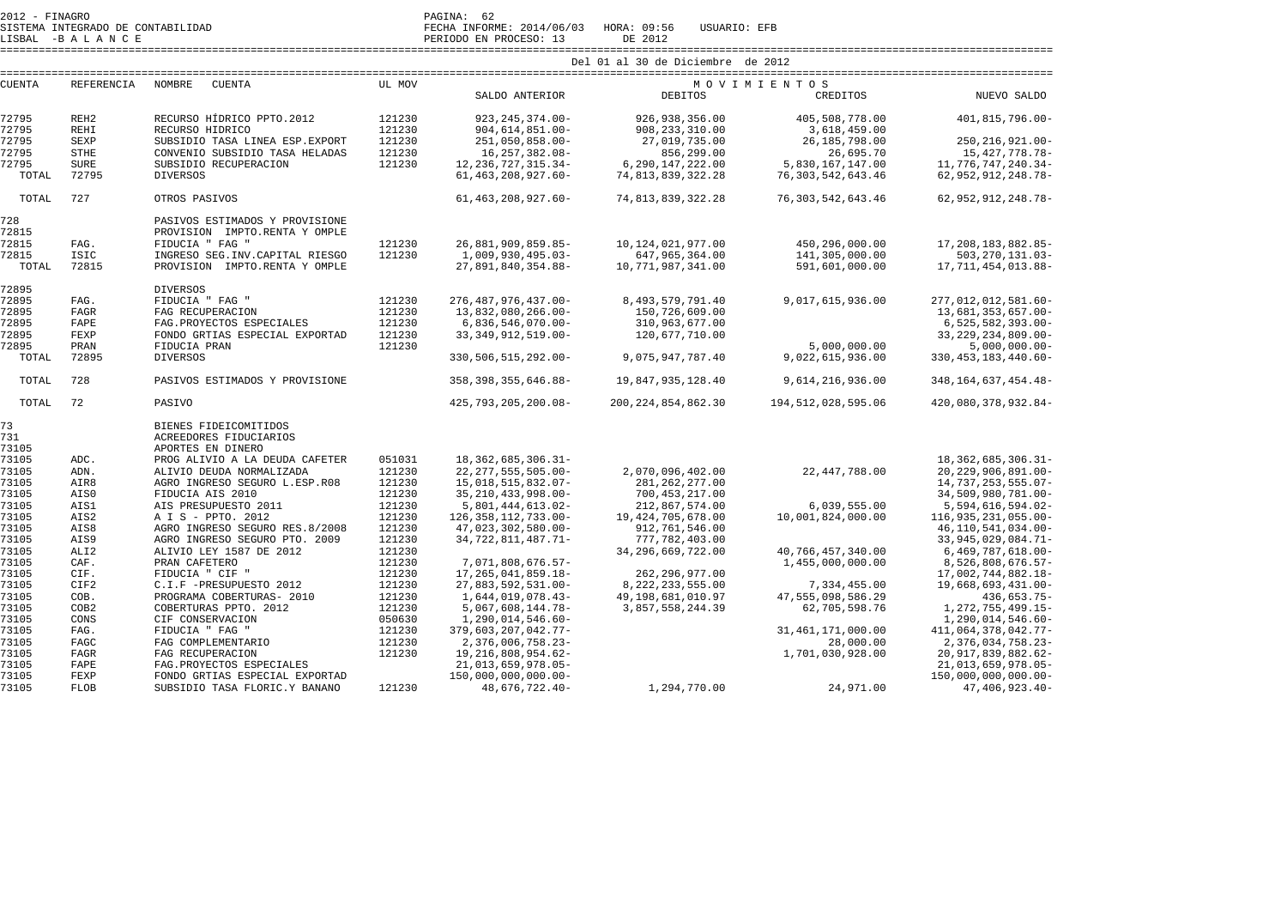73105 FAGR FAG RECUPERACION 121230 19,216,808,954.62-<br>73105 FAPE FAG.PROYECTOS ESPECIALES 21,013,659,978.05-

73105 FAPE FAG.PROYECTOS ESPECIALES 21,013,659,978.05- 21,013,659,978.05-

FLOB SUBSIDIO TASA FLORIC.Y BANANO

| SISTEMA INTEGRADO DE CONTABILIDAD<br>LISBAL -BALANCE |                   |                                     | FECHA INFORME: 2014/06/03<br>HORA: 09:56<br>USUARIO: EFB<br>PERIODO EN PROCESO: 13<br>DE 2012 |                        |                       |                        |                         |  |  |  |
|------------------------------------------------------|-------------------|-------------------------------------|-----------------------------------------------------------------------------------------------|------------------------|-----------------------|------------------------|-------------------------|--|--|--|
|                                                      |                   |                                     | Del 01 al 30 de Diciembre de 2012                                                             |                        |                       |                        |                         |  |  |  |
|                                                      |                   |                                     | MOVIMIENTOS                                                                                   |                        |                       |                        |                         |  |  |  |
| <b>CUENTA</b>                                        | <b>REFERENCIA</b> | <b>NOMBRE</b><br><b>CUENTA</b>      | UL MOV                                                                                        | SALDO ANTERIOR         | <b>DEBITOS</b>        | CREDITOS               | NUEVO SALDO             |  |  |  |
| 72795                                                | REH <sub>2</sub>  | RECURSO HÍDRICO PPTO.2012           | 121230                                                                                        | 923, 245, 374.00-      | 926, 938, 356.00      | 405,508,778.00         | $401.815.796.00 -$      |  |  |  |
| 72795                                                | <b>REHI</b>       | RECURSO HIDRICO                     | 121230                                                                                        | $904, 614, 851.00 -$   | 908, 233, 310.00      | 3,618,459.00           |                         |  |  |  |
| 72795                                                | <b>SEXP</b>       | SUBSIDIO TASA LINEA ESP. EXPORT     | 121230                                                                                        | $251,050,858.00 -$     | 27,019,735.00         | 26,185,798.00          | 250, 216, 921.00-       |  |  |  |
| 72795                                                | <b>STHE</b>       | CONVENIO SUBSIDIO TASA HELADAS      | 121230                                                                                        | 16, 257, 382.08-       | 856,299.00            | 26,695.70              | 15, 427, 778. 78-       |  |  |  |
| 72795                                                | <b>SURE</b>       | SUBSIDIO RECUPERACION               | 121230                                                                                        | 12, 236, 727, 315. 34- | 6, 290, 147, 222.00   | 5,830,167,147.00       | 11,776,747,240.34-      |  |  |  |
| TOTAL                                                | 72795             | <b>DIVERSOS</b>                     |                                                                                               | 61, 463, 208, 927. 60- | 74,813,839,322.28     | 76, 303, 542, 643.46   | 62, 952, 912, 248. 78-  |  |  |  |
| TOTAL                                                | 727               | OTROS PASIVOS                       |                                                                                               | 61, 463, 208, 927, 60- | 74,813,839,322.28     | 76, 303, 542, 643, 46  | 62, 952, 912, 248. 78-  |  |  |  |
| 728                                                  |                   | PASIVOS ESTIMADOS Y PROVISIONE      |                                                                                               |                        |                       |                        |                         |  |  |  |
| 72815                                                |                   | PROVISION IMPTO.RENTA Y OMPLE       |                                                                                               |                        |                       |                        |                         |  |  |  |
| 72815                                                | FAG.              | FIDUCIA " FAG "                     | 121230                                                                                        | 26,881,909,859.85-     | 10, 124, 021, 977.00  | 450,296,000.00         | 17, 208, 183, 882. 85-  |  |  |  |
| 72815                                                | <b>ISIC</b>       | INGRESO SEG. INV. CAPITAL RIESGO    | 121230                                                                                        | 1,009,930,495.03-      | 647,965,364.00        | 141,305,000.00         | 503, 270, 131.03-       |  |  |  |
| TOTAL                                                | 72815             | PROVISION IMPTO.RENTA Y OMPLE       |                                                                                               | 27,891,840,354.88-     | 10,771,987,341.00     | 591,601,000.00         | 17,711,454,013.88-      |  |  |  |
| 72895                                                |                   | <b>DIVERSOS</b>                     |                                                                                               |                        |                       |                        |                         |  |  |  |
| 72895                                                | FAG.              | FIDUCIA " FAG "                     | 121230                                                                                        | 276, 487, 976, 437.00- | 8, 493, 579, 791.40   | 9,017,615,936.00       | 277,012,012,581.60-     |  |  |  |
| 72895                                                | <b>FAGR</b>       | FAG RECUPERACION                    | 121230                                                                                        | 13,832,080,266.00-     | 150,726,609.00        |                        | 13,681,353,657.00-      |  |  |  |
| 72895                                                | FAPE              | FAG. PROYECTOS ESPECIALES           | 121230                                                                                        | $6,836,546,070.00 -$   | 310,963,677.00        |                        | $6, 525, 582, 393.00 -$ |  |  |  |
| 72895                                                | FEXP              | FONDO GRTIAS ESPECIAL EXPORTAD      | 121230                                                                                        | 33, 349, 912, 519, 00- | 120,677,710.00        |                        | 33, 229, 234, 809. 00-  |  |  |  |
| 72895                                                | PRAN              | FIDUCIA PRAN                        | 121230                                                                                        |                        |                       | 5,000,000.00           | $5,000,000.00$ -        |  |  |  |
| TOTAL                                                | 72895             | <b>DIVERSOS</b>                     |                                                                                               | 330, 506, 515, 292.00- | 9,075,947,787.40      | 9,022,615,936.00       | 330, 453, 183, 440. 60- |  |  |  |
| TOTAL                                                | 728               | PASIVOS ESTIMADOS Y PROVISIONE      |                                                                                               | 358, 398, 355, 646.88- | 19,847,935,128.40     | 9,614,216,936.00       | 348, 164, 637, 454. 48- |  |  |  |
| TOTAL                                                | 72                | PASIVO                              |                                                                                               | 425,793,205,200.08-    | 200, 224, 854, 862.30 | 194, 512, 028, 595, 06 | 420,080,378,932.84-     |  |  |  |
| 73                                                   |                   | BIENES FIDEICOMITIDOS               |                                                                                               |                        |                       |                        |                         |  |  |  |
| 731                                                  |                   | ACREEDORES FIDUCIARIOS              |                                                                                               |                        |                       |                        |                         |  |  |  |
| 73105                                                |                   | APORTES EN DINERO                   |                                                                                               |                        |                       |                        |                         |  |  |  |
| 73105                                                | ADC.              | PROG ALIVIO A LA DEUDA CAFETER      | 051031                                                                                        | 18, 362, 685, 306. 31- |                       |                        | 18, 362, 685, 306. 31-  |  |  |  |
| 73105                                                | ADN.              | ALIVIO DEUDA NORMALIZADA            | 121230                                                                                        | 22, 277, 555, 505.00-  | 2,070,096,402.00      | 22,447,788.00          | 20, 229, 906, 891.00-   |  |  |  |
| 73105                                                | AIR8              | AGRO INGRESO SEGURO L.ESP.R08       | 121230                                                                                        | 15,018,515,832.07-     | 281, 262, 277.00      |                        | 14,737,253,555.07-      |  |  |  |
| 73105                                                | AIS0              | FIDUCIA AIS 2010                    | 121230                                                                                        | 35, 210, 433, 998.00-  | 700, 453, 217.00      |                        | 34,509,980,781.00-      |  |  |  |
| 73105                                                | AIS1              | AIS PRESUPUESTO 2011                | 121230                                                                                        | 5,801,444,613.02-      | 212,867,574.00        | 6.039.555.00           | 5,594,616,594.02-       |  |  |  |
| 73105                                                | AIS2              | A I S - PPTO. 2012                  | 121230                                                                                        | 126, 358, 112, 733.00- | 19, 424, 705, 678.00  | 10,001,824,000.00      | 116,935,231,055.00-     |  |  |  |
| 73105                                                | AIS8              | AGRO INGRESO SEGURO RES.8/2008      | 121230                                                                                        | 47,023,302,580.00-     | 912,761,546.00        |                        | 46, 110, 541, 034.00-   |  |  |  |
| 73105                                                | AIS9              | AGRO INGRESO SEGURO PTO. 2009       | 121230                                                                                        | 34, 722, 811, 487. 71- | 777,782,403.00        |                        | 33, 945, 029, 084. 71-  |  |  |  |
| 73105                                                | ALI <sub>2</sub>  | ALIVIO LEY 1587 DE 2012             | 121230                                                                                        |                        | 34, 296, 669, 722.00  | 40,766,457,340.00      | $6,469,787,618.00 -$    |  |  |  |
| 73105                                                | CAF.              | PRAN CAFETERO                       | 121230                                                                                        | 7,071,808,676.57-      |                       | 1,455,000,000.00       | 8,526,808,676.57-       |  |  |  |
| 73105                                                | CIF.              | FIDUCIA " CIF "                     | 121230                                                                                        | 17, 265, 041, 859. 18- | 262, 296, 977.00      |                        | 17,002,744,882.18-      |  |  |  |
| 73105                                                | CIF2              | C.I.F -PRESUPUESTO 2012             | 121230                                                                                        | 27,883,592,531.00-     | 8, 222, 233, 555.00   | 7,334,455.00           | 19,668,693,431.00-      |  |  |  |
| 73105                                                | COB.              | PROGRAMA COBERTURAS- 2010           | 121230                                                                                        | 1,644,019,078.43-      | 49, 198, 681, 010. 97 | 47,555,098,586.29      | $436,653.75-$           |  |  |  |
| 73105                                                | COB2              | COBERTURAS PPTO, 2012               | 121230                                                                                        | 5,067,608,144.78-      | 3,857,558,244.39      | 62,705,598.76          | 1, 272, 755, 499. 15-   |  |  |  |
| 73105<br>73105                                       | CONS              | CIF CONSERVACION<br>FIDUCIA " FAG " | 050630<br>121230                                                                              | 1,290,014,546.60-      |                       |                        | 1,290,014,546.60-       |  |  |  |
| 73105                                                | FAG.<br>FAGC      |                                     |                                                                                               | 379,603,207,042.77-    |                       | 31, 461, 171, 000.00   | 411,064,378,042.77-     |  |  |  |
|                                                      |                   | FAG COMPLEMENTARIO                  | 121230                                                                                        | 2,376,006,758.23-      |                       | 28,000.00              | 2, 376, 034, 758. 23-   |  |  |  |
| 73105                                                | <b>FAGR</b>       | FAG RECUPERACION                    | 121230                                                                                        | 19, 216, 808, 954.62-  |                       | 1,701,030,928.00       | 20, 917, 839, 882.62-   |  |  |  |

73105 FEXP FONDO GRTIAS ESPECIAL EXPORTAD 150,000,000,000.00- 150,000,000,000.00-

21,013,659,978.05-

 $47,406,923.40-$ 

150,000,000,000.00-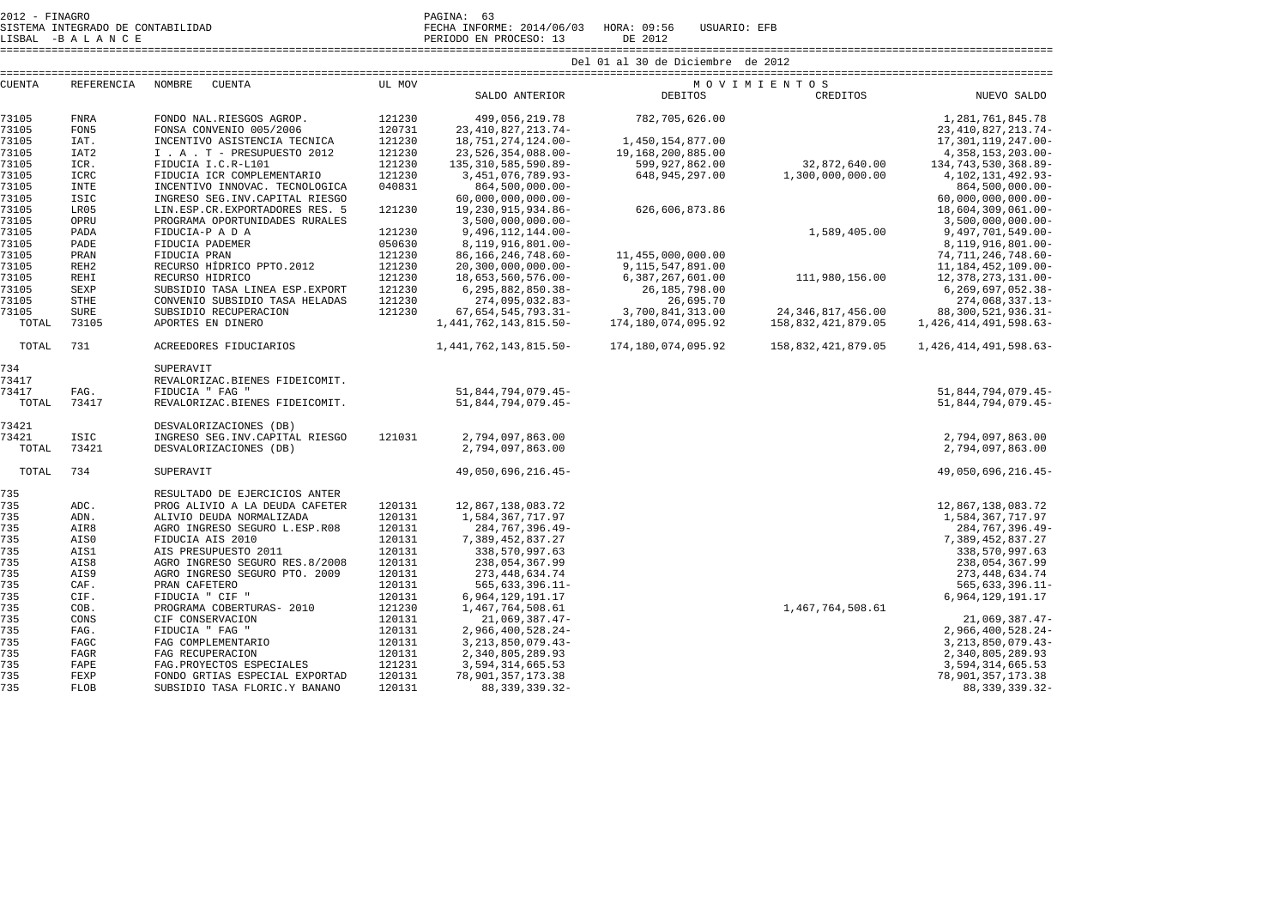LISBAL -B A L A N C E PERIODO EN PROCESO: 13 DE 2012

SISTEMA INTEGRADO DE CONTABILIDAD FECHA INFORME: 2014/06/03 HORA: 09:56 USUARIO: EFB

====================================================================================================================================================================

| <b>CUENTA</b> | REFERENCIA       | NOMBRE<br><b>CUENTA</b>                       | UL MOV           |                                      | MOVIMIENTOS        |                      |                                      |
|---------------|------------------|-----------------------------------------------|------------------|--------------------------------------|--------------------|----------------------|--------------------------------------|
|               |                  |                                               |                  | SALDO ANTERIOR                       | <b>DEBITOS</b>     | CREDITOS             | NUEVO SALDO                          |
| 73105         | <b>FNRA</b>      | FONDO NAL.RIESGOS AGROP.                      | 121230           | 499,056,219.78                       | 782,705,626.00     |                      | 1, 281, 761, 845. 78                 |
| 73105         | FON5             | FONSA CONVENIO 005/2006                       | 120731           | 23, 410, 827, 213. 74-               |                    |                      | 23, 410, 827, 213.74-                |
| 73105         | IAT.             | INCENTIVO ASISTENCIA TECNICA                  | 121230           | 18,751,274,124.00-                   | 1,450,154,877.00   |                      | 17, 301, 119, 247.00-                |
| 73105         | IAT <sub>2</sub> | I . A . T - PRESUPUESTO 2012                  | 121230           | 23,526,354,088.00-                   | 19,168,200,885.00  |                      | 4, 358, 153, 203.00-                 |
| 73105         | ICR.             | FIDUCIA I.C.R-L101                            | 121230           | 135, 310, 585, 590.89-               | 599,927,862.00     | 32,872,640.00        | 134, 743, 530, 368.89-               |
| 73105         | ICRC             | FIDUCIA ICR COMPLEMENTARIO                    | 121230           | 3, 451, 076, 789.93-                 | 648, 945, 297.00   | 1,300,000,000.00     | 4, 102, 131, 492. 93-                |
| 73105         | <b>INTE</b>      | INCENTIVO INNOVAC. TECNOLOGICA                | 040831           | 864,500,000.00-                      |                    |                      | 864,500,000.00-                      |
| 73105         | <b>ISIC</b>      | INGRESO SEG. INV. CAPITAL RIESGO              |                  | $60,000,000,000.00 -$                |                    |                      | $60,000,000,000.00 -$                |
| 73105         | LR05             | LIN.ESP.CR.EXPORTADORES RES. 5                | 121230           | 19, 230, 915, 934.86-                | 626,606,873.86     |                      | 18,604,309,061.00-                   |
| 73105         | OPRU             | PROGRAMA OPORTUNIDADES RURALES                |                  | $3,500,000,000.00 -$                 |                    |                      | $3,500,000,000.00 -$                 |
| 73105         | PADA             | FIDUCIA-P A D A                               | 121230           | 9,496,112,144.00-                    |                    | 1,589,405.00         | 9,497,701,549.00-                    |
| 73105         | PADE             | FIDUCIA PADEMER                               | 050630           | 8,119,916,801.00-                    |                    |                      | 8,119,916,801.00-                    |
| 73105         | PRAN             | FIDUCIA PRAN                                  | 121230           | 86, 166, 246, 748. 60-               | 11,455,000,000.00  |                      | 74, 711, 246, 748. 60-               |
| 73105         | REH <sub>2</sub> | RECURSO HÍDRICO PPTO.2012                     | 121230           | $20, 300, 000, 000.00 -$             | 9,115,547,891.00   |                      | 11, 184, 452, 109.00-                |
| 73105         | <b>REHI</b>      | RECURSO HIDRICO                               | 121230           | 18,653,560,576.00-                   | 6,387,267,601.00   | 111,980,156.00       | 12,378,273,131.00-                   |
| 73105         | SEXP             | SUBSIDIO TASA LINEA ESP. EXPORT               | 121230           | 6, 295, 882, 850. 38-                | 26,185,798.00      |                      | 6,269,697,052.38-                    |
| 73105         | <b>STHE</b>      | CONVENIO SUBSIDIO TASA HELADAS                | 121230           | 274,095,032.83-                      | 26,695.70          |                      | 274,068,337.13-                      |
| 73105         | <b>SURE</b>      | SUBSIDIO RECUPERACION                         | 121230           | 67, 654, 545, 793. 31-               | 3,700,841,313.00   | 24, 346, 817, 456.00 | 88,300,521,936.31-                   |
| TOTAL         | 73105            | APORTES EN DINERO                             |                  | 1, 441, 762, 143, 815. 50-           | 174,180,074,095.92 | 158,832,421,879.05   | 1,426,414,491,598.63-                |
| TOTAL         | 731              | ACREEDORES FIDUCIARIOS                        |                  | 1, 441, 762, 143, 815. 50-           | 174,180,074,095.92 | 158,832,421,879.05   | 1, 426, 414, 491, 598. 63-           |
| 734           |                  | SUPERAVIT                                     |                  |                                      |                    |                      |                                      |
| 73417         |                  | REVALORIZAC.BIENES FIDEICOMIT.                |                  |                                      |                    |                      |                                      |
| 73417         | FAG.             | FIDUCIA " FAG "                               |                  | 51,844,794,079.45-                   |                    |                      | 51,844,794,079.45-                   |
| TOTAL         | 73417            | REVALORIZAC.BIENES FIDEICOMIT.                |                  | 51,844,794,079.45-                   |                    |                      | 51,844,794,079.45-                   |
| 73421         |                  | DESVALORIZACIONES (DB)                        |                  |                                      |                    |                      |                                      |
| 73421         | ISIC             | INGRESO SEG. INV. CAPITAL RIESGO              | 121031           | 2,794,097,863.00                     |                    |                      | 2,794,097,863.00                     |
| TOTAL         | 73421            | DESVALORIZACIONES (DB)                        |                  | 2,794,097,863.00                     |                    |                      | 2,794,097,863.00                     |
| TOTAL         | 734              | SUPERAVIT                                     |                  | 49,050,696,216.45-                   |                    |                      | 49,050,696,216.45-                   |
| 735           |                  | RESULTADO DE EJERCICIOS ANTER                 |                  |                                      |                    |                      |                                      |
| 735           | ADC.             | PROG ALIVIO A LA DEUDA CAFETER                | 120131           | 12,867,138,083.72                    |                    |                      | 12,867,138,083.72                    |
| 735           | ADN.             | ALIVIO DEUDA NORMALIZADA                      | 120131           | 1,584,367,717.97                     |                    |                      | 1,584,367,717.97                     |
| 735           | AIR8             | AGRO INGRESO SEGURO L.ESP.R08                 | 120131           | 284,767,396.49-                      |                    |                      | 284, 767, 396.49-                    |
| 735           | AIS0             | FIDUCIA AIS 2010                              | 120131           | 7,389,452,837.27                     |                    |                      | 7,389,452,837.27                     |
| 735           | AIS1             | AIS PRESUPUESTO 2011                          | 120131           | 338,570,997.63                       |                    |                      | 338,570,997.63                       |
| 735           | AIS8             | AGRO INGRESO SEGURO RES.8/2008                | 120131           | 238,054,367.99                       |                    |                      | 238,054,367.99                       |
| 735           | AIS9             | AGRO INGRESO SEGURO PTO. 2009                 | 120131           | 273, 448, 634. 74                    |                    |                      | 273, 448, 634.74                     |
| 735           | CAF.             | PRAN CAFETERO                                 | 120131           | $565, 633, 396.11 -$                 |                    |                      | $565, 633, 396.11 -$                 |
| 735           | CIF.             | FIDUCIA " CIF "                               | 120131           | 6, 964, 129, 191. 17                 |                    |                      | 6,964,129,191.17                     |
| 735           | COB.             | PROGRAMA COBERTURAS- 2010                     | 121230           | 1,467,764,508.61                     |                    | 1,467,764,508.61     |                                      |
| 735           | CONS             | CIF CONSERVACION                              | 120131<br>120131 | 21,069,387.47-                       |                    |                      | $21,069,387.47-$                     |
| 735           | FAG.             | FIDUCIA " FAG "                               | 120131           | 2,966,400,528.24-                    |                    |                      | 2,966,400,528.24-                    |
| 735           | FAGC<br>FAGR     | FAG COMPLEMENTARIO                            |                  | 3, 213, 850, 079. 43-                |                    |                      | 3, 213, 850, 079. 43-                |
| 735<br>735    | FAPE             | FAG RECUPERACION<br>FAG. PROYECTOS ESPECIALES | 120131<br>121231 | 2,340,805,289.93<br>3,594,314,665.53 |                    |                      | 2,340,805,289.93<br>3,594,314,665.53 |
| 735           | FEXP             | FONDO GRTIAS ESPECIAL EXPORTAD                | 120131           | 78,901,357,173.38                    |                    |                      | 78,901,357,173.38                    |
| 735           | <b>FLOB</b>      | SUBSIDIO TASA FLORIC.Y BANANO                 | 120131           | 88, 339, 339. 32-                    | 1,467              |                      | 88, 339, 339.32-                     |
|               |                  |                                               |                  |                                      |                    |                      |                                      |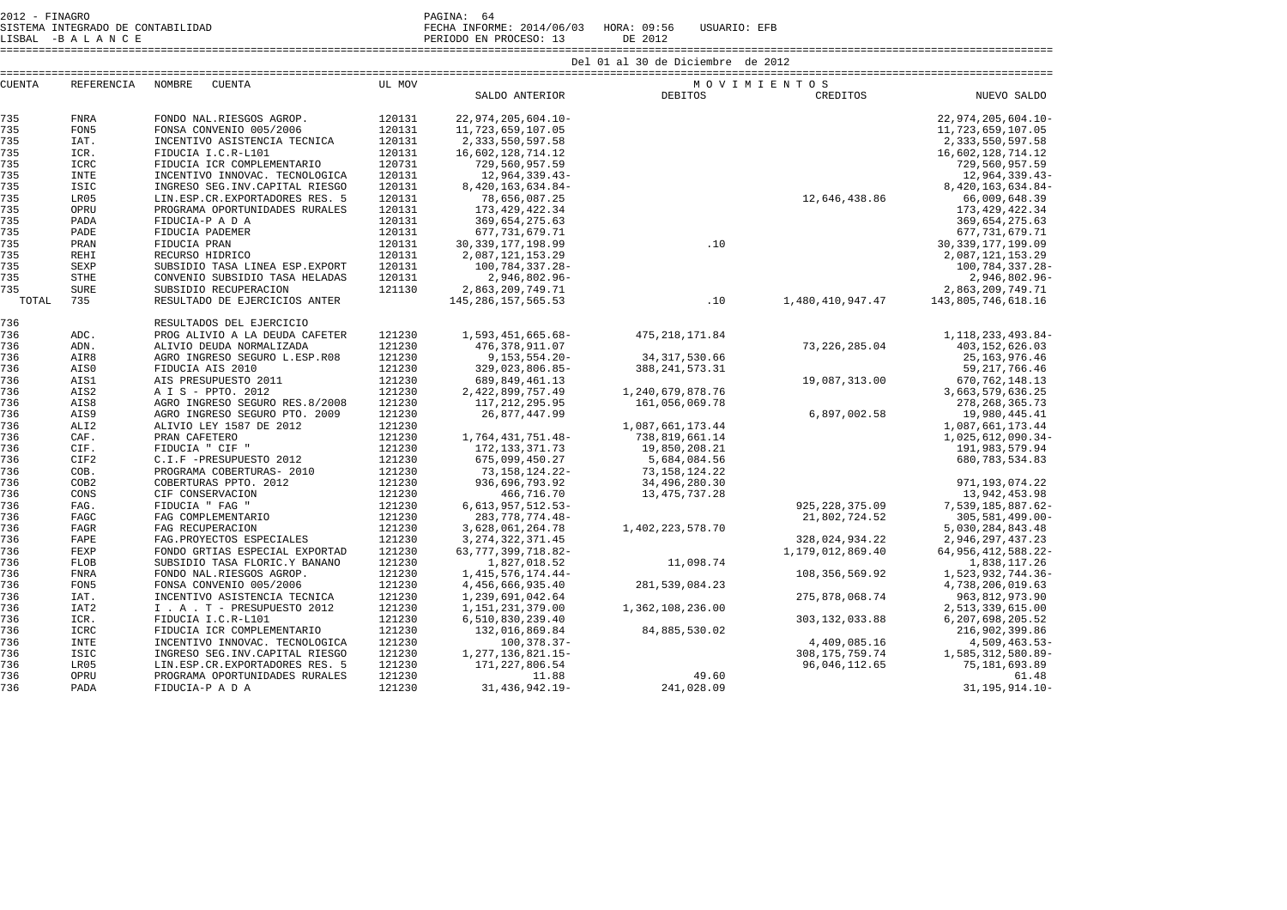2012 - FINAGRO<br>2012 - SISTEMA INTEGRADO DE CONTABILIDAD SISTEMA INTEGRADO DE CONTABILIDAD FECHA INFORME: 2014/06/03 HORA: 09:56 USUARIO: EFB

LISBAL -B A L A N C E PERIODO EN PROCESO: 13 DE 2012

====================================================================================================================================================================

| <b>CUENTA</b> | <b>REFERENCIA</b> | NOMBRE<br><b>CUENTA</b>                       | UL MOV           |                                         |                   | MOVIMIENTOS       |                                      |
|---------------|-------------------|-----------------------------------------------|------------------|-----------------------------------------|-------------------|-------------------|--------------------------------------|
|               |                   |                                               |                  | SALDO ANTERIOR                          | <b>DEBITOS</b>    | CREDITOS          | NUEVO SALDO                          |
| 735           | <b>FNRA</b>       | FONDO NAL.RIESGOS AGROP.                      | 120131           | 22,974,205,604.10-                      |                   |                   | 22,974,205,604.10-                   |
| 735           | FON <sub>5</sub>  | FONSA CONVENIO 005/2006                       | 120131           | 11,723,659,107.05                       |                   |                   | 11,723,659,107.05                    |
| 735           | IAT.              | INCENTIVO ASISTENCIA TECNICA                  | 120131           | 2, 333, 550, 597.58                     |                   |                   | 2,333,550,597.58                     |
| 735           | ICR.              | FIDUCIA I.C.R-L101                            | 120131           | 16,602,128,714.12                       |                   |                   | 16,602,128,714.12                    |
| 735           | ICRC              | FIDUCIA ICR COMPLEMENTARIO                    | 120731           | 729,560,957.59                          |                   |                   | 729,560,957.59                       |
| 735           | <b>INTE</b>       | INCENTIVO INNOVAC. TECNOLOGICA                | 120131           | 12,964,339.43-                          |                   |                   | 12,964,339.43-                       |
| 735           | <b>ISIC</b>       | INGRESO SEG. INV. CAPITAL RIESGO              | 120131           | 8,420,163,634.84-                       |                   |                   | 8,420,163,634.84-                    |
| 735           | LR05              | LIN.ESP.CR.EXPORTADORES RES. 5                | 120131           | 78,656,087.25                           |                   | 12,646,438.86     | 66,009,648.39                        |
| 735           | OPRU              | PROGRAMA OPORTUNIDADES RURALES                | 120131           | 173, 429, 422.34                        |                   |                   | 173, 429, 422.34                     |
| 735           | PADA              | FIDUCIA-P A D A                               | 120131           | 369,654,275.63                          |                   |                   | 369,654,275.63                       |
| 735           | PADE              | FIDUCIA PADEMER                               | 120131           | 677, 731, 679. 71                       |                   |                   | 677, 731, 679. 71                    |
| 735           | PRAN              | FIDUCIA PRAN                                  | 120131           | 30, 339, 177, 198.99                    | .10               |                   | 30, 339, 177, 199.09                 |
| 735           | <b>REHI</b>       | RECURSO HIDRICO                               | 120131           | 2,087,121,153.29                        |                   |                   | 2,087,121,153.29                     |
| 735           | <b>SEXP</b>       | SUBSIDIO TASA LINEA ESP. EXPORT               | 120131           | 100,784,337.28-                         |                   |                   | 100,784,337.28-                      |
| 735           | <b>STHE</b>       | CONVENIO SUBSIDIO TASA HELADAS                | 120131           | 2,946,802.96-                           |                   |                   | 2,946,802.96-                        |
| 735           | <b>SURE</b>       | SUBSIDIO RECUPERACION                         | 121130           | 2,863,209,749.71                        |                   |                   | 2,863,209,749.71                     |
| TOTAL         | 735               | RESULTADO DE EJERCICIOS ANTER                 |                  | 145, 286, 157, 565. 53                  | .10               | 1,480,410,947.47  | 143,805,746,618.16                   |
| 736           |                   | RESULTADOS DEL EJERCICIO                      |                  |                                         |                   |                   |                                      |
| 736           | ADC.              | PROG ALIVIO A LA DEUDA CAFETER                | 121230           | 1,593,451,665.68-                       | 475, 218, 171.84  |                   | 1, 118, 233, 493. 84-                |
| 736           | ADN.              | ALIVIO DEUDA NORMALIZADA                      | 121230           | 476, 378, 911.07                        |                   | 73, 226, 285.04   | 403, 152, 626.03                     |
| 736           | AIR8              | AGRO INGRESO SEGURO L.ESP.R08                 | 121230           | $9, 153, 554.20 -$                      | 34, 317, 530.66   |                   | 25, 163, 976. 46                     |
| 736           | AIS0              | FIDUCIA AIS 2010                              | 121230           | 329,023,806.85-                         | 388, 241, 573. 31 |                   | 59, 217, 766.46                      |
| 736           | AIS1              | AIS PRESUPUESTO 2011                          | 121230           | 689,849,461.13                          |                   | 19,087,313.00     | 670, 762, 148.13                     |
| 736           | AIS2              | A I S - PPTO. 2012                            | 121230           | 2,422,899,757.49                        | 1,240,679,878.76  |                   | 3,663,579,636.25                     |
| 736           | AIS8              | AGRO INGRESO SEGURO RES.8/2008                | 121230           | 117, 212, 295.95                        | 161,056,069.78    |                   | 278, 268, 365. 73                    |
| 736           | AIS9              | AGRO INGRESO SEGURO PTO. 2009                 | 121230           | 26,877,447.99                           |                   | 6,897,002.58      | 19,980,445.41                        |
| 736           | ALI <sub>2</sub>  | ALIVIO LEY 1587 DE 2012                       | 121230           |                                         | 1,087,661,173.44  |                   | 1,087,661,173.44                     |
| 736           | CAF.              | PRAN CAFETERO                                 | 121230           | 1,764,431,751.48-                       | 738,819,661.14    |                   | 1,025,612,090.34-                    |
| 736           | CIF.              | FIDUCIA " CIF "                               | 121230           | 172, 133, 371. 73                       | 19,850,208.21     |                   | 191,983,579.94                       |
| 736           | CIF2              | C.I.F -PRESUPUESTO 2012                       | 121230           | 675,099,450.27                          | 5,684,084.56      |                   | 680, 783, 534.83                     |
| 736           | COB.              | PROGRAMA COBERTURAS- 2010                     | 121230           | 73,158,124.22-                          | 73, 158, 124. 22  |                   |                                      |
| 736           | COB <sub>2</sub>  | COBERTURAS PPTO. 2012                         | 121230           | 936,696,793.92                          | 34,496,280.30     |                   | 971, 193, 074. 22                    |
| 736<br>736    | CONS              | CIF CONSERVACION                              | 121230           | 466,716.70                              | 13, 475, 737. 28  |                   | 13,942,453.98                        |
| 736           | FAG.              | FIDUCIA " FAG "                               | 121230           | $6,613,957,512.53-$                     |                   | 925, 228, 375.09  | 7,539,185,887.62-                    |
| 736           | FAGC              | FAG COMPLEMENTARIO                            | 121230           | 283, 778, 774. 48-                      |                   | 21,802,724.52     | $305, 581, 499.00 -$                 |
| 736           | FAGR<br>FAPE      | FAG RECUPERACION<br>FAG. PROYECTOS ESPECIALES | 121230<br>121230 | 3,628,061,264.78<br>3, 274, 322, 371.45 | 1,402,223,578.70  | 328,024,934.22    | 5,030,284,843.48<br>2,946,297,437.23 |
| 736           | FEXP              | FONDO GRTIAS ESPECIAL EXPORTAD                | 121230           | 63, 777, 399, 718.82-                   |                   | 1,179,012,869.40  | 64, 956, 412, 588. 22-               |
| 736           | <b>FLOB</b>       | SUBSIDIO TASA FLORIC.Y BANANO                 | 121230           | 1,827,018.52                            | 11,098.74         |                   | 1,838,117.26                         |
| 736           | <b>FNRA</b>       | FONDO NAL.RIESGOS AGROP.                      | 121230           | 1, 415, 576, 174. 44-                   |                   | 108, 356, 569.92  | 1,523,932,744.36-                    |
| 736           | FON5              | FONSA CONVENIO 005/2006                       | 121230           | 4,456,666,935.40                        | 281,539,084.23    |                   | 4,738,206,019.63                     |
| 736           | IAT.              | INCENTIVO ASISTENCIA TECNICA                  | 121230           | 1,239,691,042.64                        |                   | 275,878,068.74    | 963, 812, 973.90                     |
| 736           | IAT2              | I . A . T - PRESUPUESTO 2012                  | 121230           | 1,151,231,379.00                        | 1,362,108,236.00  |                   | 2,513,339,615.00                     |
| 736           | ICR.              | FIDUCIA I.C.R-L101                            | 121230           | 6,510,830,239.40                        |                   | 303, 132, 033.88  | 6,207,698,205.52                     |
| 736           | ICRC              | FIDUCIA ICR COMPLEMENTARIO                    | 121230           | 132,016,869.84                          | 84,885,530.02     |                   | 216,902,399.86                       |
| 736           | <b>INTE</b>       | INCENTIVO INNOVAC. TECNOLOGICA                | 121230           | $100.378.37-$                           |                   | 4,409,085.16      | 4,509,463.53-                        |
| 736           | ISIC              | INGRESO SEG. INV. CAPITAL RIESGO              | 121230           | 1, 277, 136, 821. 15-                   |                   | 308, 175, 759. 74 | 1,585,312,580.89-                    |
| 736           | LR05              | LIN.ESP.CR.EXPORTADORES RES. 5                | 121230           | 171, 227, 806.54                        |                   | 96,046,112.65     | 75, 181, 693.89                      |
| 736           | OPRU              | PROGRAMA OPORTUNIDADES RURALES                | 121230           | 11.88                                   | 49.60             |                   | 61.48                                |
| 736           | PADA              | FIDUCIA-P A D A                               | 121230           | 31, 436, 942. 19-                       | 241,028.09        |                   | 31, 195, 914. 10-                    |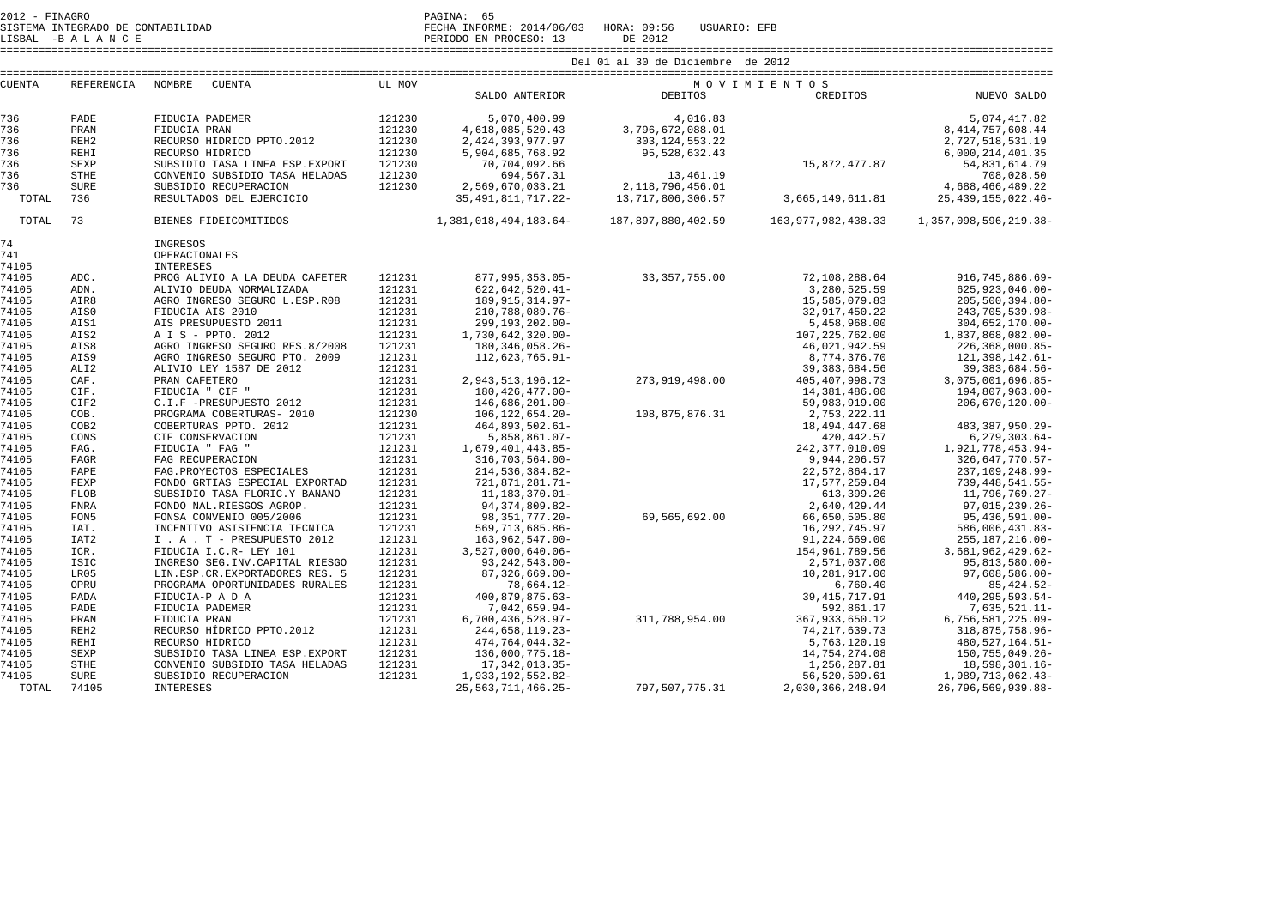| 2012 - FINAGRO |                   |                                    | PAGINA: 65 |                                             |                                   |                                   |                                         |  |  |
|----------------|-------------------|------------------------------------|------------|---------------------------------------------|-----------------------------------|-----------------------------------|-----------------------------------------|--|--|
|                |                   |                                    |            |                                             |                                   |                                   |                                         |  |  |
|                |                   |                                    |            |                                             | Del 01 al 30 de Diciembre de 2012 |                                   |                                         |  |  |
| <b>CUENTA</b>  | <b>REFERENCIA</b> | NOMBRE<br><b>CUENTA</b>            | UL MOV     |                                             | MOVIMIENTOS                       |                                   |                                         |  |  |
|                |                   |                                    |            | SALDO ANTERIOR                              | <b>DEBITOS</b>                    | CREDITOS                          | NUEVO SALDO                             |  |  |
| 736            | PADE              | FIDUCIA PADEMER                    | 121230     | 5,070,400.99                                | 4,016.83                          |                                   | 5,074,417.82                            |  |  |
| 736            | PRAN              | FIDUCIA PRAN                       | 121230     | 4,618,085,520.43                            | 3,796,672,088.01                  |                                   | 8, 414, 757, 608.44                     |  |  |
| 736            | REH <sub>2</sub>  | RECURSO HÍDRICO PPTO.2012          | 121230     | 2, 424, 393, 977.97                         | 303, 124, 553. 22                 |                                   | 2,727,518,531.19                        |  |  |
| 736            | <b>REHI</b>       | RECURSO HIDRICO                    | 121230     | 5,904,685,768.92                            | 95,528,632.43                     |                                   | 6,000,214,401.35                        |  |  |
| 736            | <b>SEXP</b>       | SUBSIDIO TASA LINEA ESP. EXPORT    | 121230     | 70,704,092.66                               |                                   | 15,872,477.87                     | 54,831,614.79                           |  |  |
| 736            | <b>STHE</b>       | CONVENIO SUBSIDIO TASA HELADAS     | 121230     | 694,567.31                                  | 13,461.19                         |                                   | 708,028.50                              |  |  |
| 736            | <b>SURE</b>       | SUBSIDIO RECUPERACION              | 121230     | 2,569,670,033.21                            | 2, 118, 796, 456.01               |                                   | 4,688,466,489.22                        |  |  |
| TOTAL          | 736               | RESULTADOS DEL EJERCICIO           |            | 35, 491, 811, 717. 22-                      | 13,717,806,306.57                 | 3,665,149,611.81                  | 25, 439, 155, 022. 46-                  |  |  |
| TOTAL          | 73                | BIENES FIDEICOMITIDOS              |            | 1,381,018,494,183.64-                       | 187,897,880,402.59                | 163, 977, 982, 438.33             | 1, 357, 098, 596, 219. 38-              |  |  |
| 74             |                   | INGRESOS                           |            |                                             |                                   |                                   |                                         |  |  |
| 741            |                   | OPERACIONALES                      |            |                                             |                                   |                                   |                                         |  |  |
| 74105          |                   | <b>INTERESES</b>                   |            |                                             |                                   |                                   |                                         |  |  |
| 74105          | ADC.              | PROG ALIVIO A LA DEUDA CAFETER     | 121231     | 877,995,353.05-                             | 33, 357, 755.00                   | 72,108,288.64                     | 916, 745, 886.69-                       |  |  |
| 74105          | ADN.              | ALIVIO DEUDA NORMALIZADA           | 121231     | $622, 642, 520.41 -$                        |                                   | 3,280,525.59                      | $625.923.046.00 -$                      |  |  |
| 74105          | AIR8              | AGRO INGRESO SEGURO L.ESP.R08      | 121231     | 189, 915, 314. 97-                          |                                   | 15,585,079.83                     | $205, 500, 394.80 -$                    |  |  |
| 74105          | AIS0              | FIDUCIA AIS 2010                   | 121231     | 210,788,089.76-                             |                                   | 32,917,450.22                     | 243, 705, 539.98-                       |  |  |
| 74105          | AIS1              | AIS PRESUPUESTO 2011               | 121231     | 299, 193, 202.00-                           |                                   | 5,458,968.00                      | $304,652,170.00 -$                      |  |  |
| 74105          | AIS2              | A I S - PPTO. 2012                 | 121231     | 1,730,642,320.00-                           |                                   | 107,225,762.00                    | 1,837,868,082.00-                       |  |  |
| 74105          | AIS8              | AGRO INGRESO SEGURO RES.8/2008     | 121231     | 180, 346, 058. 26-                          |                                   | 46,021,942.59                     | $226, 368, 000.85 -$                    |  |  |
| 74105          | AIS9              | AGRO INGRESO SEGURO PTO. 2009      | 121231     | 112,623,765.91-                             |                                   | 8,774,376.70                      | 121, 398, 142.61-                       |  |  |
| 74105          | ALI <sub>2</sub>  | ALIVIO LEY 1587 DE 2012            | 121231     |                                             |                                   | 39, 383, 684.56                   | 39, 383, 684.56-                        |  |  |
| 74105          | CAF.              | PRAN CAFETERO                      | 121231     | 2, 943, 513, 196. 12-                       | 273,919,498.00                    | 405, 407, 998.73                  | 3,075,001,696.85-                       |  |  |
| 74105          | CIF.              | FIDUCIA " CIF "                    | 121231     | 180, 426, 477.00-                           |                                   | 14,381,486.00                     | 194,807,963.00-                         |  |  |
| 74105          | CIF2              | C.I.F -PRESUPUESTO 2012            | 121231     | 146,686,201.00-                             |                                   | 59,983,919.00                     | $206,670,120.00 -$                      |  |  |
| 74105          | COB.              | PROGRAMA COBERTURAS- 2010          | 121230     | $106, 122, 654.20 -$                        | 108,875,876.31                    | 2,753,222.11                      |                                         |  |  |
| 74105          | COB2              | COBERTURAS PPTO. 2012              | 121231     | $464,893,502.61-$                           |                                   | 18, 494, 447.68                   | 483, 387, 950. 29-                      |  |  |
| 74105          | CONS              | CIF CONSERVACION                   | 121231     | $5,858,861.07 -$                            |                                   | 420, 442.57                       | $6, 279, 303.64 -$                      |  |  |
| 74105          | FAG.              | FIDUCIA " FAG "                    | 121231     | 1,679,401,443.85-                           |                                   | 242, 377, 010.09                  | 1,921,778,453.94-                       |  |  |
| 74105          | FAGR              | FAG RECUPERACION                   | 121231     | 316,703,564.00-                             |                                   | 9,944,206.57                      | 326, 647, 770. 57-                      |  |  |
| 74105          | FAPE              | FAG. PROYECTOS ESPECIALES          | 121231     | 214,536,384.82-                             |                                   | 22,572,864.17                     | 237,109,248.99-                         |  |  |
| 74105          | FEXP              | FONDO GRTIAS ESPECIAL EXPORTAD     | 121231     | 721,871,281.71-                             |                                   | 17,577,259.84                     | 739, 448, 541.55-                       |  |  |
| 74105          | <b>FLOB</b>       | SUBSIDIO TASA FLORIC.Y BANANO      | 121231     | 11, 183, 370.01-                            |                                   | 613, 399.26                       | 11,796,769.27-                          |  |  |
| 74105          | <b>FNRA</b>       | FONDO NAL.RIESGOS AGROP.           | 121231     | 94, 374, 809. 82-                           |                                   | 2,640,429.44                      | 97,015,239.26-                          |  |  |
| 74105          | FON5              | FONSA CONVENIO 005/2006            | 121231     | 98, 351, 777. 20-                           | 69,565,692.00                     | 66,650,505.80                     | $95,436,591.00 -$                       |  |  |
| 74105          | IAT.              | INCENTIVO ASISTENCIA TECNICA       | 121231     | 569, 713, 685.86-                           |                                   | 16,292,745.97                     | 586,006,431.83-                         |  |  |
| 74105          | IAT <sub>2</sub>  | I . A . T - PRESUPUESTO 2012       | 121231     | $163, 962, 547.00 -$                        |                                   | 91,224,669.00                     | 255, 187, 216.00-                       |  |  |
| 74105          | ICR.              | FIDUCIA I.C.R- LEY 101             | 121231     | $3,527,000,640.06 -$                        |                                   | 154,961,789.56                    | 3,681,962,429.62-                       |  |  |
| 74105          | <b>ISIC</b>       | INGRESO SEG. INV. CAPITAL RIESGO   | 121231     | $93, 242, 543.00 -$                         |                                   | 2,571,037.00                      | 95,813,580.00-                          |  |  |
| 74105          | LR05              | LIN.ESP.CR.EXPORTADORES RES. 5     | 121231     | $87,326,669.00 -$                           |                                   | 10,281,917.00                     | $97,608,586.00 -$                       |  |  |
| 74105          | OPRU              | PROGRAMA OPORTUNIDADES RURALES     | 121231     | 78,664.12-                                  |                                   | 6,760.40                          | 85, 424.52-                             |  |  |
| 74105          | PADA              | FIDUCIA-P A D A                    | 121231     | 400,879,875.63-                             |                                   | 39, 415, 717.91                   | 440, 295, 593.54-                       |  |  |
| 74105          | PADE              | FIDUCIA PADEMER                    | 121231     | $7,042,659.94-$                             |                                   | 592,861.17                        | 7,635,521.11-                           |  |  |
| 74105          | PRAN              | FIDUCIA PRAN                       | 121231     | $6,700,436,528.97-$                         | 311,788,954.00                    | 367, 933, 650.12                  | 6,756,581,225.09-                       |  |  |
| 74105          | REH <sub>2</sub>  | RECURSO HÍDRICO PPTO.2012          | 121231     | 244,658,119.23-                             |                                   | 74, 217, 639. 73                  | 318,875,758.96-                         |  |  |
| 74105          | REHI              | RECURSO HIDRICO                    | 121231     | 474,764,044.32-                             |                                   | 5,763,120.19                      | 480, 527, 164. 51-                      |  |  |
| 74105          | SEXP              | SUBSIDIO TASA LINEA ESP. EXPORT    | 121231     | 136,000,775.18-                             |                                   | 14,754,274.08                     | 150, 755, 049. 26-                      |  |  |
|                | <b>STHE</b>       | CONVENIO SUBSIDIO TASA HELADAS     |            |                                             |                                   |                                   |                                         |  |  |
| 74105<br>74105 |                   |                                    | 121231     | 17, 342, 013.35-                            |                                   | 1,256,287.81                      | 18,598,301.16-                          |  |  |
| TOTAL          | SURE<br>74105     | SUBSIDIO RECUPERACION<br>INTERESES | 121231     | 1,933,192,552.82-<br>25, 563, 711, 466. 25- | 797,507,775.31                    | 56,520,509.61<br>2,030,366,248.94 | 1,989,713,062.43-<br>26,796,569,939.88- |  |  |
|                |                   |                                    |            |                                             |                                   |                                   |                                         |  |  |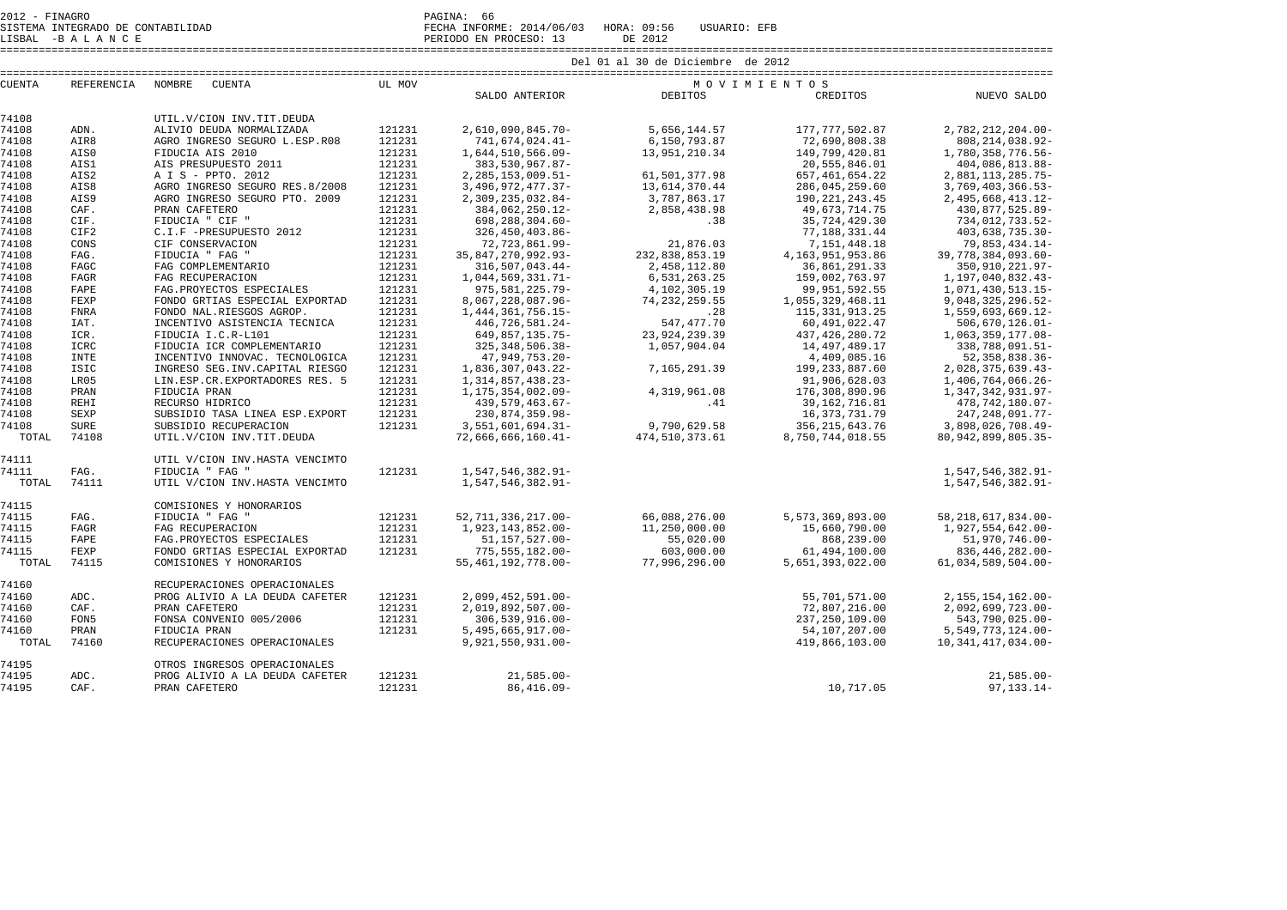SISTEMA INTEGRADO DE CONTABILIDAD FECHA INFORME: 2014/06/03 HORA: 09:56 USUARIO: EFB

LISBAL -B A L A N C E PERIODO EN PROCESO: 13 DE 2012

|               |             |                                  | Del 01 al 30 de Diciembre de 2012 |                         |                 |                     |                        |  |  |
|---------------|-------------|----------------------------------|-----------------------------------|-------------------------|-----------------|---------------------|------------------------|--|--|
| <b>CUENTA</b> | REFERENCIA  | NOMBRE<br><b>CUENTA</b>          | UL MOV<br>MOVIMIENTOS             |                         |                 |                     |                        |  |  |
|               |             |                                  |                                   | SALDO ANTERIOR          | <b>DEBITOS</b>  | CREDITOS            | NUEVO SALDO            |  |  |
| 74108         |             | UTIL.V/CION INV.TIT.DEUDA        |                                   |                         |                 |                     |                        |  |  |
| 74108         | ADN.        | ALIVIO DEUDA NORMALIZADA         | 121231                            | 2,610,090,845.70-       | 5,656,144.57    | 177, 777, 502.87    | 2,782,212,204.00-      |  |  |
| 74108         | AIR8        | AGRO INGRESO SEGURO L.ESP.R08    | 121231                            | 741,674,024.41-         | 6,150,793.87    | 72,690,808.38       | 808, 214, 038.92-      |  |  |
| 74108         | AIS0        | FIDUCIA AIS 2010                 | 121231                            | 1,644,510,566.09-       | 13,951,210.34   | 149,799,420.81      | 1,780,358,776.56-      |  |  |
| 74108         | AIS1        | AIS PRESUPUESTO 2011             | 121231                            | 383,530,967.87-         |                 | 20,555,846.01       | 404,086,813.88-        |  |  |
| 74108         | AIS2        | A I S - PPTO. 2012               | 121231                            | $2, 285, 153, 009.51 -$ | 61,501,377.98   | 657, 461, 654.22    | 2,881,113,285.75-      |  |  |
| 74108         | AIS8        | AGRO INGRESO SEGURO RES.8/2008   | 121231                            | 3, 496, 972, 477. 37-   | 13,614,370.44   | 286,045,259.60      | 3,769,403,366.53-      |  |  |
| 74108         | AIS9        | AGRO INGRESO SEGURO PTO. 2009    | 121231                            | 2,309,235,032.84-       | 3,787,863.17    | 190, 221, 243.45    | 2,495,668,413.12-      |  |  |
| 74108         | CAF.        | PRAN CAFETERO                    | 121231                            | 384,062,250.12-         | 2,858,438.98    | 49,673,714.75       | 430,877,525.89-        |  |  |
| 74108         | CIF.        | FIDUCIA " CIF "                  | 121231                            | 698,288,304.60-         | .38             | 35,724,429.30       | 734,012,733.52-        |  |  |
| 74108         | CIF2        | C.I.F -PRESUPUESTO 2012          | 121231                            | 326, 450, 403.86-       |                 | 77,188,331.44       | 403,638,735.30-        |  |  |
| 74108         | CONS        | CIF CONSERVACION                 | 121231                            | 72,723,861.99-          | 21,876.03       | 7,151,448.18        | 79,853,434.14-         |  |  |
| 74108         | FAG.        | FIDUCIA " FAG "                  | 121231                            | 35, 847, 270, 992. 93-  | 232,838,853.19  | 4, 163, 951, 953.86 | 39,778,384,093.60-     |  |  |
| 74108         | FAGC        | FAG COMPLEMENTARIO               | 121231                            | $316, 507, 043.44 -$    | 2,458,112.80    | 36,861,291.33       | 350, 910, 221.97-      |  |  |
| 74108         | <b>FAGR</b> | FAG RECUPERACION                 | 121231                            | 1,044,569,331.71-       | 6,531,263.25    | 159,002,763.97      | 1,197,040,832.43-      |  |  |
| 74108         | FAPE        | FAG. PROYECTOS ESPECIALES        | 121231                            | 975, 581, 225. 79-      | 4,102,305.19    | 99, 951, 592.55     | 1,071,430,513.15-      |  |  |
| 74108         | FEXP        | FONDO GRTIAS ESPECIAL EXPORTAD   | 121231                            | 8,067,228,087.96-       | 74, 232, 259.55 | 1,055,329,468.11    | 9,048,325,296.52-      |  |  |
| 74108         | <b>FNRA</b> | FONDO NAL.RIESGOS AGROP.         | 121231                            | 1, 444, 361, 756. 15-   | .28             | 115, 331, 913. 25   | 1,559,693,669.12-      |  |  |
| 74108         | IAT.        | INCENTIVO ASISTENCIA TECNICA     | 121231                            | 446,726,581.24-         | 547, 477. 70    | 60,491,022.47       | $506,670,126.01 -$     |  |  |
| 74108         | ICR.        | FIDUCIA I.C.R-L101               | 121231                            | 649,857,135.75-         | 23, 924, 239.39 | 437, 426, 280. 72   | 1,063,359,177.08-      |  |  |
| 74108         | ICRC        | FIDUCIA ICR COMPLEMENTARIO       | 121231                            | 325, 348, 506. 38-      | 1,057,904.04    | 14,497,489.17       | 338,788,091.51-        |  |  |
| 74108         | <b>INTE</b> | INCENTIVO INNOVAC. TECNOLOGICA   | 121231                            | 47,949,753.20-          |                 | 4,409,085.16        | 52, 358, 838.36-       |  |  |
| 74108         | ISIC        | INGRESO SEG. INV. CAPITAL RIESGO | 121231                            | 1,836,307,043.22-       | 7,165,291.39    | 199, 233, 887.60    | 2,028,375,639.43-      |  |  |
| 74108         | LR05        | LIN.ESP.CR.EXPORTADORES RES. 5   | 121231                            | 1, 314, 857, 438. 23-   |                 | 91,906,628.03       | 1,406,764,066.26-      |  |  |
| 74108         | PRAN        | FIDUCIA PRAN                     | 121231                            | 1, 175, 354, 002.09-    | 4,319,961.08    | 176,308,890.96      | 1, 347, 342, 931.97-   |  |  |
| 74108         | REHI        | RECURSO HIDRICO                  | 121231                            | 439,579,463.67-         | .41             | 39,162,716.81       | 478,742,180.07-        |  |  |
| 74108         | SEXP        | SUBSIDIO TASA LINEA ESP. EXPORT  | 121231                            | 230,874,359.98-         |                 | 16,373,731.79       | 247, 248, 091.77-      |  |  |
| 74108         | <b>SURE</b> | SUBSIDIO RECUPERACION            | 121231                            | 3,551,601,694.31-       | 9,790,629.58    | 356, 215, 643.76    | 3,898,026,708.49-      |  |  |
| TOTAL         | 74108       | UTIL. V/CION INV. TIT. DEUDA     |                                   | $72,666,666,160.41-$    | 474,510,373.61  | 8,750,744,018.55    | 80, 942, 899, 805. 35- |  |  |
|               |             |                                  |                                   |                         |                 |                     |                        |  |  |
| 74111         |             | UTIL V/CION INV. HASTA VENCIMTO  |                                   |                         |                 |                     |                        |  |  |
| 74111         | FAG.        | FIDUCIA " FAG "                  | 121231                            | 1,547,546,382.91-       |                 |                     | 1,547,546,382.91-      |  |  |
| TOTAL         | 74111       | UTIL V/CION INV. HASTA VENCIMTO  |                                   | 1,547,546,382.91-       |                 |                     | 1,547,546,382.91-      |  |  |
| 74115         |             | COMISIONES Y HONORARIOS          |                                   |                         |                 |                     |                        |  |  |
| 74115         | FAG.        | FIDUCIA " FAG "                  | 121231                            | 52, 711, 336, 217.00-   | 66,088,276.00   | 5,573,369,893.00    | 58, 218, 617, 834.00-  |  |  |
| 74115         | <b>FAGR</b> | FAG RECUPERACION                 | 121231                            | 1,923,143,852.00-       | 11,250,000.00   | 15,660,790.00       | 1,927,554,642.00-      |  |  |
| 74115         | FAPE        | FAG. PROYECTOS ESPECIALES        | 121231                            | 51, 157, 527.00-        | 55,020.00       | 868,239.00          | 51,970,746.00-         |  |  |
| 74115         | FEXP        | FONDO GRTIAS ESPECIAL EXPORTAD   | 121231                            | 775, 555, 182.00-       | 603,000.00      | 61,494,100.00       | 836, 446, 282.00-      |  |  |
| TOTAL         | 74115       | COMISIONES Y HONORARIOS          |                                   | 55, 461, 192, 778.00-   | 77,996,296.00   | 5,651,393,022.00    | $61,034,589,504.00 -$  |  |  |
|               |             |                                  |                                   |                         |                 |                     |                        |  |  |
| 74160         |             | RECUPERACIONES OPERACIONALES     |                                   |                         |                 |                     |                        |  |  |
| 74160         | ADC.        | PROG ALIVIO A LA DEUDA CAFETER   | 121231                            | 2,099,452,591.00-       |                 | 55,701,571.00       | 2, 155, 154, 162.00-   |  |  |
| 74160         | CAF.        | PRAN CAFETERO                    | 121231                            | 2,019,892,507.00-       |                 | 72,807,216.00       | 2,092,699,723.00-      |  |  |
| 74160         | FON5        | FONSA CONVENIO 005/2006          | 121231                            | $306, 539, 916.00 -$    |                 | 237, 250, 109.00    | 543,790,025.00-        |  |  |
| 74160         | PRAN        | FIDUCIA PRAN                     | 121231                            | $5,495,665,917.00 -$    |                 | 54,107,207.00       | $5,549,773,124.00 -$   |  |  |
| TOTAL         | 74160       | RECUPERACIONES OPERACIONALES     |                                   | $9,921,550,931.00 -$    |                 | 419,866,103.00      | 10, 341, 417, 034.00-  |  |  |
| 74195         |             | OTROS INGRESOS OPERACIONALES     |                                   |                         |                 |                     |                        |  |  |
| 74195         | ADC.        | PROG ALIVIO A LA DEUDA CAFETER   | 121231                            | $21,585.00 -$           |                 |                     | $21,585.00 -$          |  |  |
| 74195         | CAF.        | PRAN CAFETERO                    | 121231                            | $86,416.09 -$           |                 | 10,717.05           | $97, 133.14 -$         |  |  |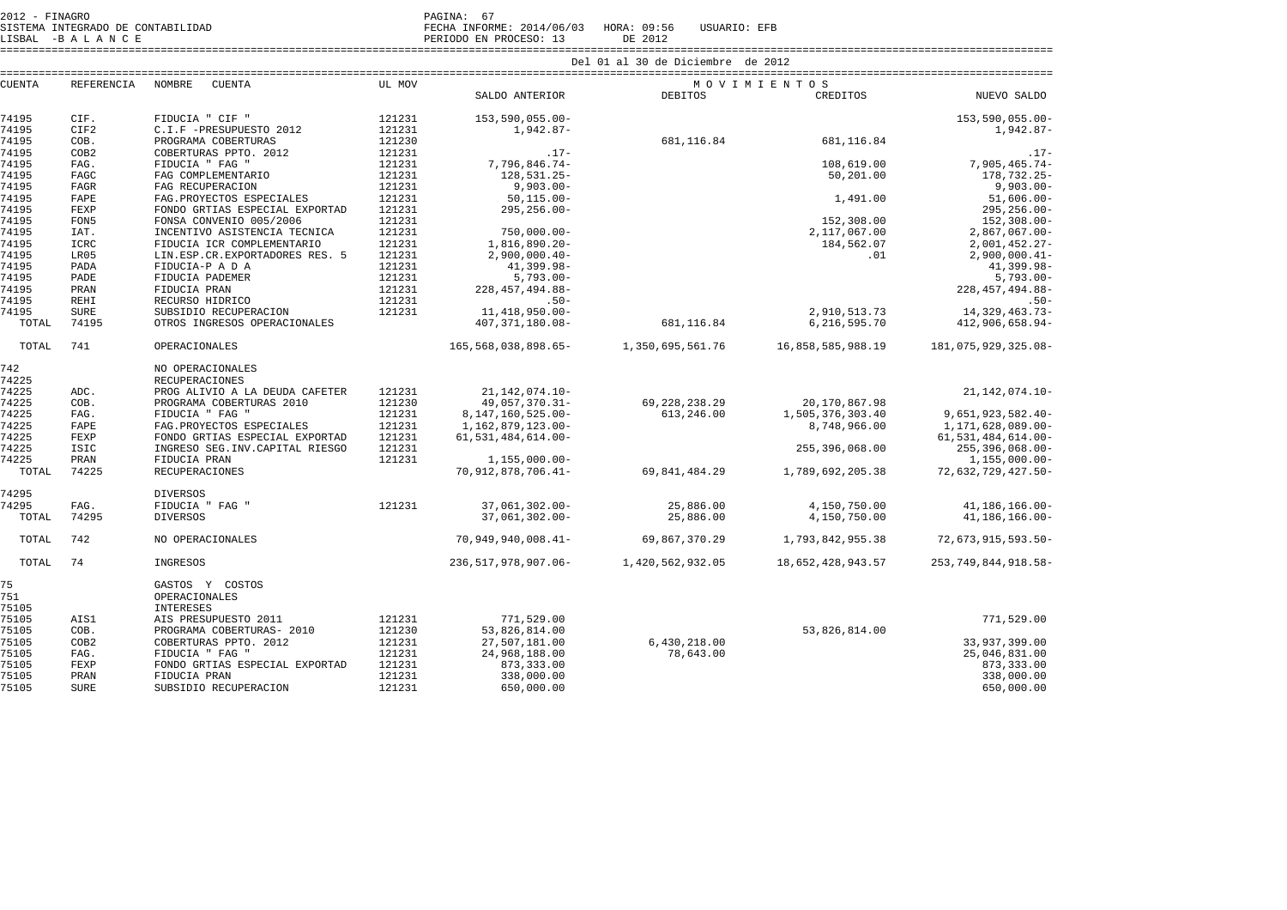|               |                  |                                  | Del 01 al 30 de Diciembre de 2012 |                         |                  |                   |                         |  |  |  |  |  |
|---------------|------------------|----------------------------------|-----------------------------------|-------------------------|------------------|-------------------|-------------------------|--|--|--|--|--|
| <b>CUENTA</b> | REFERENCIA       | NOMBRE<br>CUENTA                 | UL MOV                            |                         | MOVIMIENTOS      |                   |                         |  |  |  |  |  |
|               |                  |                                  |                                   | SALDO ANTERIOR          | <b>DEBITOS</b>   | CREDITOS          | NUEVO SALDO             |  |  |  |  |  |
| 74195         | CIF.             | FIDUCIA " CIF "                  | 121231                            | 153,590,055.00-         |                  |                   | 153,590,055.00-         |  |  |  |  |  |
| 74195         | CIF2             | C.I.F -PRESUPUESTO 2012          | 121231                            | 1,942.87-               |                  |                   | 1,942.87-               |  |  |  |  |  |
| 74195         | COB.             | PROGRAMA COBERTURAS              | 121230                            |                         | 681,116.84       | 681, 116.84       |                         |  |  |  |  |  |
| 74195         | COB2             | COBERTURAS PPTO. 2012            | 121231                            | $.17-$                  |                  |                   | $.17-$                  |  |  |  |  |  |
| 74195         | FAG.             | FIDUCIA " FAG "                  | 121231                            | 7,796,846.74-           |                  | 108,619.00        | $7,905,465.74-$         |  |  |  |  |  |
| 74195         | FAGC             | FAG COMPLEMENTARIO               | 121231                            | $128.531.25 -$          |                  | 50,201.00         | 178,732.25-             |  |  |  |  |  |
| 74195         | <b>FAGR</b>      | FAG RECUPERACION                 | 121231                            | $9,903.00 -$            |                  |                   | $9,903.00 -$            |  |  |  |  |  |
| 74195         | FAPE             | FAG. PROYECTOS ESPECIALES        | 121231                            | $50, 115.00 -$          |                  | 1,491.00          | $51,606.00 -$           |  |  |  |  |  |
| 74195         | FEXP             | FONDO GRTIAS ESPECIAL EXPORTAD   | 121231                            | $295, 256.00 -$         |                  |                   | $295, 256.00 -$         |  |  |  |  |  |
| 74195         | FON5             | FONSA CONVENIO 005/2006          | 121231                            |                         |                  | 152,308.00        | $152, 308.00 -$         |  |  |  |  |  |
| 74195         | IAT.             | INCENTIVO ASISTENCIA TECNICA     | 121231                            | $750,000.00 -$          |                  | 2,117,067.00      | $2,867,067.00 -$        |  |  |  |  |  |
| 74195         | ICRC             | FIDUCIA ICR COMPLEMENTARIO       | 121231                            | 1,816,890.20-           |                  | 184,562.07        | $2,001,452.27-$         |  |  |  |  |  |
| 74195         | LR05             | LIN.ESP.CR.EXPORTADORES RES. 5   | 121231                            | $2,900,000.40-$         |                  | .01               | $2,900,000.41-$         |  |  |  |  |  |
| 74195         | PADA             | FIDUCIA-P A D A                  | 121231                            | $41,399.98 -$           |                  |                   | $41,399.98 -$           |  |  |  |  |  |
| 74195         | PADE             | FIDUCIA PADEMER                  | 121231                            | $5,793.00 -$            |                  |                   | $5,793.00 -$            |  |  |  |  |  |
| 74195         | PRAN             | FIDUCIA PRAN                     | 121231                            | 228, 457, 494.88-       |                  |                   | 228, 457, 494.88-       |  |  |  |  |  |
| 74195         | REHI             | RECURSO HIDRICO                  | 121231                            | $.50 -$                 |                  |                   | $.50 -$                 |  |  |  |  |  |
| 74195         | <b>SURE</b>      | SUBSIDIO RECUPERACION            | 121231                            | 11, 418, 950.00-        |                  | 2,910,513.73      | 14,329,463.73-          |  |  |  |  |  |
| TOTAL         | 74195            | OTROS INGRESOS OPERACIONALES     |                                   | 407, 371, 180.08-       | 681,116.84       | 6,216,595.70      | 412,906,658.94-         |  |  |  |  |  |
| TOTAL         | 741              | <b>OPERACIONALES</b>             |                                   | 165, 568, 038, 898. 65- | 1,350,695,561.76 | 16,858,585,988.19 | 181,075,929,325.08-     |  |  |  |  |  |
| 742           |                  | NO OPERACIONALES                 |                                   |                         |                  |                   |                         |  |  |  |  |  |
| 74225         |                  | <b>RECUPERACIONES</b>            |                                   |                         |                  |                   |                         |  |  |  |  |  |
| 74225         | ADC.             | PROG ALIVIO A LA DEUDA CAFETER   | 121231                            | 21, 142, 074. 10-       |                  |                   | $21, 142, 074.10 -$     |  |  |  |  |  |
| 74225         | COB.             | PROGRAMA COBERTURAS 2010         | 121230                            | 49,057,370.31-          | 69, 228, 238. 29 | 20,170,867.98     |                         |  |  |  |  |  |
| 74225         | FAG.             | FIDUCIA " FAG "                  | 121231                            | 8, 147, 160, 525.00-    | 613,246.00       | 1,505,376,303.40  | 9,651,923,582.40-       |  |  |  |  |  |
| 74225         | FAPE             | FAG. PROYECTOS ESPECIALES        | 121231                            | 1,162,879,123.00-       |                  | 8,748,966.00      | 1,171,628,089.00-       |  |  |  |  |  |
| 74225         | FEXP             | FONDO GRTIAS ESPECIAL EXPORTAD   | 121231                            | 61, 531, 484, 614.00-   |                  |                   | 61, 531, 484, 614.00-   |  |  |  |  |  |
| 74225         | ISIC             | INGRESO SEG. INV. CAPITAL RIESGO | 121231                            |                         |                  | 255, 396, 068.00  | 255,396,068.00-         |  |  |  |  |  |
| 74225         | PRAN             | FIDUCIA PRAN                     | 121231                            | 1,155,000.00-           | 69,841,484.29    |                   | $1,155,000.00-$         |  |  |  |  |  |
| TOTAL         | 74225            | <b>RECUPERACIONES</b>            |                                   | 70, 912, 878, 706. 41-  |                  | 1,789,692,205.38  | 72,632,729,427.50-      |  |  |  |  |  |
| 74295         |                  | <b>DIVERSOS</b>                  |                                   |                         |                  |                   |                         |  |  |  |  |  |
| 74295         | FAG.             | FIDUCIA " FAG "                  | 121231                            | 37,061,302.00-          | 25,886.00        | 4,150,750.00      | 41,186,166.00-          |  |  |  |  |  |
| TOTAL         | 74295            | <b>DIVERSOS</b>                  |                                   | 37,061,302.00-          | 25,886.00        | 4,150,750.00      | 41, 186, 166.00-        |  |  |  |  |  |
| TOTAL         | 742              | NO OPERACIONALES                 |                                   | 70,949,940,008.41-      | 69,867,370.29    | 1,793,842,955.38  | 72,673,915,593.50-      |  |  |  |  |  |
| TOTAL         | 74               | INGRESOS                         |                                   | 236,517,978,907.06-     | 1,420,562,932.05 | 18,652,428,943.57 | 253, 749, 844, 918. 58- |  |  |  |  |  |
| 75            |                  | GASTOS Y COSTOS                  |                                   |                         |                  |                   |                         |  |  |  |  |  |
| 751           |                  | OPERACIONALES                    |                                   |                         |                  |                   |                         |  |  |  |  |  |
| 75105         |                  | <b>INTERESES</b>                 |                                   |                         |                  |                   |                         |  |  |  |  |  |
| 75105         | AIS1             | AIS PRESUPUESTO 2011             | 121231                            | 771,529.00              |                  |                   | 771,529.00              |  |  |  |  |  |
| 75105         | COB.             | PROGRAMA COBERTURAS- 2010        | 121230                            | 53,826,814.00           |                  | 53,826,814.00     |                         |  |  |  |  |  |
| 75105         | COB <sub>2</sub> | COBERTURAS PPTO. 2012            | 121231                            | 27,507,181.00           | 6,430,218.00     |                   | 33,937,399.00           |  |  |  |  |  |
| 75105         | FAG.             | FIDUCIA " FAG "                  | 121231                            | 24,968,188.00           | 78,643.00        |                   | 25,046,831.00           |  |  |  |  |  |
| 75105         | FEXP             | FONDO GRTIAS ESPECIAL EXPORTAD   | 121231                            | 873, 333.00             |                  |                   | 873, 333.00             |  |  |  |  |  |
| 75105         | PRAN             | FIDUCIA PRAN                     | 121231                            | 338,000.00              |                  |                   | 338,000.00              |  |  |  |  |  |
| 75105         | <b>SURE</b>      | SUBSIDIO RECUPERACION            | 121231                            | 650,000.00              |                  |                   | 650,000.00              |  |  |  |  |  |

SISTEMA INTEGRADO DE CONTABILIDAD FECHA INFORME: 2014/06/03 HORA: 09:56 USUARIO: EFB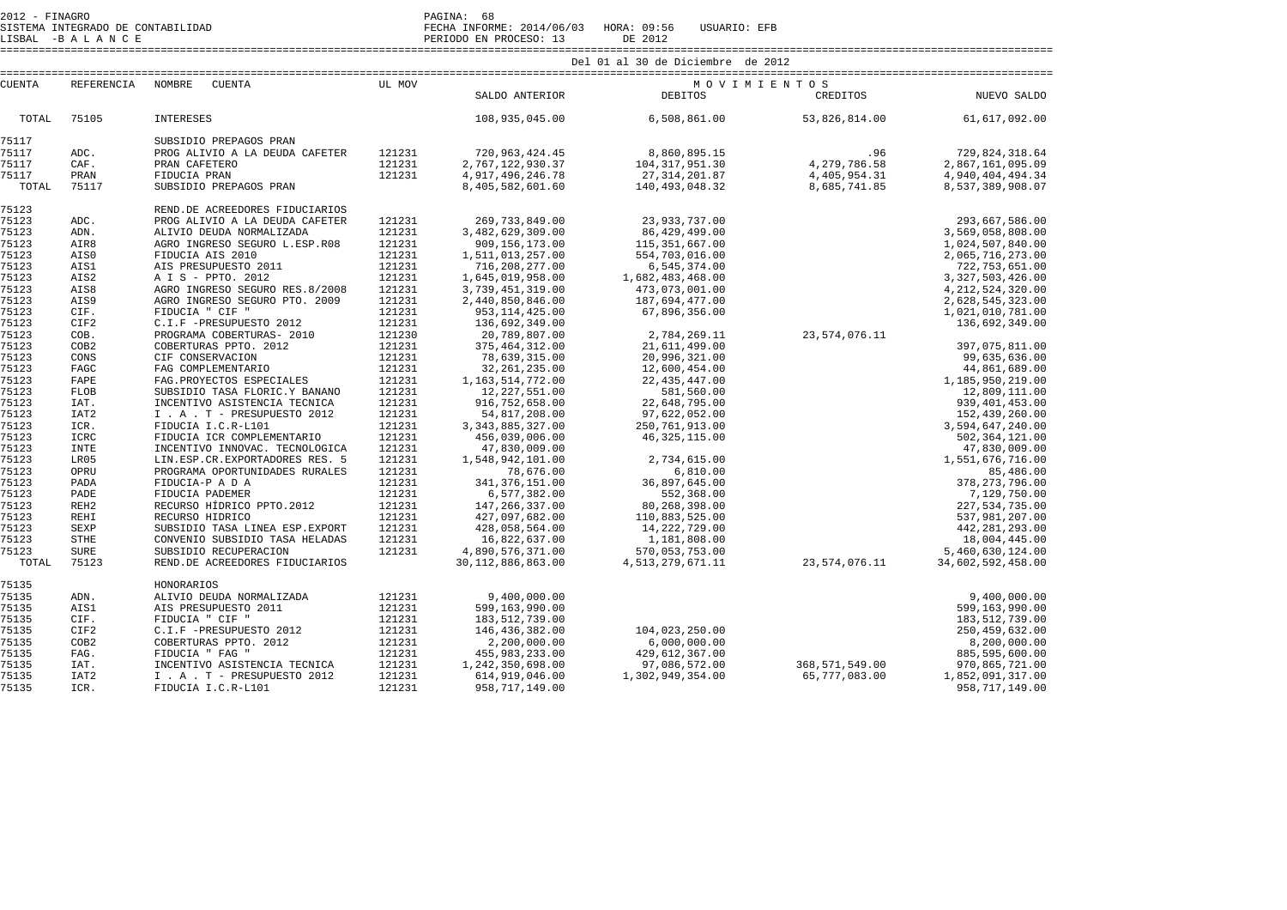SISTEMA INTEGRADO DE CONTABILIDAD FECHA INFORME: 2014/06/03 HORA: 09:56 USUARIO: EFB LISBAL -B A L A N C E PERIODO EN PROCESO: 13 DE 2012 ==================================================================================================================================================================== Del 01 al 30 de Diciembre de 2012 ==================================================================================================================================================================== CUENTA REFERENCIA NOMBRE CUENTA UL MOV M O V I M I E N T O S CREDITOS SALDO ANTERIOR DEBITOS CREDITOS NUEVO SALDO TOTAL 75105 INTERESES 108,935,045.00 6,508,861.00 53,826,814.00 61,617,092.00 75117 SUBSIDIO PREPAGOS PRAN 75117 ADC. PROG\_ALIVIO\_A\_LA\_DEUDA\_CAFETER 121231 720,963,424.45 8,860,895.15 .96 .995.15<br>121231 2,767,122,930.37 104,317,951.30 4,279,786 4,279,786 2,867,161,095.34.31<br>121231 4,405,954.31 4,405,954.31 4,917,496,246.78 121 75123 REND.DE ACREEDORES FIDUCIARIOS 37937,737.00 and and the particle in the state of the state of the state of the state of the state of the state of the state of the state of the state of the state of the state of the state of the state of the state of the 3,569,058,808.00 1,024,507,840.00 2,065,716,273.00 722, 753, 651, 00 3, 327, 503, 426, 00 4, 212, 524, 320.00 75123 AIS8 AGRO INGRESO SEGURO RES.8/2008 121231 3,739,451,319.00 473,073,001.00 4,212,524,320.00 75123 AIS9 AGRO INGRESO SEGURO PTO. 2009 121231 2,440,850,846.00 187,694,477.00 2,628,545,323.00 75123 CIF. FIDUCIA " CIF " 121231 953,114,425.00 67,896,356.00 1,021,010,781.00 75123 CIF2 C.I.F -PRESUPUESTO 2012 121231 136,692,349.00 136,692,349.00 75123 COB. PROGRAMA COBERTURAS- 2010 121230 20,789,807.00 2,784,269.11 23,574,076.11 75123 COB2 COBERTURAS PPTO. 2012 121231 375,464,312.00 21,611,499.00 397,075,811.00 75123 CONS CIF CONSERVACION 121231 78,639,315.00 20,996,321.00 99,635,636.00 75123 FAGC FAG COMPLEMENTARIO 121231 32,261,235.00 12,600,454.00 44,861,689.00 75123 FAPE FAG.PROYECTOS ESPECIALES 121231 1,163,514,772.00 22,435,447.00 1,185,950,219.00 75123 FLOB SUBSIDIO TASA FLORIC.Y BANANO 121231 12,227,551.00 581,560.00 12,809,111.00 75123 IAT. INCENTIVO ASISTENCIA TECNICA 121231 916,752,658.00 22,648,795.00 939,401,453.00 75123 IAT2 I . A . T - PRESUPUESTO 2012 121231 54,817,208.00 97,622,052.00 152,439,260.00 75123 ICR. FIDUCIA I.C.R-L101 121231 3,343,885,327.00 250,761,913.00 3,594,647,240.00 75123 ICRC FIDUCIA ICR COMPLEMENTARIO 121231 456,039,006.00 46,325,115.00 502,364,121.00 75123 INTE INCENTIVO INNOVAC. TECNOLOGICA 121231 47,830,009.00 47,830,009.00 75123 LR05 LIN.ESP.CR.EXPORTADORES RES. 5 121231 1,548,942,101.00 2,734,615.00 1,551,676,716.00 2,628,545,323.00 1.021.010.781.00 136,692,349.00 99,635,636.00 44,861,689.00 1,185,950,219.00 12,809,111.00 939,401,453.00 152,439,260.00 3,594,647,240.00 47,830,009.00 1,551,676,716.00 75123 INTE FIDUCIA ICOMPIDENTALANTO INNOVAC. TECNOLOGICA 121231 47,830,009.00 <sup>40</sup>,525,115.00 <sup>40</sup>,525,115.00 <sup>40</sup>,525,115.00 <sup>40</sup>,525,115.00 <sup>40</sup>,525,115.00 *40,830,009.00* 47,830,009.00 47,830,009.00 47,830,009.00 47,83 378.273.796.00 75123 OPRU PROGRAMA OPORTUNIDADES RURALES 121231 78,676.00<br>75123 PADA FIDUCIA-P A D A 121231 341,376,151.00 7.129.750.00 75123 PADE FIDUCIA PADEMER 121231 6,577,382.00 552,368.00 7,129,750.00<br>
75123 REHI RECURSO HÍDRICO PPTO.2012 121231 427,097,682.00 80,268,398.00 27,534,735.00 27,534,755.00<br>
75123 REHI RECURSO HÍDRICO PTO.2012 121231 427,0 227,534,735.00 537,981,207.00 442, 281, 293.00 18,004,445.00 5,460,630,124.00 4,890,570,0511.00 570,055,753.00<br>30,112,886,863.00 4,513,279,671.11 1 23,574,076.11 30,0112,886,863.00

| 75135 |                  | HONORARIOS                   |        |                  |                  |                |                  |
|-------|------------------|------------------------------|--------|------------------|------------------|----------------|------------------|
| 75135 | ADN.             | ALIVIO DEUDA NORMALIZADA     | 121231 | 9,400,000.00     |                  |                | 9,400,000.00     |
| 75135 | AIS1             | AIS PRESUPUESTO 2011         | 121231 | 599,163,990.00   |                  |                | 599,163,990.00   |
| 75135 | CIF.             | FIDUCIA " CIF "              | 121231 | 183,512,739.00   |                  |                | 183,512,739.00   |
| 75135 | CIF2             | C.I.F -PRESUPUESTO 2012      | 121231 | 146,436,382.00   | 104,023,250.00   |                | 250,459,632.00   |
| 75135 | COB <sub>2</sub> | COBERTURAS PPTO. 2012        | 121231 | 2,200,000.00     | 6.000.000.00     |                | 8,200,000.00     |
| 75135 | FAG.             | FIDUCIA " FAG "              | 121231 | 455,983,233.00   | 429,612,367.00   |                | 885,595,600.00   |
| 75135 | IAT.             | INCENTIVO ASISTENCIA TECNICA | 121231 | 1,242,350,698.00 | 97,086,572.00    | 368,571,549.00 | 970,865,721.00   |
| 75135 | IAT <sub>2</sub> | I . A . T - PRESUPUESTO 2012 | 121231 | 614,919,046.00   | 1,302,949,354.00 | 65,777,083.00  | 1,852,091,317.00 |
| 75135 | ICR.             | FIDUCIA I.C.R-L101           | 121231 | 958,717,149.00   |                  |                | 958,717,149.00   |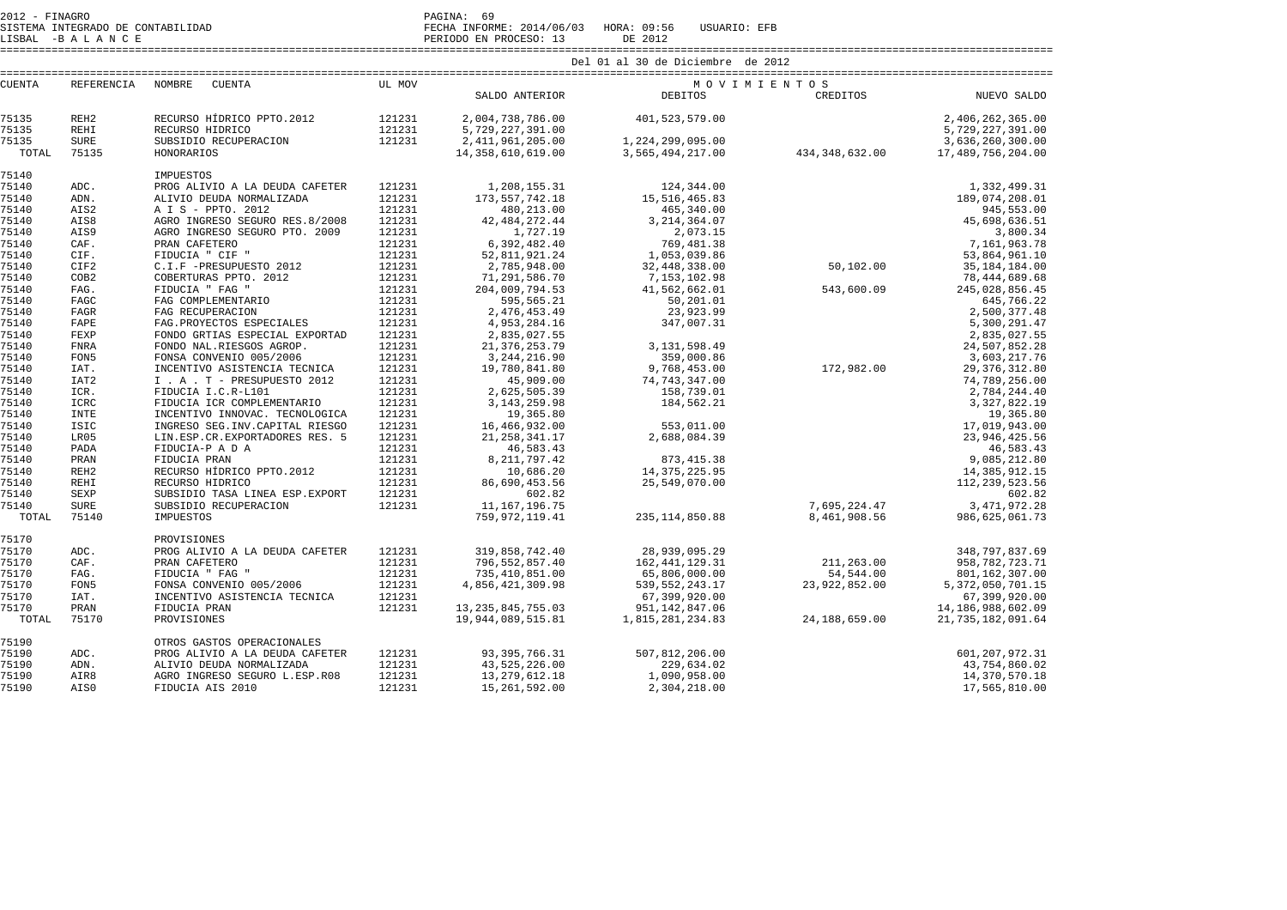SISTEMA INTEGRADO DE CONTABILIDAD FECHA INFORME: 2014/06/03 HORA: 09:56 USUARIO: EFB SISTEMA INTEGRADO DE CONTABILIDAD<br>LISBAL -B A L A N C E PERIODO EN PROCESO: 13 DE 2012

====================================================================================================================================================================

| <b>CUENTA</b> | REFERENCIA       | NOMBRE<br>CUENTA                 | UL MOV |                       | MOVIMIENTOS       |                  |                      |
|---------------|------------------|----------------------------------|--------|-----------------------|-------------------|------------------|----------------------|
|               |                  |                                  |        | SALDO ANTERIOR        | DEBITOS           | CREDITOS         | NUEVO SALDO          |
| 75135         | REH <sub>2</sub> | RECURSO HÍDRICO PPTO.2012 121231 |        | 2,004,738,786.00      | 401, 523, 579.00  |                  | 2,406,262,365.00     |
| 75135         | <b>REHI</b>      | RECURSO HIDRICO                  | 121231 | 5,729,227,391.00      |                   |                  | 5,729,227,391.00     |
| 75135         | <b>SURE</b>      | SUBSIDIO RECUPERACION            | 121231 | 2, 411, 961, 205.00   | 1,224,299,095.00  |                  | 3,636,260,300.00     |
| TOTAL         | 75135            | HONORARIOS                       |        | 14, 358, 610, 619, 00 | 3,565,494,217.00  | 434, 348, 632.00 | 17,489,756,204.00    |
| 75140         |                  | IMPUESTOS                        |        |                       |                   |                  |                      |
| 75140         | ADC.             | PROG ALIVIO A LA DEUDA CAFETER   | 121231 | 1,208,155.31          | 124,344.00        |                  | 1,332,499.31         |
| 75140         | ADN.             | ALIVIO DEUDA NORMALIZADA         | 121231 | 173, 557, 742. 18     | 15,516,465.83     |                  | 189,074,208.01       |
| 75140         | AIS2             | A I S - PPTO. 2012               | 121231 | 480,213.00            | 465,340.00        |                  | 945,553.00           |
| 75140         | AIS8             | AGRO INGRESO SEGURO RES.8/2008   | 121231 | 42, 484, 272. 44      | 3, 214, 364.07    |                  | 45,698,636.51        |
| 75140         | AIS9             | AGRO INGRESO SEGURO PTO. 2009    | 121231 | 1,727.19              | 2,073.15          |                  | 3,800.34             |
| 75140         | CAF.             | PRAN CAFETERO                    | 121231 | 6,392,482.40          | 769,481.38        |                  | 7,161,963.78         |
| 75140         | CIF.             | FIDUCIA " CIF "                  | 121231 | 52,811,921.24         | 1,053,039.86      | 50,102.00        | 53,864,961.10        |
| 75140         | CIF2             | C.I.F -PRESUPUESTO 2012          | 121231 | 2,785,948.00          | 32,448,338.00     |                  | 35, 184, 184.00      |
| 75140         | COB <sub>2</sub> | COBERTURAS PPTO. 2012            | 121231 | 71,291,586.70         | 7,153,102.98      |                  | 78, 444, 689. 68     |
| 75140         | FAG.             | FIDUCIA " FAG "                  | 121231 | 204,009,794.53        | 41,562,662.01     | 543,600.09       | 245,028,856.45       |
| 75140         | FAGC             | FAG COMPLEMENTARIO               | 121231 | 595,565.21            | 50,201.01         |                  | 645,766.22           |
| 75140         | FAGR             | FAG RECUPERACION                 | 121231 | 2, 476, 453.49        | 23,923.99         |                  | 2,500,377.48         |
| 75140         | FAPE             | FAG. PROYECTOS ESPECIALES        | 121231 | 4,953,284.16          | 347,007.31        |                  | 5,300,291.47         |
| 75140         | FEXP             | FONDO GRTIAS ESPECIAL EXPORTAD   | 121231 | 2,835,027.55          |                   |                  | 2,835,027.55         |
| 75140         | <b>FNRA</b>      | FONDO NAL.RIESGOS AGROP.         | 121231 | 21, 376, 253.79       | 3, 131, 598.49    |                  | 24,507,852.28        |
| 75140         | FON5             | FONSA CONVENIO 005/2006          | 121231 | 3, 244, 216.90        | 359,000.86        |                  | 3,603,217.76         |
| 75140         | IAT.             | INCENTIVO ASISTENCIA TECNICA     | 121231 | 19,780,841.80         | 9,768,453.00      | 172,982.00       | 29, 376, 312.80      |
| 75140         | IAT <sub>2</sub> | I . A . T - PRESUPUESTO 2012     | 121231 | 45,909.00             | 74, 743, 347.00   |                  | 74,789,256.00        |
| 75140         | ICR.             | FIDUCIA I.C.R-L101               | 121231 | 2,625,505.39          | 158,739.01        |                  | 2,784,244.40         |
| 75140         | ICRC             | FIDUCIA ICR COMPLEMENTARIO       | 121231 | 3, 143, 259.98        | 184,562.21        |                  | 3, 327, 822.19       |
| 75140         | <b>INTE</b>      | INCENTIVO INNOVAC. TECNOLOGICA   | 121231 | 19,365.80             |                   |                  | 19,365.80            |
| 75140         | ISIC             | INGRESO SEG. INV. CAPITAL RIESGO | 121231 | 16,466,932.00         | 553,011.00        |                  | 17,019,943.00        |
| 75140         | LR05             | LIN.ESP.CR.EXPORTADORES RES. 5   | 121231 | 21, 258, 341.17       | 2,688,084.39      |                  | 23, 946, 425.56      |
| 75140         | PADA             | FIDUCIA-P A D A                  | 121231 | 46,583.43             |                   |                  | 46,583.43            |
| 75140         | PRAN             | FIDUCIA PRAN                     | 121231 | 8, 211, 797.42        | 873, 415.38       |                  | 9,085,212.80         |
| 75140         | REH <sub>2</sub> | RECURSO HÍDRICO PPTO.2012        | 121231 | 10,686.20             | 14, 375, 225.95   |                  | 14, 385, 912. 15     |
| 75140         | <b>REHI</b>      | RECURSO HIDRICO                  | 121231 | 86,690,453.56         | 25,549,070.00     |                  | 112, 239, 523.56     |
| 75140         | SEXP             | SUBSIDIO TASA LINEA ESP. EXPORT  | 121231 | 602.82                |                   |                  | 602.82               |
| 75140         | <b>SURE</b>      | SUBSIDIO RECUPERACION            | 121231 | 11,167,196.75         |                   | 7,695,224.47     | 3, 471, 972.28       |
| TOTAL         | 75140            | IMPUESTOS                        |        | 759, 972, 119.41      | 235, 114, 850.88  | 8,461,908.56     | 986,625,061.73       |
| 75170         |                  | PROVISIONES                      |        |                       |                   |                  |                      |
| 75170         | ADC.             | PROG ALIVIO A LA DEUDA CAFETER   | 121231 | 319,858,742.40        | 28,939,095.29     |                  | 348,797,837.69       |
| 75170         | CAF.             | PRAN CAFETERO                    | 121231 | 796,552,857.40        | 162, 441, 129. 31 | 211,263.00       | 958, 782, 723. 71    |
| 75170         | FAG.             | FIDUCIA " FAG "                  | 121231 | 735,410,851.00        | 65,806,000.00     | 54,544.00        | 801,162,307.00       |
| 75170         | FON5             | FONSA CONVENIO 005/2006          | 121231 | 4,856,421,309.98      | 539, 552, 243.17  | 23,922,852.00    | 5, 372, 050, 701.15  |
| 75170         | IAT.             | INCENTIVO ASISTENCIA TECNICA     | 121231 |                       | 67,399,920.00     |                  | 67,399,920.00        |
| 75170         | PRAN             | FIDUCIA PRAN                     | 121231 | 13, 235, 845, 755.03  | 951, 142, 847.06  | 24,188,659.00    | 14, 186, 988, 602.09 |
| TOTAL         | 75170            | PROVISIONES                      |        | 19,944,089,515.81     | 1,815,281,234.83  |                  | 21, 735, 182, 091.64 |
| 75190         |                  | OTROS GASTOS OPERACIONALES       |        |                       |                   |                  |                      |
| 75190         | ADC.             | PROG ALIVIO A LA DEUDA CAFETER   | 121231 | 93, 395, 766. 31      | 507,812,206.00    |                  | 601, 207, 972.31     |
| 75190         | ADN.             | ALIVIO DEUDA NORMALIZADA         | 121231 | 43,525,226.00         | 229,634.02        |                  | 43,754,860.02        |
| 75190         | AIR8             | AGRO INGRESO SEGURO L.ESP.R08    | 121231 | 13, 279, 612.18       | 1,090,958.00      |                  | 14,370,570.18        |
| 75190         | AIS0             | FIDUCIA AIS 2010                 | 121231 | 15, 261, 592.00       | 2,304,218.00      |                  | 17,565,810.00        |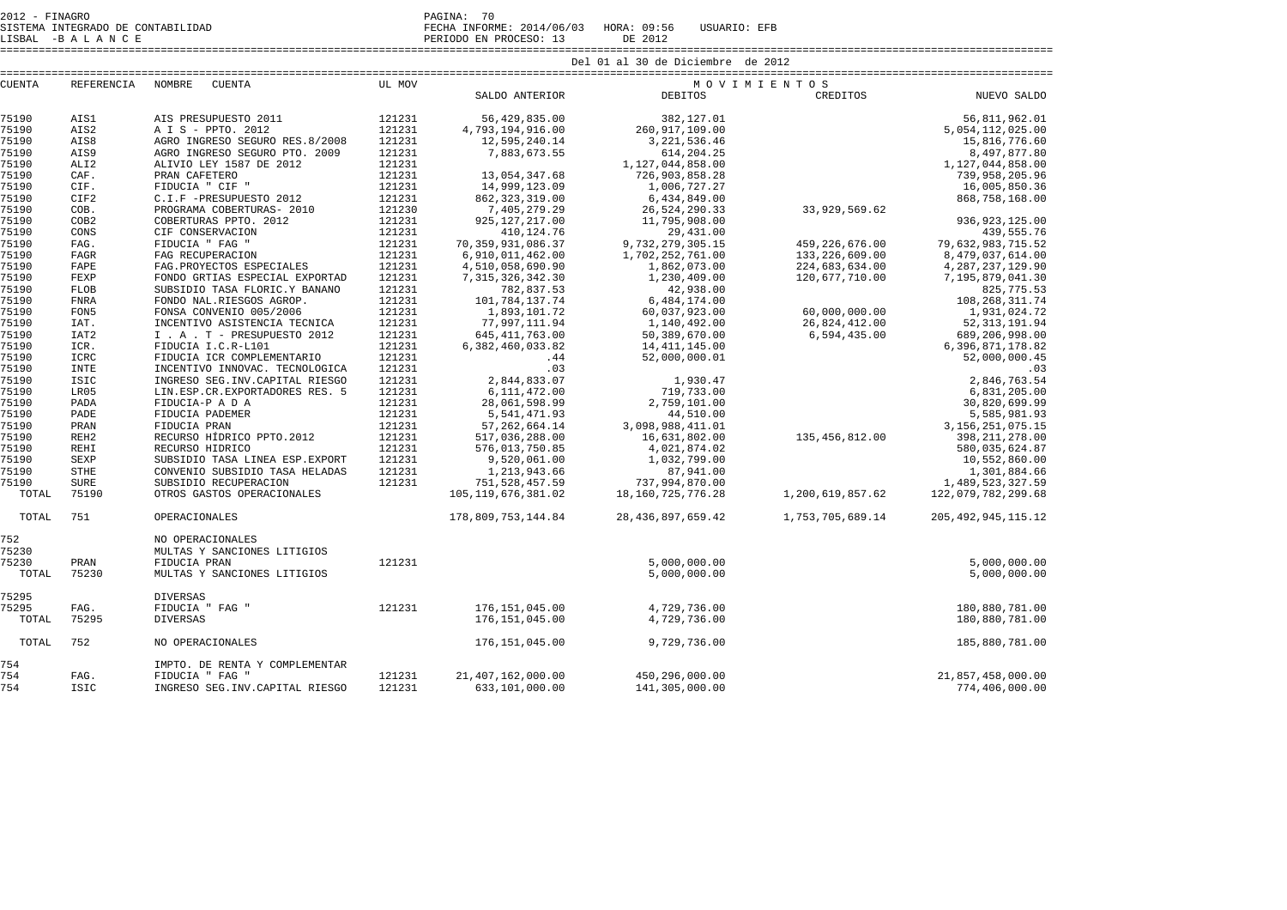2012 - FINAGRO PAGINA: 70 SISTEMA INTEGRADO DE CONTABILIDAD FECHA INFORME: 2014/06/03 HORA: 09:56 USUARIO: EFB

LISBAL -B A L A N C E PERIODO EN PROCESO: 13 DE 2012

|               |                   |                                  | Del 01 al 30 de Diciembre de 2012 |                       |                       |                  |                        |  |
|---------------|-------------------|----------------------------------|-----------------------------------|-----------------------|-----------------------|------------------|------------------------|--|
| <b>CUENTA</b> | <b>REFERENCIA</b> | <b>NOMBRE</b><br><b>CUENTA</b>   | UL MOV<br>MOVIMIENTOS             |                       |                       |                  |                        |  |
|               |                   |                                  |                                   | SALDO ANTERIOR        | <b>DEBITOS</b>        | CREDITOS         | NUEVO SALDO            |  |
| 75190         | AIS1              | AIS PRESUPUESTO 2011             | 121231                            | 56,429,835.00         | 382,127.01            |                  | 56,811,962.01          |  |
| 75190         | AIS2              | A I S - PPTO, 2012               | 121231                            | 4,793,194,916.00      | 260, 917, 109.00      |                  | 5,054,112,025.00       |  |
| 75190         | AIS8              | AGRO INGRESO SEGURO RES.8/2008   | 121231                            | 12,595,240.14         | 3, 221, 536.46        |                  | 15,816,776.60          |  |
| 75190         | AIS9              | AGRO INGRESO SEGURO PTO. 2009    | 121231                            | 7,883,673.55          | 614, 204. 25          |                  | 8,497,877.80           |  |
| 75190         | ALI <sub>2</sub>  | ALIVIO LEY 1587 DE 2012          | 121231                            |                       | 1,127,044,858.00      |                  | 1,127,044,858.00       |  |
| 75190         | CAF.              | PRAN CAFETERO                    | 121231                            | 13,054,347.68         | 726,903,858.28        |                  | 739,958,205.96         |  |
| 75190         | CIF.              | FIDUCIA " CIF "                  | 121231                            | 14,999,123.09         | 1,006,727.27          |                  | 16,005,850.36          |  |
| 75190         | CIF2              | C.I.F -PRESUPUESTO 2012          | 121231                            | 862, 323, 319.00      | 6,434,849.00          |                  | 868,758,168.00         |  |
| 75190         | COB.              | PROGRAMA COBERTURAS- 2010        | 121230                            | 7,405,279.29          | 26,524,290.33         | 33,929,569.62    |                        |  |
| 75190         | COB <sub>2</sub>  | COBERTURAS PPTO. 2012            | 121231                            | 925, 127, 217.00      | 11,795,908.00         |                  | 936, 923, 125.00       |  |
| 75190         | CONS              | CIF CONSERVACION                 | 121231                            | 410,124.76            | 29, 431.00            |                  | 439,555.76             |  |
| 75190         | FAG.              | FIDUCIA " FAG "                  | 121231                            | 70, 359, 931, 086.37  | 9,732,279,305.15      | 459, 226, 676.00 | 79,632,983,715.52      |  |
| 75190         | <b>FAGR</b>       | FAG RECUPERACION                 | 121231                            | 6,910,011,462.00      | 1,702,252,761.00      | 133, 226, 609.00 | 8,479,037,614.00       |  |
| 75190         | FAPE              | FAG. PROYECTOS ESPECIALES        | 121231                            | 4,510,058,690.90      | 1,862,073.00          | 224,683,634.00   | 4, 287, 237, 129.90    |  |
| 75190         | FEXP              | FONDO GRTIAS ESPECIAL EXPORTAD   | 121231                            | 7, 315, 326, 342.30   | 1,230,409.00          | 120,677,710.00   | 7,195,879,041.30       |  |
| 75190         | <b>FLOB</b>       | SUBSIDIO TASA FLORIC.Y BANANO    | 121231                            | 782,837.53            | 42,938.00             |                  | 825, 775.53            |  |
| 75190         | <b>FNRA</b>       | FONDO NAL.RIESGOS AGROP.         | 121231                            | 101,784,137.74        | 6,484,174.00          |                  | 108, 268, 311.74       |  |
| 75190         | FON <sub>5</sub>  | FONSA CONVENIO 005/2006          | 121231                            | 1,893,101.72          | 60,037,923.00         | 60,000,000.00    | 1,931,024.72           |  |
| 75190         | IAT.              | INCENTIVO ASISTENCIA TECNICA     | 121231                            | 77,997,111.94         | 1,140,492.00          | 26,824,412.00    | 52, 313, 191.94        |  |
| 75190         | IAT <sub>2</sub>  | I . A . T - PRESUPUESTO 2012     | 121231                            | 645, 411, 763.00      | 50,389,670.00         | 6,594,435.00     | 689,206,998.00         |  |
| 75190         | ICR.              | FIDUCIA I.C.R-L101               | 121231                            | 6,382,460,033.82      | 14, 411, 145.00       |                  | 6, 396, 871, 178.82    |  |
| 75190         | ICRC              | FIDUCIA ICR COMPLEMENTARIO       | 121231                            | .44                   | 52,000,000.01         |                  | 52,000,000.45          |  |
| 75190         | <b>INTE</b>       | INCENTIVO INNOVAC. TECNOLOGICA   | 121231                            | .03                   |                       |                  | .03                    |  |
| 75190         | <b>ISIC</b>       | INGRESO SEG. INV. CAPITAL RIESGO | 121231                            | 2,844,833.07          | 1,930.47              |                  | 2,846,763.54           |  |
| 75190         | LR05              | LIN.ESP.CR.EXPORTADORES RES. 5   | 121231                            | 6,111,472.00          | 719,733.00            |                  | 6,831,205.00           |  |
| 75190         | PADA              | FIDUCIA-P A D A                  | 121231                            | 28,061,598.99         | 2,759,101.00          |                  | 30,820,699.99          |  |
| 75190         | PADE              | FIDUCIA PADEMER                  | 121231                            | 5,541,471.93          | 44,510.00             |                  | 5,585,981.93           |  |
| 75190         | PRAN              | FIDUCIA PRAN                     | 121231                            | 57, 262, 664.14       | 3,098,988,411.01      |                  | 3, 156, 251, 075. 15   |  |
| 75190         | REH <sub>2</sub>  | RECURSO HÍDRICO PPTO.2012        | 121231                            | 517,036,288.00        | 16,631,802.00         | 135,456,812.00   | 398, 211, 278.00       |  |
| 75190         | <b>REHI</b>       | RECURSO HIDRICO                  | 121231                            | 576,013,750.85        | 4,021,874.02          |                  | 580,035,624.87         |  |
| 75190         | <b>SEXP</b>       | SUBSIDIO TASA LINEA ESP. EXPORT  | 121231                            | 9,520,061.00          | 1,032,799.00          |                  | 10,552,860.00          |  |
| 75190         | <b>STHE</b>       | CONVENIO SUBSIDIO TASA HELADAS   | 121231                            | 1,213,943.66          | 87,941.00             |                  | 1,301,884.66           |  |
| 75190         | <b>SURE</b>       | SUBSIDIO RECUPERACION            | 121231                            | 751,528,457.59        | 737,994,870.00        |                  | 1,489,523,327.59       |  |
| TOTAL         | 75190             | OTROS GASTOS OPERACIONALES       |                                   | 105, 119, 676, 381.02 | 18, 160, 725, 776. 28 | 1,200,619,857.62 | 122,079,782,299.68     |  |
| TOTAL         | 751               | OPERACIONALES                    |                                   | 178,809,753,144.84    | 28, 436, 897, 659, 42 | 1,753,705,689.14 | 205, 492, 945, 115, 12 |  |
| 752           |                   | NO OPERACIONALES                 |                                   |                       |                       |                  |                        |  |
| 75230         |                   | MULTAS Y SANCIONES LITIGIOS      |                                   |                       |                       |                  |                        |  |
| 75230         | PRAN              | FIDUCIA PRAN                     | 121231                            |                       | 5,000,000.00          |                  | 5,000,000.00           |  |
| TOTAL         | 75230             | MULTAS Y SANCIONES LITIGIOS      |                                   |                       | 5,000,000.00          |                  | 5,000,000.00           |  |
| 75295         |                   | <b>DIVERSAS</b>                  |                                   |                       |                       |                  |                        |  |
| 75295         | FAG.              | FIDUCIA " FAG "                  | 121231                            | 176,151,045.00        | 4,729,736.00          |                  | 180,880,781.00         |  |
| TOTAL         | 75295             | <b>DIVERSAS</b>                  |                                   | 176, 151, 045.00      | 4,729,736.00          |                  | 180,880,781.00         |  |
| TOTAL         | 752               | NO OPERACIONALES                 |                                   | 176, 151, 045.00      | 9,729,736.00          |                  | 185,880,781.00         |  |
| 754           |                   | IMPTO. DE RENTA Y COMPLEMENTAR   |                                   |                       |                       |                  |                        |  |

754 FAG. FIDUCIA " FAG " 121231 21,407,162,000.00 450,296,000.00 21,857,458,000.00

THE SEG.INV.CAPITAL RIESGO 121231

774,406,000.00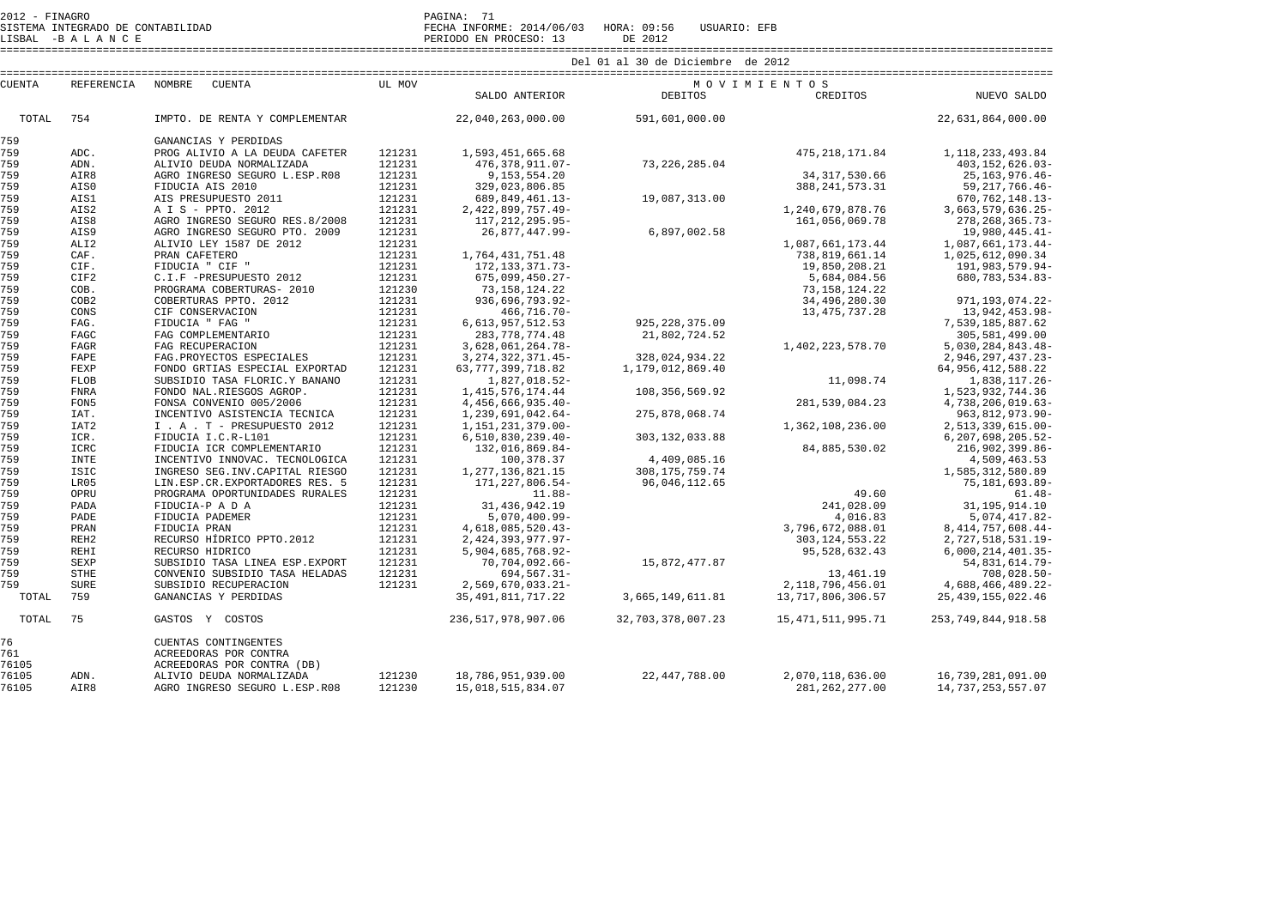SISTEMA INTEGRADO DE CONTABILIDAD FECHA INFORME: 2014/06/03 HORA: 09:56 USUARIO: EFB

LISBAL -B A L A N C E PERIODO EN PROCESO: 13 DE 2012 ====================================================================================================================================================================

| <b>CUENTA</b>               | REFERENCIA       | <b>NOMBRE</b><br><b>CUENTA</b>                                                                          | UL MOV | SALDO ANTERIOR          | <b>DEBITOS</b>    | MOVIMIENTOS<br>CREDITOS | NUEVO SALDO            |
|-----------------------------|------------------|---------------------------------------------------------------------------------------------------------|--------|-------------------------|-------------------|-------------------------|------------------------|
|                             |                  |                                                                                                         |        |                         |                   |                         |                        |
| TOTAL                       | 754              | IMPTO. DE RENTA Y COMPLEMENTAR                                                                          |        | 22,040,263,000.00       | 591,601,000.00    |                         | 22,631,864,000.00      |
| 759                         |                  | GANANCIAS Y PERDIDAS                                                                                    |        |                         |                   |                         |                        |
| 759                         | ADC.             | PROG ALIVIO A LA DEUDA CAFETER                                                                          | 121231 | 1,593,451,665.68        |                   | 475, 218, 171.84        | 1, 118, 233, 493.84    |
| 759                         | ADN.             | ALIVIO DEUDA NORMALIZADA                                                                                | 121231 | 476, 378, 911.07-       | 73, 226, 285.04   |                         | 403, 152, 626.03-      |
| 759                         | AIR8             | AGRO INGRESO SEGURO L.ESP.R08                                                                           | 121231 | 9, 153, 554. 20         |                   | 34, 317, 530.66         | $25, 163, 976.46 -$    |
| 759                         | AIS0             | FIDUCIA AIS 2010                                                                                        | 121231 | 329,023,806.85          |                   | 388, 241, 573. 31       | 59, 217, 766. 46-      |
| 759                         | AIS1             | AIS PRESUPUESTO 2011                                                                                    | 121231 | 689, 849, 461. 13-      | 19,087,313.00     |                         | 670, 762, 148. 13-     |
| 759                         | AIS2             | A I S - PPTO. 2012                                                                                      | 121231 | 2, 422, 899, 757. 49-   |                   | 1,240,679,878.76        | 3,663,579,636.25-      |
| 759                         | AIS8             | AGRO INGRESO SEGURO RES.8/2008                                                                          | 121231 | 117, 212, 295.95-       |                   | 161,056,069.78          | 278, 268, 365. 73-     |
| 759                         | AIS9             | AGRO INGRESO SEGURO PTO. 2009                                                                           | 121231 | 26,877,447.99-          | 6,897,002.58      |                         | 19,980,445.41-         |
| 759                         | ALI <sub>2</sub> | ALIVIO LEY 1587 DE 2012                                                                                 | 121231 |                         |                   | 1,087,661,173.44        | 1,087,661,173.44-      |
| 759                         | CAF.             | PRAN CAFETERO                                                                                           | 121231 | 1,764,431,751.48        |                   | 738,819,661.14          | 1,025,612,090.34       |
| 759                         | CIF.             | FIDUCIA " CIF "                                                                                         | 121231 | 172, 133, 371. 73-      |                   | 19,850,208.21           | 191,983,579.94-        |
| 759                         | CIF2             | C.I.F -PRESUPUESTO 2012                                                                                 | 121231 | $675,099,450.27-$       |                   | 5,684,084.56            | 680, 783, 534.83-      |
| 759                         | COB.             | PROGRAMA COBERTURAS- 2010                                                                               | 121230 | 73, 158, 124. 22        |                   | 73, 158, 124. 22        |                        |
| 759                         | COB <sub>2</sub> | COBERTURAS PPTO, 2012                                                                                   | 121231 | 936,696,793.92-         |                   | 34,496,280.30           | 971, 193, 074. 22-     |
| 759                         | CONS             | CIF CONSERVACION                                                                                        | 121231 | $466, 716.70 -$         |                   | 13, 475, 737. 28        | 13,942,453.98-         |
| 759                         | FAG.             | FIDUCIA " FAG "                                                                                         | 121231 | 6, 613, 957, 512. 53    | 925, 228, 375.09  |                         | 7,539,185,887.62       |
| 759                         | FAGC             | FAG COMPLEMENTARIO                                                                                      | 121231 | 283, 778, 774.48        | 21,802,724.52     |                         | 305,581,499.00         |
| 759                         | FAGR             | FAG RECUPERACION                                                                                        | 121231 | 3,628,061,264.78-       |                   | 1,402,223,578.70        | 5,030,284,843.48-      |
| 759                         | FAPE             | FAG. PROYECTOS ESPECIALES                                                                               | 121231 | 3, 274, 322, 371.45-    | 328,024,934.22    |                         | 2,946,297,437.23-      |
| 759                         | FEXP             | FONDO GRTIAS ESPECIAL EXPORTAD                                                                          | 121231 | 63, 777, 399, 718.82    | 1,179,012,869.40  |                         | 64, 956, 412, 588. 22  |
| 759                         | <b>FLOB</b>      | SUBSIDIO TASA FLORIC.Y BANANO                                                                           | 121231 | 1,827,018.52-           |                   | 11,098.74               | 1,838,117.26-          |
| 759                         | <b>FNRA</b>      | FONDO NAL.RIESGOS AGROP.                                                                                | 121231 | 1, 415, 576, 174.44     | 108,356,569.92    |                         | 1,523,932,744.36       |
| 759                         | FON5             | FONSA CONVENIO 005/2006                                                                                 | 121231 | 4, 456, 666, 935. 40-   |                   | 281,539,084.23          | 4,738,206,019.63-      |
| 759                         | IAT.             | INCENTIVO ASISTENCIA TECNICA                                                                            | 121231 | 1,239,691,042.64-       | 275,878,068.74    |                         | 963, 812, 973. 90-     |
| 759                         | IAT <sub>2</sub> | I . A . T - PRESUPUESTO 2012                                                                            | 121231 | 1, 151, 231, 379.00-    |                   | 1,362,108,236.00        | 2,513,339,615.00-      |
| 759                         | ICR.             | FIDUCIA I.C.R-L101                                                                                      | 121231 | $6, 510, 830, 239.40 -$ | 303, 132, 033.88  |                         | 6, 207, 698, 205.52-   |
| 759                         | ICRC             | FIDUCIA ICR COMPLEMENTARIO                                                                              | 121231 | 132,016,869.84-         |                   | 84,885,530.02           | 216,902,399.86-        |
| 759                         | <b>INTE</b>      | INCENTIVO INNOVAC. TECNOLOGICA                                                                          | 121231 | 100,378.37              | 4,409,085.16      |                         | 4,509,463.53           |
| 759                         | <b>ISIC</b>      | INGRESO SEG. INV. CAPITAL RIESGO                                                                        | 121231 | 1, 277, 136, 821. 15    | 308, 175, 759.74  |                         | 1,585,312,580.89       |
| 759                         | LR05             | LIN.ESP.CR.EXPORTADORES RES. 5                                                                          | 121231 | 171, 227, 806.54-       | 96,046,112.65     |                         | 75, 181, 693.89-       |
| 759                         | OPRU             | PROGRAMA OPORTUNIDADES RURALES                                                                          | 121231 | $11.88 -$               |                   | 49.60                   | $61.48 -$              |
| 759                         | PADA             | FIDUCIA-P A D A                                                                                         | 121231 | 31, 436, 942. 19        |                   | 241,028.09              | 31, 195, 914.10        |
| 759                         | PADE             | FIDUCIA PADEMER                                                                                         | 121231 | $5,070,400.99 -$        |                   | 4,016.83                | 5,074,417.82-          |
| 759                         | PRAN             | FIDUCIA PRAN                                                                                            | 121231 | 4,618,085,520.43-       |                   | 3,796,672,088.01        | 8, 414, 757, 608. 44-  |
| 759                         | REH <sub>2</sub> | RECURSO HÍDRICO PPTO.2012                                                                               | 121231 | 2, 424, 393, 977. 97-   |                   | 303, 124, 553. 22       | 2,727,518,531.19-      |
| 759                         | <b>REHI</b>      | RECURSO HIDRICO                                                                                         | 121231 | 5,904,685,768.92-       |                   | 95,528,632.43           | $6,000,214,401.35-$    |
| 759                         | SEXP             | SUBSIDIO TASA LINEA ESP. EXPORT                                                                         | 121231 | $70, 704, 092.66 -$     | 15,872,477.87     |                         | 54,831,614.79-         |
| 759                         | <b>STHE</b>      | CONVENIO SUBSIDIO TASA HELADAS                                                                          | 121231 | $694.567.31 -$          |                   | 13,461.19               | $708,028.50 -$         |
| 759                         | <b>SURE</b>      | SUBSIDIO RECUPERACION                                                                                   | 121231 | $2,569,670,033.21 -$    |                   | 2,118,796,456.01        | 4,688,466,489.22-      |
| TOTAL                       | 759              | GANANCIAS Y PERDIDAS                                                                                    |        | 35, 491, 811, 717. 22   | 3,665,149,611.81  | 13,717,806,306.57       | 25, 439, 155, 022. 46  |
| TOTAL                       | 75               | GASTOS Y COSTOS                                                                                         |        | 236, 517, 978, 907.06   | 32,703,378,007.23 | 15, 471, 511, 995.71    | 253, 749, 844, 918. 58 |
| 76<br>761<br>76105<br>76105 | ADN.             | CUENTAS CONTINGENTES<br>ACREEDORAS POR CONTRA<br>ACREEDORAS POR CONTRA (DB)<br>ALIVIO DEUDA NORMALIZADA | 121230 | 18,786,951,939.00       | 22,447,788.00     | 2,070,118,636.00        | 16,739,281,091.00      |
| 76105                       | AIR8             | AGRO INGRESO SEGURO L.ESP.R08                                                                           | 121230 | 15,018,515,834.07       |                   | 281, 262, 277.00        | 14,737,253,557.07      |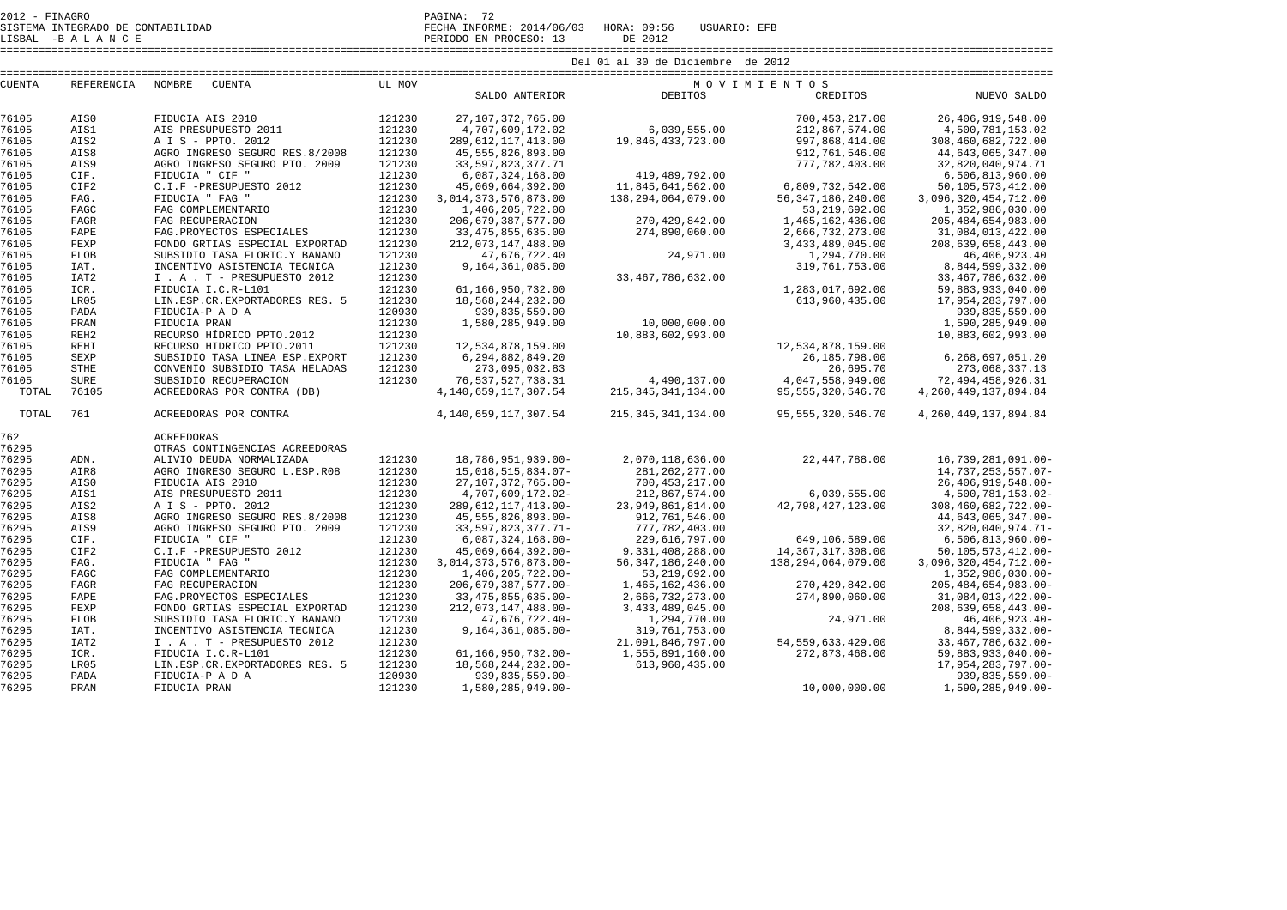| Del 01 al 30 de Diciembre de 2012                                                                                      | CREDITOS<br>NUEVO SALDO                              |
|------------------------------------------------------------------------------------------------------------------------|------------------------------------------------------|
|                                                                                                                        |                                                      |
| REFERENCIA<br><b>CUENTA</b><br><b>NOMBRE</b><br><b>CUENTA</b><br>UL MOV<br>MOVIMIENTOS                                 |                                                      |
| SALDO ANTERIOR<br><b>DEBITOS</b>                                                                                       |                                                      |
| 76105<br>AIS0<br>FIDUCIA AIS 2010<br>121230<br>27, 107, 372, 765.00                                                    | 700,453,217.00<br>26, 406, 919, 548.00               |
| 6,039,555.00<br>76105<br>AIS1<br>AIS PRESUPUESTO 2011<br>121230<br>4,707,609,172.02                                    | 212,867,574.00<br>4,500,781,153.02                   |
| 76105<br>121230<br>AIS2<br>A I S - PPTO. 2012<br>289, 612, 117, 413, 00<br>19,846,433,723.00                           | 997,868,414.00<br>308,460,682,722.00                 |
| 76105<br>AIS8<br>AGRO INGRESO SEGURO RES.8/2008<br>121230<br>45, 555, 826, 893.00                                      | 912,761,546.00<br>44,643,065,347.00                  |
| 76105<br>121230<br>33, 597, 823, 377. 71<br>AIS9<br>AGRO INGRESO SEGURO PTO. 2009                                      | 32,820,040,974.71<br>777, 782, 403.00                |
| 76105<br>FIDUCIA " CIF "<br>121230<br>419, 489, 792.00<br>CIF.<br>6,087,324,168.00                                     | 6,506,813,960.00                                     |
| 76105<br>CIF2<br>C.I.F -PRESUPUESTO 2012<br>121230<br>45,069,664,392.00<br>11,845,641,562.00                           | 6,809,732,542.00<br>50,105,573,412.00                |
| 76105<br>FAG.<br>FIDUCIA " FAG "<br>121230<br>3,014,373,576,873.00<br>138, 294, 064, 079, 00                           | 56, 347, 186, 240.00<br>3,096,320,454,712.00         |
| 76105<br>121230<br>FAGC<br>FAG COMPLEMENTARIO<br>1,406,205,722.00                                                      | 53,219,692.00<br>1,352,986,030.00                    |
| 76105<br>121230<br>270, 429, 842.00<br>FAGR<br>FAG RECUPERACION<br>206, 679, 387, 577.00                               | 1,465,162,436.00<br>205, 484, 654, 983.00            |
| 76105<br>121230<br>274,890,060.00<br>FAPE<br>FAG. PROYECTOS ESPECIALES<br>33, 475, 855, 635.00                         | 2,666,732,273.00<br>31,084,013,422.00                |
| 76105<br>FEXP<br>121230<br>FONDO GRTIAS ESPECIAL EXPORTAD<br>212, 073, 147, 488.00                                     | 208,639,658,443.00<br>3,433,489,045.00               |
| 76105<br>121230<br>24,971.00<br><b>FLOB</b><br>SUBSIDIO TASA FLORIC.Y BANANO                                           | 46, 406, 923.40                                      |
| 47,676,722.40<br>76105<br>121230<br>IAT.<br>INCENTIVO ASISTENCIA TECNICA<br>9,164,361,085.00                           | 1,294,770.00<br>319, 761, 753.00<br>8,844,599,332.00 |
| 76105                                                                                                                  |                                                      |
| 121230<br>33, 467, 786, 632.00<br>IAT <sub>2</sub><br>I . A . T - PRESUPUESTO 2012                                     | 33, 467, 786, 632.00                                 |
| 76105<br>ICR.<br>FIDUCIA I.C.R-L101<br>121230<br>61,166,950,732.00                                                     | 1,283,017,692.00<br>59,883,933,040.00                |
| 76105<br>LR05<br>LIN.ESP.CR.EXPORTADORES RES. 5<br>121230<br>18,568,244,232.00                                         | 17,954,283,797.00<br>613,960,435.00                  |
| 120930<br>76105<br>FIDUCIA-P A D A<br>PADA<br>939,835,559.00                                                           | 939,835,559.00                                       |
| 76105<br>121230<br>10,000,000.00<br>PRAN<br>FIDUCIA PRAN<br>1,580,285,949.00                                           | 1,590,285,949.00                                     |
| 76105<br>RECURSO HÍDRICO PPTO.2012<br>121230<br>REH <sub>2</sub><br>10,883,602,993.00                                  | 10,883,602,993.00                                    |
| 76105<br>121230<br>REHI<br>RECURSO HIDRICO PPTO.2011<br>12,534,878,159.00                                              | 12,534,878,159.00                                    |
| 76105<br>121230<br>SEXP<br>SUBSIDIO TASA LINEA ESP. EXPORT<br>6, 294, 882, 849. 20                                     | 26, 185, 798.00<br>6,268,697,051.20                  |
| 76105<br><b>STHE</b><br>121230<br>273,095,032.83<br>CONVENIO SUBSIDIO TASA HELADAS                                     | 26,695.70<br>273,068,337.13                          |
| 76105<br>4,490,137.00<br>SURE<br>SUBSIDIO RECUPERACION<br>121230<br>76, 537, 527, 738.31                               | 4,047,558,949.00<br>72, 494, 458, 926.31             |
| TOTAL<br>76105<br>215, 345, 341, 134.00<br>ACREEDORAS POR CONTRA (DB)<br>4, 140, 659, 117, 307. 54                     | 95, 555, 320, 546.70<br>4, 260, 449, 137, 894. 84    |
| TOTAL<br>761<br>4, 140, 659, 117, 307.54<br>ACREEDORAS POR CONTRA<br>215, 345, 341, 134.00                             | 95, 555, 320, 546.70<br>4, 260, 449, 137, 894. 84    |
| 762<br><b>ACREEDORAS</b>                                                                                               |                                                      |
| 76295<br>OTRAS CONTINGENCIAS ACREEDORAS                                                                                |                                                      |
| 76295<br>2,070,118,636.00<br>ADN.<br>ALIVIO DEUDA NORMALIZADA<br>121230<br>18,786,951,939.00-                          | 22, 447, 788.00<br>16,739,281,091.00-                |
| 76295<br>121230<br>AIR8<br>AGRO INGRESO SEGURO L.ESP.R08<br>15,018,515,834.07-<br>281, 262, 277.00                     | 14,737,253,557.07-                                   |
| 76295<br>121230<br>700, 453, 217.00<br>AIS0<br>FIDUCIA AIS 2010<br>27, 107, 372, 765.00-                               | 26, 406, 919, 548.00-                                |
| 76295<br>121230<br>AIS1<br>AIS PRESUPUESTO 2011<br>4,707,609,172.02-<br>212,867,574.00                                 | 6,039,555.00<br>4,500,781,153.02-                    |
| 76295<br>121230<br>AIS2<br>A I S - PPTO. 2012<br>289, 612, 117, 413.00-<br>23,949,861,814.00                           | 42,798,427,123.00<br>308,460,682,722.00-             |
| 76295<br>121230<br>AIS8<br>AGRO INGRESO SEGURO RES.8/2008<br>45, 555, 826, 893.00-<br>912, 761, 546.00                 | 44,643,065,347.00-                                   |
| 76295<br>121230<br>AIS9<br>AGRO INGRESO SEGURO PTO. 2009<br>33, 597, 823, 377. 71-<br>777, 782, 403.00                 | 32,820,040,974.71-                                   |
| 76295<br>CIF.<br>121230<br>FIDUCIA " CIF "<br>$6,087,324,168.00 -$<br>229,616,797.00                                   | 649,106,589.00<br>$6,506,813,960.00 -$               |
| 76295<br>121230<br>CIF2<br>C.I.F -PRESUPUESTO 2012<br>9,331,408,288.00<br>45,069,664,392.00-                           | 14, 367, 317, 308, 00<br>50, 105, 573, 412.00-       |
| 76295<br>121230<br>FAG.<br>FIDUCIA " FAG "<br>3, 014, 373, 576, 873. 00-<br>56, 347, 186, 240.00<br>138,294,064,079.00 | 3,096,320,454,712.00-                                |
| 76295<br>121230<br>FAGC<br>FAG COMPLEMENTARIO<br>1,406,205,722.00-<br>53, 219, 692.00                                  | 1,352,986,030.00-                                    |
| 76295<br>121230<br>FAGR<br>FAG RECUPERACION<br>206,679,387,577.00-<br>1,465,162,436.00                                 | 270, 429, 842.00<br>205, 484, 654, 983. 00-          |
| 76295<br>121230<br>FAPE<br>FAG. PROYECTOS ESPECIALES<br>33, 475, 855, 635.00-<br>2,666,732,273.00                      | 274,890,060.00<br>31,084,013,422.00-                 |
| 76295<br>FEXP<br>121230<br>FONDO GRTIAS ESPECIAL EXPORTAD<br>212,073,147,488.00-<br>3, 433, 489, 045.00                | 208,639,658,443.00-                                  |
| 76295<br>121230<br><b>FLOB</b><br>SUBSIDIO TASA FLORIC.Y BANANO<br>47,676,722.40-<br>1,294,770.00                      | 24,971.00<br>46, 406, 923. 40-                       |
| 76295<br>121230<br>IAT.<br>INCENTIVO ASISTENCIA TECNICA<br>$9, 164, 361, 085.00 -$<br>319,761,753.00                   | 8,844,599,332.00-                                    |
| 76295<br>IAT <sub>2</sub><br>I . A . T - PRESUPUESTO 2012<br>121230<br>21,091,846,797.00                               | 54, 559, 633, 429.00<br>33, 467, 786, 632.00-        |

76295 PRAN FIDUCIA PRAN 121230 1,580,285,949.00- 10,000,000.00 1,590,285,949.00-

76295 IAT2 - I. A . T – PRESUPUESTO 2012 - 121230 - 1216,950,732.00 - 21,091,846,797.00 - 54,559,633,429.00<br>76295 ICR. - PIDUCIA I.C.R-L101 - 121230 - 1.166,950,732.00- - 1,555,891,160.00 - 272,873,468.00

76295 PADA FIDUCIA-P A D A 120930 939,835,559.00- 939,835,559.00-

76295 ICR. FIDUCIA I.C.R-L101 121230 61,166,950,732.00- 1,555,891,160.00 272,873,468.00 59,883,933,040.00-

76295 LR05 LIN.ESP.CR.EXPORTADORES RES. 5 121230 18,568,244,232.00- 613,960,435.00 17,954,283,797.00-

59,883,933,040.00-

17,954,283,797.00-

939,835,559.00-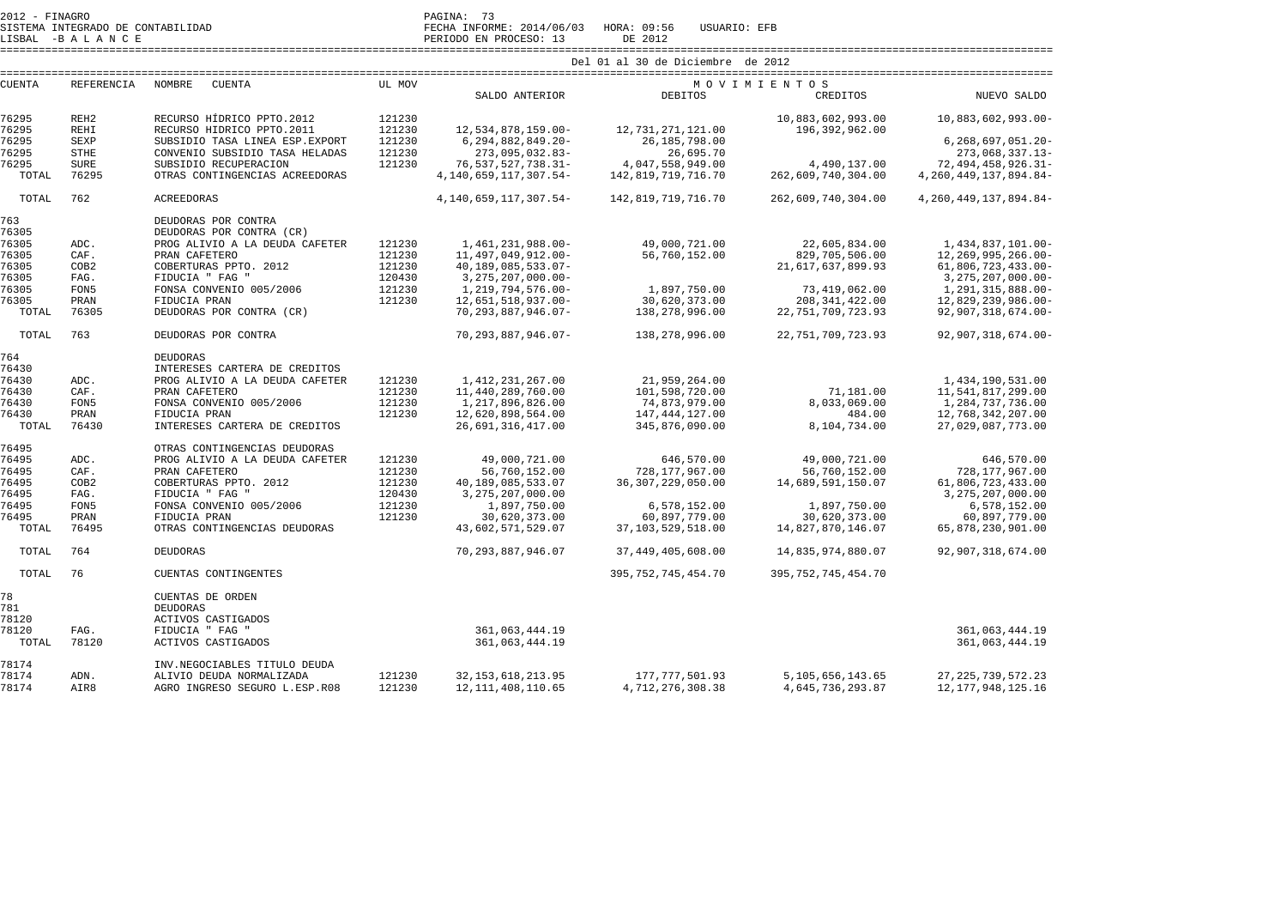| 2012 - FINAGRO |  |                                   |  | PAGINA:      |  |
|----------------|--|-----------------------------------|--|--------------|--|
|                |  | SISTEMA INTEGRADO DE CONTABILIDAD |  | FECHA INFORM |  |

LISBAL -B A L A N C E PERIODO EN PROCESO: 13 DE 2012

SISTEMA INTEGRADO DE CONTABILIDAD FECHA INFORME: 2014/06/03 HORA: 09:56 USUARIO: EFB

====================================================================================================================================================================

| <b>CUENTA</b> | REFERENCIA       | NOMBRE<br><b>CUENTA</b>         | UL MOV |                                        |                                    | MOVIMIENTOS            |                                        |
|---------------|------------------|---------------------------------|--------|----------------------------------------|------------------------------------|------------------------|----------------------------------------|
|               |                  |                                 |        | SALDO ANTERIOR                         | <b>DEBITOS</b>                     | CREDITOS               | NUEVO SALDO                            |
| 76295         | REH <sub>2</sub> | RECURSO HÍDRICO PPTO.2012       | 121230 |                                        |                                    | 10,883,602,993.00      | 10,883,602,993.00-                     |
| 76295         | <b>REHI</b>      | RECURSO HIDRICO PPTO.2011       | 121230 | 12,534,878,159.00-                     | 12,731,271,121.00                  | 196,392,962.00         |                                        |
| 76295         | <b>SEXP</b>      | SUBSIDIO TASA LINEA ESP. EXPORT | 121230 | 6,294,882,849.20-                      | 26,185,798.00                      |                        | $6, 268, 697, 051, 20 -$               |
| 76295         | <b>STHE</b>      | CONVENIO SUBSIDIO TASA HELADAS  | 121230 | 273,095,032.83-                        | 26,695.70                          |                        | 273,068,337.13-                        |
|               |                  |                                 |        |                                        |                                    |                        |                                        |
| 76295         | <b>SURE</b>      | SUBSIDIO RECUPERACION           | 121230 | 76, 537, 527, 738.31-                  | 4,047,558,949.00                   | 4,490,137.00           | 72, 494, 458, 926. 31-                 |
| TOTAL         | 76295            | OTRAS CONTINGENCIAS ACREEDORAS  |        | 4, 140, 659, 117, 307. 54-             | 142,819,719,716.70                 | 262,609,740,304.00     | 4, 260, 449, 137, 894. 84-             |
| TOTAL         | 762              | ACREEDORAS                      |        | 4, 140, 659, 117, 307. 54-             | 142,819,719,716.70                 | 262,609,740,304.00     | 4, 260, 449, 137, 894. 84-             |
| 763           |                  | DEUDORAS POR CONTRA             |        |                                        |                                    |                        |                                        |
| 76305         |                  | DEUDORAS POR CONTRA (CR)        |        |                                        |                                    |                        |                                        |
| 76305         | ADC.             | PROG ALIVIO A LA DEUDA CAFETER  | 121230 | 1,461,231,988.00-                      | 49,000,721.00                      | 22,605,834.00          | 1,434,837,101.00-                      |
| 76305         | CAF.             | PRAN CAFETERO                   | 121230 | 11, 497, 049, 912.00-                  | 56,760,152.00                      | 829,705,506.00         | 12,269,995,266.00-                     |
| 76305         | COB <sub>2</sub> | COBERTURAS PPTO. 2012           | 121230 | 40,189,085,533.07-                     |                                    | 21,617,637,899.93      | 61,806,723,433.00-                     |
| 76305         | FAG.             | FIDUCIA " FAG "                 | 120430 | 3, 275, 207, 000.00-                   |                                    |                        | 3, 275, 207, 000.00-                   |
| 76305         | FON5             | FONSA CONVENIO 005/2006         | 121230 | 1, 219, 794, 576.00-                   | 1,897,750.00                       | 73,419,062.00          | 1,291,315,888.00-                      |
| 76305         | PRAN             | FIDUCIA PRAN                    | 121230 | 12,651,518,937.00-                     | 30,620,373.00                      | 208, 341, 422.00       | 12,829,239,986.00-                     |
| TOTAL         | 76305            | DEUDORAS POR CONTRA (CR)        |        | 70, 293, 887, 946.07-                  | 138,278,996.00                     | 22, 751, 709, 723.93   | 92,907,318,674.00-                     |
| TOTAL         | 763              | DEUDORAS POR CONTRA             |        | 70, 293, 887, 946.07-                  | 138,278,996.00                     | 22, 751, 709, 723.93   | 92,907,318,674.00-                     |
| 764           |                  | <b>DEUDORAS</b>                 |        |                                        |                                    |                        |                                        |
| 76430         |                  | INTERESES CARTERA DE CREDITOS   |        |                                        |                                    |                        |                                        |
| 76430         | ADC.             | PROG ALIVIO A LA DEUDA CAFETER  | 121230 | 1, 412, 231, 267.00                    | 21,959,264.00                      |                        | 1,434,190,531.00                       |
| 76430         | CAF.             | PRAN CAFETERO                   | 121230 | 11,440,289,760.00                      | 101,598,720.00                     | 71,181.00              | 11,541,817,299.00                      |
| 76430         | FON5             | FONSA CONVENIO 005/2006         | 121230 | 1,217,896,826.00                       | 74,873,979.00                      | 8,033,069.00           | 1,284,737,736.00                       |
| 76430         | PRAN             | FIDUCIA PRAN                    | 121230 |                                        |                                    |                        |                                        |
| TOTAL         | 76430            | INTERESES CARTERA DE CREDITOS   |        | 12,620,898,564.00<br>26,691,316,417.00 | 147, 444, 127.00<br>345,876,090.00 | 484.00<br>8,104,734.00 | 12,768,342,207.00<br>27,029,087,773.00 |
|               |                  |                                 |        |                                        |                                    |                        |                                        |
| 76495         |                  | OTRAS CONTINGENCIAS DEUDORAS    |        |                                        |                                    |                        |                                        |
| 76495         | ADC.             | PROG ALIVIO A LA DEUDA CAFETER  | 121230 | 49,000,721.00                          | 646,570.00                         | 49,000,721.00          | 646,570.00                             |
| 76495         | CAF.             | PRAN CAFETERO                   | 121230 | 56,760,152.00                          | 728,177,967.00                     | 56,760,152.00          | 728,177,967.00                         |
| 76495         | COB <sub>2</sub> | COBERTURAS PPTO. 2012           | 121230 | 40,189,085,533.07                      | 36, 307, 229, 050.00               | 14,689,591,150.07      | 61,806,723,433.00                      |
| 76495         | FAG.             | FIDUCIA " FAG "                 | 120430 | 3, 275, 207, 000.00                    |                                    |                        | 3, 275, 207, 000.00                    |
| 76495         | FON5             | FONSA CONVENIO 005/2006         | 121230 | 1,897,750.00                           | 6,578,152.00                       | 1,897,750.00           | 6,578,152.00                           |
| 76495         | PRAN             | FIDUCIA PRAN                    | 121230 | 30,620,373.00                          | 60,897,779.00                      | 30,620,373.00          | 60,897,779.00                          |
| TOTAL         | 76495            | OTRAS CONTINGENCIAS DEUDORAS    |        | 43,602,571,529.07                      | 37, 103, 529, 518.00               | 14,827,870,146.07      | 65,878,230,901.00                      |
| TOTAL         | 764              | <b>DEUDORAS</b>                 |        | 70, 293, 887, 946.07                   | 37, 449, 405, 608.00               | 14,835,974,880.07      | 92,907,318,674.00                      |
| TOTAL         | 76               | CUENTAS CONTINGENTES            |        |                                        | 395, 752, 745, 454. 70             | 395, 752, 745, 454. 70 |                                        |
| 78            |                  | CUENTAS DE ORDEN                |        |                                        |                                    |                        |                                        |
| 781           |                  | <b>DEUDORAS</b>                 |        |                                        |                                    |                        |                                        |
| 78120         |                  | ACTIVOS CASTIGADOS              |        |                                        |                                    |                        |                                        |
| 78120         | FAG.             | FIDUCIA " FAG "                 |        | 361, 063, 444.19                       |                                    |                        | 361,063,444.19                         |
| TOTAL         | 78120            | ACTIVOS CASTIGADOS              |        | 361,063,444.19                         |                                    |                        | 361,063,444.19                         |
| 78174         |                  | INV.NEGOCIABLES TITULO DEUDA    |        |                                        |                                    |                        |                                        |
| 78174         | ADN.             | ALIVIO DEUDA NORMALIZADA        | 121230 | 32, 153, 618, 213.95                   | 177,777,501.93                     | 5, 105, 656, 143.65    | 27, 225, 739, 572. 23                  |
| 78174         | AIR8             | AGRO INGRESO SEGURO L.ESP.R08   | 121230 | 12, 111, 408, 110.65                   | 4,712,276,308.38                   | 4,645,736,293.87       | 12, 177, 948, 125. 16                  |
|               |                  |                                 |        |                                        |                                    |                        |                                        |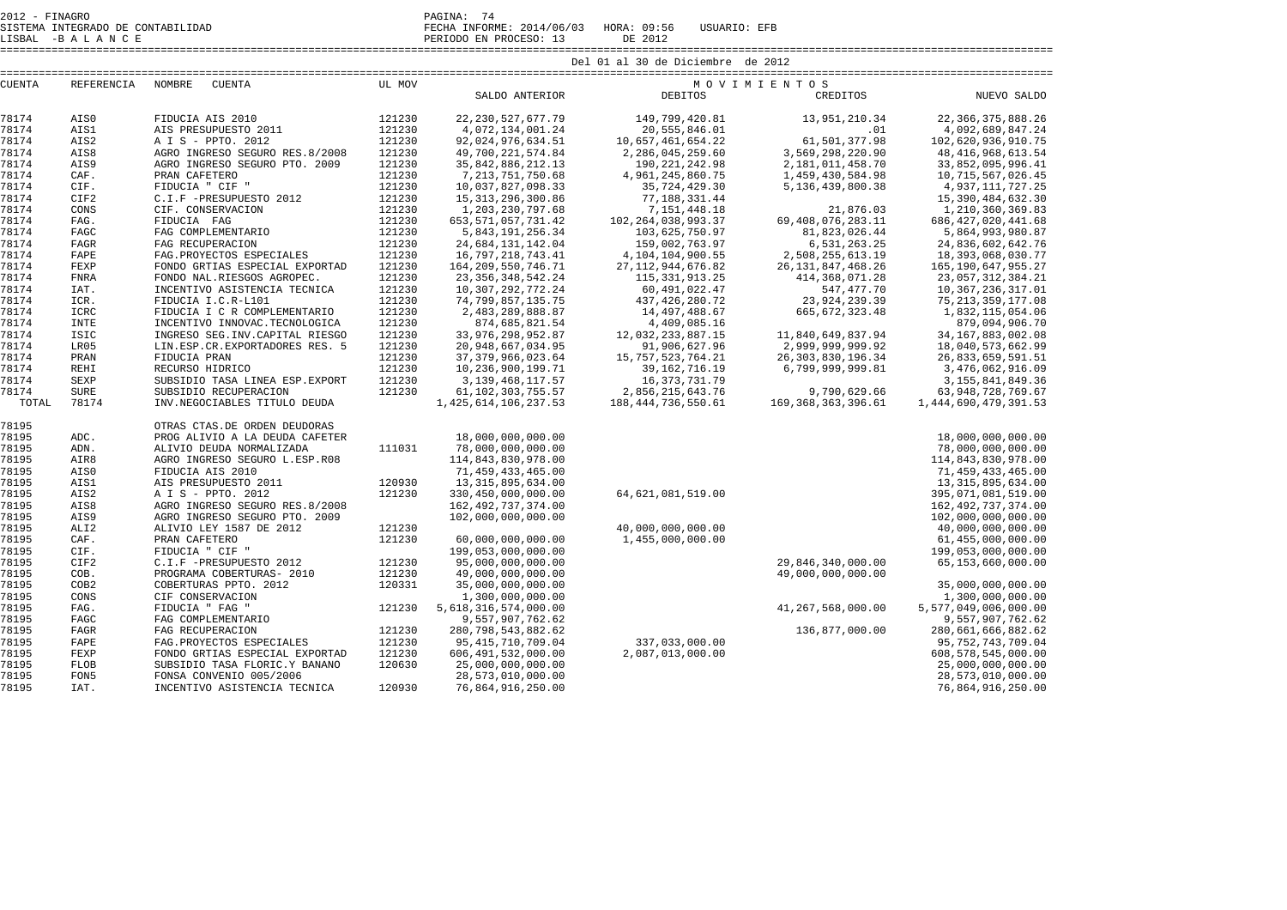|               |                   |                                  | Del 01 al 30 de Diciembre de 2012 |                          |                        |                        |                        |  |  |  |  |  |
|---------------|-------------------|----------------------------------|-----------------------------------|--------------------------|------------------------|------------------------|------------------------|--|--|--|--|--|
| <b>CUENTA</b> | <b>REFERENCIA</b> | NOMBRE<br><b>CUENTA</b>          | UL MOV                            | MOVIMIENTOS              |                        |                        |                        |  |  |  |  |  |
|               |                   |                                  |                                   | SALDO ANTERIOR           | <b>DEBITOS</b>         | CREDITOS               | NUEVO SALDO            |  |  |  |  |  |
| 78174         | AIS0              | FIDUCIA AIS 2010                 | 121230                            | 22, 230, 527, 677. 79    | 149,799,420.81         | 13,951,210.34          | 22, 366, 375, 888. 26  |  |  |  |  |  |
| 78174         | AIS1              | AIS PRESUPUESTO 2011             | 121230                            | 4,072,134,001.24         | 20,555,846.01          | .01                    | 4,092,689,847.24       |  |  |  |  |  |
| 78174         | AIS2              | A I S - PPTO, 2012               | 121230                            | 92,024,976,634.51        | 10,657,461,654.22      | 61,501,377.98          | 102,620,936,910.75     |  |  |  |  |  |
| 78174         | AIS8              | AGRO INGRESO SEGURO RES.8/2008   | 121230                            | 49,700,221,574.84        | 2,286,045,259.60       | 3,569,298,220.90       | 48, 416, 968, 613.54   |  |  |  |  |  |
| 78174         | AIS9              | AGRO INGRESO SEGURO PTO. 2009    | 121230                            | 35, 842, 886, 212. 13    | 190, 221, 242.98       | 2,181,011,458.70       | 33,852,095,996.41      |  |  |  |  |  |
| 78174         | CAF.              | PRAN CAFETERO                    | 121230                            | 7, 213, 751, 750.68      | 4,961,245,860.75       | 1,459,430,584.98       | 10, 715, 567, 026.45   |  |  |  |  |  |
| 78174         | CIF.              | FIDUCIA " CIF "                  | 121230                            | 10,037,827,098.33        | 35,724,429.30          | 5, 136, 439, 800, 38   | 4, 937, 111, 727. 25   |  |  |  |  |  |
| 78174         | CIF2              | C.I.F -PRESUPUESTO 2012          | 121230                            | 15, 313, 296, 300.86     | 77,188,331.44          |                        | 15, 390, 484, 632.30   |  |  |  |  |  |
| 78174         | CONS              | CIF. CONSERVACION                | 121230                            | 1,203,230,797.68         | 7, 151, 448. 18        | 21,876.03              | 1,210,360,369.83       |  |  |  |  |  |
| 78174         | FAG.              | FIDUCIA FAG                      | 121230                            | 653, 571, 057, 731.42    | 102, 264, 038, 993.37  | 69, 408, 076, 283, 11  | 686, 427, 020, 441.68  |  |  |  |  |  |
| 78174         | FAGC              | FAG COMPLEMENTARIO               | 121230                            | 5,843,191,256.34         | 103,625,750.97         | 81,823,026.44          | 5,864,993,980.87       |  |  |  |  |  |
| 78174         | <b>FAGR</b>       | FAG RECUPERACION                 | 121230                            | 24,684,131,142.04        | 159,002,763.97         | 6,531,263.25           | 24,836,602,642.76      |  |  |  |  |  |
| 78174         | FAPE              | FAG. PROYECTOS ESPECIALES        | 121230                            | 16,797,218,743.41        | 4, 104, 104, 900. 55   | 2,508,255,613.19       | 18, 393, 068, 030. 77  |  |  |  |  |  |
| 78174         | FEXP              | FONDO GRTIAS ESPECIAL EXPORTAD   | 121230                            | 164, 209, 550, 746. 71   | 27, 112, 944, 676.82   | 26, 131, 847, 468. 26  | 165, 190, 647, 955. 27 |  |  |  |  |  |
| 78174         | <b>FNRA</b>       | FONDO NAL.RIESGOS AGROPEC.       | 121230                            | 23, 356, 348, 542. 24    | 115, 331, 913. 25      | 414, 368, 071.28       | 23, 057, 312, 384. 21  |  |  |  |  |  |
| 78174         | IAT.              | INCENTIVO ASISTENCIA TECNICA     | 121230                            | 10, 307, 292, 772. 24    | 60, 491, 022.47        | 547, 477.70            | 10,367,236,317.01      |  |  |  |  |  |
| 78174         | ICR.              | FIDUCIA I.C.R-L101               | 121230                            | 74, 799, 857, 135. 75    | 437, 426, 280. 72      | 23, 924, 239.39        | 75, 213, 359, 177.08   |  |  |  |  |  |
| 78174         | <b>ICRC</b>       | FIDUCIA I C R COMPLEMENTARIO     | 121230                            | 2,483,289,888.87         | 14,497,488.67          | 665, 672, 323.48       | 1,832,115,054.06       |  |  |  |  |  |
| 78174         | <b>INTE</b>       | INCENTIVO INNOVAC. TECNOLOGICA   | 121230                            | 874,685,821.54           | 4,409,085.16           |                        | 879,094,906.70         |  |  |  |  |  |
| 78174         | <b>ISIC</b>       | INGRESO SEG. INV. CAPITAL RIESGO | 121230                            | 33, 976, 298, 952.87     | 12,032,233,887.15      | 11,840,649,837.94      | 34, 167, 883, 002.08   |  |  |  |  |  |
| 78174         | LR05              | LIN.ESP.CR.EXPORTADORES RES. 5   | 121230                            | 20,948,667,034.95        | 91,906,627.96          | 2,999,999,999.92       | 18,040,573,662.99      |  |  |  |  |  |
| 78174         | PRAN              | FIDUCIA PRAN                     | 121230                            | 37, 379, 966, 023.64     | 15, 757, 523, 764. 21  | 26, 303, 830, 196. 34  | 26,833,659,591.51      |  |  |  |  |  |
| 78174         | <b>REHI</b>       | RECURSO HIDRICO                  | 121230                            | 10,236,900,199.71        | 39, 162, 716. 19       | 6,799,999,999.81       | 3,476,062,916.09       |  |  |  |  |  |
| 78174         | <b>SEXP</b>       | SUBSIDIO TASA LINEA ESP. EXPORT  | 121230                            | 3, 139, 468, 117, 57     | 16, 373, 731, 79       |                        | 3, 155, 841, 849. 36   |  |  |  |  |  |
| 78174         | <b>SURE</b>       | SUBSIDIO RECUPERACION            | 121230                            | 61, 102, 303, 755. 57    | 2,856,215,643.76       | 9,790,629.66           | 63, 948, 728, 769. 67  |  |  |  |  |  |
| TOTAL         | 78174             | INV.NEGOCIABLES TITULO DEUDA     |                                   | 1, 425, 614, 106, 237.53 | 188, 444, 736, 550. 61 | 169, 368, 363, 396, 61 | 1,444,690,479,391.53   |  |  |  |  |  |
| 78195         |                   | OTRAS CTAS.DE ORDEN DEUDORAS     |                                   |                          |                        |                        |                        |  |  |  |  |  |
| 78195         | ADC.              | PROG ALIVIO A LA DEUDA CAFETER   |                                   | 18,000,000,000.00        |                        |                        | 18,000,000,000.00      |  |  |  |  |  |
| 78195         | ADN.              | ALIVIO DEUDA NORMALIZADA         | 111031                            | 78,000,000,000.00        |                        |                        | 78,000,000,000.00      |  |  |  |  |  |
| 78195         | AIR8              | AGRO INGRESO SEGURO L.ESP.R08    |                                   | 114,843,830,978.00       |                        |                        | 114,843,830,978.00     |  |  |  |  |  |
| 78195         | AIS0              | FIDUCIA AIS 2010                 |                                   | 71, 459, 433, 465.00     |                        |                        | 71,459,433,465.00      |  |  |  |  |  |
| 78195         | AIS1              | AIS PRESUPUESTO 2011             | 120930                            | 13, 315, 895, 634.00     |                        |                        | 13, 315, 895, 634.00   |  |  |  |  |  |
| 78195         | AIS2              | A I S - PPTO. 2012               | 121230                            | 330,450,000,000.00       | 64,621,081,519.00      |                        | 395,071,081,519.00     |  |  |  |  |  |
| 78195         | AIS8              | AGRO INGRESO SEGURO RES.8/2008   |                                   | 162, 492, 737, 374.00    |                        |                        | 162, 492, 737, 374.00  |  |  |  |  |  |
| 78195         | AIS9              | AGRO INGRESO SEGURO PTO. 2009    |                                   | 102,000,000,000.00       |                        |                        | 102,000,000,000.00     |  |  |  |  |  |
| 78195         | ALI <sub>2</sub>  | ALIVIO LEY 1587 DE 2012          | 121230                            |                          | 40,000,000,000.00      |                        | 40,000,000,000.00      |  |  |  |  |  |
| 78195         | CAF.              | PRAN CAFETERO                    | 121230                            | 60,000,000,000.00        | 1,455,000,000.00       |                        | 61,455,000,000.00      |  |  |  |  |  |
| 78195         | CIF.              | FIDUCIA " CIF "                  |                                   | 199,053,000,000.00       |                        |                        | 199,053,000,000.00     |  |  |  |  |  |
| 78195         | CIF2              | C.I.F -PRESUPUESTO 2012          | 121230                            | 95,000,000,000.00        |                        | 29,846,340,000.00      | 65,153,660,000.00      |  |  |  |  |  |
| 78195         | COB.              | PROGRAMA COBERTURAS- 2010        | 121230                            | 49,000,000,000.00        |                        | 49,000,000,000.00      |                        |  |  |  |  |  |
| 78195         | COB2              | COBERTURAS PPTO. 2012            | 120331                            | 35,000,000,000.00        |                        |                        | 35,000,000,000.00      |  |  |  |  |  |
| 78195         | CONS              | CIF CONSERVACION                 |                                   | 1,300,000,000.00         |                        |                        | 1,300,000,000.00       |  |  |  |  |  |
| 78195         | FAG.              | FIDUCIA " FAG "                  | 121230                            | 5,618,316,574,000.00     |                        | 41, 267, 568, 000.00   | 5,577,049,006,000.00   |  |  |  |  |  |
| 78195         | FAGC              | FAG COMPLEMENTARIO               |                                   | 9,557,907,762.62         |                        |                        | 9,557,907,762.62       |  |  |  |  |  |

78195 FAGC FAG COMPLEMENTARIO 9,557,907,762.62 9,557,907,762.62

78195 FAGR FAG RECUPERACION 121230 280,798,543,882.62 136,877,000.00 280,661,666,882.62

78195 FAPE FAG.PROYECTOS ESPECIALES 121230 95,415,710,709.04 337,033,000.00 95,752,743,709.04

78195 FEXP FONDO GRTIAS ESPECIAL EXPORTAD 121230 606,491,532,000.00 2,087,013,000.00 608,578,545,000.00

78195 FLOB SUBSIDIO TASA FLORIC.Y BANANO 120630 25,000,000,000.00 25,000,000,000.00

78195 FON5 FONSA CONVENIO 005/2006 28,573,010,000.00 28,573,010,000.00

INCENTIVO ASISTENCIA TECNICA

280, 661, 666, 882. 62

95, 752, 743, 709.04

608,578,545,000.00

25,000,000,000.00

28,573,010,000.00

76,864,916,250.00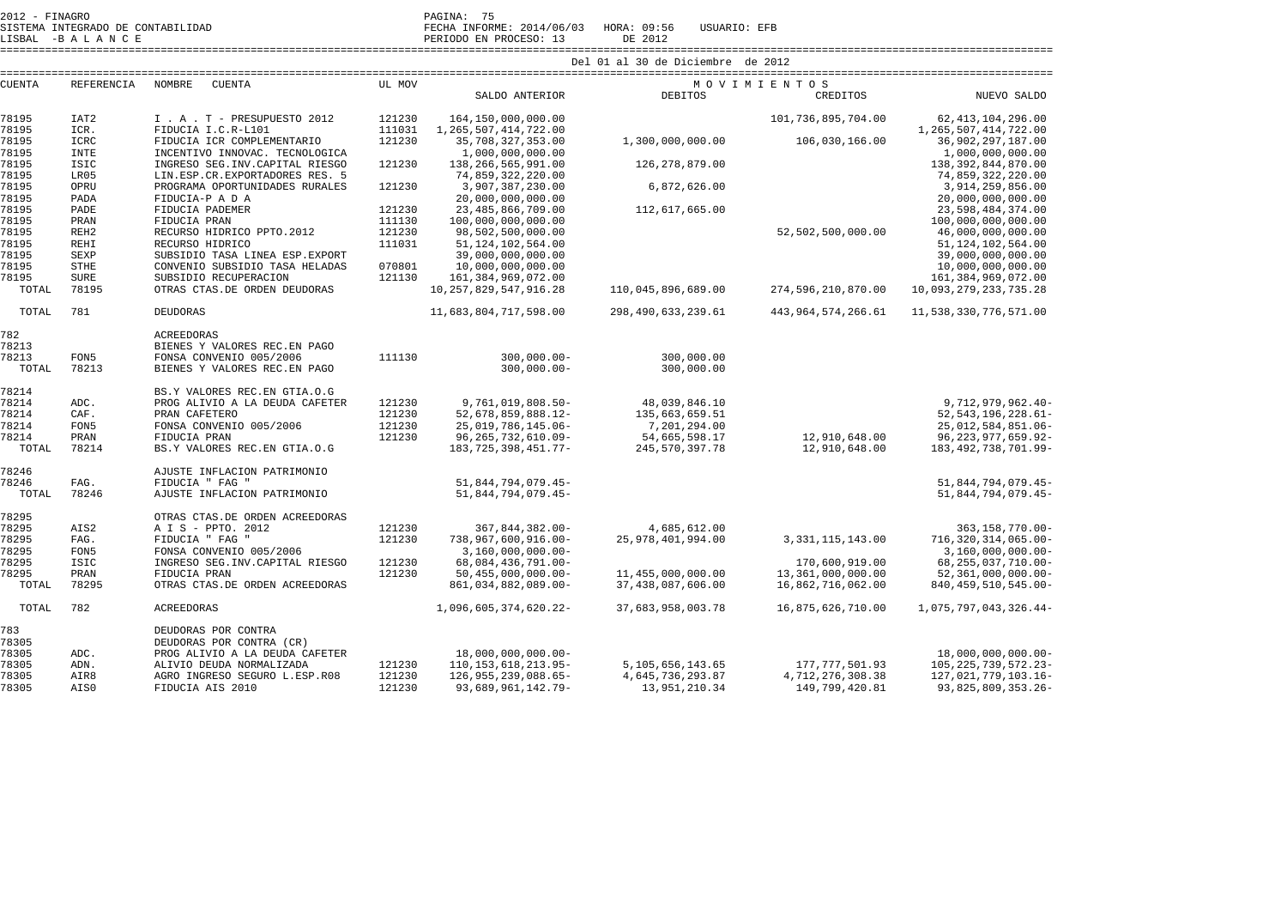| 2012 - FINAGRO                    | $\sim$ $\sim$<br>PAGINA:                                      |
|-----------------------------------|---------------------------------------------------------------|
| SISTEMA INTEGRADO DE CONTABILIDAD | . INFORME: 2014/06/03<br>HORA: 09:56<br>USUARIO: EFB<br>FECHA |

LISBAL -B A L A N C E PERIODO EN PROCESO: 13 DE 2012 ====================================================================================================================================================================

| <b>CUENTA</b> | <b>REFERENCIA</b> | NOMBRE<br>CUENTA                 | UL MOV |                            |                       | MOVIMIENTOS            |                          |
|---------------|-------------------|----------------------------------|--------|----------------------------|-----------------------|------------------------|--------------------------|
|               |                   |                                  |        | SALDO ANTERIOR             | <b>DEBITOS</b>        | CREDITOS               | NUEVO SALDO              |
| 78195         | IAT <sub>2</sub>  | I . A . T - PRESUPUESTO 2012     | 121230 | 164,150,000,000.00         |                       | 101,736,895,704.00     | 62, 413, 104, 296.00     |
| 78195         | ICR.              | FIDUCIA I.C.R-L101               | 111031 | 1, 265, 507, 414, 722.00   |                       |                        | 1, 265, 507, 414, 722.00 |
| 78195         | <b>ICRC</b>       | FIDUCIA ICR COMPLEMENTARIO       | 121230 | 35,708,327,353.00          | 1,300,000,000.00      | 106,030,166.00         | 36,902,297,187.00        |
| 78195         | <b>INTE</b>       | INCENTIVO INNOVAC. TECNOLOGICA   |        | 1,000,000,000.00           |                       |                        | 1,000,000,000.00         |
| 78195         | <b>ISIC</b>       | INGRESO SEG. INV. CAPITAL RIESGO | 121230 | 138,266,565,991.00         | 126,278,879.00        |                        | 138, 392, 844, 870.00    |
| 78195         | LR05              | LIN.ESP.CR.EXPORTADORES RES. 5   |        | 74,859,322,220.00          |                       |                        | 74,859,322,220.00        |
| 78195         | OPRU              | PROGRAMA OPORTUNIDADES RURALES   | 121230 | 3,907,387,230.00           | 6,872,626.00          |                        | 3,914,259,856.00         |
| 78195         | PADA              | FIDUCIA-P A D A                  |        | 20,000,000,000.00          |                       |                        | 20,000,000,000.00        |
| 78195         | PADE              | FIDUCIA PADEMER                  | 121230 | 23, 485, 866, 709.00       | 112,617,665.00        |                        | 23,598,484,374.00        |
| 78195         | PRAN              | FIDUCIA PRAN                     | 111130 | 100,000,000,000.00         |                       |                        | 100,000,000,000.00       |
| 78195         | REH <sub>2</sub>  | RECURSO HÍDRICO PPTO.2012        | 121230 | 98,502,500,000.00          |                       | 52,502,500,000.00      | 46,000,000,000.00        |
| 78195         | REHI              | RECURSO HIDRICO                  | 111031 | 51, 124, 102, 564.00       |                       |                        | 51, 124, 102, 564.00     |
| 78195         | <b>SEXP</b>       | SUBSIDIO TASA LINEA ESP. EXPORT  |        | 39,000,000,000.00          |                       |                        | 39,000,000,000.00        |
| 78195         | <b>STHE</b>       | CONVENIO SUBSIDIO TASA HELADAS   | 070801 | 10,000,000,000.00          |                       |                        | 10,000,000,000.00        |
| 78195         | <b>SURE</b>       | SUBSIDIO RECUPERACION            | 121130 | 161, 384, 969, 072.00      |                       |                        | 161, 384, 969, 072.00    |
| TOTAL         | 78195             | OTRAS CTAS.DE ORDEN DEUDORAS     |        | 10, 257, 829, 547, 916. 28 | 110,045,896,689.00    | 274,596,210,870.00     | 10,093,279,233,735.28    |
| TOTAL         | 781               | <b>DEUDORAS</b>                  |        | 11,683,804,717,598.00      | 298, 490, 633, 239.61 | 443, 964, 574, 266. 61 | 11,538,330,776,571.00    |
| 782           |                   | <b>ACREEDORAS</b>                |        |                            |                       |                        |                          |
| 78213         |                   | BIENES Y VALORES REC. EN PAGO    |        |                            |                       |                        |                          |
| 78213         | FON5              | FONSA CONVENIO 005/2006          | 111130 | $300,000.00 -$             | 300,000.00            |                        |                          |
| TOTAL         | 78213             | BIENES Y VALORES REC. EN PAGO    |        | $300.000.00 -$             | 300,000.00            |                        |                          |
| 78214         |                   | BS.Y VALORES REC.EN GTIA.O.G     |        |                            |                       |                        |                          |
| 78214         | ADC.              | PROG ALIVIO A LA DEUDA CAFETER   | 121230 | 9,761,019,808.50-          | 48,039,846.10         |                        | 9,712,979,962.40-        |
| 78214         | CAF.              | PRAN CAFETERO                    | 121230 | 52,678,859,888.12-         | 135,663,659.51        |                        | 52, 543, 196, 228. 61-   |
| 78214         | FON5              | FONSA CONVENIO 005/2006          | 121230 | 25,019,786,145.06-         | 7,201,294.00          |                        | 25,012,584,851.06-       |
| 78214         | PRAN              | FIDUCIA PRAN                     | 121230 | 96, 265, 732, 610.09-      | 54,665,598.17         | 12,910,648.00          | 96, 223, 977, 659. 92-   |
| TOTAL         | 78214             | BS.Y VALORES REC.EN GTIA.O.G     |        | 183, 725, 398, 451. 77-    | 245,570,397.78        | 12,910,648.00          | 183, 492, 738, 701.99-   |
| 78246         |                   | AJUSTE INFLACION PATRIMONIO      |        |                            |                       |                        |                          |
| 78246         | FAG.              | FIDUCIA " FAG "                  |        | 51,844,794,079.45-         |                       |                        | 51,844,794,079.45-       |
| TOTAL         | 78246             | AJUSTE INFLACION PATRIMONIO      |        | 51,844,794,079.45-         |                       |                        | 51,844,794,079.45-       |
| 78295         |                   | OTRAS CTAS.DE ORDEN ACREEDORAS   |        |                            |                       |                        |                          |
| 78295         | AIS <sub>2</sub>  | A I S - PPTO. 2012               | 121230 | 367,844,382.00-            | 4,685,612.00          |                        | 363, 158, 770.00-        |
| 78295         | FAG.              | FIDUCIA " FAG "                  | 121230 | 738,967,600,916.00-        | 25, 978, 401, 994, 00 | 3, 331, 115, 143.00    | 716,320,314,065.00-      |
| 78295         | FON5              | FONSA CONVENIO 005/2006          |        | $3,160,000,000.00-$        |                       |                        | $3,160,000,000.00 -$     |
| 78295         | <b>ISIC</b>       | INGRESO SEG. INV. CAPITAL RIESGO | 121230 | 68,084,436,791.00-         |                       | 170,600,919.00         | 68, 255, 037, 710.00-    |
| 78295         | PRAN              | FIDUCIA PRAN                     | 121230 | $50,455,000,000.00-$       | 11,455,000,000.00     | 13,361,000,000.00      | $52,361,000,000.00$ -    |
| TOTAL         | 78295             | OTRAS CTAS.DE ORDEN ACREEDORAS   |        | 861,034,882,089.00-        | 37,438,087,606.00     | 16,862,716,062.00      | 840, 459, 510, 545.00-   |
| TOTAL         | 782               | ACREEDORAS                       |        | 1,096,605,374,620.22-      | 37,683,958,003.78     | 16,875,626,710.00      | 1,075,797,043,326.44-    |
| 783           |                   | DEUDORAS POR CONTRA              |        |                            |                       |                        |                          |
| 78305         |                   | DEUDORAS POR CONTRA (CR)         |        |                            |                       |                        |                          |
| 78305         | ADC.              | PROG ALIVIO A LA DEUDA CAFETER   |        | 18,000,000,000.00-         |                       |                        | 18,000,000,000.00-       |
| 78305         | ADN.              | ALIVIO DEUDA NORMALIZADA         | 121230 | 110, 153, 618, 213. 95-    | 5, 105, 656, 143. 65  | 177, 777, 501.93       | 105, 225, 739, 572. 23-  |
| 78305         | AIR8              | AGRO INGRESO SEGURO L.ESP.R08    | 121230 | 126, 955, 239, 088. 65-    | 4,645,736,293.87      | 4,712,276,308.38       | 127,021,779,103.16-      |
| 78305         | AIS0              | FIDUCIA AIS 2010                 | 121230 | 93,689,961,142.79-         | 13,951,210.34         | 149,799,420.81         | 93, 825, 809, 353. 26-   |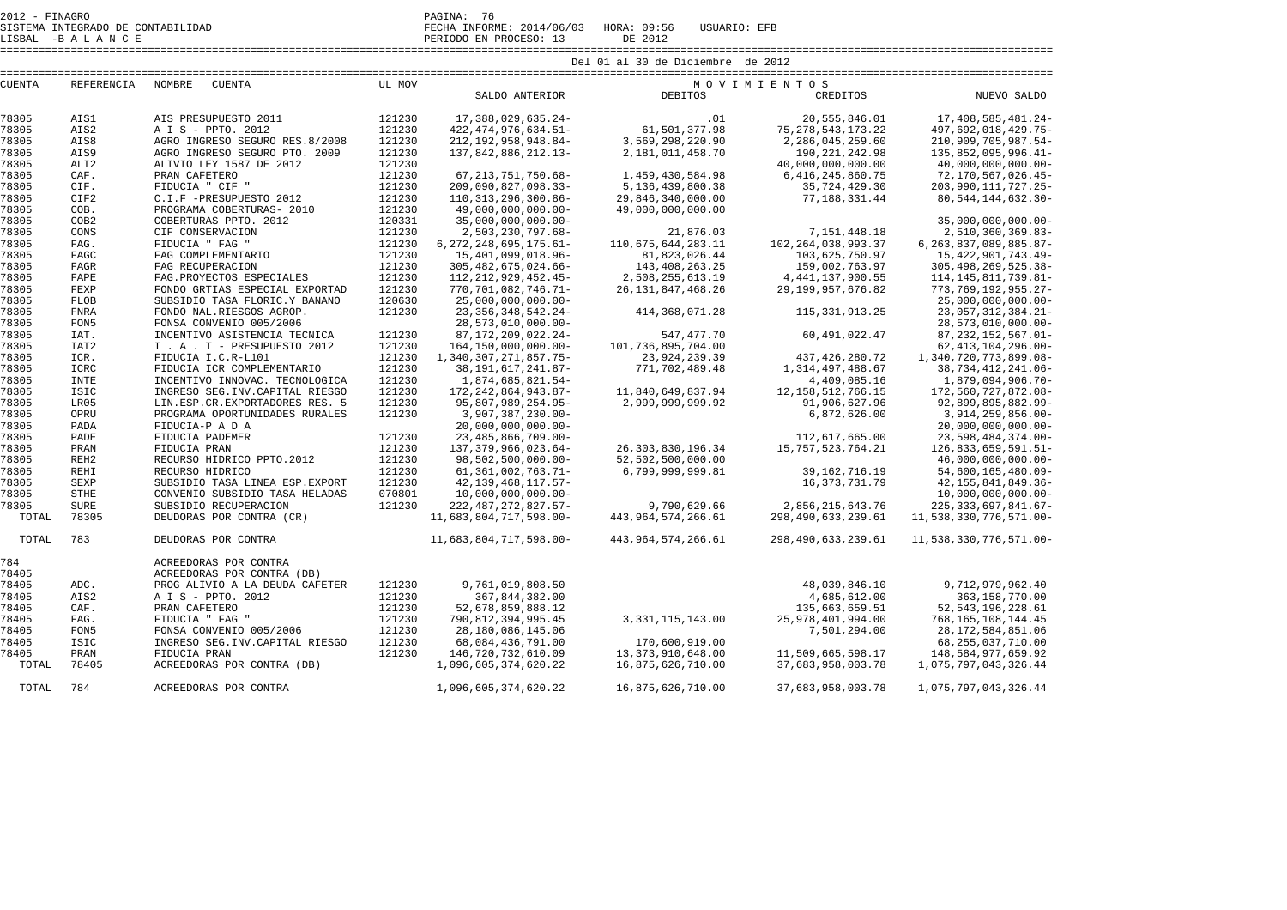2012 - FINAGRO PAGINA: 76

SISTEMA INTEGRADO DE CONTABILIDAD FECHA INFORME: 2014/06/03 HORA: 09:56 USUARIO: EFB

LISBAL -B A L A N C E PERIODO EN PROCESO: 13 DE 2012

====================================================================================================================================================================

| <b>CONTENT</b> | DEEDEMICT? | 37035000 | ATI | <b>BEOTT</b> | $\mathcal{M}$ $\cap$ $\mathcal{M}$ $\top$ $\mathcal{M}$ $\top$ $\mathcal{M}$ $\top$ $\cap$ $\cap$ |
|----------------|------------|----------|-----|--------------|---------------------------------------------------------------------------------------------------|

| CUENTA | REFERENCIA       | NOMBRE<br><b>CUENTA</b>          | UL MOV |                              |                        | MOVIMIENTOS           |                            |
|--------|------------------|----------------------------------|--------|------------------------------|------------------------|-----------------------|----------------------------|
|        |                  |                                  |        | SALDO ANTERIOR               | DEBITOS                | CREDITOS              | NUEVO SALDO                |
| 78305  | AIS1             | AIS PRESUPUESTO 2011             | 121230 | 17, 388, 029, 635. 24-       | .01                    | 20,555,846.01         | 17,408,585,481.24-         |
| 78305  | AIS2             | A I S - PPTO. 2012               | 121230 | 422, 474, 976, 634.51-       | 61,501,377.98          | 75, 278, 543, 173. 22 | 497,692,018,429.75-        |
| 78305  | AIS8             | AGRO INGRESO SEGURO RES.8/2008   | 121230 | 212, 192, 958, 948.84-       | 3,569,298,220.90       | 2,286,045,259.60      | 210,909,705,987.54-        |
| 78305  | AIS9             | AGRO INGRESO SEGURO PTO. 2009    | 121230 | 137,842,886,212.13-          | 2,181,011,458.70       | 190, 221, 242.98      | 135,852,095,996.41-        |
| 78305  | ALI <sub>2</sub> | ALIVIO LEY 1587 DE 2012          | 121230 |                              |                        | 40,000,000,000.00     | $40,000,000,000.00$ -      |
| 78305  | CAF.             | PRAN CAFETERO                    | 121230 | 67, 213, 751, 750. 68-       | 1,459,430,584.98       | 6, 416, 245, 860. 75  | 72,170,567,026.45-         |
| 78305  | CIF.             | FIDUCIA " CIF "                  | 121230 | 209,090,827,098.33-          | 5, 136, 439, 800. 38   | 35,724,429.30         | 203,990,111,727.25-        |
| 78305  | CIF2             | C.I.F -PRESUPUESTO 2012          | 121230 | 110, 313, 296, 300.86-       | 29,846,340,000.00      | 77,188,331.44         | 80, 544, 144, 632. 30-     |
| 78305  | COB.             | PROGRAMA COBERTURAS- 2010        | 121230 | 49,000,000,000.00-           | 49,000,000,000.00      |                       |                            |
| 78305  | COB2             | COBERTURAS PPTO, 2012            | 120331 | $35,000,000,000.00$ -        |                        |                       | $35,000,000,000.00$ -      |
| 78305  | CONS             | CIF CONSERVACION                 | 121230 | 2,503,230,797.68-            | 21,876.03              | 7, 151, 448.18        | 2,510,360,369.83-          |
| 78305  | FAG.             | FIDUCIA " FAG "                  | 121230 | $6, 272, 248, 695, 175.61 -$ | 110,675,644,283.11     | 102, 264, 038, 993.37 | 6, 263, 837, 089, 885. 87- |
| 78305  | FAGC             | FAG COMPLEMENTARIO               | 121230 | 15,401,099,018.96-           | 81,823,026.44          | 103,625,750.97        | 15, 422, 901, 743. 49-     |
| 78305  | FAGR             | FAG RECUPERACION                 | 121230 | 305, 482, 675, 024. 66-      | 143, 408, 263. 25      | 159,002,763.97        | 305, 498, 269, 525. 38-    |
| 78305  | FAPE             | FAG. PROYECTOS ESPECIALES        | 121230 | 112, 212, 929, 452. 45-      | 2,508,255,613.19       | 4, 441, 137, 900. 55  | 114, 145, 811, 739.81-     |
| 78305  | FEXP             | FONDO GRTIAS ESPECIAL EXPORTAD   | 121230 | 770,701,082,746.71-          | 26, 131, 847, 468. 26  | 29, 199, 957, 676.82  | 773,769,192,955.27-        |
| 78305  | FLOB             | SUBSIDIO TASA FLORIC.Y BANANO    | 120630 | $25,000,000,000.00$ -        |                        |                       | $25,000,000,000.00$ -      |
| 78305  | FNRA             | FONDO NAL.RIESGOS AGROP.         | 121230 | 23, 356, 348, 542. 24-       | 414,368,071.28         | 115, 331, 913. 25     | 23,057,312,384.21-         |
| 78305  | FON5             | FONSA CONVENIO 005/2006          |        | 28,573,010,000.00-           |                        |                       | 28,573,010,000.00-         |
| 78305  | IAT.             | INCENTIVO ASISTENCIA TECNICA     | 121230 | 87, 172, 209, 022, 24-       | 547,477.70             | 60,491,022.47         | 87, 232, 152, 567. 01-     |
| 78305  | IAT <sub>2</sub> | I . A . T - PRESUPUESTO 2012     | 121230 | 164, 150, 000, 000. 00-      | 101,736,895,704.00     |                       | $62, 413, 104, 296.00 -$   |
| 78305  | ICR.             | FIDUCIA I.C.R-L101               | 121230 | 1, 340, 307, 271, 857. 75-   | 23, 924, 239.39        | 437, 426, 280. 72     | 1,340,720,773,899.08-      |
| 78305  | ICRC             | FIDUCIA ICR COMPLEMENTARIO       | 121230 | 38, 191, 617, 241.87-        | 771,702,489.48         | 1, 314, 497, 488.67   | 38,734,412,241.06-         |
| 78305  | <b>INTE</b>      | INCENTIVO INNOVAC. TECNOLOGICA   | 121230 | 1,874,685,821.54-            |                        | 4,409,085.16          | 1,879,094,906.70-          |
| 78305  | ISIC             | INGRESO SEG. INV. CAPITAL RIESGO | 121230 | 172, 242, 864, 943. 87-      | 11,840,649,837.94      | 12, 158, 512, 766. 15 | 172,560,727,872.08-        |
| 78305  | LR05             | LIN.ESP.CR.EXPORTADORES RES. 5   | 121230 | 95,807,989,254.95-           | 2,999,999,999.92       | 91,906,627.96         | 92,899,895,882.99-         |
| 78305  | OPRU             | PROGRAMA OPORTUNIDADES RURALES   | 121230 | 3,907,387,230.00-            |                        | 6,872,626.00          | 3,914,259,856.00-          |
| 78305  | PADA             | FIDUCIA-P A D A                  |        | $20,000,000,000.00-$         |                        |                       | $20,000,000,000.00$ -      |
| 78305  | PADE             | FIDUCIA PADEMER                  | 121230 | 23, 485, 866, 709. 00-       |                        | 112,617,665.00        | 23,598,484,374.00-         |
| 78305  | PRAN             | FIDUCIA PRAN                     | 121230 | 137, 379, 966, 023.64-       | 26, 303, 830, 196. 34  | 15, 757, 523, 764. 21 | 126,833,659,591.51-        |
| 78305  | REH <sub>2</sub> | RECURSO HÍDRICO PPTO.2012        | 121230 | 98,502,500,000.00-           | 52,502,500,000.00      |                       | $46,000,000,000.00 -$      |
| 78305  | REHI             | RECURSO HIDRICO                  | 121230 | 61, 361, 002, 763. 71-       | 6,799,999,999.81       | 39, 162, 716. 19      | 54,600,165,480.09-         |
| 78305  | <b>SEXP</b>      | SUBSIDIO TASA LINEA ESP. EXPORT  | 121230 | 42, 139, 468, 117. 57-       |                        | 16, 373, 731. 79      | 42, 155, 841, 849. 36-     |
| 78305  | STHE             | CONVENIO SUBSIDIO TASA HELADAS   | 070801 | $10,000,000,000.00$ -        |                        |                       | $10,000,000,000.00$ -      |
| 78305  | <b>SURE</b>      | SUBSIDIO RECUPERACION            | 121230 | 222, 487, 272, 827. 57-      | 9,790,629.66           | 2,856,215,643.76      | 225, 333, 697, 841. 67-    |
| TOTAL  | 78305            | DEUDORAS POR CONTRA (CR)         |        | 11,683,804,717,598.00-       | 443, 964, 574, 266. 61 | 298, 490, 633, 239.61 | 11,538,330,776,571.00-     |
| TOTAL  | 783              | DEUDORAS POR CONTRA              |        | 11,683,804,717,598.00-       | 443, 964, 574, 266. 61 | 298, 490, 633, 239.61 | 11,538,330,776,571.00-     |
| 784    |                  | ACREEDORAS POR CONTRA            |        |                              |                        |                       |                            |
| 78405  |                  | ACREEDORAS POR CONTRA (DB)       |        |                              |                        |                       |                            |
| 78405  | ADC.             | PROG ALIVIO A LA DEUDA CAFETER   | 121230 | 9,761,019,808.50             |                        | 48,039,846.10         | 9,712,979,962.40           |
| 78405  | AIS2             | A I S - PPTO. 2012               | 121230 | 367,844,382.00               |                        | 4,685,612.00          | 363, 158, 770.00           |
| 78405  | CAF.             | PRAN CAFETERO                    | 121230 | 52,678,859,888.12            |                        | 135,663,659.51        | 52, 543, 196, 228.61       |
| 78405  | FAG.             | FIDUCIA " FAG "                  | 121230 | 790, 812, 394, 995.45        | 3, 331, 115, 143.00    | 25,978,401,994.00     | 768, 165, 108, 144. 45     |
| 78405  | FON5             | FONSA CONVENIO 005/2006          | 121230 | 28,180,086,145.06            |                        | 7,501,294.00          | 28, 172, 584, 851.06       |
| 78405  | ISIC             | INGRESO SEG. INV. CAPITAL RIESGO | 121230 | 68,084,436,791.00            | 170,600,919.00         |                       | 68, 255, 037, 710.00       |
| 78405  | PRAN             | FIDUCIA PRAN                     | 121230 | 146,720,732,610.09           | 13, 373, 910, 648.00   | 11,509,665,598.17     | 148,584,977,659.92         |
| TOTAL  | 78405            | ACREEDORAS POR CONTRA (DB)       |        | 1,096,605,374,620.22         | 16,875,626,710.00      | 37,683,958,003.78     | 1,075,797,043,326.44       |
| TOTAL  | 784              | ACREEDORAS POR CONTRA            |        | 1,096,605,374,620.22         | 16,875,626,710.00      | 37,683,958,003.78     | 1,075,797,043,326.44       |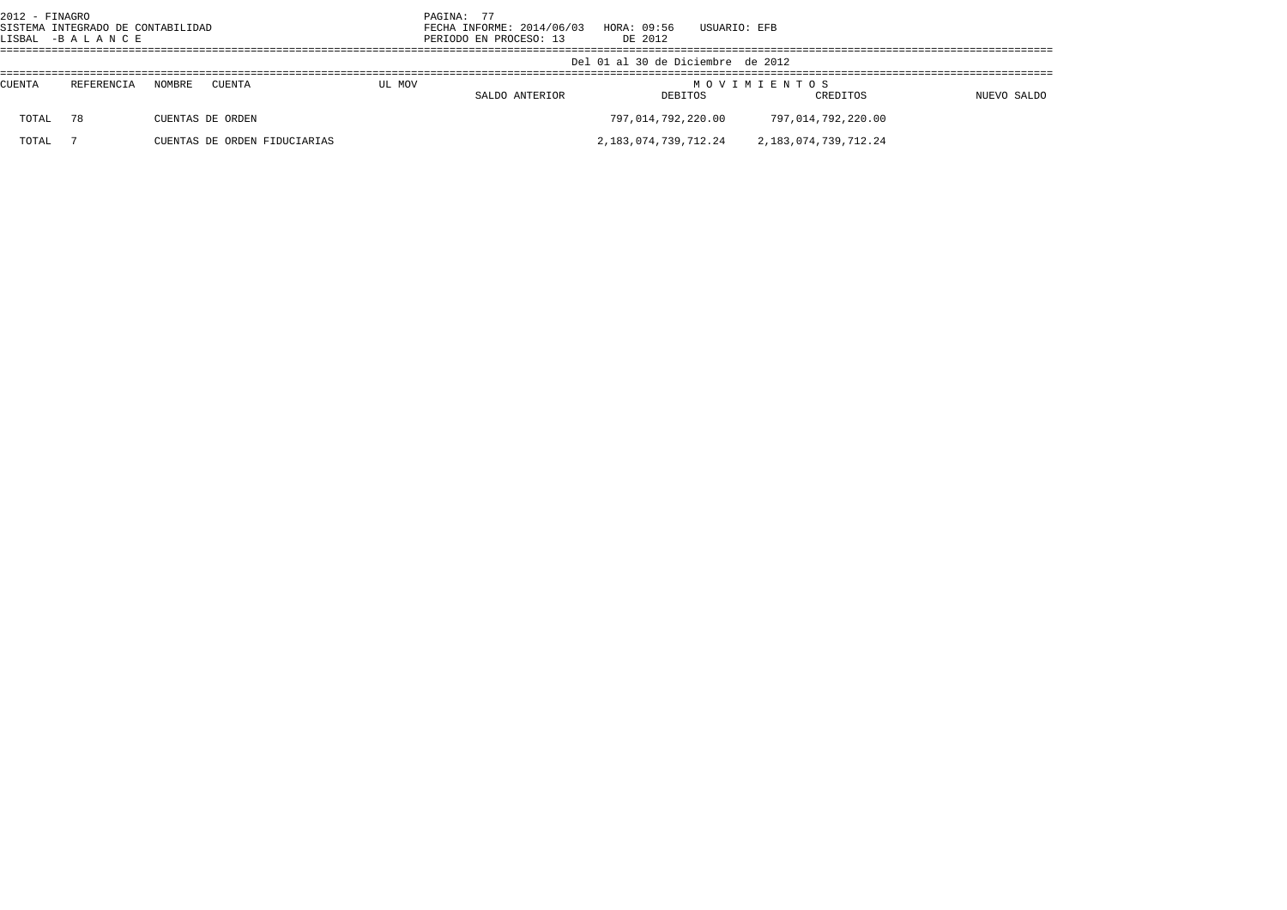| 2012 - FINAGRO | SISTEMA INTEGRADO DE CONTABILIDAD<br>LISBAL -BALANCE |        |                              |        | PAGINA: 77<br>FECHA INFORME: 2014/06/03<br>PERIODO EN PROCESO: 13 | HORA: 09:56<br>DE 2012            | USUARIO: EFB |                                                     |             |  |
|----------------|------------------------------------------------------|--------|------------------------------|--------|-------------------------------------------------------------------|-----------------------------------|--------------|-----------------------------------------------------|-------------|--|
|                |                                                      |        |                              |        |                                                                   | Del 01 al 30 de Diciembre de 2012 |              |                                                     |             |  |
| <b>CUENTA</b>  | REFERENCIA                                           | NOMBRE | CUENTA                       | UL MOV | SALDO ANTERIOR                                                    | DEBITOS                           |              | MOVIMIENTOS<br>CREDITOS                             | NUEVO SALDO |  |
| TOTAL          | 78                                                   |        | CUENTAS DE ORDEN             |        |                                                                   | 797,014,792,220.00                |              | 797,014,792,220.00                                  |             |  |
| TOTAL          |                                                      |        | CUENTAS DE ORDEN FIDUCIARIAS |        |                                                                   |                                   |              | 2, 183, 074, 739, 712, 24 2, 183, 074, 739, 712, 24 |             |  |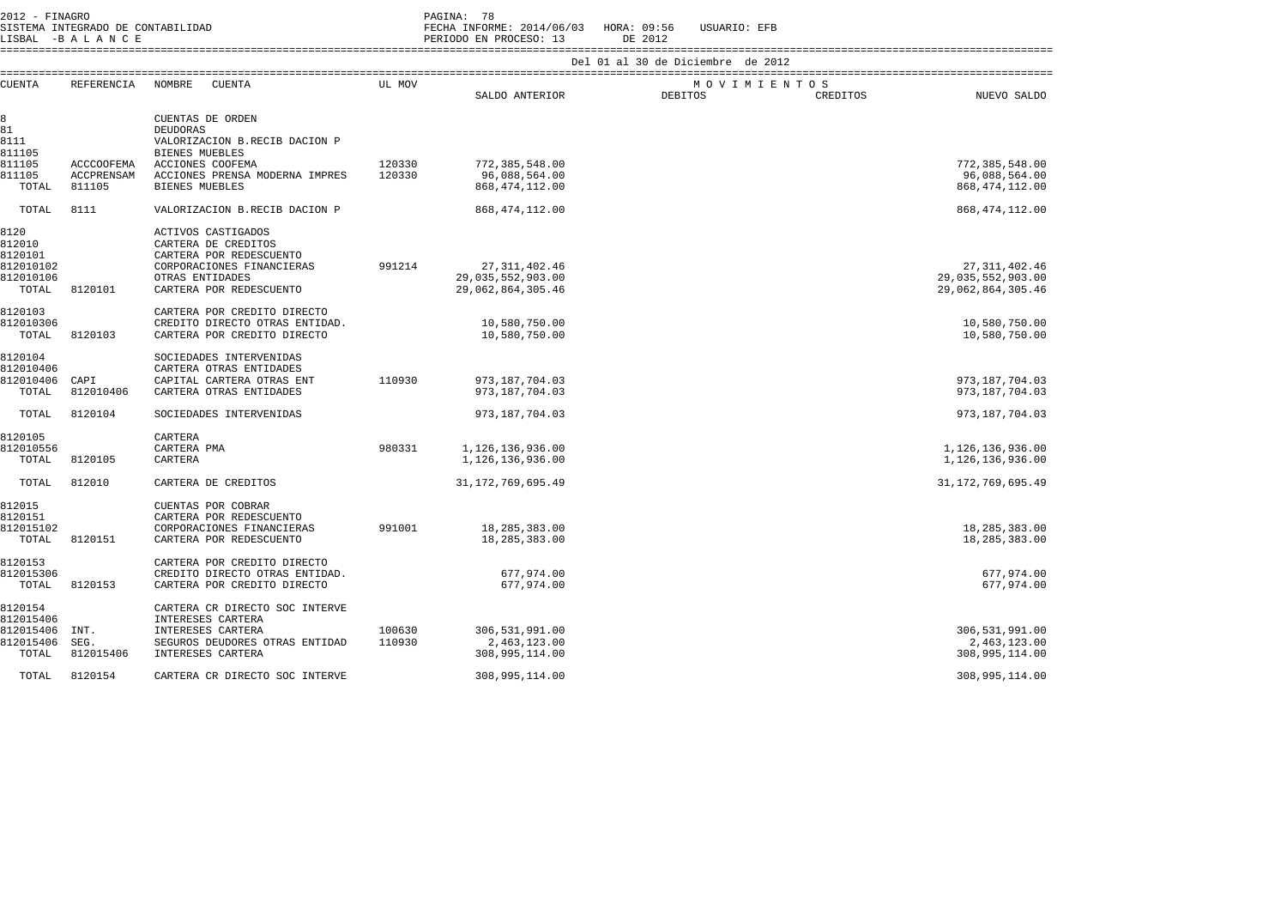| 2012 - FINAGRO<br>SISTEMA INTEGRADO DE CONTABILIDAD<br>LISBAL -BALANCE |                                           |                                                                                                                                                 |                                   | PAGINA: 78<br>FECHA INFORME: 2014/06/03 HORA: 09:56<br>PERIODO EN PROCESO: 13 | DE 2012        | USUARIO: EFB |          |                                                           |  |  |
|------------------------------------------------------------------------|-------------------------------------------|-------------------------------------------------------------------------------------------------------------------------------------------------|-----------------------------------|-------------------------------------------------------------------------------|----------------|--------------|----------|-----------------------------------------------------------|--|--|
|                                                                        |                                           |                                                                                                                                                 | Del 01 al 30 de Diciembre de 2012 |                                                                               |                |              |          |                                                           |  |  |
| <b>CUENTA</b>                                                          | REFERENCIA                                | NOMBRE<br>CUENTA                                                                                                                                | UL MOV                            | SALDO ANTERIOR                                                                | <b>DEBITOS</b> | MOVIMIENTOS  | CREDITOS | NUEVO SALDO                                               |  |  |
| 8<br>81<br>8111<br>811105                                              |                                           | CUENTAS DE ORDEN<br>DEUDORAS<br>VALORIZACION B.RECIB DACION P<br><b>BIENES MUEBLES</b>                                                          |                                   |                                                                               |                |              |          |                                                           |  |  |
| 811105<br>811105<br>TOTAL                                              | <b>ACCCOOFEMA</b><br>ACCPRENSAM<br>811105 | ACCIONES COOFEMA<br>ACCIONES PRENSA MODERNA IMPRES<br><b>BIENES MUEBLES</b>                                                                     | 120330<br>120330                  | 772,385,548.00<br>96,088,564.00<br>868, 474, 112.00                           |                |              |          | 772, 385, 548.00<br>96,088,564.00<br>868, 474, 112.00     |  |  |
| TOTAL                                                                  | 8111                                      | VALORIZACION B.RECIB DACION P                                                                                                                   |                                   | 868, 474, 112.00                                                              |                |              |          | 868, 474, 112.00                                          |  |  |
| 8120<br>812010<br>8120101<br>812010102<br>812010106<br>TOTAL           | 8120101                                   | ACTIVOS CASTIGADOS<br>CARTERA DE CREDITOS<br>CARTERA POR REDESCUENTO<br>CORPORACIONES FINANCIERAS<br>OTRAS ENTIDADES<br>CARTERA POR REDESCUENTO | 991214                            | 27, 311, 402. 46<br>29,035,552,903.00<br>29,062,864,305.46                    |                |              |          | 27, 311, 402.46<br>29,035,552,903.00<br>29,062,864,305.46 |  |  |
| 8120103<br>812010306<br>TOTAL                                          | 8120103                                   | CARTERA POR CREDITO DIRECTO<br>CREDITO DIRECTO OTRAS ENTIDAD.<br>CARTERA POR CREDITO DIRECTO                                                    |                                   | 10,580,750.00<br>10,580,750.00                                                |                |              |          | 10,580,750.00<br>10,580,750.00                            |  |  |
| 8120104<br>812010406<br>812010406<br>TOTAL                             | CAPI<br>812010406                         | SOCIEDADES INTERVENIDAS<br>CARTERA OTRAS ENTIDADES<br>CAPITAL CARTERA OTRAS ENT<br>CARTERA OTRAS ENTIDADES                                      | 110930                            | 973, 187, 704.03<br>973, 187, 704.03                                          |                |              |          | 973, 187, 704.03<br>973, 187, 704.03                      |  |  |
| TOTAL                                                                  | 8120104                                   | SOCIEDADES INTERVENIDAS                                                                                                                         |                                   | 973, 187, 704.03                                                              |                |              |          | 973, 187, 704.03                                          |  |  |
| 8120105<br>812010556<br>TOTAL                                          | 8120105                                   | CARTERA<br>CARTERA PMA<br>CARTERA                                                                                                               | 980331                            | 1,126,136,936.00<br>1,126,136,936.00                                          |                |              |          | 1,126,136,936.00<br>1,126,136,936.00                      |  |  |
| TOTAL                                                                  | 812010                                    | CARTERA DE CREDITOS                                                                                                                             |                                   | 31, 172, 769, 695.49                                                          |                |              |          | 31, 172, 769, 695.49                                      |  |  |
| 812015<br>8120151<br>812015102<br>TOTAL                                | 8120151                                   | CUENTAS POR COBRAR<br>CARTERA POR REDESCUENTO<br>CORPORACIONES FINANCIERAS<br>CARTERA POR REDESCUENTO                                           | 991001                            | 18, 285, 383.00<br>18,285,383.00                                              |                |              |          | 18, 285, 383.00<br>18,285,383.00                          |  |  |
| 8120153<br>812015306<br>TOTAL                                          | 8120153                                   | CARTERA POR CREDITO DIRECTO<br>CREDITO DIRECTO OTRAS ENTIDAD.<br>CARTERA POR CREDITO DIRECTO                                                    |                                   | 677,974.00<br>677,974.00                                                      |                |              |          | 677,974.00<br>677,974.00                                  |  |  |
| 8120154<br>812015406<br>812015406<br>812015406<br>TOTAL                | INT.<br>SEG.<br>812015406                 | CARTERA CR DIRECTO SOC INTERVE<br>INTERESES CARTERA<br>INTERESES CARTERA<br>SEGUROS DEUDORES OTRAS ENTIDAD<br>INTERESES CARTERA                 | 100630<br>110930                  | 306,531,991.00<br>2,463,123.00<br>308,995,114.00                              |                |              |          | 306,531,991.00<br>2,463,123.00<br>308,995,114.00          |  |  |
| TOTAL                                                                  | 8120154                                   | CARTERA CR DIRECTO SOC INTERVE                                                                                                                  |                                   | 308,995,114.00                                                                |                |              |          | 308,995,114.00                                            |  |  |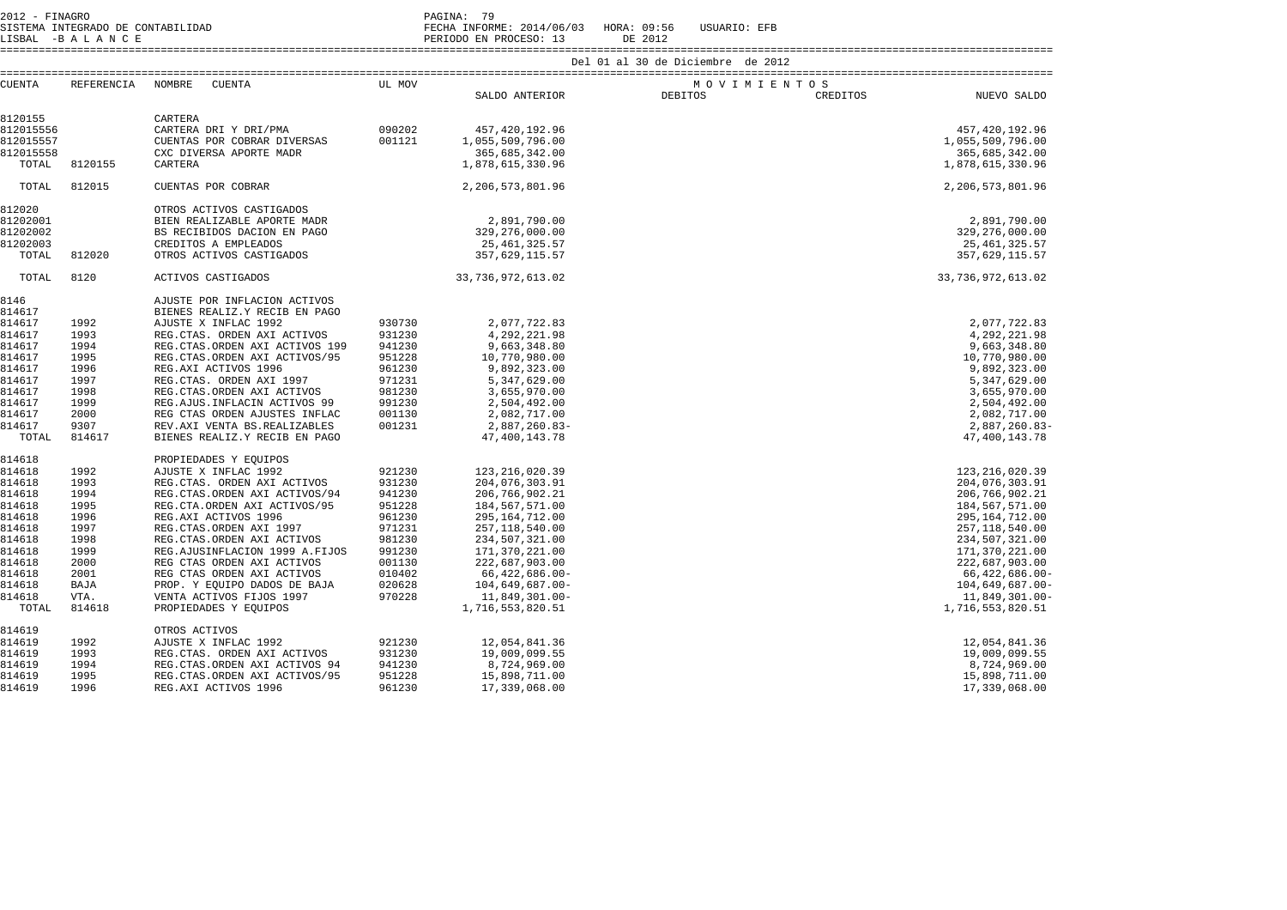2012 - FINAGRO PAGINA: 79

 SISTEMA INTEGRADO DE CONTABILIDAD FECHA INFORME: 2014/06/03 HORA: 09:56 USUARIO: EFB LISBAL -B A L A N C E PERIODO EN PROCESO: 13 DE 2012

====================================================================================================================================================================

| CUENTA    | REFERENCIA | NOMBRE<br>CUENTA                 | UL MOV |                   | MOVIMIENTOS |          |                      |
|-----------|------------|----------------------------------|--------|-------------------|-------------|----------|----------------------|
|           |            |                                  |        | SALDO ANTERIOR    | DEBITOS     | CREDITOS | NUEVO SALDO          |
| 8120155   |            | CARTERA                          |        |                   |             |          |                      |
| 812015556 |            | CARTERA DRI Y DRI/PMA            | 090202 | 457, 420, 192.96  |             |          | 457, 420, 192.96     |
| 812015557 |            | CUENTAS POR COBRAR DIVERSAS      | 001121 | 1,055,509,796.00  |             |          | 1,055,509,796.00     |
| 812015558 |            | CXC DIVERSA APORTE MADR          |        | 365,685,342.00    |             |          | 365,685,342.00       |
| TOTAL     | 8120155    | CARTERA                          |        | 1,878,615,330.96  |             |          | 1,878,615,330.96     |
|           |            |                                  |        |                   |             |          |                      |
| TOTAL     | 812015     | CUENTAS POR COBRAR               |        | 2,206,573,801.96  |             |          | 2,206,573,801.96     |
| 812020    |            | OTROS ACTIVOS CASTIGADOS         |        |                   |             |          |                      |
| 81202001  |            | BIEN REALIZABLE APORTE MADR      |        | 2,891,790.00      |             |          | 2,891,790.00         |
| 81202002  |            | BS RECIBIDOS DACION EN PAGO      |        | 329,276,000.00    |             |          | 329,276,000.00       |
| 81202003  |            | CREDITOS A EMPLEADOS             |        | 25,461,325.57     |             |          | 25, 461, 325.57      |
| TOTAL     | 812020     | OTROS ACTIVOS CASTIGADOS         |        | 357,629,115.57    |             |          | 357,629,115.57       |
| TOTAL     | 8120       | ACTIVOS CASTIGADOS               |        | 33,736,972,613.02 |             |          | 33, 736, 972, 613.02 |
| 8146      |            | AJUSTE POR INFLACION ACTIVOS     |        |                   |             |          |                      |
| 814617    |            | BIENES REALIZ.Y RECIB EN PAGO    |        |                   |             |          |                      |
| 814617    | 1992       | AJUSTE X INFLAC 1992             | 930730 | 2,077,722.83      |             |          | 2,077,722.83         |
| 814617    | 1993       | REG.CTAS. ORDEN AXI ACTIVOS      | 931230 | 4,292,221.98      |             |          | 4,292,221.98         |
| 814617    | 1994       | REG. CTAS. ORDEN AXI ACTIVOS 199 | 941230 | 9,663,348.80      |             |          | 9,663,348.80         |
| 814617    | 1995       | REG. CTAS. ORDEN AXI ACTIVOS/95  | 951228 | 10,770,980.00     |             |          | 10,770,980.00        |
| 814617    | 1996       | REG.AXI ACTIVOS 1996             | 961230 | 9,892,323.00      |             |          | 9,892,323.00         |
| 814617    | 1997       | REG.CTAS. ORDEN AXI 1997         | 971231 | 5,347,629.00      |             |          | 5,347,629.00         |
| 814617    | 1998       | REG. CTAS. ORDEN AXI ACTIVOS     | 981230 | 3,655,970.00      |             |          | 3,655,970.00         |
| 814617    | 1999       | REG. AJUS. INFLACIN ACTIVOS 99   | 991230 | 2,504,492.00      |             |          | 2,504,492.00         |
| 814617    | 2000       | REG CTAS ORDEN AJUSTES INFLAC    | 001130 | 2,082,717.00      |             |          | 2,082,717.00         |
| 814617    | 9307       | REV.AXI VENTA BS.REALIZABLES     | 001231 | 2,887,260.83-     |             |          | 2,887,260.83-        |
| TOTAL     | 814617     | BIENES REALIZ.Y RECIB EN PAGO    |        | 47, 400, 143. 78  |             |          | 47,400,143.78        |
| 814618    |            | PROPIEDADES Y EOUIPOS            |        |                   |             |          |                      |
| 814618    | 1992       | AJUSTE X INFLAC 1992             | 921230 | 123, 216, 020.39  |             |          | 123, 216, 020.39     |
| 814618    | 1993       | REG.CTAS. ORDEN AXI ACTIVOS      | 931230 | 204,076,303.91    |             |          | 204,076,303.91       |
| 814618    | 1994       | REG. CTAS. ORDEN AXI ACTIVOS/94  | 941230 | 206, 766, 902. 21 |             |          | 206, 766, 902.21     |
| 814618    | 1995       | REG.CTA.ORDEN AXI ACTIVOS/95     | 951228 | 184,567,571.00    |             |          | 184, 567, 571.00     |
| 814618    | 1996       | REG.AXI ACTIVOS 1996             | 961230 | 295, 164, 712.00  |             |          | 295, 164, 712.00     |
| 814618    | 1997       | REG. CTAS. ORDEN AXI 1997        | 971231 | 257, 118, 540.00  |             |          | 257, 118, 540.00     |
| 814618    | 1998       | REG. CTAS. ORDEN AXI ACTIVOS     | 981230 | 234,507,321.00    |             |          | 234,507,321.00       |
| 814618    | 1999       | REG. AJUSINFLACION 1999 A. FIJOS | 991230 | 171,370,221.00    |             |          | 171,370,221.00       |
| 814618    | 2000       | REG CTAS ORDEN AXI ACTIVOS       | 001130 | 222,687,903.00    |             |          | 222,687,903.00       |
| 814618    | 2001       | REG CTAS ORDEN AXI ACTIVOS       | 010402 | $66,422,686.00 -$ |             |          | 66,422,686.00-       |
| 814618    | BAJA       | PROP. Y EQUIPO DADOS DE BAJA     | 020628 | $104,649,687.00-$ |             |          | 104,649,687.00-      |
| 814618    | VTA.       | VENTA ACTIVOS FIJOS 1997         | 970228 | 11,849,301.00-    |             |          | 11,849,301.00-       |
| TOTAL     | 814618     | PROPIEDADES Y EQUIPOS            |        | 1,716,553,820.51  |             |          | 1,716,553,820.51     |
| 814619    |            | OTROS ACTIVOS                    |        |                   |             |          |                      |
| 814619    | 1992       | AJUSTE X INFLAC 1992             | 921230 | 12,054,841.36     |             |          | 12,054,841.36        |
| 814619    | 1993       | REG.CTAS. ORDEN AXI ACTIVOS      | 931230 | 19,009,099.55     |             |          | 19,009,099.55        |
| 814619    | 1994       | REG. CTAS. ORDEN AXI ACTIVOS 94  | 941230 | 8,724,969.00      |             |          | 8,724,969.00         |
| 814619    | 1995       | REG. CTAS. ORDEN AXI ACTIVOS/95  | 951228 | 15,898,711.00     |             |          | 15,898,711.00        |
| 814619    | 1996       | REG.AXI ACTIVOS 1996             | 961230 | 17,339,068.00     |             |          | 17,339,068.00        |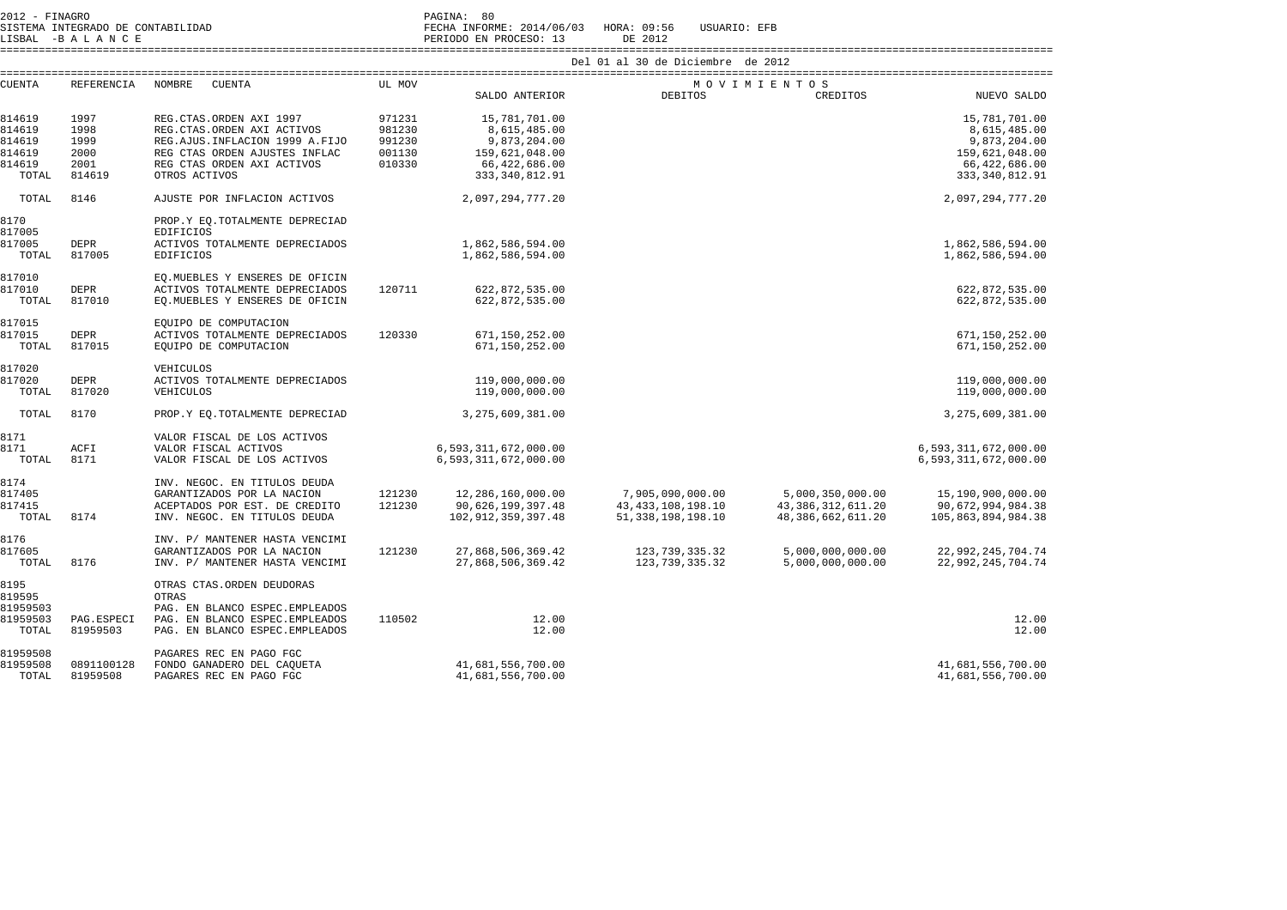| 2012 - FINAGRO                    | PAGINA: 80                            |              |
|-----------------------------------|---------------------------------------|--------------|
| SISTEMA INTEGRADO DE CONTABILIDAD | FECHA INFORME: 2014/06/03 HORA: 09:56 | USUARIO: EFB |
| LISBAL -BALANCE                   | PERIODO EN PROCESO: 13                | DE 2012      |

| Aц | w | P P R R 1 1 1 1 1 1 1 | <b>PHV</b><br>PRUC. |
|----|---|-----------------------|---------------------|
|    |   |                       |                     |

 ==================================================================================================================================================================== Del 01 al 30 de Diciembre de 2012

| <b>CUENTA</b>                                           | <b>REFERENCIA</b>                              | <b>NOMBRE</b><br>CUENTA                                                                                                                                                   | UL MOV                                         |                                                                                                      |                                                                    | MOVIMIENTOS                                                      |                                                                                                      |
|---------------------------------------------------------|------------------------------------------------|---------------------------------------------------------------------------------------------------------------------------------------------------------------------------|------------------------------------------------|------------------------------------------------------------------------------------------------------|--------------------------------------------------------------------|------------------------------------------------------------------|------------------------------------------------------------------------------------------------------|
|                                                         |                                                |                                                                                                                                                                           |                                                | SALDO ANTERIOR                                                                                       | <b>DEBITOS</b>                                                     | CREDITOS                                                         | NUEVO SALDO                                                                                          |
| 814619<br>814619<br>814619<br>814619<br>814619<br>TOTAL | 1997<br>1998<br>1999<br>2000<br>2001<br>814619 | REG.CTAS.ORDEN AXI 1997<br>REG. CTAS. ORDEN AXI ACTIVOS<br>REG.AJUS.INFLACION 1999 A.FIJO<br>REG CTAS ORDEN AJUSTES INFLAC<br>REG CTAS ORDEN AXI ACTIVOS<br>OTROS ACTIVOS | 971231<br>981230<br>991230<br>001130<br>010330 | 15,781,701.00<br>8,615,485.00<br>9,873,204.00<br>159,621,048.00<br>66,422,686.00<br>333, 340, 812.91 |                                                                    |                                                                  | 15,781,701.00<br>8,615,485.00<br>9,873,204.00<br>159,621,048.00<br>66,422,686.00<br>333, 340, 812.91 |
| TOTAL                                                   | 8146                                           | AJUSTE POR INFLACION ACTIVOS                                                                                                                                              |                                                | 2,097,294,777.20                                                                                     |                                                                    |                                                                  | 2,097,294,777.20                                                                                     |
| 8170<br>817005<br>817005<br>TOTAL                       | DEPR<br>817005                                 | PROP.Y EO.TOTALMENTE DEPRECIAD<br><b>EDIFICIOS</b><br>ACTIVOS TOTALMENTE DEPRECIADOS<br><b>EDIFICIOS</b>                                                                  |                                                | 1,862,586,594.00<br>1,862,586,594.00                                                                 |                                                                    |                                                                  | 1,862,586,594.00<br>1,862,586,594.00                                                                 |
| 817010<br>817010<br>TOTAL                               | <b>DEPR</b><br>817010                          | EO. MUEBLES Y ENSERES DE OFICIN<br>ACTIVOS TOTALMENTE DEPRECIADOS<br>EO. MUEBLES Y ENSERES DE OFICIN                                                                      | 120711                                         | 622,872,535.00<br>622,872,535.00                                                                     |                                                                    |                                                                  | 622,872,535.00<br>622,872,535.00                                                                     |
| 817015<br>817015<br>TOTAL                               | DEPR<br>817015                                 | EOUIPO DE COMPUTACION<br>ACTIVOS TOTALMENTE DEPRECIADOS<br>EOUIPO DE COMPUTACION                                                                                          | 120330                                         | 671,150,252.00<br>671,150,252.00                                                                     |                                                                    |                                                                  | 671,150,252.00<br>671,150,252.00                                                                     |
| 817020<br>817020<br>TOTAL                               | DEPR<br>817020                                 | VEHICULOS<br>ACTIVOS TOTALMENTE DEPRECIADOS<br>VEHICULOS                                                                                                                  |                                                | 119,000,000.00<br>119,000,000.00                                                                     |                                                                    |                                                                  | 119,000,000.00<br>119,000,000.00                                                                     |
| TOTAL                                                   | 8170                                           | PROP.Y EO. TOTALMENTE DEPRECIAD                                                                                                                                           |                                                | 3, 275, 609, 381, 00                                                                                 |                                                                    |                                                                  | 3, 275, 609, 381.00                                                                                  |
| 8171<br>8171<br>TOTAL                                   | ACFI<br>8171                                   | VALOR FISCAL DE LOS ACTIVOS<br>VALOR FISCAL ACTIVOS<br>VALOR FISCAL DE LOS ACTIVOS                                                                                        |                                                | 6,593,311,672,000.00<br>6,593,311,672,000.00                                                         |                                                                    |                                                                  | 6,593,311,672,000.00<br>6,593,311,672,000.00                                                         |
| 8174<br>817405<br>817415<br>TOTAL                       | 8174                                           | INV. NEGOC. EN TITULOS DEUDA<br>GARANTIZADOS POR LA NACION<br>ACEPTADOS POR EST. DE CREDITO<br>INV. NEGOC. EN TITULOS DEUDA                                               | 121230<br>121230                               | 12,286,160,000.00<br>90,626,199,397.48<br>102, 912, 359, 397.48                                      | 7,905,090,000.00<br>43, 433, 108, 198. 10<br>51, 338, 198, 198. 10 | 5,000,350,000.00<br>43, 386, 312, 611.20<br>48, 386, 662, 611.20 | 15,190,900,000.00<br>90,672,994,984.38<br>105,863,894,984.38                                         |
| 8176<br>817605<br>TOTAL                                 | 8176                                           | INV. P/ MANTENER HASTA VENCIMI<br>GARANTIZADOS POR LA NACION<br>INV. P/ MANTENER HASTA VENCIMI                                                                            | 121230                                         | 27,868,506,369.42<br>27,868,506,369.42                                                               | 123,739,335.32<br>123, 739, 335.32                                 | 5,000,000,000.00<br>5,000,000,000.00                             | 22,992,245,704.74<br>22,992,245,704.74                                                               |
| 8195<br>819595<br>81959503<br>81959503<br>TOTAL         | PAG.ESPECI<br>81959503                         | OTRAS CTAS. ORDEN DEUDORAS<br>OTRAS<br>PAG. EN BLANCO ESPEC. EMPLEADOS<br>PAG. EN BLANCO ESPEC. EMPLEADOS<br>PAG. EN BLANCO ESPEC. EMPLEADOS                              | 110502                                         | 12.00<br>12.00                                                                                       |                                                                    |                                                                  | 12.00<br>12.00                                                                                       |
| 81959508<br>81959508<br>TOTAL                           | 0891100128<br>81959508                         | PAGARES REC EN PAGO FGC<br>FONDO GANADERO DEL CAQUETA<br>PAGARES REC EN PAGO FGC                                                                                          |                                                | 41,681,556,700.00<br>41,681,556,700.00                                                               |                                                                    |                                                                  | 41,681,556,700.00<br>41,681,556,700.00                                                               |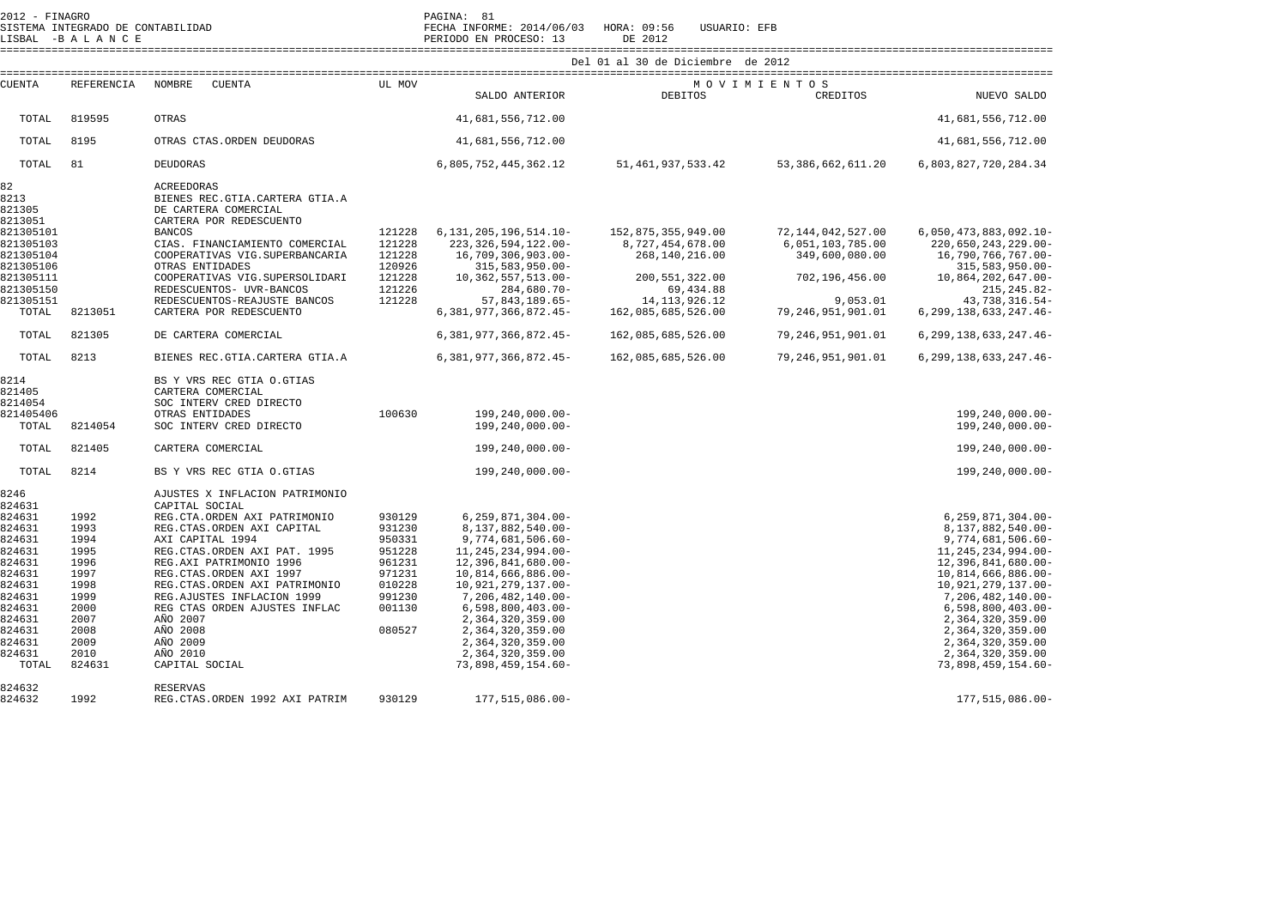| 2012 - FINAGRO<br>SISTEMA INTEGRADO DE CONTABILIDAD<br>LISBAL -BALANCE                                                                  |                                                                                                                |                                                                                                                                                                                                                                                                                                                                            | PAGINA: 81<br>FECHA INFORME: 2014/06/03 HORA: 09:56<br>PERIODO EN PROCESO: 13                    | USUARIO: EFB<br>DE 2012                                                                                                                                                                                                                                                                                         |                                                          |                                                            |                                                                                                                                                                                                                                                                                                                  |
|-----------------------------------------------------------------------------------------------------------------------------------------|----------------------------------------------------------------------------------------------------------------|--------------------------------------------------------------------------------------------------------------------------------------------------------------------------------------------------------------------------------------------------------------------------------------------------------------------------------------------|--------------------------------------------------------------------------------------------------|-----------------------------------------------------------------------------------------------------------------------------------------------------------------------------------------------------------------------------------------------------------------------------------------------------------------|----------------------------------------------------------|------------------------------------------------------------|------------------------------------------------------------------------------------------------------------------------------------------------------------------------------------------------------------------------------------------------------------------------------------------------------------------|
|                                                                                                                                         |                                                                                                                |                                                                                                                                                                                                                                                                                                                                            |                                                                                                  |                                                                                                                                                                                                                                                                                                                 | Del 01 al 30 de Diciembre de 2012                        |                                                            |                                                                                                                                                                                                                                                                                                                  |
| <b>CUENTA</b>                                                                                                                           | REFERENCIA                                                                                                     | NOMBRE<br><b>CUENTA</b>                                                                                                                                                                                                                                                                                                                    | UL MOV                                                                                           | SALDO ANTERIOR                                                                                                                                                                                                                                                                                                  | <b>DEBITOS</b>                                           | MOVIMIENTOS<br>CREDITOS                                    | NUEVO SALDO                                                                                                                                                                                                                                                                                                      |
| TOTAL                                                                                                                                   | 819595                                                                                                         | <b>OTRAS</b>                                                                                                                                                                                                                                                                                                                               |                                                                                                  | 41,681,556,712.00                                                                                                                                                                                                                                                                                               |                                                          |                                                            | 41,681,556,712.00                                                                                                                                                                                                                                                                                                |
| TOTAL                                                                                                                                   | 8195                                                                                                           | OTRAS CTAS. ORDEN DEUDORAS                                                                                                                                                                                                                                                                                                                 |                                                                                                  | 41,681,556,712.00                                                                                                                                                                                                                                                                                               |                                                          |                                                            | 41,681,556,712.00                                                                                                                                                                                                                                                                                                |
| TOTAL                                                                                                                                   | 81                                                                                                             | DEUDORAS                                                                                                                                                                                                                                                                                                                                   |                                                                                                  | 6,805,752,445,362.12                                                                                                                                                                                                                                                                                            | 51, 461, 937, 533. 42                                    | 53, 386, 662, 611.20                                       | 6,803,827,720,284.34                                                                                                                                                                                                                                                                                             |
| 82<br>8213<br>821305<br>8213051                                                                                                         |                                                                                                                | <b>ACREEDORAS</b><br>BIENES REC. GTIA. CARTERA GTIA.A<br>DE CARTERA COMERCIAL<br>CARTERA POR REDESCUENTO                                                                                                                                                                                                                                   |                                                                                                  |                                                                                                                                                                                                                                                                                                                 |                                                          |                                                            |                                                                                                                                                                                                                                                                                                                  |
| 821305101<br>821305103<br>821305104<br>821305106                                                                                        |                                                                                                                | <b>BANCOS</b><br>CIAS. FINANCIAMIENTO COMERCIAL<br>COOPERATIVAS VIG. SUPERBANCARIA<br>OTRAS ENTIDADES                                                                                                                                                                                                                                      | 121228<br>121228<br>121228<br>120926                                                             | 6, 131, 205, 196, 514. 10-<br>223, 326, 594, 122.00-<br>16,709,306,903.00-<br>315,583,950.00-                                                                                                                                                                                                                   | 152,875,355,949.00<br>8,727,454,678.00<br>268,140,216.00 | 72, 144, 042, 527.00<br>6,051,103,785.00<br>349,600,080.00 | $6,050,473,883,092.10-$<br>220,650,243,229.00-<br>16,790,766,767.00-<br>$315,583,950.00 -$                                                                                                                                                                                                                       |
| 821305111<br>821305150                                                                                                                  |                                                                                                                | COOPERATIVAS VIG.SUPERSOLIDARI<br>REDESCUENTOS- UVR-BANCOS                                                                                                                                                                                                                                                                                 | 121228<br>121226                                                                                 | 10, 362, 557, 513.00-<br>284,680.70-                                                                                                                                                                                                                                                                            | 200, 551, 322.00<br>69,434.88                            | 702,196,456.00                                             | 10,864,202,647.00-<br>$215, 245.82 -$                                                                                                                                                                                                                                                                            |
| 821305151<br>TOTAL                                                                                                                      | 8213051                                                                                                        | REDESCUENTOS-REAJUSTE BANCOS<br>CARTERA POR REDESCUENTO                                                                                                                                                                                                                                                                                    | 121228                                                                                           | 57,843,189.65-<br>6, 381, 977, 366, 872. 45-                                                                                                                                                                                                                                                                    | 14, 113, 926. 12<br>162,085,685,526.00                   | 9,053.01<br>79,246,951,901.01                              | 43,738,316.54-<br>6, 299, 138, 633, 247. 46-                                                                                                                                                                                                                                                                     |
| TOTAL                                                                                                                                   | 821305                                                                                                         | DE CARTERA COMERCIAL                                                                                                                                                                                                                                                                                                                       |                                                                                                  | 6, 381, 977, 366, 872. 45-                                                                                                                                                                                                                                                                                      | 162,085,685,526.00                                       | 79, 246, 951, 901.01                                       | 6, 299, 138, 633, 247. 46-                                                                                                                                                                                                                                                                                       |
| TOTAL                                                                                                                                   | 8213                                                                                                           | BIENES REC.GTIA.CARTERA GTIA.A                                                                                                                                                                                                                                                                                                             |                                                                                                  | 6, 381, 977, 366, 872. 45-                                                                                                                                                                                                                                                                                      | 162,085,685,526.00                                       | 79, 246, 951, 901.01                                       | 6, 299, 138, 633, 247. 46-                                                                                                                                                                                                                                                                                       |
| 8214<br>821405<br>8214054<br>821405406                                                                                                  |                                                                                                                | BS Y VRS REC GTIA O.GTIAS<br>CARTERA COMERCIAL<br>SOC INTERV CRED DIRECTO<br>OTRAS ENTIDADES                                                                                                                                                                                                                                               | 100630                                                                                           | 199,240,000.00-                                                                                                                                                                                                                                                                                                 |                                                          |                                                            | 199,240,000.00-                                                                                                                                                                                                                                                                                                  |
| TOTAL                                                                                                                                   | 8214054                                                                                                        | SOC INTERV CRED DIRECTO                                                                                                                                                                                                                                                                                                                    |                                                                                                  | $199, 240, 000.00 -$                                                                                                                                                                                                                                                                                            |                                                          |                                                            | 199,240,000.00-                                                                                                                                                                                                                                                                                                  |
| TOTAL                                                                                                                                   | 821405                                                                                                         | CARTERA COMERCIAL                                                                                                                                                                                                                                                                                                                          |                                                                                                  | 199,240,000.00-                                                                                                                                                                                                                                                                                                 |                                                          |                                                            | $199, 240, 000.00 -$                                                                                                                                                                                                                                                                                             |
| TOTAL                                                                                                                                   | 8214                                                                                                           | BS Y VRS REC GTIA O.GTIAS                                                                                                                                                                                                                                                                                                                  |                                                                                                  | 199,240,000.00-                                                                                                                                                                                                                                                                                                 |                                                          |                                                            | 199,240,000.00-                                                                                                                                                                                                                                                                                                  |
| 8246<br>824631                                                                                                                          |                                                                                                                | AJUSTES X INFLACION PATRIMONIO<br>CAPITAL SOCIAL                                                                                                                                                                                                                                                                                           |                                                                                                  |                                                                                                                                                                                                                                                                                                                 |                                                          |                                                            |                                                                                                                                                                                                                                                                                                                  |
| 824631<br>824631<br>824631<br>824631<br>824631<br>824631<br>824631<br>824631<br>824631<br>824631<br>824631<br>824631<br>824631<br>TOTAL | 1992<br>1993<br>1994<br>1995<br>1996<br>1997<br>1998<br>1999<br>2000<br>2007<br>2008<br>2009<br>2010<br>824631 | REG.CTA.ORDEN AXI PATRIMONIO<br>REG. CTAS. ORDEN AXI CAPITAL<br>AXI CAPITAL 1994<br>REG. CTAS. ORDEN AXI PAT. 1995<br>REG.AXI PATRIMONIO 1996<br>REG.CTAS.ORDEN AXI 1997<br>REG.CTAS.ORDEN AXI PATRIMONIO<br>REG.AJUSTES INFLACION 1999<br>REG CTAS ORDEN AJUSTES INFLAC<br>AÑO 2007<br>AÑO 2008<br>AÑO 2009<br>AÑO 2010<br>CAPITAL SOCIAL | 930129<br>931230<br>950331<br>951228<br>961231<br>971231<br>010228<br>991230<br>001130<br>080527 | $6, 259, 871, 304.00 -$<br>8,137,882,540.00-<br>9,774,681,506.60-<br>11, 245, 234, 994.00-<br>12,396,841,680.00-<br>10,814,666,886.00-<br>10,921,279,137.00-<br>7,206,482,140.00-<br>$6,598,800,403.00 -$<br>2,364,320,359.00<br>2,364,320,359.00<br>2,364,320,359.00<br>2,364,320,359.00<br>73,898,459,154.60- |                                                          |                                                            | $6, 259, 871, 304.00 -$<br>8,137,882,540.00-<br>9,774,681,506.60-<br>11, 245, 234, 994. 00-<br>12,396,841,680.00-<br>10,814,666,886.00-<br>10,921,279,137.00-<br>7,206,482,140.00-<br>$6,598,800,403.00 -$<br>2,364,320,359.00<br>2,364,320,359.00<br>2,364,320,359.00<br>2,364,320,359.00<br>73,898,459,154.60- |
| 824632<br>824632                                                                                                                        | 1992                                                                                                           | <b>RESERVAS</b><br>REG. CTAS. ORDEN 1992 AXI PATRIM                                                                                                                                                                                                                                                                                        | 930129                                                                                           | 177.515.086.00-                                                                                                                                                                                                                                                                                                 |                                                          |                                                            | 177.515.086.00-                                                                                                                                                                                                                                                                                                  |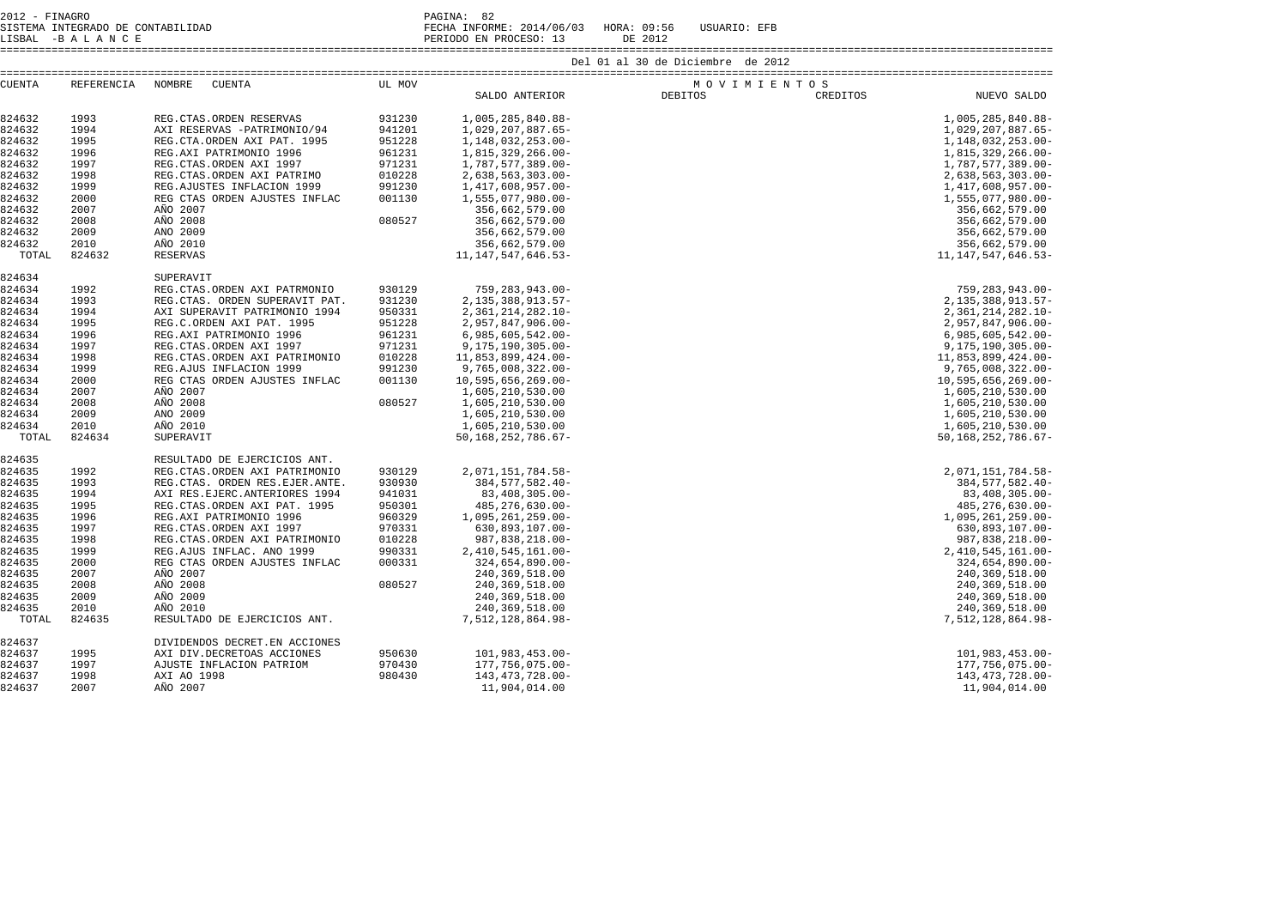2012 - FINAGRO DE CONTABILIDAD (PAGINA: 82)<br>2012 - PAGINA: BECHA INFORMENT CONTABILIDAD SISTEMA INTEGRADO DE CONTABILIDAD FECHA INFORME: 2014/06/03 HORA: 09:56 USUARIO: EFB LISBAL -B A L A N C E PERIODO EN PROCESO: 13 DE 2012

====================================================================================================================================================================

| <b>CUENTA</b> | REFERENCIA | NOMBRE<br>CUENTA                | UL MOV |                         | MOVIMIENTOS    |          |                         |
|---------------|------------|---------------------------------|--------|-------------------------|----------------|----------|-------------------------|
|               |            |                                 |        | SALDO ANTERIOR          | <b>DEBITOS</b> | CREDITOS | NUEVO SALDO             |
|               |            |                                 |        |                         |                |          |                         |
| 824632        | 1993       | REG. CTAS. ORDEN RESERVAS       | 931230 | 1,005,285,840.88-       |                |          | 1,005,285,840.88-       |
| 824632        | 1994       | AXI RESERVAS -PATRIMONIO/94     | 941201 | 1,029,207,887.65-       |                |          | 1,029,207,887.65-       |
| 824632        | 1995       | REG.CTA.ORDEN AXI PAT. 1995     | 951228 | 1,148,032,253.00-       |                |          | 1, 148, 032, 253.00-    |
| 824632        | 1996       | REG.AXI PATRIMONIO 1996         | 961231 | 1,815,329,266.00-       |                |          | 1,815,329,266.00-       |
| 824632        | 1997       | REG.CTAS.ORDEN AXI 1997         | 971231 | 1,787,577,389.00-       |                |          | 1,787,577,389.00-       |
| 824632        | 1998       | REG.CTAS.ORDEN AXI PATRIMO      | 010228 | $2,638,563,303.00 -$    |                |          | 2,638,563,303.00-       |
| 824632        | 1999       | REG. AJUSTES INFLACION 1999     | 991230 | 1,417,608,957.00-       |                |          | 1,417,608,957.00-       |
| 824632        | 2000       | REG CTAS ORDEN AJUSTES INFLAC   | 001130 | 1,555,077,980.00-       |                |          | 1,555,077,980.00-       |
| 824632        | 2007       | AÑO 2007                        |        | 356,662,579.00          |                |          | 356,662,579.00          |
| 824632        | 2008       | AÑO 2008                        | 080527 | 356,662,579.00          |                |          | 356,662,579.00          |
| 824632        | 2009       | AÑO 2009                        |        | 356,662,579.00          |                |          | 356,662,579.00          |
| 824632        | 2010       | AÑO 2010                        |        | 356,662,579.00          |                |          | 356,662,579.00          |
| TOTAL         | 824632     | <b>RESERVAS</b>                 |        | 11, 147, 547, 646. 53-  |                |          | 11, 147, 547, 646. 53-  |
|               |            |                                 |        |                         |                |          |                         |
| 824634        |            | SUPERAVIT                       |        |                         |                |          |                         |
| 824634        | 1992       | REG.CTAS.ORDEN AXI PATRMONIO    | 930129 | 759, 283, 943.00-       |                |          | 759, 283, 943.00-       |
| 824634        | 1993       | REG.CTAS. ORDEN SUPERAVIT PAT.  | 931230 | 2, 135, 388, 913. 57-   |                |          | 2, 135, 388, 913. 57-   |
| 824634        | 1994       | AXI SUPERAVIT PATRIMONIO 1994   | 950331 | 2, 361, 214, 282. 10-   |                |          | 2, 361, 214, 282. 10-   |
| 824634        | 1995       | REG.C.ORDEN AXI PAT. 1995       | 951228 | $2,957,847,906.00 -$    |                |          | 2,957,847,906.00-       |
| 824634        | 1996       | REG.AXI PATRIMONIO 1996         | 961231 | $6,985,605,542.00 -$    |                |          | $6,985,605,542.00 -$    |
| 824634        | 1997       | REG. CTAS. ORDEN AXI 1997       | 971231 | $9, 175, 190, 305.00 -$ |                |          | $9, 175, 190, 305.00 -$ |
| 824634        | 1998       | REG.CTAS.ORDEN AXI PATRIMONIO   | 010228 | 11,853,899,424.00-      |                |          | 11,853,899,424.00-      |
| 824634        | 1999       | REG.AJUS INFLACION 1999         | 991230 | $9,765,008,322.00 -$    |                |          | 9,765,008,322.00-       |
| 824634        | 2000       | REG CTAS ORDEN AJUSTES INFLAC   | 001130 | 10,595,656,269.00-      |                |          | $10,595,656,269.00 -$   |
| 824634        | 2007       | AÑO 2007                        |        | 1,605,210,530.00        |                |          | 1,605,210,530.00        |
| 824634        | 2008       | AÑO 2008                        | 080527 | 1,605,210,530.00        |                |          | 1,605,210,530.00        |
| 824634        | 2009       | AÑO 2009                        |        | 1,605,210,530.00        |                |          | 1,605,210,530.00        |
| 824634        | 2010       | AÑO 2010                        |        | 1,605,210,530.00        |                |          | 1,605,210,530.00        |
| TOTAL         | 824634     | SUPERAVIT                       |        | 50, 168, 252, 786. 67-  |                |          | 50, 168, 252, 786. 67-  |
| 824635        |            | RESULTADO DE EJERCICIOS ANT.    |        |                         |                |          |                         |
| 824635        | 1992       | REG.CTAS.ORDEN AXI PATRIMONIO   | 930129 | 2,071,151,784.58-       |                |          | 2,071,151,784.58-       |
|               |            |                                 |        |                         |                |          |                         |
| 824635        | 1993       | REG.CTAS. ORDEN RES.EJER.ANTE.  | 930930 | 384, 577, 582.40-       |                |          | 384, 577, 582.40-       |
| 824635        | 1994       | AXI RES. EJERC. ANTERIORES 1994 | 941031 | 83,408,305.00-          |                |          | 83,408,305.00-          |
| 824635        | 1995       | REG.CTAS.ORDEN AXI PAT. 1995    | 950301 | 485, 276, 630.00-       |                |          | 485, 276, 630.00-       |
| 824635        | 1996       | REG.AXI PATRIMONIO 1996         | 960329 | 1,095,261,259.00-       |                |          | 1,095,261,259.00-       |
| 824635        | 1997       | REG. CTAS. ORDEN AXI 1997       | 970331 | 630,893,107.00-         |                |          | 630,893,107.00-         |
| 824635        | 1998       | REG.CTAS.ORDEN AXI PATRIMONIO   | 010228 | 987,838,218.00-         |                |          | 987,838,218.00-         |
| 824635        | 1999       | REG.AJUS INFLAC. ANO 1999       | 990331 | 2, 410, 545, 161.00-    |                |          | 2, 410, 545, 161.00-    |
| 824635        | 2000       | REG CTAS ORDEN AJUSTES INFLAC   | 000331 | $324,654,890.00 -$      |                |          | 324,654,890.00-         |
| 824635        | 2007       | AÑO 2007                        |        | 240, 369, 518.00        |                |          | 240, 369, 518.00        |
| 824635        | 2008       | AÑO 2008                        | 080527 | 240, 369, 518.00        |                |          | 240, 369, 518.00        |
| 824635        | 2009       | AÑO 2009                        |        | 240, 369, 518.00        |                |          | 240, 369, 518.00        |
| 824635        | 2010       | AÑO 2010                        |        | 240,369,518.00          |                |          | 240, 369, 518.00        |
| TOTAL         | 824635     | RESULTADO DE EJERCICIOS ANT.    |        | 7,512,128,864.98-       |                |          | 7,512,128,864.98-       |
| 824637        |            | DIVIDENDOS DECRET. EN ACCIONES  |        |                         |                |          |                         |
| 824637        | 1995       | AXI DIV.DECRETOAS ACCIONES      | 950630 | $101,983,453.00 -$      |                |          | 101,983,453.00-         |
| 824637        | 1997       | AJUSTE INFLACION PATRIOM        | 970430 | 177,756,075.00-         |                |          | 177, 756, 075.00-       |
| 824637        | 1998       | AXI AO 1998                     | 980430 | 143, 473, 728.00-       |                |          | 143, 473, 728.00-       |
| 824637        | 2007       | AÑO 2007                        |        | 11,904,014.00           |                |          | 11,904,014.00           |
|               |            |                                 |        |                         |                |          |                         |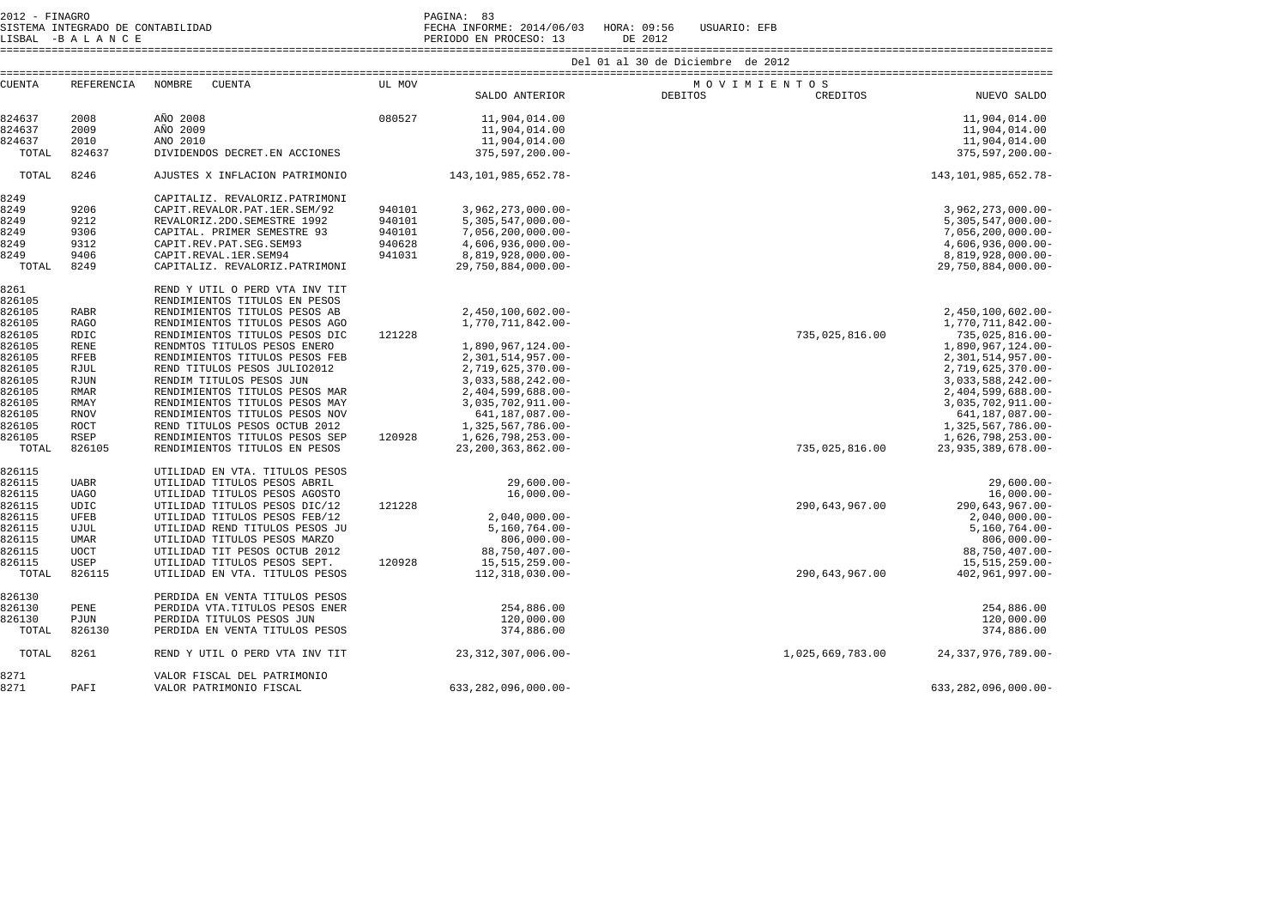2012 - FINAGRO<br>2012 - PAGINA: 83<br>2022 - PAGINA DE CONTABILIDAD

SISTEMA INTEGRADO DE CONTABILIDAD FECHA INFORME: 2014/06/03 HORA: 09:56 USUARIO: EFB

LISBAL -B A L A N C E PERIODO EN PROCESO: 13 DE 2012

====================================================================================================================================================================

| <b>CUENTA</b> | REFERENCIA  | NOMBRE<br>CUENTA                | UL MOV |                           | MOVIMIENTOS      |                           |  |
|---------------|-------------|---------------------------------|--------|---------------------------|------------------|---------------------------|--|
|               |             |                                 |        | SALDO ANTERIOR DEBITOS    | CREDITOS         | NUEVO SALDO               |  |
|               |             |                                 |        |                           |                  |                           |  |
| 824637        | 2008        | AÑO 2008                        | 080527 | 11,904,014.00             |                  | 11,904,014.00             |  |
| 824637        | 2009        | AÑO 2009                        |        | 11,904,014.00             |                  | 11,904,014.00             |  |
| 824637        | 2010        | AÑO 2010                        |        | 11,904,014.00             |                  | 11,904,014.00             |  |
| TOTAL         | 824637      | DIVIDENDOS DECRET. EN ACCIONES  |        | 375,597,200.00-           |                  | $375, 597, 200.00 -$      |  |
| TOTAL         | 8246        | AJUSTES X INFLACION PATRIMONIO  |        | 143,101,985,652.78-       |                  | 143, 101, 985, 652. 78-   |  |
| 8249          |             | CAPITALIZ. REVALORIZ.PATRIMONI  |        |                           |                  |                           |  |
| 8249          | 9206        | CAPIT.REVALOR.PAT.1ER.SEM/92    | 940101 | $3,962,273,000.00 -$      |                  | $3,962,273,000.00 -$      |  |
|               |             |                                 |        |                           |                  |                           |  |
| 8249          | 9212        | REVALORIZ.2DO.SEMESTRE 1992     | 940101 | $5,305,547,000.00 -$      |                  | $5,305,547,000.00 -$      |  |
| 8249          | 9306        | CAPITAL. PRIMER SEMESTRE 93     | 940101 | $7,056,200,000.00 -$      |                  | $7,056,200,000.00 -$      |  |
| 8249          | 9312        | CAPIT.REV.PAT.SEG.SEM93         | 940628 | $4,606,936,000.00 -$      |                  | 4,606,936,000.00-         |  |
| 8249          | 9406        | CAPIT.REVAL.1ER.SEM94           | 941031 | 8,819,928,000.00-         |                  | 8,819,928,000.00-         |  |
| TOTAL         | 8249        | CAPITALIZ. REVALORIZ.PATRIMONI  |        | 29,750,884,000.00-        |                  | 29,750,884,000.00-        |  |
| 8261          |             | REND Y UTIL O PERD VTA INV TIT  |        |                           |                  |                           |  |
| 826105        |             | RENDIMIENTOS TITULOS EN PESOS   |        |                           |                  |                           |  |
| 826105        | <b>RABR</b> | RENDIMIENTOS TITULOS PESOS AB   |        | 2,450,100,602.00-         |                  | 2,450,100,602.00-         |  |
| 826105        | <b>RAGO</b> | RENDIMIENTOS TITULOS PESOS AGO  |        | 1,770,711,842.00-         |                  | 1,770,711,842.00-         |  |
| 826105        | RDIC        | RENDIMIENTOS TITULOS PESOS DIC  | 121228 |                           | 735,025,816.00   | 735,025,816.00-           |  |
| 826105        | <b>RENE</b> | RENDMTOS TITULOS PESOS ENERO    |        | 1,890,967,124.00-         |                  | 1,890,967,124.00-         |  |
| 826105        | <b>RFEB</b> | RENDIMIENTOS TITULOS PESOS FEB  |        | 2,301,514,957.00-         |                  |                           |  |
|               |             |                                 |        |                           |                  | 2,301,514,957.00-         |  |
| 826105        | <b>RJUL</b> | REND TITULOS PESOS JULIO2012    |        | 2,719,625,370.00-         |                  | 2,719,625,370.00-         |  |
| 826105        | RJUN        | RENDIM TITULOS PESOS JUN        |        | 3,033,588,242.00-         |                  | 3,033,588,242.00-         |  |
| 826105        | <b>RMAR</b> | RENDIMIENTOS TITULOS PESOS MAR  |        | 2,404,599,688.00-         |                  | 2,404,599,688.00-         |  |
| 826105        | <b>RMAY</b> | RENDIMIENTOS TITULOS PESOS MAY  |        | 3,035,702,911.00-         |                  | 3,035,702,911.00-         |  |
| 826105        | <b>RNOV</b> | RENDIMIENTOS TITULOS PESOS NOV  |        | 641,187,087.00-           |                  | 641,187,087.00-           |  |
| 826105        | <b>ROCT</b> | REND TITULOS PESOS OCTUB 2012   |        | 1,325,567,786.00-         |                  | 1,325,567,786.00-         |  |
| 826105        | <b>RSEP</b> | RENDIMIENTOS TITULOS PESOS SEP  | 120928 | 1,626,798,253.00-         |                  | 1,626,798,253.00-         |  |
| TOTAL         | 826105      | RENDIMIENTOS TITULOS EN PESOS   |        | 23, 200, 363, 862.00-     | 735,025,816.00   | 23,935,389,678.00-        |  |
| 826115        |             | UTILIDAD EN VTA. TITULOS PESOS  |        |                           |                  |                           |  |
| 826115        | <b>UABR</b> | UTILIDAD TITULOS PESOS ABRIL    |        | $29,600.00 -$             |                  | $29,600.00 -$             |  |
| 826115        | <b>UAGO</b> | UTILIDAD TITULOS PESOS AGOSTO   |        | $16,000.00-$              |                  | $16,000.00-$              |  |
|               |             | UTILIDAD TITULOS PESOS DIC/12   | 121228 |                           | 290,643,967.00   | 290,643,967.00-           |  |
| 826115        | UDIC        |                                 |        |                           |                  |                           |  |
| 826115        | UFEB        | UTILIDAD TITULOS PESOS FEB/12   |        | $2,040,000.00 -$          |                  | $2,040,000.00 -$          |  |
| 826115        | UJUL        | UTILIDAD REND TITULOS PESOS JU  |        | $5,160,764.00 -$          |                  | $5,160,764.00 -$          |  |
| 826115        | <b>UMAR</b> | UTILIDAD TITULOS PESOS MARZO    |        | $806,000.00 -$            |                  | $806,000.00 -$            |  |
| 826115        | <b>UOCT</b> | UTILIDAD TIT PESOS OCTUB 2012   |        | 88,750,407.00-            |                  | 88,750,407.00-            |  |
| 826115        | USEP        | UTILIDAD TITULOS PESOS SEPT.    | 120928 | 15,515,259.00-            |                  | 15,515,259.00-            |  |
| TOTAL         | 826115      | UTILIDAD EN VTA. TITULOS PESOS  |        | 112,318,030.00-           | 290,643,967.00   | 402,961,997.00-           |  |
| 826130        |             | PERDIDA EN VENTA TITULOS PESOS  |        |                           |                  |                           |  |
| 826130        | PENE        | PERDIDA VTA. TITULOS PESOS ENER |        | 254,886.00                |                  | 254,886.00                |  |
|               |             |                                 |        |                           |                  |                           |  |
| 826130        | PJUN        | PERDIDA TITULOS PESOS JUN       |        | 120,000.00                |                  | 120,000.00                |  |
| TOTAL         | 826130      | PERDIDA EN VENTA TITULOS PESOS  |        | 374,886.00                |                  | 374,886.00                |  |
| TOTAL         | 8261        | REND Y UTIL O PERD VTA INV TIT  |        | 23, 312, 307, 006.00-     | 1,025,669,783.00 | 24, 337, 976, 789.00-     |  |
| 8271          |             | VALOR FISCAL DEL PATRIMONIO     |        |                           |                  |                           |  |
| 8271          | PAFI        | VALOR PATRIMONIO FISCAL         |        | $633, 282, 096, 000.00 -$ |                  | $633, 282, 096, 000.00 -$ |  |